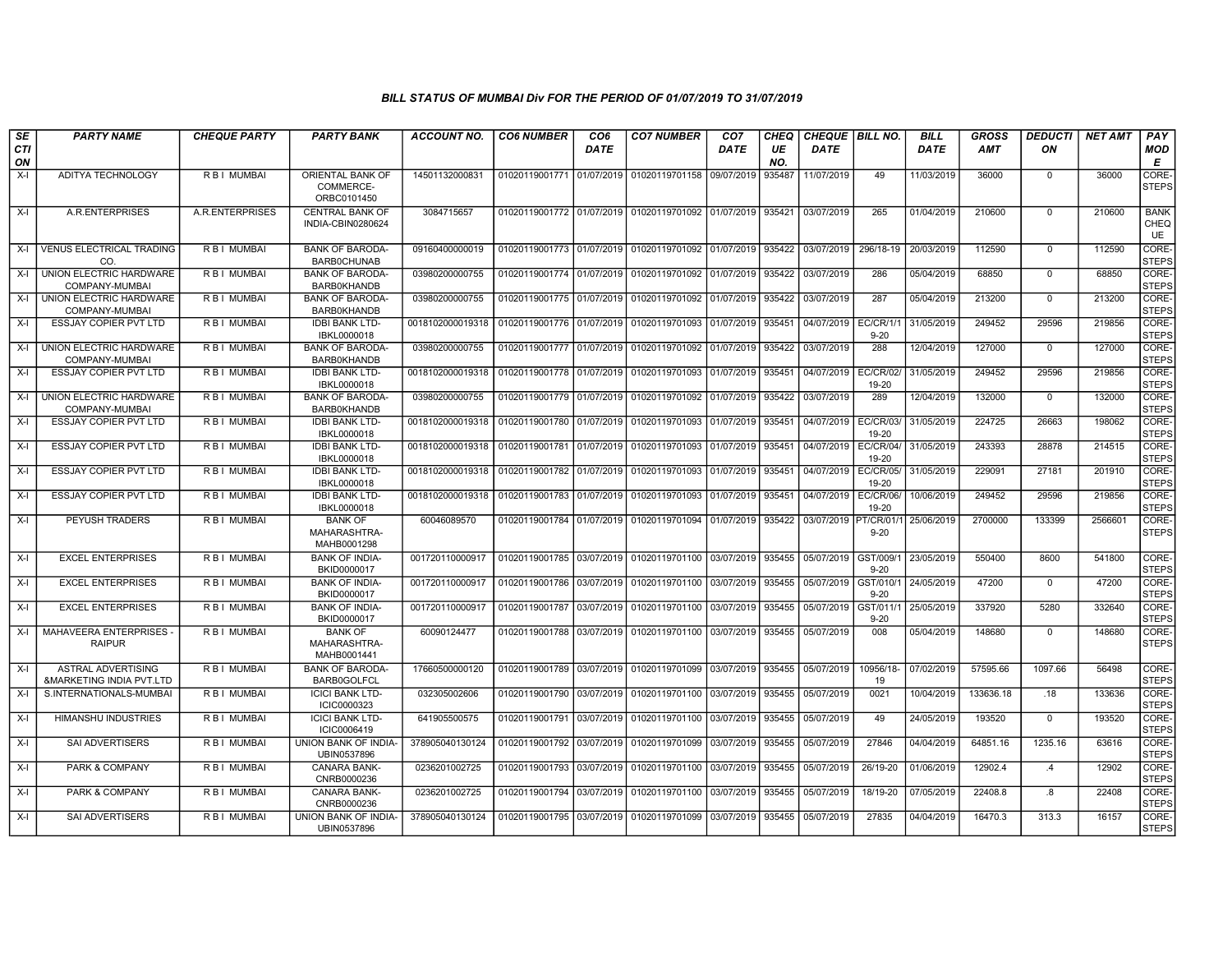| SE        | <b>PARTY NAME</b>                                                | <b>CHEQUE PARTY</b> | <b>PARTY BANK</b>                             | <b>ACCOUNT NO.</b> | <b>CO6 NUMBER</b>         | CO6         | <b>CO7 NUMBER</b>                                   | CO7         | CHEQ      | <b>CHEQUE   BILL NO.</b> |                                  | <b>BILL</b> | <b>GROSS</b> | <b>DEDUCTI</b> | NET AMT | <b>PAY</b>                       |
|-----------|------------------------------------------------------------------|---------------------|-----------------------------------------------|--------------------|---------------------------|-------------|-----------------------------------------------------|-------------|-----------|--------------------------|----------------------------------|-------------|--------------|----------------|---------|----------------------------------|
| CTI<br>ON |                                                                  |                     |                                               |                    |                           | <b>DATE</b> |                                                     | <b>DATE</b> | UE<br>NO. | <b>DATE</b>              |                                  | <b>DATE</b> | <b>AMT</b>   | ON             |         | MOD<br>Е                         |
| $X-I$     | <b>ADITYA TECHNOLOGY</b>                                         | <b>RBI MUMBAI</b>   | ORIENTAL BANK OF<br>COMMERCE-<br>ORBC0101450  | 14501132000831     | 01020119001771 01/07/2019 |             | 01020119701158                                      | 09/07/2019  | 935487    | 11/07/2019               | 49                               | 11/03/2019  | 36000        | $\mathbf 0$    | 36000   | CORE-<br><b>STEPS</b>            |
| $X-I$     | A.R.ENTERPRISES                                                  | A.R.ENTERPRISES     | <b>CENTRAL BANK OF</b><br>INDIA-CBIN0280624   | 3084715657         |                           |             | 01020119001772 01/07/2019 01020119701092 01/07/2019 |             | 935421    | 03/07/2019               | 265                              | 01/04/2019  | 210600       | $\Omega$       | 210600  | <b>BANK</b><br>CHEQ<br><b>UE</b> |
| $X-I$     | <b>VENUS ELECTRICAL TRADING</b><br>CO.                           | R B I MUMBAI        | <b>BANK OF BARODA</b><br><b>BARB0CHUNAB</b>   | 09160400000019     | 01020119001773 01/07/2019 |             | 01020119701092                                      | 01/07/2019  | 935422    | 03/07/2019               | 296/18-19                        | 20/03/2019  | 112590       | $\Omega$       | 112590  | CORE-<br><b>STEPS</b>            |
| $X-I$     | UNION ELECTRIC HARDWARE<br>COMPANY-MUMBAI                        | R B I MUMBAI        | <b>BANK OF BARODA-</b><br><b>BARB0KHANDB</b>  | 03980200000755     | 01020119001774 01/07/2019 |             | 01020119701092                                      | 01/07/2019  | 935422    | 03/07/2019               | 286                              | 05/04/2019  | 68850        | $\Omega$       | 68850   | CORE-<br><b>STEPS</b>            |
| $X-I$     | UNION ELECTRIC HARDWARE<br>COMPANY-MUMBAI                        | R B I MUMBAI        | <b>BANK OF BARODA-</b><br>BARB0KHANDB         | 03980200000755     | 01020119001775 01/07/2019 |             | 01020119701092                                      | 01/07/2019  | 935422    | 03/07/2019               | 287                              | 05/04/2019  | 213200       | $\Omega$       | 213200  | CORE-<br><b>STEPS</b>            |
| $X-I$     | <b>ESSJAY COPIER PVT LTD</b>                                     | R B I MUMBAI        | <b>IDBI BANK LTD-</b><br>IBKL0000018          | 0018102000019318   | 01020119001776 01/07/2019 |             | 01020119701093                                      | 01/07/2019  | 935451    | 04/07/2019               | EC/CR/1/<br>$9 - 20$             | 31/05/2019  | 249452       | 29596          | 219856  | CORE-<br><b>STEPS</b>            |
| X-I       | UNION ELECTRIC HARDWARE<br>COMPANY-MUMBAI                        | R B I MUMBAI        | <b>BANK OF BARODA-</b><br><b>BARB0KHANDB</b>  | 03980200000755     | 01020119001777 01/07/2019 |             | 01020119701092                                      | 01/07/2019  | 935422    | 03/07/2019               | 288                              | 12/04/2019  | 127000       | $\mathbf 0$    | 127000  | CORE-<br><b>STEPS</b>            |
| X-I       | <b>ESSJAY COPIER PVT LTD</b>                                     | R B I MUMBAI        | <b>IDBI BANK LTD-</b><br>IBKL0000018          | 0018102000019318   | 01020119001778 01/07/2019 |             | 01020119701093                                      | 01/07/2019  | 935451    | 04/07/2019               | EC/CR/02/<br>19-20               | 31/05/2019  | 249452       | 29596          | 219856  | CORE-<br><b>STEPS</b>            |
| $X-I$     | UNION ELECTRIC HARDWARE<br>COMPANY-MUMBAI                        | R B I MUMBAI        | <b>BANK OF BARODA-</b><br><b>BARB0KHANDB</b>  | 03980200000755     | 01020119001779 01/07/2019 |             | 01020119701092                                      | 01/07/2019  | 935422    | 03/07/2019               | 289                              | 12/04/2019  | 132000       | 0              | 132000  | CORE-<br><b>STEPS</b>            |
| $X-I$     | <b>ESSJAY COPIER PVT LTD</b>                                     | R B I MUMBAI        | <b>IDBI BANK LTD-</b><br>IBKL0000018          | 0018102000019318   | 01020119001780 01/07/2019 |             | 01020119701093                                      | 01/07/2019  | 935451    | 04/07/2019               | <b>EC/CR/03/</b><br>19-20        | 31/05/2019  | 224725       | 26663          | 198062  | CORE-<br><b>STEPS</b>            |
| $X-I$     | ESSJAY COPIER PVT LTD                                            | R B I MUMBAI        | <b>IDBI BANK LTD-</b><br>IBKL0000018          | 0018102000019318   | 01020119001781 01/07/2019 |             | 01020119701093                                      | 01/07/2019  | 935451    | 04/07/2019               | EC/CR/04/<br>19-20               | 31/05/2019  | 243393       | 28878          | 214515  | CORE-<br><b>STEPS</b>            |
| $X-I$     | <b>ESSJAY COPIER PVT LTD</b>                                     | R B I MUMBAI        | <b>IDBI BANK LTD-</b><br>IBKL0000018          | 0018102000019318   | 01020119001782 01/07/2019 |             | 01020119701093                                      | 01/07/2019  | 935451    | 04/07/2019               | <b>EC/CR/05/</b><br>19-20        | 31/05/2019  | 229091       | 27181          | 201910  | CORE-<br><b>STEPS</b>            |
| X-I       | ESSJAY COPIER PVT LTD                                            | R B I MUMBAI        | <b>IDBI BANK LTD-</b><br>IBKL0000018          | 0018102000019318   | 01020119001783            | 01/07/2019  | 01020119701093                                      | 01/07/2019  | 935451    | 04/07/2019               | <b>EC/CR/06/</b><br>19-20        | 10/06/2019  | 249452       | 29596          | 219856  | CORE-<br><b>STEPS</b>            |
| $X-I$     | PEYUSH TRADERS                                                   | R B I MUMBAI        | <b>BANK OF</b><br>MAHARASHTRA-<br>MAHB0001298 | 60046089570        | 01020119001784 01/07/2019 |             | 01020119701094                                      | 01/07/2019  | 935422    | 03/07/2019               | <sup>2</sup> T/CR/01<br>$9 - 20$ | 25/06/2019  | 2700000      | 133399         | 2566601 | CORE-<br><b>STEPS</b>            |
| $X-I$     | <b>EXCEL ENTERPRISES</b>                                         | <b>RBI MUMBAI</b>   | <b>BANK OF INDIA-</b><br>BKID0000017          | 001720110000917    | 01020119001785 03/07/2019 |             | 01020119701100                                      | 03/07/2019  | 935455    | 05/07/2019               | GST/009/<br>$9 - 20$             | 23/05/2019  | 550400       | 8600           | 541800  | CORE-<br><b>STEPS</b>            |
| $X-I$     | <b>EXCEL ENTERPRISES</b>                                         | R B I MUMBAI        | <b>BANK OF INDIA-</b><br>BKID0000017          | 001720110000917    | 01020119001786 03/07/2019 |             | 01020119701100                                      | 03/07/2019  | 935455    | 05/07/2019               | GST/010/<br>$9 - 20$             | 24/05/2019  | 47200        | $\mathbf{0}$   | 47200   | CORE-<br><b>STEPS</b>            |
| $X-I$     | <b>EXCEL ENTERPRISES</b>                                         | R B I MUMBAI        | <b>BANK OF INDIA-</b><br>BKID0000017          | 001720110000917    | 01020119001787 03/07/2019 |             | 01020119701100                                      | 03/07/2019  | 935455    | 05/07/2019               | GST/011/<br>$9 - 20$             | 25/05/2019  | 337920       | 5280           | 332640  | CORE-<br><b>STEPS</b>            |
| X-I       | MAHAVEERA ENTERPRISES<br><b>RAIPUR</b>                           | R B I MUMBAI        | <b>BANK OF</b><br>MAHARASHTRA-<br>MAHB0001441 | 60090124477        | 01020119001788            | 03/07/2019  | 01020119701100                                      | 03/07/2019  | 935455    | 05/07/2019               | 008                              | 05/04/2019  | 148680       | $\mathbf{0}$   | 148680  | CORE-<br><b>STEPS</b>            |
| X-I       | <b>ASTRAL ADVERTISING</b><br><b>&amp;MARKETING INDIA PVT.LTD</b> | R B I MUMBAI        | <b>BANK OF BARODA-</b><br><b>BARB0GOLFCL</b>  | 17660500000120     | 01020119001789 03/07/2019 |             | 01020119701099                                      | 03/07/2019  | 935455    | 05/07/2019               | 10956/18-<br>19                  | 07/02/2019  | 57595.66     | 1097.66        | 56498   | CORE-<br><b>STEPS</b>            |
| $X-I$     | S.INTERNATIONALS-MUMBAI                                          | R B I MUMBAI        | <b>ICICI BANK LTD-</b><br>ICIC0000323         | 032305002606       | 01020119001790            | 03/07/2019  | 01020119701100                                      | 03/07/2019  | 935455    | 05/07/2019               | 0021                             | 10/04/2019  | 133636.18    | .18            | 133636  | CORE-<br><b>STEPS</b>            |
| X-I       | HIMANSHU INDUSTRIES                                              | R B I MUMBAI        | <b>ICICI BANK LTD-</b><br>ICIC0006419         | 641905500575       | 01020119001791 03/07/2019 |             | 01020119701100                                      | 03/07/2019  | 935455    | 05/07/2019               | 49                               | 24/05/2019  | 193520       | $\Omega$       | 193520  | CORE-<br><b>STEPS</b>            |
| $X-I$     | SAI ADVERTISERS                                                  | R B I MUMBAI        | UNION BANK OF INDIA-<br>UBIN0537896           | 378905040130124    | 01020119001792            | 03/07/2019  | 01020119701099                                      | 03/07/2019  | 935455    | 05/07/2019               | 27846                            | 04/04/2019  | 64851.16     | 1235.16        | 63616   | CORE-<br><b>STEPS</b>            |
| $X-I$     | PARK & COMPANY                                                   | R B I MUMBAI        | <b>CANARA BANK-</b><br>CNRB0000236            | 0236201002725      | 01020119001793            | 03/07/2019  | 01020119701100                                      | 03/07/2019  | 935455    | 05/07/2019               | 26/19-20                         | 01/06/2019  | 12902.4      | .4             | 12902   | CORE-<br><b>STEPS</b>            |
| $X-I$     | PARK & COMPANY                                                   | R B I MUMBAI        | CANARA BANK-<br>CNRB0000236                   | 0236201002725      | 01020119001794 03/07/2019 |             | 01020119701100                                      | 03/07/2019  | 935455    | 05/07/2019               | 18/19-20                         | 07/05/2019  | 22408.8      | 8.             | 22408   | CORE-<br><b>STEPS</b>            |
| $X-I$     | <b>SAI ADVERTISERS</b>                                           | R B I MUMBAI        | UNION BANK OF INDIA-<br>UBIN0537896           | 378905040130124    |                           |             | 01020119001795 03/07/2019 01020119701099            | 03/07/2019  | 935455    | 05/07/2019               | 27835                            | 04/04/2019  | 16470.3      | 313.3          | 16157   | CORE-<br><b>STEPS</b>            |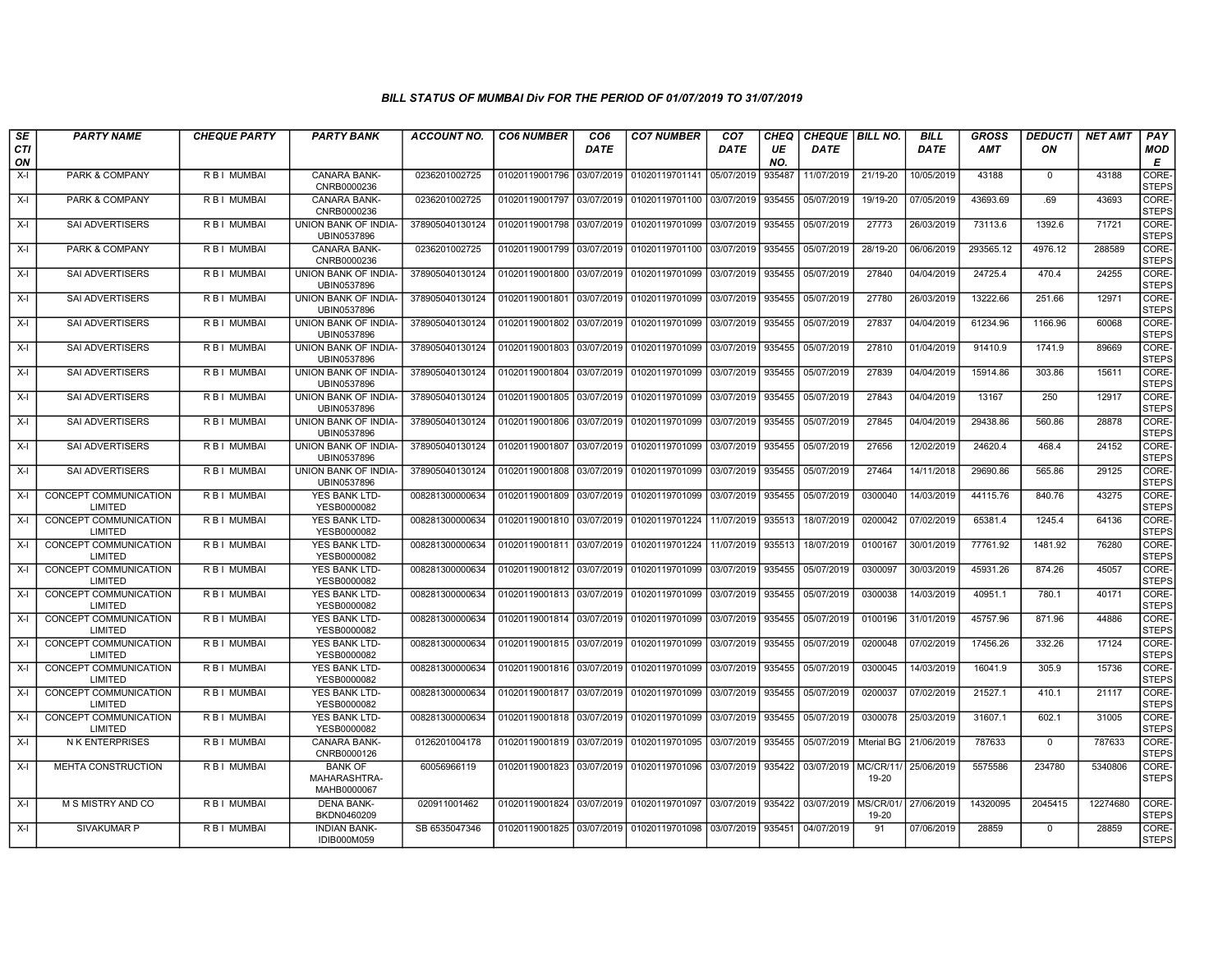| SE               | <b>PARTY NAME</b>                | <b>CHEQUE PARTY</b> | <b>PARTY BANK</b>                             | <b>ACCOUNT NO.</b> | <b>CO6 NUMBER</b>         | CO <sub>6</sub> | <b>CO7 NUMBER</b>         | CO <sub>7</sub> | <b>CHEQ</b> | <b>CHEQUE   BILL NO.</b> |                          | <b>BILL</b> | <b>GROSS</b> | <b>DEDUCTI</b> | <b>NET AMT</b> | PAY                   |
|------------------|----------------------------------|---------------------|-----------------------------------------------|--------------------|---------------------------|-----------------|---------------------------|-----------------|-------------|--------------------------|--------------------------|-------------|--------------|----------------|----------------|-----------------------|
| <b>CTI</b><br>ON |                                  |                     |                                               |                    |                           | <b>DATE</b>     |                           | <b>DATE</b>     | UE<br>NO.   | <b>DATE</b>              |                          | <b>DATE</b> | <b>AMT</b>   | ON             |                | <b>MOD</b><br>Е       |
| $X-I$            | PARK & COMPANY                   | R B I MUMBAI        | CANARA BANK-<br>CNRB0000236                   | 0236201002725      | 01020119001796            | 03/07/2019      | 01020119701141 05/07/2019 |                 | 935487      | 11/07/2019               | 21/19-20                 | 10/05/2019  | 43188        | $\mathbf 0$    | 43188          | CORE-<br><b>STEPS</b> |
| X-I              | PARK & COMPANY                   | <b>RBI MUMBAI</b>   | <b>CANARA BANK-</b><br>CNRB0000236            | 0236201002725      | 01020119001797 03/07/2019 |                 | 01020119701100 03/07/2019 |                 | 935455      | 05/07/2019               | 19/19-20                 | 07/05/2019  | 43693.69     | .69            | 43693          | CORE-<br><b>STEPS</b> |
| X-I              | <b>SAI ADVERTISERS</b>           | <b>RBI MUMBAI</b>   | UNION BANK OF INDIA-<br>UBIN0537896           | 378905040130124    | 01020119001798 03/07/2019 |                 | 01020119701099 03/07/2019 |                 | 935455      | 05/07/2019               | 27773                    | 26/03/2019  | 73113.6      | 1392.6         | 71721          | CORE-<br><b>STEPS</b> |
| $X-I$            | PARK & COMPANY                   | R B I MUMBAI        | CANARA BANK-<br>CNRB0000236                   | 0236201002725      | 01020119001799            | 03/07/2019      | 01020119701100            | 03/07/2019      | 935455      | 05/07/2019               | 28/19-20                 | 06/06/2019  | 293565.12    | 4976.12        | 288589         | CORE-<br><b>STEPS</b> |
| $X-I$            | SAI ADVERTISERS                  | R B I MUMBAI        | UNION BANK OF INDIA-<br>UBIN0537896           | 378905040130124    | 01020119001800            | 03/07/2019      | 01020119701099            | 03/07/2019      | 935455      | 05/07/2019               | 27840                    | 04/04/2019  | 24725.4      | 470.4          | 24255          | CORE-<br><b>STEPS</b> |
| X-I              | <b>SAI ADVERTISERS</b>           | <b>RBI MUMBAI</b>   | UNION BANK OF INDIA-<br>UBIN0537896           | 378905040130124    | 01020119001801            | 03/07/2019      | 01020119701099            | 03/07/2019      | 935455      | 05/07/2019               | 27780                    | 26/03/2019  | 13222.66     | 251.66         | 12971          | CORE-<br><b>STEPS</b> |
| X-I              | SAI ADVERTISERS                  | R B I MUMBAI        | UNION BANK OF INDIA-<br>UBIN0537896           | 378905040130124    | 01020119001802            | 03/07/2019      | 01020119701099            | 03/07/2019      | 935455      | 05/07/2019               | 27837                    | 04/04/2019  | 61234.96     | 1166.96        | 60068          | CORE-<br><b>STEPS</b> |
| X-I              | SAI ADVERTISERS                  | R B I MUMBAI        | UNION BANK OF INDIA-<br>UBIN0537896           | 378905040130124    | 01020119001803            | 03/07/2019      | 01020119701099            | 03/07/2019      | 935455      | 05/07/2019               | 27810                    | 01/04/2019  | 91410.9      | 1741.9         | 89669          | CORE-<br><b>STEPS</b> |
| $X-I$            | <b>SAI ADVERTISERS</b>           | <b>RBI MUMBAI</b>   | UNION BANK OF INDIA-<br>UBIN0537896           | 378905040130124    | 01020119001804            | 03/07/2019      | 01020119701099            | 03/07/2019      | 935455      | 05/07/2019               | 27839                    | 04/04/2019  | 15914.86     | 303.86         | 15611          | CORE-<br><b>STEPS</b> |
| X-I              | SAI ADVERTISERS                  | R B I MUMBAI        | <b>UNION BANK OF INDIA-</b><br>UBIN0537896    | 378905040130124    | 01020119001805            | 03/07/2019      | 01020119701099            | 03/07/2019      | 935455      | 05/07/2019               | 27843                    | 04/04/2019  | 13167        | 250            | 12917          | CORE-<br><b>STEPS</b> |
| X-I              | SAI ADVERTISERS                  | R B I MUMBAI        | UNION BANK OF INDIA-<br>UBIN0537896           | 378905040130124    | 01020119001806            | 03/07/2019      | 01020119701099            | 03/07/2019      | 935455      | 05/07/2019               | 27845                    | 04/04/2019  | 29438.86     | 560.86         | 28878          | CORE-<br><b>STEPS</b> |
| X-I              | SAI ADVERTISERS                  | R B I MUMBAI        | UNION BANK OF INDIA-<br>UBIN0537896           | 378905040130124    | 01020119001807            | 03/07/2019      | 01020119701099            | 03/07/2019      | 935455      | 05/07/2019               | 27656                    | 12/02/2019  | 24620.4      | 468.4          | 24152          | CORE-<br><b>STEPS</b> |
| X-I              | <b>SAI ADVERTISERS</b>           | <b>RBI MUMBAI</b>   | UNION BANK OF INDIA-<br>UBIN0537896           | 378905040130124    | 01020119001808            | 03/07/2019      | 01020119701099            | 03/07/2019      | 935455      | 05/07/2019               | 27464                    | 14/11/2018  | 29690.86     | 565.86         | 29125          | CORE-<br><b>STEPS</b> |
| X-I              | CONCEPT COMMUNICATION<br>LIMITED | R B I MUMBAI        | YES BANK LTD-<br>YESB0000082                  | 008281300000634    | 01020119001809            | 03/07/2019      | 01020119701099            | 03/07/2019      | 935455      | 05/07/2019               | 0300040                  | 14/03/2019  | 44115.76     | 840.76         | 43275          | CORE-<br><b>STEPS</b> |
| $X-I$            | CONCEPT COMMUNICATION<br>LIMITED | R B I MUMBAI        | YES BANK LTD-<br>YESB0000082                  | 008281300000634    | 01020119001810            | 03/07/2019      | 01020119701224            | 11/07/2019      | 935513      | 18/07/2019               | 0200042                  | 07/02/2019  | 65381.4      | 1245.4         | 64136          | CORE-<br><b>STEPS</b> |
| X-I              | CONCEPT COMMUNICATION<br>LIMITED | R B I MUMBAI        | YES BANK LTD-<br>YESB0000082                  | 008281300000634    | 01020119001811            | 03/07/2019      | 01020119701224            | 11/07/2019      | 935513      | 18/07/2019               | 0100167                  | 30/01/2019  | 77761.92     | 1481.92        | 76280          | CORE-<br><b>STEPS</b> |
| X-I              | CONCEPT COMMUNICATION<br>LIMITED | R B I MUMBAI        | YES BANK LTD-<br>YESB0000082                  | 008281300000634    | 01020119001812            | 03/07/2019      | 01020119701099            | 03/07/2019      | 935455      | 05/07/2019               | 0300097                  | 30/03/2019  | 45931.26     | 874.26         | 45057          | CORE-<br><b>STEPS</b> |
| X-I              | CONCEPT COMMUNICATION<br>LIMITED | R B I MUMBAI        | YES BANK LTD-<br>YESB0000082                  | 008281300000634    | 01020119001813 03/07/2019 |                 | 01020119701099            | 03/07/2019      | 935455      | 05/07/2019               | 0300038                  | 14/03/2019  | 40951.1      | 780.1          | 40171          | CORE-<br><b>STEPS</b> |
| $X-I$            | CONCEPT COMMUNICATION<br>LIMITED | R B I MUMBAI        | YES BANK LTD-<br>YESB0000082                  | 008281300000634    | 01020119001814            | 03/07/2019      | 01020119701099            | 03/07/2019      | 935455      | 05/07/2019               | 0100196                  | 31/01/2019  | 45757.96     | 871.96         | 44886          | CORE-<br><b>STEPS</b> |
| $X-I$            | CONCEPT COMMUNICATION<br>LIMITED | R B I MUMBAI        | YES BANK LTD-<br>YESB0000082                  | 008281300000634    | 01020119001815            | 03/07/2019      | 01020119701099            | 03/07/2019      | 935455      | 05/07/2019               | 0200048                  | 07/02/2019  | 17456.26     | 332.26         | 17124          | CORE-<br><b>STEPS</b> |
| X-I              | CONCEPT COMMUNICATION<br>LIMITED | R B I MUMBAI        | YES BANK LTD-<br>YESB0000082                  | 008281300000634    | 01020119001816            | 03/07/2019      | 01020119701099            | 03/07/2019      | 935455      | 05/07/2019               | 0300045                  | 14/03/2019  | 16041.9      | 305.9          | 15736          | CORE-<br><b>STEPS</b> |
| X-I              | CONCEPT COMMUNICATION<br>LIMITED | R B I MUMBAI        | YES BANK LTD-<br>YESB0000082                  | 008281300000634    | 01020119001817            | 03/07/2019      | 01020119701099            | 03/07/2019      | 935455      | 05/07/2019               | 0200037                  | 07/02/2019  | 21527.1      | 410.1          | 21117          | CORE-<br><b>STEPS</b> |
| X-I              | CONCEPT COMMUNICATION<br>LIMITED | R B I MUMBAI        | YES BANK LTD-<br>YESB0000082                  | 008281300000634    | 01020119001818            | 03/07/2019      | 01020119701099            | 03/07/2019      | 935455      | 05/07/2019               | 0300078                  | 25/03/2019  | 31607.1      | 602.1          | 31005          | CORE-<br><b>STEPS</b> |
| $X-I$            | <b>NK ENTERPRISES</b>            | R B I MUMBAI        | CANARA BANK-<br>CNRB0000126                   | 0126201004178      | 01020119001819            | 03/07/2019      | 01020119701095            | 03/07/2019      | 935455      | 05/07/2019               | <b>Mterial BG</b>        | 21/06/2019  | 787633       | $\mathbf 0$    | 787633         | CORE-<br><b>STEPS</b> |
| $X-I$            | MEHTA CONSTRUCTION               | R B I MUMBAI        | <b>BANK OF</b><br>MAHARASHTRA-<br>MAHB0000067 | 60056966119        | 01020119001823            | 03/07/2019      | 01020119701096            | 03/07/2019      | 935422      | 03/07/2019               | MC/CR/11<br>19-20        | 25/06/2019  | 5575586      | 234780         | 5340806        | CORE-<br><b>STEPS</b> |
| $X-I$            | M S MISTRY AND CO                | R B I MUMBAI        | <b>DENA BANK-</b><br>BKDN0460209              | 020911001462       | 01020119001824            | 03/07/2019      | 01020119701097            | 03/07/2019      | 935422      | 03/07/2019               | <b>MS/CR/01</b><br>19-20 | 27/06/2019  | 14320095     | 2045415        | 12274680       | CORE-<br><b>STEPS</b> |
| $X-I$            | <b>SIVAKUMAR P</b>               | R B I MUMBAI        | <b>INDIAN BANK-</b><br>IDIB000M059            | SB 6535047346      | 01020119001825 03/07/2019 |                 | 01020119701098 03/07/2019 |                 | 935451      | 04/07/2019               | 91                       | 07/06/2019  | 28859        | $\mathbf{0}$   | 28859          | CORE-<br><b>STEPS</b> |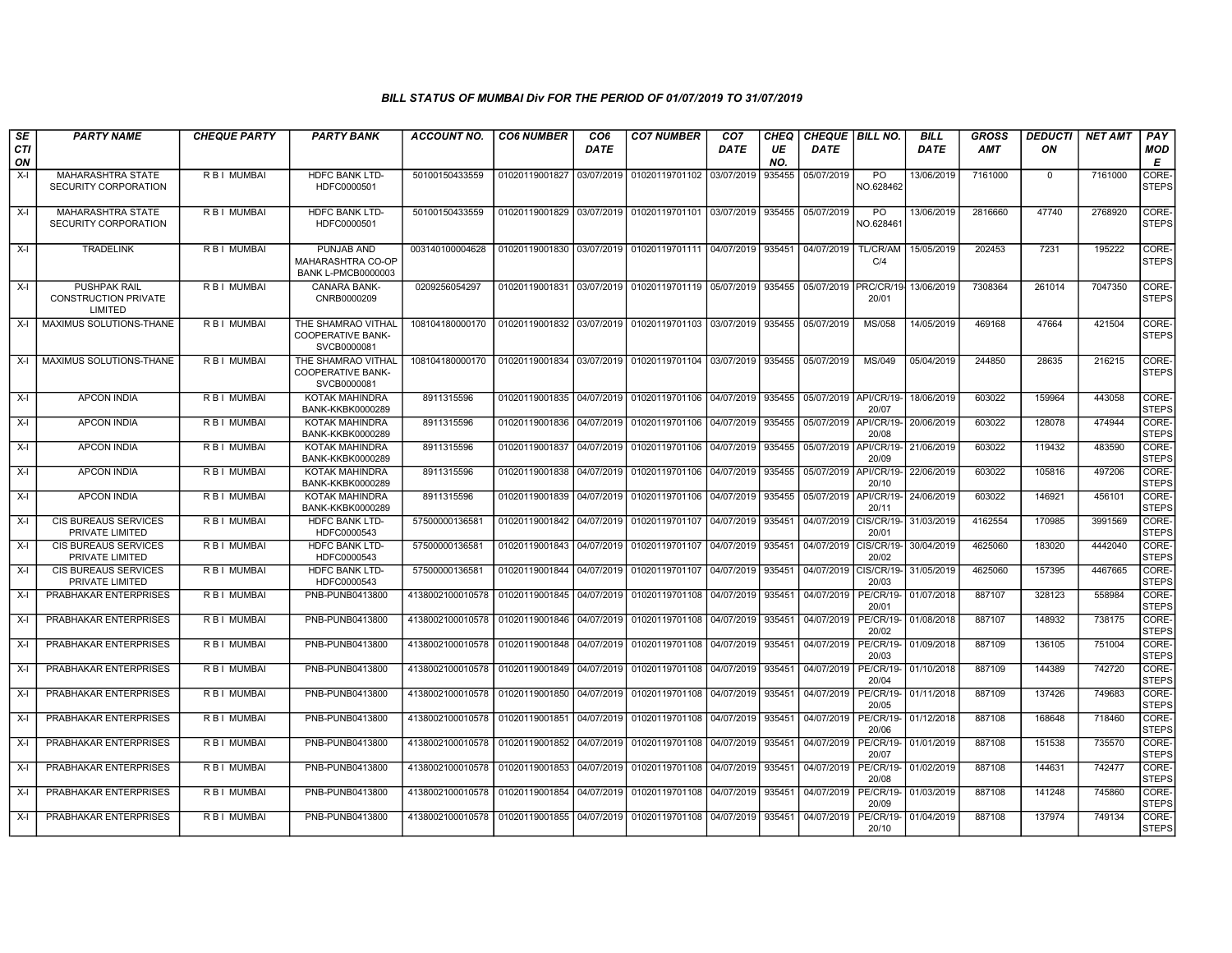| SE               | <b>PARTY NAME</b>                                             | <b>CHEQUE PARTY</b> | <b>PARTY BANK</b>                                                   | <b>ACCOUNT NO.</b>                             | <b>CO6 NUMBER</b>         | CO6         | <b>CO7 NUMBER</b>                                   | CO <sub>7</sub> | CHEQ      | <b>CHEQUE   BILL NO.</b> |                             | BILL        | <b>GROSS</b> | <b>DEDUCTI</b> | NET AMT | <b>PAY</b>            |
|------------------|---------------------------------------------------------------|---------------------|---------------------------------------------------------------------|------------------------------------------------|---------------------------|-------------|-----------------------------------------------------|-----------------|-----------|--------------------------|-----------------------------|-------------|--------------|----------------|---------|-----------------------|
| <b>CTI</b><br>ON |                                                               |                     |                                                                     |                                                |                           | <b>DATE</b> |                                                     | <b>DATE</b>     | UE<br>NO. | DATE                     |                             | <b>DATE</b> | <b>AMT</b>   | ON             |         | MOD<br>Е              |
| $X-I$            | MAHARASHTRA STATE<br>SECURITY CORPORATION                     | R B I MUMBAI        | HDFC BANK LTD-<br>HDFC0000501                                       | 50100150433559                                 | 01020119001827            | 03/07/2019  | 01020119701102                                      | 03/07/2019      | 935455    | 05/07/2019               | P <sub>O</sub><br>NO.628462 | 13/06/2019  | 7161000      | $\mathbf{0}$   | 7161000 | CORE-<br><b>STEPS</b> |
| $X-I$            | MAHARASHTRA STATE<br>SECURITY CORPORATION                     | R B I MUMBAI        | HDFC BANK LTD-<br>HDFC0000501                                       | 50100150433559                                 | 01020119001829 03/07/2019 |             | 01020119701101                                      | 03/07/2019      | 935455    | 05/07/2019               | PO<br>NO.62846              | 13/06/2019  | 2816660      | 47740          | 2768920 | CORE-<br><b>STEPS</b> |
| $X-I$            | <b>TRADELINK</b>                                              | R B I MUMBAI        | PUNJAB AND<br><b>MAHARASHTRA CO-OP</b><br><b>BANK L-PMCB0000003</b> | 003140100004628                                |                           |             | 01020119001830 03/07/2019 01020119701111 04/07/2019 |                 | 935451    | 04/07/2019               | TL/CR/AM<br>C/4             | 15/05/2019  | 202453       | 7231           | 195222  | CORE-<br><b>STEPS</b> |
| $X-I$            | <b>PUSHPAK RAIL</b><br><b>CONSTRUCTION PRIVATE</b><br>LIMITED | <b>RBI MUMBAI</b>   | CANARA BANK-<br>CNRB0000209                                         | 0209256054297                                  |                           |             | 01020119001831 03/07/2019 01020119701119 05/07/2019 |                 | 935455    | 05/07/2019               | PRC/CR/19<br>20/01          | 13/06/2019  | 7308364      | 261014         | 7047350 | CORE-<br><b>STEPS</b> |
| X-I              | MAXIMUS SOLUTIONS-THANE                                       | R B I MUMBAI        | THE SHAMRAO VITHAL<br><b>COOPERATIVE BANK-</b><br>SVCB0000081       | 108104180000170                                | 01020119001832 03/07/2019 |             | 01020119701103 03/07/2019                           |                 | 935455    | 05/07/2019               | <b>MS/058</b>               | 14/05/2019  | 469168       | 47664          | 421504  | CORE-<br><b>STEPS</b> |
| $X-I$            | MAXIMUS SOLUTIONS-THANE                                       | <b>RBI MUMBAI</b>   | THE SHAMRAO VITHAL<br><b>COOPERATIVE BANK-</b><br>SVCB0000081       | 108104180000170                                | 01020119001834 03/07/2019 |             | 01020119701104 03/07/2019                           |                 | 935455    | 05/07/2019               | MS/049                      | 05/04/2019  | 244850       | 28635          | 216215  | CORE-<br><b>STEPS</b> |
| $X-I$            | <b>APCON INDIA</b>                                            | <b>RBI MUMBAI</b>   | <b>KOTAK MAHINDRA</b><br>BANK-KKBK0000289                           | 8911315596                                     |                           |             | 01020119001835 04/07/2019 01020119701106            | 04/07/2019      | 935455    | 05/07/2019               | API/CR/19-<br>20/07         | 18/06/2019  | 603022       | 159964         | 443058  | CORE-<br><b>STEPS</b> |
| $X-I$            | <b>APCON INDIA</b>                                            | R B I MUMBAI        | <b>KOTAK MAHINDRA</b><br>BANK-KKBK0000289                           | 8911315596                                     | 01020119001836 04/07/2019 |             | 01020119701106                                      | 04/07/2019      | 935455    | 05/07/2019               | API/CR/19-<br>20/08         | 20/06/2019  | 603022       | 128078         | 474944  | CORE-<br><b>STEPS</b> |
| X-I              | <b>APCON INDIA</b>                                            | R B I MUMBAI        | KOTAK MAHINDRA<br><b>BANK-KKBK0000289</b>                           | 8911315596                                     | 01020119001837            | 04/07/2019  | 01020119701106                                      | 04/07/2019      | 935455    | 05/07/2019               | API/CR/19-<br>20/09         | 21/06/2019  | 603022       | 119432         | 483590  | CORE-<br><b>STEPS</b> |
| $X-I$            | <b>APCON INDIA</b>                                            | R B I MUMBAI        | <b>KOTAK MAHINDRA</b><br><b>BANK-KKBK0000289</b>                    | 8911315596                                     | 01020119001838            | 04/07/2019  | 01020119701106                                      | 04/07/2019      | 935455    | 05/07/2019               | API/CR/19<br>20/10          | 22/06/2019  | 603022       | 105816         | 497206  | CORE-<br><b>STEPS</b> |
| $X-I$            | <b>APCON INDIA</b>                                            | R B I MUMBAI        | KOTAK MAHINDRA<br>BANK-KKBK0000289                                  | 8911315596                                     | 01020119001839            | 04/07/2019  | 01020119701106                                      | 04/07/2019      | 935455    | 05/07/2019               | API/CR/19<br>20/11          | 24/06/2019  | 603022       | 146921         | 456101  | CORE-<br><b>STEPS</b> |
| $X-I$            | CIS BUREAUS SERVICES<br>PRIVATE LIMITED                       | RBI MUMBAI          | HDFC BANK LTD-<br>HDFC0000543                                       | 5750000013658                                  | 01020119001842            | 04/07/2019  | 01020119701107                                      | 04/07/2019      | 935451    | 04/07/2019               | CIS/CR/19-<br>20/01         | 31/03/2019  | 4162554      | 170985         | 3991569 | CORE-<br><b>STEPS</b> |
| $X-I$            | <b>CIS BUREAUS SERVICES</b><br>PRIVATE LIMITED                | R B I MUMBAI        | <b>HDFC BANK LTD-</b><br>HDFC0000543                                | 57500000136581                                 | 01020119001843 04/07/2019 |             | 01020119701107                                      | 04/07/2019      | 935451    | 04/07/2019               | CIS/CR/19-<br>20/02         | 30/04/2019  | 4625060      | 183020         | 4442040 | CORE-<br><b>STEPS</b> |
| X-I              | CIS BUREAUS SERVICES<br>PRIVATE LIMITED                       | R B I MUMBAI        | <b>HDFC BANK LTD-</b><br>HDFC0000543                                | 57500000136581                                 | 01020119001844            | 04/07/2019  | 01020119701107                                      | 04/07/2019      | 935451    | 04/07/2019               | CIS/CR/19-<br>20/03         | 31/05/2019  | 4625060      | 157395         | 4467665 | CORE-<br><b>STEPS</b> |
| $X-I$            | PRABHAKAR ENTERPRISES                                         | R B I MUMBAI        | PNB-PUNB0413800                                                     | 4138002100010578                               | 01020119001845            | 04/07/2019  | 01020119701108                                      | 04/07/2019      | 935451    | 04/07/2019               | PE/CR/19-<br>20/01          | 01/07/2018  | 887107       | 328123         | 558984  | CORE-<br><b>STEPS</b> |
| $X-I$            | PRABHAKAR ENTERPRISES                                         | R B I MUMBAI        | PNB-PUNB0413800                                                     | 4138002100010578                               | 01020119001846 04/07/2019 |             | 01020119701108                                      | 04/07/2019      | 935451    | 04/07/2019               | <b>PE/CR/19-</b><br>20/02   | 01/08/2018  | 887107       | 148932         | 738175  | CORE-<br><b>STEPS</b> |
| X-I              | PRABHAKAR ENTERPRISES                                         | R B I MUMBAI        | PNB-PUNB0413800                                                     | 4138002100010578                               | 01020119001848            | 04/07/2019  | 01020119701108                                      | 04/07/2019      | 935451    | 04/07/2019               | PE/CR/19-<br>20/03          | 01/09/2018  | 887109       | 136105         | 751004  | CORE-<br><b>STEPS</b> |
| $X-I$            | PRABHAKAR ENTERPRISES                                         | R B I MUMBAI        | PNB-PUNB0413800                                                     | 4138002100010578                               | 01020119001849 04/07/2019 |             | 01020119701108                                      | 04/07/2019      | 935451    | 04/07/2019               | PE/CR/19-<br>20/04          | 01/10/2018  | 887109       | 144389         | 742720  | CORE-<br><b>STEPS</b> |
| $X-I$            | PRABHAKAR ENTERPRISES                                         | R B I MUMBAI        | PNB-PUNB0413800                                                     | 4138002100010578                               | 01020119001850            | 04/07/2019  | 01020119701108                                      | 04/07/2019      | 935451    | 04/07/2019               | <b>PE/CR/19-</b><br>20/05   | 01/11/2018  | 887109       | 137426         | 749683  | CORE-<br><b>STEPS</b> |
| X-I              | PRABHAKAR ENTERPRISES                                         | R B I MUMBAI        | PNB-PUNB0413800                                                     | 4138002100010578 01020119001851                |                           | 04/07/2019  | 01020119701108                                      | 04/07/2019      | 935451    | 04/07/2019               | PE/CR/19-<br>20/06          | 01/12/2018  | 887108       | 168648         | 718460  | CORE-<br><b>STEPS</b> |
| $X-I$            | PRABHAKAR ENTERPRISES                                         | R B I MUMBAI        | PNB-PUNB0413800                                                     | 4138002100010578                               | 01020119001852            | 04/07/2019  | 01020119701108                                      | 04/07/2019      | 935451    | 04/07/2019               | PE/CR/19-<br>20/07          | 01/01/2019  | 887108       | 151538         | 735570  | CORE-<br><b>STEPS</b> |
| X-I              | <b>PRABHAKAR ENTERPRISES</b>                                  | R B I MUMBAI        | PNB-PUNB0413800                                                     | 4138002100010578                               | 01020119001853            | 04/07/2019  | 01020119701108                                      | 04/07/2019      | 935451    | 04/07/2019               | PE/CR/19-<br>20/08          | 01/02/2019  | 887108       | 144631         | 742477  | CORE-<br><b>STEPS</b> |
| $X-I$            | PRABHAKAR ENTERPRISES                                         | R B I MUMBAI        | PNB-PUNB0413800                                                     | 4138002100010578                               | 01020119001854            | 04/07/2019  | 01020119701108 04/07/2019                           |                 | 935451    | 04/07/2019               | <b>PE/CR/19-</b><br>20/09   | 01/03/2019  | 887108       | 141248         | 745860  | CORE-<br><b>STEPS</b> |
| X-I              | PRABHAKAR ENTERPRISES                                         | R B I MUMBAI        | PNB-PUNB0413800                                                     | 4138002100010578   01020119001855   04/07/2019 |                           |             | 01020119701108 04/07/2019                           |                 | 935451    | 04/07/2019               | PE/CR/19-<br>20/10          | 01/04/2019  | 887108       | 137974         | 749134  | CORE-<br><b>STEPS</b> |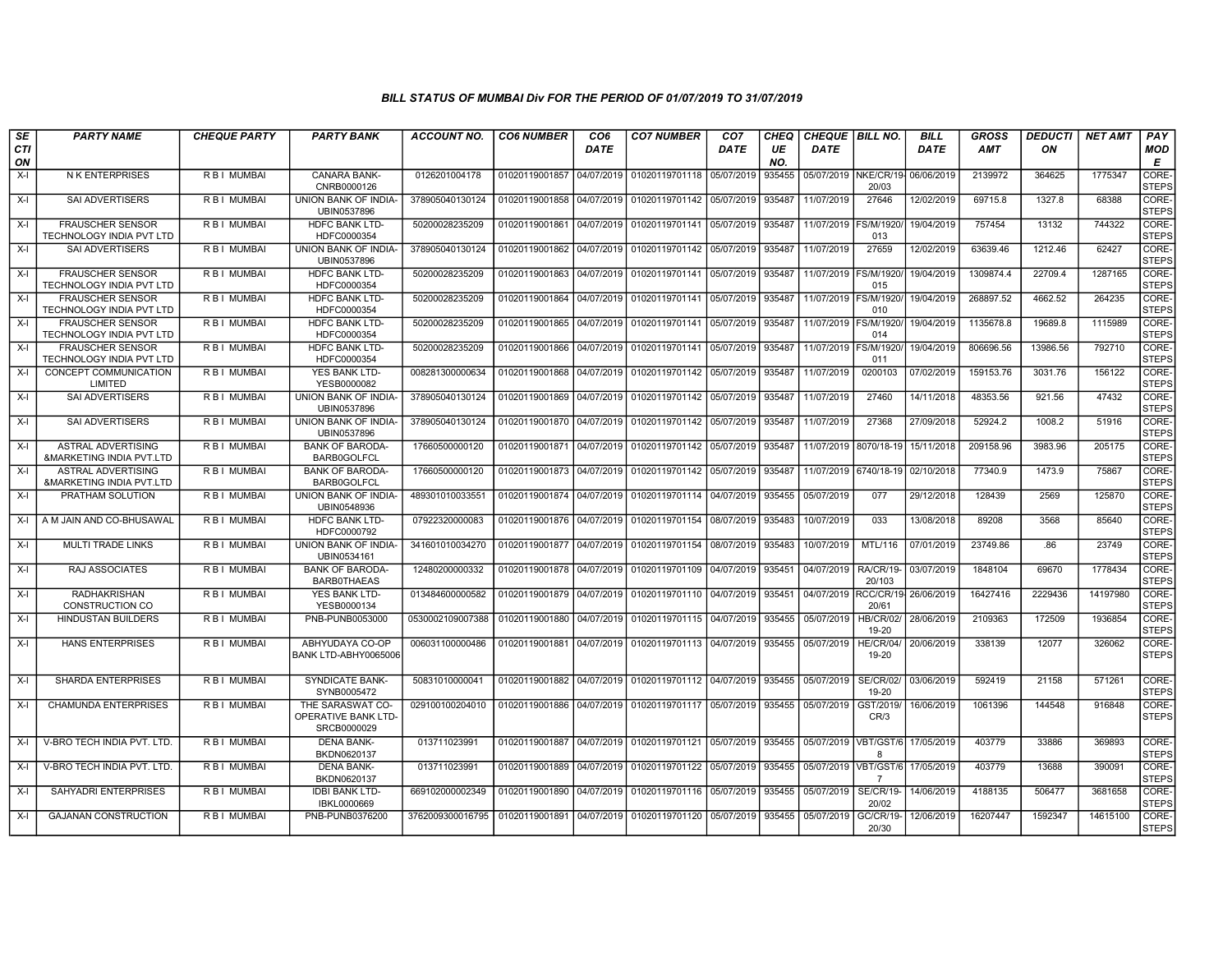| SE               | <b>PARTY NAME</b>                                     | <b>CHEQUE PARTY</b> | <b>PARTY BANK</b>                                      | <b>ACCOUNT NO.</b> | <b>CO6 NUMBER</b>           | CO6         | <b>CO7 NUMBER</b>         | CO <sub>7</sub> | CHEQ      | <b>CHEQUE   BILL NO.</b> |                             | <b>BILL</b> | <b>GROSS</b> | <b>DEDUCTI</b> | NET AMT  | <b>PAY</b>            |
|------------------|-------------------------------------------------------|---------------------|--------------------------------------------------------|--------------------|-----------------------------|-------------|---------------------------|-----------------|-----------|--------------------------|-----------------------------|-------------|--------------|----------------|----------|-----------------------|
| <b>CTI</b><br>ON |                                                       |                     |                                                        |                    |                             | <b>DATE</b> |                           | <b>DATE</b>     | UE<br>NO. | <b>DATE</b>              |                             | <b>DATE</b> | <b>AMT</b>   | ON             |          | MOD<br>E              |
| $X-I$            | <b>NK ENTERPRISES</b>                                 | R B I MUMBAI        | <b>CANARA BANK-</b><br>CNRB0000126                     | 0126201004178      | 01020119001857              | 04/07/2019  | 01020119701118            | 05/07/2019      | 935455    | 05/07/2019               | NKE/CR/19<br>20/03          | 06/06/2019  | 2139972      | 364625         | 1775347  | CORE-<br><b>STEPS</b> |
| $X-I$            | <b>SAI ADVERTISERS</b>                                | R B I MUMBAI        | UNION BANK OF INDIA-<br>UBIN0537896                    | 378905040130124    | 01020119001858              | 04/07/2019  | 01020119701142            | 05/07/2019      | 935487    | 11/07/2019               | 27646                       | 12/02/2019  | 69715.8      | 1327.8         | 68388    | CORE-<br><b>STEPS</b> |
| $X-I$            | <b>FRAUSCHER SENSOR</b><br>TECHNOLOGY INDIA PVT LTD   | R B I MUMBAI        | <b>HDFC BANK LTD-</b><br>HDFC0000354                   | 50200028235209     | 01020119001861              | 04/07/2019  | 01020119701141            | 05/07/2019      | 935487    | 11/07/2019               | FS/M/1920<br>013            | 19/04/2019  | 757454       | 13132          | 744322   | CORE-<br><b>STEPS</b> |
| $X-I$            | <b>SAI ADVERTISERS</b>                                | R B I MUMBAI        | UNION BANK OF INDIA-<br>UBIN0537896                    | 378905040130124    | 01020119001862              | 04/07/2019  | 01020119701142            | 05/07/2019      | 935487    | 11/07/2019               | 27659                       | 12/02/2019  | 63639.46     | 1212.46        | 62427    | CORE-<br><b>STEPS</b> |
| $X-I$            | <b>FRAUSCHER SENSOR</b><br>TECHNOLOGY INDIA PVT LTD   | R B I MUMBAI        | HDFC BANK LTD-<br>HDFC0000354                          | 50200028235209     | 01020119001863              | 04/07/2019  | 01020119701141            | 05/07/2019      | 935487    | 11/07/2019   FS/M/1920   | 015                         | 19/04/2019  | 1309874.4    | 22709.4        | 1287165  | CORE-<br><b>STEPS</b> |
| $X-I$            | <b>FRAUSCHER SENSOR</b><br>TECHNOLOGY INDIA PVT LTD   | R B I MUMBAI        | <b>HDFC BANK LTD-</b><br>HDFC0000354                   | 50200028235209     | 01020119001864 04/07/2019   |             | 01020119701141            | 05/07/2019      | 935487    | 11/07/2019               | <b>FS/M/1920</b><br>010     | 19/04/2019  | 268897.52    | 4662.52        | 264235   | CORE-<br><b>STEPS</b> |
| $X-I$            | <b>FRAUSCHER SENSOR</b><br>TECHNOLOGY INDIA PVT LTD   | R B I MUMBAI        | HDFC BANK LTD-<br>HDFC0000354                          | 50200028235209     | 01020119001865              | 04/07/2019  | 01020119701141            | 05/07/2019      | 935487    | 11/07/2019               | S/M/1920<br>014             | 19/04/2019  | 1135678.8    | 19689.8        | 1115989  | CORE-<br><b>STEPS</b> |
| $X-I$            | <b>FRAUSCHER SENSOR</b><br>TECHNOLOGY INDIA PVT LTD   | R B I MUMBAI        | HDFC BANK LTD-<br>HDFC0000354                          | 50200028235209     | 01020119001866              | 04/07/2019  | 01020119701141            | 05/07/2019      | 935487    | 11/07/2019               | FS/M/1920<br>011            | 19/04/2019  | 806696.56    | 13986.56       | 792710   | CORE-<br><b>STEPS</b> |
| $X-I$            | CONCEPT COMMUNICATION<br>LIMITED                      | R B I MUMBAI        | YES BANK LTD-<br>YESB0000082                           | 008281300000634    | 01020119001868              | 04/07/2019  | 01020119701142            | 05/07/2019      | 935487    | 11/07/2019               | 0200103                     | 07/02/2019  | 159153.76    | 3031.76        | 156122   | CORE-<br><b>STEPS</b> |
| $X-I$            | <b>SAI ADVERTISERS</b>                                | R B I MUMBAI        | <b>UNION BANK OF INDIA-</b><br>UBIN0537896             | 378905040130124    | 01020119001869              | 04/07/2019  | 01020119701142            | 05/07/2019      | 935487    | 11/07/2019               | 27460                       | 14/11/2018  | 48353.56     | 921.56         | 47432    | CORE-<br><b>STEPS</b> |
| $X-I$            | SAI ADVERTISERS                                       | R B I MUMBAI        | UNION BANK OF INDIA-<br>UBIN0537896                    | 378905040130124    | 01020119001870              | 04/07/2019  | 01020119701142            | 05/07/2019      | 935487    | 11/07/2019               | 27368                       | 27/09/2018  | 52924.2      | 1008.2         | 51916    | CORE-<br><b>STEPS</b> |
| $X-I$            | ASTRAL ADVERTISING<br>&MARKETING INDIA PVT.LTD        | R B I MUMBAI        | <b>BANK OF BARODA-</b><br>BARB0GOLFCL                  | 17660500000120     | 01020119001871 04/07/2019   |             | 01020119701142            | 05/07/2019      | 935487    |                          | 11/07/2019 8070/18-19       | 15/11/2018  | 209158.96    | 3983.96        | 205175   | CORE-<br><b>STEPS</b> |
| $X-I$            | <b>ASTRAL ADVERTISING</b><br>&MARKETING INDIA PVT.LTD | R B I MUMBAI        | <b>BANK OF BARODA</b><br><b>BARB0GOLFCL</b>            | 17660500000120     | 01020119001873 04/07/2019   |             | 01020119701142            | 05/07/2019      | 935487    |                          | 11/07/2019 6740/18-19       | 02/10/2018  | 77340.9      | 1473.9         | 75867    | CORE-<br><b>STEPS</b> |
| X-I              | PRATHAM SOLUTION                                      | R B I MUMBAI        | UNION BANK OF INDIA-<br>UBIN0548936                    | 489301010033551    | 01020119001874 04/07/2019   |             | 01020119701114            | 04/07/2019      | 935455    | 05/07/2019               | 077                         | 29/12/2018  | 128439       | 2569           | 125870   | CORE-<br><b>STEPS</b> |
|                  | X-I A M JAIN AND CO-BHUSAWAL                          | R B I MUMBAI        | <b>HDFC BANK LTD-</b><br>HDFC0000792                   | 07922320000083     | 01020119001876              | 04/07/2019  | 01020119701154            | 08/07/2019      | 935483    | 10/07/2019               | 033                         | 13/08/2018  | 89208        | 3568           | 85640    | CORE-<br><b>STEPS</b> |
| X-I              | MULTI TRADE LINKS                                     | R B I MUMBAI        | UNION BANK OF INDIA-<br>UBIN0534161                    | 341601010034270    | 01020119001877   04/07/2019 |             | 01020119701154            | 08/07/2019      | 935483    | 10/07/2019               | MTL/116                     | 07/01/2019  | 23749.86     | .86            | 23749    | CORE-<br><b>STEPS</b> |
| $X-I$            | <b>RAJ ASSOCIATES</b>                                 | R B I MUMBAI        | <b>BANK OF BARODA-</b><br><b>BARBOTHAEAS</b>           | 12480200000332     | 01020119001878              | 04/07/2019  | 01020119701109            | 04/07/2019      | 935451    | 04/07/2019               | RA/CR/19-<br>20/103         | 03/07/2019  | 1848104      | 69670          | 1778434  | CORE-<br><b>STEPS</b> |
| $X-I$            | <b>RADHAKRISHAN</b><br><b>CONSTRUCTION CO</b>         | R B I MUMBAI        | <b>YES BANK LTD-</b><br>YESB0000134                    | 013484600000582    | 01020119001879              | 04/07/2019  | 01020119701110            | 04/07/2019      | 935451    | 04/07/2019               | RCC/CR/1<br>20/61           | 26/06/2019  | 16427416     | 2229436        | 14197980 | CORE-<br><b>STEPS</b> |
| $X-I$            | <b>HINDUSTAN BUILDERS</b>                             | R B I MUMBAI        | PNB-PUNB0053000                                        | 0530002109007388   | 01020119001880 04/07/2019   |             | 01020119701115            | 04/07/2019      | 935455    | 05/07/2019               | <b>HB/CR/02/</b><br>19-20   | 28/06/2019  | 2109363      | 172509         | 1936854  | CORE-<br><b>STEPS</b> |
| $X-I$            | <b>HANS ENTERPRISES</b>                               | R B I MUMBAI        | ABHYUDAYA CO-OP<br>BANK LTD-ABHY0065006                | 006031100000486    | 01020119001881              | 04/07/2019  | 01020119701113            | 04/07/2019      | 935455    | 05/07/2019               | <b>HE/CR/04/</b><br>19-20   | 20/06/2019  | 338139       | 12077          | 326062   | CORE-<br><b>STEPS</b> |
| $X-I$            | <b>SHARDA ENTERPRISES</b>                             | R B I MUMBAI        | <b>SYNDICATE BANK-</b><br>SYNB0005472                  | 50831010000041     | 01020119001882 04/07/2019   |             | 01020119701112 04/07/2019 |                 | 935455    | 05/07/2019               | <b>SE/CR/02</b><br>19-20    | 03/06/2019  | 592419       | 21158          | 571261   | CORE-<br><b>STEPS</b> |
| $X-I$            | <b>CHAMUNDA ENTERPRISES</b>                           | <b>RBIMUMBAI</b>    | THE SARASWAT CO-<br>OPERATIVE BANK LTD-<br>SRCB0000029 | 029100100204010    | 01020119001886              | 04/07/2019  | 01020119701117            | 05/07/2019      | 935455    | 05/07/2019               | GST/2019/<br>CR/3           | 16/06/2019  | 1061396      | 144548         | 916848   | CORE-<br><b>STEPS</b> |
| $X-I$            | V-BRO TECH INDIA PVT, LTD                             | R B I MUMBAI        | <b>DENA BANK-</b><br>BKDN0620137                       | 013711023991       | 01020119001887              | 04/07/2019  | 01020119701121            | 05/07/2019      | 935455    | 05/07/2019               | VBT/GST/6<br><b>R</b>       | 17/05/2019  | 403779       | 33886          | 369893   | CORE-<br><b>STEPS</b> |
| $X-I$            | V-BRO TECH INDIA PVT. LTD.                            | R B I MUMBAI        | <b>DENA BANK-</b><br>BKDN0620137                       | 013711023991       | 01020119001889              | 04/07/2019  | 01020119701122            | 05/07/2019      | 935455    |                          | 05/07/2019   VBT/GST/6<br>7 | 17/05/2019  | 403779       | 13688          | 390091   | CORE-<br><b>STEPS</b> |
| $X-I$            | SAHYADRI ENTERPRISES                                  | R B I MUMBAI        | <b>IDBI BANK LTD-</b><br>IBKL0000669                   | 669102000002349    | 01020119001890              | 04/07/2019  | 01020119701116            | 05/07/2019      | 935455    | 05/07/2019               | <b>SE/CR/19-</b><br>20/02   | 14/06/2019  | 4188135      | 506477         | 3681658  | CORE-<br><b>STEPS</b> |
| $X-I$            | <b>GAJANAN CONSTRUCTION</b>                           | <b>RBI MUMBAI</b>   | PNB-PUNB0376200                                        | 3762009300016795   | 01020119001891 04/07/2019   |             | 01020119701120            | 05/07/2019      | 935455    | 05/07/2019               | GC/CR/19-<br>20/30          | 12/06/2019  | 16207447     | 1592347        | 14615100 | CORE-<br><b>STEPS</b> |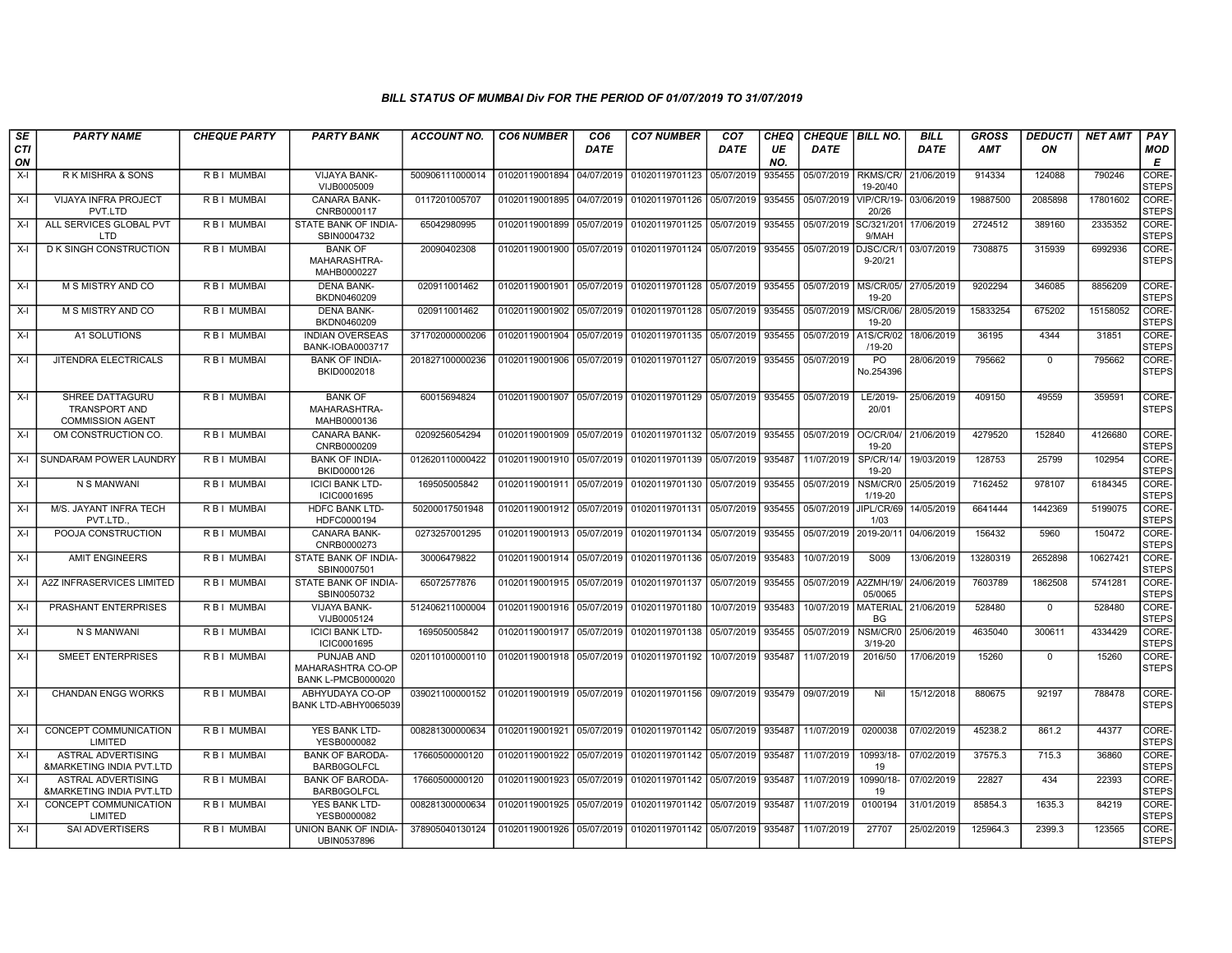| SE        | <b>PARTY NAME</b>                                                         | <b>CHEQUE PARTY</b> | <b>PARTY BANK</b>                                                   | <b>ACCOUNT NO.</b> | <b>CO6 NUMBER</b>         | CO <sub>6</sub> | <b>CO7 NUMBER</b>                                   | CO <sub>7</sub> | <b>CHEQ</b> | <b>CHEQUE   BILL NO.</b> |                              | <b>BILL</b> | <b>GROSS</b> | <b>DEDUCTI</b> | <b>NET AMT</b> | <b>PAY</b>                  |
|-----------|---------------------------------------------------------------------------|---------------------|---------------------------------------------------------------------|--------------------|---------------------------|-----------------|-----------------------------------------------------|-----------------|-------------|--------------------------|------------------------------|-------------|--------------|----------------|----------------|-----------------------------|
| CTI<br>ON |                                                                           |                     |                                                                     |                    |                           | <b>DATE</b>     |                                                     | DATE            | UE<br>NO.   | DATE                     |                              | DATE        | <b>AMT</b>   | ON             |                | MOD<br>Е                    |
| $X-I$     | R K MISHRA & SONS                                                         | R B I MUMBAI        | VIJAYA BANK-<br>VIJB0005009                                         | 500906111000014    | 01020119001894            | 04/07/2019      | 01020119701123                                      | 05/07/2019      | 935455      | 05/07/2019               | <b>RKMS/CR/</b><br>19-20/40  | 21/06/2019  | 914334       | 124088         | 790246         | <b>CORE</b><br><b>STEPS</b> |
| $X-I$     | <b>VIJAYA INFRA PROJECT</b><br>PVT.LTD                                    | R B I MUMBAI        | <b>CANARA BANK-</b><br>CNRB0000117                                  | 0117201005707      | 01020119001895            | 04/07/2019      | 01020119701126 05/07/2019                           |                 | 935455      | 05/07/2019               | <b>VIP/CR/19-</b><br>20/26   | 03/06/2019  | 19887500     | 2085898        | 17801602       | CORE-<br><b>STEPS</b>       |
| $X-I$     | ALL SERVICES GLOBAL PVT<br><b>LTD</b>                                     | R B I MUMBAI        | STATE BANK OF INDIA-<br>SBIN0004732                                 | 65042980995        |                           |                 | 01020119001899 05/07/2019 01020119701125            | 05/07/2019      | 935455      | 05/07/2019               | SC/321/201<br>9/MAH          | 17/06/2019  | 2724512      | 389160         | 2335352        | CORE-<br><b>STEPS</b>       |
| $X-I$     | D K SINGH CONSTRUCTION                                                    | R B I MUMBAI        | <b>BANK OF</b><br>MAHARASHTRA-<br>MAHB0000227                       | 20090402308        |                           |                 | 01020119001900 05/07/2019 01020119701124 05/07/2019 |                 | 935455      | 05/07/2019               | DJSC/CR/1<br>$9 - 20/21$     | 03/07/2019  | 7308875      | 315939         | 6992936        | CORE-<br><b>STEPS</b>       |
| $X-I$     | M S MISTRY AND CO                                                         | R B I MUMBAI        | <b>DENA BANK-</b><br>BKDN0460209                                    | 020911001462       | 01020119001901            |                 | 05/07/2019 01020119701128                           | 05/07/2019      | 935455      | 05/07/2019               | <b>MS/CR/05/</b><br>19-20    | 27/05/2019  | 9202294      | 346085         | 8856209        | CORE-<br><b>STEPS</b>       |
| $X-I$     | M S MISTRY AND CO                                                         | R B I MUMBAI        | <b>DENA BANK-</b><br>BKDN0460209                                    | 020911001462       |                           |                 | 01020119001902 05/07/2019 01020119701128            | 05/07/2019      | 935455      | 05/07/2019               | <b>MS/CR/06/</b><br>19-20    | 28/05/2019  | 15833254     | 675202         | 15158052       | CORE-<br><b>STEPS</b>       |
| $X-I$     | A1 SOLUTIONS                                                              | R B I MUMBAI        | <b>INDIAN OVERSEAS</b><br>BANK-IOBA0003717                          | 371702000000206    | 01020119001904 05/07/2019 |                 | 01020119701135 05/07/2019                           |                 | 935455      | 05/07/2019               | A1S/CR/02<br>$/19 - 20$      | 18/06/2019  | 36195        | 4344           | 31851          | CORE-<br><b>STEPS</b>       |
| $X-I$     | JITENDRA ELECTRICALS                                                      | R B I MUMBAI        | <b>BANK OF INDIA-</b><br>BKID0002018                                | 201827100000236    |                           |                 | 01020119001906 05/07/2019 01020119701127 05/07/2019 |                 | 935455      | 05/07/2019               | $\overline{PQ}$<br>No.254396 | 28/06/2019  | 795662       | $\mathbf{0}$   | 795662         | CORE-<br><b>STEPS</b>       |
| $X-I$     | <b>SHREE DATTAGURU</b><br><b>TRANSPORT AND</b><br><b>COMMISSION AGENT</b> | R B I MUMBAI        | <b>BANK OF</b><br>MAHARASHTRA-<br>MAHB0000136                       | 60015694824        |                           |                 | 01020119001907 05/07/2019 01020119701129 05/07/2019 |                 | 935455      | 05/07/2019               | LE/2019-<br>20/01            | 25/06/2019  | 409150       | 49559          | 359591         | CORE-<br><b>STEPS</b>       |
| $X-I$     | OM CONSTRUCTION CO.                                                       | R B I MUMBAI        | <b>CANARA BANK-</b><br>CNRB0000209                                  | 0209256054294      |                           |                 | 01020119001909 05/07/2019 01020119701132 05/07/2019 |                 | 935455      | 05/07/2019               | OC/CR/04/<br>19-20           | 21/06/2019  | 4279520      | 152840         | 4126680        | CORE-<br><b>STEPS</b>       |
| $X-I$     | SUNDARAM POWER LAUNDRY                                                    | R B I MUMBAI        | <b>BANK OF INDIA-</b><br>BKID0000126                                | 012620110000422    |                           |                 | 01020119001910 05/07/2019 01020119701139            | 05/07/2019      | 935487      | 11/07/2019               | <b>SP/CR/14/</b><br>19-20    | 19/03/2019  | 128753       | 25799          | 102954         | CORE-<br><b>STEPS</b>       |
| X-I       | N S MANWANI                                                               | R B I MUMBAI        | <b>ICICI BANK LTD-</b><br>ICIC0001695                               | 169505005842       |                           |                 | 01020119001911   05/07/2019   01020119701130        | 05/07/2019      | 935455      | 05/07/2019               | NSM/CR/0<br>1/19-20          | 25/05/2019  | 7162452      | 978107         | 6184345        | CORE-<br><b>STEPS</b>       |
| $X-I$     | M/S. JAYANT INFRA TECH<br>PVT.LTD.                                        | R B I MUMBAI        | <b>HDFC BANK LTD-</b><br>HDFC0000194                                | 50200017501948     | 01020119001912 05/07/2019 |                 | 01020119701131                                      | 05/07/2019      | 935455      | 05/07/2019               | JIPL/CR/69<br>1/03           | 14/05/2019  | 6641444      | 1442369        | 5199075        | CORE-<br><b>STEPS</b>       |
| $X-I$     | POOJA CONSTRUCTION                                                        | R B I MUMBAI        | <b>CANARA BANK-</b><br>CNRB0000273                                  | 0273257001295      |                           |                 | 01020119001913 05/07/2019 01020119701134            | 05/07/2019      | 935455      | 05/07/2019               | 2019-20/11                   | 04/06/2019  | 156432       | 5960           | 150472         | CORE-<br><b>STEPS</b>       |
| X-I       | <b>AMIT ENGINEERS</b>                                                     | R B I MUMBAI        | STATE BANK OF INDIA-<br>SBIN0007501                                 | 30006479822        |                           |                 | 01020119001914 05/07/2019 01020119701136            | 05/07/2019      | 935483      | 10/07/2019               | S009                         | 13/06/2019  | 13280319     | 2652898        | 10627421       | CORE-<br><b>STEPS</b>       |
| X-I       | A2Z INFRASERVICES LIMITED                                                 | R B I MUMBAI        | STATE BANK OF INDIA-<br>SBIN0050732                                 | 65072577876        |                           |                 | 01020119001915   05/07/2019   01020119701137        | 05/07/2019      | 935455      | 05/07/2019               | A2ZMH/19/<br>05/0065         | 24/06/2019  | 7603789      | 1862508        | 5741281        | CORE-<br><b>STEPS</b>       |
| X-I       | PRASHANT ENTERPRISES                                                      | R B I MUMBAI        | VIJAYA BANK-<br>VIJB0005124                                         | 512406211000004    | 01020119001916 05/07/2019 |                 | 01020119701180                                      | 10/07/2019      | 935483      | 10/07/2019               | <b>MATERIAL</b><br>BG        | 21/06/2019  | 528480       | $\mathbf{0}$   | 528480         | CORE-<br><b>STEPS</b>       |
| $X-I$     | N S MANWANI                                                               | R B I MUMBAI        | <b>ICICI BANK LTD-</b><br>ICIC0001695                               | 169505005842       |                           |                 | 01020119001917 05/07/2019 01020119701138            | 05/07/2019      | 935455      | 05/07/2019               | NSM/CR/0<br>$3/19 - 20$      | 25/06/2019  | 4635040      | 300611         | 4334429        | CORE-<br><b>STEPS</b>       |
| $X-I$     | <b>SMEET ENTERPRISES</b>                                                  | R B I MUMBAI        | PUNJAB AND<br><b>MAHARASHTRA CO-OP</b><br><b>BANK L-PMCB0000020</b> | 020110100000110    |                           |                 | 01020119001918 05/07/2019 01020119701192            | 10/07/2019      | 935487      | 11/07/2019               | 2016/50                      | 17/06/2019  | 15260        | $\mathbf 0$    | 15260          | CORE-<br><b>STEPS</b>       |
| $X-I$     | CHANDAN ENGG WORKS                                                        | R B I MUMBAI        | ABHYUDAYA CO-OP<br>BANK LTD-ABHY0065039                             | 039021100000152    |                           |                 | 01020119001919 05/07/2019 01020119701156 09/07/2019 |                 | 935479      | 09/07/2019               | Nil                          | 15/12/2018  | 880675       | 92197          | 788478         | CORE-<br><b>STEPS</b>       |
| X-I       | CONCEPT COMMUNICATION<br>LIMITED                                          | <b>RBI MUMBAI</b>   | YES BANK LTD-<br>YESB0000082                                        | 008281300000634    |                           |                 | 01020119001921 05/07/2019 01020119701142 05/07/2019 |                 | 935487      | 11/07/2019               | 0200038                      | 07/02/2019  | 45238.2      | 861.2          | 44377          | CORE-<br><b>STEPS</b>       |
| $X-I$     | <b>ASTRAL ADVERTISING</b><br><b>&amp;MARKETING INDIA PVT.LTD</b>          | R B I MUMBAI        | <b>BANK OF BARODA-</b><br><b>BARB0GOLFCL</b>                        | 17660500000120     |                           |                 | 01020119001922 05/07/2019 01020119701142            | 05/07/2019      | 935487      | 11/07/2019               | 10993/18-<br>19              | 07/02/2019  | 37575.3      | 715.3          | 36860          | CORE-<br><b>STEPS</b>       |
| $X-I$     | <b>ASTRAL ADVERTISING</b><br>&MARKETING INDIA PVT.LTD                     | R B I MUMBAI        | <b>BANK OF BARODA</b><br><b>BARB0GOLFCL</b>                         | 17660500000120     | 01020119001923            |                 | 05/07/2019 01020119701142                           | 05/07/2019      | 935487      | 11/07/2019               | 10990/18-<br>19              | 07/02/2019  | 22827        | 434            | 22393          | CORE-<br><b>STEPS</b>       |
| $X-I$     | CONCEPT COMMUNICATION<br>LIMITED                                          | R B I MUMBAI        | YES BANK LTD-<br>YESB0000082                                        | 008281300000634    |                           |                 | 01020119001925 05/07/2019 01020119701142 05/07/2019 |                 | 935487      | 11/07/2019               | 0100194                      | 31/01/2019  | 85854.3      | 1635.3         | 84219          | CORE-<br><b>STEPS</b>       |
| $X-I$     | <b>SAI ADVERTISERS</b>                                                    | R B I MUMBAI        | <b>UNION BANK OF INDIA-</b><br>UBIN0537896                          | 378905040130124    |                           |                 | 01020119001926 05/07/2019 01020119701142 05/07/2019 |                 | 935487      | 11/07/2019               | 27707                        | 25/02/2019  | 125964.3     | 2399.3         | 123565         | CORE-<br><b>STEPS</b>       |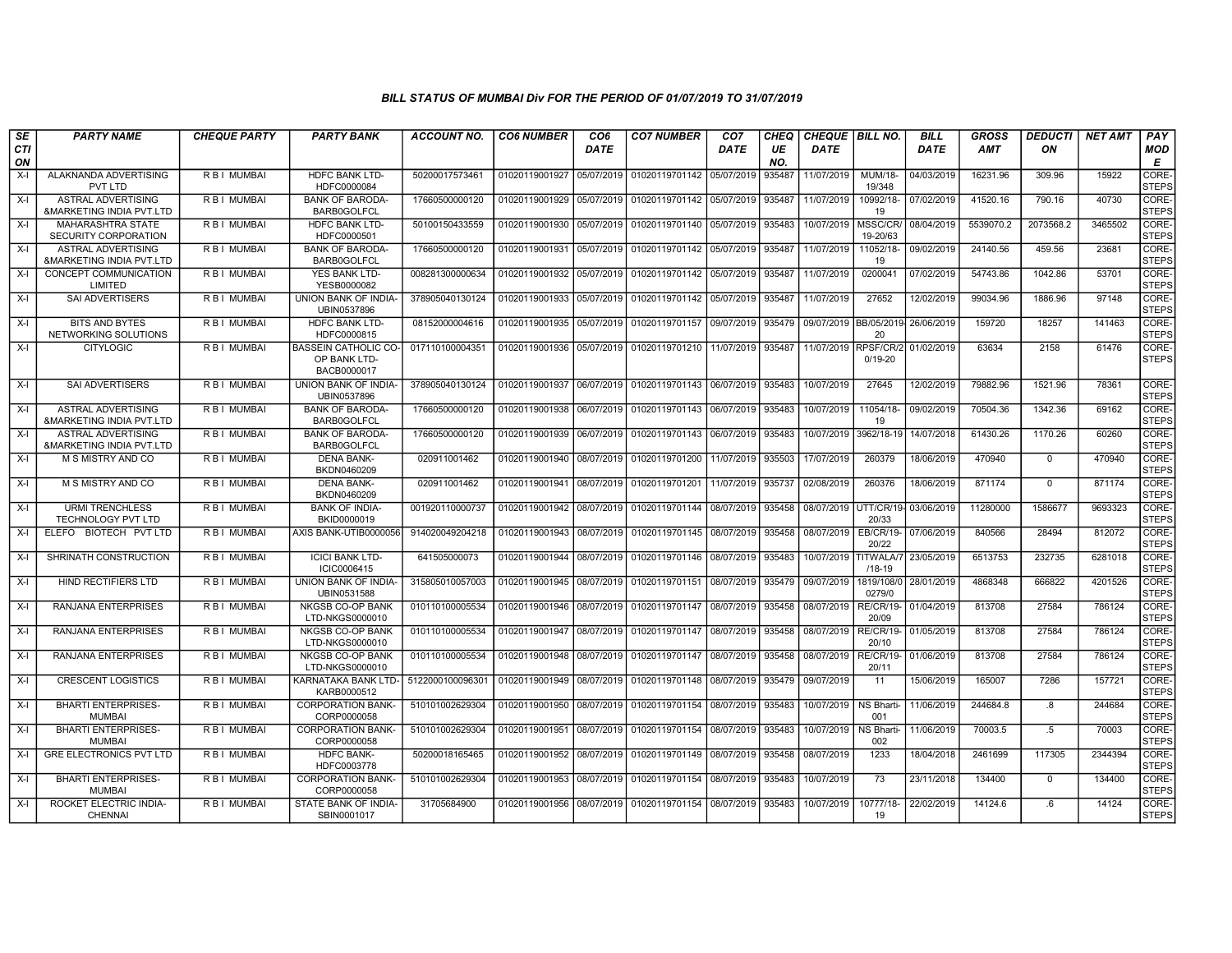| <b>SE</b>        | <b>PARTY NAME</b>                                                | <b>CHEQUE PARTY</b> | <b>PARTY BANK</b>                                          | <b>ACCOUNT NO.</b> | <b>CO6 NUMBER</b>         | CO <sub>6</sub> | <b>CO7 NUMBER</b>                        | CO7        | <b>CHEQ</b> | CHEQUE BILL NO.      |                                | <b>BILL</b> | <b>GROSS</b> | <b>DEDUCTI</b> | <b>NET AMT</b> | PAY                   |
|------------------|------------------------------------------------------------------|---------------------|------------------------------------------------------------|--------------------|---------------------------|-----------------|------------------------------------------|------------|-------------|----------------------|--------------------------------|-------------|--------------|----------------|----------------|-----------------------|
| <b>CTI</b><br>ON |                                                                  |                     |                                                            |                    |                           | <b>DATE</b>     |                                          | DATE       | UE<br>NO.   | <b>DATE</b>          |                                | <b>DATE</b> | <b>AMT</b>   | ON             |                | MOD<br>Е              |
| $X-I$            | ALAKNANDA ADVERTISING<br><b>PVT LTD</b>                          | R B I MUMBAI        | <b>HDFC BANK LTD-</b><br>HDFC0000084                       | 50200017573461     | 01020119001927            | 05/07/2019      | 01020119701142                           | 05/07/2019 | 935487      | 11/07/2019           | MUM/18-<br>19/348              | 04/03/2019  | 16231.96     | 309.96         | 15922          | CORE-<br><b>STEPS</b> |
| $X-I$            | <b>ASTRAL ADVERTISING</b><br>&MARKETING INDIA PVT.LTD            | <b>RBI MUMBAI</b>   | <b>BANK OF BARODA-</b><br><b>BARB0GOLFCL</b>               | 17660500000120     | 01020119001929 05/07/2019 |                 | 01020119701142 05/07/2019                |            | 935487      | 11/07/2019           | 10992/18-<br>19                | 07/02/2019  | 41520.16     | 790.16         | 40730          | CORE-<br><b>STEPS</b> |
| $X-I$            | <b>MAHARASHTRA STATE</b><br>SECURITY CORPORATION                 | R B I MUMBAI        | HDFC BANK LTD-<br>HDFC0000501                              | 50100150433559     | 01020119001930 05/07/2019 |                 | 01020119701140                           | 05/07/2019 | 935483      | 10/07/2019           | MSSC/CR/<br>19-20/63           | 08/04/2019  | 5539070.2    | 2073568.2      | 3465502        | CORE-<br><b>STEPS</b> |
| $X-I$            | ASTRAL ADVERTISING<br><b>&amp;MARKETING INDIA PVT.LTD</b>        | R B I MUMBAI        | <b>BANK OF BARODA-</b><br><b>BARB0GOLFCL</b>               | 17660500000120     | 01020119001931            | 05/07/2019      | 01020119701142                           | 05/07/2019 | 935487      | 11/07/2019           | 11052/18-<br>19                | 09/02/2019  | 24140.56     | 459.56         | 23681          | CORE-<br><b>STEPS</b> |
| $X-I$            | CONCEPT COMMUNICATION<br>LIMITED                                 | <b>RBI MUMBAI</b>   | <b>YES BANK LTD-</b><br>YESB0000082                        | 008281300000634    | 01020119001932 05/07/2019 |                 | 01020119701142 05/07/2019                |            | 935487      | 11/07/2019           | 0200041                        | 07/02/2019  | 54743.86     | 1042.86        | 53701          | CORE-<br><b>STEPS</b> |
| $X-I$            | SAI ADVERTISERS                                                  | R B I MUMBAI        | UNION BANK OF INDIA-<br>UBIN0537896                        | 378905040130124    | 01020119001933 05/07/2019 |                 | 01020119701142                           | 05/07/2019 | 935487      | 11/07/2019           | 27652                          | 12/02/2019  | 99034.96     | 1886.96        | 97148          | CORE-<br><b>STEPS</b> |
| $X-I$            | <b>BITS AND BYTES</b><br>NETWORKING SOLUTIONS                    | R B I MUMBAI        | <b>HDFC BANK LTD-</b><br>HDFC0000815                       | 08152000004616     | 01020119001935            | 05/07/2019      | 01020119701157                           | 09/07/2019 | 935479      |                      | 09/07/2019 BB/05/2019<br>20    | 26/06/2019  | 159720       | 18257          | 141463         | CORE-<br><b>STEPS</b> |
| $X-I$            | <b>CITYLOGIC</b>                                                 | R B I MUMBAI        | <b>BASSEIN CATHOLIC CO-</b><br>OP BANK LTD-<br>BACB0000017 | 017110100004351    | 01020119001936 05/07/2019 |                 | 01020119701210                           | 11/07/2019 | 935487      | 11/07/2019 RPSF/CR/2 | $0/19 - 20$                    | 01/02/2019  | 63634        | 2158           | 61476          | CORE-<br><b>STEPS</b> |
| $X-I$            | <b>SAI ADVERTISERS</b>                                           | R B I MUMBAI        | UNION BANK OF INDIA-<br>UBIN0537896                        | 378905040130124    | 01020119001937 06/07/2019 |                 | 01020119701143 06/07/2019                |            | 935483      | 10/07/2019           | 27645                          | 12/02/2019  | 79882.96     | 1521.96        | 78361          | CORE-<br><b>STEPS</b> |
| X-I              | <b>ASTRAL ADVERTISING</b><br><b>&amp;MARKETING INDIA PVT.LTD</b> | R B I MUMBAI        | <b>BANK OF BARODA-</b><br><b>BARB0GOLFCL</b>               | 17660500000120     | 01020119001938 06/07/2019 |                 | 01020119701143                           | 06/07/2019 | 935483      | 10/07/2019           | 11054/18-<br>19                | 09/02/2019  | 70504.36     | 1342.36        | 69162          | CORE-<br><b>STEPS</b> |
| $X-I$            | <b>ASTRAL ADVERTISING</b><br><b>&amp;MARKETING INDIA PVT.LTD</b> | <b>RBI MUMBAI</b>   | <b>BANK OF BARODA-</b><br><b>BARB0GOLFCL</b>               | 17660500000120     | 01020119001939            | 06/07/2019      | 01020119701143                           | 06/07/2019 | 935483      | 10/07/2019           | 3962/18-19                     | 14/07/2018  | 61430.26     | 1170.26        | 60260          | CORE-<br><b>STEPS</b> |
| $X-I$            | M S MISTRY AND CO                                                | R B I MUMBAI        | <b>DENA BANK-</b><br>BKDN0460209                           | 020911001462       | 01020119001940 08/07/2019 |                 | 01020119701200                           | 11/07/2019 | 935503      | 17/07/2019           | 260379                         | 18/06/2019  | 470940       | $\mathbf 0$    | 470940         | CORE-<br><b>STEPS</b> |
| $X-I$            | M S MISTRY AND CO                                                | R B I MUMBAI        | <b>DENA BANK-</b><br>BKDN0460209                           | 020911001462       | 01020119001941            |                 | 08/07/2019 01020119701201                | 11/07/2019 | 935737      | 02/08/2019           | 260376                         | 18/06/2019  | 871174       | $\mathbf 0$    | 871174         | CORE-<br><b>STEPS</b> |
| $X-I$            | <b>URMI TRENCHLESS</b><br>TECHNOLOGY PVT LTD                     | R B I MUMBAI        | <b>BANK OF INDIA-</b><br>BKID0000019                       | 001920110000737    | 01020119001942            | 08/07/2019      | 01020119701144                           | 08/07/2019 | 935458      | 08/07/2019           | UTT/CR/19-<br>20/33            | 03/06/2019  | 11280000     | 1586677        | 9693323        | CORE-<br><b>STEPS</b> |
| $X-I$            | ELEFO BIOTECH PVT LTD                                            | R B I MUMBAI        | AXIS BANK-UTIB0000056                                      | 914020049204218    | 01020119001943            | 08/07/2019      | 01020119701145                           | 08/07/2019 | 935458      | 08/07/2019           | EB/CR/19-<br>20/22             | 07/06/2019  | 840566       | 28494          | 812072         | CORE-<br><b>STEPS</b> |
| $X-I$            | SHRINATH CONSTRUCTION                                            | <b>RBI MUMBAI</b>   | <b>ICICI BANK LTD-</b><br>ICIC0006415                      | 641505000073       | 01020119001944            |                 | 08/07/2019 01020119701146                | 08/07/2019 | 935483      | 10/07/2019           | <b>TITWALA/7</b><br>$/18 - 19$ | 23/05/2019  | 6513753      | 232735         | 6281018        | CORE-<br><b>STEPS</b> |
| $X-I$            | <b>HIND RECTIFIERS LTD</b>                                       | R B I MUMBAI        | UNION BANK OF INDIA-<br>UBIN0531588                        | 315805010057003    | 01020119001945            | 08/07/2019      | 01020119701151                           | 08/07/2019 | 935479      | 09/07/2019           | 1819/108/0<br>0279/0           | 28/01/2019  | 4868348      | 666822         | 4201526        | CORE-<br><b>STEPS</b> |
| $X-I$            | RANJANA ENTERPRISES                                              | R B I MUMBAI        | <b>NKGSB CO-OP BANK</b><br>LTD-NKGS0000010                 | 010110100005534    | 01020119001946            | 08/07/2019      | 01020119701147                           | 08/07/2019 | 935458      | 08/07/2019           | <b>RE/CR/19-</b><br>20/09      | 01/04/2019  | 813708       | 27584          | 786124         | CORE-<br><b>STEPS</b> |
| $X-I$            | RANJANA ENTERPRISES                                              | R B I MUMBAI        | NKGSB CO-OP BANK<br>LTD-NKGS0000010                        | 010110100005534    |                           |                 | 01020119001947 08/07/2019 01020119701147 | 08/07/2019 | 935458      | 08/07/2019           | <b>RE/CR/19-</b><br>20/10      | 01/05/2019  | 813708       | 27584          | 786124         | CORE-<br><b>STEPS</b> |
| X-I              | RANJANA ENTERPRISES                                              | R B I MUMBAI        | <b>NKGSB CO-OP BANK</b><br>LTD-NKGS0000010                 | 010110100005534    | 01020119001948            | 08/07/2019      | 01020119701147                           | 08/07/2019 | 935458      | 08/07/2019           | <b>RE/CR/19-</b><br>20/11      | 01/06/2019  | 813708       | 27584          | 786124         | CORE-<br><b>STEPS</b> |
| $X-I$            | <b>CRESCENT LOGISTICS</b>                                        | R B I MUMBAI        | KARNATAKA BANK LTD-<br>KARB0000512                         | 5122000100096301   | 01020119001949            | 08/07/2019      | 01020119701148                           | 08/07/2019 | 935479      | 09/07/2019           | 11                             | 15/06/2019  | 165007       | 7286           | 157721         | CORE-<br><b>STEPS</b> |
| $X-I$            | <b>BHARTI ENTERPRISES-</b><br><b>MUMBAI</b>                      | R B I MUMBAI        | <b>CORPORATION BANK-</b><br>CORP0000058                    | 510101002629304    | 01020119001950            | 08/07/2019      | 01020119701154                           | 08/07/2019 | 935483      | 10/07/2019           | <b>NS Bharti-</b><br>001       | 11/06/2019  | 244684.8     | 8 <sup>1</sup> | 244684         | CORE-<br><b>STEPS</b> |
| $X-I$            | <b>BHARTI ENTERPRISES-</b><br><b>MUMBAI</b>                      | <b>RBI MUMBAI</b>   | <b>CORPORATION BANK-</b><br>CORP0000058                    | 510101002629304    | 01020119001951            | 08/07/2019      | 01020119701154                           | 08/07/2019 | 935483      | 10/07/2019           | <b>NS Bharti-</b><br>002       | 11/06/2019  | 70003.5      | $.5\,$         | 70003          | CORE-<br><b>STEPS</b> |
| $X-I$            | <b>GRE ELECTRONICS PVT LTD</b>                                   | R B I MUMBAI        | <b>HDFC BANK-</b><br>HDFC0003778                           | 50200018165465     | 01020119001952            | 08/07/2019      | 01020119701149                           | 08/07/2019 | 935458      | 08/07/2019           | 1233                           | 18/04/2018  | 2461699      | 117305         | 2344394        | CORE-<br><b>STEPS</b> |
| $X-I$            | <b>BHARTI ENTERPRISES-</b><br><b>MUMBAI</b>                      | R B I MUMBAI        | <b>CORPORATION BANK-</b><br>CORP0000058                    | 510101002629304    |                           |                 | 01020119001953 08/07/2019 01020119701154 | 08/07/2019 | 935483      | 10/07/2019           | 73                             | 23/11/2018  | 134400       | $\mathbf{0}$   | 134400         | CORE-<br><b>STEPS</b> |
| X-I              | ROCKET ELECTRIC INDIA-<br><b>CHENNAI</b>                         | R B I MUMBAI        | STATE BANK OF INDIA-<br>SBIN0001017                        | 31705684900        | 01020119001956            | 08/07/2019      | 01020119701154                           | 08/07/2019 | 935483      | 10/07/2019           | 10777/18-<br>19                | 22/02/2019  | 14124.6      | .6             | 14124          | CORE-<br><b>STEPS</b> |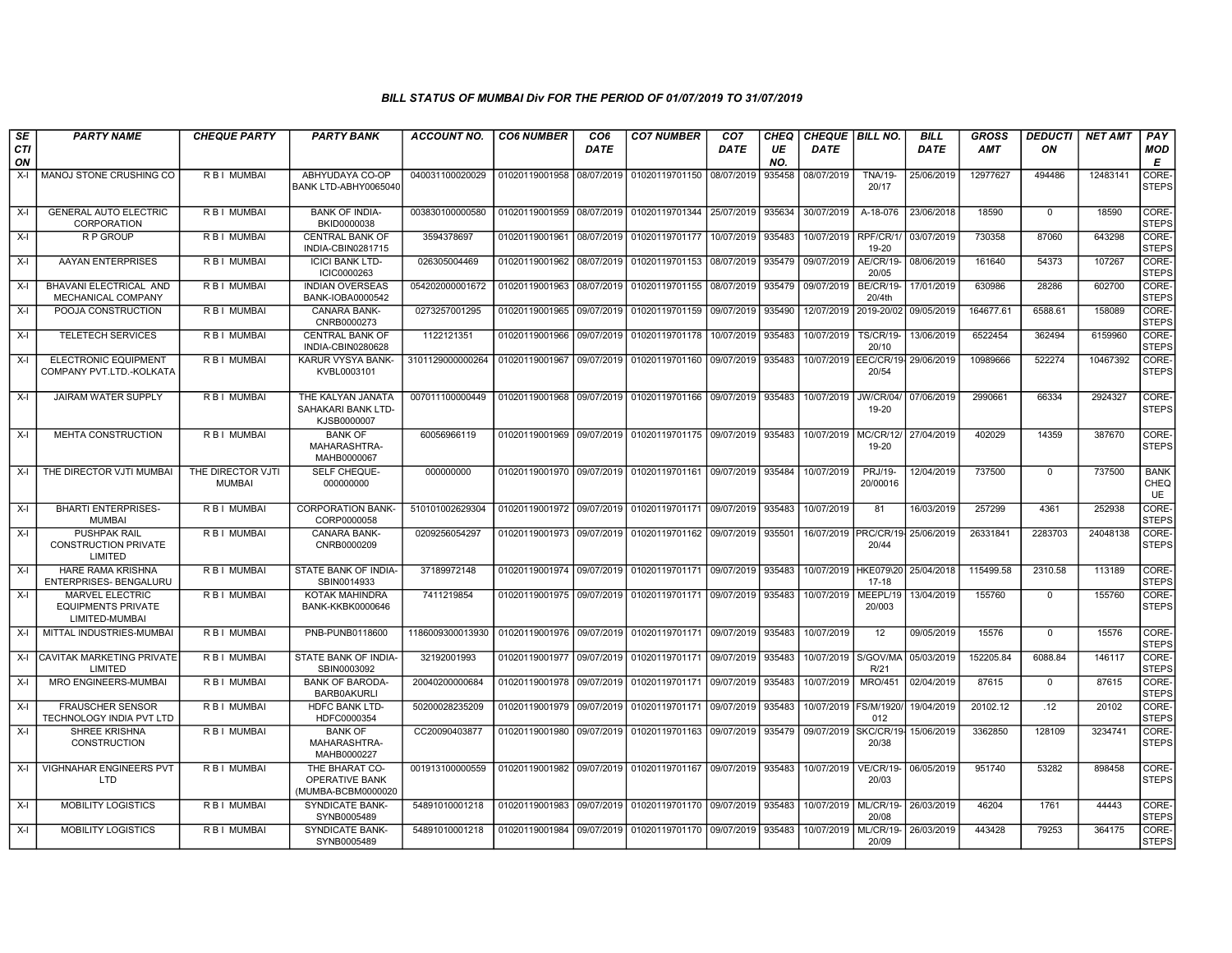| SE        | <b>PARTY NAME</b>                                              | <b>CHEQUE PARTY</b>                | <b>PARTY BANK</b>                                             | ACCOUNT NO.      | <b>CO6 NUMBER</b>         | CO <sub>6</sub> | <b>CO7 NUMBER</b>                                   | CO7         | CHEQ      | <b>CHEQUE BILL NO.</b> |                                 | BILL       | <b>GROSS</b> | <b>DEDUCTI</b> | NET AMT  | <b>PAY</b>                |
|-----------|----------------------------------------------------------------|------------------------------------|---------------------------------------------------------------|------------------|---------------------------|-----------------|-----------------------------------------------------|-------------|-----------|------------------------|---------------------------------|------------|--------------|----------------|----------|---------------------------|
| CTI<br>ON |                                                                |                                    |                                                               |                  |                           | <b>DATE</b>     |                                                     | <b>DATE</b> | UE<br>NO. | <b>DATE</b>            |                                 | DATE       | <b>AMT</b>   | ON             |          | MOD<br>E                  |
| X-I       | MANOJ STONE CRUSHING CO                                        | R B I MUMBAI                       | ABHYUDAYA CO-OP<br>BANK LTD-ABHY0065040                       | 040031100020029  | 01020119001958 08/07/2019 |                 | 01020119701150                                      | 08/07/2019  | 935458    | 08/07/2019             | <b>TNA/19-</b><br>20/17         | 25/06/2019 | 12977627     | 494486         | 12483141 | CORE-<br><b>STEPS</b>     |
| $X-I$     | <b>GENERAL AUTO ELECTRIC</b><br><b>CORPORATION</b>             | R B I MUMBAI                       | <b>BANK OF INDIA-</b><br>BKID0000038                          | 003830100000580  |                           |                 | 01020119001959 08/07/2019 01020119701344            | 25/07/2019  | 935634    | 30/07/2019             | A-18-076                        | 23/06/2018 | 18590        | $\mathbf 0$    | 18590    | CORE-<br><b>STEPS</b>     |
| X-I       | R P GROUP                                                      | R B I MUMBAI                       | <b>CENTRAL BANK OF</b><br>INDIA-CBIN0281715                   | 3594378697       | 01020119001961            |                 | 08/07/2019 01020119701177                           | 10/07/2019  | 935483    | 10/07/2019             | RPF/CR/1/<br>19-20              | 03/07/2019 | 730358       | 87060          | 643298   | CORE-<br><b>STEPS</b>     |
| X-I       | AAYAN ENTERPRISES                                              | R B I MUMBAI                       | <b>ICICI BANK LTD-</b><br>ICIC0000263                         | 026305004469     | 01020119001962 08/07/2019 |                 | 01020119701153                                      | 08/07/2019  | 935479    | 09/07/2019             | <b>AE/CR/19-</b><br>20/05       | 08/06/2019 | 161640       | 54373          | 107267   | CORE-<br><b>STEPS</b>     |
| $X-I$     | BHAVANI ELECTRICAL AND<br>MECHANICAL COMPANY                   | R B I MUMBAI                       | <b>INDIAN OVERSEAS</b><br>BANK-IOBA0000542                    | 054202000001672  | 01020119001963            | 08/07/2019      | 01020119701155                                      | 08/07/2019  | 935479    | 09/07/2019             | <b>BE/CR/19</b><br>20/4th       | 17/01/2019 | 630986       | 28286          | 602700   | CORE-<br><b>STEPS</b>     |
| $X-I$     | POOJA CONSTRUCTION                                             | R B I MUMBAI                       | CANARA BANK-<br>CNRB0000273                                   | 0273257001295    | 01020119001965            | 09/07/2019      | 01020119701159                                      | 09/07/2019  | 935490    | 12/07/2019             | 2019-20/02                      | 09/05/2019 | 164677.61    | 6588.61        | 158089   | CORE-<br><b>STEPS</b>     |
| $X-I$     | <b>TELETECH SERVICES</b>                                       | R B I MUMBAI                       | <b>CENTRAL BANK OF</b><br>INDIA-CBIN0280628                   | 1122121351       | 01020119001966            | 09/07/2019      | 01020119701178                                      | 10/07/2019  | 935483    | 10/07/2019             | <b>TS/CR/19-</b><br>20/10       | 13/06/2019 | 6522454      | 362494         | 6159960  | CORE-<br><b>STEPS</b>     |
| X-I       | <b>ELECTRONIC EQUIPMENT</b><br>COMPANY PVT.LTD.-KOLKATA        | R B I MUMBAI                       | <b>KARUR VYSYA BANK-</b><br>KVBL0003101                       | 3101129000000264 |                           |                 | 01020119001967 09/07/2019 01020119701160 09/07/2019 |             | 935483    | 10/07/2019             | EEC/CR/19-<br>20/54             | 29/06/2019 | 10989666     | 522274         | 10467392 | CORE-<br><b>STEPS</b>     |
| X-I       | JAIRAM WATER SUPPLY                                            | R B I MUMBAI                       | THE KALYAN JANATA<br>SAHAKARI BANK LTD-<br>KJSB0000007        | 007011100000449  |                           |                 | 01020119001968 09/07/2019 01020119701166 09/07/2019 |             | 935483    | 10/07/2019             | <b>JW/CR/04/</b><br>19-20       | 07/06/2019 | 2990661      | 66334          | 2924327  | CORE-<br><b>STEPS</b>     |
| $X-I$     | MEHTA CONSTRUCTION                                             | R B I MUMBAI                       | <b>BANK OF</b><br>MAHARASHTRA-<br>MAHB0000067                 | 60056966119      |                           |                 | 01020119001969 09/07/2019 01020119701175 09/07/2019 |             | 935483    | 10/07/2019   MC/CR/12/ | 19-20                           | 27/04/2019 | 402029       | 14359          | 387670   | CORE-<br><b>STEPS</b>     |
| $X-I$     | THE DIRECTOR VJTI MUMBAI                                       | THE DIRECTOR VJTI<br><b>MUMBAI</b> | <b>SELF CHEQUE-</b><br>000000000                              | 000000000        |                           |                 | 01020119001970 09/07/2019 01020119701161 09/07/2019 |             | 935484    | 10/07/2019             | PRJ/19-<br>20/00016             | 12/04/2019 | 737500       | $\mathbf 0$    | 737500   | <b>BANK</b><br>CHEQ<br>UE |
| X-I       | <b>BHARTI ENTERPRISES-</b><br><b>MUMBAI</b>                    | R B I MUMBAI                       | <b>CORPORATION BANK-</b><br>CORP0000058                       | 510101002629304  | 01020119001972 09/07/2019 |                 | 01020119701171 09/07/2019                           |             | 935483    | 10/07/2019             | 81                              | 16/03/2019 | 257299       | 4361           | 252938   | CORE-<br><b>STEPS</b>     |
| $X-I$     | <b>PUSHPAK RAIL</b><br><b>CONSTRUCTION PRIVATE</b><br>LIMITED  | R B I MUMBAI                       | <b>CANARA BANK-</b><br>CNRB0000209                            | 0209256054297    | 01020119001973 09/07/2019 |                 | 01020119701162 09/07/2019                           |             | 935501    |                        | 16/07/2019   PRC/CR/19<br>20/44 | 25/06/2019 | 26331841     | 2283703        | 24048138 | CORE-<br><b>STEPS</b>     |
| $X-I$     | <b>HARE RAMA KRISHNA</b><br>ENTERPRISES- BENGALURU             | R B I MUMBAI                       | STATE BANK OF INDIA-<br>SBIN0014933                           | 37189972148      |                           |                 | 01020119001974 09/07/2019 01020119701171 09/07/2019 |             | 935483    | 10/07/2019 HKE079\20   | $17 - 18$                       | 25/04/2018 | 115499.58    | 2310.58        | 113189   | CORE-<br><b>STEPS</b>     |
| $X-I$     | MARVEL ELECTRIC<br><b>EQUIPMENTS PRIVATE</b><br>LIMITED-MUMBAI | R B I MUMBAI                       | KOTAK MAHINDRA<br>BANK-KKBK0000646                            | 7411219854       | 01020119001975 09/07/2019 |                 | 01020119701171 09/07/2019                           |             | 935483    | 10/07/2019             | MEEPL/19<br>20/003              | 13/04/2019 | 155760       | $\Omega$       | 155760   | CORE-<br><b>STEPS</b>     |
| $X-I$     | MITTAL INDUSTRIES-MUMBAI                                       | R B I MUMBAI                       | PNB-PUNB0118600                                               | 1186009300013930 |                           |                 | 01020119001976 09/07/2019 01020119701171 09/07/2019 |             | 935483    | 10/07/2019             | 12                              | 09/05/2019 | 15576        | $\mathbf{0}$   | 15576    | CORE-<br><b>STEPS</b>     |
|           | X-I CAVITAK MARKETING PRIVATE<br>LIMITED                       | R B I MUMBAI                       | STATE BANK OF INDIA-<br>SBIN0003092                           | 32192001993      | 01020119001977 09/07/2019 |                 | 01020119701171                                      | 09/07/2019  | 935483    | 10/07/2019             | S/GOV/MA<br>R/21                | 05/03/2019 | 152205.84    | 6088.84        | 146117   | CORE-<br><b>STEPS</b>     |
| $X-I$     | MRO ENGINEERS-MUMBAI                                           | R B I MUMBAI                       | <b>BANK OF BARODA-</b><br><b>BARB0AKURLI</b>                  | 20040200000684   | 01020119001978 09/07/2019 |                 | 01020119701171 09/07/2019                           |             | 935483    | 10/07/2019             | <b>MRO/451</b>                  | 02/04/2019 | 87615        | 0              | 87615    | CORE-<br><b>STEPS</b>     |
| $X-I$     | <b>FRAUSCHER SENSOR</b><br>TECHNOLOGY INDIA PVT LTD            | R B I MUMBAI                       | HDFC BANK LTD-<br>HDFC0000354                                 | 50200028235209   | 01020119001979 09/07/2019 |                 | 01020119701171 09/07/2019                           |             | 935483    | 10/07/2019 FS/M/1920   | 012                             | 19/04/2019 | 20102.12     | .12            | 20102    | CORE-<br><b>STEPS</b>     |
| X-I       | <b>SHREE KRISHNA</b><br>CONSTRUCTION                           | R B I MUMBAI                       | <b>BANK OF</b><br>MAHARASHTRA-<br>MAHB0000227                 | CC20090403877    | 01020119001980 09/07/2019 |                 | 01020119701163 09/07/2019                           |             | 935479    | 09/07/2019             | SKC/CR/19-<br>20/38             | 15/06/2019 | 3362850      | 128109         | 3234741  | CORE-<br><b>STEPS</b>     |
| $X-I$     | <b>VIGHNAHAR ENGINEERS PVT</b><br>LTD.                         | R B I MUMBAI                       | THE BHARAT CO-<br><b>OPERATIVE BANK</b><br>(MUMBA-BCBM0000020 | 001913100000559  |                           |                 | 01020119001982 09/07/2019 01020119701167 09/07/2019 |             | 935483    | 10/07/2019             | VE/CR/19-<br>20/03              | 06/05/2019 | 951740       | 53282          | 898458   | CORE-<br><b>STEPS</b>     |
| $X-I$     | MOBILITY LOGISTICS                                             | R B I MUMBAI                       | SYNDICATE BANK-<br>SYNB0005489                                | 54891010001218   | 01020119001983 09/07/2019 |                 | 01020119701170 09/07/2019                           |             | 935483    | 10/07/2019             | ML/CR/19-<br>20/08              | 26/03/2019 | 46204        | 1761           | 44443    | CORE-<br><b>STEPS</b>     |
| $X-I$     | MOBILITY LOGISTICS                                             | R B I MUMBAI                       | <b>SYNDICATE BANK-</b><br>SYNB0005489                         | 54891010001218   |                           |                 | 01020119001984 09/07/2019 01020119701170 09/07/2019 |             | 935483    | 10/07/2019             | <b>ML/CR/19-</b><br>20/09       | 26/03/2019 | 443428       | 79253          | 364175   | CORE-<br><b>STEPS</b>     |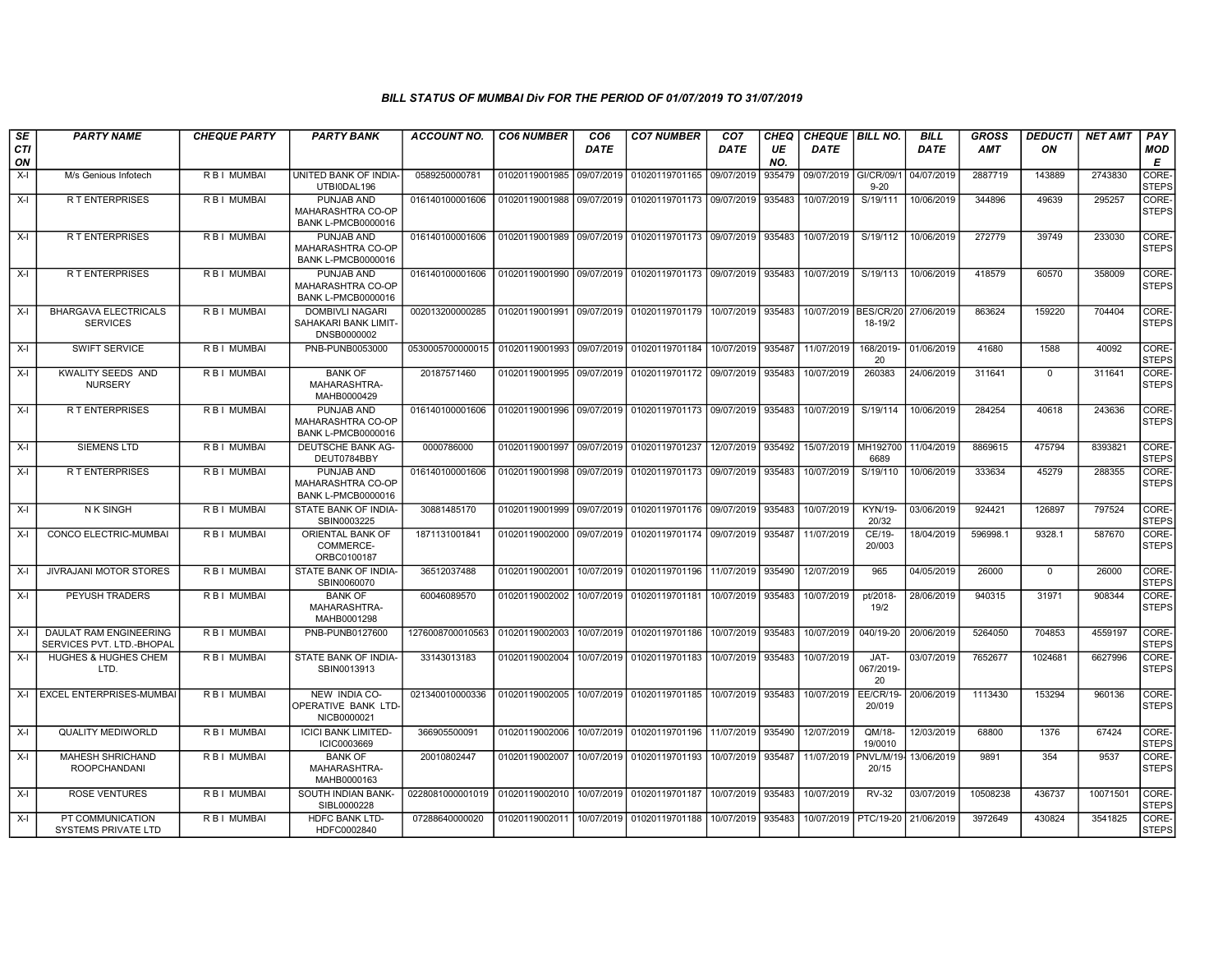| SE               | <b>PARTY NAME</b>                                          | <b>CHEQUE PARTY</b> | <b>PARTY BANK</b>                                             | <b>ACCOUNT NO.</b>                | <b>CO6 NUMBER</b>         | CO <sub>6</sub> | <b>CO7 NUMBER</b>                                   | CO7         | <b>CHEQ</b> | CHEQUE   BILL NO.      |                            | <b>BILL</b> | <b>GROSS</b> | <b>DEDUCTI</b> | <b>NET AMT</b> | <b>PAY</b>                  |
|------------------|------------------------------------------------------------|---------------------|---------------------------------------------------------------|-----------------------------------|---------------------------|-----------------|-----------------------------------------------------|-------------|-------------|------------------------|----------------------------|-------------|--------------|----------------|----------------|-----------------------------|
| <b>CTI</b><br>ON |                                                            |                     |                                                               |                                   |                           | <b>DATE</b>     |                                                     | <b>DATE</b> | UE<br>NO.   | <b>DATE</b>            |                            | <b>DATE</b> | <b>AMT</b>   | ON             |                | MOD<br>Е                    |
| $X-I$            | M/s Genious Infotech                                       | R B I MUMBAI        | UNITED BANK OF INDIA-<br>UTBI0DAL196                          | 0589250000781                     | 01020119001985            | 09/07/2019      | 01020119701165                                      | 09/07/2019  | 935479      | 09/07/2019             | GI/CR/09/1<br>$9 - 20$     | 04/07/2019  | 2887719      | 143889         | 2743830        | CORE-<br><b>STEPS</b>       |
| $X-I$            | <b>RT ENTERPRISES</b>                                      | RBI MUMBAI          | PUNJAB AND<br>MAHARASHTRA CO-OP<br><b>BANK L-PMCB0000016</b>  | 016140100001606                   | 01020119001988 09/07/2019 |                 | 01020119701173 09/07/2019                           |             | 935483      | 10/07/2019             | S/19/111                   | 10/06/2019  | 344896       | 49639          | 295257         | CORE-<br><b>STEPS</b>       |
| $X-I$            | <b>RT ENTERPRISES</b>                                      | R B I MUMBAI        | PUNJAB AND<br>MAHARASHTRA CO-OP<br><b>BANK L-PMCB0000016</b>  | 016140100001606                   | 01020119001989            | 09/07/2019      | 01020119701173 09/07/2019                           |             | 935483      | 10/07/2019             | S/19/112                   | 10/06/2019  | 272779       | 39749          | 233030         | CORE-<br><b>STEPS</b>       |
| $X-I$            | <b>RT ENTERPRISES</b>                                      | R B I MUMBAI        | PUNJAB AND<br>MAHARASHTRA CO-OP<br><b>BANK L-PMCB0000016</b>  | 016140100001606                   | 01020119001990            |                 | 09/07/2019 01020119701173 09/07/2019                |             | 935483      | 10/07/2019             | S/19/113                   | 10/06/2019  | 418579       | 60570          | 358009         | CORE-<br><b>STEPS</b>       |
| $X-I$            | <b>BHARGAVA ELECTRICALS</b><br><b>SERVICES</b>             | R B I MUMBAI        | <b>DOMBIVLI NAGARI</b><br>SAHAKARI BANK LIMIT-<br>DNSB0000002 | 002013200000285                   | 01020119001991            | 09/07/2019      | 01020119701179                                      | 10/07/2019  | 935483      | 10/07/2019             | BES/CR/20<br>18-19/2       | 27/06/2019  | 863624       | 159220         | 704404         | CORE-<br><b>STEPS</b>       |
| $X-I$            | SWIFT SERVICE                                              | R B I MUMBAI        | PNB-PUNB0053000                                               | 0530005700000015                  | 01020119001993            | 09/07/2019      | 01020119701184                                      | 10/07/2019  | 935487      | 11/07/2019             | 168/2019-<br>20            | 01/06/2019  | 41680        | 1588           | 40092          | CORE-<br><b>STEPS</b>       |
| X-I              | <b>KWALITY SEEDS AND</b><br><b>NURSERY</b>                 | <b>RBI MUMBAI</b>   | <b>BANK OF</b><br>MAHARASHTRA-<br>MAHB0000429                 | 20187571460                       | 01020119001995 09/07/2019 |                 | 01020119701172                                      | 09/07/2019  | 935483      | 10/07/2019             | 260383                     | 24/06/2019  | 311641       | $\mathbf{0}$   | 311641         | CORE-<br><b>STEPS</b>       |
| $X-I$            | <b>RT ENTERPRISES</b>                                      | R B I MUMBAI        | PUNJAB AND<br>MAHARASHTRA CO-OP<br><b>BANK L-PMCB0000016</b>  | 016140100001606                   |                           |                 | 01020119001996 09/07/2019 01020119701173 09/07/2019 |             | 935483      | 10/07/2019             | S/19/114                   | 10/06/2019  | 284254       | 40618          | 243636         | CORE-<br><b>STEPS</b>       |
| $X-I$            | <b>SIEMENS LTD</b>                                         | R B I MUMBAI        | DEUTSCHE BANK AG-<br>DEUT0784BBY                              | 0000786000                        |                           |                 | 01020119001997 09/07/2019 01020119701237            | 12/07/2019  | 935492      | 15/07/2019             | MH192700<br>6689           | 11/04/2019  | 8869615      | 475794         | 8393821        | CORE-<br><b>STEPS</b>       |
| $X-I$            | <b>RT ENTERPRISES</b>                                      | R B I MUMBAI        | PUNJAB AND<br>MAHARASHTRA CO-OP<br><b>BANK L-PMCB0000016</b>  | 016140100001606                   | 01020119001998            |                 | 09/07/2019 01020119701173 09/07/2019                |             | 935483      | 10/07/2019             | S/19/110                   | 10/06/2019  | 333634       | 45279          | 288355         | CORE-<br><b>STEPS</b>       |
| $X-I$            | N K SINGH                                                  | R B I MUMBAI        | STATE BANK OF INDIA-<br>SBIN0003225                           | 30881485170                       |                           |                 | 01020119001999 09/07/2019 01020119701176 09/07/2019 |             | 935483      | 10/07/2019             | KYN/19-<br>20/32           | 03/06/2019  | 924421       | 126897         | 797524         | CORE-<br><b>STEPS</b>       |
| $X-I$            | CONCO ELECTRIC-MUMBAI                                      | R B I MUMBAI        | ORIENTAL BANK OF<br>COMMERCE-<br>ORBC0100187                  | 1871131001841                     | 01020119002000            | 09/07/2019      | 01020119701174                                      | 09/07/2019  | 935487      | 11/07/2019             | CE/19-<br>20/003           | 18/04/2019  | 596998.1     | 9328.1         | 587670         | CORE-<br><b>STEPS</b>       |
| $X-I$            | JIVRAJANI MOTOR STORES                                     | R B I MUMBAI        | STATE BANK OF INDIA-<br>SBIN0060070                           | 36512037488                       | 01020119002001            | 10/07/2019      | 01020119701196                                      | 11/07/2019  | 935490      | 12/07/2019             | 965                        | 04/05/2019  | 26000        | $\mathbf 0$    | 26000          | <b>CORE</b><br><b>STEPS</b> |
| $X-I$            | <b>PEYUSH TRADERS</b>                                      | R B I MUMBAI        | <b>BANK OF</b><br>MAHARASHTRA-<br>MAHB0001298                 | 60046089570                       | 01020119002002            | 10/07/2019      | 01020119701181                                      | 10/07/2019  | 935483      | 10/07/2019             | pt/2018-<br>19/2           | 28/06/2019  | 940315       | 31971          | 908344         | CORE-<br><b>STEPS</b>       |
| $X-I$            | <b>DAULAT RAM ENGINEERING</b><br>SERVICES PVT. LTD.-BHOPAL | <b>RBI MUMBAI</b>   | PNB-PUNB0127600                                               | 1276008700010563                  | 01020119002003            | 10/07/2019      | 01020119701186                                      | 10/07/2019  | 935483      | 10/07/2019             | 040/19-20                  | 20/06/2019  | 5264050      | 704853         | 4559197        | CORE-<br><b>STEPS</b>       |
| $X-I$            | <b>HUGHES &amp; HUGHES CHEM</b><br>LTD.                    | R B I MUMBAI        | STATE BANK OF INDIA-<br>SBIN0013913                           | 33143013183                       | 01020119002004            |                 | 10/07/2019 01020119701183                           | 10/07/2019  | 935483      | 10/07/2019             | JAT-<br>067/2019-<br>20    | 03/07/2019  | 7652677      | 1024681        | 6627996        | CORE-<br>STEPS              |
| $X-I$            | <b>EXCEL ENTERPRISES-MUMBA</b>                             | R B I MUMBAI        | NEW INDIA CO-<br><b>OPERATIVE BANK LTD-</b><br>NICB0000021    | 021340010000336                   | 01020119002005            | 10/07/2019      | 01020119701185                                      | 10/07/2019  | 935483      | 10/07/2019             | <b>EE/CR/19-</b><br>20/019 | 20/06/2019  | 1113430      | 153294         | 960136         | CORE-<br><b>STEPS</b>       |
| $X-I$            | <b>QUALITY MEDIWORLD</b>                                   | R B I MUMBAI        | <b>ICICI BANK LIMITED-</b><br>ICIC0003669                     | 366905500091                      | 01020119002006            | 10/07/2019      | 01020119701196                                      | 11/07/2019  | 935490      | 12/07/2019             | QM/18-<br>19/0010          | 12/03/2019  | 68800        | 1376           | 67424          | CORE-<br><b>STEPS</b>       |
| $X-I$            | MAHESH SHRICHAND<br><b>ROOPCHANDANI</b>                    | R B I MUMBAI        | <b>BANK OF</b><br>MAHARASHTRA-<br>MAHB0000163                 | 20010802447                       | 01020119002007            |                 | 10/07/2019 01020119701193                           | 10/07/2019  | 935487      | 11/07/2019             | <b>PNVL/M/19-</b><br>20/15 | 13/06/2019  | 9891         | 354            | 9537           | CORE-<br><b>STEPS</b>       |
| $X-I$            | <b>ROSE VENTURES</b>                                       | R B I MUMBAI        | SOUTH INDIAN BANK-<br>SIBL0000228                             | 0228081000001019   01020119002010 |                           |                 | 10/07/2019 01020119701187                           | 10/07/2019  | 935483      | 10/07/2019             | <b>RV-32</b>               | 03/07/2019  | 10508238     | 436737         | 10071501       | CORE-<br><b>STEPS</b>       |
| X-I              | PT COMMUNICATION<br><b>SYSTEMS PRIVATE LTD</b>             | R B I MUMBAI        | HDFC BANK LTD-<br>HDFC0002840                                 | 07288640000020                    | 01020119002011 10/07/2019 |                 | 01020119701188                                      | 10/07/2019  | 935483      | 10/07/2019   PTC/19-20 |                            | 21/06/2019  | 3972649      | 430824         | 3541825        | CORE-<br><b>STEPS</b>       |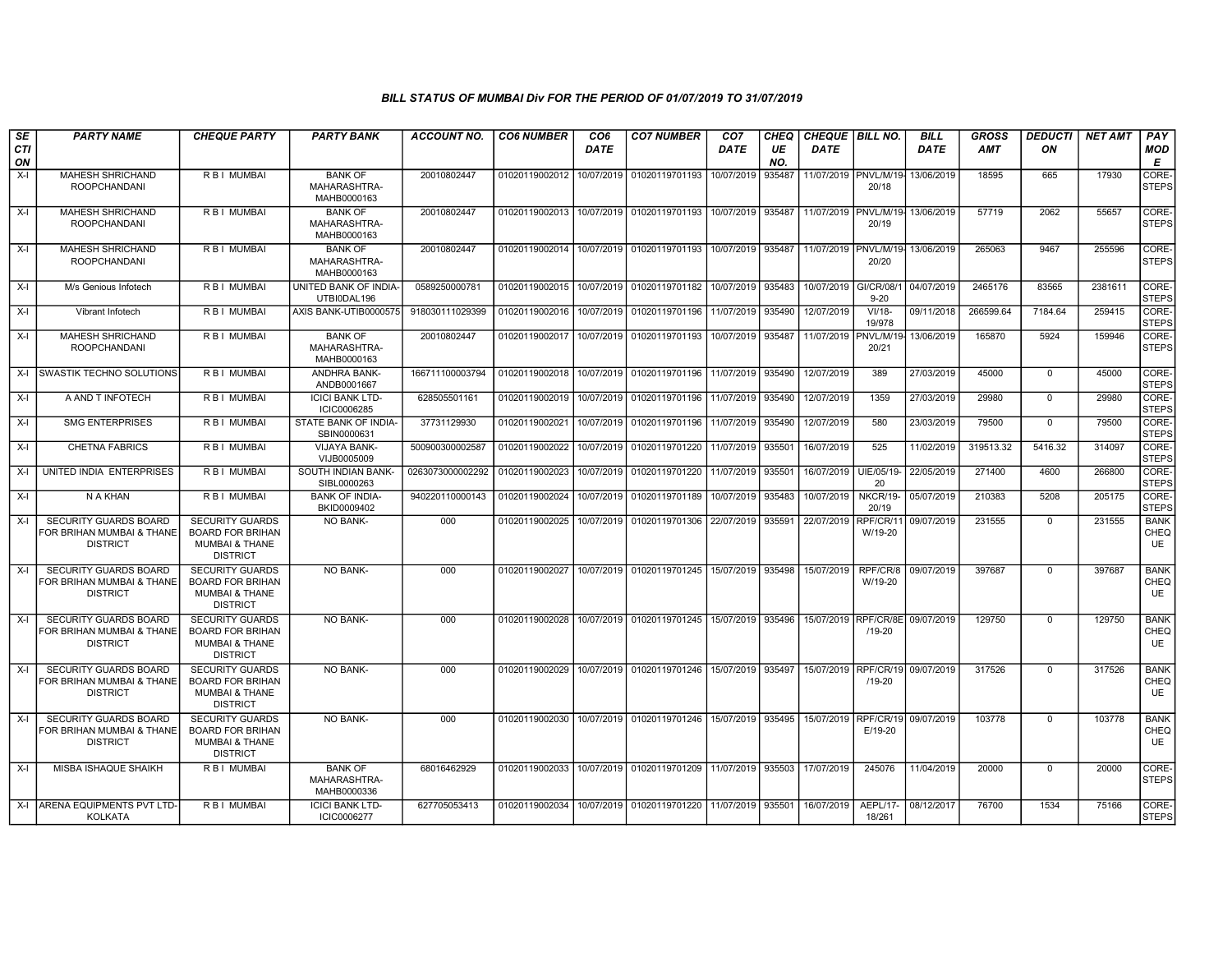| SE        | <b>PARTY NAME</b>                                                            | <b>CHEQUE PARTY</b>                                                                               | <b>PARTY BANK</b>                             | <b>ACCOUNT NO.</b> | <b>CO6 NUMBER</b> | CO <sub>6</sub> | <b>CO7 NUMBER</b>                        | CO <sub>7</sub> | <b>CHEQ</b> | <b>CHEQUE BILL NO.</b> |                                    | <b>BILL</b> | <b>GROSS</b> | <b>DEDUCTI</b> | <b>NET AMT</b> | PAY                              |
|-----------|------------------------------------------------------------------------------|---------------------------------------------------------------------------------------------------|-----------------------------------------------|--------------------|-------------------|-----------------|------------------------------------------|-----------------|-------------|------------------------|------------------------------------|-------------|--------------|----------------|----------------|----------------------------------|
| CTI<br>ON |                                                                              |                                                                                                   |                                               |                    |                   | <b>DATE</b>     |                                          | <b>DATE</b>     | UE<br>NO.   | <b>DATE</b>            |                                    | <b>DATE</b> | <b>AMT</b>   | ON             |                | <b>MOD</b><br>E                  |
| $X-I$     | <b>MAHESH SHRICHAND</b><br><b>ROOPCHANDANI</b>                               | <b>RBI MUMBAI</b>                                                                                 | <b>BANK OF</b><br>MAHARASHTRA-<br>MAHB0000163 | 20010802447        | 01020119002012    | 10/07/2019      | 01020119701193                           | 10/07/2019      | 935487      |                        | 11/07/2019 PNVL/M/19<br>20/18      | 13/06/2019  | 18595        | 665            | 17930          | CORE-<br><b>STEPS</b>            |
| $X-I$     | <b>MAHESH SHRICHAND</b><br><b>ROOPCHANDANI</b>                               | R B I MUMBAI                                                                                      | <b>BANK OF</b><br>MAHARASHTRA-<br>MAHB0000163 | 20010802447        | 01020119002013    |                 | 10/07/2019 01020119701193                | 10/07/2019      | 935487      |                        | 11/07/2019 PNVL/M/19<br>20/19      | 13/06/2019  | 57719        | 2062           | 55657          | CORE-<br><b>STEPS</b>            |
| X-I       | MAHESH SHRICHAND<br><b>ROOPCHANDANI</b>                                      | R B I MUMBAI                                                                                      | <b>BANK OF</b><br>MAHARASHTRA-<br>MAHB0000163 | 20010802447        | 01020119002014    | 10/07/2019      | 01020119701193                           | 10/07/2019      | 935487      |                        | 11/07/2019   PNVL/M/19-<br>20/20   | 13/06/2019  | 265063       | 9467           | 255596         | CORE-<br><b>STEPS</b>            |
| X-I       | M/s Genious Infotech                                                         | R B I MUMBAI                                                                                      | UNITED BANK OF INDIA-<br>UTBI0DAL196          | 0589250000781      | 01020119002015    | 10/07/2019      | 01020119701182                           | 10/07/2019      | 935483      | 10/07/2019 GI/CR/08/1  | $9 - 20$                           | 04/07/2019  | 2465176      | 83565          | 2381611        | CORE-<br><b>STEPS</b>            |
| $X-I$     | Vibrant Infotech                                                             | <b>RBI MUMBAI</b>                                                                                 | AXIS BANK-UTIB0000575                         | 918030111029399    | 01020119002016    | 10/07/2019      | 01020119701196                           | 11/07/2019      | 935490      | 12/07/2019             | $VI/18-$<br>19/978                 | 09/11/2018  | 266599.64    | 7184.64        | 259415         | CORE-<br><b>STEPS</b>            |
| $X-I$     | MAHESH SHRICHAND<br><b>ROOPCHANDANI</b>                                      | R B I MUMBAI                                                                                      | <b>BANK OF</b><br>MAHARASHTRA-<br>MAHB0000163 | 20010802447        | 01020119002017    | 10/07/2019      | 01020119701193                           | 10/07/2019      | 935487      | 11/07/2019             | PNVL/M/1<br>20/21                  | 13/06/2019  | 165870       | 5924           | 159946         | CORE-<br><b>STEPS</b>            |
|           | X-I SWASTIK TECHNO SOLUTIONS                                                 | <b>RBI MUMBAI</b>                                                                                 | <b>ANDHRA BANK-</b><br>ANDB0001667            | 166711100003794    |                   |                 | 01020119002018 10/07/2019 01020119701196 | 11/07/2019      | 935490      | 12/07/2019             | 389                                | 27/03/2019  | 45000        | $\Omega$       | 45000          | CORE-<br><b>STEPS</b>            |
| $X-I$     | A AND T INFOTECH                                                             | R B I MUMBAI                                                                                      | <b>ICICI BANK LTD-</b><br>ICIC0006285         | 628505501161       | 01020119002019    | 10/07/2019      | 01020119701196                           | 11/07/2019      | 935490      | 12/07/2019             | 1359                               | 27/03/2019  | 29980        | $\Omega$       | 29980          | CORE-<br><b>STEPS</b>            |
| $X-I$     | <b>SMG ENTERPRISES</b>                                                       | R B I MUMBAI                                                                                      | STATE BANK OF INDIA-<br>SBIN0000631           | 37731129930        | 01020119002021    | 10/07/2019      | 01020119701196                           | 11/07/2019      | 935490      | 12/07/2019             | 580                                | 23/03/2019  | 79500        | $\mathbf 0$    | 79500          | CORE-<br><b>STEPS</b>            |
| X-I       | <b>CHETNA FABRICS</b>                                                        | R B I MUMBAI                                                                                      | <b>VIJAYA BANK-</b><br>VIJB0005009            | 500900300002587    | 01020119002022    | 10/07/2019      | 01020119701220                           | 11/07/2019      | 935501      | 16/07/2019             | 525                                | 11/02/2019  | 319513.32    | 5416.32        | 314097         | CORE-<br><b>STEPS</b>            |
| X-I       | UNITED INDIA ENTERPRISES                                                     | R B I MUMBAI                                                                                      | SOUTH INDIAN BANK-<br>SIBL0000263             | 0263073000002292   | 01020119002023    | 10/07/2019      | 01020119701220                           | 11/07/2019      | 935501      | 16/07/2019             | UIE/05/19-<br>20                   | 22/05/2019  | 271400       | 4600           | 266800         | CORE-<br><b>STEPS</b>            |
| $X-I$     | N A KHAN                                                                     | R B I MUMBAI                                                                                      | <b>BANK OF INDIA-</b><br>BKID0009402          | 940220110000143    | 01020119002024    | 10/07/2019      | 01020119701189                           | 10/07/2019      | 935483      | 10/07/2019             | NKCR/19-<br>20/19                  | 05/07/2019  | 210383       | 5208           | 205175         | CORE-<br><b>STEPS</b>            |
| $X-I$     | <b>SECURITY GUARDS BOARD</b><br>FOR BRIHAN MUMBAI & THANE<br><b>DISTRICT</b> | <b>SECURITY GUARDS</b><br><b>BOARD FOR BRIHAN</b><br><b>MUMBAI &amp; THANE</b><br><b>DISTRICT</b> | <b>NO BANK-</b>                               | 000                | 01020119002025    | 10/07/2019      | 01020119701306                           | 22/07/2019      | 935591      | 22/07/2019             | RPF/CR/1<br>W/19-20                | 09/07/2019  | 231555       | $\Omega$       | 231555         | <b>BANK</b><br>CHEQ<br><b>UE</b> |
| $X-I$     | <b>SECURITY GUARDS BOARD</b><br>FOR BRIHAN MUMBAI & THANE<br><b>DISTRICT</b> | <b>SECURITY GUARDS</b><br><b>BOARD FOR BRIHAN</b><br>MUMBAI & THANE<br><b>DISTRICT</b>            | <b>NO BANK-</b>                               | 000                | 01020119002027    | 10/07/2019      | 01020119701245                           | 15/07/2019      | 935498      | 15/07/2019             | RPF/CR/8<br>W/19-20                | 09/07/2019  | 397687       | $\mathbf{0}$   | 397687         | <b>BANK</b><br>CHEQ<br><b>UE</b> |
| $X-I$     | <b>SECURITY GUARDS BOARD</b><br>FOR BRIHAN MUMBAI & THANE<br><b>DISTRICT</b> | <b>SECURITY GUARDS</b><br><b>BOARD FOR BRIHAN</b><br><b>MUMBAI &amp; THANE</b><br><b>DISTRICT</b> | <b>NO BANK-</b>                               | 000                |                   |                 | 01020119002028 10/07/2019 01020119701245 | 15/07/2019      | 935496      | 15/07/2019             | RPF/CR/8E 09/07/2019<br>$/19 - 20$ |             | 129750       | $\Omega$       | 129750         | <b>BANK</b><br>CHEQ<br><b>UE</b> |
| $X-I$     | <b>SECURITY GUARDS BOARD</b><br>FOR BRIHAN MUMBAI & THANE<br><b>DISTRICT</b> | <b>SECURITY GUARDS</b><br><b>BOARD FOR BRIHAN</b><br>MUMBAI & THANE<br><b>DISTRICT</b>            | <b>NO BANK-</b>                               | 000                | 01020119002029    |                 | 10/07/2019 01020119701246                | 15/07/2019      | 935497      |                        | 15/07/2019 RPF/CR/19<br>$/19 - 20$ | 09/07/2019  | 317526       | $\Omega$       | 317526         | <b>BANK</b><br>CHEQ<br><b>UE</b> |
| $X-I$     | <b>SECURITY GUARDS BOARD</b><br>FOR BRIHAN MUMBAI & THANE<br><b>DISTRICT</b> | <b>SECURITY GUARDS</b><br><b>BOARD FOR BRIHAN</b><br><b>MUMBAI &amp; THANE</b><br><b>DISTRICT</b> | <b>NO BANK-</b>                               | 000                |                   |                 | 01020119002030 10/07/2019 01020119701246 | 15/07/2019      | 935495      | 15/07/2019 RPF/CR/19   | E/19-20                            | 09/07/2019  | 103778       | $\mathbf{0}$   | 103778         | <b>BANK</b><br>CHEQ<br><b>UE</b> |
| X-I       | MISBA ISHAQUE SHAIKH                                                         | R B I MUMBAI                                                                                      | <b>BANK OF</b><br>MAHARASHTRA-<br>MAHB0000336 | 68016462929        |                   |                 | 01020119002033 10/07/2019 01020119701209 | 11/07/2019      | 935503      | 17/07/2019             | 245076                             | 11/04/2019  | 20000        | $\mathbf{0}$   | 20000          | CORE-<br><b>STEPS</b>            |
|           | X-I ARENA EQUIPMENTS PVT LTD-<br>KOLKATA                                     | R B I MUMBAI                                                                                      | <b>ICICI BANK LTD-</b><br>ICIC0006277         | 627705053413       |                   |                 | 01020119002034 10/07/2019 01020119701220 | 11/07/2019      | 935501      | 16/07/2019             | AEPL/17-<br>18/261                 | 08/12/2017  | 76700        | 1534           | 75166          | CORE-<br><b>STEPS</b>            |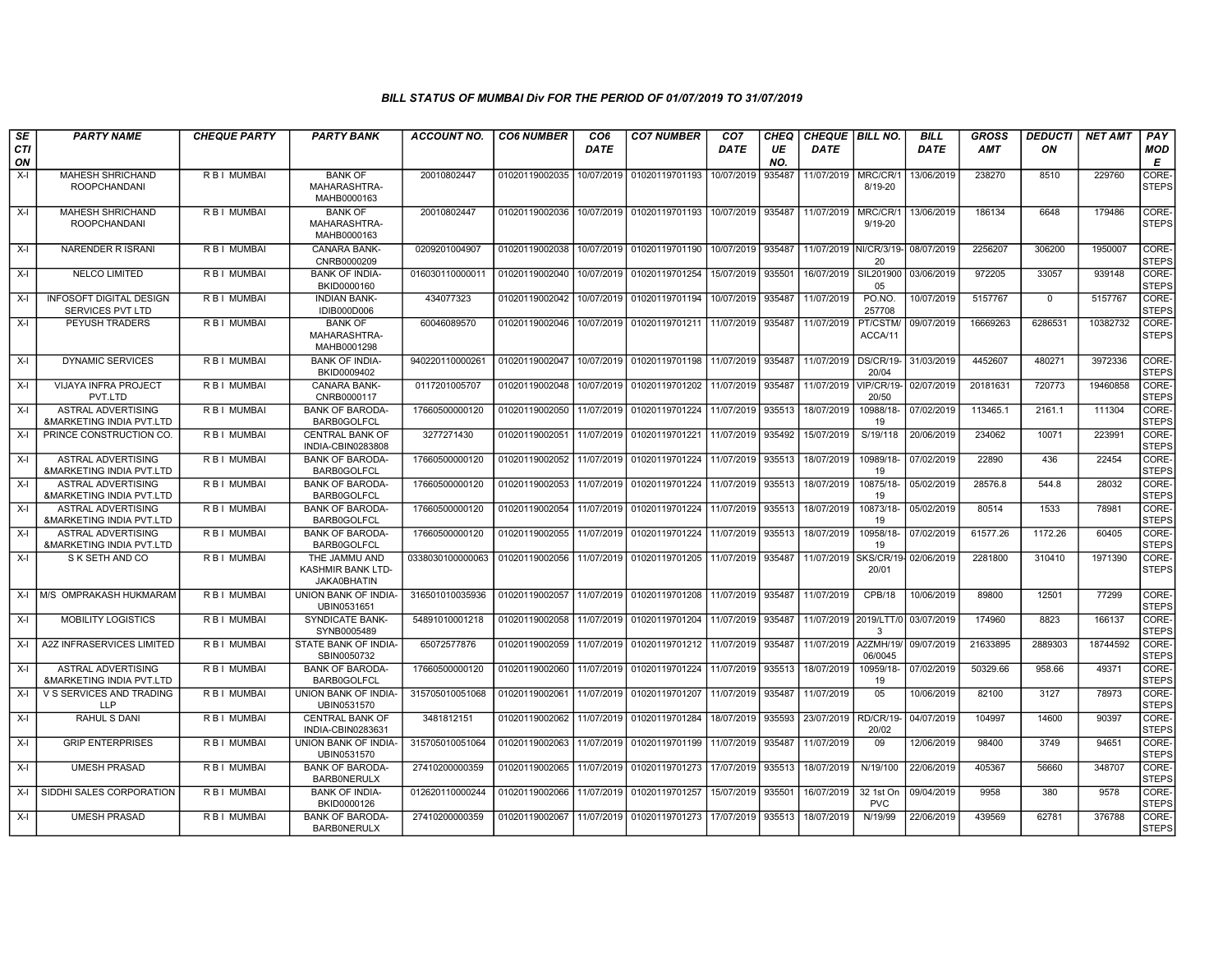| SE        | <b>PARTY NAME</b>                                                | <b>CHEQUE PARTY</b> | <b>PARTY BANK</b>                                        | ACCOUNT NO.      | <b>CO6 NUMBER</b> | CO6         | <b>CO7 NUMBER</b>         | CO7         | CHEQ      | <b>CHEQUE   BILL NO.</b> |                           | <b>BILL</b> | <b>GROSS</b> | <b>DEDUCTI</b> | NET AMT  | PAY                   |
|-----------|------------------------------------------------------------------|---------------------|----------------------------------------------------------|------------------|-------------------|-------------|---------------------------|-------------|-----------|--------------------------|---------------------------|-------------|--------------|----------------|----------|-----------------------|
| CTI<br>ON |                                                                  |                     |                                                          |                  |                   | <b>DATE</b> |                           | <b>DATE</b> | UE<br>NO. | <b>DATE</b>              |                           | <b>DATE</b> | <b>AMT</b>   | ON             |          | MOD<br>E              |
| $X-I$     | <b>MAHESH SHRICHAND</b><br><b>ROOPCHANDANI</b>                   | R B I MUMBAI        | <b>BANK OF</b><br>MAHARASHTRA-<br>MAHB0000163            | 20010802447      | 01020119002035    | 10/07/2019  | 01020119701193            | 10/07/2019  | 935487    | 11/07/2019               | MRC/CR/<br>8/19-20        | 13/06/2019  | 238270       | 8510           | 229760   | CORE-<br><b>STEPS</b> |
| $X-I$     | <b>MAHESH SHRICHAND</b><br><b>ROOPCHANDANI</b>                   | R B I MUMBAI        | <b>BANK OF</b><br>MAHARASHTRA-<br>MAHB0000163            | 20010802447      | 01020119002036    |             | 10/07/2019 01020119701193 | 10/07/2019  | 935487    | 11/07/2019               | MRC/CR/<br>$9/19 - 20$    | 13/06/2019  | 186134       | 6648           | 179486   | CORE-<br><b>STEPS</b> |
| $X-I$     | <b>NARENDER R ISRANI</b>                                         | R B I MUMBAI        | <b>CANARA BANK-</b><br>CNRB0000209                       | 0209201004907    | 01020119002038    | 10/07/2019  | 01020119701190            | 10/07/2019  | 935487    | 11/07/2019               | NI/CR/3/19<br>20          | 08/07/2019  | 2256207      | 306200         | 1950007  | CORE-<br><b>STEPS</b> |
| $X-I$     | <b>NELCO LIMITED</b>                                             | R B I MUMBAI        | <b>BANK OF INDIA-</b><br>BKID0000160                     | 016030110000011  | 01020119002040    | 10/07/2019  | 01020119701254            | 15/07/2019  | 935501    | 16/07/2019               | SIL201900<br>05           | 03/06/2019  | 972205       | 33057          | 939148   | CORE-<br><b>STEPS</b> |
| $X-I$     | <b>INFOSOFT DIGITAL DESIGN</b><br>SERVICES PVT LTD               | R B I MUMBAI        | <b>INDIAN BANK-</b><br>IDIB000D006                       | 434077323        | 01020119002042    | 10/07/2019  | 01020119701194            | 10/07/2019  | 935487    | 11/07/2019               | PO.NO.<br>257708          | 10/07/2019  | 5157767      | $\overline{0}$ | 5157767  | CORE-<br><b>STEPS</b> |
| $X-I$     | <b>PEYUSH TRADERS</b>                                            | R B I MUMBAI        | <b>BANK OF</b><br>MAHARASHTRA-<br>MAHB0001298            | 60046089570      | 01020119002046    | 10/07/2019  | 01020119701211            | 11/07/2019  | 935487    | 11/07/2019               | PT/CSTM/<br>ACCA/11       | 09/07/2019  | 16669263     | 6286531        | 10382732 | CORE-<br><b>STEPS</b> |
| $X-I$     | <b>DYNAMIC SERVICES</b>                                          | R B I MUMBAI        | <b>BANK OF INDIA-</b><br>BKID0009402                     | 940220110000261  | 01020119002047    | 10/07/2019  | 01020119701198            | 11/07/2019  | 935487    | 11/07/2019               | <b>DS/CR/19-</b><br>20/04 | 31/03/2019  | 4452607      | 480271         | 3972336  | CORE-<br><b>STEPS</b> |
| X-I       | VIJAYA INFRA PROJECT<br>PVT.LTD                                  | R B I MUMBAI        | <b>CANARA BANK-</b><br>CNRB0000117                       | 0117201005707    | 01020119002048    | 10/07/2019  | 01020119701202            | 11/07/2019  | 935487    | 11/07/2019               | /IP/CR/19-<br>20/50       | 02/07/2019  | 20181631     | 720773         | 19460858 | CORE-<br><b>STEPS</b> |
| $X-I$     | <b>ASTRAL ADVERTISING</b><br>&MARKETING INDIA PVT.LTD            | <b>RBI MUMBAI</b>   | <b>BANK OF BARODA-</b><br><b>BARB0GOLFCL</b>             | 17660500000120   | 01020119002050    | 11/07/2019  | 01020119701224            | 11/07/2019  | 935513    | 18/07/2019               | 10988/18-<br>19           | 07/02/2019  | 113465.1     | 2161.1         | 111304   | CORE-<br><b>STEPS</b> |
| $X-I$     | PRINCE CONSTRUCTION CO.                                          | R B I MUMBAI        | <b>CENTRAL BANK OF</b><br>INDIA-CBIN0283808              | 3277271430       | 01020119002051    | 11/07/2019  | 01020119701221            | 11/07/2019  | 935492    | 15/07/2019               | S/19/118                  | 20/06/2019  | 234062       | 10071          | 223991   | CORE-<br><b>STEPS</b> |
| $X-I$     | ASTRAL ADVERTISING<br><b>&amp;MARKETING INDIA PVT.LTD</b>        | R B I MUMBAI        | <b>BANK OF BARODA-</b><br><b>BARB0GOLFCL</b>             | 17660500000120   | 01020119002052    | 11/07/2019  | 01020119701224            | 11/07/2019  | 935513    | 18/07/2019               | 10989/18-<br>19           | 07/02/2019  | 22890        | 436            | 22454    | CORE-<br><b>STEPS</b> |
| $X-I$     | <b>ASTRAL ADVERTISING</b><br><b>&amp;MARKETING INDIA PVT.LTD</b> | R B I MUMBAI        | <b>BANK OF BARODA-</b><br><b>BARB0GOLFCL</b>             | 17660500000120   | 01020119002053    | 11/07/2019  | 01020119701224            | 11/07/2019  | 935513    | 18/07/2019               | 10875/18-<br>19           | 05/02/2019  | 28576.8      | 544.8          | 28032    | CORE-<br><b>STEPS</b> |
| $X-I$     | <b>ASTRAL ADVERTISING</b><br><b>&amp;MARKETING INDIA PVT.LTD</b> | RBI MUMBAI          | <b>BANK OF BARODA-</b><br><b>BARB0GOLFCL</b>             | 17660500000120   | 01020119002054    | 11/07/2019  | 01020119701224            | 11/07/2019  | 935513    | 18/07/2019               | 10873/18-<br>19           | 05/02/2019  | 80514        | 1533           | 78981    | CORE-<br><b>STEPS</b> |
| $X-I$     | ASTRAL ADVERTISING<br>&MARKETING INDIA PVT.LTD                   | R B I MUMBAI        | <b>BANK OF BARODA</b><br><b>BARB0GOLFCL</b>              | 17660500000120   | 01020119002055    | 11/07/2019  | 01020119701224            | 11/07/2019  | 935513    | 18/07/2019               | 10958/18-<br>19           | 07/02/2019  | 61577.26     | 1172.26        | 60405    | CORE-<br><b>STEPS</b> |
| X-I       | S K SETH AND CO                                                  | R B I MUMBAI        | THE JAMMU AND<br>KASHMIR BANK LTD-<br><b>JAKA0BHATIN</b> | 0338030100000063 | 01020119002056    | 11/07/2019  | 01020119701205            | 11/07/2019  | 935487    | 11/07/2019               | SKS/CR/19-<br>20/01       | 02/06/2019  | 2281800      | 310410         | 1971390  | CORE-<br><b>STEPS</b> |
| $X-I$     | M/S OMPRAKASH HUKMARAM                                           | R B I MUMBAI        | UNION BANK OF INDIA-<br>UBIN0531651                      | 316501010035936  | 01020119002057    | 11/07/2019  | 01020119701208            | 11/07/2019  | 935487    | 11/07/2019               | CPB/18                    | 10/06/2019  | 89800        | 12501          | 77299    | CORE-<br><b>STEPS</b> |
| $X-I$     | <b>MOBILITY LOGISTICS</b>                                        | R B I MUMBAI        | <b>SYNDICATE BANK-</b><br>SYNB0005489                    | 54891010001218   | 01020119002058    | 11/07/2019  | 01020119701204            | 11/07/2019  | 935487    | 11/07/2019 2019/LTT/0    | $\mathcal{B}$             | 03/07/2019  | 174960       | 8823           | 166137   | CORE-<br><b>STEPS</b> |
| $X-I$     | A2Z INFRASERVICES LIMITED                                        | R B I MUMBAI        | <b>STATE BANK OF INDIA-</b><br>SBIN0050732               | 65072577876      | 01020119002059    | 11/07/2019  | 01020119701212            | 11/07/2019  | 935487    | 11/07/2019               | A2ZMH/19/<br>06/0045      | 09/07/2019  | 21633895     | 2889303        | 18744592 | CORE-<br><b>STEPS</b> |
| $X-I$     | <b>ASTRAL ADVERTISING</b><br><b>&amp;MARKETING INDIA PVT.LTD</b> | R B I MUMBAI        | <b>BANK OF BARODA-</b><br><b>BARB0GOLFCL</b>             | 17660500000120   | 01020119002060    | 11/07/2019  | 01020119701224            | 11/07/2019  | 935513    | 18/07/2019               | 10959/18-<br>19           | 07/02/2019  | 50329.66     | 958.66         | 49371    | CORE-<br><b>STEPS</b> |
| $X-I$     | V S SERVICES AND TRADING<br><b>LLP</b>                           | R B I MUMBAI        | UNION BANK OF INDIA-<br>UBIN0531570                      | 315705010051068  | 01020119002061    | 11/07/2019  | 01020119701207            | 11/07/2019  | 935487    | 11/07/2019               | 0 <sub>5</sub>            | 10/06/2019  | 82100        | 3127           | 78973    | CORE-<br><b>STEPS</b> |
| X-I       | <b>RAHUL S DANI</b>                                              | <b>RBI MUMBAI</b>   | <b>CENTRAL BANK OF</b><br>INDIA-CBIN0283631              | 3481812151       | 01020119002062    | 11/07/2019  | 01020119701284            | 18/07/2019  | 935593    | 23/07/2019               | RD/CR/19-<br>20/02        | 04/07/2019  | 104997       | 14600          | 90397    | CORE-<br><b>STEPS</b> |
| $X-I$     | <b>GRIP ENTERPRISES</b>                                          | <b>RBI MUMBAI</b>   | UNION BANK OF INDIA-<br>UBIN0531570                      | 315705010051064  | 01020119002063    | 11/07/2019  | 01020119701199            | 11/07/2019  | 935487    | 11/07/2019               | 09                        | 12/06/2019  | 98400        | 3749           | 94651    | CORE-<br><b>STEPS</b> |
| $X-I$     | <b>UMESH PRASAD</b>                                              | R B I MUMBAI        | <b>BANK OF BARODA-</b><br><b>BARBONERULX</b>             | 27410200000359   | 01020119002065    | 11/07/2019  | 01020119701273            | 17/07/2019  | 935513    | 18/07/2019               | N/19/100                  | 22/06/2019  | 405367       | 56660          | 348707   | CORE-<br><b>STEPS</b> |
| $X-I$     | SIDDHI SALES CORPORATION                                         | R B I MUMBAI        | <b>BANK OF INDIA-</b><br>BKID0000126                     | 012620110000244  | 01020119002066    | 11/07/2019  | 01020119701257            | 15/07/2019  | 935501    | 16/07/2019               | 32 1st On<br><b>PVC</b>   | 09/04/2019  | 9958         | 380            | 9578     | CORE-<br><b>STEPS</b> |
| $X-I$     | <b>UMESH PRASAD</b>                                              | R B I MUMBAI        | <b>BANK OF BARODA-</b><br><b>BARBONERULX</b>             | 27410200000359   | 01020119002067    | 11/07/2019  | 01020119701273            | 17/07/2019  | 935513    | 18/07/2019               | N/19/99                   | 22/06/2019  | 439569       | 62781          | 376788   | CORE-<br><b>STEPS</b> |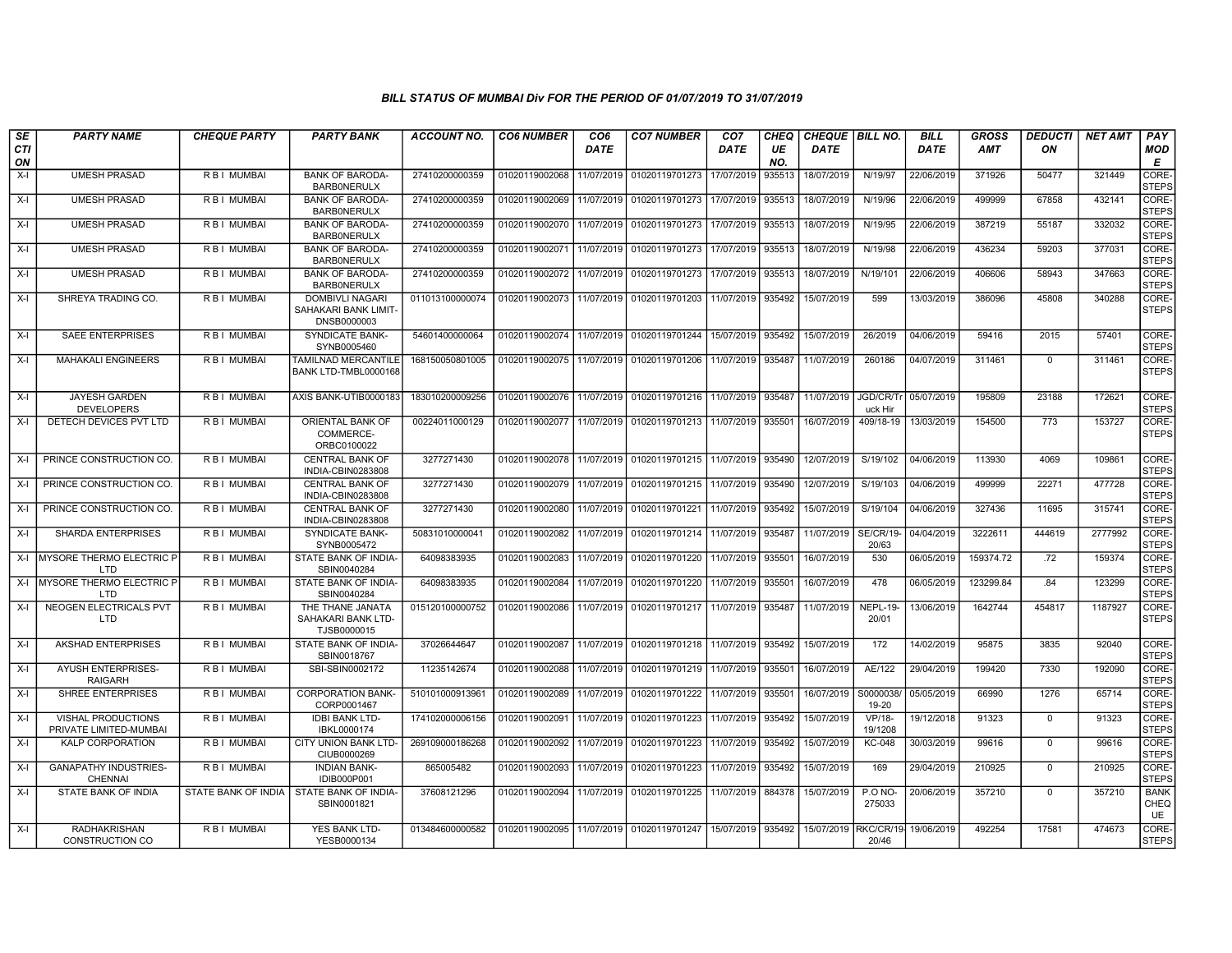| SE        | <b>PARTY NAME</b>                                   | <b>CHEQUE PARTY</b> | <b>PARTY BANK</b>                                             | ACCOUNT NO.     | <b>CO6 NUMBER</b>         | CO <sub>6</sub> | <b>CO7 NUMBER</b>                                                  | CO7                 | CHEQ      | <b>CHEQUE BILL NO.</b> |                           | <b>BILL</b> | GROSS      | <i><b>DEDUCTI</b></i> | NET AMT | <b>PAY</b>                       |
|-----------|-----------------------------------------------------|---------------------|---------------------------------------------------------------|-----------------|---------------------------|-----------------|--------------------------------------------------------------------|---------------------|-----------|------------------------|---------------------------|-------------|------------|-----------------------|---------|----------------------------------|
| CTI<br>ON |                                                     |                     |                                                               |                 |                           | <b>DATE</b>     |                                                                    | <b>DATE</b>         | UE<br>NO. | <b>DATE</b>            |                           | <b>DATE</b> | <b>AMT</b> | ON                    |         | <b>MOD</b><br>E                  |
| X-I       | <b>UMESH PRASAD</b>                                 | <b>RBI MUMBAI</b>   | <b>BANK OF BARODA-</b><br><b>BARBONERULX</b>                  | 27410200000359  | 01020119002068            | 11/07/2019      | 01020119701273                                                     | 17/07/2019          | 935513    | 18/07/2019             | N/19/97                   | 22/06/2019  | 371926     | 50477                 | 321449  | CORE-<br><b>STEPS</b>            |
| X-I       | <b>UMESH PRASAD</b>                                 | R B I MUMBAI        | <b>BANK OF BARODA-</b><br><b>BARBONERULX</b>                  | 27410200000359  | 01020119002069            | 11/07/2019      | 01020119701273                                                     | 17/07/2019          | 935513    | 18/07/2019             | N/19/96                   | 22/06/2019  | 499999     | 67858                 | 432141  | CORE-<br><b>STEPS</b>            |
| $X-I$     | <b>UMESH PRASAD</b>                                 | <b>RBI MUMBAI</b>   | <b>BANK OF BARODA-</b><br><b>BARBONERULX</b>                  | 27410200000359  | 01020119002070            | 11/07/2019      | 01020119701273                                                     | 17/07/2019          | 935513    | 18/07/2019             | N/19/95                   | 22/06/2019  | 387219     | 55187                 | 332032  | CORE-<br><b>STEPS</b>            |
| X-I       | <b>UMESH PRASAD</b>                                 | R B I MUMBAI        | <b>BANK OF BARODA-</b><br><b>BARBONERULX</b>                  | 27410200000359  | 01020119002071            | 11/07/2019      | 01020119701273                                                     | 17/07/2019          | 935513    | 18/07/2019             | N/19/98                   | 22/06/2019  | 436234     | 59203                 | 377031  | CORE-<br><b>STEPS</b>            |
| X-I       | <b>UMESH PRASAD</b>                                 | R B I MUMBAI        | <b>BANK OF BARODA-</b><br><b>BARBONERULX</b>                  | 27410200000359  | 01020119002072            | 11/07/2019      | 01020119701273                                                     | 17/07/2019          | 935513    | 18/07/2019             | N/19/101                  | 22/06/2019  | 406606     | 58943                 | 347663  | CORE-<br><b>STEPS</b>            |
| X-I       | SHREYA TRADING CO.                                  | R B I MUMBAI        | <b>DOMBIVLI NAGARI</b><br>SAHAKARI BANK LIMIT-<br>DNSB0000003 | 011013100000074 | 01020119002073 11/07/2019 |                 | 01020119701203 11/07/2019                                          |                     | 935492    | 15/07/2019             | 599                       | 13/03/2019  | 386096     | 45808                 | 340288  | CORE-<br><b>STEPS</b>            |
| $X-I$     | <b>SAEE ENTERPRISES</b>                             | <b>RBI MUMBAI</b>   | <b>SYNDICATE BANK-</b><br>SYNB0005460                         | 54601400000064  | 01020119002074            | 11/07/2019      | 01020119701244 15/07/2019                                          |                     | 935492    | 15/07/2019             | 26/2019                   | 04/06/2019  | 59416      | 2015                  | 57401   | CORE-<br><b>STEPS</b>            |
| X-I       | <b>MAHAKALI ENGINEERS</b>                           | RBI MUMBAI          | TAMILNAD MERCANTILE<br>BANK LTD-TMBL0000168                   | 168150050801005 |                           |                 | 01020119002075   11/07/2019   01020119701206   11/07/2019   935487 |                     |           | 11/07/2019             | 260186                    | 04/07/2019  | 311461     | $\mathbf{0}$          | 311461  | CORE-<br><b>STEPS</b>            |
| $X-I$     | <b>JAYESH GARDEN</b><br><b>DEVELOPERS</b>           | R B I MUMBAI        | AXIS BANK-UTIB0000183                                         | 183010200009256 | 01020119002076 11/07/2019 |                 | 01020119701216 11/07/2019 935487                                   |                     |           | 11/07/2019             | JGD/CR/Tr<br>uck Hir      | 05/07/2019  | 195809     | 23188                 | 172621  | CORE-<br><b>STEPS</b>            |
| $X-I$     | DETECH DEVICES PVT LTD                              | R B I MUMBAI        | ORIENTAL BANK OF<br>COMMERCE-<br>ORBC0100022                  | 00224011000129  | 01020119002077            | 11/07/2019      | 01020119701213 11/07/2019 935501                                   |                     |           | 16/07/2019             | 409/18-19                 | 13/03/2019  | 154500     | 773                   | 153727  | CORE-<br><b>STEPS</b>            |
| X-I       | PRINCE CONSTRUCTION CO.                             | R B I MUMBAI        | CENTRAL BANK OF<br>INDIA-CBIN0283808                          | 3277271430      | 01020119002078            | 11/07/2019      | 01020119701215 11/07/2019                                          |                     | 935490    | 12/07/2019             | S/19/102                  | 04/06/2019  | 113930     | 4069                  | 109861  | CORE-<br><b>STEPS</b>            |
| X-I       | PRINCE CONSTRUCTION CO.                             | R B I MUMBAI        | <b>CENTRAL BANK OF</b><br>INDIA-CBIN0283808                   | 3277271430      | 01020119002079            | 11/07/2019      | 01020119701215                                                     | 11/07/2019          | 935490    | 12/07/2019             | S/19/103                  | 04/06/2019  | 499999     | 22271                 | 477728  | CORE-<br><b>STEPS</b>            |
| X-I       | <b>PRINCE CONSTRUCTION CO.</b>                      | <b>RBI MUMBAI</b>   | <b>CENTRAL BANK OF</b><br>INDIA-CBIN0283808                   | 3277271430      | 01020119002080            | 11/07/2019      | 01020119701221 11/07/2019                                          |                     | 935492    | 15/07/2019             | S/19/104                  | 04/06/2019  | 327436     | 11695                 | 315741  | CORE-<br><b>STEPS</b>            |
| X-I       | <b>SHARDA ENTERPRISES</b>                           | <b>RBI MUMBAI</b>   | <b>SYNDICATE BANK-</b><br>SYNB0005472                         | 50831010000041  | 01020119002082            | 11/07/2019      | 01020119701214 11/07/2019                                          |                     | 935487    | 11/07/2019             | <b>SE/CR/19-</b><br>20/63 | 04/04/2019  | 3222611    | 444619                | 2777992 | CORE-<br><b>STEPS</b>            |
|           | X-I MYSORE THERMO ELECTRIC P<br>LTD                 | R B I MUMBAI        | STATE BANK OF INDIA-<br>SBIN0040284                           | 64098383935     | 01020119002083            | 11/07/2019      | 01020119701220                                                     | 11/07/2019          | 935501    | 16/07/2019             | 530                       | 06/05/2019  | 159374.72  | .72                   | 159374  | CORE-<br><b>STEPS</b>            |
|           | X-I MYSORE THERMO ELECTRIC P<br>LTD                 | R B I MUMBAI        | STATE BANK OF INDIA-<br>SBIN0040284                           | 64098383935     | 01020119002084            | 11/07/2019      | 01020119701220                                                     | 11/07/2019          | 935501    | 16/07/2019             | 478                       | 06/05/2019  | 123299.84  | .84                   | 123299  | CORE-<br><b>STEPS</b>            |
| X-I       | NEOGEN ELECTRICALS PVT<br>LTD                       | R B I MUMBAI        | THE THANE JANATA<br>SAHAKARI BANK LTD-<br>TJSB0000015         | 015120100000752 | 01020119002086            | 11/07/2019      | 01020119701217   11/07/2019   935487                               |                     |           | 11/07/2019             | NEPL-19-<br>20/01         | 13/06/2019  | 1642744    | 454817                | 1187927 | CORE-<br><b>STEPS</b>            |
| X-I       | <b>AKSHAD ENTERPRISES</b>                           | <b>RBI MUMBAI</b>   | STATE BANK OF INDIA-<br>SBIN0018767                           | 37026644647     | 01020119002087            | 11/07/2019      | 01020119701218 11/07/2019                                          |                     | 935492    | 15/07/2019             | 172                       | 14/02/2019  | 95875      | 3835                  | 92040   | CORE-<br><b>STEPS</b>            |
| X-I       | AYUSH ENTERPRISES-<br><b>RAIGARH</b>                | R B I MUMBAI        | SBI-SBIN0002172                                               | 11235142674     | 01020119002088            | 11/07/2019      | 01020119701219   11/07/2019                                        |                     | 935501    | 16/07/2019             | AE/122                    | 29/04/2019  | 199420     | 7330                  | 192090  | CORE-<br><b>STEPS</b>            |
| X-I       | <b>SHREE ENTERPRISES</b>                            | <b>RBI MUMBAI</b>   | <b>CORPORATION BANK-</b><br>CORP0001467                       | 510101000913961 | 01020119002089            | 11/07/2019      | 01020119701222                                                     | 11/07/2019          | 935501    | 16/07/2019             | S0000038<br>19-20         | 05/05/2019  | 66990      | 1276                  | 65714   | CORE-<br><b>STEPS</b>            |
| X-I       | <b>VISHAL PRODUCTIONS</b><br>PRIVATE LIMITED-MUMBAI | R B I MUMBAI        | <b>IDBI BANK LTD-</b><br>IBKL0000174                          | 174102000006156 | 01020119002091            | 11/07/2019      | 01020119701223                                                     | 11/07/2019          | 935492    | 15/07/2019             | VP/18-<br>19/1208         | 19/12/2018  | 91323      | $\mathbf 0$           | 91323   | CORE-<br><b>STEPS</b>            |
| X-I       | <b>KALP CORPORATION</b>                             | R B I MUMBAI        | CITY UNION BANK LTD-<br>CIUB0000269                           | 269109000186268 | 01020119002092            | 11/07/2019      | 01020119701223                                                     | 11/07/2019          | 935492    | 15/07/2019             | <b>KC-048</b>             | 30/03/2019  | 99616      | 0                     | 99616   | CORE-<br><b>STEPS</b>            |
| $X-I$     | <b>GANAPATHY INDUSTRIES-</b><br><b>CHENNAI</b>      | R B I MUMBAI        | <b>INDIAN BANK-</b><br>IDIB000P001                            | 865005482       | 01020119002093            | 11/07/2019      | 01020119701223 11/07/2019                                          |                     | 935492    | 15/07/2019             | 169                       | 29/04/2019  | 210925     | $\mathbf 0$           | 210925  | CORE-<br><b>STEPS</b>            |
| X-I       | STATE BANK OF INDIA                                 | STATE BANK OF INDIA | STATE BANK OF INDIA-<br>SBIN0001821                           | 37608121296     | 01020119002094            | 11/07/2019      | 01020119701225                                                     | 11/07/2019   884378 |           | 15/07/2019             | P.O NO-<br>275033         | 20/06/2019  | 357210     | $\Omega$              | 357210  | <b>BANK</b><br>CHEQ<br><b>UE</b> |
| X-I       | <b>RADHAKRISHAN</b><br>CONSTRUCTION CO              | R B I MUMBAI        | YES BANK LTD-<br>YESB0000134                                  | 013484600000582 |                           |                 | 01020119002095 11/07/2019 01020119701247 15/07/2019                |                     | 935492    | 15/07/2019 RKC/CR/19   | 20/46                     | 19/06/2019  | 492254     | 17581                 | 474673  | CORE-<br><b>STEPS</b>            |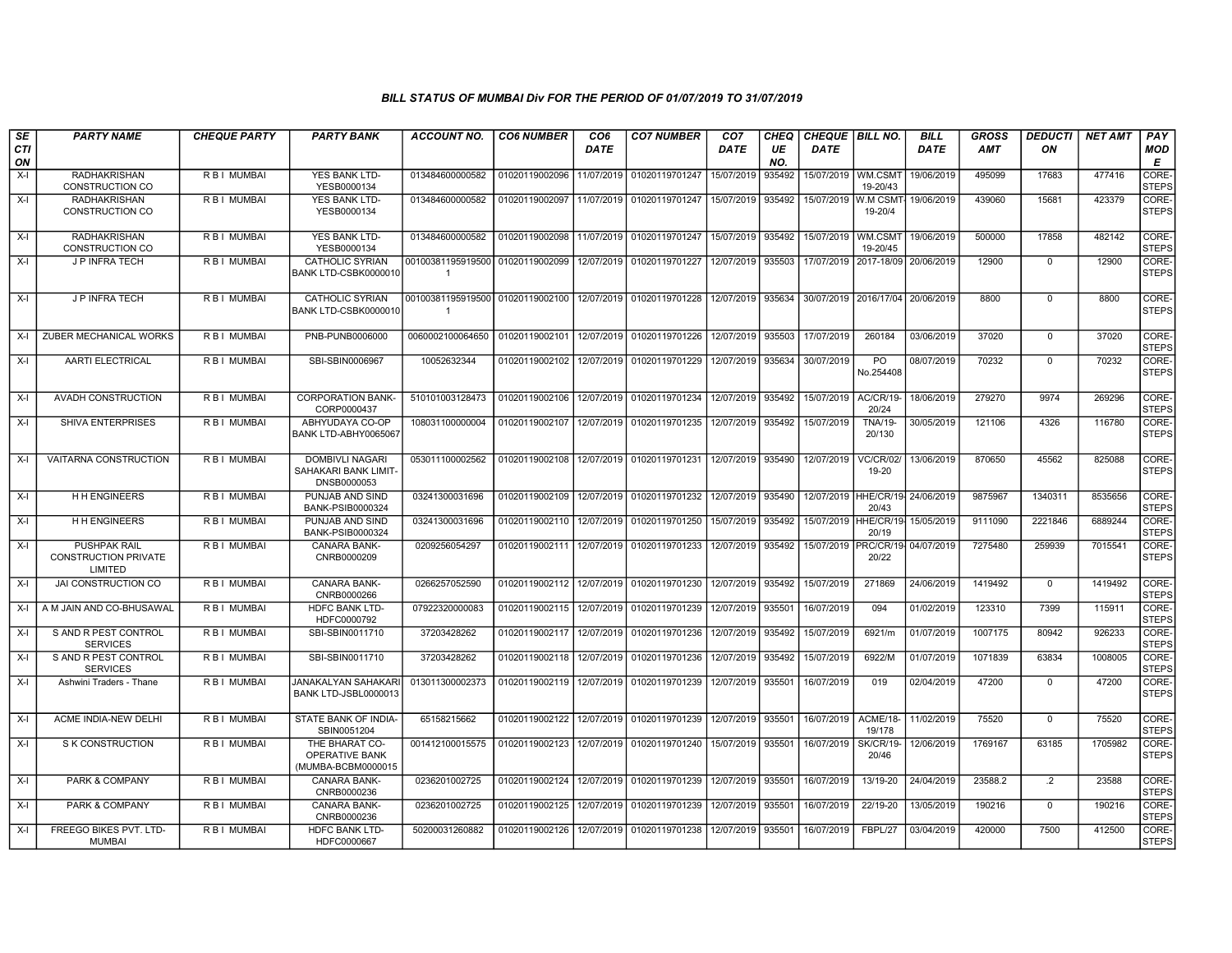| SE        | <b>PARTY NAME</b>                                      | <b>CHEQUE PARTY</b> | <b>PARTY BANK</b>                                             | ACCOUNT NO.                                        | <b>CO6 NUMBER</b>         | CO6         | <b>CO7 NUMBER</b>                        | CO7        | CHEQ      | <b>CHEQUE BILL NO.</b> |                                  | BILL       | GROSS      | <b>DEDUCTI</b>  | NET AMT | <b>PAY</b>            |
|-----------|--------------------------------------------------------|---------------------|---------------------------------------------------------------|----------------------------------------------------|---------------------------|-------------|------------------------------------------|------------|-----------|------------------------|----------------------------------|------------|------------|-----------------|---------|-----------------------|
| CTI<br>ON |                                                        |                     |                                                               |                                                    |                           | <b>DATE</b> |                                          | DATE       | UE<br>NO. | <b>DATE</b>            |                                  | DATE       | <b>AMT</b> | ON              |         | MOD<br>Е              |
| $X-I$     | <b>RADHAKRISHAN</b><br><b>CONSTRUCTION CO</b>          | R B I MUMBAI        | YES BANK LTD-<br>YESB0000134                                  | 013484600000582                                    | 01020119002096            | 11/07/2019  | 01020119701247                           | 15/07/2019 | 935492    | 15/07/2019 WM.CSMT     | 19-20/43                         | 19/06/2019 | 495099     | 17683           | 477416  | CORE-<br><b>STEPS</b> |
| $X-I$     | <b>RADHAKRISHAN</b><br><b>CONSTRUCTION CO</b>          | R B I MUMBAI        | YES BANK LTD-<br>YESB0000134                                  | 013484600000582                                    | 01020119002097            | 11/07/2019  | 01020119701247                           | 15/07/2019 | 935492    | 15/07/2019 W.M CSM     | 19-20/4                          | 19/06/2019 | 439060     | 15681           | 423379  | CORE-<br><b>STEPS</b> |
| $X-I$     | <b>RADHAKRISHAN</b><br><b>CONSTRUCTION CO</b>          | <b>RBI MUMBAI</b>   | <b>YES BANK LTD-</b><br>YESB0000134                           | 013484600000582                                    | 01020119002098            |             | 11/07/2019 01020119701247                | 15/07/2019 | 935492    | 15/07/2019             | WM.CSM1<br>19-20/45              | 19/06/2019 | 500000     | 17858           | 482142  | CORE-<br><b>STEPS</b> |
| X-I       | <b>J P INFRA TECH</b>                                  | R B I MUMBAI        | <b>CATHOLIC SYRIAN</b><br>BANK LTD-CSBK0000010                | 00100381195919500 01020119002099                   |                           | 12/07/2019  | 01020119701227                           | 12/07/2019 | 935503    |                        | 17/07/2019 2017-18/09            | 20/06/2019 | 12900      | $\mathbf 0$     | 12900   | CORE-<br><b>STEPS</b> |
| X-I       | <b>JP INFRATECH</b>                                    | <b>RBI MUMBAI</b>   | <b>CATHOLIC SYRIAN</b><br>BANK LTD-CSBK0000010                | 00100381195919500 01020119002100<br>$\overline{1}$ |                           |             | 12/07/2019 01020119701228                | 12/07/2019 | 935634    |                        | 30/07/2019 2016/17/04 20/06/2019 |            | 8800       | $\mathbf 0$     | 8800    | CORE-<br><b>STEPS</b> |
| $X-I$     | ZUBER MECHANICAL WORKS                                 | R B I MUMBAI        | PNB-PUNB0006000                                               | 0060002100064650                                   | 01020119002101            | 12/07/2019  | 01020119701226                           | 12/07/2019 | 935503    | 17/07/2019             | 260184                           | 03/06/2019 | 37020      | $\mathbf{0}$    | 37020   | CORE-<br><b>STEPS</b> |
| X-I       | <b>AARTI ELECTRICAL</b>                                | R B I MUMBAI        | SBI-SBIN0006967                                               | 10052632344                                        | 01020119002102 12/07/2019 |             | 01020119701229                           | 12/07/2019 | 935634    | 30/07/2019             | PO.<br>No.254408                 | 08/07/2019 | 70232      | $\Omega$        | 70232   | CORE-<br><b>STEPS</b> |
| $X-I$     | AVADH CONSTRUCTION                                     | R B I MUMBAI        | <b>CORPORATION BANK-</b><br>CORP0000437                       | 510101003128473                                    | 01020119002106            | 12/07/2019  | 01020119701234                           | 12/07/2019 | 935492    | 15/07/2019             | AC/CR/19-<br>20/24               | 18/06/2019 | 279270     | 9974            | 269296  | CORE-<br><b>STEPS</b> |
| $X-I$     | SHIVA ENTERPRISES                                      | R B I MUMBAI        | ABHYUDAYA CO-OP<br>BANK LTD-ABHY0065067                       | 108031100000004                                    | 01020119002107            | 12/07/2019  | 01020119701235                           | 12/07/2019 | 935492    | 15/07/2019             | <b>TNA/19-</b><br>20/130         | 30/05/2019 | 121106     | 4326            | 116780  | CORE-<br><b>STEPS</b> |
| $X-I$     | VAITARNA CONSTRUCTION                                  | R B I MUMBAI        | <b>DOMBIVLI NAGARI</b><br>SAHAKARI BANK LIMIT-<br>DNSB0000053 | 053011100002562                                    | 01020119002108            |             | 12/07/2019 01020119701231                | 12/07/2019 | 935490    | 12/07/2019             | <b>VC/CR/02/</b><br>19-20        | 13/06/2019 | 870650     | 45562           | 825088  | CORE-<br><b>STEPS</b> |
| X-I       | <b>H H ENGINEERS</b>                                   | <b>RBI MUMBAI</b>   | PUNJAB AND SIND<br>BANK-PSIB0000324                           | 03241300031696                                     |                           |             | 01020119002109 12/07/2019 01020119701232 | 12/07/2019 | 935490    | 12/07/2019             | HHE/CR/19- 24/06/2019<br>20/43   |            | 9875967    | 1340311         | 8535656 | CORE-<br><b>STEPS</b> |
| X-I       | <b>H H ENGINEERS</b>                                   | <b>RBI MUMBAI</b>   | PUNJAB AND SIND<br>BANK-PSIB0000324                           | 03241300031696                                     | 01020119002110            | 12/07/2019  | 01020119701250                           | 15/07/2019 | 935492    | 15/07/2019             | HHE/CR/19<br>20/19               | 15/05/2019 | 9111090    | 2221846         | 6889244 | CORE-<br><b>STEPS</b> |
| X-I       | PUSHPAK RAIL<br><b>CONSTRUCTION PRIVATE</b><br>LIMITED | R B I MUMBAI        | <b>CANARA BANK-</b><br>CNRB0000209                            | 0209256054297                                      | 01020119002111            | 12/07/2019  | 01020119701233                           | 12/07/2019 | 935492    | 15/07/2019             | PRC/CR/1<br>20/22                | 04/07/2019 | 7275480    | 259939          | 7015541 | CORE-<br><b>STEPS</b> |
| $X-I$     | JAI CONSTRUCTION CO                                    | R B I MUMBAI        | CANARA BANK-<br>CNRB0000266                                   | 0266257052590                                      | 01020119002112            | 12/07/2019  | 01020119701230                           | 12/07/2019 | 935492    | 15/07/2019             | 271869                           | 24/06/2019 | 1419492    | $\mathbf{0}$    | 1419492 | CORE-<br><b>STEPS</b> |
| X-I       | A M JAIN AND CO-BHUSAWAL                               | R B I MUMBAI        | HDFC BANK LTD-<br>HDFC0000792                                 | 07922320000083                                     | 01020119002115            | 12/07/2019  | 01020119701239                           | 12/07/2019 | 935501    | 16/07/2019             | 094                              | 01/02/2019 | 123310     | 7399            | 115911  | CORE-<br><b>STEPS</b> |
| $X-I$     | S AND R PEST CONTROL<br><b>SERVICES</b>                | <b>RBI MUMBAI</b>   | SBI-SBIN0011710                                               | 37203428262                                        | 01020119002117            | 12/07/2019  | 01020119701236                           | 12/07/2019 | 935492    | 15/07/2019             | 6921/m                           | 01/07/2019 | 1007175    | 80942           | 926233  | CORE-<br><b>STEPS</b> |
| X-I       | S AND R PEST CONTROL<br><b>SERVICES</b>                | R B I MUMBAI        | SBI-SBIN0011710                                               | 37203428262                                        | 01020119002118            | 12/07/2019  | 01020119701236                           | 12/07/2019 | 935492    | 15/07/2019             | 6922/M                           | 01/07/2019 | 1071839    | 63834           | 1008005 | CORE-<br><b>STEPS</b> |
| X-I       | Ashwini Traders - Thane                                | R B I MUMBAI        | JANAKALYAN SAHAKARI<br>BANK LTD-JSBL0000013                   | 013011300002373                                    | 01020119002119            | 12/07/2019  | 01020119701239                           | 12/07/2019 | 935501    | 16/07/2019             | 019                              | 02/04/2019 | 47200      | 0               | 47200   | CORE-<br><b>STEPS</b> |
| $X-I$     | ACME INDIA-NEW DELHI                                   | R B I MUMBAI        | STATE BANK OF INDIA-<br>SBIN0051204                           | 65158215662                                        | 01020119002122            |             | 12/07/2019 01020119701239                | 12/07/2019 | 935501    | 16/07/2019             | ACME/18-<br>19/178               | 11/02/2019 | 75520      | $\mathbf 0$     | 75520   | CORE-<br><b>STEPS</b> |
| X-I       | S K CONSTRUCTION                                       | R B I MUMBAI        | THE BHARAT CO-<br>OPERATIVE BANK<br>(MUMBA-BCBM0000015        | 001412100015575                                    | 01020119002123            | 12/07/2019  | 01020119701240                           | 15/07/2019 | 935501    | 16/07/2019             | <b>SK/CR/19</b><br>20/46         | 12/06/2019 | 1769167    | 63185           | 1705982 | CORE-<br><b>STEPS</b> |
| $X-I$     | <b>PARK &amp; COMPANY</b>                              | <b>RBI MUMBAI</b>   | <b>CANARA BANK-</b><br>CNRB0000236                            | 0236201002725                                      | 01020119002124            | 12/07/2019  | 01020119701239                           | 12/07/2019 | 935501    | 16/07/2019             | 13/19-20                         | 24/04/2019 | 23588.2    | $\overline{.2}$ | 23588   | CORE-<br><b>STEPS</b> |
| X-I       | PARK & COMPANY                                         | R B I MUMBAI        | <b>CANARA BANK-</b><br>CNRB0000236                            | 0236201002725                                      | 01020119002125            | 12/07/2019  | 01020119701239                           | 12/07/2019 | 935501    | 16/07/2019             | 22/19-20                         | 13/05/2019 | 190216     | $\mathbf{0}$    | 190216  | CORE-<br><b>STEPS</b> |
| X-I       | FREEGO BIKES PVT. LTD-<br>MUMBAI                       | R B I MUMBAI        | HDFC BANK LTD-<br>HDFC0000667                                 | 50200031260882                                     | 01020119002126            | 12/07/2019  | 01020119701238                           | 12/07/2019 | 935501    | 16/07/2019             | FBPL/27                          | 03/04/2019 | 420000     | 7500            | 412500  | CORE-<br><b>STEPS</b> |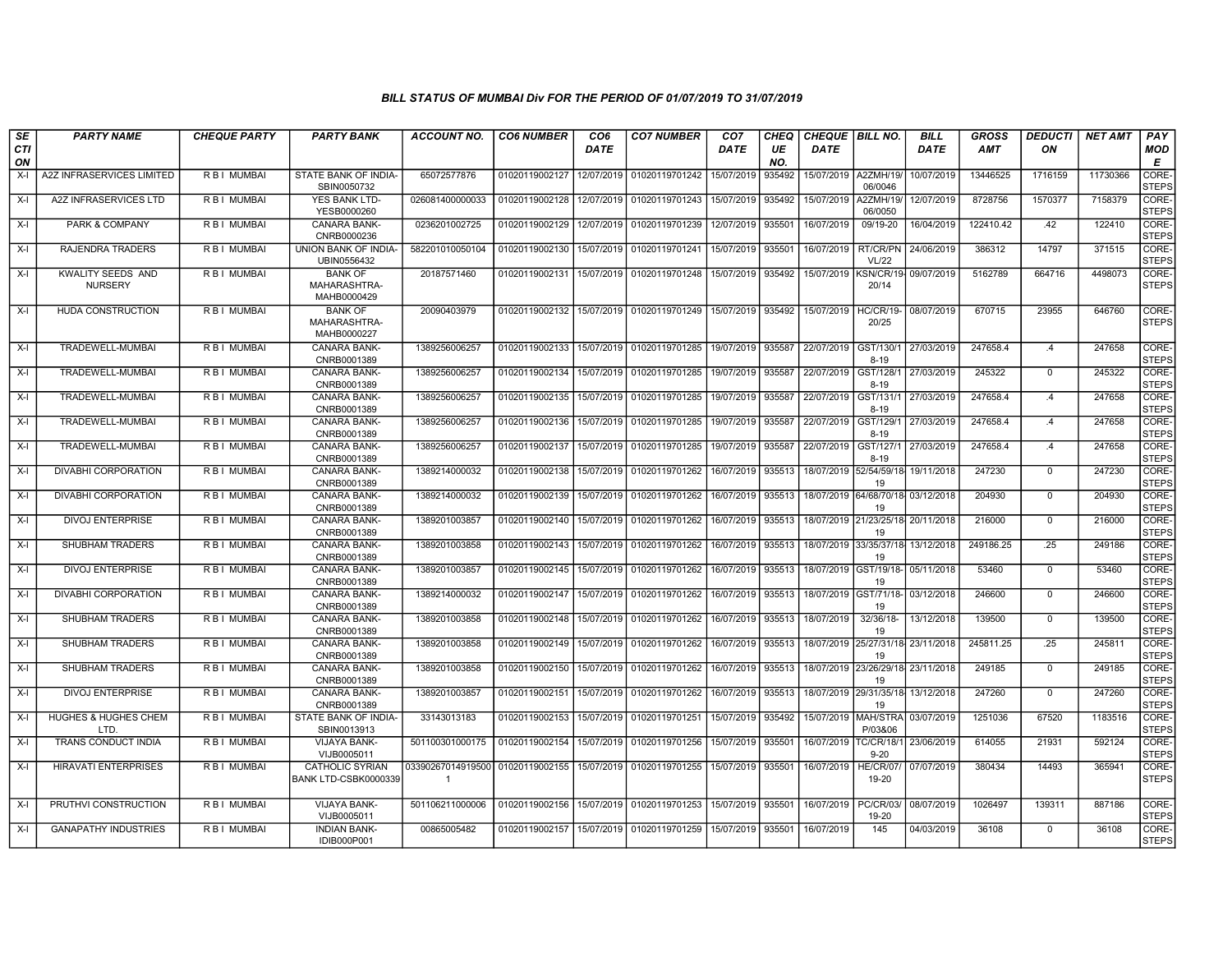| SE               | <b>PARTY NAME</b>                   | <b>CHEQUE PARTY</b> | <b>PARTY BANK</b>                              | ACCOUNT NO.             | <b>CO6 NUMBER</b> | CO <sub>6</sub> | <b>CO7 NUMBER</b>         | CO <sub>7</sub> | CHEQ      |             | <b>CHEQUE   BILL NO.</b>                | <b>BILL</b>          | <b>GROSS</b> | <b>DEDUCTI</b> | <b>NET AMT</b> | PAY                         |
|------------------|-------------------------------------|---------------------|------------------------------------------------|-------------------------|-------------------|-----------------|---------------------------|-----------------|-----------|-------------|-----------------------------------------|----------------------|--------------|----------------|----------------|-----------------------------|
| <b>CTI</b><br>ON |                                     |                     |                                                |                         |                   | DATE            |                           | DATE            | UE<br>NO. | <b>DATE</b> |                                         | DATE                 | AMT          | ON             |                | <b>MOD</b><br>Е             |
| X-I              | A2Z INFRASERVICES LIMITED           | R B I MUMBAI        | STATE BANK OF INDIA-<br>SBIN0050732            | 65072577876             | 01020119002127    | 12/07/2019      | 01020119701242            | 15/07/2019      | 935492    | 15/07/2019  | A2ZMH/19<br>06/0046                     | 10/07/2019           | 13446525     | 1716159        | 11730366       | <b>CORE</b><br><b>STEPS</b> |
| X-I              | A2Z INFRASERVICES LTD               | R B I MUMBAI        | YES BANK LTD-<br>YESB0000260                   | 026081400000033         | 01020119002128    | 12/07/2019      | 01020119701243            | 15/07/2019      | 935492    | 15/07/2019  | A2ZMH/19<br>06/0050                     | 12/07/2019           | 8728756      | 1570377        | 7158379        | CORE-<br><b>STEPS</b>       |
| X-I              | PARK & COMPANY                      | <b>RBI MUMBAI</b>   | <b>CANARA BANK-</b><br>CNRB0000236             | 0236201002725           | 01020119002129    | 12/07/2019      | 01020119701239            | 12/07/2019      | 935501    | 16/07/2019  | 09/19-20                                | 16/04/2019           | 122410.42    | .42            | 122410         | CORE-<br><b>STEPS</b>       |
| $X-I$            | RAJENDRA TRADERS                    | R B I MUMBAI        | UNION BANK OF INDIA-<br>UBIN0556432            | 582201010050104         | 01020119002130    | 15/07/2019      | 01020119701241            | 15/07/2019      | 935501    | 16/07/2019  | RT/CR/PN<br><b>VL/22</b>                | 24/06/2019           | 386312       | 14797          | 371515         | CORE-<br><b>STEPS</b>       |
| X-I              | KWALITY SEEDS AND<br><b>NURSERY</b> | R B I MUMBAI        | <b>BANK OF</b><br>MAHARASHTRA-<br>MAHB0000429  | 20187571460             | 01020119002131    | 15/07/2019      | 01020119701248            | 15/07/2019      | 935492    | 15/07/2019  | 20/14                                   | KSN/CR/19-09/07/2019 | 5162789      | 664716         | 4498073        | CORE-<br><b>STEPS</b>       |
| X-I              | HUDA CONSTRUCTION                   | R B I MUMBAI        | <b>BANK OF</b><br>MAHARASHTRA-<br>MAHB0000227  | 20090403979             | 01020119002132    | 15/07/2019      | 01020119701249            | 15/07/2019      | 935492    | 15/07/2019  | <b>HC/CR/19-</b><br>20/25               | 08/07/2019           | 670715       | 23955          | 646760         | CORE-<br><b>STEPS</b>       |
| X-I              | TRADEWELL-MUMBAI                    | R B I MUMBAI        | <b>CANARA BANK-</b><br>CNRB0001389             | 1389256006257           | 01020119002133    | 15/07/2019      | 01020119701285            | 19/07/2019      | 935587    | 22/07/2019  | GST/130/1<br>$8 - 19$                   | 27/03/2019           | 247658.4     | .4             | 247658         | <b>CORE</b><br><b>STEPS</b> |
| $X-I$            | TRADEWELL-MUMBAI                    | R B I MUMBAI        | CANARA BANK-<br>CNRB0001389                    | 1389256006257           | 01020119002134    | 15/07/2019      | 01020119701285            | 19/07/2019      | 935587    | 22/07/2019  | GST/128/1<br>$8 - 19$                   | 27/03/2019           | 245322       | $\mathbf 0$    | 245322         | CORE-<br><b>STEPS</b>       |
| X-I              | TRADEWELL-MUMBAI                    | R B I MUMBAI        | CANARA BANK-<br>CNRB0001389                    | 1389256006257           | 01020119002135    | 15/07/2019      | 01020119701285            | 19/07/2019      | 935587    | 22/07/2019  | GST/131/1<br>$8 - 19$                   | 27/03/2019           | 247658.4     | .4             | 247658         | CORE-<br><b>STEPS</b>       |
| X-I              | TRADEWELL-MUMBAI                    | R B I MUMBAI        | CANARA BANK-<br>CNRB0001389                    | 1389256006257           | 01020119002136    | 15/07/2019      | 01020119701285            | 19/07/2019      | 935587    | 22/07/2019  | GST/129/1<br>$8 - 19$                   | 27/03/2019           | 247658.4     | .4             | 247658         | CORE-<br><b>STEPS</b>       |
| X-I              | TRADEWELL-MUMBAI                    | R B I MUMBAI        | <b>CANARA BANK-</b><br>CNRB0001389             | 1389256006257           | 01020119002137    | 15/07/2019      | 01020119701285            | 19/07/2019      | 935587    | 22/07/2019  | GST/127/1<br>$8 - 19$                   | 27/03/2019           | 247658.4     | .4             | 247658         | <b>CORE</b><br><b>STEPS</b> |
| $X-I$            | <b>DIVABHI CORPORATION</b>          | R B I MUMBAI        | <b>CANARA BANK-</b><br>CNRB0001389             | 1389214000032           | 01020119002138    | 15/07/2019      | 01020119701262            | 16/07/2019      | 935513    |             | 18/07/2019 52/54/59/18<br>19            | 19/11/2018           | 247230       | $\mathbf 0$    | 247230         | CORE-<br><b>STEPS</b>       |
| X-I              | DIVABHI CORPORATION                 | R B I MUMBAI        | <b>CANARA BANK-</b><br>CNRB0001389             | 1389214000032           | 01020119002139    | 15/07/2019      | 01020119701262            | 16/07/2019      | 935513    |             | 18/07/2019 64/68/70/18 03/12/2018<br>19 |                      | 204930       | $\mathbf{0}$   | 204930         | CORE-<br><b>STEPS</b>       |
| $X-I$            | <b>DIVOJ ENTERPRISE</b>             | <b>RBI MUMBAI</b>   | <b>CANARA BANK-</b><br>CNRB0001389             | 1389201003857           | 01020119002140    | 15/07/2019      | 01020119701262            | 16/07/2019      | 935513    | 18/07/2019  | 21/23/25/18 20/11/2018<br>19            |                      | 216000       | $\mathbf 0$    | 216000         | CORE-<br><b>STEPS</b>       |
| X-I              | SHUBHAM TRADERS                     | R B I MUMBAI        | CANARA BANK-<br>CNRB0001389                    | 1389201003858           | 01020119002143    | 15/07/2019      | 01020119701262            | 16/07/2019      | 935513    | 18/07/2019  | 33/35/37/18<br>19                       | 13/12/2018           | 249186.25    | .25            | 249186         | CORE-<br><b>STEPS</b>       |
| X-I              | <b>DIVOJ ENTERPRISE</b>             | R B I MUMBAI        | <b>CANARA BANK-</b><br>CNRB0001389             | 1389201003857           | 01020119002145    | 15/07/2019      | 01020119701262            | 16/07/2019      | 935513    | 18/07/2019  | GST/19/18-05/11/2018<br>19              |                      | 53460        | $\mathbf{0}$   | 53460          | CORE-<br><b>STEPS</b>       |
| X-I              | <b>DIVABHI CORPORATION</b>          | R B I MUMBAI        | <b>CANARA BANK-</b><br>CNRB0001389             | 1389214000032           | 01020119002147    | 15/07/2019      | 01020119701262            | 16/07/2019      | 935513    | 18/07/2019  | GST/71/18-<br>19                        | 03/12/2018           | 246600       | $\mathbf 0$    | 246600         | CORE-<br><b>STEPS</b>       |
| $X-I$            | SHUBHAM TRADERS                     | R B I MUMBAI        | CANARA BANK-<br>CNRB0001389                    | 1389201003858           | 01020119002148    | 15/07/2019      | 01020119701262            | 16/07/2019      | 935513    | 18/07/2019  | 32/36/18-<br>19                         | 13/12/2018           | 139500       | $\mathbf 0$    | 139500         | <b>CORE</b><br><b>STEPS</b> |
| $X-I$            | <b>SHUBHAM TRADERS</b>              | <b>RBI MUMBAI</b>   | <b>CANARA BANK-</b><br>CNRB0001389             | 1389201003858           | 01020119002149    | 15/07/2019      | 01020119701262            | 16/07/2019      | 935513    |             | 18/07/2019 25/27/31/18 23/11/2018<br>19 |                      | 245811.25    | .25            | 245811         | CORE-<br><b>STEPS</b>       |
| X-I              | <b>SHUBHAM TRADERS</b>              | <b>RBI MUMBAI</b>   | <b>CANARA BANK-</b><br>CNRB0001389             | 1389201003858           | 01020119002150    | 15/07/2019      | 01020119701262            | 16/07/2019      | 935513    |             | 18/07/2019 23/26/29/18 23/11/2018<br>19 |                      | 249185       | $\mathbf{0}$   | 249185         | CORE-<br><b>STEPS</b>       |
| X-I              | <b>DIVOJ ENTERPRISE</b>             | R B I MUMBAI        | <b>CANARA BANK-</b><br>CNRB0001389             | 1389201003857           | 01020119002151    | 15/07/2019      | 01020119701262            | 16/07/2019      | 935513    |             | 18/07/2019 29/31/35/18 13/12/2018<br>19 |                      | 247260       | $^{\circ}$     | 247260         | CORE-<br><b>STEPS</b>       |
| X-I              | HUGHES & HUGHES CHEM<br>LTD.        | R B I MUMBAI        | STATE BANK OF INDIA-<br>SBIN0013913            | 33143013183             | 01020119002153    | 15/07/2019      | 01020119701251            | 15/07/2019      | 935492    | 15/07/2019  | MAH/STRA<br>P/03&06                     | 03/07/2019           | 1251036      | 67520          | 1183516        | CORE-<br><b>STEPS</b>       |
| X-I              | <b>TRANS CONDUCT INDIA</b>          | R B I MUMBAI        | <b>VIJAYA BANK-</b><br>VIJB0005011             | 501100301000175         | 01020119002154    | 15/07/2019      | 01020119701256            | 15/07/2019      | 935501    | 16/07/2019  | <b>TC/CR/18/1</b><br>$9 - 20$           | 23/06/2019           | 614055       | 21931          | 592124         | CORE-<br><b>STEPS</b>       |
| X-I              | <b>HIRAVATI ENTERPRISES</b>         | R B I MUMBAI        | <b>CATHOLIC SYRIAN</b><br>BANK LTD-CSBK0000339 | 03390267014919500<br>-1 | 01020119002155    | 15/07/2019      | 01020119701255            | 15/07/2019      | 935501    | 16/07/2019  | HE/CR/07<br>19-20                       | 07/07/2019           | 380434       | 14493          | 365941         | CORE-<br><b>STEPS</b>       |
| X-I              | PRUTHVI CONSTRUCTION                | <b>RBI MUMBAI</b>   | VIJAYA BANK-<br>VIJB0005011                    | 501106211000006         | 01020119002156    | 15/07/2019      | 01020119701253            | 15/07/2019      | 93550     | 16/07/2019  | <b>PC/CR/03</b><br>19-20                | 08/07/2019           | 1026497      | 139311         | 887186         | CORE-<br><b>STEPS</b>       |
| $X-I$            | <b>GANAPATHY INDUSTRIES</b>         | R B I MUMBAI        | <b>INDIAN BANK-</b><br>IDIB000P001             | 00865005482             | 01020119002157    |                 | 15/07/2019 01020119701259 | 15/07/2019      | 935501    | 16/07/2019  | 145                                     | 04/03/2019           | 36108        | $\mathbf{0}$   | 36108          | CORE-<br><b>STEPS</b>       |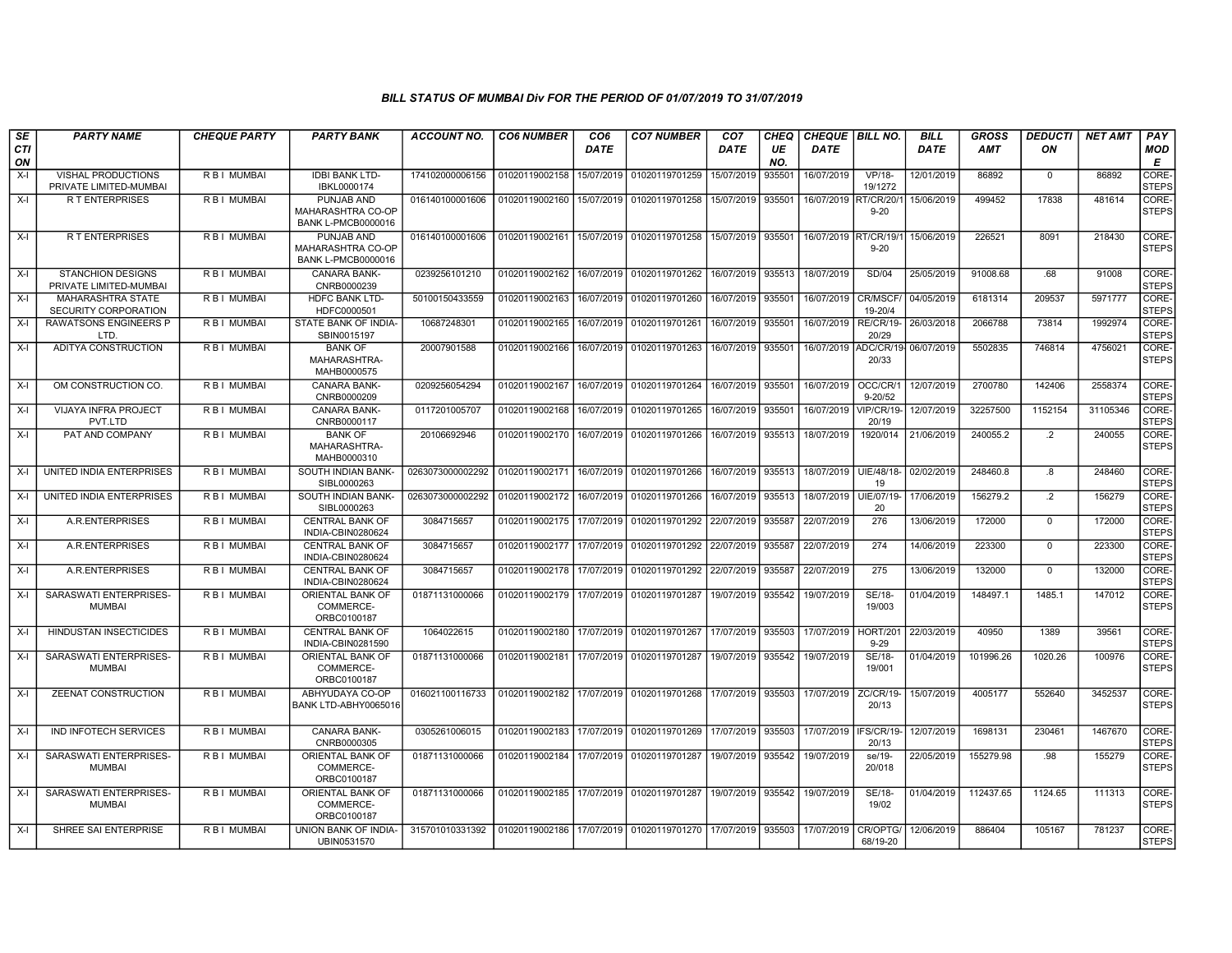| SE        | <b>PARTY NAME</b>                                       | <b>CHEQUE PARTY</b> | <b>PARTY BANK</b>                                            | <b>ACCOUNT NO.</b> | <b>CO6 NUMBER</b> | CO <sub>6</sub> | <b>CO7 NUMBER</b>         | CO7        | CHEQ               | <b>CHEQUE   BILL NO.</b> |                              | <b>BILL</b> | GROSS      | <b>DEDUCTI</b> | <b>NET AMT</b> | <b>PAY</b>            |
|-----------|---------------------------------------------------------|---------------------|--------------------------------------------------------------|--------------------|-------------------|-----------------|---------------------------|------------|--------------------|--------------------------|------------------------------|-------------|------------|----------------|----------------|-----------------------|
| CTI<br>ON |                                                         |                     |                                                              |                    |                   | DATE            |                           | DATE       | UE<br>NO.          | <b>DATE</b>              |                              | <b>DATE</b> | <b>AMT</b> | ON             |                | MOD<br>Е              |
| $X-I$     | VISHAL PRODUCTIONS<br>PRIVATE LIMITED-MUMBAI            | R B I MUMBAI        | <b>IDBI BANK LTD-</b><br>IBKL0000174                         | 174102000006156    | 01020119002158    | 15/07/2019      | 01020119701259            | 15/07/2019 | 93550 <sup>-</sup> | 16/07/2019               | VP/18-<br>19/1272            | 12/01/2019  | 86892      | $\mathbf{0}$   | 86892          | CORE-<br><b>STEPS</b> |
| $X-I$     | <b>RT ENTERPRISES</b>                                   | R B I MUMBAI        | PUNJAB AND<br>MAHARASHTRA CO-OP<br><b>BANK L-PMCB0000016</b> | 016140100001606    | 01020119002160    | 15/07/2019      | 01020119701258            | 15/07/2019 | 935501             | 16/07/2019               | <b>RT/CR/20/</b><br>$9 - 20$ | 15/06/2019  | 499452     | 17838          | 481614         | CORE-<br><b>STEPS</b> |
| $X-I$     | <b>RT ENTERPRISES</b>                                   | R B I MUMBAI        | PUNJAB AND<br>MAHARASHTRA CO-OP<br><b>BANK L-PMCB0000016</b> | 016140100001606    | 01020119002161    | 15/07/2019      | 01020119701258            | 15/07/2019 | 935501             | 16/07/2019               | RT/CR/19<br>$9 - 20$         | 15/06/2019  | 226521     | 8091           | 218430         | CORE-<br><b>STEPS</b> |
| X-I       | <b>STANCHION DESIGNS</b><br>PRIVATE LIMITED-MUMBAI      | R B I MUMBAI        | <b>CANARA BANK-</b><br>CNRB0000239                           | 0239256101210      | 01020119002162    | 16/07/2019      | 01020119701262            | 16/07/2019 | 935513             | 18/07/2019               | SD/04                        | 25/05/2019  | 91008.68   | .68            | 91008          | CORE-<br><b>STEPS</b> |
| $X-I$     | <b>MAHARASHTRA STATE</b><br><b>SECURITY CORPORATION</b> | R B   MUMBAI        | <b>HDFC BANK LTD-</b><br>HDFC0000501                         | 50100150433559     | 01020119002163    | 16/07/2019      | 01020119701260            | 16/07/2019 | 935501             | 16/07/2019               | CR/MSCF/<br>19-20/4          | 04/05/2019  | 6181314    | 209537         | 5971777        | CORE-<br><b>STEPS</b> |
| $X-I$     | <b>RAWATSONS ENGINEERS P</b><br>LTD.                    | R B I MUMBAI        | STATE BANK OF INDIA-<br>SBIN0015197                          | 10687248301        | 01020119002165    | 16/07/2019      | 01020119701261            | 16/07/2019 | 935501             | 16/07/2019               | RE/CR/19-<br>20/29           | 26/03/2018  | 2066788    | 73814          | 1992974        | CORE-<br><b>STEPS</b> |
| $X-I$     | ADITYA CONSTRUCTION                                     | R B I MUMBAI        | <b>BANK OF</b><br>MAHARASHTRA-<br>MAHB0000575                | 20007901588        | 01020119002166    | 16/07/2019      | 01020119701263            | 16/07/2019 | 935501             | 16/07/2019               | ADC/CR/19<br>20/33           | 06/07/2019  | 5502835    | 746814         | 4756021        | CORE-<br><b>STEPS</b> |
| X-I       | OM CONSTRUCTION CO.                                     | <b>RBI MUMBAI</b>   | <b>CANARA BANK-</b><br>CNRB0000209                           | 0209256054294      | 01020119002167    | 16/07/2019      | 01020119701264            | 16/07/2019 | 935501             | 16/07/2019               | OCC/CR/1<br>$9 - 20/52$      | 12/07/2019  | 2700780    | 142406         | 2558374        | CORE-<br><b>STEPS</b> |
| X-I       | <b>VIJAYA INFRA PROJECT</b><br>PVT.LTD                  | R B I MUMBAI        | <b>CANARA BANK-</b><br>CNRB0000117                           | 0117201005707      | 01020119002168    | 16/07/2019      | 01020119701265            | 16/07/2019 | 935501             | 16/07/2019               | VIP/CR/19<br>20/19           | 12/07/2019  | 32257500   | 1152154        | 31105346       | CORE-<br><b>STEPS</b> |
| $X-I$     | PAT AND COMPANY                                         | R B I MUMBAI        | <b>BANK OF</b><br>MAHARASHTRA-<br>MAHB0000310                | 20106692946        | 01020119002170    | 16/07/2019      | 01020119701266            | 16/07/2019 | 935513             | 18/07/2019               | 1920/014                     | 21/06/2019  | 240055.2   | $\overline{2}$ | 240055         | CORE-<br><b>STEPS</b> |
| $X-I$     | UNITED INDIA ENTERPRISES                                | <b>RBI MUMBAI</b>   | SOUTH INDIAN BANK-<br>SIBL0000263                            | 0263073000002292   | 01020119002171    | 16/07/2019      | 01020119701266            | 16/07/2019 | 935513             | 18/07/2019               | UIE/48/18-<br>19             | 02/02/2019  | 248460.8   | .8             | 248460         | CORE-<br><b>STEPS</b> |
| X-I       | UNITED INDIA ENTERPRISES                                | R B I MUMBAI        | SOUTH INDIAN BANK-<br>SIBL0000263                            | 0263073000002292   | 01020119002172    | 16/07/2019      | 01020119701266            | 16/07/2019 | 935513             | 18/07/2019               | UIE/07/19-<br>20             | 17/06/2019  | 156279.2   | $\cdot$        | 156279         | CORE-<br><b>STEPS</b> |
| $X-I$     | A.R.ENTERPRISES                                         | <b>RBI MUMBAI</b>   | <b>CENTRAL BANK OF</b><br>INDIA-CBIN0280624                  | 3084715657         | 01020119002175    | 17/07/2019      | 01020119701292            | 22/07/2019 | 935587             | 22/07/2019               | 276                          | 13/06/2019  | 172000     | $\mathbf{0}$   | 172000         | CORE-<br><b>STEPS</b> |
| $X-I$     | A.R.ENTERPRISES                                         | R B I MUMBAI        | <b>CENTRAL BANK OF</b><br>INDIA-CBIN0280624                  | 3084715657         | 01020119002177    | 17/07/2019      | 01020119701292            | 22/07/2019 | 935587             | 22/07/2019               | 274                          | 14/06/2019  | 223300     | $\overline{0}$ | 223300         | CORE-<br><b>STEPS</b> |
| $X-I$     | A.R.ENTERPRISES                                         | R B I MUMBAI        | <b>CENTRAL BANK OF</b><br>INDIA-CBIN0280624                  | 3084715657         | 01020119002178    | 17/07/2019      | 01020119701292            | 22/07/2019 | 935587             | 22/07/2019               | 275                          | 13/06/2019  | 132000     | $\overline{0}$ | 132000         | CORE-<br><b>STEPS</b> |
| $X-I$     | SARASWATI ENTERPRISES-<br><b>MUMBAI</b>                 | R B I MUMBAI        | ORIENTAL BANK OF<br>COMMERCE-<br>ORBC0100187                 | 01871131000066     | 01020119002179    | 17/07/2019      | 01020119701287            | 19/07/2019 | 935542             | 19/07/2019               | SE/18-<br>19/003             | 01/04/2019  | 148497.1   | 1485.1         | 147012         | CORE-<br><b>STEPS</b> |
| $X-I$     | HINDUSTAN INSECTICIDES                                  | <b>RBI MUMBAI</b>   | <b>CENTRAL BANK OF</b><br>INDIA-CBIN0281590                  | 1064022615         | 01020119002180    | 17/07/2019      | 01020119701267            | 17/07/2019 | 935503             | 17/07/2019               | HORT/201<br>$9 - 29$         | 22/03/2019  | 40950      | 1389           | 39561          | CORE-<br><b>STEPS</b> |
| $X-I$     | SARASWATI ENTERPRISES-<br><b>MUMBAI</b>                 | R B I MUMBAI        | ORIENTAL BANK OF<br>COMMERCE-<br>ORBC0100187                 | 01871131000066     | 01020119002181    | 17/07/2019      | 01020119701287            | 19/07/2019 | 935542             | 19/07/2019               | SE/18-<br>19/001             | 01/04/2019  | 101996.26  | 1020.26        | 100976         | CORE-<br><b>STEPS</b> |
| $X-I$     | ZEENAT CONSTRUCTION                                     | R B I MUMBAI        | ABHYUDAYA CO-OP<br>BANK LTD-ABHY0065016                      | 016021100116733    | 01020119002182    |                 | 17/07/2019 01020119701268 | 17/07/2019 | 935503             | 17/07/2019               | ZC/CR/19<br>20/13            | 15/07/2019  | 4005177    | 552640         | 3452537        | CORE-<br><b>STEPS</b> |
| $X-I$     | IND INFOTECH SERVICES                                   | R B I MUMBAI        | <b>CANARA BANK-</b><br>CNRB0000305                           | 0305261006015      | 01020119002183    | 17/07/2019      | 01020119701269            | 17/07/2019 | 935503             | 17/07/2019               | FS/CR/19-<br>20/13           | 12/07/2019  | 1698131    | 230461         | 1467670        | CORE-<br><b>STEPS</b> |
| $X-I$     | SARASWATI ENTERPRISES-<br><b>MUMBAI</b>                 | <b>RBI MUMBAI</b>   | ORIENTAL BANK OF<br>COMMERCE-<br>ORBC0100187                 | 01871131000066     | 01020119002184    | 17/07/2019      | 01020119701287            | 19/07/2019 | 935542             | 19/07/2019               | se/19-<br>20/018             | 22/05/2019  | 155279.98  | .98            | 155279         | CORE-<br><b>STEPS</b> |
| $X-I$     | SARASWATI ENTERPRISES-<br><b>MUMBAI</b>                 | R B I MUMBAI        | ORIENTAL BANK OF<br>COMMERCE-<br>ORBC0100187                 | 01871131000066     | 01020119002185    | 17/07/2019      | 01020119701287            | 19/07/2019 | 935542             | 19/07/2019               | SE/18-<br>19/02              | 01/04/2019  | 112437.65  | 1124.65        | 111313         | CORE-<br><b>STEPS</b> |
| X-I       | SHREE SAI ENTERPRISE                                    | R B I MUMBAI        | <b>UNION BANK OF INDIA-</b><br>UBIN0531570                   | 315701010331392    | 01020119002186    |                 | 17/07/2019 01020119701270 | 17/07/2019 | 935503             | 17/07/2019               | CR/OPTG/<br>68/19-20         | 12/06/2019  | 886404     | 105167         | 781237         | CORE-<br><b>STEPS</b> |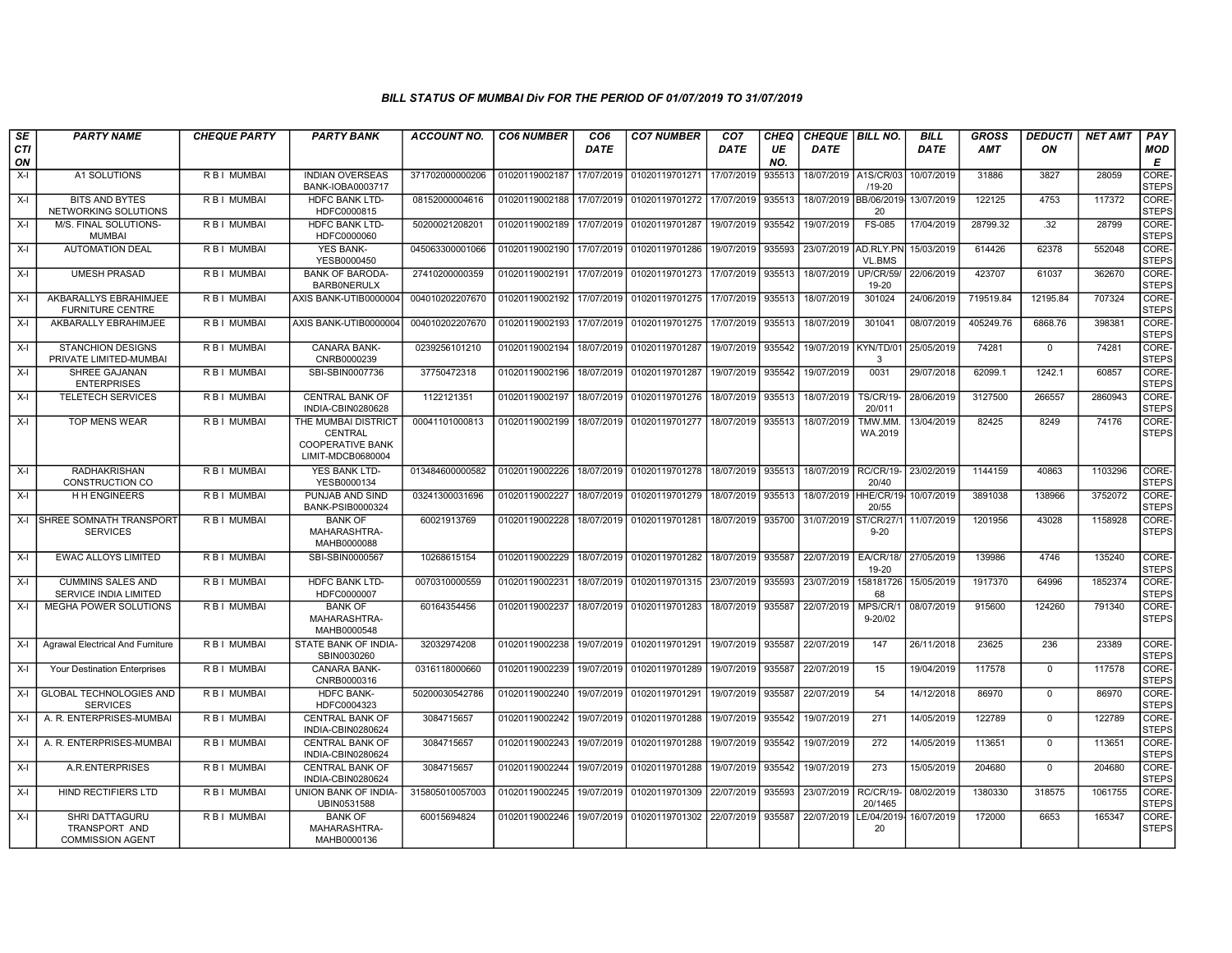| SE        | <b>PARTY NAME</b>                                          | <b>CHEQUE PARTY</b> | <b>PARTY BANK</b>                                                              | <b>ACCOUNT NO.</b> | <b>CO6 NUMBER</b> | CO6         | <b>CO7 NUMBER</b>         | CO7        | CHEQ      | <b>CHEQUE BILL NO.</b> |                            | <b>BILL</b> | <b>GROSS</b> | <b>DEDUCTI</b> | NET AMT | <b>PAY</b>            |
|-----------|------------------------------------------------------------|---------------------|--------------------------------------------------------------------------------|--------------------|-------------------|-------------|---------------------------|------------|-----------|------------------------|----------------------------|-------------|--------------|----------------|---------|-----------------------|
| CTI<br>ON |                                                            |                     |                                                                                |                    |                   | <b>DATE</b> |                           | DATE       | UE<br>NO. | <b>DATE</b>            |                            | <b>DATE</b> | <b>AMT</b>   | ON             |         | MOD<br>E              |
| $X-I$     | A1 SOLUTIONS                                               | R B I MUMBAI        | <b>INDIAN OVERSEAS</b><br>BANK-IOBA0003717                                     | 371702000000206    | 01020119002187    | 17/07/2019  | 01020119701271            | 17/07/2019 | 935513    | 18/07/2019 A1S/CR/03   | $/19 - 20$                 | 10/07/2019  | 31886        | 3827           | 28059   | CORE-<br><b>STEPS</b> |
| $X-I$     | <b>BITS AND BYTES</b><br>NETWORKING SOLUTIONS              | R B I MUMBAI        | HDFC BANK LTD-<br>HDFC0000815                                                  | 08152000004616     | 01020119002188    | 17/07/2019  | 01020119701272            | 17/07/2019 | 935513    | 18/07/2019             | <b>BB/06/201</b><br>20     | 13/07/2019  | 122125       | 4753           | 117372  | CORE-<br><b>STEPS</b> |
| $X-I$     | M/S. FINAL SOLUTIONS-<br>MUMBAI                            | R B I MUMBAI        | <b>HDFC BANK LTD-</b><br>HDFC0000060                                           | 50200021208201     | 01020119002189    | 17/07/2019  | 01020119701287            | 19/07/2019 | 935542    | 19/07/2019             | FS-085                     | 17/04/2019  | 28799.32     | .32            | 28799   | CORE-<br><b>STEPS</b> |
| $X-I$     | <b>AUTOMATION DEAL</b>                                     | R B I MUMBAI        | YES BANK-<br>YESB0000450                                                       | 045063300001066    | 01020119002190    | 17/07/2019  | 01020119701286            | 19/07/2019 | 935593    | 23/07/2019 AD.RLY.PN   | <b>VL.BMS</b>              | 15/03/2019  | 614426       | 62378          | 552048  | CORE-<br><b>STEPS</b> |
| $X-I$     | <b>UMESH PRASAD</b>                                        | R B I MUMBAI        | <b>BANK OF BARODA-</b><br><b>BARBONERULX</b>                                   | 27410200000359     | 01020119002191    | 17/07/2019  | 01020119701273            | 17/07/2019 | 935513    | 18/07/2019             | <b>UP/CR/59/</b><br>19-20  | 22/06/2019  | 423707       | 61037          | 362670  | CORE-<br><b>STEPS</b> |
| $X-I$     | AKBARALLYS EBRAHIMJEE<br><b>FURNITURE CENTRE</b>           | R B I MUMBAI        | AXIS BANK-UTIB0000004                                                          | 004010202207670    | 01020119002192    | 17/07/2019  | 01020119701275            | 17/07/2019 | 935513    | 18/07/2019             | 301024                     | 24/06/2019  | 719519.84    | 12195.84       | 707324  | CORE-<br><b>STEPS</b> |
| $X-I$     | AKBARALLY EBRAHIMJEE                                       | R B I MUMBAI        | AXIS BANK-UTIB0000004                                                          | 004010202207670    | 01020119002193    | 17/07/2019  | 01020119701275            | 17/07/2019 | 935513    | 18/07/2019             | 301041                     | 08/07/2019  | 405249.76    | 6868.76        | 398381  | CORE-<br><b>STEPS</b> |
| $X-I$     | <b>STANCHION DESIGNS</b><br>PRIVATE LIMITED-MUMBAI         | R B I MUMBAI        | <b>CANARA BANK-</b><br>CNRB0000239                                             | 0239256101210      | 01020119002194    | 18/07/2019  | 01020119701287            | 19/07/2019 | 935542    | 19/07/2019 KYN/TD/0    | 3                          | 25/05/2019  | 74281        | $\Omega$       | 74281   | CORE-<br><b>STEPS</b> |
| $X-I$     | SHREE GAJANAN<br><b>ENTERPRISES</b>                        | R B I MUMBAI        | SBI-SBIN0007736                                                                | 37750472318        | 01020119002196    | 18/07/2019  | 01020119701287            | 19/07/2019 | 935542    | 19/07/2019             | 0031                       | 29/07/2018  | 62099.1      | 1242.1         | 60857   | CORE-<br><b>STEPS</b> |
| $X-I$     | <b>TELETECH SERVICES</b>                                   | R B I MUMBAI        | <b>CENTRAL BANK OF</b><br>INDIA-CBIN0280628                                    | 1122121351         | 01020119002197    | 18/07/2019  | 01020119701276            | 18/07/2019 | 935513    | 18/07/2019             | <b>TS/CR/19-</b><br>20/011 | 28/06/2019  | 3127500      | 266557         | 2860943 | CORE-<br><b>STEPS</b> |
| $X-I$     | <b>TOP MENS WEAR</b>                                       | R B I MUMBAI        | THE MUMBAI DISTRICT<br>CENTRAL<br><b>COOPERATIVE BANK</b><br>LIMIT-MDCB0680004 | 00041101000813     | 01020119002199    | 18/07/2019  | 01020119701277            | 18/07/2019 | 935513    | 18/07/2019             | TMW.MM.<br>WA.2019         | 13/04/2019  | 82425        | 8249           | 74176   | CORE-<br><b>STEPS</b> |
| $X-I$     | <b>RADHAKRISHAN</b><br>CONSTRUCTION CO                     | R B   MUMBAI        | <b>YES BANK LTD-</b><br>YESB0000134                                            | 013484600000582    | 01020119002226    |             | 18/07/2019 01020119701278 | 18/07/2019 | 935513    | 18/07/2019             | <b>RC/CR/19-</b><br>20/40  | 23/02/2019  | 1144159      | 40863          | 1103296 | CORE-<br><b>STEPS</b> |
| $X-I$     | H H ENGINEERS                                              | R B I MUMBAI        | PUNJAB AND SIND<br><b>BANK-PSIB0000324</b>                                     | 03241300031696     | 01020119002227    |             | 18/07/2019 01020119701279 | 18/07/2019 | 935513    | 18/07/2019             | HHE/CR/19<br>20/55         | 10/07/2019  | 3891038      | 138966         | 3752072 | CORE-<br><b>STEPS</b> |
|           | X-I SHREE SOMNATH TRANSPORT<br><b>SERVICES</b>             | R B I MUMBAI        | <b>BANK OF</b><br>MAHARASHTRA-<br>MAHB0000088                                  | 60021913769        | 01020119002228    | 18/07/2019  | 01020119701281            | 18/07/2019 | 935700    | 31/07/2019             | ST/CR/27/<br>$9 - 20$      | 11/07/2019  | 1201956      | 43028          | 1158928 | CORE-<br><b>STEPS</b> |
| $X-I$     | EWAC ALLOYS LIMITED                                        | R B I MUMBAI        | SBI-SBIN0000567                                                                | 10268615154        | 01020119002229    | 18/07/2019  | 01020119701282            | 18/07/2019 | 935587    | 22/07/2019             | EA/CR/18/<br>19-20         | 27/05/2019  | 139986       | 4746           | 135240  | CORE-<br><b>STEPS</b> |
| $X-I$     | <b>CUMMINS SALES AND</b><br>SERVICE INDIA LIMITED          | R B I MUMBAI        | <b>HDFC BANK LTD-</b><br>HDFC0000007                                           | 0070310000559      | 01020119002231    | 18/07/2019  | 01020119701315            | 23/07/2019 | 935593    | 23/07/2019             | 158181726<br>68            | 15/05/2019  | 1917370      | 64996          | 1852374 | CORE-<br><b>STEPS</b> |
| $X-I$     | <b>MEGHA POWER SOLUTIONS</b>                               | R B I MUMBAI        | <b>BANK OF</b><br>MAHARASHTRA-<br>MAHB0000548                                  | 60164354456        | 01020119002237    | 18/07/2019  | 01020119701283            | 18/07/2019 | 935587    | 22/07/2019             | MPS/CR/1<br>$9 - 20/02$    | 08/07/2019  | 915600       | 124260         | 791340  | CORE-<br><b>STEPS</b> |
| $X-I$     | Agrawal Electrical And Furniture                           | R B I MUMBAI        | STATE BANK OF INDIA-<br>SBIN0030260                                            | 32032974208        | 01020119002238    | 19/07/2019  | 01020119701291            | 19/07/2019 | 935587    | 22/07/2019             | 147                        | 26/11/2018  | 23625        | 236            | 23389   | CORE-<br><b>STEPS</b> |
| X-I       | Your Destination Enterprises                               | R B I MUMBAI        | CANARA BANK-<br>CNRB0000316                                                    | 0316118000660      | 01020119002239    |             | 19/07/2019 01020119701289 | 19/07/2019 | 935587    | 22/07/2019             | 15                         | 19/04/2019  | 117578       | $\mathbf{0}$   | 117578  | CORE-<br><b>STEPS</b> |
| X-I       | <b>GLOBAL TECHNOLOGIES AND</b><br><b>SERVICES</b>          | R B I MUMBAI        | <b>HDFC BANK-</b><br>HDFC0004323                                               | 50200030542786     | 01020119002240    | 19/07/2019  | 01020119701291            | 19/07/2019 | 935587    | 22/07/2019             | 54                         | 14/12/2018  | 86970        | $\mathbf 0$    | 86970   | CORE-<br><b>STEPS</b> |
| $X-I$     | A. R. ENTERPRISES-MUMBAI                                   | R B I MUMBAI        | <b>CENTRAL BANK OF</b><br>INDIA-CBIN0280624                                    | 3084715657         | 01020119002242    | 19/07/2019  | 01020119701288            | 19/07/2019 | 935542    | 19/07/2019             | 271                        | 14/05/2019  | 122789       | $\Omega$       | 122789  | CORE-<br><b>STEPS</b> |
| $X-I$     | A. R. ENTERPRISES-MUMBAI                                   | R B I MUMBAI        | <b>CENTRAL BANK OF</b><br>INDIA-CBIN0280624                                    | 3084715657         | 01020119002243    | 19/07/2019  | 01020119701288            | 19/07/2019 | 935542    | 19/07/2019             | 272                        | 14/05/2019  | 113651       | $\Omega$       | 113651  | CORE-<br><b>STEPS</b> |
| $X-I$     | A.R.ENTERPRISES                                            | R B I MUMBAI        | <b>CENTRAL BANK OF</b><br>INDIA-CBIN0280624                                    | 3084715657         | 01020119002244    | 19/07/2019  | 01020119701288            | 19/07/2019 | 935542    | 19/07/2019             | 273                        | 15/05/2019  | 204680       | $\mathbf 0$    | 204680  | CORE-<br><b>STEPS</b> |
| X-I       | <b>HIND RECTIFIERS LTD</b>                                 | R B I MUMBAI        | UNION BANK OF INDIA-<br>UBIN0531588                                            | 315805010057003    | 01020119002245    | 19/07/2019  | 01020119701309            | 22/07/2019 | 935593    | 23/07/2019             | RC/CR/19-<br>20/1465       | 08/02/2019  | 1380330      | 318575         | 1061755 | CORE-<br><b>STEPS</b> |
| X-I       | SHRI DATTAGURU<br>TRANSPORT AND<br><b>COMMISSION AGENT</b> | R B I MUMBAI        | <b>BANK OF</b><br>MAHARASHTRA-<br>MAHB0000136                                  | 60015694824        | 01020119002246    | 19/07/2019  | 01020119701302            | 22/07/2019 | 935587    | 22/07/2019             | LE/04/2019<br>20           | 16/07/2019  | 172000       | 6653           | 165347  | CORE-<br><b>STEPS</b> |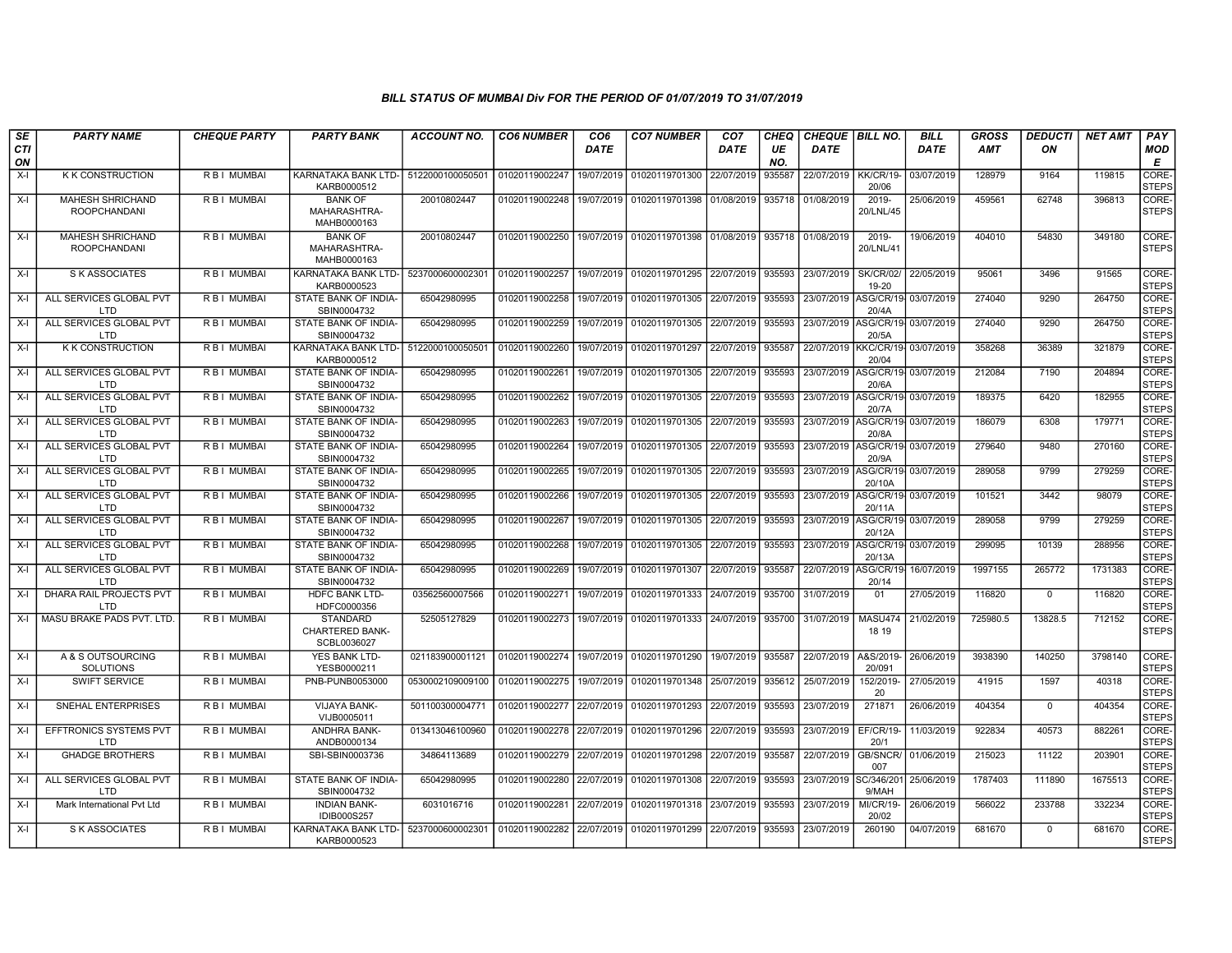| SE        | <b>PARTY NAME</b>                              | <b>CHEQUE PARTY</b> | <b>PARTY BANK</b>                                        | <b>ACCOUNT NO.</b> | <b>CO6 NUMBER</b> | CO6         | <b>CO7 NUMBER</b>                        | CO7         | <b>CHEQ</b> | <b>CHEQUE   BILL NO.</b>        |                               | <b>BILL</b>          | <b>GROSS</b> | <b>DEDUCTI</b> | NET AMT | <b>PAY</b>            |
|-----------|------------------------------------------------|---------------------|----------------------------------------------------------|--------------------|-------------------|-------------|------------------------------------------|-------------|-------------|---------------------------------|-------------------------------|----------------------|--------------|----------------|---------|-----------------------|
| CTI<br>ON |                                                |                     |                                                          |                    |                   | <b>DATE</b> |                                          | <b>DATE</b> | UE<br>NO.   | <b>DATE</b>                     |                               | <b>DATE</b>          | AMT          | ON             |         | MOD<br>E              |
| $X-I$     | <b>K K CONSTRUCTION</b>                        | R B   MUMBAI        | KARNATAKA BANK LTD- 5122000100050501<br>KARB0000512      |                    | 01020119002247    | 19/07/2019  | 01020119701300                           | 22/07/2019  | 935587      | 22/07/2019                      | KK/CR/19-<br>20/06            | 03/07/2019           | 128979       | 9164           | 119815  | CORE-<br><b>STEPS</b> |
| $X-I$     | <b>MAHESH SHRICHAND</b><br><b>ROOPCHANDANI</b> | R B I MUMBAI        | <b>BANK OF</b><br>MAHARASHTRA-<br>MAHB0000163            | 20010802447        | 01020119002248    |             | 19/07/2019 01020119701398                | 01/08/2019  | 935718      | 01/08/2019                      | 2019-<br>20/LNL/45            | 25/06/2019           | 459561       | 62748          | 396813  | CORE-<br><b>STEPS</b> |
| X-I       | <b>MAHESH SHRICHAND</b><br><b>ROOPCHANDANI</b> | R B I MUMBAI        | <b>BANK OF</b><br>MAHARASHTRA-<br>MAHB0000163            | 20010802447        | 01020119002250    |             | 19/07/2019 01020119701398 01/08/2019     |             |             | 935718 01/08/2019               | 2019-<br>20/LNL/41            | 19/06/2019           | 404010       | 54830          | 349180  | CORE-<br><b>STEPS</b> |
| $X-I$     | S K ASSOCIATES                                 | R B I MUMBAI        | KARNATAKA BANK LTD-<br>KARB0000523                       | 5237000600002301   | 01020119002257    |             | 19/07/2019 01020119701295                | 22/07/2019  | 935593      | 23/07/2019                      | <b>SK/CR/02/</b><br>19-20     | 22/05/2019           | 95061        | 3496           | 91565   | CORE-<br><b>STEPS</b> |
| $X-I$     | ALL SERVICES GLOBAL PVT<br>LTD.                | R B I MUMBAI        | STATE BANK OF INDIA-<br>SBIN0004732                      | 65042980995        | 01020119002258    |             | 19/07/2019 01020119701305                | 22/07/2019  | 935593      | 23/07/2019 ASG/CR/19            | 20/4A                         | 03/07/2019           | 274040       | 9290           | 264750  | CORE-<br><b>STEPS</b> |
| $X-I$     | ALL SERVICES GLOBAL PVT<br><b>LTD</b>          | R B I MUMBAI        | STATE BANK OF INDIA-<br>SBIN0004732                      | 65042980995        | 01020119002259    |             | 19/07/2019 01020119701305                | 22/07/2019  | 935593      | 23/07/2019 ASG/CR/19            | 20/5A                         | 03/07/2019           | 274040       | 9290           | 264750  | CORE-<br><b>STEPS</b> |
| $X-I$     | <b>K K CONSTRUCTION</b>                        | R B I MUMBAI        | KARNATAKA BANK LTD-<br>KARB0000512                       | 512200010005050    | 01020119002260    | 19/07/2019  | 01020119701297                           | 22/07/2019  | 935587      | 22/07/2019                      | 20/04                         | KKC/CR/19 03/07/2019 | 358268       | 36389          | 321879  | CORE-<br><b>STEPS</b> |
| $X-I$     | ALL SERVICES GLOBAL PVT<br>LTD.                | R B I MUMBAI        | STATE BANK OF INDIA-<br>SBIN0004732                      | 65042980995        | 01020119002261    | 19/07/2019  | 01020119701305                           | 22/07/2019  | 935593      | 23/07/2019                      | ASG/CR/19-<br>20/6A           | 03/07/2019           | 212084       | 7190           | 204894  | CORE-<br><b>STEPS</b> |
| $X-I$     | ALL SERVICES GLOBAL PVT<br>LTD.                | R B I MUMBAI        | STATE BANK OF INDIA-<br>SBIN0004732                      | 65042980995        | 01020119002262    |             | 19/07/2019 01020119701305                | 22/07/2019  | 935593      | 23/07/2019                      | ASG/CR/19 03/07/2019<br>20/7A |                      | 189375       | 6420           | 182955  | CORE-<br><b>STEPS</b> |
| $X-I$     | ALL SERVICES GLOBAL PVT<br>LTD                 | R B I MUMBAI        | STATE BANK OF INDIA-<br>SBIN0004732                      | 65042980995        | 01020119002263    | 19/07/2019  | 01020119701305 22/07/2019                |             | 935593      | 23/07/2019 ASG/CR/19 03/07/2019 | 20/8A                         |                      | 186079       | 6308           | 179771  | CORE-<br><b>STEPS</b> |
| $X-I$     | ALL SERVICES GLOBAL PVT<br>LTD                 | R B I MUMBAI        | STATE BANK OF INDIA-<br>SBIN0004732                      | 65042980995        | 01020119002264    |             | 19/07/2019 01020119701305                | 22/07/2019  | 935593      | 23/07/2019                      | 20/9A                         | ASG/CR/19 03/07/2019 | 279640       | 9480           | 270160  | CORE-<br><b>STEPS</b> |
| $X-I$     | ALL SERVICES GLOBAL PVT<br>LTD.                | R B I MUMBAI        | STATE BANK OF INDIA-<br>SBIN0004732                      | 65042980995        | 01020119002265    |             | 19/07/2019 01020119701305                | 22/07/2019  | 935593      | 23/07/2019                      | 20/10A                        | ASG/CR/19 03/07/2019 | 289058       | 9799           | 279259  | CORE-<br><b>STEPS</b> |
| $X-I$     | ALL SERVICES GLOBAL PVT<br>LTD.                | R B I MUMBAI        | STATE BANK OF INDIA-<br>SBIN0004732                      | 65042980995        | 01020119002266    |             | 19/07/2019 01020119701305                | 22/07/2019  | 935593      | 23/07/2019                      | ASG/CR/19<br>20/11A           | 03/07/2019           | 101521       | 3442           | 98079   | CORE-<br><b>STEPS</b> |
| $X-I$     | ALL SERVICES GLOBAL PVT<br>LTD.                | <b>RBI MUMBAI</b>   | STATE BANK OF INDIA-<br>SBIN0004732                      | 65042980995        | 01020119002267    |             | 19/07/2019 01020119701305                | 22/07/2019  | 935593      | 23/07/2019                      | ASG/CR/19-<br>20/12A          | 03/07/2019           | 289058       | 9799           | 279259  | CORE-<br><b>STEPS</b> |
| $X-I$     | ALL SERVICES GLOBAL PVT<br>LTD.                | R B I MUMBAI        | STATE BANK OF INDIA-<br>SBIN0004732                      | 65042980995        | 01020119002268    |             | 19/07/2019   01020119701305              | 22/07/2019  | 935593      | 23/07/2019                      | ASG/CR/19-<br>20/13A          | 03/07/2019           | 299095       | 10139          | 288956  | CORE-<br><b>STEPS</b> |
| $X-I$     | ALL SERVICES GLOBAL PVT<br><b>LTD</b>          | R B I MUMBAI        | STATE BANK OF INDIA-<br>SBIN0004732                      | 65042980995        | 01020119002269    |             | 19/07/2019   01020119701307              | 22/07/2019  | 935587      | 22/07/2019                      | ASG/CR/19-<br>20/14           | 16/07/2019           | 1997155      | 265772         | 1731383 | CORE-<br><b>STEPS</b> |
| $X-I$     | DHARA RAIL PROJECTS PVT<br><b>LTD</b>          | R B I MUMBAI        | <b>HDFC BANK LTD-</b><br>HDFC0000356                     | 03562560007566     | 01020119002271    | 19/07/2019  | 01020119701333                           | 24/07/2019  | 935700      | 31/07/2019                      | 01                            | 27/05/2019           | 116820       | $^{\circ}$     | 116820  | CORE-<br><b>STEPS</b> |
| $X-I$     | MASU BRAKE PADS PVT. LTD.                      | R B I MUMBAI        | <b>STANDARD</b><br><b>CHARTERED BANK-</b><br>SCBL0036027 | 52505127829        | 01020119002273    |             | 19/07/2019 01020119701333                | 24/07/2019  | 935700      | 31/07/2019                      | <b>MASU474</b><br>18 19       | 21/02/2019           | 725980.5     | 13828.5        | 712152  | CORE-<br><b>STEPS</b> |
| $X-I$     | A & S OUTSOURCING<br>SOLUTIONS                 | R B I MUMBAI        | <b>YES BANK LTD-</b><br>YESB0000211                      | 021183900001121    | 01020119002274    |             | 19/07/2019 01020119701290                | 19/07/2019  | 935587      | 22/07/2019                      | A&S/2019-<br>20/091           | 26/06/2019           | 3938390      | 140250         | 3798140 | CORE-<br><b>STEPS</b> |
| $X-I$     | <b>SWIFT SERVICE</b>                           | R B I MUMBAI        | PNB-PUNB0053000                                          | 0530002109009100   | 01020119002275    | 19/07/2019  | 01020119701348                           | 25/07/2019  | 935612      | 25/07/2019                      | 152/2019-<br>20               | 27/05/2019           | 41915        | 1597           | 40318   | CORE-<br><b>STEPS</b> |
| $X-I$     | SNEHAL ENTERPRISES                             | R B I MUMBAI        | VIJAYA BANK-<br>VIJB0005011                              | 501100300004771    | 01020119002277    |             | 22/07/2019 01020119701293                | 22/07/2019  | 935593      | 23/07/2019                      | 271871                        | 26/06/2019           | 404354       | $\mathbf{0}$   | 404354  | CORE-<br><b>STEPS</b> |
| $X-I$     | EFFTRONICS SYSTEMS PVT<br><b>LTD</b>           | R B I MUMBAI        | <b>ANDHRA BANK-</b><br>ANDB0000134                       | 013413046100960    | 01020119002278    |             | 22/07/2019 01020119701296                | 22/07/2019  | 935593      | 23/07/2019                      | EF/CR/19-<br>20/1             | 11/03/2019           | 922834       | 40573          | 882261  | CORE-<br><b>STEPS</b> |
| $X-I$     | <b>GHADGE BROTHERS</b>                         | R B I MUMBAI        | SBI-SBIN0003736                                          | 34864113689        | 01020119002279    | 22/07/2019  | 01020119701298                           | 22/07/2019  | 935587      | 22/07/2019                      | GB/SNCR/<br>007               | 01/06/2019           | 215023       | 11122          | 203901  | CORE-<br><b>STEPS</b> |
| $X-I$     | ALL SERVICES GLOBAL PVT<br>LTD.                | R B I MUMBAI        | STATE BANK OF INDIA-<br>SBIN0004732                      | 65042980995        | 01020119002280    |             | 22/07/2019 01020119701308                | 22/07/2019  | 935593      | 23/07/2019                      | SC/346/201<br>9/MAH           | 25/06/2019           | 1787403      | 111890         | 1675513 | CORE-<br><b>STEPS</b> |
| $X-I$     | Mark International Pvt Ltd                     | R B I MUMBAI        | <b>INDIAN BANK-</b><br><b>IDIB000S257</b>                | 6031016716         | 01020119002281    |             | 22/07/2019 01020119701318                | 23/07/2019  | 935593      | 23/07/2019                      | <b>MI/CR/19-</b><br>20/02     | 26/06/2019           | 566022       | 233788         | 332234  | CORE-<br><b>STEPS</b> |
| $X-I$     | S K ASSOCIATES                                 | R B I MUMBAI        | KARNATAKA BANK LTD-<br>KARB0000523                       | 5237000600002301   |                   |             | 01020119002282 22/07/2019 01020119701299 | 22/07/2019  | 935593      | 23/07/2019                      | 260190                        | 04/07/2019           | 681670       | $\Omega$       | 681670  | CORE-<br><b>STEPS</b> |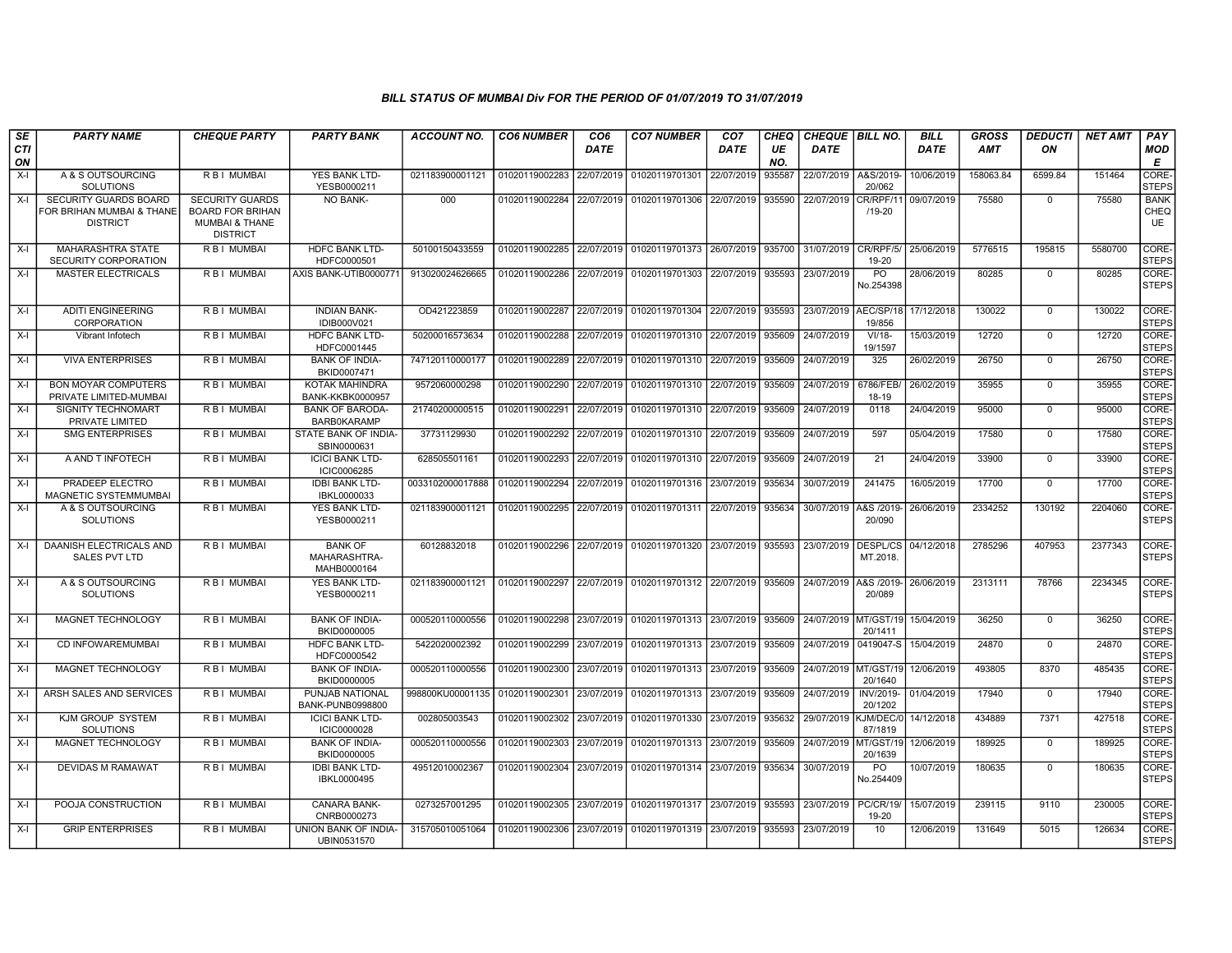| <b>SE</b><br>CTI<br>ON | <b>PARTY NAME</b>                                                            | <b>CHEQUE PARTY</b>                                                                               | <b>PARTY BANK</b>                             | <b>ACCOUNT NO.</b> | <b>CO6 NUMBER</b>         | CO <sub>6</sub><br><b>DATE</b> | <b>CO7 NUMBER</b>         | CO <sub>7</sub><br><b>DATE</b> | <b>CHEQ</b><br>UE<br>NO. | <b>CHEQUE   BILL NO.</b><br><b>DATE</b> |                             | <b>BILL</b><br><b>DATE</b> | <b>GROSS</b><br><b>AMT</b> | <b>DEDUCTI</b><br>ON | <b>NET AMT</b> | PAY<br>MOD<br>Е             |
|------------------------|------------------------------------------------------------------------------|---------------------------------------------------------------------------------------------------|-----------------------------------------------|--------------------|---------------------------|--------------------------------|---------------------------|--------------------------------|--------------------------|-----------------------------------------|-----------------------------|----------------------------|----------------------------|----------------------|----------------|-----------------------------|
| $X-I$                  | A & S OUTSOURCING<br><b>SOLUTIONS</b>                                        | R B I MUMBAI                                                                                      | YES BANK LTD-<br>YESB0000211                  | 021183900001121    | 01020119002283            | 22/07/2019                     | 01020119701301            | 22/07/2019                     | 935587                   | 22/07/2019                              | A&S/2019-<br>20/062         | 10/06/2019                 | 158063.84                  | 6599.84              | 151464         | <b>CORE</b><br><b>STEPS</b> |
| $X-I$                  | <b>SECURITY GUARDS BOARD</b><br>FOR BRIHAN MUMBAI & THANE<br><b>DISTRICT</b> | <b>SECURITY GUARDS</b><br><b>BOARD FOR BRIHAN</b><br><b>MUMBAI &amp; THANE</b><br><b>DISTRICT</b> | NO BANK-                                      | 000                | 01020119002284 22/07/2019 |                                | 01020119701306            | 22/07/2019                     | 935590                   | 22/07/2019                              | CR/RPF/1<br>$/19 - 20$      | 09/07/2019                 | 75580                      | $\Omega$             | 75580          | <b>BANK</b><br>CHEQ<br>UE   |
| X-I                    | <b>MAHARASHTRA STATE</b><br>SECURITY CORPORATION                             | <b>RBI MUMBAI</b>                                                                                 | <b>HDFC BANK LTD-</b><br>HDFC0000501          | 50100150433559     | 01020119002285 22/07/2019 |                                | 01020119701373 26/07/2019 |                                | 935700                   | 31/07/2019                              | CR/RPF/5/<br>19-20          | 25/06/2019                 | 5776515                    | 195815               | 5580700        | CORE-<br><b>STEPS</b>       |
| $X-I$                  | <b>MASTER ELECTRICALS</b>                                                    | <b>RBI MUMBAI</b>                                                                                 | AXIS BANK-UTIB0000771                         | 913020024626665    | 01020119002286            | 22/07/2019                     | 01020119701303            | 22/07/2019                     | 935593                   | 23/07/2019                              | <b>PO</b><br>No.254398      | 28/06/2019                 | 80285                      | $\Omega$             | 80285          | CORE-<br><b>STEPS</b>       |
| X-I                    | <b>ADITI ENGINEERING</b><br>CORPORATION                                      | R B I MUMBAI                                                                                      | <b>INDIAN BANK-</b><br>IDIB000V021            | OD421223859        | 01020119002287            | 22/07/2019                     | 01020119701304            | 22/07/2019                     | 935593                   | 23/07/2019                              | AEC/SP/18<br>19/856         | 17/12/2018                 | 130022                     | $\mathbf 0$          | 130022         | CORE-<br><b>STEPS</b>       |
| $X-I$                  | Vibrant Infotech                                                             | <b>RBI MUMBAI</b>                                                                                 | <b>HDFC BANK LTD-</b><br>HDFC0001445          | 50200016573634     | 01020119002288            | 22/07/2019                     | 01020119701310            | 22/07/2019                     | 935609                   | 24/07/2019                              | $V1/18-$<br>19/1597         | 15/03/2019                 | 12720                      | $\Omega$             | 12720          | CORE-<br><b>STEPS</b>       |
| X-I                    | <b>VIVA ENTERPRISES</b>                                                      | R B I MUMBAI                                                                                      | <b>BANK OF INDIA-</b><br>BKID0007471          | 747120110000177    | 01020119002289            | 22/07/2019                     | 01020119701310            | 22/07/2019                     | 935609                   | 24/07/2019                              | 325                         | 26/02/2019                 | 26750                      | $\mathbf{0}$         | 26750          | CORE-<br><b>STEPS</b>       |
| $X-I$                  | <b>BON MOYAR COMPUTERS</b><br>PRIVATE LIMITED-MUMBAI                         | R B I MUMBAI                                                                                      | KOTAK MAHINDRA<br>BANK-KKBK0000957            | 9572060000298      | 01020119002290            | 22/07/2019                     | 01020119701310            | 22/07/2019                     | 935609                   | 24/07/2019                              | 6786/FEB<br>18-19           | 26/02/2019                 | 35955                      | $\mathbf 0$          | 35955          | CORE-<br><b>STEPS</b>       |
| $X-I$                  | <b>SIGNITY TECHNOMART</b><br>PRIVATE LIMITED                                 | R B I MUMBAI                                                                                      | <b>BANK OF BARODA-</b><br><b>BARB0KARAMP</b>  | 21740200000515     | 01020119002291            | 22/07/2019                     | 01020119701310            | 22/07/2019                     | 935609                   | 24/07/2019                              | 0118                        | 24/04/2019                 | 95000                      | $\mathbf 0$          | 95000          | CORE-<br><b>STEPS</b>       |
| $X-I$                  | <b>SMG ENTERPRISES</b>                                                       | R B I MUMBAI                                                                                      | STATE BANK OF INDIA-<br>SBIN0000631           | 37731129930        | 01020119002292            | 22/07/2019                     | 01020119701310            | 22/07/2019                     | 935609                   | 24/07/2019                              | 597                         | 05/04/2019                 | 17580                      | $\Omega$             | 17580          | CORE-<br><b>STEPS</b>       |
| $X-I$                  | A AND T INFOTECH                                                             | R B I MUMBAI                                                                                      | <b>ICICI BANK LTD-</b><br>ICIC0006285         | 628505501161       | 01020119002293            | 22/07/2019                     | 01020119701310            | 22/07/2019                     | 935609                   | 24/07/2019                              | 21                          | 24/04/2019                 | 33900                      | $\Omega$             | 33900          | CORE-<br><b>STEPS</b>       |
| X-I                    | PRADEEP ELECTRO<br>MAGNETIC SYSTEMMUMBAI                                     | R B I MUMBAI                                                                                      | <b>IDBI BANK LTD-</b><br>IBKL0000033          | 0033102000017888   | 01020119002294            | 22/07/2019                     | 01020119701316            | 23/07/2019                     | 935634                   | 30/07/2019                              | 241475                      | 16/05/2019                 | 17700                      | $\Omega$             | 17700          | CORE-<br><b>STEPS</b>       |
| X-I                    | A & S OUTSOURCING<br><b>SOLUTIONS</b>                                        | R B I MUMBAI                                                                                      | YES BANK LTD-<br>YESB0000211                  | 021183900001121    | 01020119002295            | 22/07/2019                     | 01020119701311            | 22/07/2019                     | 935634                   | 30/07/2019                              | A&S /2019<br>20/090         | 26/06/2019                 | 2334252                    | 130192               | 2204060        | CORE-<br><b>STEPS</b>       |
| $X-I$                  | DAANISH ELECTRICALS AND<br>SALES PVT LTD                                     | <b>RBI MUMBAI</b>                                                                                 | <b>BANK OF</b><br>MAHARASHTRA-<br>MAHB0000164 | 60128832018        | 01020119002296            | 22/07/2019                     | 01020119701320            | 23/07/2019                     | 935593                   | 23/07/2019                              | <b>DESPL/CS</b><br>MT.2018. | 04/12/2018                 | 2785296                    | 407953               | 2377343        | CORE-<br><b>STEPS</b>       |
| X-I                    | A & S OUTSOURCING<br><b>SOLUTIONS</b>                                        | R B I MUMBAI                                                                                      | YES BANK LTD-<br>YESB0000211                  | 021183900001121    | 01020119002297            |                                | 22/07/2019 01020119701312 | 22/07/2019                     | 935609                   | 24/07/2019 A&S /2019                    | 20/089                      | 26/06/2019                 | 2313111                    | 78766                | 2234345        | CORE-<br><b>STEPS</b>       |
| $X-I$                  | MAGNET TECHNOLOGY                                                            | R B I MUMBAI                                                                                      | <b>BANK OF INDIA-</b><br>BKID0000005          | 000520110000556    | 01020119002298            | 23/07/2019                     | 01020119701313            | 23/07/2019                     | 935609                   | 24/07/2019                              | MT/GST/19<br>20/1411        | 15/04/2019                 | 36250                      | $\mathbf{0}$         | 36250          | CORE-<br><b>STEPS</b>       |
| $X-I$                  | CD INFOWAREMUMBAI                                                            | R B I MUMBAI                                                                                      | <b>HDFC BANK LTD-</b><br>HDFC0000542          | 5422020002392      | 01020119002299            | 23/07/2019                     | 01020119701313            | 23/07/2019                     | 935609                   | 24/07/2019                              | 0419047-S                   | 15/04/2019                 | 24870                      | $\Omega$             | 24870          | CORE-<br><b>STEPS</b>       |
| $X-I$                  | MAGNET TECHNOLOGY                                                            | R B I MUMBAI                                                                                      | <b>BANK OF INDIA-</b><br>BKID0000005          | 000520110000556    | 01020119002300            | 23/07/2019                     | 01020119701313            | 23/07/2019                     | 935609                   | 24/07/2019 MT/GST/19                    | 20/1640                     | 12/06/2019                 | 493805                     | 8370                 | 485435         | CORE-<br><b>STEPS</b>       |
| $X-I$                  | ARSH SALES AND SERVICES                                                      | R B I MUMBAI                                                                                      | PUNJAB NATIONAL<br>BANK-PUNB0998800           | 998800KU00001135   | 01020119002301            | 23/07/2019                     | 01020119701313            | 23/07/2019                     | 935609                   | 24/07/2019                              | INV/2019-<br>20/1202        | 01/04/2019                 | 17940                      | $\mathbf 0$          | 17940          | CORE-<br><b>STEPS</b>       |
| $X-I$                  | KJM GROUP SYSTEM<br>SOLUTIONS                                                | R B I MUMBAI                                                                                      | <b>ICICI BANK LTD-</b><br><b>ICIC0000028</b>  | 002805003543       | 01020119002302            | 23/07/2019                     | 01020119701330            | 23/07/2019                     | 935632                   | 29/07/2019                              | <b>KJM/DEC/C</b><br>87/1819 | 14/12/2018                 | 434889                     | 7371                 | 427518         | CORE-<br><b>STEPS</b>       |
| $X-I$                  | MAGNET TECHNOLOGY                                                            | R B I MUMBAI                                                                                      | <b>BANK OF INDIA-</b><br>BKID0000005          | 000520110000556    | 01020119002303            | 23/07/2019                     | 01020119701313            | 23/07/2019                     | 935609                   | 24/07/2019                              | MT/GST/19<br>20/1639        | 12/06/2019                 | 189925                     | $\Omega$             | 189925         | CORE-<br><b>STEPS</b>       |
| $X-I$                  | <b>DEVIDAS M RAMAWAT</b>                                                     | R B I MUMBAI                                                                                      | <b>IDBI BANK LTD-</b><br>IBKL0000495          | 49512010002367     | 01020119002304            | 23/07/2019                     | 01020119701314            | 23/07/2019                     | 935634                   | 30/07/2019                              | PO<br>No.254409             | 10/07/2019                 | 180635                     | $\mathbf 0$          | 180635         | CORE-<br><b>STEPS</b>       |
| $X-I$                  | POOJA CONSTRUCTION                                                           | R B I MUMBAI                                                                                      | <b>CANARA BANK-</b><br>CNRB0000273            | 0273257001295      | 01020119002305            | 23/07/2019                     | 01020119701317            | 23/07/2019                     | 935593                   | 23/07/2019                              | <b>PC/CR/19/</b><br>19-20   | 15/07/2019                 | 239115                     | 9110                 | 230005         | CORE-<br><b>STEPS</b>       |
| $X-I$                  | <b>GRIP ENTERPRISES</b>                                                      | R B I MUMBAI                                                                                      | UNION BANK OF INDIA-<br>UBIN0531570           | 315705010051064    | 01020119002306 23/07/2019 |                                | 01020119701319            | 23/07/2019                     | 935593                   | 23/07/2019                              | 10                          | 12/06/2019                 | 131649                     | 5015                 | 126634         | CORE-<br><b>STEPS</b>       |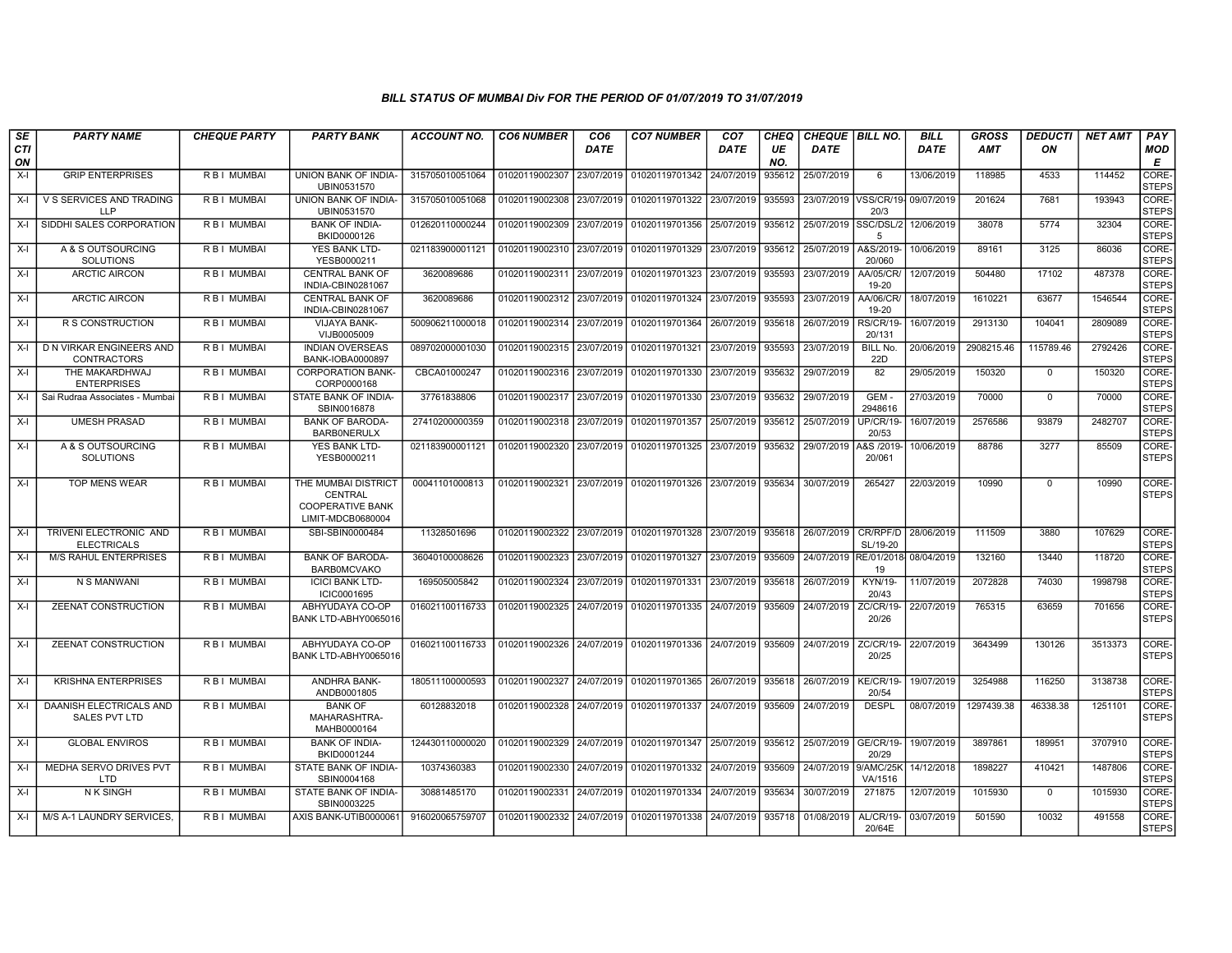| SE               | <b>PARTY NAME</b>                            | <b>CHEQUE PARTY</b> | <b>PARTY BANK</b>                                                              | <b>ACCOUNT NO.</b> | <b>CO6 NUMBER</b> | CO <sub>6</sub> | <b>CO7 NUMBER</b> | CO <sub>7</sub> | CHEQ      | <b>CHEQUE   BILL NO.</b> |                              | BILL        | <b>GROSS</b> | <b>DEDUCTI</b> | <b>NET AMT</b> | <b>PAY</b>            |
|------------------|----------------------------------------------|---------------------|--------------------------------------------------------------------------------|--------------------|-------------------|-----------------|-------------------|-----------------|-----------|--------------------------|------------------------------|-------------|--------------|----------------|----------------|-----------------------|
| <b>CTI</b><br>ON |                                              |                     |                                                                                |                    |                   | <b>DATE</b>     |                   | <b>DATE</b>     | UE<br>NO. | <b>DATE</b>              |                              | <b>DATE</b> | <b>AMT</b>   | ON             |                | MOD<br>E              |
| $X-I$            | <b>GRIP ENTERPRISES</b>                      | R B I MUMBAI        | UNION BANK OF INDIA-<br>UBIN0531570                                            | 315705010051064    | 01020119002307    | 23/07/2019      | 01020119701342    | 24/07/2019      | 935612    | 25/07/2019               | 6                            | 13/06/2019  | 118985       | 4533           | 114452         | CORE-<br><b>STEPS</b> |
| $X-I$            | V S SERVICES AND TRADING<br><b>LLP</b>       | R B I MUMBAI        | UNION BANK OF INDIA-<br>UBIN0531570                                            | 315705010051068    | 01020119002308    | 23/07/2019      | 01020119701322    | 23/07/2019      | 935593    |                          | 23/07/2019 VSS/CR/19<br>20/3 | 09/07/2019  | 201624       | 7681           | 193943         | CORE-<br><b>STEPS</b> |
| $X-I$            | SIDDHI SALES CORPORATION                     | R B I MUMBAI        | <b>BANK OF INDIA-</b><br>BKID0000126                                           | 012620110000244    | 01020119002309    | 23/07/2019      | 01020119701356    | 25/07/2019      | 935612    | 25/07/2019               | SSC/DSL/2<br>5               | 12/06/2019  | 38078        | 5774           | 32304          | CORE-<br><b>STEPS</b> |
| $X-I$            | A & S OUTSOURCING<br><b>SOLUTIONS</b>        | <b>RBI MUMBAI</b>   | <b>YES BANK LTD-</b><br>YESB0000211                                            | 021183900001121    | 01020119002310    | 23/07/2019      | 01020119701329    | 23/07/2019      | 935612    | 25/07/2019               | A&S/2019<br>20/060           | 10/06/2019  | 89161        | 3125           | 86036          | CORE-<br><b>STEPS</b> |
| $X-I$            | <b>ARCTIC AIRCON</b>                         | R B I MUMBAI        | <b>CENTRAL BANK OF</b><br>INDIA-CBIN0281067                                    | 3620089686         | 01020119002311    | 23/07/2019      | 01020119701323    | 23/07/2019      | 935593    | 23/07/2019               | <b>AA/05/CR</b><br>19-20     | 12/07/2019  | 504480       | 17102          | 487378         | CORE-<br><b>STEPS</b> |
| $X-I$            | <b>ARCTIC AIRCON</b>                         | R B I MUMBAI        | <b>CENTRAL BANK OF</b><br>INDIA-CBIN0281067                                    | 3620089686         | 01020119002312    | 23/07/2019      | 01020119701324    | 23/07/2019      | 935593    | 23/07/2019               | <b>AA/06/CR/</b><br>19-20    | 18/07/2019  | 1610221      | 63677          | 1546544        | CORE-<br><b>STEPS</b> |
| $X-I$            | R S CONSTRUCTION                             | R B I MUMBAI        | VIJAYA BANK-<br>VIJB0005009                                                    | 500906211000018    | 01020119002314    | 23/07/2019      | 01020119701364    | 26/07/2019      | 935618    | 26/07/2019               | <b>RS/CR/19-</b><br>20/131   | 16/07/2019  | 2913130      | 104041         | 2809089        | CORE-<br><b>STEPS</b> |
| X-I              | D N VIRKAR ENGINEERS AND<br>CONTRACTORS      | R B I MUMBAI        | <b>INDIAN OVERSEAS</b><br>BANK-IOBA0000897                                     | 089702000001030    | 01020119002315    | 23/07/2019      | 01020119701321    | 23/07/2019      | 935593    | 23/07/2019               | <b>BILL No.</b><br>22D       | 20/06/2019  | 2908215.46   | 115789.46      | 2792426        | CORE-<br><b>STEPS</b> |
| X-I              | THE MAKARDHWAJ<br><b>ENTERPRISES</b>         | R B I MUMBAI        | <b>CORPORATION BANK-</b><br>CORP0000168                                        | CBCA01000247       | 01020119002316    | 23/07/2019      | 01020119701330    | 23/07/2019      | 935632    | 29/07/2019               | 82                           | 29/05/2019  | 150320       | $\mathbf{0}$   | 150320         | CORE-<br><b>STEPS</b> |
| $X-I$            | Sai Rudraa Associates - Mumba                | R B I MUMBAI        | STATE BANK OF INDIA-<br>SBIN0016878                                            | 37761838806        | 01020119002317    | 23/07/2019      | 01020119701330    | 23/07/2019      | 935632    | 29/07/2019               | <b>GEM</b><br>2948616        | 27/03/2019  | 70000        | $\Omega$       | 70000          | CORE-<br><b>STEPS</b> |
| $X-I$            | <b>UMESH PRASAD</b>                          | R B I MUMBAI        | <b>BANK OF BARODA-</b><br><b>BARBONERULX</b>                                   | 27410200000359     | 01020119002318    | 23/07/2019      | 01020119701357    | 25/07/2019      | 935612    | 25/07/2019               | UP/CR/19-<br>20/53           | 16/07/2019  | 2576586      | 93879          | 2482707        | CORE-<br><b>STEPS</b> |
| $X-I$            | A & S OUTSOURCING<br><b>SOLUTIONS</b>        | R B I MUMBAI        | YES BANK LTD-<br>YESB0000211                                                   | 021183900001121    | 01020119002320    | 23/07/2019      | 01020119701325    | 23/07/2019      | 935632    | 29/07/2019               | A&S /2019-<br>20/061         | 10/06/2019  | 88786        | 3277           | 85509          | CORE-<br><b>STEPS</b> |
| $X-I$            | <b>TOP MENS WEAR</b>                         | R B I MUMBAI        | THE MUMBAI DISTRICT<br>CENTRAL<br><b>COOPERATIVE BANK</b><br>LIMIT-MDCB0680004 | 00041101000813     | 01020119002321    | 23/07/2019      | 01020119701326    | 23/07/2019      | 935634    | 30/07/2019               | 265427                       | 22/03/2019  | 10990        | $\Omega$       | 10990          | CORE-<br><b>STEPS</b> |
| X-I              | TRIVENI ELECTRONIC AND<br><b>ELECTRICALS</b> | <b>RBI MUMBAI</b>   | SBI-SBIN0000484                                                                | 11328501696        | 01020119002322    | 23/07/2019      | 01020119701328    | 23/07/2019      | 935618    | 26/07/2019               | CR/RPF/D<br>SL/19-20         | 28/06/2019  | 111509       | 3880           | 107629         | CORE-<br><b>STEPS</b> |
| $X-I$            | <b>M/S RAHUL ENTERPRISES</b>                 | R B I MUMBAI        | <b>BANK OF BARODA-</b><br><b>BARBOMCVAKO</b>                                   | 36040100008626     | 01020119002323    | 23/07/2019      | 01020119701327    | 23/07/2019      | 935609    | 24/07/2019               | RE/01/2018<br>19             | 08/04/2019  | 132160       | 13440          | 118720         | CORE-<br><b>STEPS</b> |
| $X-I$            | N S MANWANI                                  | R B I MUMBAI        | <b>ICICI BANK LTD-</b><br>ICIC0001695                                          | 169505005842       | 01020119002324    | 23/07/2019      | 01020119701331    | 23/07/2019      | 935618    | 26/07/2019               | KYN/19-<br>20/43             | 11/07/2019  | 2072828      | 74030          | 1998798        | CORE-<br><b>STEPS</b> |
| X-I              | ZEENAT CONSTRUCTION                          | R B I MUMBAI        | ABHYUDAYA CO-OP<br>BANK LTD-ABHY0065016                                        | 016021100116733    | 01020119002325    | 24/07/2019      | 01020119701335    | 24/07/2019      | 935609    | 24/07/2019               | ZC/CR/19-<br>20/26           | 22/07/2019  | 765315       | 63659          | 701656         | CORE-<br><b>STEPS</b> |
| $X-I$            | ZEENAT CONSTRUCTION                          | R B I MUMBAI        | ABHYUDAYA CO-OP<br>BANK LTD-ABHY0065016                                        | 016021100116733    | 01020119002326    | 24/07/2019      | 01020119701336    | 24/07/2019      | 935609    | 24/07/2019               | ZC/CR/19-<br>20/25           | 22/07/2019  | 3643499      | 130126         | 3513373        | CORE-<br><b>STEPS</b> |
| $X-I$            | <b>KRISHNA ENTERPRISES</b>                   | <b>RBI MUMBAI</b>   | <b>ANDHRA BANK-</b><br>ANDB0001805                                             | 180511100000593    | 01020119002327    | 24/07/2019      | 01020119701365    | 26/07/2019      | 935618    | 26/07/2019               | <b>KE/CR/19-</b><br>20/54    | 19/07/2019  | 3254988      | 116250         | 3138738        | CORE-<br><b>STEPS</b> |
| $X-I$            | DAANISH ELECTRICALS AND<br>SALES PVT LTD     | R B I MUMBAI        | <b>BANK OF</b><br>MAHARASHTRA-<br>MAHB0000164                                  | 60128832018        | 01020119002328    | 24/07/2019      | 01020119701337    | 24/07/2019      | 935609    | 24/07/2019               | <b>DESPL</b>                 | 08/07/2019  | 1297439.38   | 46338.38       | 1251101        | CORE-<br><b>STEPS</b> |
| $X-I$            | <b>GLOBAL ENVIROS</b>                        | <b>RBI MUMBAI</b>   | <b>BANK OF INDIA-</b><br>BKID0001244                                           | 124430110000020    | 01020119002329    | 24/07/2019      | 01020119701347    | 25/07/2019      | 935612    | 25/07/2019               | <b>GE/CR/19-</b><br>20/29    | 19/07/2019  | 3897861      | 189951         | 3707910        | CORE-<br><b>STEPS</b> |
| $X-I$            | MEDHA SERVO DRIVES PVT<br>LTD                | R B I MUMBAI        | STATE BANK OF INDIA-<br>SBIN0004168                                            | 10374360383        | 01020119002330    | 24/07/2019      | 01020119701332    | 24/07/2019      | 935609    | 24/07/2019               | 9/AMC/25K<br>VA/1516         | 14/12/2018  | 1898227      | 410421         | 1487806        | CORE-<br><b>STEPS</b> |
| $X-I$            | <b>NK SINGH</b>                              | R B I MUMBAI        | STATE BANK OF INDIA-<br>SBIN0003225                                            | 30881485170        | 01020119002331    | 24/07/2019      | 01020119701334    | 24/07/2019      | 935634    | 30/07/2019               | 271875                       | 12/07/2019  | 1015930      | $\Omega$       | 1015930        | CORE-<br><b>STEPS</b> |
| $X-I$            | M/S A-1 LAUNDRY SERVICES,                    | R B I MUMBAI        | AXIS BANK-UTIB0000061                                                          | 916020065759707    | 01020119002332    | 24/07/2019      | 01020119701338    | 24/07/2019      | 935718    | 01/08/2019               | AL/CR/19-<br>20/64E          | 03/07/2019  | 501590       | 10032          | 491558         | CORE-<br><b>STEPS</b> |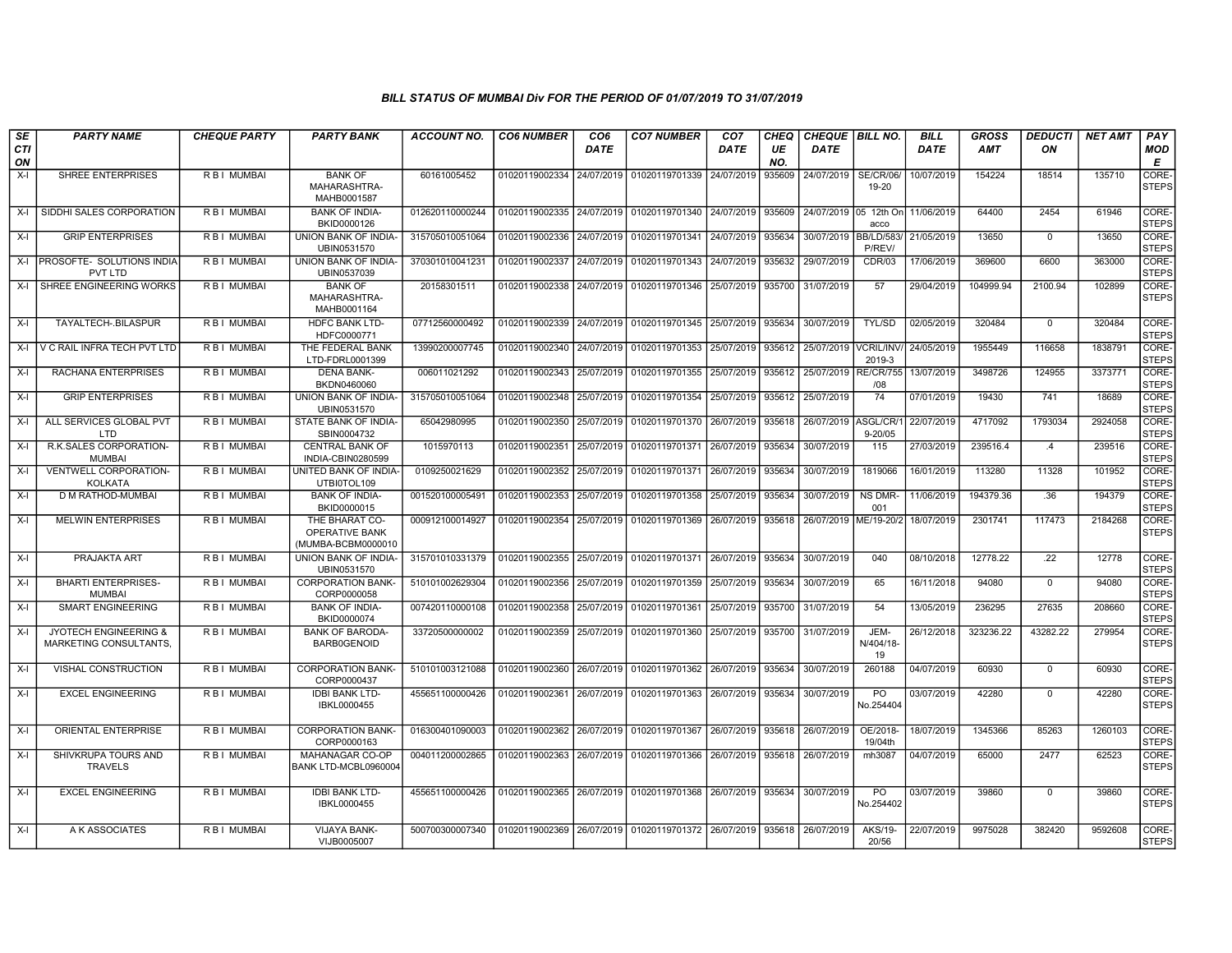| SE        | <b>PARTY NAME</b>                                                 | <b>CHEQUE PARTY</b> | <b>PARTY BANK</b>                                             | ACCOUNT NO.     | <b>CO6 NUMBER</b>         | CO6         | <b>CO7 NUMBER</b>         | CO7        | <b>CHEQ</b> | <b>CHEQUE   BILL NO.</b> |                             | <b>BILL</b> | <b>GROSS</b> | <b>DEDUCTI</b> | NET AMT | <b>PAY</b>                  |
|-----------|-------------------------------------------------------------------|---------------------|---------------------------------------------------------------|-----------------|---------------------------|-------------|---------------------------|------------|-------------|--------------------------|-----------------------------|-------------|--------------|----------------|---------|-----------------------------|
| CTI<br>ON |                                                                   |                     |                                                               |                 |                           | <b>DATE</b> |                           | DATE       | UE<br>NO.   | <b>DATE</b>              |                             | <b>DATE</b> | <b>AMT</b>   | ON             |         | MOD<br>E                    |
| $X-I$     | <b>SHREE ENTERPRISES</b>                                          | R B I MUMBAI        | <b>BANK OF</b><br>MAHARASHTRA-<br>MAHB0001587                 | 60161005452     | 01020119002334            | 24/07/2019  | 01020119701339            | 24/07/2019 | 935609      | 24/07/2019               | <b>SE/CR/06/</b><br>19-20   | 10/07/2019  | 154224       | 18514          | 135710  | CORE-<br><b>STEPS</b>       |
| $X-I$     | SIDDHI SALES CORPORATION                                          | R B I MUMBAI        | <b>BANK OF INDIA-</b><br>BKID0000126                          | 012620110000244 | 01020119002335            |             | 24/07/2019 01020119701340 | 24/07/2019 | 935609      | 24/07/2019 05 12th On    | acco                        | 11/06/2019  | 64400        | 2454           | 61946   | CORE-<br><b>STEPS</b>       |
| $X-I$     | <b>GRIP ENTERPRISES</b>                                           | R B I MUMBAI        | UNION BANK OF INDIA-<br>UBIN0531570                           | 315705010051064 | 01020119002336            |             | 24/07/2019 01020119701341 | 24/07/2019 | 935634      | 30/07/2019 BB/LD/583/    | P/REV/                      | 21/05/2019  | 13650        | $\mathbf{0}$   | 13650   | CORE-<br><b>STEPS</b>       |
| X-I       | PROSOFTE- SOLUTIONS INDIA<br><b>PVT LTD</b>                       | R B I MUMBAI        | <b>UNION BANK OF INDIA-</b><br>UBIN0537039                    | 370301010041231 | 01020119002337 24/07/2019 |             | 01020119701343            | 24/07/2019 | 935632      | 29/07/2019               | CDR/03                      | 17/06/2019  | 369600       | 6600           | 363000  | CORE-<br><b>STEPS</b>       |
| $X-I$     | SHREE ENGINEERING WORKS                                           | R B I MUMBAI        | <b>BANK OF</b><br>MAHARASHTRA-<br>MAHB0001164                 | 20158301511     | 01020119002338            | 24/07/2019  | 01020119701346            | 25/07/2019 | 935700      | 31/07/2019               | 57                          | 29/04/2019  | 104999.94    | 2100.94        | 102899  | CORE-<br><b>STEPS</b>       |
| X-I       | TAYALTECH-.BILASPUR                                               | R B I MUMBAI        | <b>HDFC BANK LTD-</b><br>HDFC0000771                          | 07712560000492  | 01020119002339            |             | 24/07/2019 01020119701345 | 25/07/2019 | 935634      | 30/07/2019               | <b>TYL/SD</b>               | 02/05/2019  | 320484       | $\mathbf{0}$   | 320484  | CORE-<br><b>STEPS</b>       |
| X-I       | V C RAIL INFRA TECH PVT LTD                                       | R B I MUMBAI        | THE FEDERAL BANK<br>LTD-FDRL0001399                           | 13990200007745  | 01020119002340            | 24/07/2019  | 01020119701353            | 25/07/2019 | 935612      | 25/07/2019               | <b>VCRIL/INV/</b><br>2019-3 | 24/05/2019  | 1955449      | 116658         | 1838791 | CORE-<br><b>STEPS</b>       |
| $X-I$     | RACHANA ENTERPRISES                                               | R B I MUMBAI        | <b>DENA BANK-</b><br>BKDN0460060                              | 006011021292    | 01020119002343            | 25/07/2019  | 01020119701355            | 25/07/2019 | 935612      | 25/07/2019               | <b>RE/CR/755</b><br>/08     | 13/07/2019  | 3498726      | 124955         | 3373771 | CORE-<br><b>STEPS</b>       |
| $X-I$     | <b>GRIP ENTERPRISES</b>                                           | R B I MUMBAI        | UNION BANK OF INDIA-<br>UBIN0531570                           | 315705010051064 | 01020119002348            | 25/07/2019  | 01020119701354            | 25/07/2019 | 935612      | 25/07/2019               | 74                          | 07/01/2019  | 19430        | 741            | 18689   | CORE-<br><b>STEPS</b>       |
| $X-I$     | ALL SERVICES GLOBAL PVT<br>LTD.                                   | R B I MUMBAI        | STATE BANK OF INDIA-<br>SBIN0004732                           | 65042980995     | 01020119002350            | 25/07/2019  | 01020119701370            | 26/07/2019 | 935618      | 26/07/2019 ASGL/CR/1     | $9 - 20/05$                 | 22/07/2019  | 4717092      | 1793034        | 2924058 | CORE-<br><b>STEPS</b>       |
| $X-I$     | R.K.SALES CORPORATION-<br><b>MUMBAI</b>                           | R B I MUMBAI        | <b>CENTRAL BANK OF</b><br>INDIA-CBIN0280599                   | 1015970113      | 01020119002351            | 25/07/2019  | 01020119701371            | 26/07/2019 | 935634      | 30/07/2019               | 115                         | 27/03/2019  | 239516.4     | .4             | 239516  | CORE-<br><b>STEPS</b>       |
| $X-I$     | VENTWELL CORPORATION-<br><b>KOLKATA</b>                           | R B I MUMBAI        | UNITED BANK OF INDIA-<br>UTBI0TOL109                          | 0109250021629   | 01020119002352            | 25/07/2019  | 01020119701371            | 26/07/2019 | 935634      | 30/07/2019               | 1819066                     | 16/01/2019  | 113280       | 11328          | 101952  | CORE-<br><b>STEPS</b>       |
| $X-I$     | D M RATHOD-MUMBAI                                                 | R B I MUMBAI        | <b>BANK OF INDIA-</b><br>BKID0000015                          | 001520100005491 | 01020119002353            |             | 25/07/2019 01020119701358 | 25/07/2019 | 935634      | 30/07/2019               | NS DMR-<br>001              | 11/06/2019  | 194379.36    | .36            | 194379  | CORE-<br><b>STEPS</b>       |
| X-I       | <b>MELWIN ENTERPRISES</b>                                         | R B I MUMBAI        | THE BHARAT CO-<br><b>OPERATIVE BANK</b><br>(MUMBA-BCBM0000010 | 000912100014927 | 01020119002354            | 25/07/2019  | 01020119701369            | 26/07/2019 | 935618      | 26/07/2019               | ME/19-20/2                  | 18/07/2019  | 2301741      | 117473         | 2184268 | CORE-<br><b>STEPS</b>       |
| $X-I$     | PRAJAKTA ART                                                      | R B I MUMBAI        | UNION BANK OF INDIA-<br>UBIN0531570                           | 315701010331379 | 01020119002355            | 25/07/2019  | 01020119701371            | 26/07/2019 | 935634      | 30/07/2019               | 040                         | 08/10/2018  | 12778.22     | .22            | 12778   | <b>CORE</b><br><b>STEPS</b> |
| $X-I$     | <b>BHARTI ENTERPRISES-</b><br><b>MUMBAI</b>                       | R B I MUMBAI        | <b>CORPORATION BANK-</b><br>CORP0000058                       | 510101002629304 | 01020119002356            | 25/07/2019  | 01020119701359            | 25/07/2019 | 935634      | 30/07/2019               | 65                          | 16/11/2018  | 94080        | $^{\circ}$     | 94080   | CORE-<br><b>STEPS</b>       |
| $X-I$     | <b>SMART ENGINEERING</b>                                          | <b>RBI MUMBAI</b>   | <b>BANK OF INDIA-</b><br>BKID0000074                          | 007420110000108 | 01020119002358            | 25/07/2019  | 01020119701361            | 25/07/2019 | 935700      | 31/07/2019               | 54                          | 13/05/2019  | 236295       | 27635          | 208660  | CORE-<br><b>STEPS</b>       |
| $X-I$     | <b>JYOTECH ENGINEERING &amp;</b><br><b>MARKETING CONSULTANTS.</b> | R B I MUMBAI        | <b>BANK OF BARODA-</b><br><b>BARB0GENOID</b>                  | 33720500000002  | 01020119002359            | 25/07/2019  | 01020119701360            | 25/07/2019 | 935700      | 31/07/2019               | JEM-<br>N/404/18-<br>19     | 26/12/2018  | 323236.22    | 43282.22       | 279954  | CORE-<br><b>STEPS</b>       |
| $X-I$     | VISHAL CONSTRUCTION                                               | <b>RBI MUMBAI</b>   | <b>CORPORATION BANK-</b><br>CORP0000437                       | 510101003121088 | 01020119002360            |             | 26/07/2019 01020119701362 | 26/07/2019 | 935634      | 30/07/2019               | 260188                      | 04/07/2019  | 60930        | $\mathbf 0$    | 60930   | CORE-<br><b>STEPS</b>       |
| $X-I$     | <b>EXCEL ENGINEERING</b>                                          | R B I MUMBAI        | <b>IDBI BANK LTD-</b><br>IBKL0000455                          | 455651100000426 | 01020119002361            | 26/07/2019  | 01020119701363            | 26/07/2019 | 935634      | 30/07/2019               | PO<br>No.254404             | 03/07/2019  | 42280        | $\mathbf{0}$   | 42280   | CORE-<br><b>STEPS</b>       |
| $X-I$     | ORIENTAL ENTERPRISE                                               | <b>RBI MUMBAI</b>   | <b>CORPORATION BANK-</b><br>CORP0000163                       | 016300401090003 | 01020119002362            | 26/07/2019  | 01020119701367            | 26/07/2019 | 935618      | 26/07/2019               | OE/2018-<br>19/04th         | 18/07/2019  | 1345366      | 85263          | 1260103 | CORE-<br><b>STEPS</b>       |
| X-I       | SHIVKRUPA TOURS AND<br><b>TRAVELS</b>                             | R B I MUMBAI        | MAHANAGAR CO-OP<br>BANK LTD-MCBL0960004                       | 004011200002865 | 01020119002363            |             | 26/07/2019 01020119701366 | 26/07/2019 | 935618      | 26/07/2019               | mh3087                      | 04/07/2019  | 65000        | 2477           | 62523   | CORE-<br><b>STEPS</b>       |
| $X-I$     | <b>EXCEL ENGINEERING</b>                                          | R B I MUMBAI        | <b>IDBI BANK LTD-</b><br>IBKL0000455                          | 455651100000426 | 01020119002365            |             | 26/07/2019 01020119701368 | 26/07/2019 | 935634      | 30/07/2019               | PO<br>No.254402             | 03/07/2019  | 39860        | $\mathbf{0}$   | 39860   | CORE-<br><b>STEPS</b>       |
| $X-I$     | A K ASSOCIATES                                                    | R B I MUMBAI        | VIJAYA BANK-<br>VIJB0005007                                   | 500700300007340 | 01020119002369            |             | 26/07/2019 01020119701372 | 26/07/2019 | 935618      | 26/07/2019               | <b>AKS/19-</b><br>20/56     | 22/07/2019  | 9975028      | 382420         | 9592608 | CORE-<br><b>STEPS</b>       |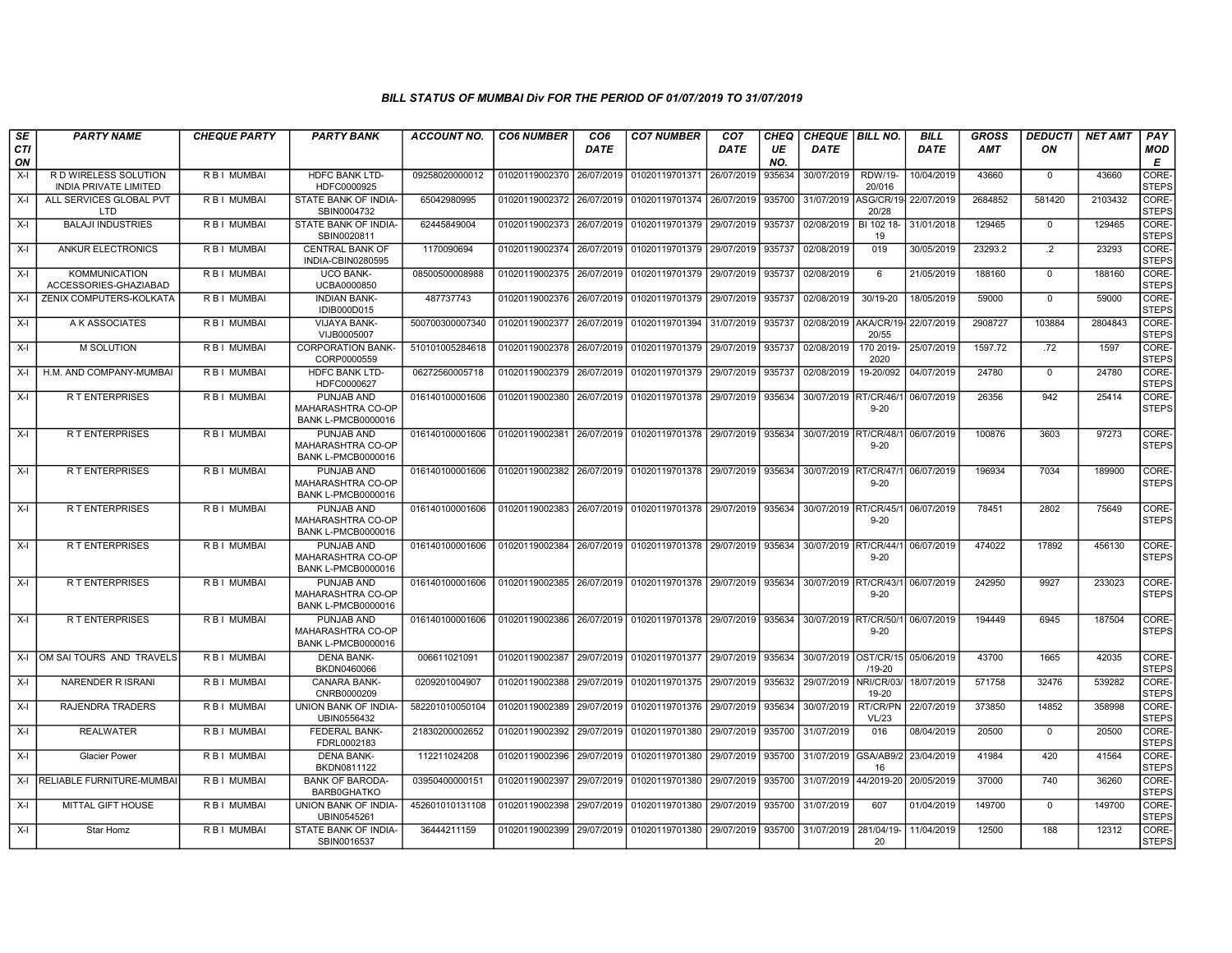| SE               | <b>PARTY NAME</b>                                     | <b>CHEQUE PARTY</b> | <b>PARTY BANK</b>                                                   | <b>ACCOUNT NO.</b> | <b>CO6 NUMBER</b>         | CO <sub>6</sub> | <b>CO7 NUMBER</b>                                   | CO <sub>7</sub> | CHEQ      | <b>CHEQUE BILL NO.</b> |                              | <b>BILL</b> | <b>GROSS</b> | <b>DEDUCTI</b>  | <b>NET AMT</b> | <b>PAY</b>            |
|------------------|-------------------------------------------------------|---------------------|---------------------------------------------------------------------|--------------------|---------------------------|-----------------|-----------------------------------------------------|-----------------|-----------|------------------------|------------------------------|-------------|--------------|-----------------|----------------|-----------------------|
| <b>CTI</b><br>ON |                                                       |                     |                                                                     |                    |                           | DATE            |                                                     | DATE            | UE<br>NO. | DATE                   |                              | DATE        | AMT          | ON              |                | MOD<br>E              |
| X-I              | R D WIRELESS SOLUTION<br><b>INDIA PRIVATE LIMITED</b> | R B I MUMBAI        | HDFC BANK LTD-<br>HDFC0000925                                       | 09258020000012     | 01020119002370            | 26/07/2019      | 01020119701371                                      | 26/07/2019      | 935634    | 30/07/2019             | <b>RDW/19-</b><br>20/016     | 10/04/2019  | 43660        | $^{\circ}$      | 43660          | CORE-<br><b>STEPS</b> |
| X-I              | ALL SERVICES GLOBAL PVT<br>LTD                        | R B I MUMBAI        | STATE BANK OF INDIA-<br>SBIN0004732                                 | 65042980995        | 01020119002372            | 26/07/2019      | 01020119701374 26/07/2019                           |                 | 935700    | 31/07/2019             | ASG/CR/19<br>20/28           | 22/07/2019  | 2684852      | 581420          | 2103432        | CORE-<br><b>STEPS</b> |
| X-I              | <b>BALAJI INDUSTRIES</b>                              | R B I MUMBAI        | STATE BANK OF INDIA-<br>SBIN0020811                                 | 62445849004        | 01020119002373            | 26/07/2019      | 01020119701379                                      | 29/07/2019      | 935737    | 02/08/2019             | BI 102 18-<br>19             | 31/01/2018  | 129465       | $\mathbf{0}$    | 129465         | CORE-<br><b>STEPS</b> |
| $X-I$            | <b>ANKUR ELECTRONICS</b>                              | <b>RBI MUMBAI</b>   | <b>CENTRAL BANK OF</b><br>INDIA-CBIN0280595                         | 1170090694         | 01020119002374            | 26/07/2019      | 01020119701379                                      | 29/07/2019      | 935737    | 02/08/2019             | 019                          | 30/05/2019  | 23293.2      | $\overline{.2}$ | 23293          | CORE-<br><b>STEPS</b> |
| X-I              | <b>KOMMUNICATION</b><br>ACCESSORIES-GHAZIABAD         | R B I MUMBAI        | <b>UCO BANK-</b><br>UCBA0000850                                     | 08500500008988     | 01020119002375            | 26/07/2019      | 01020119701379                                      | 29/07/2019      | 935737    | 02/08/2019             | 6                            | 21/05/2019  | 188160       | $\mathbf 0$     | 188160         | CORE-<br><b>STEPS</b> |
| X-I              | ZENIX COMPUTERS-KOLKATA                               | <b>RBI MUMBAI</b>   | <b>INDIAN BANK-</b><br>IDIB000D015                                  | 487737743          | 01020119002376            | 26/07/2019      | 01020119701379                                      | 29/07/2019      | 935737    | 02/08/2019             | $30/19 - 20$                 | 18/05/2019  | 59000        | $\Omega$        | 59000          | CORE-<br><b>STEPS</b> |
| X-I              | A K ASSOCIATES                                        | R B I MUMBAI        | <b>VIJAYA BANK-</b><br>VIJB0005007                                  | 500700300007340    | 01020119002377            | 26/07/2019      | 01020119701394                                      | 31/07/2019      | 935737    | 02/08/2019             | AKA/CR/19<br>20/55           | 22/07/2019  | 2908727      | 103884          | 2804843        | CORE-<br><b>STEPS</b> |
| X-I              | <b>M SOLUTION</b>                                     | R B I MUMBAI        | <b>CORPORATION BANK-</b><br>CORP0000559                             | 510101005284618    | 01020119002378            | 26/07/2019      | 01020119701379                                      | 29/07/2019      | 935737    | 02/08/2019             | 170 2019-<br>2020            | 25/07/2019  | 1597.72      | .72             | 1597           | CORE-<br><b>STEPS</b> |
| $X-I$            | H.M. AND COMPANY-MUMBAI                               | R B I MUMBAI        | <b>HDFC BANK LTD-</b><br>HDFC0000627                                | 06272560005718     | 01020119002379            | 26/07/2019      | 01020119701379                                      | 29/07/2019      | 935737    | 02/08/2019             | 19-20/092                    | 04/07/2019  | 24780        | $\mathbf 0$     | 24780          | CORE-<br><b>STEPS</b> |
| X-I              | <b>RT ENTERPRISES</b>                                 | R B I MUMBAI        | <b>PUNJAB AND</b><br>MAHARASHTRA CO-OP<br><b>BANK L-PMCB0000016</b> | 016140100001606    | 01020119002380            | 26/07/2019      | 01020119701378                                      | 29/07/2019      | 935634    | 30/07/2019             | RT/CR/46/<br>$9 - 20$        | 06/07/2019  | 26356        | 942             | 25414          | CORE-<br><b>STEPS</b> |
| X-I              | <b>R T ENTERPRISES</b>                                | <b>RBI MUMBAI</b>   | PUNJAB AND<br>MAHARASHTRA CO-OP<br><b>BANK L-PMCB0000016</b>        | 016140100001606    |                           |                 |                                                     |                 | 935634    | 30/07/2019 RT/CR/48/   | $9 - 20$                     | 06/07/2019  | 100876       | 3603            | 97273          | CORE-<br><b>STEPS</b> |
| X-I              | <b>RT ENTERPRISES</b>                                 | <b>RBI MUMBAI</b>   | PUNJAB AND<br>MAHARASHTRA CO-OP<br><b>BANK L-PMCB0000016</b>        | 016140100001606    | 01020119002382 26/07/2019 |                 | 01020119701378 29/07/2019                           |                 | 935634    | 30/07/2019             | <b>RT/CR/47/</b><br>$9 - 20$ | 06/07/2019  | 196934       | 7034            | 189900         | CORE-<br><b>STEPS</b> |
| $X-I$            | <b>RT ENTERPRISES</b>                                 | <b>RBI MUMBAI</b>   | PUNJAB AND<br>MAHARASHTRA CO-OP<br><b>BANK L-PMCB0000016</b>        | 016140100001606    | 01020119002383 26/07/2019 |                 | 01020119701378 29/07/2019                           |                 | 935634    | 30/07/2019             | <b>RT/CR/45/</b><br>$9 - 20$ | 06/07/2019  | 78451        | 2802            | 75649          | CORE-<br><b>STEPS</b> |
| X-I              | <b>RT ENTERPRISES</b>                                 | R B I MUMBAI        | PUNJAB AND<br>MAHARASHTRA CO-OP<br><b>BANK L-PMCB0000016</b>        | 016140100001606    | 01020119002384            | 26/07/2019      | 01020119701378                                      | 29/07/2019      | 935634    | 30/07/2019             | <b>RT/CR/44/</b><br>$9 - 20$ | 06/07/2019  | 474022       | 17892           | 456130         | CORE-<br><b>STEPS</b> |
| X-I              | <b>RT ENTERPRISES</b>                                 | <b>RBI MUMBAI</b>   | PUNJAB AND<br>MAHARASHTRA CO-OP<br><b>BANK L-PMCB0000016</b>        | 016140100001606    | 01020119002385            | 26/07/2019      | 01020119701378                                      | 29/07/2019      | 935634    | 30/07/2019 RT/CR/43/   | $9 - 20$                     | 06/07/2019  | 242950       | 9927            | 233023         | CORE-<br><b>STEPS</b> |
| $X-I$            | <b>RT ENTERPRISES</b>                                 | <b>RBI MUMBAI</b>   | <b>PUNJAB AND</b><br>MAHARASHTRA CO-OP<br><b>BANK L-PMCB0000016</b> | 016140100001606    |                           |                 | 01020119002386 26/07/2019 01020119701378 29/07/2019 |                 | 935634    | 30/07/2019             | <b>RT/CR/50/</b><br>$9 - 20$ | 06/07/2019  | 194449       | 6945            | 187504         | CORE-<br><b>STEPS</b> |
| $X-I$            | OM SAI TOURS AND TRAVELS                              | <b>RBI MUMBAI</b>   | <b>DENA BANK-</b><br>BKDN0460066                                    | 006611021091       | 01020119002387            | 29/07/2019      | 01020119701377 29/07/2019                           |                 | 935634    | 30/07/2019             | OST/CR/15<br>$/19 - 20$      | 05/06/2019  | 43700        | 1665            | 42035          | CORE-<br><b>STEPS</b> |
| X-I              | <b>NARENDER R ISRANI</b>                              | R B I MUMBAI        | <b>CANARA BANK-</b><br>CNRB0000209                                  | 0209201004907      | 01020119002388            | 29/07/2019      | 01020119701375 29/07/2019                           |                 | 935632    | 29/07/2019 NRI/CR/03   | 19-20                        | 18/07/2019  | 571758       | 32476           | 539282         | CORE-<br><b>STEPS</b> |
| X-I              | RAJENDRA TRADERS                                      | R B I MUMBAI        | UNION BANK OF INDIA-<br>UBIN0556432                                 | 582201010050104    | 01020119002389            | 29/07/2019      | 01020119701376                                      | 29/07/2019      | 935634    | 30/07/2019             | RT/CR/PN<br>VL/23            | 22/07/2019  | 373850       | 14852           | 358998         | CORE-<br><b>STEPS</b> |
| $X-I$            | <b>REALWATER</b>                                      | R B I MUMBAI        | FEDERAL BANK-<br>FDRL0002183                                        | 21830200002652     | 01020119002392            | 29/07/2019      | 01020119701380                                      | 29/07/2019      | 935700    | 31/07/2019             | 016                          | 08/04/2019  | 20500        | $\mathbf 0$     | 20500          | CORE-<br><b>STEPS</b> |
| $X-I$            | <b>Glacier Power</b>                                  | R B I MUMBAI        | <b>DENA BANK-</b><br>BKDN0811122                                    | 112211024208       | 01020119002396            | 29/07/2019      | 01020119701380                                      | 29/07/2019      | 935700    | 31/07/2019             | GSA/AB9/2<br>16              | 23/04/2019  | 41984        | 420             | 41564          | CORE-<br><b>STEPS</b> |
| $X-I$            | <b>IRELIABLE FURNITURE-MUMBAI</b>                     | R B I MUMBAI        | <b>BANK OF BARODA-</b><br>BARB0GHATKO                               | 03950400000151     | 01020119002397            | 29/07/2019      | 01020119701380                                      | 29/07/2019      | 935700    | 31/07/2019             | 44/2019-20                   | 20/05/2019  | 37000        | 740             | 36260          | CORE-<br><b>STEPS</b> |
| X-I              | MITTAL GIFT HOUSE                                     | R B I MUMBAI        | UNION BANK OF INDIA-<br>UBIN0545261                                 | 452601010131108    | 01020119002398            | 29/07/2019      | 01020119701380                                      | 29/07/2019      | 935700    | 31/07/2019             | 607                          | 01/04/2019  | 149700       | $\overline{0}$  | 149700         | CORE-<br><b>STEPS</b> |
| $X-I$            | Star Homz                                             | R B I MUMBAI        | STATE BANK OF INDIA-<br>SBIN0016537                                 | 36444211159        | 01020119002399            | 29/07/2019      | 01020119701380                                      | 29/07/2019      | 935700    | 31/07/2019             | 281/04/19-<br>20             | 11/04/2019  | 12500        | 188             | 12312          | CORE-<br><b>STEPS</b> |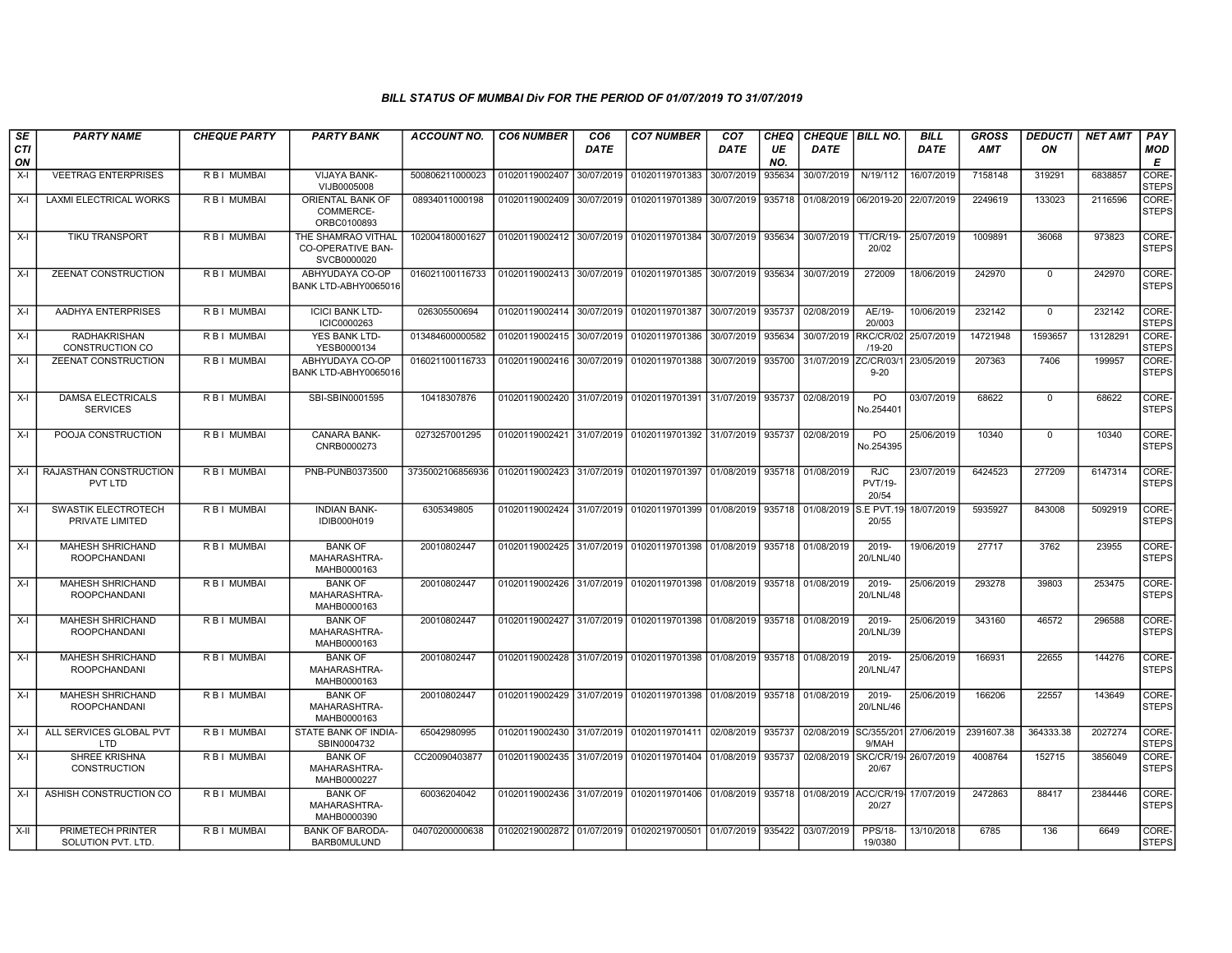| SE        | <b>PARTY NAME</b>                              | <b>CHEQUE PARTY</b> | <b>PARTY BANK</b>                                             | <b>ACCOUNT NO.</b> | <b>CO6 NUMBER</b>         | CO6        | <b>CO7 NUMBER</b>                                   | CO7        | CHEQ      | <b>CHEQUE   BILL NO.</b>        |                                       | <b>BILL</b> | <b>GROSS</b> | <b>DEDUCTI</b> | <b>NET AMT</b> | <b>PAY</b>            |
|-----------|------------------------------------------------|---------------------|---------------------------------------------------------------|--------------------|---------------------------|------------|-----------------------------------------------------|------------|-----------|---------------------------------|---------------------------------------|-------------|--------------|----------------|----------------|-----------------------|
| CTI<br>ON |                                                |                     |                                                               |                    |                           | DATE       |                                                     | DATE       | UE<br>NO. | <b>DATE</b>                     |                                       | <b>DATE</b> | <b>AMT</b>   | ON             |                | MOD<br>Е              |
| $X-I$     | <b>VEETRAG ENTERPRISES</b>                     | R B I MUMBAI        | VIJAYA BANK-<br>VIJB0005008                                   | 500806211000023    | 01020119002407            | 30/07/2019 | 01020119701383                                      | 30/07/2019 | 935634    | 30/07/2019                      | N/19/112                              | 16/07/2019  | 7158148      | 319291         | 6838857        | CORE-<br><b>STEPS</b> |
| $X-I$     | <b>LAXMI ELECTRICAL WORKS</b>                  | R B I MUMBAI        | ORIENTAL BANK OF<br>COMMERCE-<br>ORBC0100893                  | 08934011000198     | 01020119002409            | 30/07/2019 | 01020119701389                                      | 30/07/2019 | 935718    |                                 | 01/08/2019 06/2019-20                 | 22/07/2019  | 2249619      | 133023         | 2116596        | CORE-<br><b>STEPS</b> |
| X-I       | TIKU TRANSPORT                                 | R B I MUMBAI        | THE SHAMRAO VITHAL<br><b>CO-OPERATIVE BAN-</b><br>SVCB0000020 | 102004180001627    | 01020119002412            | 30/07/2019 | 01020119701384                                      | 30/07/2019 | 935634    | 30/07/2019                      | <b>TT/CR/19-</b><br>20/02             | 25/07/2019  | 1009891      | 36068          | 973823         | CORE-<br><b>STEPS</b> |
| $X-I$     | ZEENAT CONSTRUCTION                            | R B I MUMBAI        | ABHYUDAYA CO-OP<br>BANK LTD-ABHY0065016                       | 016021100116733    | 01020119002413            | 30/07/2019 | 01020119701385                                      | 30/07/2019 | 935634    | 30/07/2019                      | 272009                                | 18/06/2019  | 242970       | $\overline{0}$ | 242970         | CORE-<br><b>STEPS</b> |
| $X-I$     | <b>AADHYA ENTERPRISES</b>                      | <b>RBI MUMBAI</b>   | <b>ICICI BANK LTD-</b><br>ICIC0000263                         | 026305500694       | 01020119002414            | 30/07/2019 | 01020119701387                                      | 30/07/2019 | 935737    | 02/08/2019                      | AE/19-<br>20/003                      | 10/06/2019  | 232142       | $\mathbf 0$    | 232142         | CORE-<br><b>STEPS</b> |
| $X-I$     | <b>RADHAKRISHAN</b><br>CONSTRUCTION CO         | R B I MUMBAI        | YES BANK LTD-<br>YESB0000134                                  | 013484600000582    | 01020119002415            | 30/07/2019 | 01020119701386                                      | 30/07/2019 | 935634    | 30/07/2019                      | RKC/CR/02<br>$/19 - 20$               | 25/07/2019  | 14721948     | 1593657        | 13128291       | CORE-<br><b>STEPS</b> |
| $X-I$     | ZEENAT CONSTRUCTION                            | R B I MUMBAI        | ABHYUDAYA CO-OP<br>BANK LTD-ABHY0065016                       | 016021100116733    | 01020119002416            | 30/07/2019 | 01020119701388                                      | 30/07/2019 | 935700    | 31/07/2019                      | ZC/CR/03/1<br>$9 - 20$                | 23/05/2019  | 207363       | 7406           | 199957         | CORE-<br><b>STEPS</b> |
| $X-I$     | DAMSA ELECTRICALS<br><b>SERVICES</b>           | R B I MUMBAI        | SBI-SBIN0001595                                               | 10418307876        | 01020119002420 31/07/2019 |            | 01020119701391                                      | 31/07/2019 | 935737    | 02/08/2019                      | PO<br>No.254401                       | 03/07/2019  | 68622        | $\mathbf 0$    | 68622          | CORE-<br><b>STEPS</b> |
| X-I       | POOJA CONSTRUCTION                             | R B I MUMBAI        | <b>CANARA BANK-</b><br>CNRB0000273                            | 0273257001295      |                           |            | 01020119002421 31/07/2019 01020119701392 31/07/2019 |            |           | 935737 02/08/2019               | <b>PO</b><br>No.254395                | 25/06/2019  | 10340        | $\mathbf 0$    | 10340          | CORE-<br><b>STEPS</b> |
| X-I       | RAJASTHAN CONSTRUCTION<br>PVT LTD              | R B I MUMBAI        | PNB-PUNB0373500                                               | 3735002106856936   | 01020119002423            | 31/07/2019 | 01020119701397 01/08/2019                           |            | 935718    | 01/08/2019                      | <b>RJC</b><br><b>PVT/19-</b><br>20/54 | 23/07/2019  | 6424523      | 277209         | 6147314        | CORE-<br><b>STEPS</b> |
| $X-I$     | SWASTIK ELECTROTECH<br>PRIVATE LIMITED         | R B I MUMBAI        | <b>INDIAN BANK-</b><br>IDIB000H019                            | 6305349805         | 01020119002424            | 31/07/2019 | 01020119701399                                      | 01/08/2019 | 935718    | 01/08/2019                      | <b>S.E PVT.19</b><br>20/55            | 18/07/2019  | 5935927      | 843008         | 5092919        | CORE-<br><b>STEPS</b> |
| $X-I$     | <b>MAHESH SHRICHAND</b><br><b>ROOPCHANDANI</b> | <b>RBI MUMBAI</b>   | <b>BANK OF</b><br>MAHARASHTRA-<br>MAHB0000163                 | 20010802447        | 01020119002425            |            | 31/07/2019 01020119701398                           | 01/08/2019 |           | 935718 01/08/2019               | $2019 -$<br>20/LNL/40                 | 19/06/2019  | 27717        | 3762           | 23955          | CORE-<br><b>STEPS</b> |
| $X-I$     | <b>MAHESH SHRICHAND</b><br><b>ROOPCHANDANI</b> | <b>RBI MUMBAI</b>   | <b>BANK OF</b><br>MAHARASHTRA-<br>MAHB0000163                 | 20010802447        | 01020119002426            |            | 31/07/2019 01020119701398                           | 01/08/2019 | 935718    | 01/08/2019                      | 2019-<br>20/LNL/48                    | 25/06/2019  | 293278       | 39803          | 253475         | CORE-<br><b>STEPS</b> |
| $X-I$     | MAHESH SHRICHAND<br><b>ROOPCHANDANI</b>        | R B I MUMBAI        | <b>BANK OF</b><br>MAHARASHTRA-<br>MAHB0000163                 | 20010802447        | 01020119002427            | 31/07/2019 | 01020119701398                                      | 01/08/2019 |           | 935718 01/08/2019               | 2019-<br>20/LNL/39                    | 25/06/2019  | 343160       | 46572          | 296588         | CORE-<br><b>STEPS</b> |
| $X-I$     | <b>MAHESH SHRICHAND</b><br><b>ROOPCHANDANI</b> | R B I MUMBAI        | <b>BANK OF</b><br>MAHARASHTRA-<br>MAHB0000163                 | 20010802447        | 01020119002428            |            | 31/07/2019 01020119701398                           | 01/08/2019 |           | 935718 01/08/2019               | 2019-<br>20/LNL/47                    | 25/06/2019  | 166931       | 22655          | 144276         | CORE-<br><b>STEPS</b> |
| X-I       | <b>MAHESH SHRICHAND</b><br><b>ROOPCHANDANI</b> | R B I MUMBAI        | <b>BANK OF</b><br>MAHARASHTRA-<br>MAHB0000163                 | 20010802447        | 01020119002429            | 31/07/2019 | 01020119701398                                      | 01/08/2019 | 935718    | 01/08/2019                      | 2019-<br>20/LNL/46                    | 25/06/2019  | 166206       | 22557          | 143649         | CORE-<br><b>STEPS</b> |
| $X-I$     | ALL SERVICES GLOBAL PVT<br>LTD                 | R B I MUMBAI        | STATE BANK OF INDIA-<br>SBIN0004732                           | 65042980995        | 01020119002430            | 31/07/2019 | 01020119701411                                      | 02/08/2019 | 935737    | 02/08/2019                      | SC/355/201<br>9/MAH                   | 27/06/2019  | 2391607.38   | 364333.38      | 2027274        | CORE-<br><b>STEPS</b> |
| X-I       | <b>SHREE KRISHNA</b><br><b>CONSTRUCTION</b>    | R B I MUMBAI        | <b>BANK OF</b><br>MAHARASHTRA-<br>MAHB0000227                 | CC20090403877      | 01020119002435 31/07/2019 |            | 01020119701404                                      | 01/08/2019 | 935737    | 02/08/2019 SKC/CR/19-26/07/2019 | 20/67                                 |             | 4008764      | 152715         | 3856049        | CORE-<br><b>STEPS</b> |
| X-I       | ASHISH CONSTRUCTION CO                         | R B I MUMBAI        | <b>BANK OF</b><br>MAHARASHTRA-<br>MAHB0000390                 | 60036204042        |                           |            | 01020119002436 31/07/2019 01020119701406            | 01/08/2019 | 935718    | 01/08/2019 ACC/CR/19            | 20/27                                 | 17/07/2019  | 2472863      | 88417          | 2384446        | CORE-<br><b>STEPS</b> |
| X-II      | PRIMETECH PRINTER<br>SOLUTION PVT, LTD.        | R B I MUMBAI        | <b>BANK OF BARODA</b><br><b>BARBOMULUND</b>                   | 04070200000638     |                           |            | 01020219002872 01/07/2019 01020219700501 01/07/2019 |            | 935422    | 03/07/2019                      | <b>PPS/18-</b><br>19/0380             | 13/10/2018  | 6785         | 136            | 6649           | CORE-<br><b>STEPS</b> |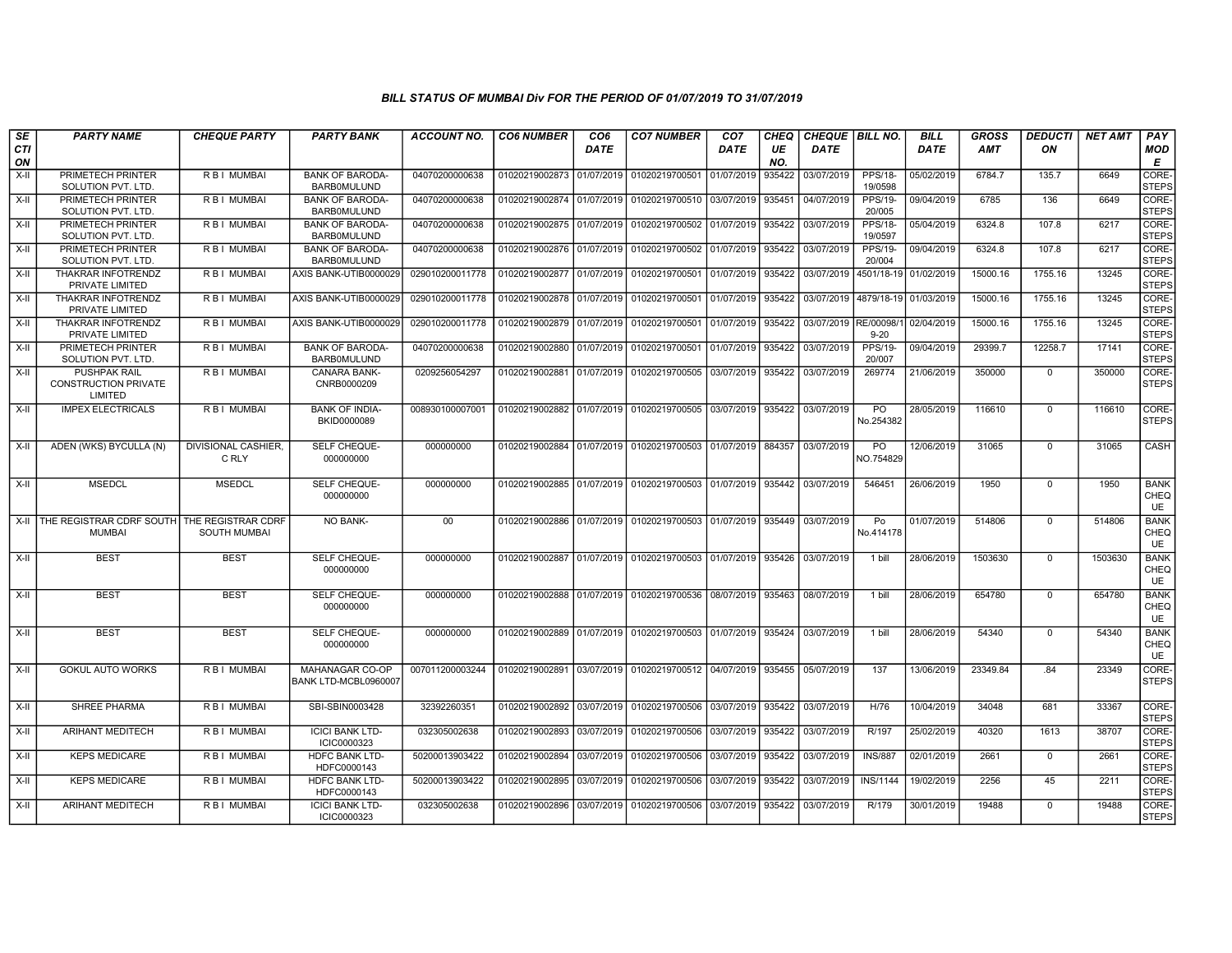| SE               | <b>PARTY NAME</b>                                             | <b>CHEQUE PARTY</b>          | <b>PARTY BANK</b>                            | <b>ACCOUNT NO.</b> | <b>CO6 NUMBER</b>         | CO <sub>6</sub> | <b>CO7 NUMBER</b>                                          | CO <sub>7</sub> | <b>CHEQ</b> | CHEQUE BILL NO. |                           | <b>BILL</b>           | <b>GROSS</b> | <b>DEDUCTI</b> | <b>NET AMT</b> | PAY                              |
|------------------|---------------------------------------------------------------|------------------------------|----------------------------------------------|--------------------|---------------------------|-----------------|------------------------------------------------------------|-----------------|-------------|-----------------|---------------------------|-----------------------|--------------|----------------|----------------|----------------------------------|
| <b>CTI</b><br>ON |                                                               |                              |                                              |                    |                           | DATE            |                                                            | DATE            | UE<br>NO.   | DATE            |                           | DATE                  | AMT          | ON             |                | MOD<br>E                         |
| $X-H$            | PRIMETECH PRINTER<br>SOLUTION PVT. LTD.                       | R B I MUMBAI                 | <b>BANK OF BARODA-</b><br><b>BARBOMULUND</b> | 04070200000638     | 01020219002873 01/07/2019 |                 | 01020219700501                                             | 01/07/2019      | 935422      | 03/07/2019      | <b>PPS/18-</b><br>19/0598 | 05/02/2019            | 6784.7       | 135.7          | 6649           | CORE-<br><b>STEPS</b>            |
| $X-H$            | PRIMETECH PRINTER<br>SOLUTION PVT. LTD.                       | R B   MUMBAI                 | <b>BANK OF BARODA-</b><br><b>BARBOMULUND</b> | 04070200000638     | 01020219002874 01/07/2019 |                 | 01020219700510 03/07/2019                                  |                 | 935451      | 04/07/2019      | <b>PPS/19-</b><br>20/005  | 09/04/2019            | 6785         | 136            | 6649           | CORE-<br><b>STEPS</b>            |
| X-II             | PRIMETECH PRINTER<br>SOLUTION PVT. LTD.                       | R B I MUMBAI                 | <b>BANK OF BARODA-</b><br><b>BARBOMULUND</b> | 04070200000638     | 01020219002875 01/07/2019 |                 | 01020219700502                                             | 01/07/2019      | 935422      | 03/07/2019      | PPS/18-<br>19/0597        | 05/04/2019            | 6324.8       | 107.8          | 6217           | CORE-<br><b>STEPS</b>            |
| $X-II$           | PRIMETECH PRINTER<br>SOLUTION PVT. LTD.                       | R B I MUMBAI                 | <b>BANK OF BARODA-</b><br><b>BARBOMULUND</b> | 04070200000638     | 01020219002876 01/07/2019 |                 | 01020219700502                                             | 01/07/2019      | 935422      | 03/07/2019      | PPS/19-<br>20/004         | 09/04/2019            | 6324.8       | 107.8          | 6217           | CORE-<br><b>STEPS</b>            |
| $X-H$            | <b>THAKRAR INFOTRENDZ</b><br>PRIVATE LIMITED                  | R B I MUMBAI                 | AXIS BANK-UTIB0000029                        | 029010200011778    | 01020219002877 01/07/2019 |                 | 01020219700501                                             | 01/07/2019      | 935422      | 03/07/2019      |                           | 4501/18-19 01/02/2019 | 15000.16     | 1755.16        | 13245          | CORE-<br><b>STEPS</b>            |
| X-II             | THAKRAR INFOTRENDZ<br>PRIVATE LIMITED                         | R B I MUMBAI                 | AXIS BANK-UTIB0000029                        | 029010200011778    | 01020219002878 01/07/2019 |                 | 01020219700501                                             | 01/07/2019      | 935422      | 03/07/2019      |                           | 4879/18-19 01/03/2019 | 15000.16     | 1755.16        | 13245          | CORE-<br><b>STEPS</b>            |
| X-II             | THAKRAR INFOTRENDZ<br>PRIVATE LIMITED                         | R B I MUMBAI                 | AXIS BANK-UTIB0000029                        | 029010200011778    | 01020219002879 01/07/2019 |                 | 01020219700501                                             | 01/07/2019      | 935422      | 03/07/2019      | RE/00098/<br>$9-20$       | 02/04/2019            | 15000.16     | 1755.16        | 13245          | CORE-<br><b>STEPS</b>            |
| $X-II$           | PRIMETECH PRINTER<br>SOLUTION PVT. LTD.                       | R B I MUMBAI                 | <b>BANK OF BARODA-</b><br><b>BARBOMULUND</b> | 04070200000638     | 01020219002880 01/07/2019 |                 | 01020219700501                                             | 01/07/2019      | 935422      | 03/07/2019      | PPS/19-<br>20/007         | 09/04/2019            | 29399.7      | 12258.7        | 17141          | CORE-<br><b>STEPS</b>            |
| X-II             | <b>PUSHPAK RAIL</b><br><b>CONSTRUCTION PRIVATE</b><br>LIMITED | R B I MUMBAI                 | CANARA BANK-<br>CNRB0000209                  | 0209256054297      |                           |                 | 01020219002881 01/07/2019 01020219700505                   | 03/07/2019      | 935422      | 03/07/2019      | 269774                    | 21/06/2019            | 350000       | $\mathbf{0}$   | 350000         | CORE-<br><b>STEPS</b>            |
| X-II             | <b>IMPEX ELECTRICALS</b>                                      | R B I MUMBAI                 | <b>BANK OF INDIA-</b><br>BKID0000089         | 008930100007001    |                           |                 | 01020219002882 01/07/2019 01020219700505                   | 03/07/2019      | 935422      | 03/07/2019      | PO<br>No.254382           | 28/05/2019            | 116610       | $\mathbf{0}$   | 116610         | CORE-<br><b>STEPS</b>            |
| X-II             | ADEN (WKS) BYCULLA (N)                                        | DIVISIONAL CASHIER,<br>C RLY | SELF CHEQUE-<br>000000000                    | 000000000          | 01020219002884            |                 | 01/07/2019 01020219700503                                  | 01/07/2019      | 884357      | 03/07/2019      | PO<br>NO.754829           | 12/06/2019            | 31065        | $\mathbf{0}$   | 31065          | CASH                             |
| $X-H$            | <b>MSEDCL</b>                                                 | <b>MSEDCL</b>                | <b>SELF CHEQUE-</b><br>000000000             | 000000000          |                           |                 | 01020219002885 01/07/2019 01020219700503 01/07/2019        |                 | 935442      | 03/07/2019      | 546451                    | 26/06/2019            | 1950         | $\mathbf 0$    | 1950           | <b>BANK</b><br>CHEQ<br><b>UE</b> |
| $X-H$            | THE REGISTRAR CDRF SOUTH THE REGISTRAR CDRF<br><b>MUMBAI</b>  | SOUTH MUMBAI                 | <b>NO BANK-</b>                              | 00                 |                           |                 | 01020219002886 01/07/2019 01020219700503                   | 01/07/2019      | 935449      | 03/07/2019      | Po<br>No.414178           | 01/07/2019            | 514806       | $\mathbf 0$    | 514806         | <b>BANK</b><br>CHEQ<br><b>UE</b> |
| X-II             | <b>BEST</b>                                                   | <b>BEST</b>                  | SELF CHEQUE-<br>000000000                    | 000000000          |                           |                 | 01020219002887 01/07/2019 01020219700503                   | 01/07/2019      | 935426      | 03/07/2019      | 1 bill                    | 28/06/2019            | 1503630      | $\mathbf 0$    | 1503630        | <b>BANK</b><br>CHEQ<br>UE        |
| $X-H$            | <b>BEST</b>                                                   | <b>BEST</b>                  | <b>SELF CHEQUE-</b><br>000000000             | 000000000          |                           |                 | 01020219002888 01/07/2019 01020219700536 08/07/2019        |                 | 935463      | 08/07/2019      | 1 bill                    | 28/06/2019            | 654780       | $\mathbf 0$    | 654780         | <b>BANK</b><br>CHEQ<br>UE        |
| $X-II$           | <b>BEST</b>                                                   | <b>BEST</b>                  | SELF CHEQUE-<br>000000000                    | 000000000          |                           |                 | 01020219002889 01/07/2019 01020219700503 01/07/2019 935424 |                 |             | 03/07/2019      | 1 bill                    | 28/06/2019            | 54340        | $\mathbf 0$    | 54340          | <b>BANK</b><br>CHEQ<br>UE        |
| X-II             | <b>GOKUL AUTO WORKS</b>                                       | R B I MUMBAI                 | MAHANAGAR CO-OP<br>BANK LTD-MCBL0960007      | 007011200003244    | 01020219002891            |                 | 03/07/2019 01020219700512 04/07/2019                       |                 | 935455      | 05/07/2019      | 137                       | 13/06/2019            | 23349.84     | .84            | 23349          | CORE-<br><b>STEPS</b>            |
| X-II             | <b>SHREE PHARMA</b>                                           | R B I MUMBAI                 | SBI-SBIN0003428                              | 32392260351        |                           |                 | 01020219002892 03/07/2019 01020219700506 03/07/2019 935422 |                 |             | 03/07/2019      | H/76                      | 10/04/2019            | 34048        | 681            | 33367          | CORE-<br><b>STEPS</b>            |
| X-II             | <b>ARIHANT MEDITECH</b>                                       | <b>RBI MUMBAI</b>            | <b>ICICI BANK LTD-</b><br>ICIC0000323        | 032305002638       | 01020219002893            | 03/07/2019      | 01020219700506                                             | 03/07/2019      | 935422      | 03/07/2019      | R/197                     | 25/02/2019            | 40320        | 1613           | 38707          | CORE-<br><b>STEPS</b>            |
| X-II             | <b>KEPS MEDICARE</b>                                          | R B I MUMBAI                 | HDFC BANK LTD-<br>HDFC0000143                | 50200013903422     | 01020219002894            | 03/07/2019      | 01020219700506                                             | 03/07/2019      | 935422      | 03/07/2019      | <b>INS/887</b>            | 02/01/2019            | 2661         | $\mathbf 0$    | 2661           | CORE-<br><b>STEPS</b>            |
| X-II             | <b>KEPS MEDICARE</b>                                          | R B I MUMBAI                 | <b>HDFC BANK LTD-</b><br>HDFC0000143         | 50200013903422     | 01020219002895 03/07/2019 |                 | 01020219700506                                             | 03/07/2019      | 935422      | 03/07/2019      | <b>INS/1144</b>           | 19/02/2019            | 2256         | 45             | 2211           | CORE-<br><b>STEPS</b>            |
| X-II             | <b>ARIHANT MEDITECH</b>                                       | R B I MUMBAI                 | <b>ICICI BANK LTD-</b><br>ICIC0000323        | 032305002638       | 01020219002896 03/07/2019 |                 | 01020219700506                                             | 03/07/2019      | 935422      | 03/07/2019      | R/179                     | 30/01/2019            | 19488        | $\mathbf{0}$   | 19488          | CORE-<br><b>STEPS</b>            |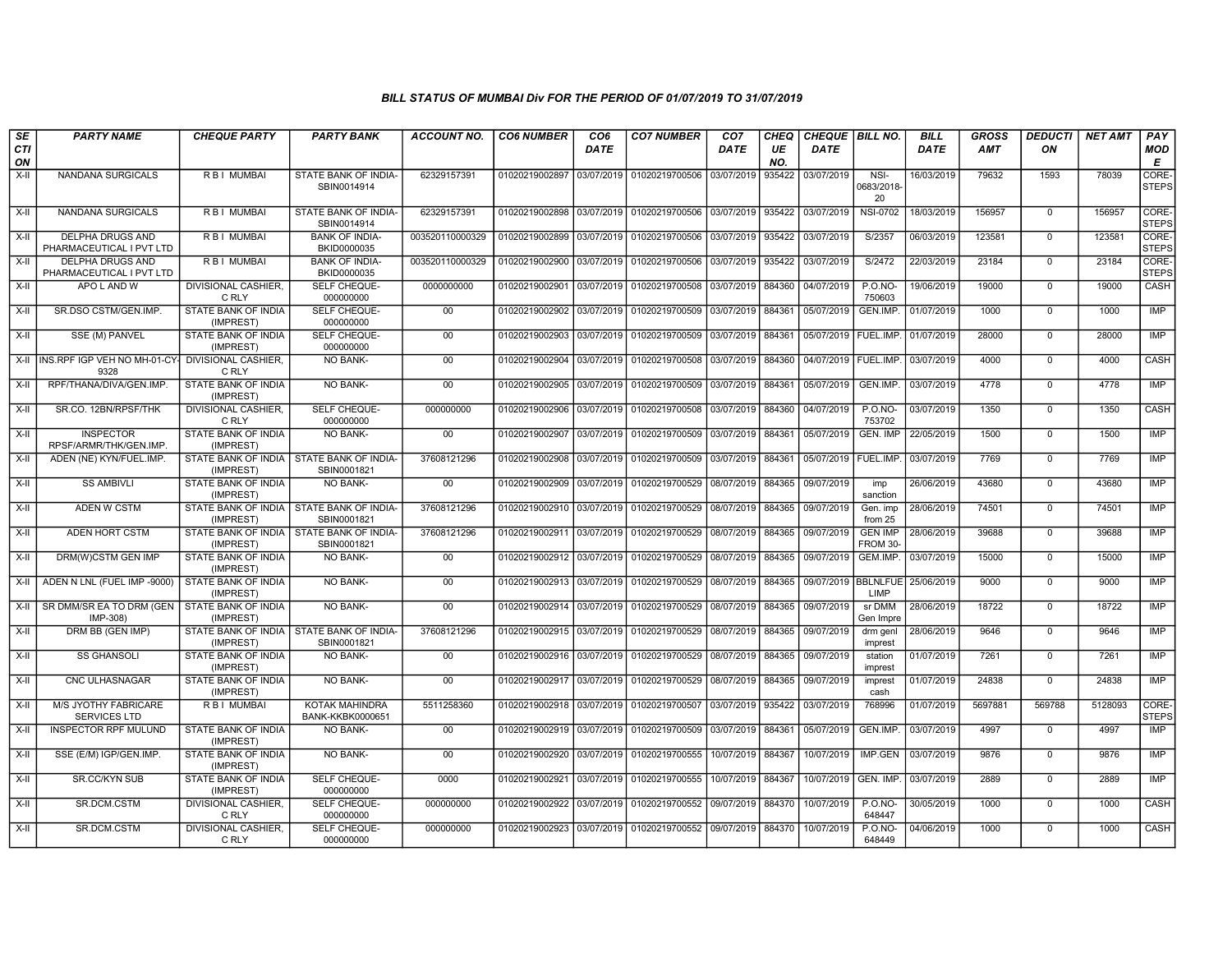| SE               | <b>PARTY NAME</b>                                             | <b>CHEQUE PARTY</b>                     | <b>PARTY BANK</b>                                         | ACCOUNT NO.     | <b>CO6 NUMBER</b>         | CO <sub>6</sub> | <b>CO7 NUMBER</b>                                          | CO <sub>7</sub>   | CHEQ      | CHEQUE BILL NO.        |                                         | <b>BILL</b> | <b>GROSS</b> | <i><b>DEDUCTI</b></i> | NET AMT | PAY                         |
|------------------|---------------------------------------------------------------|-----------------------------------------|-----------------------------------------------------------|-----------------|---------------------------|-----------------|------------------------------------------------------------|-------------------|-----------|------------------------|-----------------------------------------|-------------|--------------|-----------------------|---------|-----------------------------|
| <b>CTI</b><br>ON |                                                               |                                         |                                                           |                 |                           | <b>DATE</b>     |                                                            | DATE              | UE<br>NO. | <b>DATE</b>            |                                         | DATE        | AMT          | ON                    |         | <b>MOD</b><br>E             |
| $X-H$            | NANDANA SURGICALS                                             | R B I MUMBAI                            | STATE BANK OF INDIA-<br>SBIN0014914                       | 62329157391     | 01020219002897            | 03/07/2019      | 01020219700506                                             | 03/07/2019        | 935422    | 03/07/2019             | NSI-<br>0683/2018-<br>20                | 16/03/2019  | 79632        | 1593                  | 78039   | CORE-<br><b>STEPS</b>       |
| X-II             | <b>NANDANA SURGICALS</b>                                      | R B I MUMBAI                            | STATE BANK OF INDIA-<br>SBIN0014914                       | 62329157391     | 01020219002898            | 03/07/2019      | 01020219700506                                             | 03/07/2019 935422 |           | 03/07/2019             | <b>NSI-0702</b>                         | 18/03/2019  | 156957       | $^{\circ}$            | 156957  | <b>CORE</b><br><b>STEPS</b> |
| X-II             | <b>DELPHA DRUGS AND</b><br>PHARMACEUTICAL I PVT LTD           | <b>RBI MUMBAI</b>                       | <b>BANK OF INDIA-</b><br>BKID0000035                      | 003520110000329 | 01020219002899            | 03/07/2019      | 01020219700506                                             | 03/07/2019        | 935422    | 03/07/2019             | S/2357                                  | 06/03/2019  | 123581       | $\Omega$              | 123581  | CORE-<br><b>STEPS</b>       |
| $X-H$            | <b>DELPHA DRUGS AND</b><br>PHARMACEUTICAL I PVT LTD           | <b>RBI MUMBAI</b>                       | <b>BANK OF INDIA-</b><br>BKID0000035                      | 003520110000329 | 01020219002900            | 03/07/2019      | 01020219700506                                             | 03/07/2019        | 935422    | 03/07/2019             | S/2472                                  | 22/03/2019  | 23184        | $\Omega$              | 23184   | CORE-<br><b>STEPS</b>       |
| $X-I$            | APO L AND W                                                   | DIVISIONAL CASHIER,<br>C RLY            | SELF CHEQUE-<br>000000000                                 | 0000000000      | 01020219002901            | 03/07/2019      | 01020219700508                                             | 03/07/2019        | 884360    | 04/07/2019             | P.O.NO-<br>750603                       | 19/06/2019  | 19000        | $\mathbf 0$           | 19000   | CASH                        |
| X-II             | SR.DSO CSTM/GEN.IMP.                                          | STATE BANK OF INDIA<br>(IMPREST)        | SELF CHEQUE-<br>000000000                                 | 00              | 01020219002902            | 03/07/2019      | 01020219700509                                             | 03/07/2019 884361 |           | 05/07/2019             | GEN.IMP.                                | 01/07/2019  | 1000         | $^{\circ}$            | 1000    | IMP                         |
| $X-H$            | SSE (M) PANVEL                                                | <b>STATE BANK OF INDIA</b><br>(IMPREST) | <b>SELF CHEQUE-</b><br>000000000                          | 00              | 01020219002903            | 03/07/2019      | 01020219700509 03/07/2019                                  |                   | 884361    | 05/07/2019   FUEL.IMP. |                                         | 01/07/2019  | 28000        | $\mathbf 0$           | 28000   | <b>IMP</b>                  |
|                  | X-II INS.RPF IGP VEH NO MH-01-CY- DIVISIONAL CASHIER,<br>9328 | C RLY                                   | <b>NO BANK-</b>                                           | 00              | 01020219002904 03/07/2019 |                 | 01020219700508 03/07/2019 884360                           |                   |           | 04/07/2019   FUEL.IMP. |                                         | 03/07/2019  | 4000         | $\Omega$              | 4000    | <b>CASH</b>                 |
| X-II             | RPF/THANA/DIVA/GEN.IMP.                                       | <b>STATE BANK OF INDIA</b><br>(IMPREST) | <b>NO BANK-</b>                                           | 00              | 01020219002905            | 03/07/2019      | 01020219700509                                             | 03/07/2019        | 884361    | 05/07/2019             | GEN.IMP.                                | 03/07/2019  | 4778         | $\mathbf 0$           | 4778    | IMP                         |
| X-II             | SR.CO. 12BN/RPSF/THK                                          | <b>DIVISIONAL CASHIER.</b><br>C RLY     | SELF CHEQUE-<br>000000000                                 | 000000000       | 01020219002906            | 03/07/2019      | 01020219700508                                             | 03/07/2019        | 884360    | 04/07/2019             | <b>P.O.NO-</b><br>753702                | 03/07/2019  | 1350         | $\mathbf 0$           | 1350    | CASH                        |
| X-II             | <b>INSPECTOR</b><br>RPSF/ARMR/THK/GEN.IMP                     | STATE BANK OF INDIA<br>(IMPREST)        | <b>NO BANK-</b>                                           | 00              | 01020219002907            | 03/07/2019      | 01020219700509                                             | 03/07/2019 884361 |           | 05/07/2019             | GEN. IMP                                | 22/05/2019  | 1500         | $\mathbf 0$           | 1500    | <b>IMP</b>                  |
| $X-H$            | ADEN (NE) KYN/FUEL.IMP.                                       | STATE BANK OF INDIA<br>(IMPREST)        | STATE BANK OF INDIA-<br>SBIN0001821                       | 37608121296     | 01020219002908            | 03/07/2019      | 01020219700509 03/07/2019                                  |                   | 884361    | 05/07/2019             | FUEL.IMP                                | 03/07/2019  | 7769         | $\Omega$              | 7769    | <b>IMP</b>                  |
| X-II             | <b>SS AMBIVLI</b>                                             | <b>STATE BANK OF INDIA</b><br>(IMPREST) | NO BANK-                                                  | $00\,$          | 01020219002909            | 03/07/2019      | 01020219700529                                             | 08/07/2019 884365 |           | 09/07/2019             | imp<br>sanction                         | 26/06/2019  | 43680        | $\mathbf 0$           | 43680   | IMP                         |
| $X-II$           | ADEN W CSTM                                                   | (IMPREST)                               | STATE BANK OF INDIA   STATE BANK OF INDIA-<br>SBIN0001821 | 37608121296     | 01020219002910            | 03/07/2019      | 01020219700529 08/07/2019 884365                           |                   |           | 09/07/2019             | Gen. imp<br>from 25                     | 28/06/2019  | 74501        | $\mathbf 0$           | 74501   | IMP                         |
| X-II             | ADEN HORT CSTM                                                | (IMPREST)                               | STATE BANK OF INDIA STATE BANK OF INDIA-<br>SBIN0001821   | 37608121296     | 01020219002911 03/07/2019 |                 | 01020219700529 08/07/2019 884365                           |                   |           | 09/07/2019             | <b>GEN IMP</b><br>FROM 30               | 28/06/2019  | 39688        | $\Omega$              | 39688   | <b>IMP</b>                  |
| $X-H$            | DRM(W)CSTM GEN IMP                                            | <b>STATE BANK OF INDIA</b><br>(IMPREST) | <b>NO BANK-</b>                                           | 00              | 01020219002912 03/07/2019 |                 | 01020219700529 08/07/2019                                  |                   | 884365    | 09/07/2019             | GEM.IMP.                                | 03/07/2019  | 15000        | $\overline{0}$        | 15000   | IMP                         |
| X-II             | ADEN N LNL (FUEL IMP -9000)                                   | STATE BANK OF INDIA<br>(IMPREST)        | NO BANK-                                                  | $00\,$          | 01020219002913 03/07/2019 |                 | 01020219700529 08/07/2019                                  |                   | 884365    |                        | 09/07/2019  BBLNLFUE 25/06/2019<br>LIMP |             | 9000         | $\mathbf 0$           | 9000    | <b>IMP</b>                  |
| X-II             | SR DMM/SR EA TO DRM (GEN<br>IMP-308)                          | STATE BANK OF INDIA<br>(IMPREST)        | <b>NO BANK-</b>                                           | 00 <sup>1</sup> | 01020219002914            | 03/07/2019      | 01020219700529                                             | 08/07/2019        | 884365    | 09/07/2019             | sr DMM<br>Gen Impre                     | 28/06/2019  | 18722        | $\mathbf 0$           | 18722   | <b>IMP</b>                  |
| X-II             | DRM BB (GEN IMP)                                              | (IMPREST)                               | STATE BANK OF INDIA STATE BANK OF INDIA-<br>SBIN0001821   | 37608121296     | 01020219002915 03/07/2019 |                 | 01020219700529 08/07/2019 884365                           |                   |           | 09/07/2019             | drm genl<br>imprest                     | 28/06/2019  | 9646         | $\Omega$              | 9646    | <b>IMP</b>                  |
| $X-H$            | <b>SS GHANSOLI</b>                                            | <b>STATE BANK OF INDIA</b><br>(IMPREST) | NO BANK-                                                  | 00              | 01020219002916 03/07/2019 |                 | 01020219700529 08/07/2019                                  |                   | 884365    | 09/07/2019             | station<br>imprest                      | 01/07/2019  | 7261         | $\overline{0}$        | 7261    | <b>IMP</b>                  |
| X-II             | CNC ULHASNAGAR                                                | STATE BANK OF INDIA<br>(IMPREST)        | NO BANK-                                                  | 00              | 01020219002917            | 03/07/2019      | 01020219700529 08/07/2019                                  |                   | 884365    | 09/07/2019             | imprest<br>cash                         | 01/07/2019  | 24838        | $\mathbf 0$           | 24838   | <b>IMP</b>                  |
| X-II             | M/S JYOTHY FABRICARE<br><b>SERVICES LTD</b>                   | <b>RBI MUMBAI</b>                       | KOTAK MAHINDRA<br>BANK-KKBK0000651                        | 5511258360      | 01020219002918 03/07/2019 |                 | 01020219700507 03/07/2019                                  |                   | 935422    | 03/07/2019             | 768996                                  | 01/07/2019  | 5697881      | 569788                | 5128093 | CORE-<br><b>STEPS</b>       |
| $X-H$            | <b>INSPECTOR RPF MULUND</b>                                   | STATE BANK OF INDIA<br>(IMPREST)        | <b>NO BANK-</b>                                           | $00\,$          | 01020219002919 03/07/2019 |                 | 01020219700509 03/07/2019 884361                           |                   |           | 05/07/2019             | GEN.IMP.                                | 03/07/2019  | 4997         | $\mathbf 0$           | 4997    | <b>IMP</b>                  |
| $X-H$            | SSE (E/M) IGP/GEN.IMP.                                        | <b>STATE BANK OF INDIA</b><br>(IMPREST) | <b>NO BANK-</b>                                           | 00              | 01020219002920 03/07/2019 |                 | 01020219700555                                             | 10/07/2019        | 884367    | 10/07/2019             | IMP.GEN                                 | 03/07/2019  | 9876         | $\mathbf 0$           | 9876    | IMP                         |
| X-II             | <b>SR.CC/KYN SUB</b>                                          | STATE BANK OF INDIA<br>(IMPREST)        | SELF CHEQUE-<br>000000000                                 | 0000            | 01020219002921 03/07/2019 |                 | 01020219700555                                             | 10/07/2019        | 884367    | 10/07/2019             | GEN. IMP.                               | 03/07/2019  | 2889         | $\mathbf 0$           | 2889    | <b>IMP</b>                  |
| X-II             | SR.DCM.CSTM                                                   | <b>DIVISIONAL CASHIER.</b><br>C RLY     | SELF CHEQUE-<br>000000000                                 | 000000000       | 01020219002922            | 03/07/2019      | 01020219700552                                             | 09/07/2019 884370 |           | 10/07/2019             | <b>P.O.NO-</b><br>648447                | 30/05/2019  | 1000         | $\mathbf 0$           | 1000    | CASH                        |
| $X-H$            | SR.DCM.CSTM                                                   | DIVISIONAL CASHIER,<br>C RLY            | SELF CHEQUE-<br>000000000                                 | 000000000       |                           |                 | 01020219002923 03/07/2019 01020219700552 09/07/2019 884370 |                   |           | 10/07/2019             | <b>P.O.NO-</b><br>648449                | 04/06/2019  | 1000         | $\mathbf 0$           | 1000    | CASH                        |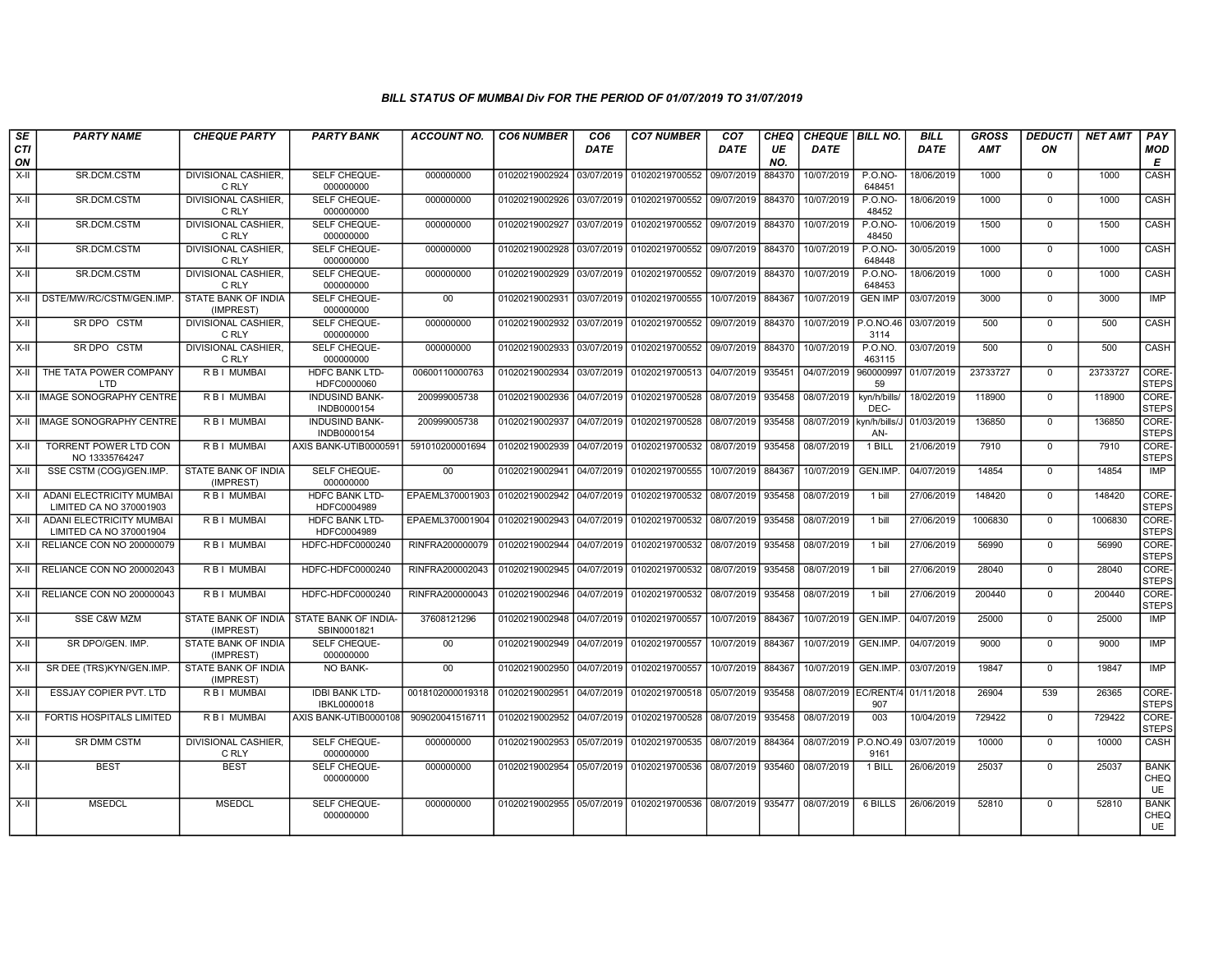| SE        | <b>PARTY NAME</b>                                          | <b>CHEQUE PARTY</b>                     | <b>PARTY BANK</b>                    | <b>ACCOUNT NO.</b>              | <b>CO6 NUMBER</b>         | CO <sub>6</sub> | <b>CO7 NUMBER</b>                                   | CO <sub>7</sub> | CHEQ      | CHEQUE   BILL NO.    |                          | <b>BILL</b> | <b>GROSS</b> | <b>DEDUCTI</b> | <b>NET AMT</b> | <b>PAY</b>                       |
|-----------|------------------------------------------------------------|-----------------------------------------|--------------------------------------|---------------------------------|---------------------------|-----------------|-----------------------------------------------------|-----------------|-----------|----------------------|--------------------------|-------------|--------------|----------------|----------------|----------------------------------|
| CTI<br>ON |                                                            |                                         |                                      |                                 |                           | <b>DATE</b>     |                                                     | DATE            | UE<br>NO. | <b>DATE</b>          |                          | <b>DATE</b> | <b>AMT</b>   | ON             |                | MOD<br>Е                         |
| $X-H$     | SR.DCM.CSTM                                                | <b>DIVISIONAL CASHIER.</b><br>C RLY     | SELF CHEQUE-<br>000000000            | 000000000                       | 01020219002924            | 03/07/2019      | 01020219700552                                      | 09/07/2019      | 884370    | 10/07/2019           | $P. O. NO -$<br>648451   | 18/06/2019  | 1000         | $\mathbf 0$    | 1000           | CASH                             |
| X-II      | SR.DCM.CSTM                                                | DIVISIONAL CASHIER,<br>C RLY            | SELF CHEQUE-<br>000000000            | 000000000                       | 01020219002926 03/07/2019 |                 | 01020219700552                                      | 09/07/2019      | 884370    | 10/07/2019           | <b>P.O.NO-</b><br>48452  | 18/06/2019  | 1000         | $\mathbf 0$    | 1000           | <b>CASH</b>                      |
| $X-H$     | SR.DCM.CSTM                                                | <b>DIVISIONAL CASHIER.</b><br>C RLY     | <b>SELF CHEQUE-</b><br>000000000     | 000000000                       | 01020219002927            | 03/07/2019      | 01020219700552                                      | 09/07/2019      | 884370    | 10/07/2019           | <b>P.O.NO-</b><br>48450  | 10/06/2019  | 1500         | $\Omega$       | 1500           | <b>CASH</b>                      |
| X-II      | SR.DCM.CSTM                                                | DIVISIONAL CASHIER,<br>C RLY            | SELF CHEQUE-<br>000000000            | 000000000                       | 01020219002928            | 03/07/2019      | 01020219700552                                      | 09/07/2019      | 884370    | 10/07/2019           | <b>P.O.NO-</b><br>648448 | 30/05/2019  | 1000         | $\mathbf 0$    | 1000           | CASH                             |
| $X-H$     | SR.DCM.CSTM                                                | <b>DIVISIONAL CASHIER,</b><br>C RLY     | SELF CHEQUE-<br>000000000            | 000000000                       | 01020219002929            | 03/07/2019      | 01020219700552                                      | 09/07/2019      | 884370    | 10/07/2019           | <b>P.O.NO-</b><br>648453 | 18/06/2019  | 1000         | $\mathbf 0$    | 1000           | <b>CASH</b>                      |
| X-II      | DSTE/MW/RC/CSTM/GEN.IMP.                                   | <b>STATE BANK OF INDIA</b><br>(IMPREST) | <b>SELF CHEQUE-</b><br>000000000     | $00\,$                          | 01020219002931            | 03/07/2019      | 01020219700555                                      | 10/07/2019      | 884367    | 10/07/2019           | <b>GEN IMP</b>           | 03/07/2019  | 3000         | $\mathbf{0}$   | 3000           | IMP                              |
| X-II      | SR DPO CSTM                                                | <b>DIVISIONAL CASHIER,</b><br>C RLY     | SELF CHEQUE-<br>000000000            | 000000000                       | 01020219002932            | 03/07/2019      | 01020219700552                                      | 09/07/2019      | 884370    | 10/07/2019           | P.O.NO.46<br>3114        | 03/07/2019  | 500          | $\mathbf 0$    | 500            | CASH                             |
| X-II      | SR DPO CSTM                                                | <b>DIVISIONAL CASHIER,</b><br>C RLY     | SELF CHEQUE-<br>000000000            | 000000000                       | 01020219002933            | 03/07/2019      | 01020219700552                                      | 09/07/2019      | 884370    | 10/07/2019           | P.O.NO.<br>463115        | 03/07/2019  | 500          | $\mathbf 0$    | 500            | CASH                             |
| X-II      | THE TATA POWER COMPANY<br><b>LTD</b>                       | <b>RBI MUMBAI</b>                       | <b>HDFC BANK LTD-</b><br>HDFC0000060 | 00600110000763                  | 01020219002934            | 03/07/2019      | 01020219700513                                      | 04/07/2019      | 935451    | 04/07/2019           | 960000997<br>59          | 01/07/2019  | 23733727     | $\mathbf 0$    | 23733727       | CORE-<br><b>STEPS</b>            |
|           | X-II   IMAGE SONOGRAPHY CENTRE                             | <b>RBI MUMBAI</b>                       | <b>INDUSIND BANK-</b><br>INDB0000154 | 200999005738                    | 01020219002936            | 04/07/2019      | 01020219700528                                      | 08/07/2019      | 935458    | 08/07/2019           | kyn/h/bills/<br>DEC-     | 18/02/2019  | 118900       | $\Omega$       | 118900         | CORE-<br><b>STEPS</b>            |
| X-II      | <b>IMAGE SONOGRAPHY CENTRE</b>                             | R B I MUMBAI                            | <b>INDUSIND BANK-</b><br>INDB0000154 | 200999005738                    | 01020219002937            | 04/07/2019      | 01020219700528                                      | 08/07/2019      | 935458    | 08/07/2019           | kyn/h/bills/J<br>AN-     | 01/03/2019  | 136850       | $\mathbf 0$    | 136850         | CORE-<br><b>STEPS</b>            |
| $X-H$     | <b>TORRENT POWER LTD CON</b><br>NO 13335764247             | R B   MUMBAI                            | AXIS BANK-UTIB0000591                | 591010200001694                 | 01020219002939            | 04/07/2019      | 01020219700532                                      | 08/07/2019      | 935458    | 08/07/2019           | 1 BILL                   | 21/06/2019  | 7910         | $\mathbf 0$    | 7910           | CORE-<br><b>STEPS</b>            |
| X-II      | SSE CSTM (COG)/GEN.IMP.                                    | STATE BANK OF INDIA<br>(IMPREST)        | SELF CHEQUE-<br>000000000            | $00\,$                          | 01020219002941            | 04/07/2019      | 01020219700555                                      | 10/07/2019      | 884367    | 10/07/2019           | GEN.IMP.                 | 04/07/2019  | 14854        | $\mathbf{0}$   | 14854          | <b>IMP</b>                       |
| $X-I$     | <b>ADANI ELECTRICITY MUMBAI</b><br>LIMITED CA NO 370001903 | <b>RBI MUMBAI</b>                       | <b>HDFC BANK LTD-</b><br>HDFC0004989 | EPAEML370001903 01020219002942  |                           | 04/07/2019      | 01020219700532                                      | 08/07/2019      | 935458    | 08/07/2019           | 1 bill                   | 27/06/2019  | 148420       | $\mathbf 0$    | 148420         | CORE-<br><b>STEPS</b>            |
| X-II      | <b>ADANI ELECTRICITY MUMBAI</b><br>LIMITED CA NO 370001904 | R B I MUMBAI                            | HDFC BANK LTD-<br>HDFC0004989        | EPAEML370001904                 | 01020219002943            | 04/07/2019      | 01020219700532                                      | 08/07/2019      | 935458    | 08/07/2019           | 1 bill                   | 27/06/2019  | 1006830      | $\mathbf 0$    | 1006830        | CORE-<br><b>STEPS</b>            |
| X-II      | RELIANCE CON NO 200000079                                  | R B I MUMBAI                            | HDFC-HDFC0000240                     | RINFRA200000079                 | 01020219002944            | 04/07/2019      | 01020219700532                                      | 08/07/2019      | 935458    | 08/07/2019           | 1 bill                   | 27/06/2019  | 56990        | $\mathbf 0$    | 56990          | CORE-<br><b>STEPS</b>            |
| X-II      | <b>RELIANCE CON NO 200002043</b>                           | R B I MUMBAI                            | HDFC-HDFC0000240                     | RINFRA200002043                 | 01020219002945            | 04/07/2019      | 01020219700532                                      | 08/07/2019      | 935458    | 08/07/2019           | 1 bill                   | 27/06/2019  | 28040        | $^{\circ}$     | 28040          | CORE-<br><b>STEPS</b>            |
| X-II      | RELIANCE CON NO 200000043                                  | <b>RBI MUMBAI</b>                       | HDFC-HDFC0000240                     | RINFRA200000043                 | 01020219002946            | 04/07/2019      | 01020219700532                                      | 08/07/2019      | 935458    | 08/07/2019           | 1 bill                   | 27/06/2019  | 200440       | $\mathbf 0$    | 200440         | CORE-<br><b>STEPS</b>            |
| X-II      | <b>SSE C&amp;W MZM</b>                                     | STATE BANK OF INDIA<br>(IMPREST)        | STATE BANK OF INDIA-<br>SBIN0001821  | 37608121296                     | 01020219002948            | 04/07/2019      | 01020219700557                                      | 10/07/2019      | 884367    | 10/07/2019           | GEN.IMP.                 | 04/07/2019  | 25000        | $\mathbf 0$    | 25000          | <b>IMP</b>                       |
| X-II      | SR DPO/GEN. IMP.                                           | STATE BANK OF INDIA<br>(IMPREST)        | SELF CHEQUE-<br>000000000            | $00\,$                          | 01020219002949            | 04/07/2019      | 01020219700557                                      | 10/07/2019      | 884367    | 10/07/2019           | GEN.IMP.                 | 04/07/2019  | 9000         | $\mathbf 0$    | 9000           | <b>IMP</b>                       |
| $X-H$     | SR DEE (TRS)KYN/GEN.IMP.                                   | STATE BANK OF INDIA<br>(IMPREST)        | <b>NO BANK-</b>                      | 00                              | 01020219002950            | 04/07/2019      | 01020219700557                                      | 10/07/2019      | 884367    | 10/07/2019           | GEN.IMP.                 | 03/07/2019  | 19847        | $\Omega$       | 19847          | <b>IMP</b>                       |
| $X-H$     | ESSJAY COPIER PVT. LTD                                     | R B I MUMBAI                            | <b>IDBI BANK LTD-</b><br>IBKL0000018 | 0018102000019318 01020219002951 |                           | 04/07/2019      | 01020219700518                                      | 05/07/2019      | 935458    | 08/07/2019 EC/RENT/4 | 907                      | 01/11/2018  | 26904        | 539            | 26365          | CORE-<br><b>STEPS</b>            |
| $X-II$    | FORTIS HOSPITALS LIMITED                                   | <b>RBI MUMBAI</b>                       | AXIS BANK-UTIB0000108                | 909020041516711                 | 01020219002952            | 04/07/2019      | 01020219700528                                      | 08/07/2019      | 935458    | 08/07/2019           | 003                      | 10/04/2019  | 729422       | $\mathbf{0}$   | 729422         | CORE-<br><b>STEPS</b>            |
| X-II      | SR DMM CSTM                                                | DIVISIONAL CASHIER,<br>C RLY            | SELF CHEQUE-<br>000000000            | 000000000                       | 01020219002953            | 05/07/2019      | 01020219700535                                      | 08/07/2019      | 884364    | 08/07/2019           | P.O.NO.49<br>9161        | 03/07/2019  | 10000        | $\Omega$       | 10000          | CASH                             |
| X-II      | <b>BEST</b>                                                | <b>BEST</b>                             | SELF CHEQUE-<br>000000000            | 000000000                       | 01020219002954            | 05/07/2019      | 01020219700536                                      | 08/07/2019      | 935460    | 08/07/2019           | 1 BILL                   | 26/06/2019  | 25037        | $\mathbf 0$    | 25037          | <b>BANK</b><br>CHEQ<br>UE        |
| X-II      | <b>MSEDCL</b>                                              | <b>MSEDCL</b>                           | SELF CHEQUE-<br>000000000            | 000000000                       |                           |                 | 01020219002955 05/07/2019 01020219700536 08/07/2019 |                 | 935477    | 08/07/2019           | 6 BILLS                  | 26/06/2019  | 52810        | $\Omega$       | 52810          | <b>BANK</b><br>CHEQ<br><b>UE</b> |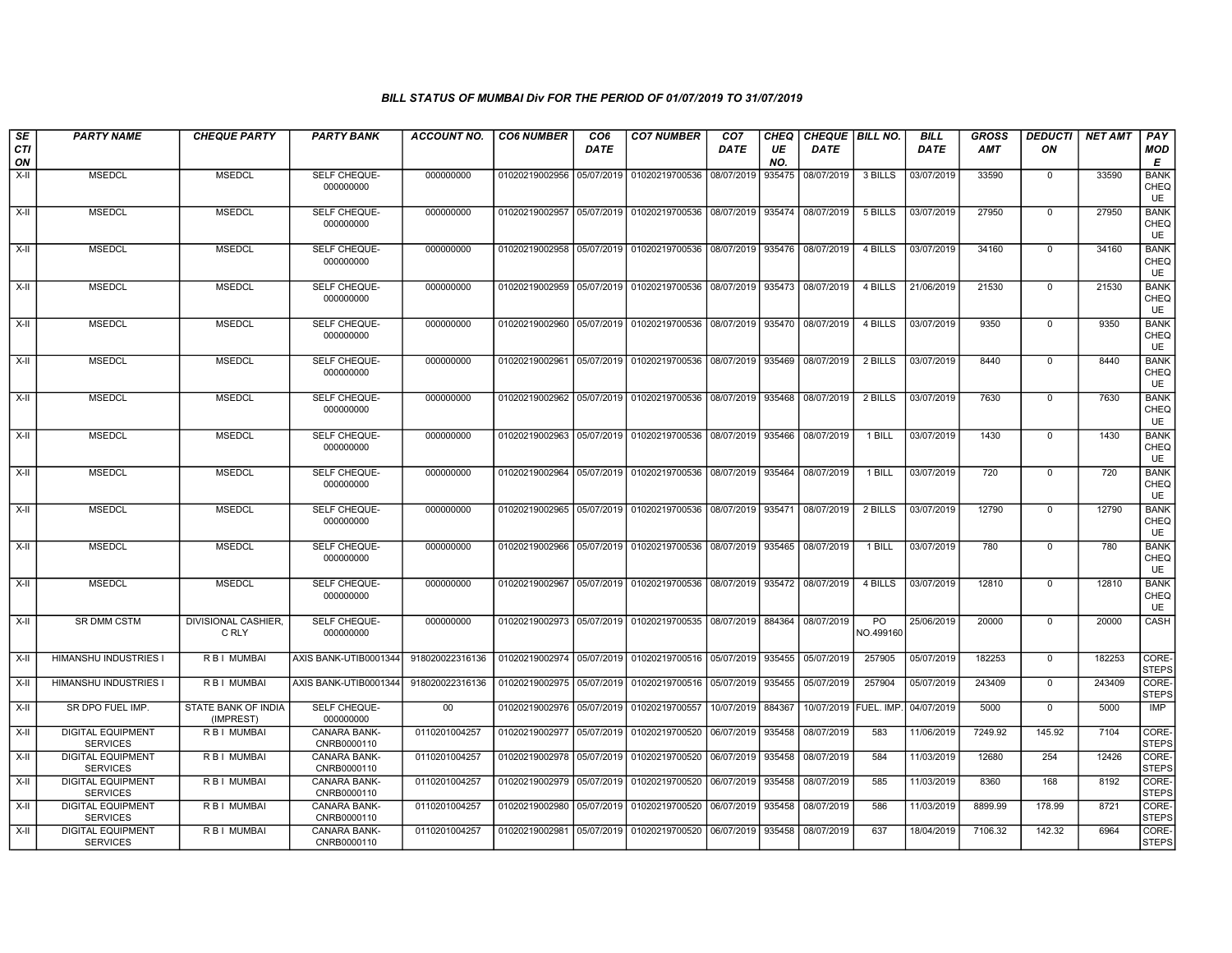| SE<br><b>CTI</b> | <b>PARTY NAME</b>                           | <b>CHEQUE PARTY</b>              | <b>PARTY BANK</b>                  | ACCOUNT NO.     | <b>CO6 NUMBER</b>                        | CO <sub>6</sub><br>DATE | <b>CO7 NUMBER</b>                                          | CO <sub>7</sub><br>DATE | <b>CHEQ</b><br>UE | <b>DATE</b> | CHEQUE   BILL NO.            | <b>BILL</b><br>DATE | GROSS<br>AMT | <b>DEDUCTI</b><br>ON | NET AMT | <b>PAY</b><br><b>MOD</b>         |
|------------------|---------------------------------------------|----------------------------------|------------------------------------|-----------------|------------------------------------------|-------------------------|------------------------------------------------------------|-------------------------|-------------------|-------------|------------------------------|---------------------|--------------|----------------------|---------|----------------------------------|
| ON               |                                             |                                  |                                    |                 |                                          |                         |                                                            |                         | NO.               |             |                              |                     |              |                      |         | Е                                |
| $X-H$            | <b>MSEDCL</b>                               | <b>MSEDCL</b>                    | SELF CHEQUE-<br>000000000          | 000000000       | 01020219002956                           | 05/07/2019              | 01020219700536                                             | 08/07/2019              | 935475            | 08/07/2019  | 3 BILLS                      | 03/07/2019          | 33590        | $\mathbf 0$          | 33590   | <b>BANK</b><br>CHEQ<br><b>UE</b> |
| $X-H$            | <b>MSEDCL</b>                               | <b>MSEDCL</b>                    | SELF CHEQUE-<br>000000000          | 000000000       |                                          |                         | 01020219002957 05/07/2019 01020219700536 08/07/2019 935474 |                         |                   | 08/07/2019  | 5 BILLS                      | 03/07/2019          | 27950        | $\overline{0}$       | 27950   | <b>BANK</b><br>CHEQ<br>UE        |
| X-II             | <b>MSEDCL</b>                               | <b>MSEDCL</b>                    | SELF CHEQUE-<br>000000000          | 000000000       |                                          |                         | 01020219002958 05/07/2019 01020219700536 08/07/2019 935476 |                         |                   | 08/07/2019  | 4 BILLS                      | 03/07/2019          | 34160        | $\mathbf 0$          | 34160   | <b>BANK</b><br>CHEQ<br><b>UE</b> |
| $X-H$            | <b>MSEDCL</b>                               | <b>MSEDCL</b>                    | <b>SELF CHEQUE-</b><br>000000000   | 000000000       | 01020219002959                           |                         | 05/07/2019 01020219700536 08/07/2019 935473                |                         |                   | 08/07/2019  | 4 BILLS                      | 21/06/2019          | 21530        | $\mathbf 0$          | 21530   | <b>BANK</b><br>CHEQ<br>UE        |
| X-II             | <b>MSEDCL</b>                               | <b>MSEDCL</b>                    | SELF CHEQUE-<br>000000000          | 000000000       |                                          |                         | 01020219002960 05/07/2019 01020219700536 08/07/2019 935470 |                         |                   | 08/07/2019  | 4 BILLS                      | 03/07/2019          | 9350         | $\mathbf 0$          | 9350    | <b>BANK</b><br>CHEQ<br>UE        |
| X-II             | <b>MSEDCL</b>                               | <b>MSEDCL</b>                    | SELF CHEQUE-<br>000000000          | 000000000       |                                          |                         | 01020219002961 05/07/2019 01020219700536 08/07/2019 935469 |                         |                   | 08/07/2019  | 2 BILLS                      | 03/07/2019          | 8440         | $\mathbf{0}$         | 8440    | <b>BANK</b><br>CHEQ<br><b>UE</b> |
| $X-H$            | <b>MSEDCL</b>                               | <b>MSEDCL</b>                    | SELF CHEQUE-<br>000000000          | 000000000       |                                          |                         | 01020219002962 05/07/2019 01020219700536 08/07/2019 935468 |                         |                   | 08/07/2019  | 2 BILLS                      | 03/07/2019          | 7630         | $\mathbf 0$          | 7630    | <b>BANK</b><br>CHEQ<br><b>UE</b> |
| $X-H$            | <b>MSEDCL</b>                               | <b>MSEDCL</b>                    | <b>SELF CHEQUE-</b><br>000000000   | 000000000       |                                          |                         | 01020219002963 05/07/2019 01020219700536 08/07/2019 935466 |                         |                   | 08/07/2019  | 1 BILL                       | 03/07/2019          | 1430         | $\overline{0}$       | 1430    | <b>BANK</b><br>CHEQ<br>UE        |
| X-II             | <b>MSEDCL</b>                               | <b>MSEDCL</b>                    | SELF CHEQUE-<br>000000000          | 000000000       |                                          |                         | 01020219002964 05/07/2019 01020219700536 08/07/2019 935464 |                         |                   | 08/07/2019  | 1 BILL                       | 03/07/2019          | 720          | $\mathbf 0$          | 720     | <b>BANK</b><br>CHEQ<br>UE        |
| $X-H$            | <b>MSEDCL</b>                               | <b>MSEDCL</b>                    | SELF CHEQUE-<br>000000000          | 000000000       |                                          |                         | 01020219002965 05/07/2019 01020219700536 08/07/2019 935471 |                         |                   | 08/07/2019  | 2 BILLS                      | 03/07/2019          | 12790        | $\mathbf 0$          | 12790   | <b>BANK</b><br>CHEQ<br><b>UE</b> |
| $X-H$            | <b>MSEDCL</b>                               | <b>MSEDCL</b>                    | SELF CHEQUE-<br>000000000          | 000000000       | 01020219002966                           |                         | 05/07/2019 01020219700536 08/07/2019 935465                |                         |                   | 08/07/2019  | 1 BILL                       | 03/07/2019          | 780          | $\overline{0}$       | 780     | <b>BANK</b><br>CHEQ<br><b>UE</b> |
| X-II             | <b>MSEDCL</b>                               | <b>MSEDCL</b>                    | SELF CHEQUE-<br>000000000          | 000000000       | 01020219002967                           |                         | 05/07/2019 01020219700536                                  | 08/07/2019 935472       |                   | 08/07/2019  | 4 BILLS                      | 03/07/2019          | 12810        | $\mathbf 0$          | 12810   | <b>BANK</b><br>CHEQ<br><b>UE</b> |
| X-II             | <b>SR DMM CSTM</b>                          | DIVISIONAL CASHIER,<br>C RLY     | SELF CHEQUE-<br>000000000          | 000000000       |                                          |                         | 01020219002973 05/07/2019 01020219700535 08/07/2019 884364 |                         |                   | 08/07/2019  | $\overline{PQ}$<br>NO.499160 | 25/06/2019          | 20000        | $\Omega$             | 20000   | CASH                             |
| X-II             | HIMANSHU INDUSTRIES I                       | R B I MUMBAI                     | AXIS BANK-UTIB0001344              | 918020022316136 |                                          |                         | 01020219002974 05/07/2019 01020219700516 05/07/2019 935455 |                         |                   | 05/07/2019  | 257905                       | 05/07/2019          | 182253       | $\mathbf 0$          | 182253  | CORE-<br><b>STEPS</b>            |
| $X-II$           | <b>HIMANSHU INDUSTRIES I</b>                | <b>RBI MUMBAI</b>                | AXIS BANK-UTIB0001344              | 918020022316136 |                                          |                         | 01020219002975 05/07/2019 01020219700516 05/07/2019 935455 |                         |                   | 05/07/2019  | 257904                       | 05/07/2019          | 243409       | $\mathbf 0$          | 243409  | CORE-<br><b>STEPS</b>            |
| X-II             | SR DPO FUEL IMP.                            | STATE BANK OF INDIA<br>(IMPREST) | SELF CHEQUE-<br>000000000          | $00\,$          | 01020219002976 05/07/2019 01020219700557 |                         |                                                            | 10/07/2019 884367       |                   |             | 10/07/2019 FUEL. IMP.        | 04/07/2019          | 5000         | $\mathbf 0$          | 5000    | IMP                              |
| X-II             | <b>DIGITAL EQUIPMENT</b><br><b>SERVICES</b> | R B I MUMBAI                     | CANARA BANK-<br>CNRB0000110        | 0110201004257   | 01020219002977 05/07/2019                |                         | 01020219700520                                             | 06/07/2019              | 935458            | 08/07/2019  | 583                          | 11/06/2019          | 7249.92      | 145.92               | 7104    | CORE-<br><b>STEPS</b>            |
| $X-H$            | <b>DIGITAL EQUIPMENT</b><br><b>SERVICES</b> | <b>RBI MUMBAI</b>                | <b>CANARA BANK-</b><br>CNRB0000110 | 0110201004257   |                                          |                         | 01020219002978 05/07/2019 01020219700520 06/07/2019        |                         | 935458            | 08/07/2019  | 584                          | 11/03/2019          | 12680        | 254                  | 12426   | CORE-<br><b>STEPS</b>            |
| $X-H$            | <b>DIGITAL EQUIPMENT</b><br><b>SERVICES</b> | <b>RBI MUMBAI</b>                | <b>CANARA BANK-</b><br>CNRB0000110 | 0110201004257   | 01020219002979 05/07/2019                |                         | 01020219700520 06/07/2019                                  |                         | 935458            | 08/07/2019  | 585                          | 11/03/2019          | 8360         | 168                  | 8192    | CORE-<br><b>STEPS</b>            |
| X-II             | <b>DIGITAL EQUIPMENT</b><br><b>SERVICES</b> | <b>RBI MUMBAI</b>                | <b>CANARA BANK-</b><br>CNRB0000110 | 0110201004257   |                                          |                         | 01020219002980 05/07/2019 01020219700520 06/07/2019        |                         | 935458            | 08/07/2019  | 586                          | 11/03/2019          | 8899.99      | 178.99               | 8721    | CORE-<br><b>STEPS</b>            |
| X-II             | <b>DIGITAL EQUIPMENT</b><br><b>SERVICES</b> | R B I MUMBAI                     | CANARA BANK-<br>CNRB0000110        | 0110201004257   |                                          |                         | 01020219002981 05/07/2019 01020219700520 06/07/2019 935458 |                         |                   | 08/07/2019  | 637                          | 18/04/2019          | 7106.32      | 142.32               | 6964    | CORE-<br><b>STEPS</b>            |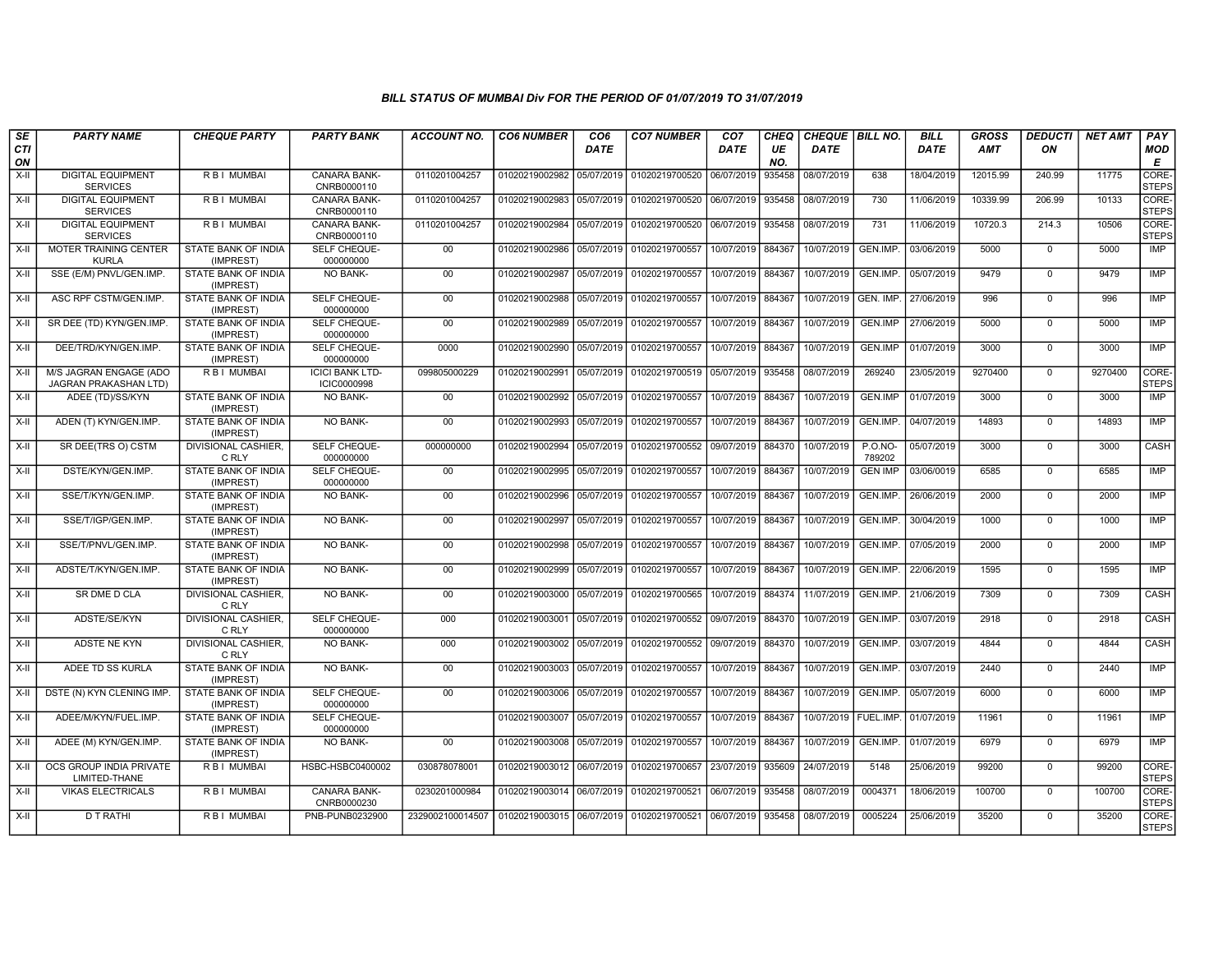| SE        | <b>PARTY NAME</b>                               | <b>CHEQUE PARTY</b>                     | <b>PARTY BANK</b>                     | ACCOUNT NO.      | <b>CO6 NUMBER</b>         | CO <sub>6</sub> | <b>CO7 NUMBER</b>                                          | CO <sub>7</sub>   | CHEQ      | CHEQUE   BILL NO.      |                          | <b>BILL</b> | <b>GROSS</b> | DEDUCTI                       | <b>NET AMT</b> | PAY                   |
|-----------|-------------------------------------------------|-----------------------------------------|---------------------------------------|------------------|---------------------------|-----------------|------------------------------------------------------------|-------------------|-----------|------------------------|--------------------------|-------------|--------------|-------------------------------|----------------|-----------------------|
| CTI<br>ON |                                                 |                                         |                                       |                  |                           | DATE            |                                                            | <b>DATE</b>       | UE<br>NO. | <b>DATE</b>            |                          | <b>DATE</b> | <b>AMT</b>   | ON                            |                | <b>MOD</b><br>Е       |
| $X-H$     | <b>DIGITAL EQUIPMENT</b><br><b>SERVICES</b>     | <b>RBI MUMBAI</b>                       | <b>CANARA BANK-</b><br>CNRB0000110    | 0110201004257    | 01020219002982            | 05/07/2019      | 01020219700520 06/07/2019                                  |                   | 935458    | 08/07/2019             | 638                      | 18/04/2019  | 12015.99     | 240.99                        | 11775          | CORE-<br><b>STEPS</b> |
| X-II      | <b>DIGITAL EQUIPMENT</b><br><b>SERVICES</b>     | R B I MUMBAI                            | <b>CANARA BANK-</b><br>CNRB0000110    | 0110201004257    | 01020219002983 05/07/2019 |                 | 01020219700520 06/07/2019                                  |                   | 935458    | 08/07/2019             | 730                      | 11/06/2019  | 10339.99     | 206.99                        | 10133          | CORE-<br><b>STEPS</b> |
| $X-II$    | <b>DIGITAL EQUIPMENT</b><br><b>SERVICES</b>     | R B I MUMBAI                            | <b>CANARA BANK-</b><br>CNRB0000110    | 0110201004257    | 01020219002984            | 05/07/2019      | 01020219700520 06/07/2019                                  |                   | 935458    | 08/07/2019             | 731                      | 11/06/2019  | 10720.3      | 214.3                         | 10506          | CORE-<br><b>STEPS</b> |
| X-II      | <b>MOTER TRAINING CENTER</b><br><b>KURLA</b>    | STATE BANK OF INDIA<br>(IMPREST)        | SELF CHEQUE-<br>000000000             | 00               | 01020219002986            | 05/07/2019      | 01020219700557                                             | 10/07/2019        | 884367    | 10/07/2019             | GEN.IMP.                 | 03/06/2019  | 5000         | $\mathbf 0$                   | 5000           | IMP                   |
| $X-II$    | SSE (E/M) PNVL/GEN.IMP.                         | STATE BANK OF INDIA<br>(IMPREST)        | NO BANK-                              | 00               | 01020219002987            | 05/07/2019      | 01020219700557                                             | 10/07/2019        | 884367    | 10/07/2019             | GEN.IMP.                 | 05/07/2019  | 9479         | $\overline{0}$                | 9479           | <b>IMP</b>            |
| X-II      | ASC RPF CSTM/GEN.IMP.                           | <b>STATE BANK OF INDIA</b><br>(IMPREST) | SELF CHEQUE-<br>000000000             | 00               | 01020219002988            | 05/07/2019      | 01020219700557                                             | 10/07/2019        | 884367    | 10/07/2019             | GEN. IMP.                | 27/06/2019  | 996          | $\mathbf 0$                   | 996            | IMP                   |
| X-II      | SR DEE (TD) KYN/GEN.IMP.                        | STATE BANK OF INDIA<br>(IMPREST)        | SELF CHEQUE-<br>000000000             | 00               | 01020219002989            | 05/07/2019      | 01020219700557                                             | 10/07/2019        | 884367    | 10/07/2019             | <b>GEN.IMP</b>           | 27/06/2019  | 5000         | $\mathbf 0$                   | 5000           | IMP                   |
| X-II      | DEE/TRD/KYN/GEN.IMP.                            | STATE BANK OF INDIA<br>(IMPREST)        | SELF CHEQUE-<br>000000000             | 0000             | 01020219002990            | 05/07/2019      | 01020219700557                                             | 10/07/2019        | 884367    | 10/07/2019             | GEN.IMP                  | 01/07/2019  | 3000         | $\mathbf 0$                   | 3000           | <b>IMP</b>            |
| $X-H$     | M/S JAGRAN ENGAGE (ADO<br>JAGRAN PRAKASHAN LTD) | <b>RBI MUMBAI</b>                       | <b>ICICI BANK LTD-</b><br>ICIC0000998 | 099805000229     | 01020219002991            | 05/07/2019      | 01020219700519 05/07/2019                                  |                   | 935458    | 08/07/2019             | 269240                   | 23/05/2019  | 9270400      | $\mathbf 0$                   | 9270400        | CORE-<br><b>STEPS</b> |
| $X-H$     | ADEE (TD)/SS/KYN                                | STATE BANK OF INDIA<br>(IMPREST)        | NO BANK-                              | 00               | 01020219002992            | 05/07/2019      | 01020219700557                                             | 10/07/2019        | 884367    | 10/07/2019             | <b>GEN.IMP</b>           | 01/07/2019  | 3000         | $\mathbf 0$                   | 3000           | <b>IMP</b>            |
| X-II      | ADEN (T) KYN/GEN.IMP.                           | STATE BANK OF INDIA<br>(IMPREST)        | NO BANK-                              | 00               | 01020219002993            | 05/07/2019      | 01020219700557                                             | 10/07/2019        | 884367    | 10/07/2019             | GEN.IMP.                 | 04/07/2019  | 14893        | $\Omega$                      | 14893          | IMP                   |
| X-II      | SR DEE(TRS O) CSTM                              | DIVISIONAL CASHIER,<br>C RLY            | SELF CHEQUE-<br>000000000             | 000000000        | 01020219002994            | 05/07/2019      | 01020219700552                                             | 09/07/2019        | 884370    | 10/07/2019             | <b>P.O.NO-</b><br>789202 | 05/07/2019  | 3000         | $\mathbf 0$                   | 3000           | CASH                  |
| X-II      | DSTE/KYN/GEN.IMP.                               | STATE BANK OF INDIA<br>(IMPREST)        | SELF CHEQUE-<br>000000000             | 00               | 01020219002995            | 05/07/2019      | 01020219700557                                             | 10/07/2019        | 884367    | 10/07/2019             | <b>GEN IMP</b>           | 03/06/0019  | 6585         | $\Omega$                      | 6585           | <b>IMP</b>            |
| $X-II$    | SSE/T/KYN/GEN.IMP.                              | STATE BANK OF INDIA<br>(IMPREST)        | NO BANK-                              | 00               | 01020219002996            | 05/07/2019      | 01020219700557                                             | 10/07/2019        | 884367    | 10/07/2019             | GEN.IMP.                 | 26/06/2019  | 2000         | $\mathbf 0$                   | 2000           | IMP                   |
| X-II      | SSE/T/IGP/GEN.IMP.                              | STATE BANK OF INDIA<br>(IMPREST)        | <b>NO BANK-</b>                       | 00               | 01020219002997            | 05/07/2019      | 01020219700557                                             | 10/07/2019        | 884367    | 10/07/2019             | GEN.IMP.                 | 30/04/2019  | 1000         | $\mathbf 0$                   | 1000           | IMP                   |
| X-II      | SSE/T/PNVL/GEN.IMP.                             | STATE BANK OF INDIA<br>(IMPREST)        | NO BANK-                              | 00               | 01020219002998            | 05/07/2019      | 01020219700557                                             | 10/07/2019 884367 |           | 10/07/2019             | GEN.IMP.                 | 07/05/2019  | 2000         | $\mathbf 0$                   | 2000           | IMP                   |
| X-II      | ADSTE/T/KYN/GEN.IMP.                            | STATE BANK OF INDIA<br>(IMPREST)        | <b>NO BANK-</b>                       | 00               | 01020219002999            | 05/07/2019      | 01020219700557                                             | 10/07/2019        | 884367    | 10/07/2019             | GEN.IMP.                 | 22/06/2019  | 1595         | $\overline{0}$                | 1595           | IMP                   |
| X-II      | SR DME D CLA                                    | DIVISIONAL CASHIER,<br>C RLY            | NO BANK-                              | 00               | 01020219003000            | 05/07/2019      | 01020219700565                                             | 10/07/2019        | 884374    | 11/07/2019             | GEN.IMP.                 | 21/06/2019  | 7309         | $\mathbf 0$                   | 7309           | CASH                  |
| X-II      | ADSTE/SE/KYN                                    | <b>DIVISIONAL CASHIER.</b><br>C RLY     | SELF CHEQUE-<br>000000000             | 000              | 01020219003001            | 05/07/2019      | 01020219700552 09/07/2019 884370                           |                   |           | 10/07/2019             | GEN.IMP.                 | 03/07/2019  | 2918         | $\mathbf 0$                   | 2918           | CASH                  |
| X-II      | ADSTE NE KYN                                    | <b>DIVISIONAL CASHIER,</b><br>C RLY     | NO BANK-                              | 000              | 01020219003002            | 05/07/2019      | 01020219700552 09/07/2019 884370                           |                   |           | 10/07/2019             | GEN.IMP.                 | 03/07/2019  | 4844         | $\mathbf 0$<br>$\overline{0}$ | 4844           | CASH                  |
| X-II      | ADEE TD SS KURLA                                | STATE BANK OF INDIA<br>(IMPREST)        | NO BANK-                              | 00               | 01020219003003 05/07/2019 |                 | 01020219700557                                             | 10/07/2019        | 884367    | 10/07/2019             | GEN.IMP.                 | 03/07/2019  | 2440         |                               | 2440           | <b>IMP</b>            |
| X-II      | DSTE (N) KYN CLENING IMP.                       | STATE BANK OF INDIA<br>(IMPREST)        | <b>SELF CHEQUE-</b><br>000000000      | 00               | 01020219003006            | 05/07/2019      | 01020219700557                                             | 10/07/2019        | 884367    | 10/07/2019             | GEN.IMP.                 | 05/07/2019  | 6000         | $\mathbf 0$                   | 6000           | IMP                   |
| X-II      | ADEE/M/KYN/FUEL.IMP.                            | STATE BANK OF INDIA<br>(IMPREST)        | SELF CHEQUE-<br>000000000             |                  | 01020219003007            | 05/07/2019      | 01020219700557                                             | 10/07/2019        | 884367    | 10/07/2019   FUEL.IMP. |                          | 01/07/2019  | 11961        | $\mathbf 0$                   | 11961          | <b>IMP</b>            |
| X-II      | ADEE (M) KYN/GEN.IMP.                           | STATE BANK OF INDIA<br>(IMPREST)        | NO BANK-                              | 00               | 01020219003008            | 05/07/2019      | 01020219700557                                             | 10/07/2019        | 884367    | 10/07/2019             | GEN.IMP.                 | 01/07/2019  | 6979         | $\mathbf 0$                   | 6979           | IMP                   |
| $X-II$    | OCS GROUP INDIA PRIVATE<br>LIMITED-THANE        | R B I MUMBAI                            | HSBC-HSBC0400002                      | 030878078001     | 01020219003012 06/07/2019 |                 | 01020219700657                                             | 23/07/2019        | 935609    | 24/07/2019             | 5148                     | 25/06/2019  | 99200        | $\overline{0}$                | 99200          | CORE-<br><b>STEPS</b> |
| X-II      | <b>VIKAS ELECTRICALS</b>                        | R B I MUMBAI                            | <b>CANARA BANK-</b><br>CNRB0000230    | 0230201000984    | 01020219003014 06/07/2019 |                 | 01020219700521 06/07/2019 935458                           |                   |           | 08/07/2019             | 0004371                  | 18/06/2019  | 100700       | $\mathbf 0$                   | 100700         | CORE-<br><b>STEPS</b> |
| X-II      | <b>DTRATHI</b>                                  | R B I MUMBAI                            | PNB-PUNB0232900                       | 2329002100014507 |                           |                 | 01020219003015 06/07/2019 01020219700521 06/07/2019 935458 |                   |           | 08/07/2019             | 0005224                  | 25/06/2019  | 35200        | $\Omega$                      | 35200          | CORE-<br><b>STEPS</b> |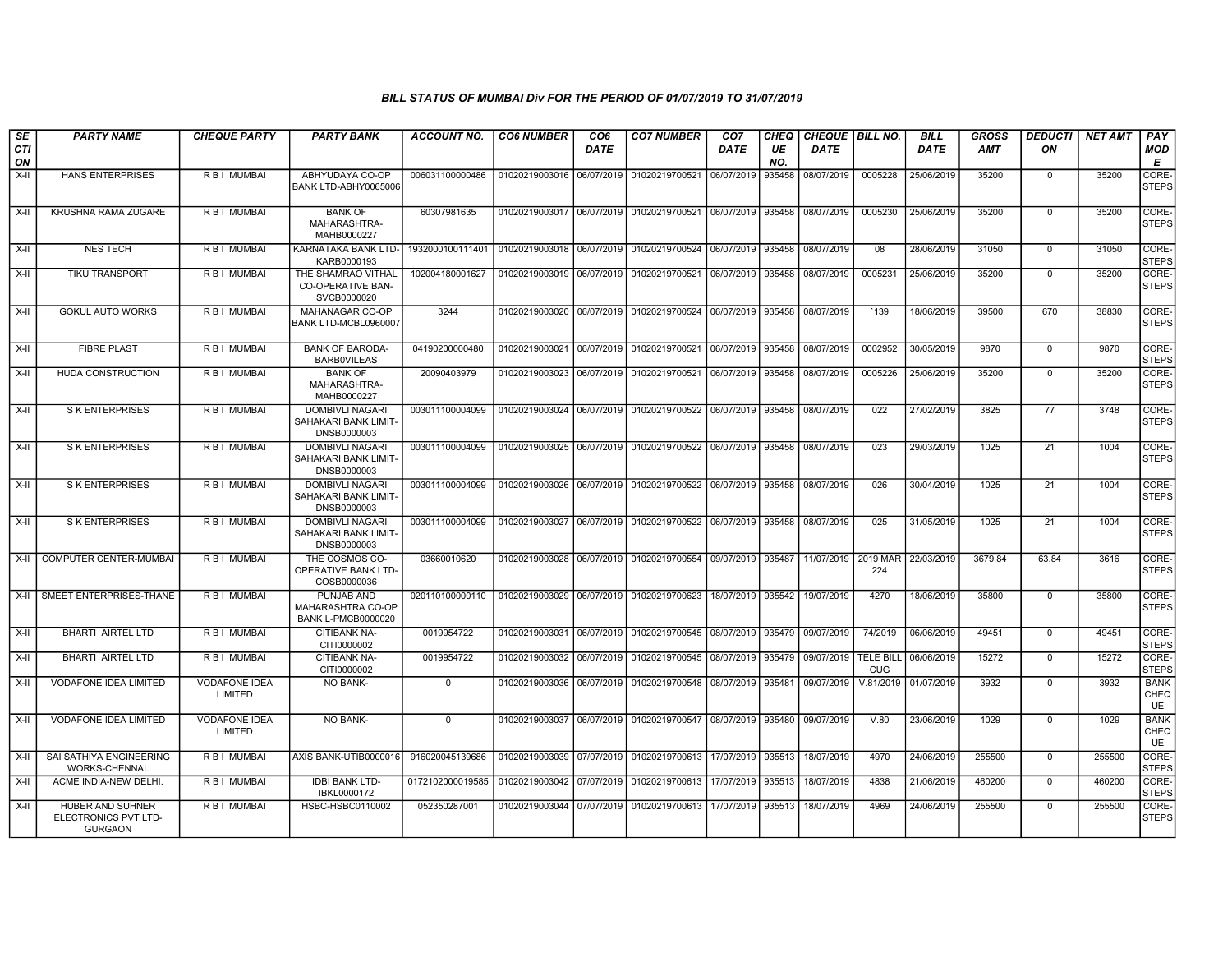| SE               | <b>PARTY NAME</b>                                          | <b>CHEQUE PARTY</b>             | <b>PARTY BANK</b>                                             | ACCOUNT NO.      | <b>CO6 NUMBER</b>         | CO <sub>6</sub> | <b>CO7 NUMBER</b>                        | CO <sub>7</sub>   | CHEQ      | <b>CHEQUE   BILL NO.</b> |                                | <b>BILL</b> | GROSS      | <b>DEDUCTI</b>  | <b>NET AMT</b> | <b>PAY</b>                |
|------------------|------------------------------------------------------------|---------------------------------|---------------------------------------------------------------|------------------|---------------------------|-----------------|------------------------------------------|-------------------|-----------|--------------------------|--------------------------------|-------------|------------|-----------------|----------------|---------------------------|
| <b>CTI</b><br>ON |                                                            |                                 |                                                               |                  |                           | <b>DATE</b>     |                                          | DATE              | UE<br>NO. | <b>DATE</b>              |                                | <b>DATE</b> | <b>AMT</b> | ON              |                | MOD<br>Е                  |
| $X-H$            | <b>HANS ENTERPRISES</b>                                    | R B I MUMBAI                    | ABHYUDAYA CO-OP<br>BANK LTD-ABHY0065006                       | 006031100000486  | 01020219003016            | 06/07/2019      | 01020219700521                           | 06/07/2019        | 935458    | 08/07/2019               | 0005228                        | 25/06/2019  | 35200      | $\mathbf{0}$    | 35200          | CORE-<br><b>STEPS</b>     |
| X-II             | KRUSHNA RAMA ZUGARE                                        | R B I MUMBAI                    | <b>BANK OF</b><br>MAHARASHTRA-<br>MAHB0000227                 | 60307981635      |                           |                 | 01020219003017 06/07/2019 01020219700521 | 06/07/2019        | 935458    | 08/07/2019               | 0005230                        | 25/06/2019  | 35200      | $\mathbf 0$     | 35200          | CORE-<br><b>STEPS</b>     |
| X-II             | <b>NES TECH</b>                                            | <b>RBI MUMBAI</b>               | KARNATAKA BANK LTD-<br>KARB0000193                            | 1932000100111401 | 01020219003018 06/07/2019 |                 | 01020219700524                           | 06/07/2019        | 935458    | 08/07/2019               | 08                             | 28/06/2019  | 31050      | $\Omega$        | 31050          | CORE-<br><b>STEPS</b>     |
| X-II             | TIKU TRANSPORT                                             | R B I MUMBAI                    | THE SHAMRAO VITHAL<br><b>CO-OPERATIVE BAN-</b><br>SVCB0000020 | 102004180001627  | 01020219003019            | 06/07/2019      | 01020219700521                           | 06/07/2019        | 935458    | 08/07/2019               | 0005231                        | 25/06/2019  | 35200      | $\mathbf 0$     | 35200          | CORE-<br><b>STEPS</b>     |
| $X-H$            | <b>GOKUL AUTO WORKS</b>                                    | <b>RBI MUMBAI</b>               | MAHANAGAR CO-OP<br>BANK LTD-MCBL0960007                       | 3244             | 01020219003020            | 06/07/2019      | 01020219700524                           | 06/07/2019        | 935458    | 08/07/2019               | `139                           | 18/06/2019  | 39500      | 670             | 38830          | CORE-<br><b>STEPS</b>     |
| $X-H$            | <b>FIBRE PLAST</b>                                         | R B I MUMBAI                    | <b>BANK OF BARODA-</b><br><b>BARBOVILEAS</b>                  | 04190200000480   | 01020219003021            | 06/07/2019      | 01020219700521                           | 06/07/2019        | 935458    | 08/07/2019               | 0002952                        | 30/05/2019  | 9870       | $\mathbf 0$     | 9870           | CORE-<br><b>STEPS</b>     |
| X-II             | <b>HUDA CONSTRUCTION</b>                                   | <b>RBI MUMBAI</b>               | <b>BANK OF</b><br>MAHARASHTRA-<br>MAHB0000227                 | 20090403979      | 01020219003023 06/07/2019 |                 | 01020219700521                           | 06/07/2019        | 935458    | 08/07/2019               | 0005226                        | 25/06/2019  | 35200      | $\mathbf{0}$    | 35200          | CORE-<br><b>STEPS</b>     |
| $X-H$            | <b>S K ENTERPRISES</b>                                     | R B I MUMBAI                    | <b>DOMBIVLI NAGARI</b><br>SAHAKARI BANK LIMIT-<br>DNSB0000003 | 003011100004099  |                           |                 | 01020219003024 06/07/2019 01020219700522 | 06/07/2019        | 935458    | 08/07/2019               | 022                            | 27/02/2019  | 3825       | 77              | 3748           | CORE-<br><b>STEPS</b>     |
| $X-II$           | <b>S K ENTERPRISES</b>                                     | R B I MUMBAI                    | <b>DOMBIVLI NAGARI</b><br>SAHAKARI BANK LIMIT-<br>DNSB0000003 | 003011100004099  | 01020219003025 06/07/2019 |                 | 01020219700522 06/07/2019                |                   | 935458    | 08/07/2019               | 023                            | 29/03/2019  | 1025       | 21              | 1004           | CORE-<br><b>STEPS</b>     |
| $X-H$            | <b>S K ENTERPRISES</b>                                     | R B I MUMBAI                    | <b>DOMBIVLI NAGARI</b><br>SAHAKARI BANK LIMIT-<br>DNSB0000003 | 003011100004099  | 01020219003026            | 06/07/2019      | 01020219700522 06/07/2019                |                   | 935458    | 08/07/2019               | 026                            | 30/04/2019  | 1025       | $\overline{21}$ | 1004           | CORE-<br><b>STEPS</b>     |
| $X-H$            | <b>S K ENTERPRISES</b>                                     | R B I MUMBAI                    | DOMBIVLI NAGARI<br>SAHAKARI BANK LIMIT-<br>DNSB0000003        | 003011100004099  | 01020219003027            |                 | 06/07/2019 01020219700522 06/07/2019     |                   | 935458    | 08/07/2019               | 025                            | 31/05/2019  | 1025       | $\overline{21}$ | 1004           | CORE-<br><b>STEPS</b>     |
| $X-H$            | COMPUTER CENTER-MUMBAI                                     | R B I MUMBAI                    | THE COSMOS CO-<br>OPERATIVE BANK LTD-<br>COSB0000036          | 03660010620      |                           |                 | 01020219003028 06/07/2019 01020219700554 | 09/07/2019 935487 |           | 11/07/2019               | 2019 MAR<br>224                | 22/03/2019  | 3679.84    | 63.84           | 3616           | CORE-<br><b>STEPS</b>     |
| $X-H$            | SMEET ENTERPRISES-THANE                                    | R B I MUMBAI                    | PUNJAB AND<br>MAHARASHTRA CO-OP<br><b>BANK L-PMCB0000020</b>  | 020110100000110  | 01020219003029            |                 | 06/07/2019 01020219700623                | 18/07/2019        | 935542    | 19/07/2019               | 4270                           | 18/06/2019  | 35800      | $\mathbf{0}$    | 35800          | CORE-<br><b>STEPS</b>     |
| $X-H$            | <b>BHARTI AIRTEL LTD</b>                                   | R B I MUMBAI                    | <b>CITIBANK NA-</b><br>CITI0000002                            | 0019954722       | 01020219003031            | 06/07/2019      | 01020219700545 08/07/2019                |                   | 935479    | 09/07/2019               | 74/2019                        | 06/06/2019  | 49451      | $\mathbf 0$     | 49451          | CORE-<br><b>STEPS</b>     |
| X-II             | BHARTI AIRTEL LTD                                          | R B I MUMBAI                    | <b>CITIBANK NA-</b><br>CITI0000002                            | 0019954722       | 01020219003032            | 06/07/2019      | 01020219700545                           | 08/07/2019        | 935479    | 09/07/2019               | <b>TELE BILL</b><br><b>CUG</b> | 06/06/2019  | 15272      | $\mathbf{0}$    | 15272          | CORE-<br><b>STEPS</b>     |
| X-II             | <b>VODAFONE IDEA LIMITED</b>                               | <b>VODAFONE IDEA</b><br>LIMITED | NO BANK-                                                      | $\mathbf 0$      | 01020219003036            | 06/07/2019      | 01020219700548                           | 08/07/2019        | 935481    | 09/07/2019               | V.81/2019                      | 01/07/2019  | 3932       | $\mathbf 0$     | 3932           | <b>BANK</b><br>CHEQ<br>UE |
| X-II             | <b>VODAFONE IDEA LIMITED</b>                               | <b>VODAFONE IDEA</b><br>LIMITED | NO BANK-                                                      | $\mathbf{0}$     | 01020219003037            |                 | 06/07/2019 01020219700547 08/07/2019     |                   | 935480    | 09/07/2019               | V.80                           | 23/06/2019  | 1029       | $\mathbf 0$     | 1029           | <b>BANK</b><br>CHEQ<br>UE |
| X-II             | SAI SATHIYA ENGINEERING<br>WORKS-CHENNAI.                  | R B I MUMBAI                    | AXIS BANK-UTIB0000016                                         | 916020045139686  | 01020219003039 07/07/2019 |                 | 01020219700613                           | 17/07/2019        | 935513    | 18/07/2019               | 4970                           | 24/06/2019  | 255500     | $\mathbf 0$     | 255500         | CORE-<br><b>STEPS</b>     |
| X-II             | ACME INDIA-NEW DELHI.                                      | R B I MUMBAI                    | <b>IDBI BANK LTD-</b><br>IBKL0000172                          | 0172102000019585 | 01020219003042 07/07/2019 |                 | 01020219700613                           | 17/07/2019        | 935513    | 18/07/2019               | 4838                           | 21/06/2019  | 460200     | $\mathbf 0$     | 460200         | CORE-<br><b>STEPS</b>     |
| X-II             | HUBER AND SUHNER<br>ELECTRONICS PVT LTD-<br><b>GURGAON</b> | R B I MUMBAI                    | HSBC-HSBC0110002                                              | 052350287001     | 01020219003044 07/07/2019 |                 | 01020219700613                           | 17/07/2019        | 935513    | 18/07/2019               | 4969                           | 24/06/2019  | 255500     | $\mathbf 0$     | 255500         | CORE-<br><b>STEPS</b>     |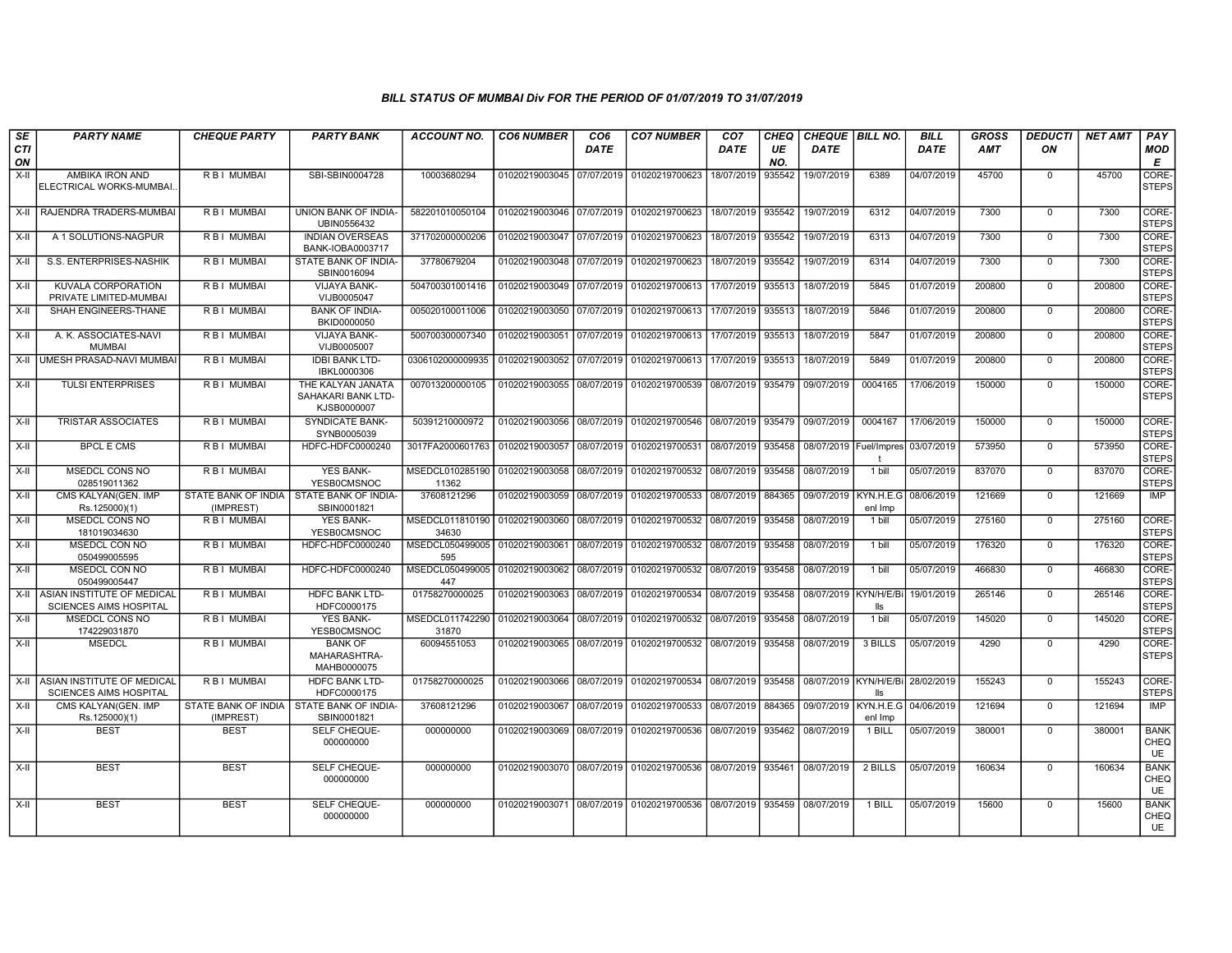| SE               | <b>PARTY NAME</b>                                                | <b>CHEQUE PARTY</b>              | <b>PARTY BANK</b>                                      | ACCOUNT NO.              | <b>CO6 NUMBER</b>         | CO6         | <b>CO7 NUMBER</b>                                   | CO7         | CHEQ      | <b>CHEQUE   BILL NO.</b>          |                         | <b>BILL</b> | <b>GROSS</b> | <b>DEDUCTI</b> | <b>NET AMT</b> | <b>PAY</b>                       |
|------------------|------------------------------------------------------------------|----------------------------------|--------------------------------------------------------|--------------------------|---------------------------|-------------|-----------------------------------------------------|-------------|-----------|-----------------------------------|-------------------------|-------------|--------------|----------------|----------------|----------------------------------|
| <b>CTI</b><br>ON |                                                                  |                                  |                                                        |                          |                           | <b>DATE</b> |                                                     | <b>DATE</b> | UE<br>NO. | <b>DATE</b>                       |                         | <b>DATE</b> | <b>AMT</b>   | ON             |                | MOD<br>Е                         |
| $X-H$            | AMBIKA IRON AND<br>ELECTRICAL WORKS-MUMBAI.                      | R B I MUMBAI                     | SBI-SBIN0004728                                        | 10003680294              | 01020219003045 07/07/2019 |             | 01020219700623                                      | 18/07/2019  | 935542    | 19/07/2019                        | 6389                    | 04/07/2019  | 45700        | $\mathbf{0}$   | 45700          | CORE-<br><b>STEPS</b>            |
|                  | X-II RAJENDRA TRADERS-MUMBAI                                     | R B I MUMBAI                     | UNION BANK OF INDIA-<br>UBIN0556432                    | 582201010050104          | 01020219003046 07/07/2019 |             | 01020219700623                                      | 18/07/2019  | 935542    | 19/07/2019                        | 6312                    | 04/07/2019  | 7300         | $\Omega$       | 7300           | CORE-<br><b>STEPS</b>            |
| $X-H$            | A 1 SOLUTIONS-NAGPUR                                             | <b>RBI MUMBAI</b>                | <b>INDIAN OVERSEAS</b><br>BANK-IOBA0003717             | 371702000000206          | 01020219003047            | 07/07/2019  | 01020219700623                                      | 18/07/2019  | 935542    | 19/07/2019                        | 6313                    | 04/07/2019  | 7300         | $\overline{0}$ | 7300           | CORE-<br><b>STEPS</b>            |
| X-II             | S.S. ENTERPRISES-NASHIK                                          | R B I MUMBAI                     | STATE BANK OF INDIA-<br>SBIN0016094                    | 37780679204              |                           |             | 01020219003048 07/07/2019 01020219700623            | 18/07/2019  | 935542    | 19/07/2019                        | 6314                    | 04/07/2019  | 7300         | $\Omega$       | 7300           | CORE-<br><b>STEPS</b>            |
| $X-II$           | KUVALA CORPORATION<br>PRIVATE LIMITED-MUMBAI                     | R B I MUMBAI                     | <b>VIJAYA BANK-</b><br>VIJB0005047                     | 504700301001416          | 01020219003049 07/07/2019 |             | 01020219700613                                      | 17/07/2019  | 935513    | 18/07/2019                        | 5845                    | 01/07/2019  | 200800       | $\Omega$       | 200800         | CORE-<br><b>STEPS</b>            |
| X-II             | SHAH ENGINEERS-THANE                                             | R B I MUMBAI                     | <b>BANK OF INDIA-</b><br>BKID0000050                   | 005020100011006          | 01020219003050            | 07/07/2019  | 01020219700613                                      | 17/07/2019  | 935513    | 18/07/2019                        | 5846                    | 01/07/2019  | 200800       | $\mathbf{0}$   | 200800         | CORE-<br><b>STEPS</b>            |
| X-II             | A. K. ASSOCIATES-NAVI<br><b>MUMBAI</b>                           | R B I MUMBAI                     | <b>VIJAYA BANK-</b><br>VIJB0005007                     | 500700300007340          | 01020219003051            | 07/07/2019  | 01020219700613                                      | 17/07/2019  | 935513    | 18/07/2019                        | 5847                    | 01/07/2019  | 200800       | $\Omega$       | 200800         | CORE-<br><b>STEPS</b>            |
|                  | X-II UMESH PRASAD-NAVI MUMBAI                                    | <b>RBI MUMBAI</b>                | <b>IDBI BANK LTD-</b><br>IBKL0000306                   | 0306102000009935         | 01020219003052 07/07/2019 |             | 01020219700613                                      | 17/07/2019  | 935513    | 18/07/2019                        | 5849                    | 01/07/2019  | 200800       | $\mathbf{0}$   | 200800         | CORE-<br><b>STEPS</b>            |
| X-II             | <b>TULSI ENTERPRISES</b>                                         | R B I MUMBAI                     | THE KALYAN JANATA<br>SAHAKARI BANK LTD-<br>KJSB0000007 | 007013200000105          | 01020219003055            | 08/07/2019  | 01020219700539                                      | 08/07/2019  | 935479    | 09/07/2019                        | 0004165                 | 17/06/2019  | 150000       | $\mathbf 0$    | 150000         | CORE-<br><b>STEPS</b>            |
| X-II             | <b>TRISTAR ASSOCIATES</b>                                        | R B I MUMBAI                     | <b>SYNDICATE BANK-</b><br>SYNB0005039                  | 50391210000972           | 01020219003056 08/07/2019 |             | 01020219700546                                      | 08/07/2019  | 935479    | 09/07/2019                        | 0004167                 | 17/06/2019  | 150000       | $\Omega$       | 150000         | CORE-<br><b>STEPS</b>            |
| X-II             | <b>BPCL E CMS</b>                                                | R B I MUMBAI                     | HDFC-HDFC0000240                                       | 3017FA2000601763         | 01020219003057            | 08/07/2019  | 01020219700531                                      | 08/07/2019  | 935458    | 08/07/2019 Fuel/Impres            |                         | 03/07/2019  | 573950       | $\Omega$       | 573950         | CORE-<br><b>STEPS</b>            |
| X-II             | MSEDCL CONS NO<br>028519011362                                   | R B I MUMBAI                     | <b>YES BANK-</b><br>YESB0CMSNOC                        | MSEDCL010285190<br>11362 | 01020219003058            | 08/07/2019  | 01020219700532                                      | 08/07/2019  | 935458    | 08/07/2019                        | 1 bill                  | 05/07/2019  | 837070       | $^{\circ}$     | 837070         | CORE-<br><b>STEPS</b>            |
| $X-II$           | CMS KALYAN(GEN. IMP<br>Rs.125000)(1)                             | STATE BANK OF INDIA<br>(IMPREST) | STATE BANK OF INDIA-<br>SBIN0001821                    | 37608121296              | 01020219003059            | 08/07/2019  | 01020219700533                                      | 08/07/2019  | 884365    | 09/07/2019                        | KYN.H.E.G<br>enl Imp    | 08/06/2019  | 121669       | $\Omega$       | 121669         | <b>IMP</b>                       |
| $X-H$            | MSEDCL CONS NO<br>181019034630                                   | R B I MUMBAI                     | <b>YES BANK-</b><br>YESB0CMSNOC                        | MSEDCL011810190<br>34630 | 01020219003060 08/07/2019 |             | 01020219700532                                      | 08/07/2019  | 935458    | 08/07/2019                        | 1 bill                  | 05/07/2019  | 275160       | $\mathbf{0}$   | 275160         | CORE-<br><b>STEPS</b>            |
| X-II             | <b>MSEDCL CON NO</b><br>050499005595                             | R B I MUMBAI                     | HDFC-HDFC0000240                                       | MSEDCL050499005<br>595   | 01020219003061            | 08/07/2019  | 01020219700532                                      | 08/07/2019  | 935458    | 08/07/2019                        | 1 bill                  | 05/07/2019  | 176320       | $\Omega$       | 176320         | CORE-<br><b>STEPS</b>            |
| X-II             | MSEDCL CON NO<br>050499005447                                    | R B I MUMBAI                     | HDFC-HDFC0000240                                       | MSEDCL050499005<br>447   | 01020219003062            | 08/07/2019  | 01020219700532                                      | 08/07/2019  | 935458    | 08/07/2019                        | 1 bill                  | 05/07/2019  | 466830       | $\mathbf{0}$   | 466830         | CORE-<br><b>STEPS</b>            |
|                  | X-II ASIAN INSTITUTE OF MEDICAL<br><b>SCIENCES AIMS HOSPITAL</b> | R B I MUMBAI                     | <b>HDFC BANK LTD-</b><br>HDFC0000175                   | 01758270000025           | 01020219003063            | 08/07/2019  | 01020219700534                                      | 08/07/2019  | 935458    | 08/07/2019                        | <b>KYN/H/E/B</b><br>lls | 19/01/2019  | 265146       | $\Omega$       | 265146         | CORE-<br><b>STEPS</b>            |
| $X-H$            | MSEDCL CONS NO<br>174229031870                                   | R B I MUMBAI                     | <b>YES BANK-</b><br>YESB0CMSNOC                        | MSEDCL011742290<br>31870 | 01020219003064            | 08/07/2019  | 01020219700532                                      | 08/07/2019  | 935458    | 08/07/2019                        | $1 \text{ bill}$        | 05/07/2019  | 145020       | $\overline{0}$ | 145020         | CORE-<br><b>STEPS</b>            |
| $X-H$            | <b>MSEDCL</b>                                                    | R B I MUMBAI                     | <b>BANK OF</b><br>MAHARASHTRA-<br>MAHB0000075          | 60094551053              | 01020219003065 08/07/2019 |             | 01020219700532 08/07/2019                           |             | 935458    | 08/07/2019                        | 3 BILLS                 | 05/07/2019  | 4290         | $\Omega$       | 4290           | CORE-<br><b>STEPS</b>            |
|                  | X-II ASIAN INSTITUTE OF MEDICAL<br><b>SCIENCES AIMS HOSPITAL</b> | R B I MUMBAI                     | <b>HDFC BANK LTD-</b><br>HDFC0000175                   | 01758270000025           | 01020219003066 08/07/2019 |             | 01020219700534                                      | 08/07/2019  | 935458    | 08/07/2019 KYN/H/E/Bi             | lls                     | 28/02/2019  | 155243       | $\mathbf{0}$   | 155243         | CORE-<br><b>STEPS</b>            |
| X-II             | CMS KALYAN(GEN, IMP<br>Rs.125000)(1)                             | STATE BANK OF INDIA<br>(IMPREST) | STATE BANK OF INDIA-<br>SBIN0001821                    | 37608121296              | 01020219003067            | 08/07/2019  | 01020219700533                                      | 08/07/2019  | 884365    | 09/07/2019   KYN.H.E.G 04/06/2019 | enl Imp                 |             | 121694       | $\mathbf{0}$   | 121694         | <b>IMP</b>                       |
| X-II             | <b>BEST</b>                                                      | <b>BEST</b>                      | SELF CHEQUE-<br>000000000                              | 000000000                | 01020219003069 08/07/2019 |             | 01020219700536                                      | 08/07/2019  | 935462    | 08/07/2019                        | 1 BILL                  | 05/07/2019  | 380001       | $\mathbf{0}$   | 380001         | <b>BANK</b><br>CHEQ<br><b>UE</b> |
| $X-H$            | <b>BEST</b>                                                      | <b>BEST</b>                      | <b>SELF CHEQUE-</b><br>000000000                       | 000000000                |                           |             | 01020219003070 08/07/2019 01020219700536 08/07/2019 |             | 935461    | 08/07/2019                        | 2 BILLS                 | 05/07/2019  | 160634       | $\mathbf{0}$   | 160634         | <b>BANK</b><br>CHEQ<br>UE        |
| $X-II$           | <b>BEST</b>                                                      | <b>BEST</b>                      | SELF CHEQUE-<br>000000000                              | 000000000                | 01020219003071 08/07/2019 |             | 01020219700536 08/07/2019                           |             | 935459    | 08/07/2019                        | 1 BILL                  | 05/07/2019  | 15600        | $\mathbf 0$    | 15600          | <b>BANK</b><br>CHEQ<br><b>UE</b> |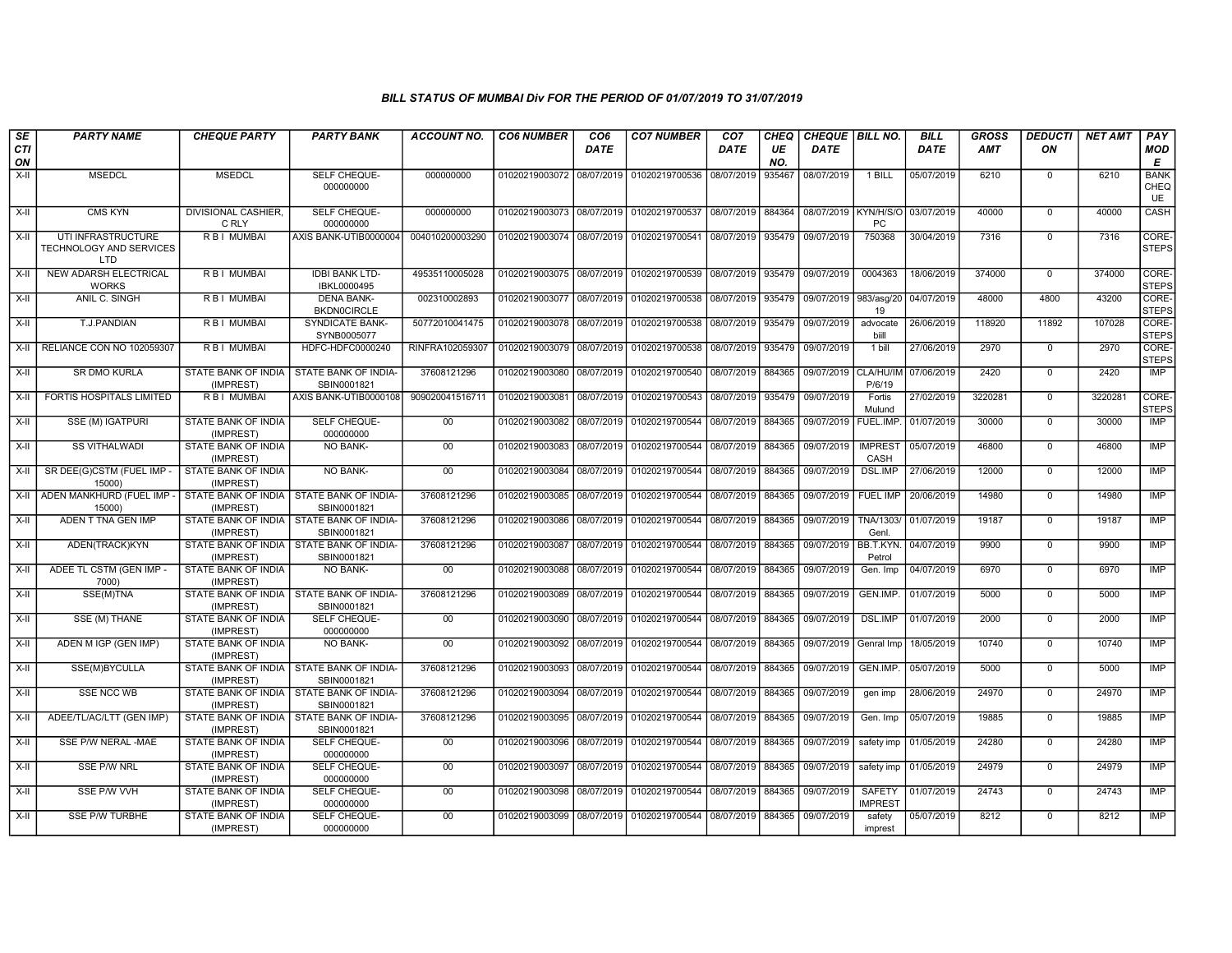| SE        | <b>PARTY NAME</b>                                           | <b>CHEQUE PARTY</b>                                     | <b>PARTY BANK</b>                                         | ACCOUNT NO.     | <b>CO6 NUMBER</b>                        | CO <sub>6</sub> | <b>CO7 NUMBER</b>                                   | CO <sub>7</sub>   | <b>CHEQ</b> | CHEQUE   BILL NO.     |                                 | <b>BILL</b> | <b>GROSS</b> | <b>DEDUCTI</b> | <b>NET AMT</b> | <b>PAY</b>                |
|-----------|-------------------------------------------------------------|---------------------------------------------------------|-----------------------------------------------------------|-----------------|------------------------------------------|-----------------|-----------------------------------------------------|-------------------|-------------|-----------------------|---------------------------------|-------------|--------------|----------------|----------------|---------------------------|
| CTI<br>ON |                                                             |                                                         |                                                           |                 |                                          | <b>DATE</b>     |                                                     | DATE              | UE<br>NO.   | <b>DATE</b>           |                                 | <b>DATE</b> | <b>AMT</b>   | ON             |                | <b>MOD</b><br>Е           |
| $X-H$     | <b>MSEDCL</b>                                               | <b>MSEDCL</b>                                           | SELF CHEQUE-<br>000000000                                 | 000000000       | 01020219003072 08/07/2019 01020219700536 |                 |                                                     | 08/07/2019        | 935467      | 08/07/2019            | 1 BILL                          | 05/07/2019  | 6210         | $\mathbf 0$    | 6210           | <b>BANK</b><br>CHEQ<br>UE |
| $X-II$    | <b>CMS KYN</b>                                              | <b>DIVISIONAL CASHIER.</b><br>C RLY                     | SELF CHEQUE-<br>000000000                                 | 000000000       | 01020219003073 08/07/2019 01020219700537 |                 |                                                     | 08/07/2019        | 884364      | 08/07/2019            | KYN/H/S/O<br><b>PC</b>          | 03/07/2019  | 40000        | $\Omega$       | 40000          | CASH                      |
| $X-H$     | UTI INFRASTRUCTURE<br><b>TECHNOLOGY AND SERVICES</b><br>LTD | <b>RBI MUMBAI</b>                                       | AXIS BANK-UTIB0000004                                     | 004010200003290 | 01020219003074 08/07/2019 01020219700541 |                 |                                                     | 08/07/2019        | 935479      | 09/07/2019            | 750368                          | 30/04/2019  | 7316         | $\Omega$       | 7316           | CORE-<br><b>STEPS</b>     |
| $X-II$    | <b>NEW ADARSH ELECTRICAL</b><br><b>WORKS</b>                | R B I MUMBAI                                            | <b>IDBI BANK LTD-</b><br>IBKL0000495                      | 49535110005028  |                                          |                 | 01020219003075 08/07/2019 01020219700539            | 08/07/2019        | 935479      | 09/07/2019            | 0004363                         | 18/06/2019  | 374000       | $\mathbf 0$    | 374000         | CORE-<br><b>STEPS</b>     |
| X-II      | ANIL C. SINGH                                               | R B I MUMBAI                                            | <b>DENA BANK-</b><br><b>BKDN0CIRCLE</b>                   | 002310002893    | 01020219003077 08/07/2019 01020219700538 |                 |                                                     | 08/07/2019 935479 |             | 09/07/2019 983/asg/20 | 19                              | 04/07/2019  | 48000        | 4800           | 43200          | CORE-<br><b>STEPS</b>     |
| X-II      | T.J.PANDIAN                                                 | R B I MUMBAI                                            | <b>SYNDICATE BANK-</b><br>SYNB0005077                     | 50772010041475  | 01020219003078 08/07/2019                |                 | 01020219700538                                      | 08/07/2019        | 935479      | 09/07/2019            | advocate<br>biill               | 26/06/2019  | 118920       | 11892          | 107028         | CORE-<br><b>STEPS</b>     |
| X-II      | RELIANCE CON NO 102059307                                   | <b>RBI MUMBAI</b>                                       | HDFC-HDFC0000240                                          | RINFRA102059307 | 01020219003079 08/07/2019                |                 | 01020219700538                                      | 08/07/2019        | 935479      | 09/07/2019            | $1$ bill                        | 27/06/2019  | 2970         | $\mathbf 0$    | 2970           | CORE-<br><b>STEPS</b>     |
| X-II      | SR DMO KURLA                                                | STATE BANK OF INDIA<br>(IMPREST)                        | STATE BANK OF INDIA<br>SBIN0001821                        | 37608121296     | 01020219003080 08/07/2019 01020219700540 |                 |                                                     | 08/07/2019        | 884365      | 09/07/2019            | CLA/HU/IN<br>P/6/19             | 07/06/2019  | 2420         | $\mathbf 0$    | 2420           | <b>IMP</b>                |
| $X-H$     | <b>FORTIS HOSPITALS LIMITED</b>                             | <b>RBI MUMBAI</b>                                       | AXIS BANK-UTIB0000108                                     | 909020041516711 | 01020219003081                           | 08/07/2019      | 01020219700543                                      | 08/07/2019        | 935479      | 09/07/2019            | Fortis<br>Mulund                | 27/02/2019  | 3220281      | $\mathbf 0$    | 3220281        | CORE-<br><b>STEPS</b>     |
| X-II      | SSE (M) IGATPURI                                            | <b>STATE BANK OF INDIA</b><br>(IMPREST)                 | <b>SELF CHEQUE-</b><br>000000000                          | 00 <sup>°</sup> |                                          |                 | 01020219003082 08/07/2019 01020219700544            | 08/07/2019        | 884365      | 09/07/2019            | FUEL.IMP.                       | 01/07/2019  | 30000        | $\Omega$       | 30000          | IMP                       |
| X-II      | <b>SS VITHALWADI</b>                                        | STATE BANK OF INDIA<br>(IMPREST)                        | NO BANK-                                                  | $00\,$          | 01020219003083 08/07/2019                |                 | 01020219700544                                      | 08/07/2019        | 884365      | 09/07/2019            | <b>IMPRES</b><br>CASH           | 05/07/2019  | 46800        | $\mathbf 0$    | 46800          | IMP                       |
| X-II      | SR DEE(G)CSTM (FUEL IMP -<br>15000                          | STATE BANK OF INDIA<br>(IMPREST)                        | <b>NO BANK-</b>                                           | 00 <sup>°</sup> | 01020219003084 08/07/2019                |                 | 01020219700544                                      | 08/07/2019        | 884365      | 09/07/2019            | <b>DSL.IMP</b>                  | 27/06/2019  | 12000        | $\Omega$       | 12000          | <b>IMP</b>                |
| X-II      | ADEN MANKHURD (FUEL IMP<br>15000)                           | STATE BANK OF INDIA<br>(IMPREST)                        | STATE BANK OF INDIA<br>SBIN0001821                        | 37608121296     | 01020219003085 08/07/2019 01020219700544 |                 |                                                     | 08/07/2019        | 884365      | 09/07/2019            | <b>FUEL IMP</b>                 | 20/06/2019  | 14980        | $\mathbf 0$    | 14980          | <b>IMP</b>                |
| $X-H$     | ADEN T TNA GEN IMP                                          | <b>STATE BANK OF INDIA</b><br>(IMPREST)                 | STATE BANK OF INDIA-<br>SBIN0001821                       | 37608121296     | 01020219003086 08/07/2019 01020219700544 |                 |                                                     | 08/07/2019        | 884365      | 09/07/2019            | TNA/1303/<br>Genl.              | 01/07/2019  | 19187        | $\Omega$       | 19187          | IMP                       |
| $X-H$     | ADEN(TRACK)KYN                                              | (IMPREST)                                               | STATE BANK OF INDIA I STATE BANK OF INDIA-<br>SBIN0001821 | 37608121296     | 01020219003087 08/07/2019 01020219700544 |                 |                                                     | 08/07/2019 884365 |             | 09/07/2019            | BB.T.KYN.<br>Petrol             | 04/07/2019  | 9900         | $\mathbf 0$    | 9900           | IMP                       |
| $X-H$     | ADEE TL CSTM (GEN IMP -<br>7000)                            | STATE BANK OF INDIA<br>(IMPREST)                        | NO BANK-                                                  | 00              | 01020219003088 08/07/2019                |                 | 01020219700544                                      | 08/07/2019        | 884365      | 09/07/2019            | Gen. Imp                        | 04/07/2019  | 6970         | $\mathbf 0$    | 6970           | IMP                       |
| X-II      | SSE(M)TNA                                                   | STATE BANK OF INDIA<br>(IMPREST)                        | STATE BANK OF INDIA<br>SBIN0001821                        | 37608121296     |                                          |                 | 01020219003089 08/07/2019 01020219700544            | 08/07/2019        | 884365      | 09/07/2019            | GEN.IMP.                        | 01/07/2019  | 5000         | $\Omega$       | 5000           | <b>IMP</b>                |
| $X-H$     | SSE (M) THANE                                               | <b>STATE BANK OF INDIA</b><br>(IMPREST)                 | SELF CHEQUE-<br>000000000                                 | 00              | 01020219003090 08/07/2019 01020219700544 |                 |                                                     | 08/07/2019        | 884365      | 09/07/2019            | <b>DSL.IMP</b>                  | 01/07/2019  | 2000         | $\mathbf 0$    | 2000           | IMP                       |
| $X-H$     | ADEN M IGP (GEN IMP)                                        | <b>STATE BANK OF INDIA</b><br>(IMPREST)                 | NO BANK-                                                  | 00              |                                          |                 | 01020219003092 08/07/2019 01020219700544 08/07/2019 |                   | 884365      | 09/07/2019            | Genral Imp                      | 18/05/2019  | 10740        | $\mathbf 0$    | 10740          | IMP                       |
| X-II      | SSE(M)BYCULLA                                               | STATE BANK OF INDIA<br>(IMPREST)                        | STATE BANK OF INDIA<br>SBIN0001821                        | 37608121296     | 01020219003093 08/07/2019 01020219700544 |                 |                                                     | 08/07/2019        | 884365      | 09/07/2019            | GEN.IMP.                        | 05/07/2019  | 5000         | $\mathbf 0$    | 5000           | <b>IMP</b>                |
| $X-II$    | <b>SSE NCC WB</b>                                           | (IMPREST)                                               | STATE BANK OF INDIA STATE BANK OF INDIA-<br>SBIN0001821   | 37608121296     |                                          |                 | 01020219003094 08/07/2019 01020219700544            | 08/07/2019        | 884365      | 09/07/2019            | gen imp                         | 28/06/2019  | 24970        | $\Omega$       | 24970          | <b>IMP</b>                |
| X-II      | ADEE/TL/AC/LTT (GEN IMP)                                    | STATE BANK OF INDIA   STATE BANK OF INDIA-<br>(IMPREST) | SBIN0001821                                               | 37608121296     | 01020219003095 08/07/2019 01020219700544 |                 |                                                     | 08/07/2019        | 884365      | 09/07/2019            | Gen. Imp                        | 05/07/2019  | 19885        | $\mathbf 0$    | 19885          | <b>IMP</b>                |
| $X-H$     | SSE P/W NERAL -MAE                                          | <b>STATE BANK OF INDIA</b><br>(IMPREST)                 | <b>SELF CHEQUE-</b><br>000000000                          | 00              | 01020219003096 08/07/2019 01020219700544 |                 |                                                     | 08/07/2019        | 884365      | 09/07/2019            | safety imp                      | 01/05/2019  | 24280        | $\mathbf 0$    | 24280          | IMP                       |
| X-II      | SSE P/W NRL                                                 | STATE BANK OF INDIA<br>(IMPREST)                        | SELF CHEQUE-<br>000000000                                 | $00\,$          | 01020219003097 08/07/2019                |                 | 01020219700544                                      | 08/07/2019        | 884365      | 09/07/2019            | safety imp                      | 01/05/2019  | 24979        | $\mathbf 0$    | 24979          | <b>IMP</b>                |
| $X-H$     | SSE P/W VVH                                                 | STATE BANK OF INDIA<br>(IMPREST)                        | SELF CHEQUE-<br>000000000                                 | 00              |                                          |                 | 01020219003098 08/07/2019 01020219700544            | 08/07/2019        | 884365      | 09/07/2019            | <b>SAFETY</b><br><b>IMPREST</b> | 01/07/2019  | 24743        | $\mathbf 0$    | 24743          | <b>IMP</b>                |
| $X-H$     | <b>SSE P/W TURBHE</b>                                       | <b>STATE BANK OF INDIA</b><br>(IMPREST)                 | SELF CHEQUE-<br>000000000                                 | 00              |                                          |                 | 01020219003099 08/07/2019 01020219700544            | 08/07/2019        | 884365      | 09/07/2019            | safety<br>imprest               | 05/07/2019  | 8212         | $\mathbf 0$    | 8212           | <b>IMP</b>                |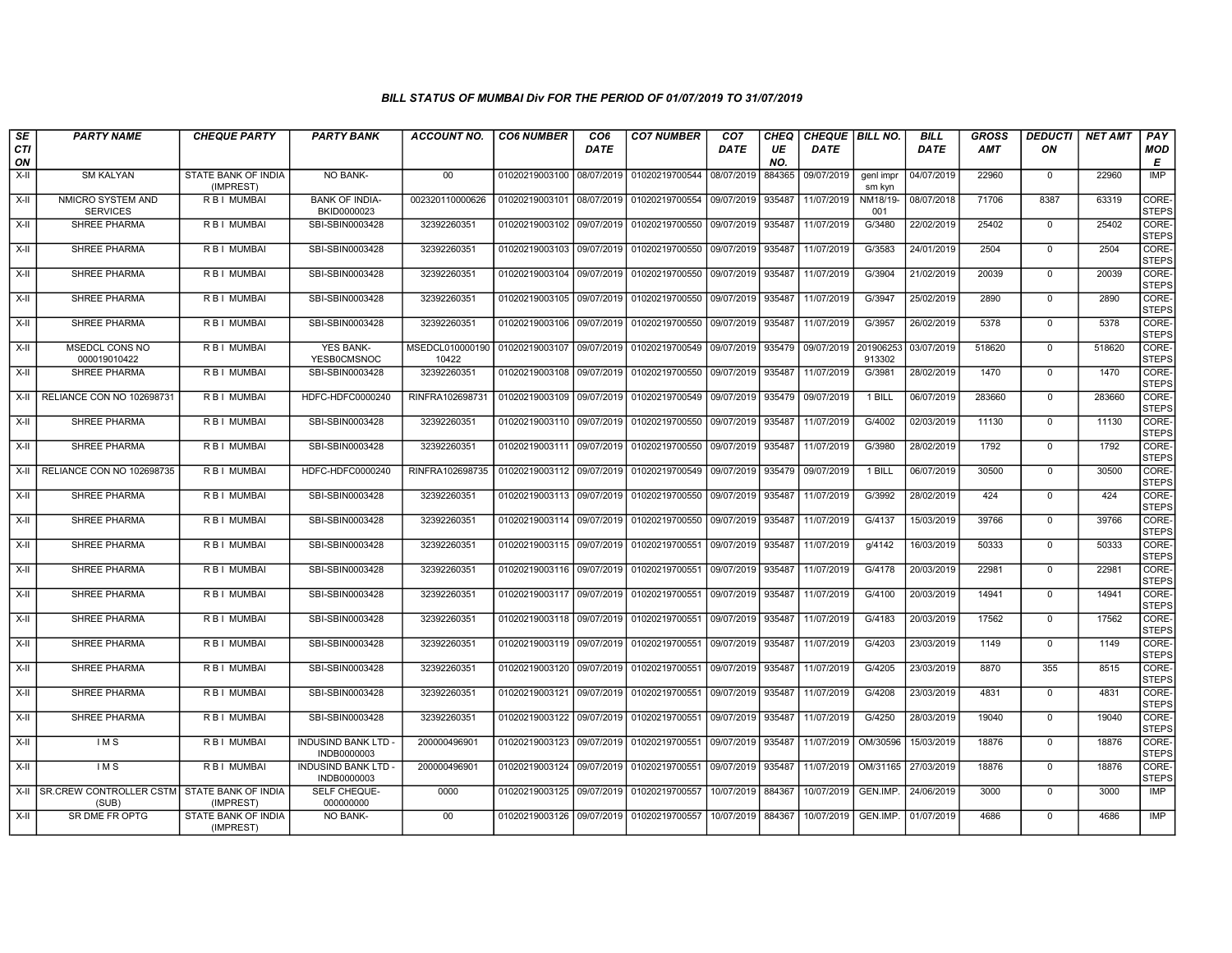| SE               | <b>PARTY NAME</b>                                         | <b>CHEQUE PARTY</b>                     | <b>PARTY BANK</b>                         | ACCOUNT NO.     | <b>CO6 NUMBER</b>         | CO <sub>6</sub> | <b>CO7 NUMBER</b>                                                  | CO <sub>7</sub>   | CHEQ      | CHEQUE   BILL NO. |                     | <b>BILL</b> | <b>GROSS</b> | <b>DEDUCTI</b>          | <b>NET AMT</b> | <b>PAY</b>            |
|------------------|-----------------------------------------------------------|-----------------------------------------|-------------------------------------------|-----------------|---------------------------|-----------------|--------------------------------------------------------------------|-------------------|-----------|-------------------|---------------------|-------------|--------------|-------------------------|----------------|-----------------------|
| <b>CTI</b><br>ON |                                                           |                                         |                                           |                 |                           | <b>DATE</b>     |                                                                    | <b>DATE</b>       | UE<br>NO. | <b>DATE</b>       |                     | <b>DATE</b> | AMT          | ON                      |                | <b>MOD</b><br>Е       |
| $X-H$            | <b>SM KALYAN</b>                                          | <b>STATE BANK OF INDIA</b><br>(IMPREST) | NO BANK-                                  | 00              | 01020219003100 08/07/2019 |                 | 01020219700544 08/07/2019                                          |                   | 884365    | 09/07/2019        | genl impr<br>sm kyn | 04/07/2019  | 22960        | $\mathbf 0$             | 22960          | <b>IMP</b>            |
| X-II             | NMICRO SYSTEM AND<br><b>SERVICES</b>                      | <b>RBI MUMBAI</b>                       | <b>BANK OF INDIA-</b><br>BKID0000023      | 002320110000626 | 01020219003101 08/07/2019 |                 | 01020219700554 09/07/2019                                          |                   | 935487    | 11/07/2019        | NM18/19-<br>001     | 08/07/2018  | 71706        | 8387                    | 63319          | CORE-<br><b>STEPS</b> |
| X-II             | <b>SHREE PHARMA</b>                                       | R B I MUMBAI                            | SBI-SBIN0003428                           | 32392260351     |                           |                 | 01020219003102 09/07/2019 01020219700550                           | 09/07/2019 935487 |           | 11/07/2019        | G/3480              | 22/02/2019  | 25402        | $\mathbf 0$             | 25402          | CORE-<br><b>STEPS</b> |
| X-II             | <b>SHREE PHARMA</b>                                       | <b>RBI MUMBAI</b>                       | SBI-SBIN0003428                           | 32392260351     | 01020219003103 09/07/2019 |                 | 01020219700550                                                     | 09/07/2019 935487 |           | 11/07/2019        | G/3583              | 24/01/2019  | 2504         | $\mathbf 0$             | 2504           | CORE-<br><b>STEPS</b> |
| X-II             | <b>SHREE PHARMA</b>                                       | <b>RBI MUMBAI</b>                       | SBI-SBIN0003428                           | 32392260351     | 01020219003104 09/07/2019 |                 | 01020219700550 09/07/2019 935487                                   |                   |           | 11/07/2019        | G/3904              | 21/02/2019  | 20039        | $\Omega$                | 20039          | CORE-<br>STEPS        |
| X-II             | <b>SHREE PHARMA</b>                                       | R B I MUMBAI                            | SBI-SBIN0003428                           | 32392260351     |                           |                 | 01020219003105   09/07/2019   01020219700550   09/07/2019   935487 |                   |           | 11/07/2019        | G/3947              | 25/02/2019  | 2890         | $\mathbf 0$             | 2890           | CORE-<br><b>STEPS</b> |
| X-II             | SHREE PHARMA                                              | <b>RBI MUMBAI</b>                       | SBI-SBIN0003428                           | 32392260351     | 01020219003106 09/07/2019 |                 | 01020219700550                                                     | 09/07/2019        | 935487    | 11/07/2019        | G/3957              | 26/02/2019  | 5378         | $\Omega$                | 5378           | CORE-<br>STEPS        |
| X-II             | <b>MSEDCL CONS NO</b><br>000019010422                     | <b>RBI MUMBAI</b>                       | <b>YES BANK-</b><br>YESB0CMSNOC           | 10422           | 01020219003107 09/07/2019 |                 | 01020219700549                                                     | 09/07/2019 935479 |           | 09/07/2019        | 201906253<br>913302 | 03/07/2019  | 518620       | $\mathbf 0$             | 518620         | CORE-<br><b>STEPS</b> |
| X-II             | SHREE PHARMA                                              | <b>RBI MUMBAI</b>                       | SBI-SBIN0003428                           | 32392260351     | 01020219003108 09/07/2019 |                 | 01020219700550 09/07/2019 935487                                   |                   |           | 11/07/2019        | G/3981              | 28/02/2019  | 1470         | $\Omega$                | 1470           | CORE-<br><b>STEPS</b> |
|                  | X-II   RELIANCE CON NO 102698731                          | R B I MUMBAI                            | HDFC-HDFC0000240                          | RINFRA102698731 | 01020219003109 09/07/2019 |                 | 01020219700549 09/07/2019 935479                                   |                   |           | 09/07/2019        | 1 BILL              | 06/07/2019  | 283660       | $\mathbf 0$             | 283660         | CORE-<br><b>STEPS</b> |
| X-II             | <b>SHREE PHARMA</b>                                       | R B I MUMBAI                            | SBI-SBIN0003428                           | 32392260351     |                           |                 | 01020219003110 09/07/2019 01020219700550                           | 09/07/2019 935487 |           | 11/07/2019        | G/4002              | 02/03/2019  | 11130        | $\Omega$                | 11130          | CORE-<br><b>STEPS</b> |
| X-II             | <b>SHREE PHARMA</b>                                       | R B I MUMBAI<br><b>RBI MUMBAL</b>       | SBI-SBIN0003428                           | 32392260351     | 01020219003111 09/07/2019 |                 | 01020219700550                                                     | 09/07/2019 935487 |           | 11/07/2019        | G/3980              | 28/02/2019  | 1792         | $\mathbf 0$<br>$\Omega$ | 1792           | CORE-<br><b>STEPS</b> |
|                  | X-II RELIANCE CON NO 102698735                            |                                         | HDFC-HDFC0000240                          | RINFRA102698735 |                           |                 | 01020219003112 09/07/2019 01020219700549 09/07/2019 935479         |                   |           | 09/07/2019        | 1 BILL              | 06/07/2019  | 30500        |                         | 30500          | CORE-<br><b>STEPS</b> |
| X-II             | SHREE PHARMA                                              | R B I MUMBAI                            | SBI-SBIN0003428                           | 32392260351     |                           |                 | 01020219003113 09/07/2019 01020219700550 09/07/2019 935487         |                   |           | 11/07/2019        | G/3992              | 28/02/2019  | 424          | $\mathbf 0$             | 424            | CORE-<br><b>STEPS</b> |
| X-II             | SHREE PHARMA                                              | R B I MUMBAI                            | SBI-SBIN0003428                           | 32392260351     | 01020219003114 09/07/2019 |                 | 01020219700550                                                     | 09/07/2019 935487 |           | 11/07/2019        | G/4137              | 15/03/2019  | 39766        | $\Omega$                | 39766          | CORE-<br><b>STEPS</b> |
| X-II             | <b>SHREE PHARMA</b>                                       | R B I MUMBAI                            | SBI-SBIN0003428                           | 32392260351     |                           |                 | 01020219003115 09/07/2019 01020219700551                           | 09/07/2019 935487 |           | 11/07/2019        | g/4142              | 16/03/2019  | 50333        | $\Omega$                | 50333          | CORE-<br><b>STEPS</b> |
| X-II             | <b>SHREE PHARMA</b>                                       | <b>RBI MUMBAI</b>                       | SBI-SBIN0003428                           | 32392260351     | 01020219003116 09/07/2019 |                 | 01020219700551                                                     | 09/07/2019 935487 |           | 11/07/2019        | G/4178              | 20/03/2019  | 22981        | $\mathbf 0$             | 22981          | CORE-<br><b>STEPS</b> |
| X-II             | <b>SHREE PHARMA</b>                                       | R B I MUMBAI                            | SBI-SBIN0003428                           | 32392260351     |                           |                 | 01020219003117 09/07/2019 01020219700551 09/07/2019 935487         |                   |           | 11/07/2019        | G/4100              | 20/03/2019  | 14941        | $\Omega$                | 14941          | CORE-<br><b>STEPS</b> |
| X-II             | SHREE PHARMA                                              | R B I MUMBAI                            | SBI-SBIN0003428                           | 32392260351     | 01020219003118 09/07/2019 |                 | 01020219700551                                                     | 09/07/2019 935487 |           | 11/07/2019        | G/4183              | 20/03/2019  | 17562        | $\Omega$                | 17562          | CORE-<br>STEPS        |
| X-II             | <b>SHREE PHARMA</b>                                       | R B I MUMBAI                            | SBI-SBIN0003428                           | 32392260351     | 01020219003119 09/07/2019 |                 | 01020219700551                                                     | 09/07/2019 935487 |           | 11/07/2019        | G/4203              | 23/03/2019  | 1149         | $\mathbf 0$             | 1149           | CORE-<br>STEPS        |
| X-II             | <b>SHREE PHARMA</b>                                       | <b>RBI MUMBAI</b>                       | SBI-SBIN0003428                           | 32392260351     | 01020219003120 09/07/2019 |                 | 01020219700551                                                     | 09/07/2019 935487 |           | 11/07/2019        | G/4205              | 23/03/2019  | 8870         | 355                     | 8515           | CORE-<br><b>STEPS</b> |
| X-II             | <b>SHREE PHARMA</b>                                       | <b>RBI MUMBAI</b>                       | SBI-SBIN0003428                           | 32392260351     | 01020219003121 09/07/2019 |                 | 01020219700551                                                     | 09/07/2019 935487 |           | 11/07/2019        | G/4208              | 23/03/2019  | 4831         | $\mathbf 0$             | 4831           | CORE-<br><b>STEPS</b> |
| X-II             | SHREE PHARMA                                              | R B I MUMBAI                            | SBI-SBIN0003428                           | 32392260351     | 01020219003122 09/07/2019 |                 | 01020219700551                                                     | 09/07/2019 935487 |           | 11/07/2019        | G/4250              | 28/03/2019  | 19040        | $\Omega$                | 19040          | CORE-<br><b>STEPS</b> |
| X-II             | IM <sub>S</sub>                                           | R B I MUMBAI                            | <b>INDUSIND BANK LTD -</b><br>INDB0000003 | 200000496901    | 01020219003123 09/07/2019 |                 | 01020219700551                                                     | 09/07/2019 935487 |           | 11/07/2019        | OM/30596            | 15/03/2019  | 18876        | $\mathbf 0$             | 18876          | CORE-<br><b>STEPS</b> |
| X-II             | <b>IMS</b>                                                | <b>RBI MUMBAI</b>                       | <b>INDUSIND BANK LTD -</b><br>INDB0000003 | 200000496901    | 01020219003124 09/07/2019 |                 | 01020219700551                                                     | 09/07/2019 935487 |           | 11/07/2019        | OM/31165            | 27/03/2019  | 18876        | $\Omega$                | 18876          | CORE-<br><b>STEPS</b> |
|                  | X-II SR.CREW CONTROLLER CSTM STATE BANK OF INDIA<br>(SUB) | (IMPREST)                               | SELF CHEQUE-<br>000000000                 | 0000            |                           |                 | 01020219003125 09/07/2019 01020219700557                           | 10/07/2019 884367 |           | 10/07/2019        | GEN.IMP.            | 24/06/2019  | 3000         | $\mathbf 0$             | 3000           | IMP                   |
| X-II             | SR DME FR OPTG                                            | STATE BANK OF INDIA<br>(IMPREST)        | <b>NO BANK-</b>                           | 00              |                           |                 | 01020219003126 09/07/2019 01020219700557 10/07/2019 884367         |                   |           | 10/07/2019        | GEN.IMP.            | 01/07/2019  | 4686         | $\Omega$                | 4686           | <b>IMP</b>            |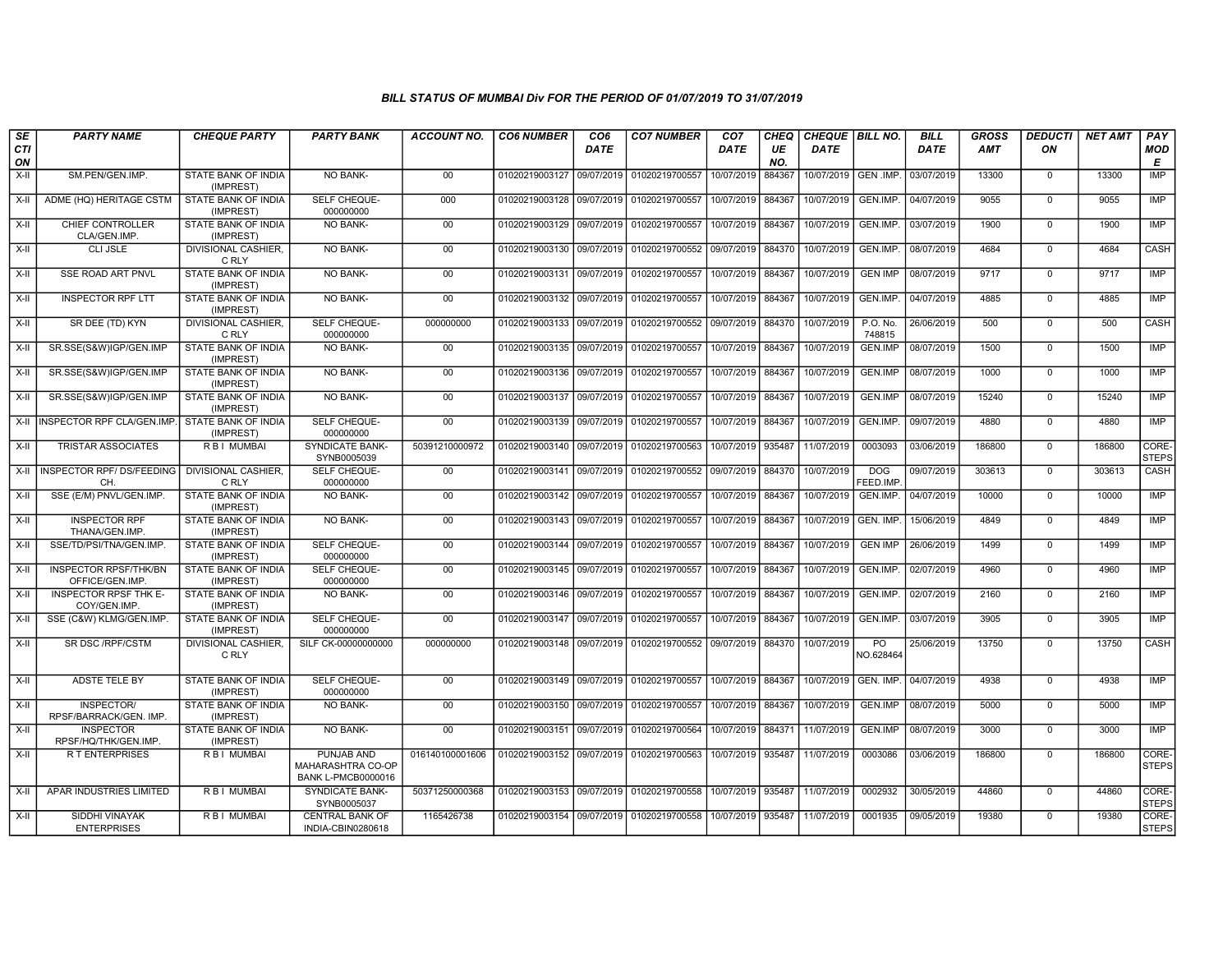| SE               | <b>PARTY NAME</b>                               | <b>CHEQUE PARTY</b>                     | <b>PARTY BANK</b>                                            | ACCOUNT NO.     | <b>CO6 NUMBER</b>         | CO <sub>6</sub> | <b>CO7 NUMBER</b>                        | CO <sub>7</sub>   | CHEQ      | CHEQUE   BILL NO.      |                    | <b>BILL</b> | <b>GROSS</b> | <i><b>DEDUCTI</b></i> | NET AMT | <b>PAY</b>            |
|------------------|-------------------------------------------------|-----------------------------------------|--------------------------------------------------------------|-----------------|---------------------------|-----------------|------------------------------------------|-------------------|-----------|------------------------|--------------------|-------------|--------------|-----------------------|---------|-----------------------|
| <b>CTI</b><br>ON |                                                 |                                         |                                                              |                 |                           | <b>DATE</b>     |                                          | DATE              | UE<br>NO. | <b>DATE</b>            |                    | <b>DATE</b> | <b>AMT</b>   | ON                    |         | <b>MOD</b><br>E       |
| $X-H$            | SM.PEN/GEN.IMP.                                 | <b>STATE BANK OF INDIA</b><br>(IMPREST) | NO BANK-                                                     | 00              | 01020219003127 09/07/2019 |                 | 01020219700557                           | 10/07/2019        | 884367    | 10/07/2019   GEN .IMP. |                    | 03/07/2019  | 13300        | $\overline{0}$        | 13300   | <b>IMP</b>            |
| $X-H$            | ADME (HQ) HERITAGE CSTM                         | STATE BANK OF INDIA<br>(IMPREST)        | <b>SELF CHEQUE-</b><br>000000000                             | 000             | 01020219003128 09/07/2019 |                 | 01020219700557                           | 10/07/2019 884367 |           | 10/07/2019             | GEN.IMP.           | 04/07/2019  | 9055         | $\mathbf 0$           | 9055    | <b>IMP</b>            |
| X-II             | CHIEF CONTROLLER<br>CLA/GEN.IMP                 | STATE BANK OF INDIA<br>(IMPREST)        | NO BANK-                                                     | $00\,$          | 01020219003129 09/07/2019 |                 | 01020219700557                           | 10/07/2019 884367 |           | 10/07/2019             | GEN.IMP.           | 03/07/2019  | 1900         | $\Omega$              | 1900    | IMP                   |
| X-II             | CLI JSLE                                        | <b>DIVISIONAL CASHIER.</b><br>C RLY     | <b>NO BANK-</b>                                              | 00              | 01020219003130 09/07/2019 |                 | 01020219700552 09/07/2019 884370         |                   |           | 10/07/2019             | GEN.IMP.           | 08/07/2019  | 4684         | $\mathbf 0$           | 4684    | CASH                  |
| X-II             | SSE ROAD ART PNVL                               | <b>STATE BANK OF INDIA</b><br>(IMPREST) | <b>NO BANK-</b>                                              | 00              | 01020219003131            | 09/07/2019      | 01020219700557                           | 10/07/2019        | 884367    | 10/07/2019             | <b>GEN IMP</b>     | 08/07/2019  | 9717         | $\Omega$              | 9717    | <b>IMP</b>            |
| $X-H$            | <b>INSPECTOR RPF LTT</b>                        | STATE BANK OF INDIA<br>(IMPREST)        | <b>NO BANK-</b>                                              | 00              | 01020219003132 09/07/2019 |                 | 01020219700557                           | 10/07/2019 884367 |           | 10/07/2019             | GEN.IMP.           | 04/07/2019  | 4885         | $\mathbf 0$           | 4885    | IMP                   |
| X-II             | SR DEE (TD) KYN                                 | <b>DIVISIONAL CASHIER.</b><br>C RLY     | SELF CHEQUE-<br>000000000                                    | 000000000       | 01020219003133 09/07/2019 |                 | 01020219700552                           | 09/07/2019        | 884370    | 10/07/2019             | P.O. No.<br>748815 | 26/06/2019  | 500          | $\mathbf 0$           | 500     | CASH                  |
| $X-II$           | SR.SSE(S&W)IGP/GEN.IMP                          | <b>STATE BANK OF INDIA</b><br>(IMPREST) | NO BANK-                                                     | 00              | 01020219003135 09/07/2019 |                 | 01020219700557                           | 10/07/2019        | 884367    | 10/07/2019             | <b>GEN.IMP</b>     | 08/07/2019  | 1500         | $\overline{0}$        | 1500    | IMP                   |
| X-II             | SR.SSE(S&W)IGP/GEN.IMP                          | STATE BANK OF INDIA<br>(IMPREST)        | <b>NO BANK-</b>                                              | 00              | 01020219003136 09/07/2019 |                 | 01020219700557                           | 10/07/2019 884367 |           | 10/07/2019             | <b>GEN.IMP</b>     | 08/07/2019  | 1000         | $\mathbf 0$           | 1000    | <b>IMP</b>            |
| $X-H$            | SR.SSE(S&W)IGP/GEN.IMP                          | <b>STATE BANK OF INDIA</b><br>(IMPREST) | <b>NO BANK-</b>                                              | 00              | 01020219003137 09/07/2019 |                 | 01020219700557                           | 10/07/2019 884367 |           | 10/07/2019             | <b>GEN.IMP</b>     | 08/07/2019  | 15240        | $\overline{0}$        | 15240   | <b>IMP</b>            |
| X-II             | INSPECTOR RPF CLA/GEN.IMP.                      | STATE BANK OF INDIA<br>(IMPREST)        | SELF CHEQUE-<br>000000000                                    | 00              | 01020219003139 09/07/2019 |                 | 01020219700557                           | 10/07/2019 884367 |           | 10/07/2019             | GEN.IMP.           | 09/07/2019  | 4880         | $\mathbf 0$           | 4880    | IMP                   |
| $X-II$           | <b>TRISTAR ASSOCIATES</b>                       | <b>RBI MUMBAI</b>                       | SYNDICATE BANK-<br>SYNB0005039                               | 50391210000972  | 01020219003140 09/07/2019 |                 | 01020219700563                           | 10/07/2019        | 935487    | 11/07/2019             | 0003093            | 03/06/2019  | 186800       | $\mathbf 0$           | 186800  | CORE-<br><b>STEPS</b> |
|                  | X-II INSPECTOR RPF/DS/FEEDING<br>CН             | <b>DIVISIONAL CASHIER.</b><br>C RLY     | SELF CHEQUE-<br>000000000                                    | 00              | 01020219003141 09/07/2019 |                 | 01020219700552 09/07/2019 884370         |                   |           | 10/07/2019             | DOG<br>FEED.IMP    | 09/07/2019  | 303613       | $\Omega$              | 303613  | <b>CASH</b>           |
| X-II             | SSE (E/M) PNVL/GEN.IMP.                         | <b>STATE BANK OF INDIA</b><br>(IMPREST) | <b>NO BANK-</b>                                              | 00              | 01020219003142 09/07/2019 |                 | 01020219700557                           | 10/07/2019 884367 |           | 10/07/2019             | GEN.IMP.           | 04/07/2019  | 10000        | $\mathbf 0$           | 10000   | <b>IMP</b>            |
| $X-II$           | <b>INSPECTOR RPF</b><br>THANA/GEN.IMP.          | <b>STATE BANK OF INDIA</b><br>(IMPREST) | NO BANK-                                                     | 00              | 01020219003143            | 09/07/2019      | 01020219700557                           | 10/07/2019        | 884367    | 10/07/2019             | GEN. IMP.          | 15/06/2019  | 4849         | $\mathbf 0$           | 4849    | IMP                   |
| X-II             | SSE/TD/PSI/TNA/GEN.IMP.                         | <b>STATE BANK OF INDIA</b><br>(IMPREST) | SELF CHEQUE-<br>000000000                                    | 00              | 01020219003144 09/07/2019 |                 | 01020219700557                           | 10/07/2019 884367 |           | 10/07/2019             | <b>GEN IMP</b>     | 26/06/2019  | 1499         | $\mathbf 0$           | 1499    | IMP                   |
| $X-H$            | <b>INSPECTOR RPSF/THK/BN</b><br>OFFICE/GEN.IMP. | STATE BANK OF INDIA<br>(IMPREST)        | SELF CHEQUE-<br>000000000                                    | 00              | 01020219003145 09/07/2019 |                 | 01020219700557                           | 10/07/2019        | 884367    | 10/07/2019             | GEN.IMP.           | 02/07/2019  | 4960         | $\overline{0}$        | 4960    | IMP                   |
| X-II             | <b>INSPECTOR RPSF THK E-</b><br>COY/GEN.IMP     | <b>STATE BANK OF INDIA</b><br>(IMPREST) | <b>NO BANK-</b>                                              | 00              | 01020219003146 09/07/2019 |                 | 01020219700557                           | 10/07/2019 884367 |           | 10/07/2019             | GEN.IMP.           | 02/07/2019  | 2160         | $\mathbf 0$           | 2160    | <b>IMP</b>            |
| X-II             | SSE (C&W) KLMG/GEN.IMP.                         | <b>STATE BANK OF INDIA</b><br>(IMPREST) | SELF CHEQUE-<br>000000000                                    | 00              | 01020219003147 09/07/2019 |                 | 01020219700557                           | 10/07/2019 884367 |           | 10/07/2019             | GEN.IMP.           | 03/07/2019  | 3905         | $\mathbf 0$           | 3905    | IMP                   |
| $X-I$            | SR DSC / RPF/CSTM                               | <b>DIVISIONAL CASHIER.</b><br>C RLY     | SILF CK-00000000000                                          | 000000000       | 01020219003148            | 09/07/2019      | 01020219700552 09/07/2019 884370         |                   |           | 10/07/2019             | PO<br>NO.628464    | 25/06/2019  | 13750        | $\overline{0}$        | 13750   | CASH                  |
| X-II             | <b>ADSTE TELE BY</b>                            | STATE BANK OF INDIA<br>(IMPREST)        | SELF CHEQUE-<br>000000000                                    | 00              | 01020219003149 09/07/2019 |                 | 01020219700557                           | 10/07/2019        | 884367    | 10/07/2019             | GEN. IMP           | 04/07/2019  | 4938         | $\Omega$              | 4938    | <b>IMP</b>            |
| $X-I$            | INSPECTOR/<br>RPSF/BARRACK/GEN. IMP.            | <b>STATE BANK OF INDIA</b><br>(IMPREST) | NO BANK-                                                     | 00              | 01020219003150 09/07/2019 |                 | 01020219700557                           | 10/07/2019 884367 |           | 10/07/2019             | GEN.IMP            | 08/07/2019  | 5000         | $\mathbf 0$           | 5000    | <b>IMP</b>            |
| $X-H$            | <b>INSPECTOR</b><br>RPSF/HQ/THK/GEN.IMP.        | STATE BANK OF INDIA<br>(IMPREST)        | <b>NO BANK-</b>                                              | 00              | 01020219003151 09/07/2019 |                 | 01020219700564                           | 10/07/2019 884371 |           | 11/07/2019             | <b>GEN.IMP</b>     | 08/07/2019  | 3000         | $\overline{0}$        | 3000    | IMP                   |
| $X-H$            | <b>RT ENTERPRISES</b>                           | R B I MUMBAI                            | PUNJAB AND<br>MAHARASHTRA CO-OP<br><b>BANK L-PMCB0000016</b> | 016140100001606 |                           |                 | 01020219003152 09/07/2019 01020219700563 | 10/07/2019 935487 |           | 11/07/2019             | 0003086            | 03/06/2019  | 186800       | $\mathbf 0$           | 186800  | CORE-<br><b>STEPS</b> |
| $X-H$            | APAR INDUSTRIES LIMITED                         | R B I MUMBAI                            | SYNDICATE BANK-<br>SYNB0005037                               | 50371250000368  | 01020219003153 09/07/2019 |                 | 01020219700558                           | 10/07/2019 935487 |           | 11/07/2019             | 0002932            | 30/05/2019  | 44860        | $\overline{0}$        | 44860   | CORE-<br>STEPS        |
| $X-H$            | <b>SIDDHI VINAYAK</b><br><b>ENTERPRISES</b>     | <b>RBI MUMBAI</b>                       | <b>CENTRAL BANK OF</b><br>INDIA-CBIN0280618                  | 1165426738      |                           |                 | 01020219003154 09/07/2019 01020219700558 | 10/07/2019 935487 |           | 11/07/2019             | 0001935            | 09/05/2019  | 19380        | $\mathbf 0$           | 19380   | CORE-<br><b>STEPS</b> |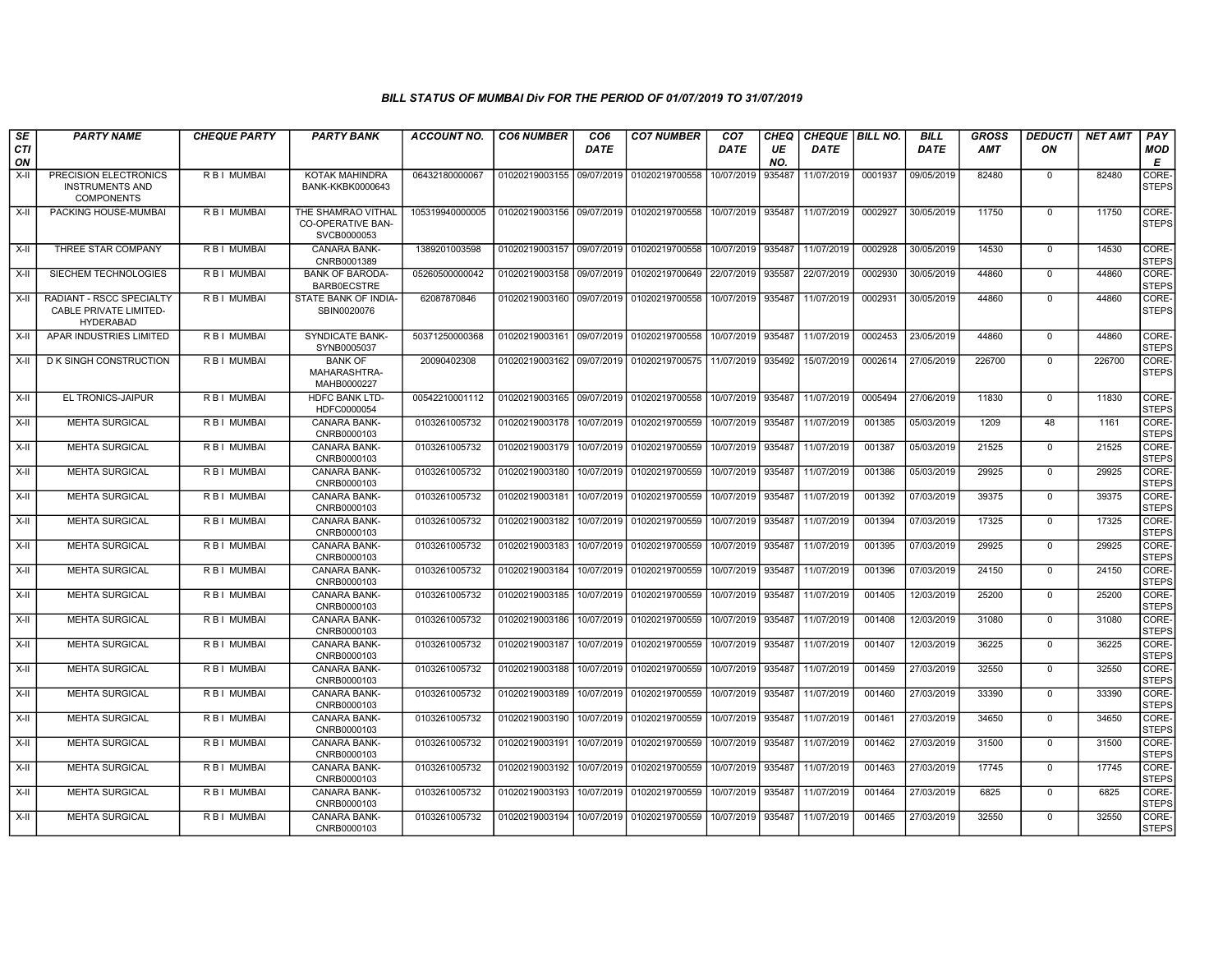| SE               | <b>PARTY NAME</b>                                                      | <b>CHEQUE PARTY</b> | <b>PARTY BANK</b>                                             | ACCOUNT NO.     | <b>CO6 NUMBER</b>         | CO6         | <b>CO7 NUMBER</b> | CO7         | CHEQ      | <b>CHEQUE   BILL NO.</b> |         | <b>BILL</b> | GROSS      | <i><b>DEDUCTI</b></i> | NET AMT | <b>PAY</b>            |
|------------------|------------------------------------------------------------------------|---------------------|---------------------------------------------------------------|-----------------|---------------------------|-------------|-------------------|-------------|-----------|--------------------------|---------|-------------|------------|-----------------------|---------|-----------------------|
| <b>CTI</b><br>ON |                                                                        |                     |                                                               |                 |                           | <b>DATE</b> |                   | <b>DATE</b> | UE<br>NO. | <b>DATE</b>              |         | <b>DATE</b> | <b>AMT</b> | ON                    |         | MOD<br>E              |
| X-II             | PRECISION ELECTRONICS<br><b>INSTRUMENTS AND</b><br><b>COMPONENTS</b>   | R B I MUMBAI        | KOTAK MAHINDRA<br><b>BANK-KKBK0000643</b>                     | 06432180000067  | 01020219003155            | 09/07/2019  | 01020219700558    | 10/07/2019  | 935487    | 11/07/2019               | 0001937 | 09/05/2019  | 82480      | 0                     | 82480   | CORE-<br><b>STEPS</b> |
| X-II             | PACKING HOUSE-MUMBAI                                                   | R B I MUMBAI        | THE SHAMRAO VITHAL<br><b>CO-OPERATIVE BAN-</b><br>SVCB0000053 | 105319940000005 | 01020219003156 09/07/2019 |             | 01020219700558    | 10/07/2019  | 935487    | 11/07/2019               | 0002927 | 30/05/2019  | 11750      | $\mathbf 0$           | 11750   | CORE-<br><b>STEPS</b> |
| X-II             | THREE STAR COMPANY                                                     | <b>RBI MUMBAI</b>   | <b>CANARA BANK-</b><br>CNRB0001389                            | 1389201003598   | 01020219003157            | 09/07/2019  | 01020219700558    | 10/07/2019  | 935487    | 11/07/2019               | 0002928 | 30/05/2019  | 14530      | $\Omega$              | 14530   | CORE-<br><b>STEPS</b> |
| X-II             | SIECHEM TECHNOLOGIES                                                   | R B I MUMBAI        | <b>BANK OF BARODA-</b><br><b>BARB0ECSTRE</b>                  | 05260500000042  | 01020219003158            | 09/07/2019  | 01020219700649    | 22/07/2019  | 935587    | 22/07/2019               | 0002930 | 30/05/2019  | 44860      | $\mathbf 0$           | 44860   | CORE-<br><b>STEPS</b> |
| $X-H$            | RADIANT - RSCC SPECIALTY<br>CABLE PRIVATE LIMITED-<br><b>HYDERABAD</b> | R B I MUMBAI        | STATE BANK OF INDIA-<br>SBIN0020076                           | 62087870846     | 01020219003160            | 09/07/2019  | 01020219700558    | 10/07/2019  | 935487    | 11/07/2019               | 0002931 | 30/05/2019  | 44860      | $\Omega$              | 44860   | CORE-<br><b>STEPS</b> |
| X-II             | APAR INDUSTRIES LIMITED                                                | R B I MUMBAI        | <b>SYNDICATE BANK-</b><br>SYNB0005037                         | 50371250000368  | 01020219003161 09/07/2019 |             | 01020219700558    | 10/07/2019  | 935487    | 11/07/2019               | 0002453 | 23/05/2019  | 44860      | $\mathbf 0$           | 44860   | CORE-<br><b>STEPS</b> |
| $X-II$           | <b>D K SINGH CONSTRUCTION</b>                                          | R B I MUMBAI        | <b>BANK OF</b><br>MAHARASHTRA-<br>MAHB0000227                 | 20090402308     | 01020219003162            | 09/07/2019  | 01020219700575    | 11/07/2019  | 935492    | 15/07/2019               | 0002614 | 27/05/2019  | 226700     | $\mathbf{0}$          | 226700  | CORE-<br><b>STEPS</b> |
| X-II             | EL TRONICS-JAIPUR                                                      | R B I MUMBAI        | <b>HDFC BANK LTD-</b><br>HDFC0000054                          | 00542210001112  | 01020219003165            | 09/07/2019  | 01020219700558    | 10/07/2019  | 935487    | 11/07/2019               | 0005494 | 27/06/2019  | 11830      | $\mathbf 0$           | 11830   | CORE-<br><b>STEPS</b> |
| $X-II$           | <b>MEHTA SURGICAL</b>                                                  | R B I MUMBAI        | <b>CANARA BANK-</b><br>CNRB0000103                            | 0103261005732   | 01020219003178            | 10/07/2019  | 01020219700559    | 10/07/2019  | 935487    | 11/07/2019               | 001385  | 05/03/2019  | 1209       | 48                    | 1161    | CORE-<br><b>STEPS</b> |
| $X-H$            | <b>MEHTA SURGICAL</b>                                                  | <b>RBI MUMBAI</b>   | CANARA BANK-<br>CNRB0000103                                   | 0103261005732   | 01020219003179            | 10/07/2019  | 01020219700559    | 10/07/2019  | 935487    | 11/07/2019               | 001387  | 05/03/2019  | 21525      | $\Omega$              | 21525   | CORE-<br><b>STEPS</b> |
| X-II             | <b>MEHTA SURGICAL</b>                                                  | R B I MUMBAI        | CANARA BANK-<br>CNRB0000103                                   | 0103261005732   | 01020219003180            | 10/07/2019  | 01020219700559    | 10/07/2019  | 935487    | 11/07/2019               | 001386  | 05/03/2019  | 29925      | $\mathbf{0}$          | 29925   | CORE-<br><b>STEPS</b> |
| X-II             | <b>MEHTA SURGICAL</b>                                                  | <b>RBI MUMBAI</b>   | <b>CANARA BANK-</b><br>CNRB0000103                            | 0103261005732   | 01020219003181            | 10/07/2019  | 01020219700559    | 10/07/2019  | 935487    | 11/07/2019               | 001392  | 07/03/2019  | 39375      | $\Omega$              | 39375   | CORE-<br><b>STEPS</b> |
| $X-II$           | <b>MEHTA SURGICAL</b>                                                  | R B I MUMBAI        | CANARA BANK-<br>CNRB0000103                                   | 0103261005732   | 01020219003182            | 10/07/2019  | 01020219700559    | 10/07/2019  | 935487    | 11/07/2019               | 001394  | 07/03/2019  | 17325      | $\mathbf 0$           | 17325   | CORE-<br><b>STEPS</b> |
| $X-H$            | <b>MEHTA SURGICAL</b>                                                  | R B I MUMBAI        | <b>CANARA BANK-</b><br>CNRB0000103                            | 0103261005732   | 01020219003183            | 10/07/2019  | 01020219700559    | 10/07/2019  | 935487    | 11/07/2019               | 001395  | 07/03/2019  | 29925      | $\mathbf 0$           | 29925   | CORE-<br><b>STEPS</b> |
| X-II             | <b>MEHTA SURGICAL</b>                                                  | <b>RBI MUMBAI</b>   | CANARA BANK-<br>CNRB0000103                                   | 0103261005732   | 01020219003184            | 10/07/2019  | 01020219700559    | 10/07/2019  | 935487    | 11/07/2019               | 001396  | 07/03/2019  | 24150      | $\mathbf 0$           | 24150   | CORE-<br><b>STEPS</b> |
| X-II             | <b>MEHTA SURGICAL</b>                                                  | <b>RBI MUMBAI</b>   | <b>CANARA BANK-</b><br>CNRB0000103                            | 0103261005732   | 01020219003185            | 10/07/2019  | 01020219700559    | 10/07/2019  | 935487    | 11/07/2019               | 001405  | 12/03/2019  | 25200      | $\mathbf{0}$          | 25200   | CORE-<br><b>STEPS</b> |
| X-II             | <b>MEHTA SURGICAL</b>                                                  | <b>RBI MUMBAI</b>   | <b>CANARA BANK-</b><br>CNRB0000103                            | 0103261005732   | 01020219003186            | 10/07/2019  | 01020219700559    | 10/07/2019  | 935487    | 11/07/2019               | 001408  | 12/03/2019  | 31080      | $\Omega$              | 31080   | CORE-<br><b>STEPS</b> |
| $X-H$            | <b>MEHTA SURGICAL</b>                                                  | R B I MUMBAI        | CANARA BANK-<br>CNRB0000103                                   | 0103261005732   | 01020219003187            | 10/07/2019  | 01020219700559    | 10/07/2019  | 935487    | 11/07/2019               | 001407  | 12/03/2019  | 36225      | $\mathbf 0$           | 36225   | CORE-<br><b>STEPS</b> |
| X-II             | <b>MEHTA SURGICAL</b>                                                  | R B I MUMBAI        | CANARA BANK-<br>CNRB0000103                                   | 0103261005732   | 01020219003188            | 10/07/2019  | 01020219700559    | 10/07/2019  | 935487    | 11/07/2019               | 001459  | 27/03/2019  | 32550      | $\mathbf{0}$          | 32550   | CORE-<br><b>STEPS</b> |
| X-II             | <b>MEHTA SURGICAL</b>                                                  | R B I MUMBAI        | <b>CANARA BANK-</b><br>CNRB0000103                            | 0103261005732   | 01020219003189            | 10/07/2019  | 01020219700559    | 10/07/2019  | 935487    | 11/07/2019               | 001460  | 27/03/2019  | 33390      | $\mathbf 0$           | 33390   | CORE-<br><b>STEPS</b> |
| X-II             | <b>MEHTA SURGICAL</b>                                                  | <b>RBI MUMBAI</b>   | <b>CANARA BANK-</b><br>CNRB0000103                            | 0103261005732   | 01020219003190            | 10/07/2019  | 01020219700559    | 10/07/2019  | 935487    | 11/07/2019               | 001461  | 27/03/2019  | 34650      | $\mathbf{0}$          | 34650   | CORE-<br><b>STEPS</b> |
| $X-H$            | <b>MEHTA SURGICAL</b>                                                  | <b>RBI MUMBAI</b>   | CANARA BANK-<br>CNRB0000103                                   | 0103261005732   | 01020219003191            | 10/07/2019  | 01020219700559    | 10/07/2019  | 935487    | 11/07/2019               | 001462  | 27/03/2019  | 31500      | $\Omega$              | 31500   | CORE-<br><b>STEPS</b> |
| $X-H$            | <b>MEHTA SURGICAL</b>                                                  | R B I MUMBAI        | CANARA BANK-<br>CNRB0000103                                   | 0103261005732   | 01020219003192            | 10/07/2019  | 01020219700559    | 10/07/2019  | 935487    | 11/07/2019               | 001463  | 27/03/2019  | 17745      | $\mathbf 0$           | 17745   | CORE-<br><b>STEPS</b> |
| X-II             | <b>MEHTA SURGICAL</b>                                                  | <b>RBI MUMBAI</b>   | <b>CANARA BANK-</b><br>CNRB0000103                            | 0103261005732   | 01020219003193            | 10/07/2019  | 01020219700559    | 10/07/2019  | 935487    | 11/07/2019               | 001464  | 27/03/2019  | 6825       | $\Omega$              | 6825    | CORE-<br><b>STEPS</b> |
| X-II             | <b>MEHTA SURGICAL</b>                                                  | R B I MUMBAI        | CANARA BANK-<br>CNRB0000103                                   | 0103261005732   | 01020219003194            | 10/07/2019  | 01020219700559    | 10/07/2019  | 935487    | 11/07/2019               | 001465  | 27/03/2019  | 32550      | $\mathbf 0$           | 32550   | CORE-<br><b>STEPS</b> |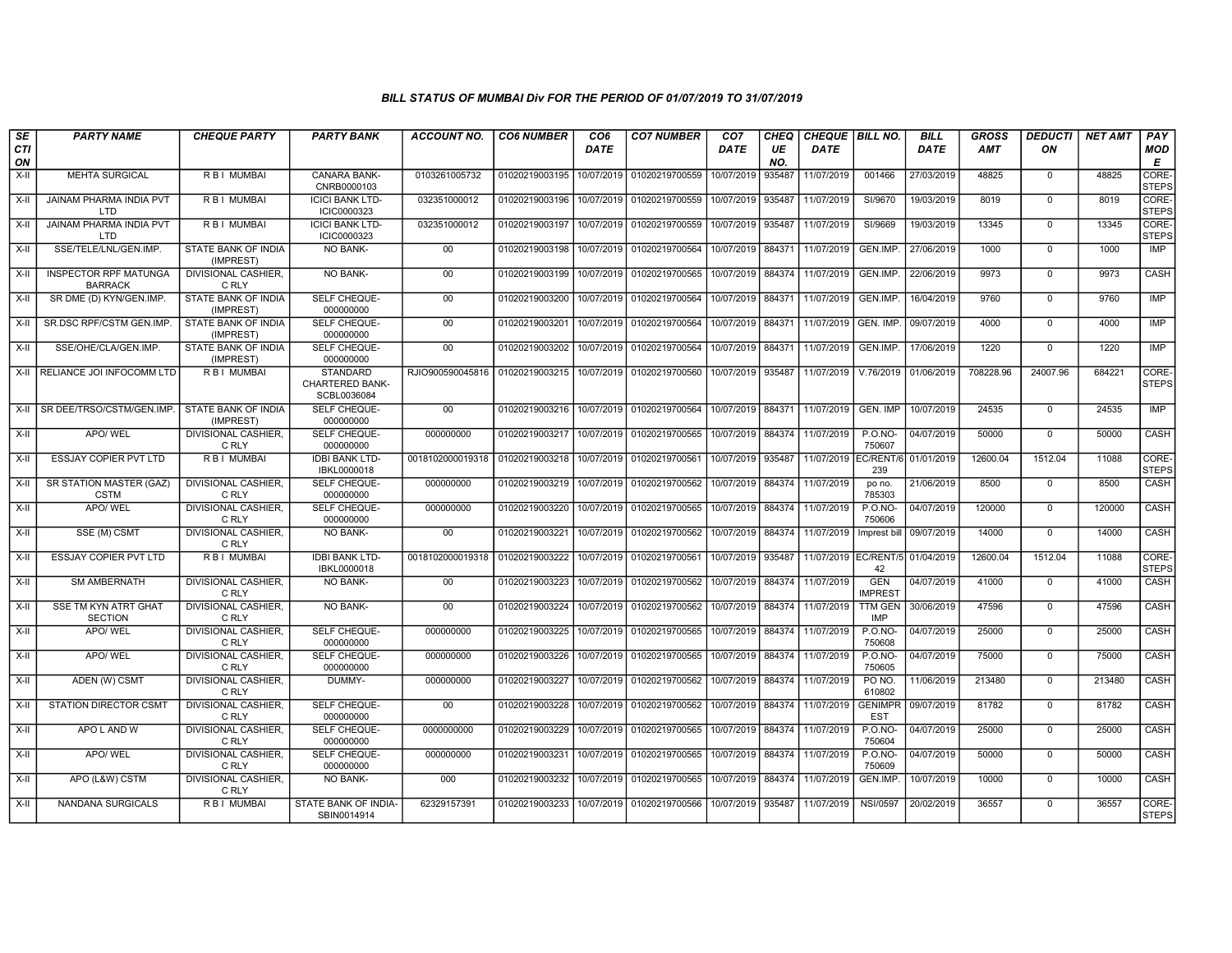| SE               | <b>PARTY NAME</b>                              | <b>CHEQUE PARTY</b>                     | <b>PARTY BANK</b>                                        | <b>ACCOUNT NO.</b>              | <b>CO6 NUMBER</b>         | CO <sub>6</sub> | <b>CO7 NUMBER</b> | CO <sub>7</sub>   | CHEQ      | <b>CHEQUE BILL NO.</b>           |                              | <b>BILL</b> | <b>GROSS</b> | <b>DEDUCTI</b> | <b>NET AMT</b> | PAY                   |
|------------------|------------------------------------------------|-----------------------------------------|----------------------------------------------------------|---------------------------------|---------------------------|-----------------|-------------------|-------------------|-----------|----------------------------------|------------------------------|-------------|--------------|----------------|----------------|-----------------------|
| <b>CTI</b><br>ON |                                                |                                         |                                                          |                                 |                           | <b>DATE</b>     |                   | DATE              | UE<br>NO. | <b>DATE</b>                      |                              | DATE        | <b>AMT</b>   | ON             |                | <b>MOD</b><br>E       |
| X-II             | <b>MEHTA SURGICAL</b>                          | <b>RBI MUMBAI</b>                       | <b>CANARA BANK-</b><br>CNRB0000103                       | 0103261005732                   | 01020219003195            | 10/07/2019      | 01020219700559    | 10/07/2019        | 935487    | 11/07/2019                       | 001466                       | 27/03/2019  | 48825        | $\mathbf 0$    | 48825          | CORE-<br><b>STEPS</b> |
| X-II             | <b>JAINAM PHARMA INDIA PVT</b><br>LTD          | <b>RBI MUMBAI</b>                       | <b>ICICI BANK LTD-</b><br>ICIC0000323                    | 032351000012                    | 01020219003196            | 10/07/2019      | 01020219700559    | 10/07/2019        | 935487    | 11/07/2019                       | SI/9670                      | 19/03/2019  | 8019         | $\mathbf 0$    | 8019           | CORE-<br><b>STEPS</b> |
| X-II             | <b>JAINAM PHARMA INDIA PVT</b><br><b>LTD</b>   | R B I MUMBAI                            | <b>ICICI BANK LTD-</b><br>ICIC0000323                    | 032351000012                    | 01020219003197            | 10/07/2019      | 01020219700559    | 10/07/2019        | 935487    | 11/07/2019                       | SI/9669                      | 19/03/2019  | 13345        | $\mathbf 0$    | 13345          | CORE-<br><b>STEPS</b> |
| X-II             | SSE/TELE/LNL/GEN.IMP.                          | STATE BANK OF INDIA<br>(IMPREST)        | NO BANK-                                                 | 00                              | 01020219003198            | 10/07/2019      | 01020219700564    |                   |           | 10/07/2019 884371 11/07/2019     | GEN.IMP.                     | 27/06/2019  | 1000         | $^{\circ}$     | 1000           | <b>IMP</b>            |
| $X-H$            | <b>INSPECTOR RPF MATUNGA</b><br><b>BARRACK</b> | <b>DIVISIONAL CASHIER.</b><br>C RLY     | <b>NO BANK-</b>                                          | 00                              | 01020219003199            | 10/07/2019      | 01020219700565    | 10/07/2019        | 884374    | 11/07/2019                       | GEN.IMP.                     | 22/06/2019  | 9973         | $\overline{0}$ | 9973           | CASH                  |
| X-II             | SR DME (D) KYN/GEN.IMP                         | <b>STATE BANK OF INDIA</b><br>(IMPREST) | <b>SELF CHEQUE-</b><br>000000000                         | 00                              | 01020219003200            | 10/07/2019      | 01020219700564    |                   |           | 10/07/2019   884371   11/07/2019 | GEN.IMP.                     | 16/04/2019  | 9760         | $\Omega$       | 9760           | <b>IMP</b>            |
| X-II             | SR.DSC RPF/CSTM GEN.IMP                        | STATE BANK OF INDIA<br>(IMPREST)        | <b>SELF CHEQUE-</b><br>000000000                         | 00                              | 01020219003201            | 10/07/2019      | 01020219700564    | 10/07/2019        | 884371    | 11/07/2019 GEN. IMP.             |                              | 09/07/2019  | 4000         | $\mathbf 0$    | 4000           | <b>IMP</b>            |
| X-II             | SSE/OHE/CLA/GEN.IMP.                           | STATE BANK OF INDIA<br>(IMPREST)        | SELF CHEQUE-<br>000000000                                | 00                              | 01020219003202            | 10/07/2019      | 01020219700564    | 10/07/2019        | 884371    | 11/07/2019                       | GEN.IMP.                     | 17/06/2019  | 1220         | $\Omega$       | 1220           | <b>IMP</b>            |
|                  | X-II RELIANCE JOI INFOCOMM LTD                 | <b>RBI MUMBAL</b>                       | <b>STANDARD</b><br><b>CHARTERED BANK-</b><br>SCBL0036084 | RJIO900590045816 01020219003215 |                           | 10/07/2019      | 01020219700560    | 10/07/2019 935487 |           | 11/07/2019                       | V.76/2019                    | 01/06/2019  | 708228.96    | 24007.96       | 684221         | CORE-<br><b>STEPS</b> |
|                  | X-II SR DEE/TRSO/CSTM/GEN.IMP.                 | STATE BANK OF INDIA<br>(IMPREST)        | SELF CHEQUE-<br>000000000                                | 00                              | 01020219003216 10/07/2019 |                 | 01020219700564    |                   |           | 10/07/2019   884371   11/07/2019 | GEN. IMP                     | 10/07/2019  | 24535        | $\Omega$       | 24535          | <b>IMP</b>            |
| $X-H$            | APO/WEL                                        | DIVISIONAL CASHIER,<br>C RLY            | SELF CHEQUE-<br>000000000                                | 000000000                       | 01020219003217            | 10/07/2019      | 01020219700565    | 10/07/2019        |           | 884374 11/07/2019                | $P. O. NO -$<br>750607       | 04/07/2019  | 50000        | $\mathbf 0$    | 50000          | CASH                  |
| X-II             | <b>ESSJAY COPIER PVT LTD</b>                   | <b>RBI MUMBAL</b>                       | <b>IDBI BANK LTD-</b><br>IBKL0000018                     | 0018102000019318                | 01020219003218            | 10/07/2019      | 01020219700561    | 10/07/2019        | 935487    | 11/07/2019 EC/RENT/6             | 239                          | 01/01/2019  | 12600.04     | 1512.04        | 11088          | CORE-<br><b>STEPS</b> |
| X-II             | SR STATION MASTER (GAZ)<br><b>CSTM</b>         | DIVISIONAL CASHIER.<br>C RLY            | SELF CHEQUE-<br>000000000                                | 000000000                       | 01020219003219            | 10/07/2019      | 01020219700562    | 10/07/2019 884374 |           | 11/07/2019                       | po no.<br>785303             | 21/06/2019  | 8500         | $\mathbf 0$    | 8500           | CASH                  |
| X-II             | APO/ WEL                                       | DIVISIONAL CASHIER.<br>C RLY            | SELF CHEQUE-<br>000000000                                | 000000000                       | 01020219003220            | 10/07/2019      | 01020219700565    | 10/07/2019        | 884374    | 11/07/2019                       | <b>P.O.NO-</b><br>750606     | 04/07/2019  | 120000       | $\mathbf 0$    | 120000         | CASH                  |
| X-II             | SSE (M) CSMT                                   | DIVISIONAL CASHIER,<br>C RLY            | <b>NO BANK-</b>                                          | 00                              | 01020219003221            | 10/07/2019      | 01020219700562    | 10/07/2019        | 884374    | 11/07/2019                       | Imprest bill                 | 09/07/2019  | 14000        | $\mathbf 0$    | 14000          | CASH                  |
| X-II             | <b>ESSJAY COPIER PVT LTD</b>                   | <b>RBI MUMBAI</b>                       | <b>IDBI BANK LTD-</b><br>IBKL0000018                     | 0018102000019318                | 01020219003222            | 10/07/2019      | 01020219700561    | 10/07/2019 935487 |           | 11/07/2019 EC/RENT/5 01/04/2019  | 42                           |             | 12600.04     | 1512.04        | 11088          | CORE-<br><b>STEPS</b> |
| X-II             | <b>SM AMBERNATH</b>                            | <b>DIVISIONAL CASHIER.</b><br>C RLY     | <b>NO BANK-</b>                                          | $00\,$                          | 01020219003223            | 10/07/2019      | 01020219700562    | 10/07/2019        | 884374    | 11/07/2019                       | <b>GEN</b><br><b>IMPREST</b> | 04/07/2019  | 41000        | $\Omega$       | 41000          | CASH                  |
| X-II             | <b>SSE TM KYN ATRT GHAT</b><br><b>SECTION</b>  | <b>DIVISIONAL CASHIER.</b><br>C RLY     | <b>NO BANK-</b>                                          | 00                              | 01020219003224            | 10/07/2019      | 01020219700562    | 10/07/2019        | 884374    | 11/07/2019                       | <b>TTM GEN</b><br><b>IMP</b> | 30/06/2019  | 47596        | $\mathbf 0$    | 47596          | CASH                  |
| X-II             | APO/WEL                                        | DIVISIONAL CASHIER,<br>C RLY            | SELF CHEQUE-<br>000000000                                | 000000000                       | 01020219003225            | 10/07/2019      | 01020219700565    | 10/07/2019 884374 |           | 11/07/2019                       | <b>P.O.NO-</b><br>750608     | 04/07/2019  | 25000        | $\Omega$       | 25000          | CASH                  |
| X-II             | APO/WEL                                        | <b>DIVISIONAL CASHIER.</b><br>C RLY     | SELF CHEQUE-<br>000000000                                | 000000000                       | 01020219003226            | 10/07/2019      | 01020219700565    | 10/07/2019 884374 |           | 11/07/2019                       | $P. O. NO -$<br>750605       | 04/07/2019  | 75000        | $\mathbf 0$    | 75000          | <b>CASH</b>           |
| X-II             | ADEN (W) CSMT                                  | <b>DIVISIONAL CASHIER,</b><br>C RLY     | DUMMY-                                                   | 000000000                       | 01020219003227            | 10/07/2019      | 01020219700562    | 10/07/2019        |           | 884374 11/07/2019                | PO NO.<br>610802             | 11/06/2019  | 213480       | $\mathbf 0$    | 213480         | CASH                  |
| X-II             | <b>STATION DIRECTOR CSMT</b>                   | <b>DIVISIONAL CASHIER.</b><br>C RLY     | <b>SELF CHEQUE-</b><br>000000000                         | $00 \,$                         | 01020219003228            | 10/07/2019      | 01020219700562    | 10/07/2019 884374 |           | 11/07/2019                       | <b>GENIMPR</b><br><b>EST</b> | 09/07/2019  | 81782        | $\Omega$       | 81782          | CASH                  |
| $X-H$            | APO L AND W                                    | <b>DIVISIONAL CASHIER.</b><br>C RLY     | SELF CHEQUE-<br>000000000                                | 0000000000                      | 01020219003229            | 10/07/2019      | 01020219700565    | 10/07/2019        | 884374    | 11/07/2019                       | $P. O. NO -$<br>750604       | 04/07/2019  | 25000        | $\overline{0}$ | 25000          | CASH                  |
| X-II             | APO/WEL                                        | <b>DIVISIONAL CASHIER.</b><br>C RLY     | <b>SELF CHEQUE-</b><br>000000000                         | 000000000                       | 01020219003231            | 10/07/2019      | 01020219700565    | 10/07/2019        | 884374    | 11/07/2019                       | <b>P.O.NO-</b><br>750609     | 04/07/2019  | 50000        | $\mathbf 0$    | 50000          | <b>CASH</b>           |
| X-II             | APO (L&W) CSTM                                 | <b>DIVISIONAL CASHIER,</b><br>C RLY     | NO BANK-                                                 | 000                             | 01020219003232            | 10/07/2019      | 01020219700565    | 10/07/2019 884374 |           | 11/07/2019                       | GEN.IMP.                     | 10/07/2019  | 10000        | $^{\circ}$     | 10000          | CASH                  |
| X-II             | NANDANA SURGICALS                              | R B I MUMBAI                            | STATE BANK OF INDIA-<br>SBIN0014914                      | 62329157391                     | 01020219003233            | 10/07/2019      | 01020219700566    | 10/07/2019        | 935487    | 11/07/2019                       | <b>NSI/0597</b>              | 20/02/2019  | 36557        | $\mathbf{0}$   | 36557          | CORE-<br><b>STEPS</b> |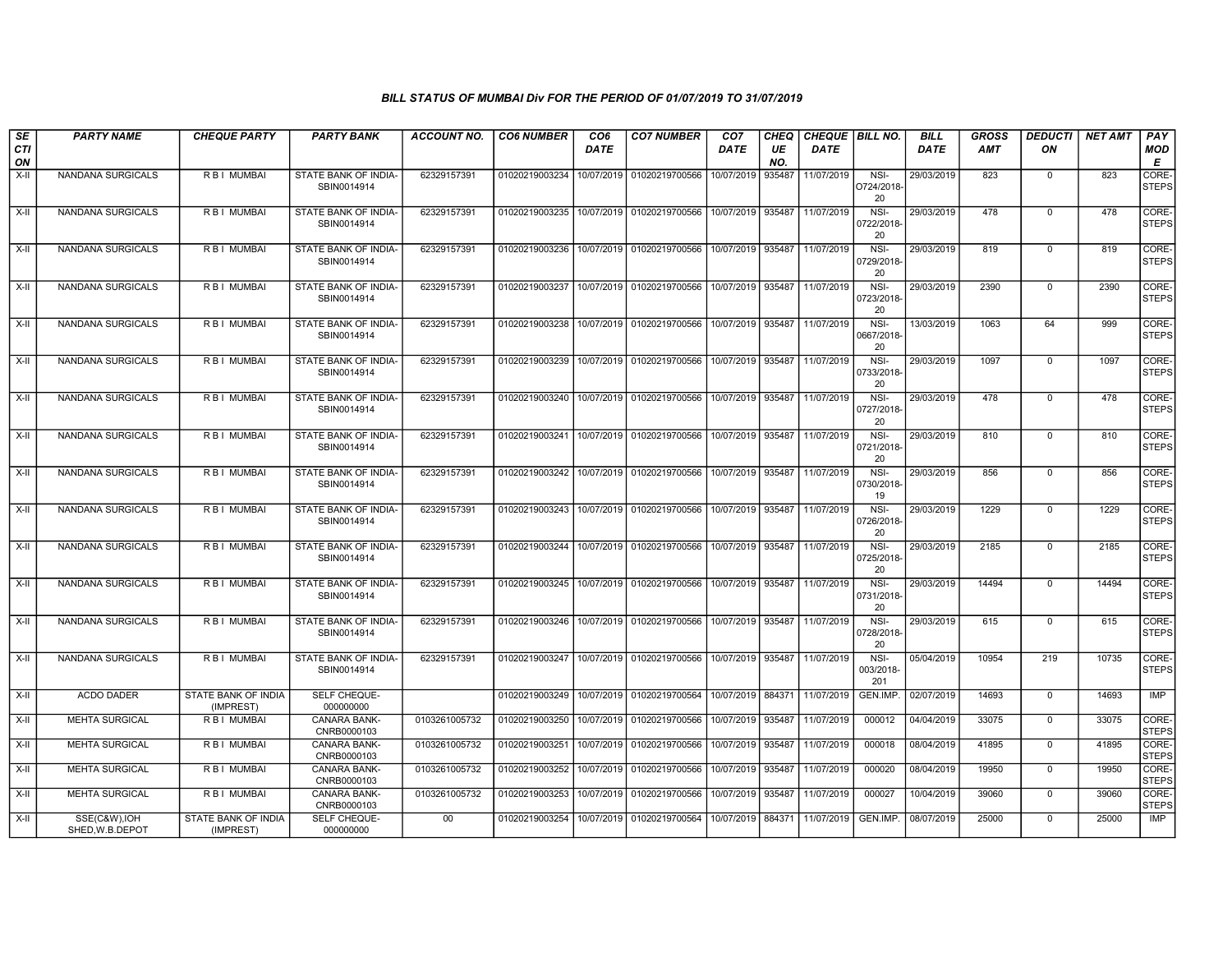| SE               | <b>PARTY NAME</b>               | <b>CHEQUE PARTY</b>              | <b>PARTY BANK</b>                   | ACCOUNT NO.     | <b>CO6 NUMBER</b> | CO6         | <b>CO7 NUMBER</b>                        | CO <sub>7</sub>   | CHEQ      | <b>CHEQUE   BILL NO.</b> |                           | BILL        | GROSS      | <b>DEDUCTI</b> | NET AMT | <b>PAY</b>            |
|------------------|---------------------------------|----------------------------------|-------------------------------------|-----------------|-------------------|-------------|------------------------------------------|-------------------|-----------|--------------------------|---------------------------|-------------|------------|----------------|---------|-----------------------|
| <b>CTI</b><br>ON |                                 |                                  |                                     |                 |                   | <b>DATE</b> |                                          | <b>DATE</b>       | UE<br>NO. | <b>DATE</b>              |                           | <b>DATE</b> | <b>AMT</b> | ON             |         | MOD<br>Е              |
| $X-H$            | NANDANA SURGICALS               | R B I MUMBAI                     | STATE BANK OF INDIA-<br>SBIN0014914 | 62329157391     | 01020219003234    | 10/07/2019  | 01020219700566                           | 10/07/2019        | 935487    | 11/07/2019               | NSI-<br>O724/2018<br>20   | 29/03/2019  | 823        | $\mathbf{0}$   | 823     | CORE-<br><b>STEPS</b> |
| X-II             | NANDANA SURGICALS               | R B I MUMBAI                     | STATE BANK OF INDIA-<br>SBIN0014914 | 62329157391     | 01020219003235    |             | 10/07/2019 01020219700566                | 10/07/2019        | 935487    | 11/07/2019               | NSI-<br>0722/2018<br>20   | 29/03/2019  | 478        | $\mathbf 0$    | 478     | CORE-<br><b>STEPS</b> |
| X-II             | NANDANA SURGICALS               | <b>RBI MUMBAI</b>                | STATE BANK OF INDIA<br>SBIN0014914  | 62329157391     | 01020219003236    | 10/07/2019  | 01020219700566                           | 10/07/2019        | 935487    | 11/07/2019               | NSI-<br>0729/2018<br>20   | 29/03/2019  | 819        | $\mathbf{0}$   | 819     | CORE-<br><b>STEPS</b> |
| $X-H$            | NANDANA SURGICALS               | R B I MUMBAI                     | STATE BANK OF INDIA-<br>SBIN0014914 | 62329157391     | 01020219003237    |             | 10/07/2019 01020219700566                | 10/07/2019        | 935487    | 11/07/2019               | $NSI-$<br>0723/2018<br>20 | 29/03/2019  | 2390       | $\mathbf 0$    | 2390    | CORE-<br><b>STEPS</b> |
| $X-II$           | NANDANA SURGICALS               | R B I MUMBAI                     | STATE BANK OF INDIA-<br>SBIN0014914 | 62329157391     | 01020219003238    | 10/07/2019  | 01020219700566                           | 10/07/2019        | 935487    | 11/07/2019               | NSI-<br>0667/2018<br>20   | 13/03/2019  | 1063       | 64             | 999     | CORE-<br><b>STEPS</b> |
| $X-II$           | NANDANA SURGICALS               | <b>RBI MUMBAI</b>                | STATE BANK OF INDIA-<br>SBIN0014914 | 62329157391     | 01020219003239    | 10/07/2019  | 01020219700566                           | 10/07/2019        | 935487    | 11/07/2019               | NSI-<br>0733/2018<br>20   | 29/03/2019  | 1097       | $\Omega$       | 1097    | CORE-<br><b>STEPS</b> |
| $X-H$            | NANDANA SURGICALS               | R B I MUMBAI                     | STATE BANK OF INDIA-<br>SBIN0014914 | 62329157391     | 01020219003240    |             | 10/07/2019 01020219700566                | 10/07/2019 935487 |           | 11/07/2019               | $NSI-$<br>0727/2018<br>20 | 29/03/2019  | 478        | 0              | 478     | CORE-<br><b>STEPS</b> |
| $X-II$           | NANDANA SURGICALS               | R B I MUMBAI                     | STATE BANK OF INDIA-<br>SBIN0014914 | 62329157391     | 01020219003241    |             | 10/07/2019 01020219700566                | 10/07/2019        | 935487    | 11/07/2019               | NSI-<br>0721/2018<br>20   | 29/03/2019  | 810        | $\mathbf 0$    | 810     | CORE-<br><b>STEPS</b> |
| X-II             | <b>NANDANA SURGICALS</b>        | <b>RBI MUMBAI</b>                | STATE BANK OF INDIA-<br>SBIN0014914 | 62329157391     | 01020219003242    |             | 10/07/2019 01020219700566                | 10/07/2019        | 935487    | 11/07/2019               | NSI-<br>0730/2018<br>19   | 29/03/2019  | 856        | $\mathbf{0}$   | 856     | CORE-<br><b>STEPS</b> |
| X-II             | NANDANA SURGICALS               | R B I MUMBAI                     | STATE BANK OF INDIA-<br>SBIN0014914 | 62329157391     | 01020219003243    |             | 10/07/2019 01020219700566                | 10/07/2019        | 935487    | 11/07/2019               | NSI-<br>0726/2018<br>20   | 29/03/2019  | 1229       | $\mathbf{0}$   | 1229    | CORE-<br><b>STEPS</b> |
| X-II             | NANDANA SURGICALS               | R B I MUMBAI                     | STATE BANK OF INDIA-<br>SBIN0014914 | 62329157391     | 01020219003244    |             | 10/07/2019 01020219700566                | 10/07/2019        | 935487    | 11/07/2019               | NSI-<br>0725/2018<br>20   | 29/03/2019  | 2185       | $\mathbf{0}$   | 2185    | CORE-<br><b>STEPS</b> |
| X-II             | <b>NANDANA SURGICALS</b>        | <b>RBI MUMBAI</b>                | STATE BANK OF INDIA-<br>SBIN0014914 | 62329157391     | 01020219003245    |             | 10/07/2019 01020219700566                | 10/07/2019        | 935487    | 11/07/2019               | NSI-<br>0731/2018<br>20   | 29/03/2019  | 14494      | $\mathbf{0}$   | 14494   | CORE-<br><b>STEPS</b> |
| X-II             | NANDANA SURGICALS               | R B I MUMBAI                     | STATE BANK OF INDIA-<br>SBIN0014914 | 62329157391     | 01020219003246    |             | 10/07/2019 01020219700566                | 10/07/2019        | 935487    | 11/07/2019               | NSI-<br>0728/2018<br>20   | 29/03/2019  | 615        | $\mathbf 0$    | 615     | CORE-<br><b>STEPS</b> |
| X-II             | <b>NANDANA SURGICALS</b>        | <b>RBI MUMBAI</b>                | STATE BANK OF INDIA-<br>SBIN0014914 | 62329157391     |                   |             | 01020219003247 10/07/2019 01020219700566 | 10/07/2019 935487 |           | 11/07/2019               | NSI-<br>003/2018-<br>201  | 05/04/2019  | 10954      | 219            | 10735   | CORE-<br><b>STEPS</b> |
| $X-H$            | <b>ACDO DADER</b>               | STATE BANK OF INDIA<br>(IMPREST) | SELF CHEQUE-<br>000000000           |                 | 01020219003249    | 10/07/2019  | 01020219700564                           | 10/07/2019        | 884371    | 11/07/2019               | GEN.IMP.                  | 02/07/2019  | 14693      | $\Omega$       | 14693   | <b>IMP</b>            |
| X-II             | <b>MEHTA SURGICAL</b>           | R B I MUMBAI                     | <b>CANARA BANK-</b><br>CNRB0000103  | 0103261005732   | 01020219003250    | 10/07/2019  | 01020219700566                           | 10/07/2019        | 935487    | 11/07/2019               | 000012                    | 04/04/2019  | 33075      | $\mathbf{0}$   | 33075   | CORE-<br><b>STEPS</b> |
| X-II             | <b>MEHTA SURGICAL</b>           | R B I MUMBAI                     | CANARA BANK-<br>CNRB0000103         | 0103261005732   | 01020219003251    | 10/07/2019  | 01020219700566                           | 10/07/2019        | 935487    | 11/07/2019               | 000018                    | 08/04/2019  | 41895      | $\mathbf{0}$   | 41895   | CORE-<br><b>STEPS</b> |
| $X-H$            | <b>MEHTA SURGICAL</b>           | R B I MUMBAI                     | CANARA BANK-<br>CNRB0000103         | 0103261005732   | 01020219003252    | 10/07/2019  | 01020219700566                           | 10/07/2019        | 935487    | 11/07/2019               | 000020                    | 08/04/2019  | 19950      | 0              | 19950   | CORE-<br><b>STEPS</b> |
| X-II             | <b>MEHTA SURGICAL</b>           | R B I MUMBAI                     | <b>CANARA BANK-</b><br>CNRB0000103  | 0103261005732   | 01020219003253    | 10/07/2019  | 01020219700566                           | 10/07/2019        | 935487    | 11/07/2019               | 000027                    | 10/04/2019  | 39060      | $\mathbf 0$    | 39060   | CORE-<br><b>STEPS</b> |
| X-II             | SSE(C&W), IOH<br>SHED.W.B.DEPOT | STATE BANK OF INDIA<br>(IMPREST) | SELF CHEQUE-<br>000000000           | 00 <sup>°</sup> | 01020219003254    | 10/07/2019  | 01020219700564                           | 10/07/2019        | 884371    | 11/07/2019               | GEN.IMP.                  | 08/07/2019  | 25000      | $\mathbf{0}$   | 25000   | <b>IMP</b>            |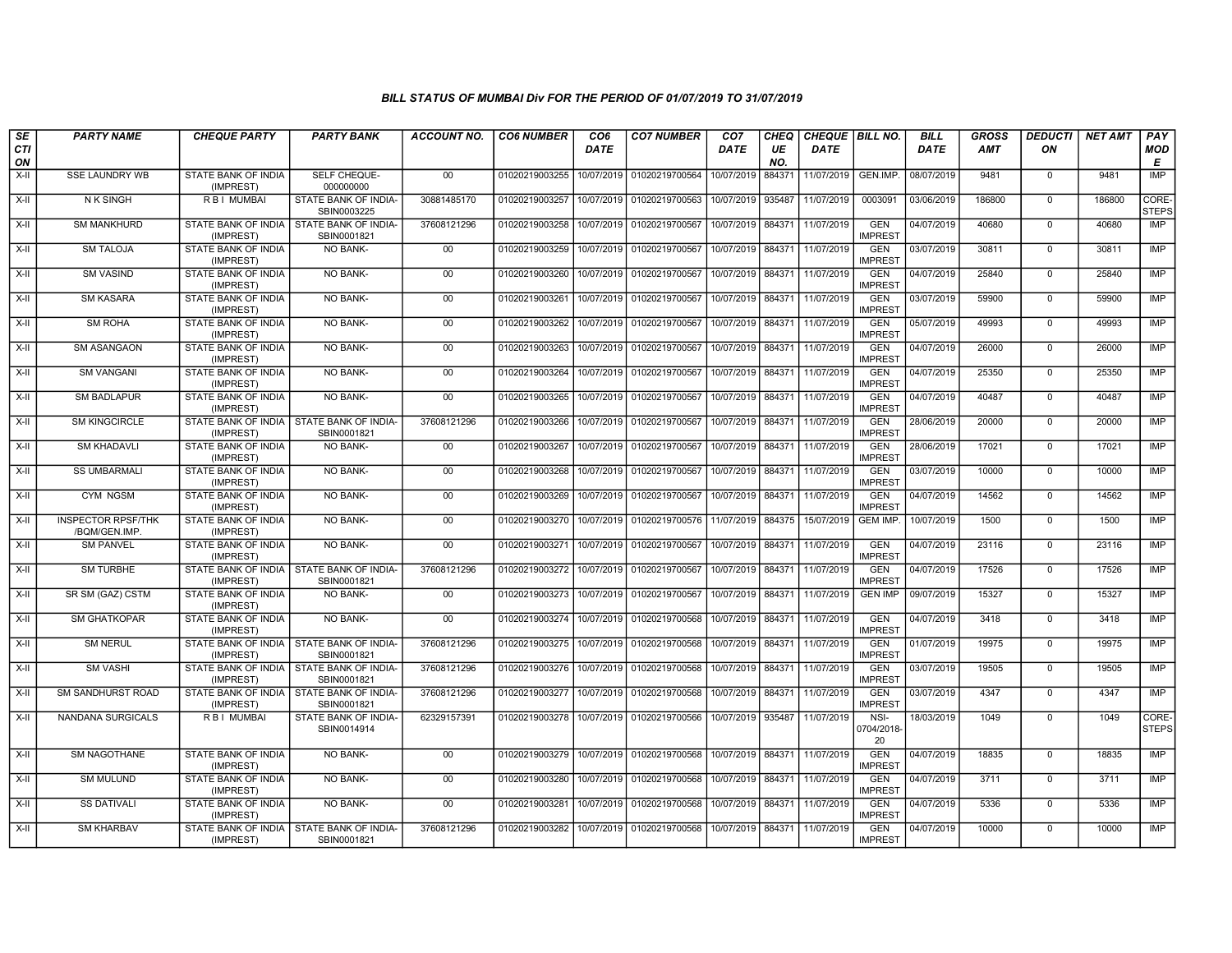| SE        | <b>PARTY NAME</b>                          | <b>CHEQUE PARTY</b>                                     | <b>PARTY BANK</b>                                         | <b>ACCOUNT NO.</b> | <b>CO6 NUMBER</b>                        | CO <sub>6</sub> | <b>CO7 NUMBER</b>                                                     | CO <sub>7</sub>   | <b>CHEQ</b> | <b>CHEQUE   BILL NO.</b>     |                              | <b>BILL</b> | <b>GROSS</b> | <i><b>DEDUCTI</b></i> | <b>NET AMT</b> | PAY                         |
|-----------|--------------------------------------------|---------------------------------------------------------|-----------------------------------------------------------|--------------------|------------------------------------------|-----------------|-----------------------------------------------------------------------|-------------------|-------------|------------------------------|------------------------------|-------------|--------------|-----------------------|----------------|-----------------------------|
| CTI<br>ON |                                            |                                                         |                                                           |                    |                                          | DATE            |                                                                       | <b>DATE</b>       | UE<br>NO.   | <b>DATE</b>                  |                              | <b>DATE</b> | <b>AMT</b>   | ON                    |                | <b>MOD</b><br>Е             |
| $X-H$     | <b>SSE LAUNDRY WB</b>                      | <b>STATE BANK OF INDIA</b><br>(IMPREST)                 | SELF CHEQUE-<br>000000000                                 | 00                 | 01020219003255                           | 10/07/2019      | 01020219700564                                                        | 10/07/2019        | 884371      | 11/07/2019                   | GEN.IMP.                     | 08/07/2019  | 9481         | $\mathbf 0$           | 9481           | IMP                         |
| X-II      | <b>NK SINGH</b>                            | <b>RBI MUMBAI</b>                                       | STATE BANK OF INDIA-<br>SBIN0003225                       | 30881485170        |                                          |                 | 01020219003257 10/07/2019 01020219700563 10/07/2019 935487            |                   |             | 11/07/2019                   | 0003091                      | 03/06/2019  | 186800       | $\mathbf 0$           | 186800         | <b>CORE</b><br><b>STEPS</b> |
| X-II      | <b>SM MANKHURD</b>                         | STATE BANK OF INDIA<br>(IMPREST)                        | <b>STATE BANK OF INDIA-</b><br>SBIN0001821                | 37608121296        | 01020219003258                           |                 | 10/07/2019 01020219700567                                             | 10/07/2019 884371 |             | 11/07/2019                   | <b>GEN</b><br><b>IMPREST</b> | 04/07/2019  | 40680        | $\mathbf 0$           | 40680          | IMP                         |
| X-II      | <b>SM TALOJA</b>                           | STATE BANK OF INDIA<br>(IMPREST)                        | <b>NO BANK-</b>                                           | $00\,$             | 01020219003259                           | 10/07/2019      | 01020219700567                                                        | 10/07/2019        | 884371      | 11/07/2019                   | <b>GEN</b><br><b>IMPREST</b> | 03/07/2019  | 30811        | $\mathbf 0$           | 30811          | IMP                         |
| X-II      | <b>SM VASIND</b>                           | STATE BANK OF INDIA<br>(IMPREST)                        | <b>NO BANK-</b>                                           | 00                 | 01020219003260                           |                 | 10/07/2019 01020219700567                                             | 10/07/2019 884371 |             | 11/07/2019                   | <b>GEN</b><br><b>IMPREST</b> | 04/07/2019  | 25840        | $\mathbf 0$           | 25840          | <b>IMP</b>                  |
| X-II      | <b>SM KASARA</b>                           | STATE BANK OF INDIA<br>(IMPREST)                        | <b>NO BANK-</b>                                           | 00                 | 01020219003261                           | 10/07/2019      | 01020219700567                                                        | 10/07/2019 884371 |             | 11/07/2019                   | <b>GEN</b><br><b>IMPREST</b> | 03/07/2019  | 59900        | $\mathbf 0$           | 59900          | <b>IMP</b>                  |
| X-II      | <b>SM ROHA</b>                             | STATE BANK OF INDIA<br>(IMPREST)                        | NO BANK-                                                  | 00                 | 01020219003262                           | 10/07/2019      | 01020219700567                                                        |                   |             | 10/07/2019 884371 11/07/2019 | <b>GEN</b><br><b>IMPREST</b> | 05/07/2019  | 49993        | $\mathbf 0$           | 49993          | <b>IMP</b>                  |
| X-II      | <b>SM ASANGAON</b>                         | STATE BANK OF INDIA<br>(IMPREST)                        | NO BANK-                                                  | 00                 | 01020219003263                           | 10/07/2019      | 01020219700567                                                        | 10/07/2019 884371 |             | 11/07/2019                   | <b>GEN</b><br><b>IMPREST</b> | 04/07/2019  | 26000        | $\mathbf 0$           | 26000          | <b>IMP</b>                  |
| $X-H$     | <b>SM VANGANI</b>                          | <b>STATE BANK OF INDIA</b><br>(IMPREST)                 | <b>NO BANK-</b>                                           | 00                 | 01020219003264                           | 10/07/2019      | 01020219700567                                                        |                   |             | 10/07/2019 884371 11/07/2019 | <b>GEN</b><br><b>IMPREST</b> | 04/07/2019  | 25350        | $\mathbf 0$           | 25350          | <b>IMP</b>                  |
| X-II      | <b>SM BADLAPUR</b>                         | <b>STATE BANK OF INDIA</b><br>(IMPREST)                 | <b>NO BANK-</b>                                           | 00                 | 01020219003265 10/07/2019 01020219700567 |                 |                                                                       | 10/07/2019 884371 |             | 11/07/2019                   | <b>GEN</b><br><b>IMPREST</b> | 04/07/2019  | 40487        | $\Omega$              | 40487          | IMP                         |
| X-II      | <b>SM KINGCIRCLE</b>                       | STATE BANK OF INDIA   STATE BANK OF INDIA-<br>(IMPREST) | SBIN0001821                                               | 37608121296        | 01020219003266                           | 10/07/2019      | 01020219700567                                                        | 10/07/2019 884371 |             | 11/07/2019                   | <b>GEN</b><br><b>IMPREST</b> | 28/06/2019  | 20000        | $\mathbf 0$           | 20000          | IMP                         |
| X-II      | <b>SM KHADAVLI</b>                         | STATE BANK OF INDIA<br>(IMPREST)                        | <b>NO BANK-</b>                                           | 00                 | 01020219003267                           | 10/07/2019      | 01020219700567                                                        | 10/07/2019 884371 |             | 11/07/2019                   | <b>GEN</b><br><b>IMPREST</b> | 28/06/2019  | 17021        | $\mathbf 0$           | 17021          | <b>IMP</b>                  |
| X-II      | <b>SS UMBARMALI</b>                        | STATE BANK OF INDIA<br>(IMPREST)                        | <b>NO BANK-</b>                                           | 00                 | 01020219003268                           | 10/07/2019      | 01020219700567                                                        | 10/07/2019 884371 |             | 11/07/2019                   | <b>GEN</b><br><b>IMPREST</b> | 03/07/2019  | 10000        | $\overline{0}$        | 10000          | <b>IMP</b>                  |
| X-II      | <b>CYM NGSM</b>                            | <b>STATE BANK OF INDIA</b><br>(IMPREST)                 | <b>NO BANK-</b>                                           | 00                 | 01020219003269                           |                 | 10/07/2019 01020219700567                                             | 10/07/2019 884371 |             | 11/07/2019                   | <b>GEN</b><br><b>IMPREST</b> | 04/07/2019  | 14562        | $\mathbf 0$           | 14562          | <b>IMP</b>                  |
| X-II      | <b>INSPECTOR RPSF/THK</b><br>/BQM/GEN.IMP. | STATE BANK OF INDIA<br>(IMPREST)                        | NO BANK-                                                  | 00                 | 01020219003270                           | 10/07/2019      | 01020219700576 11/07/2019 884375                                      |                   |             | 15/07/2019                   | <b>GEM IMP.</b>              | 10/07/2019  | 1500         | $\mathbf 0$           | 1500           | <b>IMP</b>                  |
| X-II      | <b>SM PANVEL</b>                           | STATE BANK OF INDIA<br>(IMPREST)                        | NO BANK-                                                  | 00                 | 01020219003271                           | 10/07/2019      | 01020219700567                                                        | 10/07/2019 884371 |             | 11/07/2019                   | <b>GEN</b><br><b>IMPREST</b> | 04/07/2019  | 23116        | $\mathbf 0$           | 23116          | <b>IMP</b>                  |
| X-II      | <b>SM TURBHE</b>                           | STATE BANK OF INDIA I STATE BANK OF INDIA-<br>(IMPREST) | SBIN0001821                                               | 37608121296        | 01020219003272                           | 10/07/2019      | 01020219700567                                                        | 10/07/2019 884371 |             | 11/07/2019                   | <b>GEN</b><br><b>IMPREST</b> | 04/07/2019  | 17526        | $\mathbf 0$           | 17526          | <b>IMP</b>                  |
| $X-H$     | SR SM (GAZ) CSTM                           | <b>STATE BANK OF INDIA</b><br>(IMPREST)                 | NO BANK-                                                  | 00                 | 01020219003273                           | 10/07/2019      | 01020219700567                                                        |                   |             | 10/07/2019 884371 11/07/2019 | <b>GEN IMP</b>               | 09/07/2019  | 15327        | $\overline{0}$        | 15327          | <b>IMP</b>                  |
| X-II      | <b>SM GHATKOPAR</b>                        | STATE BANK OF INDIA<br>(IMPREST)                        | <b>NO BANK-</b>                                           | $00\,$             | 01020219003274                           | 10/07/2019      | 01020219700568                                                        | 10/07/2019 884371 |             | 11/07/2019                   | <b>GEN</b><br><b>IMPREST</b> | 04/07/2019  | 3418         | $\mathbf 0$           | 3418           | IMP                         |
| X-II      | <b>SM NERUL</b>                            | STATE BANK OF INDIA   STATE BANK OF INDIA<br>(IMPREST)  | SBIN0001821                                               | 37608121296        | 01020219003275                           | 10/07/2019      | 01020219700568                                                        | 10/07/2019 884371 |             | 11/07/2019                   | <b>GEN</b><br><b>IMPREST</b> | 01/07/2019  | 19975        | $\mathbf 0$           | 19975          | IMP                         |
| X-II      | <b>SM VASHI</b>                            | STATE BANK OF INDIA STATE BANK OF INDIA-<br>(IMPREST)   | SBIN0001821                                               | 37608121296        |                                          |                 | 01020219003276 10/07/2019 01020219700568                              | 10/07/2019 884371 |             | 11/07/2019                   | <b>GEN</b><br><b>IMPREST</b> | 03/07/2019  | 19505        | $\mathbf 0$           | 19505          | <b>IMP</b>                  |
| X-II      | SM SANDHURST ROAD                          | (IMPREST)                                               | STATE BANK OF INDIA   STATE BANK OF INDIA-<br>SBIN0001821 | 37608121296        | 01020219003277                           | 10/07/2019      | 01020219700568                                                        | 10/07/2019 884371 |             | 11/07/2019                   | <b>GEN</b><br><b>IMPREST</b> | 03/07/2019  | 4347         | $\overline{0}$        | 4347           | <b>IMP</b>                  |
| X-II      | <b>NANDANA SURGICALS</b>                   | <b>RBI MUMBAI</b>                                       | STATE BANK OF INDIA-<br>SBIN0014914                       | 62329157391        | 01020219003278                           |                 | 10/07/2019 01020219700566                                             |                   |             | 10/07/2019 935487 11/07/2019 | NSI-<br>0704/2018-<br>20     | 18/03/2019  | 1049         | $\mathbf 0$           | 1049           | CORE-<br><b>STEPS</b>       |
| $X-H$     | <b>SM NAGOTHANE</b>                        | STATE BANK OF INDIA<br>(IMPREST)                        | <b>NO BANK-</b>                                           | 00                 |                                          |                 | 01020219003279 10/07/2019 01020219700568                              | 10/07/2019 884371 |             | 11/07/2019                   | <b>GEN</b><br><b>IMPREST</b> | 04/07/2019  | 18835        | $\overline{0}$        | 18835          | IMP                         |
| X-II      | <b>SM MULUND</b>                           | STATE BANK OF INDIA<br>(IMPREST)                        | <b>NO BANK-</b>                                           | 00                 | 01020219003280                           | 10/07/2019      | 01020219700568                                                        | 10/07/2019 884371 |             | 11/07/2019                   | <b>GEN</b><br><b>IMPREST</b> | 04/07/2019  | 3711         | $\mathbf 0$           | 3711           | IMP                         |
| X-II      | <b>SS DATIVALI</b>                         | <b>STATE BANK OF INDIA</b><br>(IMPREST)                 | <b>NO BANK-</b>                                           | $00\,$             | 01020219003281                           | 10/07/2019      | 01020219700568                                                        | 10/07/2019 884371 |             | 11/07/2019                   | <b>GEN</b><br><b>IMPREST</b> | 04/07/2019  | 5336         | $\Omega$              | 5336           | <b>IMP</b>                  |
| $X-H$     | <b>SM KHARBAV</b>                          | STATE BANK OF INDIA   STATE BANK OF INDIA-<br>(IMPREST) | SBIN0001821                                               | 37608121296        |                                          |                 | 01020219003282 10/07/2019 01020219700568 10/07/2019 884371 11/07/2019 |                   |             |                              | <b>GEN</b><br><b>IMPREST</b> | 04/07/2019  | 10000        | $\mathbf 0$           | 10000          | IMP                         |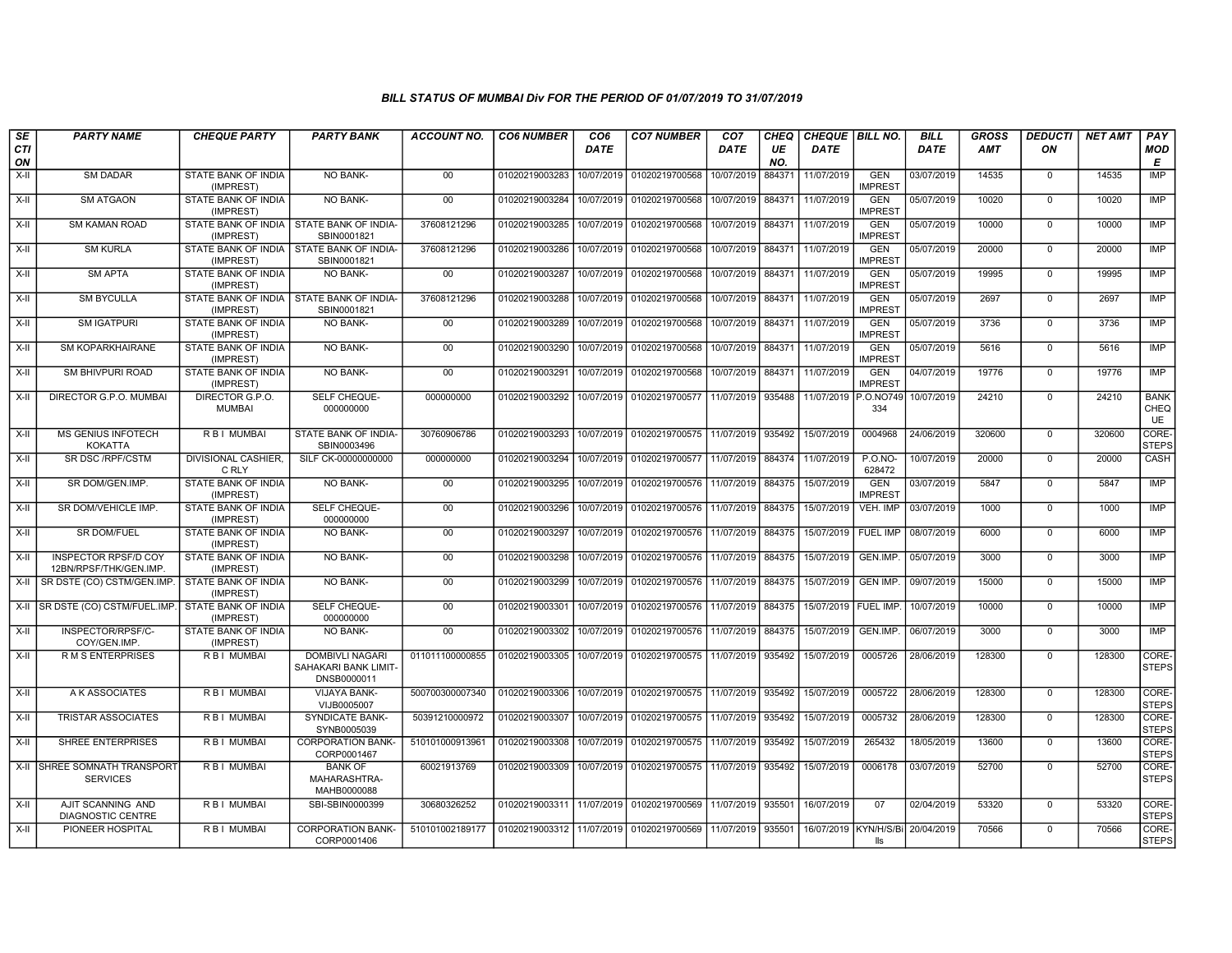| SE        | <b>PARTY NAME</b>                               | <b>CHEQUE PARTY</b>                                     | <b>PARTY BANK</b>                                      | ACCOUNT NO.     | <b>CO6 NUMBER</b>         | CO <sub>6</sub> | <b>CO7 NUMBER</b>         | CO <sub>7</sub> | CHEQ      | <b>CHEQUE   BILL NO.</b> |                                           | <b>BILL</b> | GROSS  | <b>DEDUCTI</b> | <b>NET AMT</b> | <b>PAY</b>                |
|-----------|-------------------------------------------------|---------------------------------------------------------|--------------------------------------------------------|-----------------|---------------------------|-----------------|---------------------------|-----------------|-----------|--------------------------|-------------------------------------------|-------------|--------|----------------|----------------|---------------------------|
| CTI<br>ON |                                                 |                                                         |                                                        |                 |                           | DATE            |                           | DATE            | UE<br>NO. | DATE                     |                                           | DATE        | AMT    | ON             |                | <b>MOD</b><br>Е           |
| X-II      | <b>SM DADAR</b>                                 | STATE BANK OF INDIA<br>(IMPREST)                        | NO BANK-                                               | $00\,$          | 01020219003283            | 10/07/2019      | 01020219700568            | 10/07/2019      | 884371    | 11/07/2019               | <b>GEN</b><br><b>IMPREST</b>              | 03/07/2019  | 14535  | $\mathbf 0$    | 14535          | <b>IMP</b>                |
| $X-H$     | <b>SM ATGAON</b>                                | STATE BANK OF INDIA<br>(IMPREST)                        | NO BANK-                                               | 00              | 01020219003284            | 10/07/2019      | 01020219700568            | 10/07/2019      | 884371    | 11/07/2019               | <b>GEN</b><br><b>IMPREST</b>              | 05/07/2019  | 10020  | $\mathbf 0$    | 10020          | <b>IMP</b>                |
| X-II      | <b>SM KAMAN ROAD</b>                            | STATE BANK OF INDIA<br>(IMPREST)                        | <b>STATE BANK OF INDIA-</b><br>SBIN0001821             | 37608121296     | 01020219003285            | 10/07/2019      | 01020219700568            | 10/07/2019      | 884371    | 11/07/2019               | <b>GEN</b><br><b>IMPREST</b>              | 05/07/2019  | 10000  | $\mathbf 0$    | 10000          | <b>IMP</b>                |
| $X-II$    | <b>SM KURLA</b>                                 | STATE BANK OF INDIA STATE BANK OF INDIA-<br>(IMPREST)   | SBIN0001821                                            | 37608121296     | 01020219003286            | 10/07/2019      | 01020219700568            | 10/07/2019      | 884371    | 11/07/2019               | <b>GEN</b><br><b>IMPREST</b>              | 05/07/2019  | 20000  | $\Omega$       | 20000          | <b>IMP</b>                |
| X-II      | <b>SM APTA</b>                                  | STATE BANK OF INDIA<br>(IMPREST)                        | NO BANK-                                               | 00              | 01020219003287            | 10/07/2019      | 01020219700568            | 10/07/2019      | 884371    | 11/07/2019               | <b>GEN</b><br><b>IMPREST</b>              | 05/07/2019  | 19995  | $\mathsf{O}$   | 19995          | <b>IMP</b>                |
| $X-H$     | <b>SM BYCULLA</b>                               | STATE BANK OF INDIA   STATE BANK OF INDIA-<br>(IMPREST) | SBIN0001821                                            | 37608121296     | 01020219003288            | 10/07/2019      | 01020219700568            | 10/07/2019      | 884371    | 11/07/2019               | <b>GEN</b><br><b>IMPREST</b>              | 05/07/2019  | 2697   | $\mathbf 0$    | 2697           | <b>IMP</b>                |
| X-II      | <b>SM IGATPURI</b>                              | STATE BANK OF INDIA<br>(IMPREST)                        | <b>NO BANK-</b>                                        | $00\,$          | 01020219003289            | 10/07/2019      | 01020219700568            | 10/07/2019      | 884371    | 11/07/2019               | <b>GEN</b><br><b>IMPREST</b>              | 05/07/2019  | 3736   | $\mathbf{0}$   | 3736           | IMP                       |
| X-II      | SM KOPARKHAIRANE                                | STATE BANK OF INDIA<br>(IMPREST)                        | NO BANK-                                               | 00              | 01020219003290            | 10/07/2019      | 01020219700568            | 10/07/2019      | 884371    | 11/07/2019               | <b>GEN</b><br><b>IMPREST</b>              | 05/07/2019  | 5616   | $\mathbf 0$    | 5616           | <b>IMP</b>                |
| $X-H$     | SM BHIVPURI ROAD                                | <b>STATE BANK OF INDIA</b><br>(IMPREST)                 | <b>NO BANK-</b>                                        | 00              | 01020219003291            | 10/07/2019      | 01020219700568            | 10/07/2019      | 884371    | 11/07/2019               | <b>GEN</b><br><b>IMPREST</b>              | 04/07/2019  | 19776  | $\mathbf 0$    | 19776          | <b>IMP</b>                |
| X-II      | DIRECTOR G.P.O. MUMBAI                          | DIRECTOR G.P.O.<br><b>MUMBAI</b>                        | SELF CHEQUE-<br>000000000                              | 000000000       | 01020219003292            | 10/07/2019      | 01020219700577            | 11/07/2019      | 935488    | 11/07/2019 P.O.NO749     | 334                                       | 10/07/2019  | 24210  | $\mathbf{0}$   | 24210          | <b>BANK</b><br>CHEQ<br>UE |
| X-II      | <b>MS GENIUS INFOTECH</b><br><b>KOKATTA</b>     | R B I MUMBAI                                            | STATE BANK OF INDIA-<br>SBIN0003496                    | 30760906786     | 01020219003293            | 10/07/2019      | 01020219700575            | 11/07/2019      | 935492    | 15/07/2019               | 0004968                                   | 24/06/2019  | 320600 | $\mathbf 0$    | 320600         | CORE-<br><b>STEPS</b>     |
| $X-H$     | <b>SR DSC/RPF/CSTM</b>                          | DIVISIONAL CASHIER,<br>C RLY                            | SILF CK-00000000000                                    | 000000000       | 01020219003294            | 10/07/2019      | 01020219700577            | 11/07/2019      | 884374    | 11/07/2019               | <b>P.O.NO-</b><br>628472                  | 10/07/2019  | 20000  | $\mathbf 0$    | 20000          | CASH                      |
| $X-H$     | SR DOM/GEN.IMP.                                 | STATE BANK OF INDIA<br>(IMPREST)                        | <b>NO BANK-</b>                                        | 00              | 01020219003295            | 10/07/2019      | 01020219700576            | 11/07/2019      | 884375    | 15/07/2019               | <b>GEN</b><br><b>IMPREST</b>              | 03/07/2019  | 5847   | $\Omega$       | 5847           | IMP                       |
| $X-II$    | SR DOM/VEHICLE IMP.                             | STATE BANK OF INDIA<br>(IMPREST)                        | SELF CHEQUE-<br>000000000                              | $00\,$          | 01020219003296            | 10/07/2019      | 01020219700576            | 11/07/2019      | 884375    | 15/07/2019               | VEH. IMP                                  | 03/07/2019  | 1000   | $\mathbf 0$    | 1000           | <b>IMP</b>                |
| $X-II$    | <b>SR DOM/FUEL</b>                              | STATE BANK OF INDIA<br>(IMPREST)                        | NO BANK-                                               | 00              | 01020219003297            | 10/07/2019      | 01020219700576 11/07/2019 |                 | 884375    | 15/07/2019               | <b>FUEL IMP</b>                           | 08/07/2019  | 6000   | $\mathbf 0$    | 6000           | <b>IMP</b>                |
| $X-H$     | INSPECTOR RPSF/D COY<br>12BN/RPSF/THK/GEN.IMP.  | STATE BANK OF INDIA<br>(IMPREST)                        | NO BANK-                                               | 00              | 01020219003298            | 10/07/2019      | 01020219700576            | 11/07/2019      | 884375    | 15/07/2019               | GEN.IMP.                                  | 05/07/2019  | 3000   | $\mathbf 0$    | 3000           | <b>IMP</b>                |
| X-II      | SR DSTE (CO) CSTM/GEN.IMP                       | STATE BANK OF INDIA<br>(IMPREST)                        | <b>NO BANK-</b>                                        | 00              | 01020219003299            | 10/07/2019      | 01020219700576            | 11/07/2019      | 884375    | 15/07/2019               | <b>GEN IMP.</b>                           | 09/07/2019  | 15000  | $\mathbf 0$    | 15000          | <b>IMP</b>                |
| X-II      | SR DSTE (CO) CSTM/FUEL.IMP                      | STATE BANK OF INDIA<br>(IMPREST)                        | SELF CHEQUE-<br>000000000                              | 00              | 01020219003301            | 10/07/2019      | 01020219700576            | 11/07/2019      | 884375    | 15/07/2019   FUEL IMP.   |                                           | 10/07/2019  | 10000  | $\mathbf 0$    | 10000          | <b>IMP</b>                |
| $X-II$    | INSPECTOR/RPSF/C-<br>COY/GEN.IMP                | STATE BANK OF INDIA<br>(IMPREST)                        | NO BANK-                                               | 00              | 01020219003302            | 10/07/2019      | 01020219700576            | 11/07/2019      | 884375    | 15/07/2019               | GEN.IMP.                                  | 06/07/2019  | 3000   | $\mathbf 0$    | 3000           | <b>IMP</b>                |
| $X-H$     | <b>RMS ENTERPRISES</b>                          | <b>RBI MUMBAI</b>                                       | DOMBIVLI NAGARI<br>SAHAKARI BANK LIMIT-<br>DNSB0000011 | 011011100000855 | 01020219003305            | 10/07/2019      | 01020219700575            | 11/07/2019      | 935492    | 15/07/2019               | 0005726                                   | 28/06/2019  | 128300 | $\mathbf{0}$   | 128300         | CORE-<br><b>STEPS</b>     |
| $X-II$    | A K ASSOCIATES                                  | <b>RBI MUMBAI</b>                                       | <b>VIJAYA BANK-</b><br>VIJB0005007                     | 500700300007340 | 01020219003306            | 10/07/2019      | 01020219700575            | 11/07/2019      | 935492    | 15/07/2019               | 0005722                                   | 28/06/2019  | 128300 | $\Omega$       | 128300         | CORE-<br><b>STEPS</b>     |
| $X-H$     | <b>TRISTAR ASSOCIATES</b>                       | R B I MUMBAI                                            | <b>SYNDICATE BANK-</b><br>SYNB0005039                  | 50391210000972  | 01020219003307            | 10/07/2019      | 01020219700575            | 11/07/2019      | 935492    | 15/07/2019               | 0005732                                   | 28/06/2019  | 128300 | $\mathsf{O}$   | 128300         | CORE-<br><b>STEPS</b>     |
| $X-H$     | <b>SHREE ENTERPRISES</b>                        | R B I MUMBAI                                            | <b>CORPORATION BANK-</b><br>CORP0001467                | 510101000913961 | 01020219003308            | 10/07/2019      | 01020219700575 11/07/2019 |                 | 935492    | 15/07/2019               | 265432                                    | 18/05/2019  | 13600  | $\mathbf 0$    | 13600          | CORE-<br><b>STEPS</b>     |
|           | X-II SHREE SOMNATH TRANSPORT<br><b>SERVICES</b> | R B I MUMBAI                                            | <b>BANK OF</b><br>MAHARASHTRA-<br>MAHB0000088          | 60021913769     | 01020219003309            | 10/07/2019      | 01020219700575            | 11/07/2019      | 935492    | 15/07/2019               | 0006178                                   | 03/07/2019  | 52700  | $\mathbf{0}$   | 52700          | CORE-<br><b>STEPS</b>     |
| $X-H$     | AJIT SCANNING AND<br><b>DIAGNOSTIC CENTRE</b>   | R B I MUMBAI                                            | SBI-SBIN0000399                                        | 30680326252     | 01020219003311            | 11/07/2019      | 01020219700569            | 11/07/2019      | 935501    | 16/07/2019               | 07                                        | 02/04/2019  | 53320  | $\mathbf 0$    | 53320          | CORE-<br><b>STEPS</b>     |
| $X-II$    | PIONEER HOSPITAL                                | R B I MUMBAI                                            | <b>CORPORATION BANK-</b><br>CORP0001406                | 510101002189177 | 01020219003312 11/07/2019 |                 | 01020219700569            | 11/07/2019      | 935501    |                          | 16/07/2019   KYN/H/S/Bi 20/04/2019<br>lls |             | 70566  | $\mathbf 0$    | 70566          | CORE-<br><b>STEPS</b>     |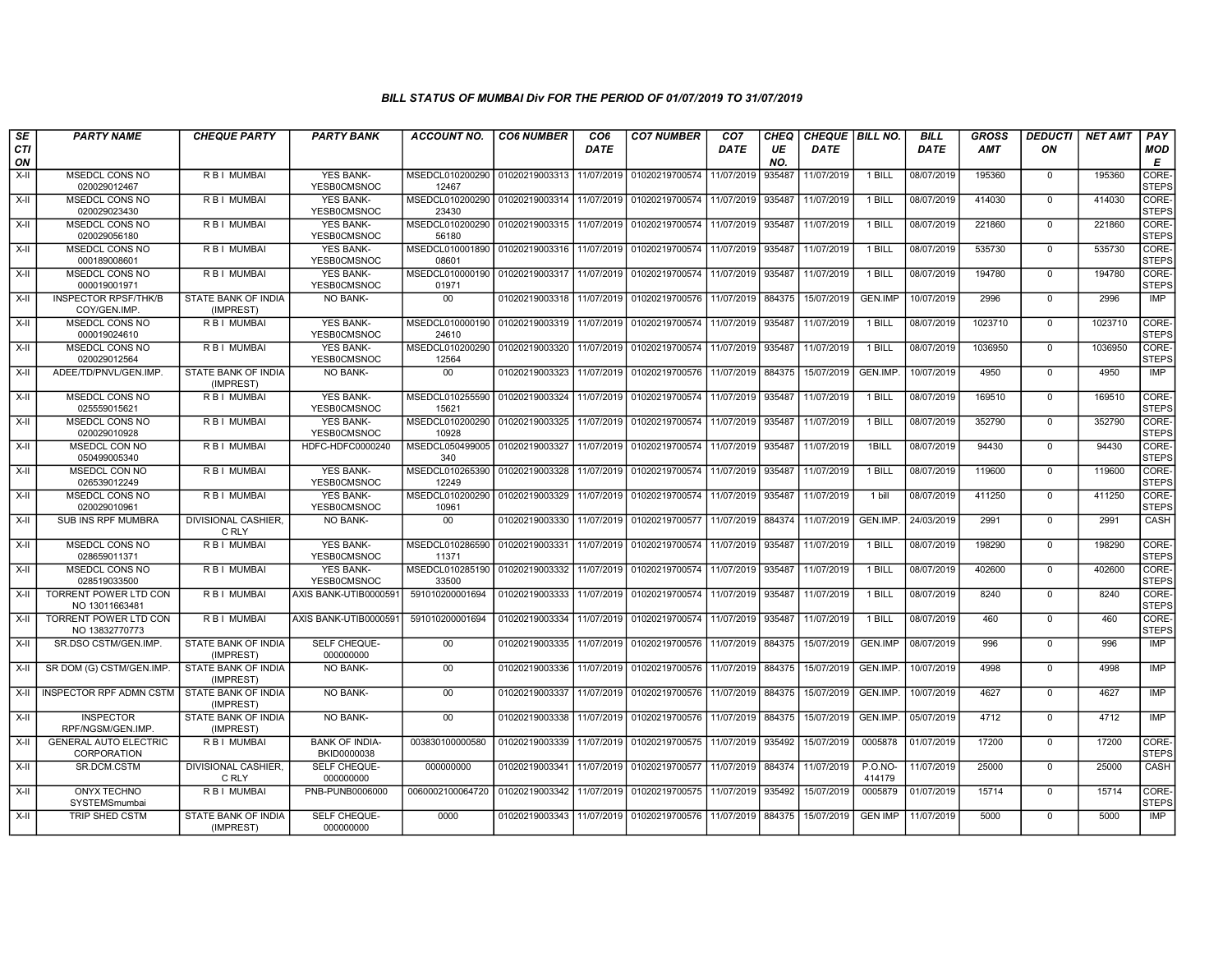| SE        | <b>PARTY NAME</b>                              | <b>CHEQUE PARTY</b>                 | <b>PARTY BANK</b>                      | ACCOUNT NO.                                        | <b>CO6 NUMBER</b>         | CO <sub>6</sub> | <b>CO7 NUMBER</b>                            | CO <sub>7</sub> | CHEQ      | <b>CHEQUE   BILL NO.</b> |                          | <b>BILL</b> | <b>GROSS</b> | <b>DEDUCTI</b> | NET AMT | <b>PAY</b>            |
|-----------|------------------------------------------------|-------------------------------------|----------------------------------------|----------------------------------------------------|---------------------------|-----------------|----------------------------------------------|-----------------|-----------|--------------------------|--------------------------|-------------|--------------|----------------|---------|-----------------------|
| CTI<br>ON |                                                |                                     |                                        |                                                    |                           | <b>DATE</b>     |                                              | DATE            | UE<br>NO. | <b>DATE</b>              |                          | <b>DATE</b> | <b>AMT</b>   | ON             |         | <b>MOD</b><br>E       |
| $X-H$     | <b>MSEDCL CONS NO</b><br>020029012467          | R B I MUMBAI                        | <b>YES BANK-</b><br>YESB0CMSNOC        | MSEDCL010200290 01020219003313 11/07/2019<br>12467 |                           |                 | 01020219700574                               | 11/07/2019      | 935487    | 11/07/2019               | 1 BILL                   | 08/07/2019  | 195360       | $\mathbf 0$    | 195360  | CORE-<br><b>STEPS</b> |
| X-II      | MSEDCL CONS NO<br>020029023430                 | R B I MUMBAI                        | <b>YES BANK-</b><br>YESB0CMSNOC        | MSEDCL010200290 01020219003314<br>23430            |                           | 11/07/2019      | 01020219700574                               | 11/07/2019      | 935487    | 11/07/2019               | 1 BILL                   | 08/07/2019  | 414030       | $\mathbf 0$    | 414030  | CORE-<br><b>STEPS</b> |
| $X-II$    | MSEDCL CONS NO<br>020029056180                 | R B I MUMBAI                        | <b>YES BANK-</b><br>YESB0CMSNOC        | MSEDCL010200290<br>56180                           | 01020219003315            | 11/07/2019      | 01020219700574                               | 11/07/2019      | 935487    | 11/07/2019               | 1 BILL                   | 08/07/2019  | 221860       | $\mathbf 0$    | 221860  | CORE-<br><b>STEPS</b> |
| X-II      | MSEDCL CONS NO<br>000189008601                 | R B I MUMBAI                        | <b>YES BANK-</b><br>YESB0CMSNOC        | MSEDCL010001890<br>08601                           | 01020219003316            | 11/07/2019      | 01020219700574                               | 11/07/2019      | 935487    | 11/07/2019               | 1 BILL                   | 08/07/2019  | 535730       | $\mathbf 0$    | 535730  | CORE-<br><b>STEPS</b> |
| $X-II$    | <b>MSEDCL CONS NO</b><br>000019001971          | R B I MUMBAI                        | <b>YES BANK-</b><br>YESB0CMSNOC        | MSEDCL010000190 01020219003317<br>01971            |                           | 11/07/2019      | 01020219700574 11/07/2019                    |                 | 935487    | 11/07/2019               | 1 BILL                   | 08/07/2019  | 194780       | $\overline{0}$ | 194780  | CORE-<br><b>STEPS</b> |
| $X-H$     | <b>INSPECTOR RPSF/THK/B</b><br>COY/GEN.IMP.    | STATE BANK OF INDIA<br>(IMPREST)    | <b>NO BANK-</b>                        | 00                                                 | 01020219003318 11/07/2019 |                 | 01020219700576   11/07/2019                  |                 | 884375    | 15/07/2019               | <b>GEN.IMP</b>           | 10/07/2019  | 2996         | $\mathbf 0$    | 2996    | IMP                   |
| X-II      | MSEDCL CONS NO<br>000019024610                 | R B I MUMBAI                        | <b>YES BANK-</b><br>YESB0CMSNOC        | MSEDCL010000190<br>24610                           | 01020219003319            | 11/07/2019      | 01020219700574                               | 11/07/2019      | 935487    | 11/07/2019               | 1 BILL                   | 08/07/2019  | 1023710      | $\mathbf 0$    | 1023710 | CORE-<br><b>STEPS</b> |
| X-II      | <b>MSEDCL CONS NO</b><br>020029012564          | <b>RBI MUMBAI</b>                   | <b>YES BANK-</b><br>YESB0CMSNOC        | MSEDCL010200290<br>12564                           | 01020219003320            | 11/07/2019      | 01020219700574                               | 11/07/2019      | 935487    | 11/07/2019               | 1 BILL                   | 08/07/2019  | 1036950      | $\mathbf 0$    | 1036950 | CORE-<br><b>STEPS</b> |
| X-II      | ADEE/TD/PNVL/GEN.IMP.                          | STATE BANK OF INDIA<br>(IMPREST)    | <b>NO BANK-</b>                        | 00                                                 | 01020219003323            | 11/07/2019      | 01020219700576 11/07/2019                    |                 | 884375    | 15/07/2019               | GEN.IMP                  | 10/07/2019  | 4950         | $\overline{0}$ | 4950    | IMP                   |
| $X-H$     | <b>MSEDCL CONS NO</b><br>025559015621          | R B I MUMBAI                        | YES BANK-<br>YESB0CMSNOC               | MSEDCL010255590<br>15621                           | 01020219003324            | 11/07/2019      | 01020219700574 11/07/2019                    |                 | 935487    | 11/07/2019               | 1 BILL                   | 08/07/2019  | 169510       | $\mathbf 0$    | 169510  | CORE-<br><b>STEPS</b> |
| X-II      | MSEDCL CONS NO<br>020029010928                 | R B I MUMBAI                        | <b>YES BANK-</b><br><b>YESB0CMSNOC</b> | MSEDCL010200290<br>10928                           | 01020219003325            | 11/07/2019      | 01020219700574                               | 11/07/2019      | 935487    | 11/07/2019               | 1 BILL                   | 08/07/2019  | 352790       | $\Omega$       | 352790  | CORE-<br><b>STEPS</b> |
| X-II      | MSEDCL CON NO<br>050499005340                  | R B I MUMBAI                        | HDFC-HDFC0000240                       | MSEDCL050499005<br>340                             | 01020219003327            | 11/07/2019      | 01020219700574                               | 11/07/2019      | 935487    | 11/07/2019               | 1BILL                    | 08/07/2019  | 94430        | $\mathbf 0$    | 94430   | CORE-<br><b>STEPS</b> |
| $X-H$     | MSEDCL CON NO<br>026539012249                  | <b>RBI MUMBAI</b>                   | <b>YES BANK-</b><br>YESB0CMSNOC        | MSEDCL010265390<br>12249                           | 01020219003328            | 11/07/2019      | 01020219700574 11/07/2019                    |                 | 935487    | 11/07/2019               | $1$ BILL                 | 08/07/2019  | 119600       | $\Omega$       | 119600  | CORE-<br><b>STEPS</b> |
| X-II      | MSEDCL CONS NO<br>020029010961                 | R B I MUMBAI                        | <b>YES BANK-</b><br>YESB0CMSNOC        | MSEDCL010200290   01020219003329<br>10961          |                           | 11/07/2019      | 01020219700574 11/07/2019                    |                 | 935487    | 11/07/2019               | 1 bill                   | 08/07/2019  | 411250       | $\mathbf 0$    | 411250  | CORE-<br><b>STEPS</b> |
| $X-II$    | <b>SUB INS RPF MUMBRA</b>                      | <b>DIVISIONAL CASHIER.</b><br>C RLY | <b>NO BANK-</b>                        | 00                                                 | 01020219003330            | 11/07/2019      | 01020219700577                               | 11/07/2019      | 884374    | 11/07/2019               | GEN.IMP.                 | 24/03/2019  | 2991         | $\Omega$       | 2991    | CASH                  |
| X-II      | MSEDCL CONS NO<br>028659011371                 | R B I MUMBAI                        | YES BANK-<br>YESB0CMSNOC               | MSEDCL010286590<br>11371                           | 01020219003331            | 11/07/2019      | 01020219700574                               | 11/07/2019      | 935487    | 11/07/2019               | 1 BILL                   | 08/07/2019  | 198290       | $\Omega$       | 198290  | CORE-<br><b>STEPS</b> |
| $X-H$     | MSEDCL CONS NO<br>028519033500                 | R B   MUMBAI                        | <b>YES BANK-</b><br>YESB0CMSNOC        | MSEDCL010285190 01020219003332<br>33500            |                           | 11/07/2019      | 01020219700574                               | 11/07/2019      | 935487    | 11/07/2019               | 1 BILL                   | 08/07/2019  | 402600       | $\mathbf 0$    | 402600  | CORE-<br><b>STEPS</b> |
| X-II      | TORRENT POWER LTD CON<br>NO 13011663481        | R B I MUMBAI                        | AXIS BANK-UTIB0000591                  | 591010200001694                                    | 01020219003333            | 11/07/2019      | 01020219700574                               | 11/07/2019      | 935487    | 11/07/2019               | 1 BILL                   | 08/07/2019  | 8240         | $\mathbf 0$    | 8240    | CORE-<br><b>STEPS</b> |
| $X-II$    | <b>TORRENT POWER LTD CON</b><br>NO 13832770773 | R B I MUMBAI                        | AXIS BANK-UTIB0000591                  | 591010200001694                                    | 01020219003334            | 11/07/2019      | 01020219700574                               | 11/07/2019      | 935487    | 11/07/2019               | 1 BILL                   | 08/07/2019  | 460          | $\mathbf 0$    | 460     | CORE-<br><b>STEPS</b> |
| X-II      | SR.DSO CSTM/GEN.IMP.                           | STATE BANK OF INDIA<br>(IMPREST)    | SELF CHEQUE-<br>000000000              | $00\,$                                             | 01020219003335            | 11/07/2019      | 01020219700576                               | 11/07/2019      | 884375    | 15/07/2019               | GEN.IMP                  | 08/07/2019  | 996          | $\mathbf 0$    | 996     | <b>IMP</b>            |
| X-II      | SR DOM (G) CSTM/GEN.IMP.                       | STATE BANK OF INDIA<br>(IMPREST)    | <b>NO BANK-</b>                        | 00                                                 | 01020219003336            | 11/07/2019      | 01020219700576 11/07/2019                    |                 | 884375    | 15/07/2019               | GEN.IMP.                 | 10/07/2019  | 4998         | $\mathbf 0$    | 4998    | <b>IMP</b>            |
|           | X-II I INSPECTOR RPF ADMN CSTM                 | STATE BANK OF INDIA<br>(IMPREST)    | NO BANK-                               | $00\,$                                             | 01020219003337            | 11/07/2019      | 01020219700576                               | 11/07/2019      | 884375    | 15/07/2019               | GEN.IMP.                 | 10/07/2019  | 4627         | $\mathbf 0$    | 4627    | IMP                   |
| X-II      | <b>INSPECTOR</b><br>RPF/NGSM/GEN.IMP.          | STATE BANK OF INDIA<br>(IMPREST)    | NO BANK-                               | 00                                                 | 01020219003338            | 11/07/2019      | 01020219700576 11/07/2019                    |                 | 884375    | 15/07/2019               | GEN.IMP.                 | 05/07/2019  | 4712         | $\mathbf 0$    | 4712    | <b>IMP</b>            |
| X-II      | <b>GENERAL AUTO ELECTRIC</b><br>CORPORATION    | R B I MUMBAI                        | <b>BANK OF INDIA-</b><br>BKID0000038   | 003830100000580                                    | 01020219003339            | 11/07/2019      | 01020219700575                               | 11/07/2019      | 935492    | 15/07/2019               | 0005878                  | 01/07/2019  | 17200        | $\mathbf 0$    | 17200   | CORE-<br><b>STEPS</b> |
| X-II      | SR.DCM.CSTM                                    | DIVISIONAL CASHIER,<br>C RLY        | SELF CHEQUE-<br>000000000              | 000000000                                          | 01020219003341            | 11/07/2019      | 01020219700577                               | 11/07/2019      | 884374    | 11/07/2019               | <b>P.O.NO-</b><br>414179 | 11/07/2019  | 25000        | $\Omega$       | 25000   | CASH                  |
| X-II      | <b>ONYX TECHNO</b><br>SYSTEMSmumbai            | R B I MUMBAI                        | PNB-PUNB0006000                        | 0060002100064720                                   | 01020219003342            | 11/07/2019      | 01020219700575                               | 11/07/2019      | 935492    | 15/07/2019               | 0005879                  | 01/07/2019  | 15714        | $\mathbf 0$    | 15714   | CORE-<br><b>STEPS</b> |
| X-II      | TRIP SHED CSTM                                 | STATE BANK OF INDIA<br>(IMPREST)    | SELF CHEQUE-<br>000000000              | 0000                                               | 01020219003343 11/07/2019 |                 | 01020219700576 111/07/2019 884375 15/07/2019 |                 |           |                          | <b>GEN IMP</b>           | 11/07/2019  | 5000         | $\Omega$       | 5000    | IMP                   |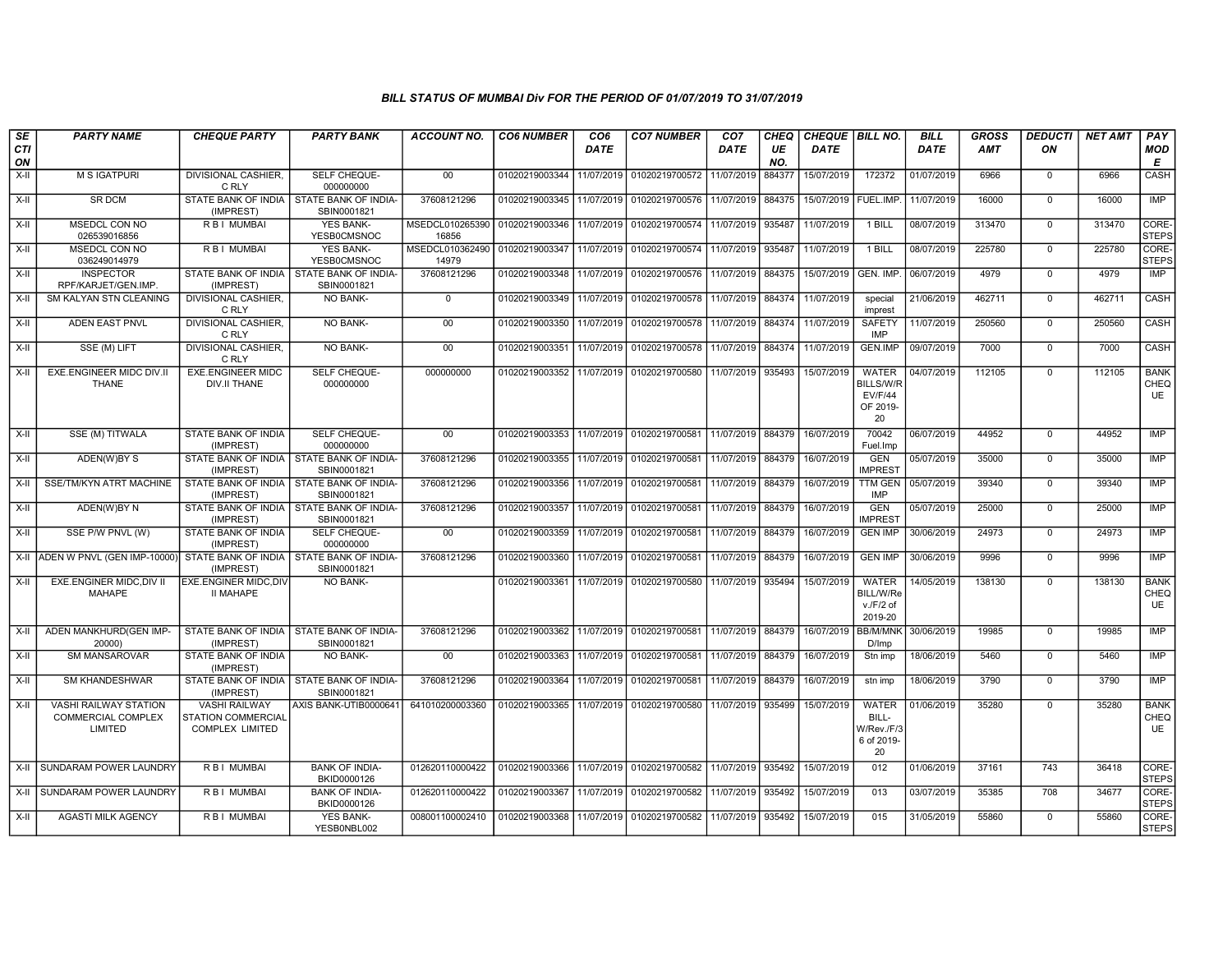| SE        | <b>PARTY NAME</b>                                             | <b>CHEQUE PARTY</b>                                                  | <b>PARTY BANK</b>                                         | <b>ACCOUNT NO.</b>       | <b>CO6 NUMBER</b>                        | CO <sub>6</sub> | <b>CO7 NUMBER</b>                        | CO <sub>7</sub> | CHEQ      | CHEQUE   BILL NO.      |                                                                      | <b>BILL</b> | <b>GROSS</b> | <b>DEDUCTI</b> | <b>NET AMT</b> | <b>PAY</b>                       |
|-----------|---------------------------------------------------------------|----------------------------------------------------------------------|-----------------------------------------------------------|--------------------------|------------------------------------------|-----------------|------------------------------------------|-----------------|-----------|------------------------|----------------------------------------------------------------------|-------------|--------------|----------------|----------------|----------------------------------|
| CTI<br>ON |                                                               |                                                                      |                                                           |                          |                                          | <b>DATE</b>     |                                          | <b>DATE</b>     | UE<br>NO. | <b>DATE</b>            |                                                                      | <b>DATE</b> | <b>AMT</b>   | ON             |                | MOD<br>E                         |
| $X-H$     | <b>M S IGATPURI</b>                                           | <b>DIVISIONAL CASHIER,</b><br>C RLY                                  | SELF CHEQUE-<br>000000000                                 | 00                       | 01020219003344                           | 11/07/2019      | 01020219700572                           | 11/07/2019      | 884377    | 15/07/2019             | 172372                                                               | 01/07/2019  | 6966         | $\mathbf 0$    | 6966           | CASH                             |
| $X-H$     | <b>SR DCM</b>                                                 | (IMPREST)                                                            | STATE BANK OF INDIA I STATE BANK OF INDIA-<br>SBIN0001821 | 37608121296              | 01020219003345 11/07/2019                |                 | 01020219700576                           | 11/07/2019      | 884375    | 15/07/2019   FUEL.IMP. |                                                                      | 11/07/2019  | 16000        | $\overline{0}$ | 16000          | IMP                              |
| X-II      | MSEDCL CON NO<br>026539016856                                 | <b>RBI MUMBAI</b>                                                    | <b>YES BANK-</b><br>YESB0CMSNOC                           | MSEDCL010265390<br>16856 | 01020219003346 11/07/2019 01020219700574 |                 |                                          | 11/07/2019      | 935487    | 11/07/2019             | 1 BILL                                                               | 08/07/2019  | 313470       | $\mathbf 0$    | 313470         | CORE-<br><b>STEPS</b>            |
| $X-H$     | MSEDCL CON NO<br>036249014979                                 | R B I MUMBAI                                                         | <b>YES BANK-</b><br>YESB0CMSNOC                           | MSEDCL010362490<br>14979 | 01020219003347 11/07/2019                |                 | 01020219700574                           | 11/07/2019      | 935487    | 11/07/2019             | 1 BILL                                                               | 08/07/2019  | 225780       | $\overline{0}$ | 225780         | CORE-<br><b>STEPS</b>            |
| $X-H$     | <b>INSPECTOR</b><br>RPF/KARJET/GEN.IMP.                       | (IMPREST)                                                            | STATE BANK OF INDIA   STATE BANK OF INDIA-<br>SBIN0001821 | 37608121296              | 01020219003348                           | 11/07/2019      | 01020219700576                           | 11/07/2019      | 884375    | 15/07/2019             | GEN. IMP.                                                            | 06/07/2019  | 4979         | $\overline{0}$ | 4979           | IMP                              |
| $X-H$     | <b>SM KALYAN STN CLEANING</b>                                 | <b>DIVISIONAL CASHIER.</b><br>C RLY                                  | NO BANK-                                                  | $\overline{0}$           |                                          |                 | 01020219003349 11/07/2019 01020219700578 | 11/07/2019      | 884374    | 11/07/2019             | special<br>imprest                                                   | 21/06/2019  | 462711       | $\mathbf 0$    | 462711         | <b>CASH</b>                      |
| $X-H$     | ADEN EAST PNVL                                                | DIVISIONAL CASHIER,<br>C RLY                                         | NO BANK-                                                  | 00                       | 01020219003350                           | 11/07/2019      | 01020219700578                           | 11/07/2019      | 884374    | 11/07/2019             | SAFETY<br><b>IMP</b>                                                 | 11/07/2019  | 250560       | $\mathbf 0$    | 250560         | CASH                             |
| $X-II$    | SSE (M) LIFT                                                  | DIVISIONAL CASHIER.<br>C RLY                                         | <b>NO BANK-</b>                                           | 00                       | 01020219003351                           | 11/07/2019      | 01020219700578                           | 11/07/2019      | 884374    | 11/07/2019             | GEN.IMP                                                              | 09/07/2019  | 7000         | $\mathbf 0$    | 7000           | <b>CASH</b>                      |
| X-II      | EXE.ENGINEER MIDC DIV.II<br><b>THANE</b>                      | <b>EXE.ENGINEER MIDC</b><br><b>DIV.II THANE</b>                      | SELF CHEQUE-<br>000000000                                 | 000000000                | 01020219003352                           | 11/07/2019      | 01020219700580                           | 11/07/2019      | 935493    | 15/07/2019             | <b>WATER</b><br><b>BILLS/W/R</b><br><b>EV/F/44</b><br>OF 2019-<br>20 | 04/07/2019  | 112105       | $\mathbf 0$    | 112105         | <b>BANK</b><br>CHEQ<br><b>UE</b> |
| $X-H$     | SSE (M) TITWALA                                               | STATE BANK OF INDIA<br>(IMPREST)                                     | <b>SELF CHEQUE-</b><br>000000000                          | 00                       | 01020219003353 11/07/2019 01020219700581 |                 |                                          | 11/07/2019      | 884379    | 16/07/2019             | 70042<br>Fuel.Imp                                                    | 06/07/2019  | 44952        | $\overline{0}$ | 44952          | IMP                              |
| $X-H$     | ADEN(W)BY S                                                   | (IMPREST)                                                            | STATE BANK OF INDIA   STATE BANK OF INDIA-<br>SBIN0001821 | 37608121296              | 01020219003355 11/07/2019 01020219700581 |                 |                                          | 11/07/2019      | 884379    | 16/07/2019             | <b>GEN</b><br><b>IMPREST</b>                                         | 05/07/2019  | 35000        | $\mathbf 0$    | 35000          | <b>IMP</b>                       |
| X-II      | SSE/TM/KYN ATRT MACHINE                                       | STATE BANK OF INDIA   STATE BANK OF INDIA-<br>(IMPREST)              | SBIN0001821                                               | 37608121296              | 01020219003356                           | 11/07/2019      | 01020219700581                           | 11/07/2019      | 884379    | 16/07/2019             | <b>TTM GEN</b><br>IMP                                                | 05/07/2019  | 39340        | $\mathbf 0$    | 39340          | <b>IMP</b>                       |
| X-II      | ADEN(W)BY N                                                   | (IMPREST)                                                            | STATE BANK OF INDIA   STATE BANK OF INDIA-<br>SBIN0001821 | 37608121296              | 01020219003357                           | 11/07/2019      | 01020219700581                           | 11/07/2019      | 884379    | 16/07/2019             | <b>GEN</b><br><b>IMPREST</b>                                         | 05/07/2019  | 25000        | $\mathbf 0$    | 25000          | <b>IMP</b>                       |
| X-II      | SSE P/W PNVL (W)                                              | STATE BANK OF INDIA<br>(IMPREST)                                     | SELF CHEQUE-<br>000000000                                 | 00                       | 01020219003359                           | 11/07/2019      | 01020219700581                           | 11/07/2019      | 884379    | 16/07/2019             | <b>GEN IMP</b>                                                       | 30/06/2019  | 24973        | $\mathbf 0$    | 24973          | <b>IMP</b>                       |
| $X-H$     | ADEN W PNVL (GEN IMP-10000)                                   | STATE BANK OF INDIA I STATE BANK OF INDIA-<br>(IMPREST)              | SBIN0001821                                               | 37608121296              | 01020219003360                           | 11/07/2019      | 01020219700581                           | 11/07/2019      | 884379    | 16/07/2019             | <b>GEN IMP</b>                                                       | 30/06/2019  | 9996         | $\overline{0}$ | 9996           | IMP                              |
| X-II      | <b>EXE.ENGINER MIDC, DIV II</b><br><b>MAHAPE</b>              | <b>EXE.ENGINER MIDC.DIV</b><br><b>II MAHAPE</b>                      | NO BANK-                                                  |                          | 01020219003361                           |                 | 11/07/2019 01020219700580                | 11/07/2019      | 935494    | 15/07/2019             | WATER<br>BILL/W/Re<br>$v$ ./F/2 of<br>2019-20                        | 14/05/2019  | 138130       | $\mathbf{0}$   | 138130         | <b>BANK</b><br>CHEQ<br><b>UE</b> |
| $X-H$     | ADEN MANKHURD(GEN IMP-<br>20000)                              | (IMPREST)                                                            | STATE BANK OF INDIA STATE BANK OF INDIA-<br>SBIN0001821   | 37608121296              | 01020219003362                           |                 | 11/07/2019 01020219700581                | 11/07/2019      | 884379    | 16/07/2019             | <b>BB/M/MNK</b><br>D/Imp                                             | 30/06/2019  | 19985        | $\overline{0}$ | 19985          | <b>IMP</b>                       |
| X-II      | <b>SM MANSAROVAR</b>                                          | STATE BANK OF INDIA<br>(IMPREST)                                     | <b>NO BANK-</b>                                           | 00                       | 01020219003363                           | 11/07/2019      | 01020219700581                           | 11/07/2019      | 884379    | 16/07/2019             | Stn imp                                                              | 18/06/2019  | 5460         | $\mathbf 0$    | 5460           | <b>IMP</b>                       |
| $X-II$    | <b>SM KHANDESHWAR</b>                                         | (IMPREST)                                                            | STATE BANK OF INDIA   STATE BANK OF INDIA-<br>SBIN0001821 | 37608121296              | 01020219003364                           | 11/07/2019      | 01020219700581                           | 11/07/2019      | 884379    | 16/07/2019             | stn imp                                                              | 18/06/2019  | 3790         | $\mathsf 0$    | 3790           | <b>IMP</b>                       |
| $X-II$    | <b>VASHI RAILWAY STATION</b><br>COMMERCIAL COMPLEX<br>LIMITED | <b>VASHI RAILWAY</b><br>STATION COMMERCIAL<br><b>COMPLEX LIMITED</b> | AXIS BANK-UTIB0000641                                     | 641010200003360          | 01020219003365 11/07/2019 01020219700580 |                 |                                          | 11/07/2019      | 935499    | 15/07/2019             | <b>WATER</b><br>BILL-<br>W/Rev./F/3<br>6 of 2019-<br>20              | 01/06/2019  | 35280        | $\mathbf{0}$   | 35280          | <b>BANK</b><br>CHEQ<br><b>UE</b> |
| $X-H$     | SUNDARAM POWER LAUNDRY                                        | R B I MUMBAI                                                         | <b>BANK OF INDIA-</b><br>BKID0000126                      | 012620110000422          | 01020219003366                           |                 | 11/07/2019 01020219700582 11/07/2019     |                 | 935492    | 15/07/2019             | 012                                                                  | 01/06/2019  | 37161        | 743            | 36418          | CORE-<br><b>STEPS</b>            |
| $X-H$     | SUNDARAM POWER LAUNDRY                                        | <b>RBI MUMBAI</b>                                                    | <b>BANK OF INDIA-</b><br>BKID0000126                      | 012620110000422          | 01020219003367                           |                 | 11/07/2019 01020219700582                | 11/07/2019      | 935492    | 15/07/2019             | 013                                                                  | 03/07/2019  | 35385        | 708            | 34677          | CORE-<br><b>STEPS</b>            |
| $X-H$     | <b>AGASTI MILK AGENCY</b>                                     | <b>RBI MUMBAL</b>                                                    | <b>YES BANK-</b><br>YESB0NBL002                           | 008001100002410          | 01020219003368                           |                 | 11/07/2019 01020219700582                | 11/07/2019      | 935492    | 15/07/2019             | 015                                                                  | 31/05/2019  | 55860        | $\mathbf 0$    | 55860          | CORE-<br><b>STEPS</b>            |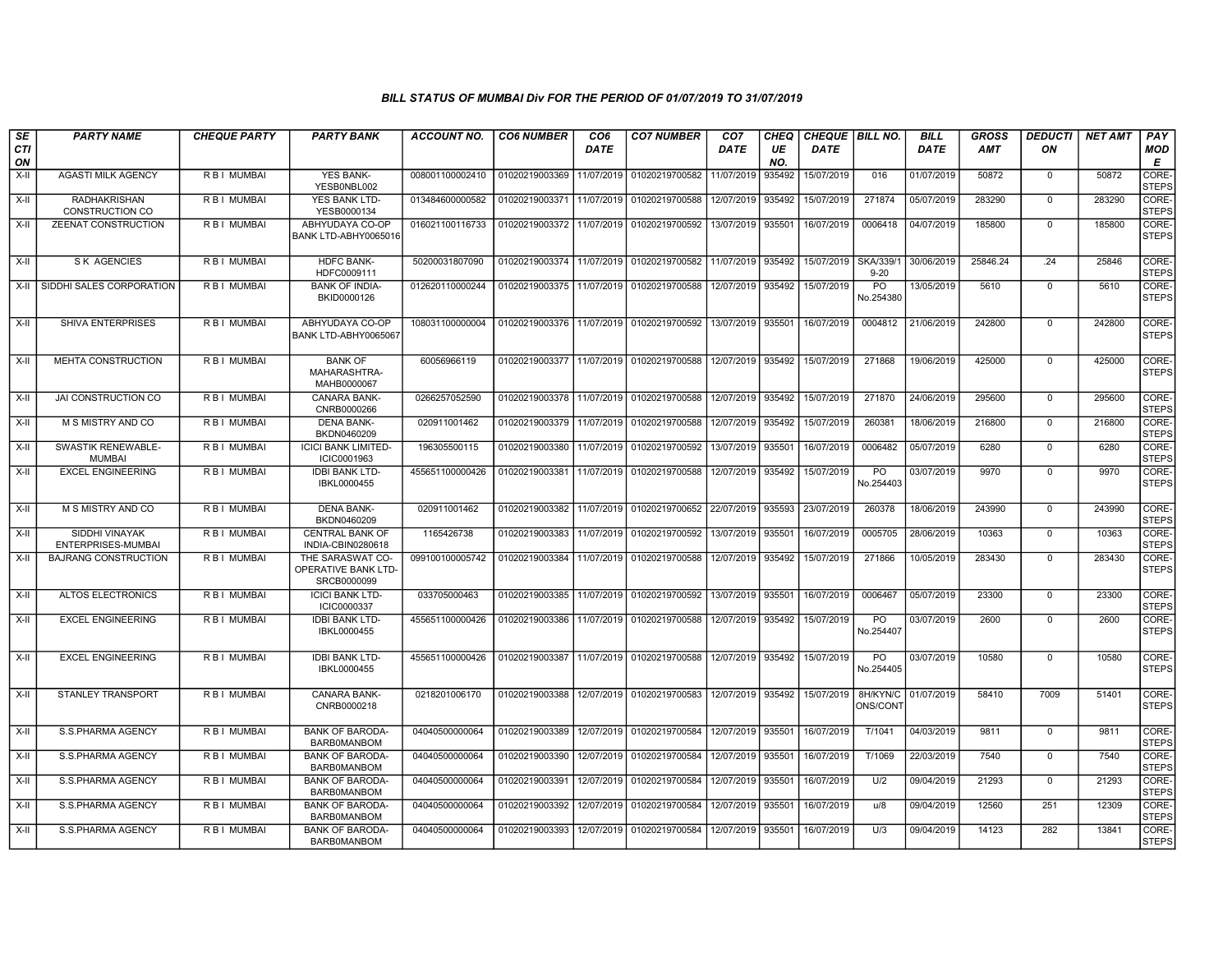| SE        | <b>PARTY NAME</b>                          | <b>CHEQUE PARTY</b> | <b>PARTY BANK</b>                                      | ACCOUNT NO.     | <b>CO6 NUMBER</b>                        | CO6         | <b>CO7 NUMBER</b>                        | CO7         | CHEQ      | <b>CHEQUE   BILL NO.</b> |                              | BILL        | GROSS      | <i><b>DEDUCTI</b></i> | NET AMT | <b>PAY</b>            |
|-----------|--------------------------------------------|---------------------|--------------------------------------------------------|-----------------|------------------------------------------|-------------|------------------------------------------|-------------|-----------|--------------------------|------------------------------|-------------|------------|-----------------------|---------|-----------------------|
| CTI<br>ON |                                            |                     |                                                        |                 |                                          | <b>DATE</b> |                                          | <b>DATE</b> | UE<br>NO. | <b>DATE</b>              |                              | <b>DATE</b> | <b>AMT</b> | ON                    |         | MOD<br>E              |
| X-II      | <b>AGASTI MILK AGENCY</b>                  | R B I MUMBAI        | <b>YES BANK-</b><br>YESB0NBL002                        | 008001100002410 | 01020219003369                           | 11/07/2019  | 01020219700582                           | 11/07/2019  | 935492    | 15/07/2019               | 016                          | 01/07/2019  | 50872      | $\mathbf 0$           | 50872   | CORE-<br><b>STEPS</b> |
| X-II      | <b>RADHAKRISHAN</b><br>CONSTRUCTION CO     | R B I MUMBAI        | YES BANK LTD-<br>YESB0000134                           | 013484600000582 | 01020219003371                           | 11/07/2019  | 01020219700588                           | 12/07/2019  | 935492    | 15/07/2019               | 271874                       | 05/07/2019  | 283290     | $\mathbf 0$           | 283290  | CORE-<br><b>STEPS</b> |
| X-II      | ZEENAT CONSTRUCTION                        | R B I MUMBAI        | ABHYUDAYA CO-OP<br>BANK LTD-ABHY0065016                | 016021100116733 | 01020219003372                           | 11/07/2019  | 01020219700592                           | 13/07/2019  | 935501    | 16/07/2019               | 0006418                      | 04/07/2019  | 185800     | $\mathbf{0}$          | 185800  | CORE-<br><b>STEPS</b> |
| X-II      | <b>SK AGENCIES</b>                         | <b>RBI MUMBAI</b>   | <b>HDFC BANK-</b><br>HDFC0009111                       | 50200031807090  |                                          |             | 01020219003374 11/07/2019 01020219700582 | 11/07/2019  | 935492    | 15/07/2019               | SKA/339/1<br>$9 - 20$        | 30/06/2019  | 25846.24   | .24                   | 25846   | CORE-<br><b>STEPS</b> |
| $X-H$     | SIDDHI SALES CORPORATION                   | R B I MUMBAI        | <b>BANK OF INDIA-</b><br>BKID0000126                   | 012620110000244 | 01020219003375                           | 11/07/2019  | 01020219700588                           | 12/07/2019  | 935492    | 15/07/2019               | PO<br>No.254380              | 13/05/2019  | 5610       | $\Omega$              | 5610    | CORE-<br><b>STEPS</b> |
| X-II      | SHIVA ENTERPRISES                          | R B I MUMBAI        | ABHYUDAYA CO-OP<br>BANK LTD-ABHY0065067                | 108031100000004 | 01020219003376 11/07/2019 01020219700592 |             |                                          | 13/07/2019  | 935501    | 16/07/2019               | 0004812                      | 21/06/2019  | 242800     | $\mathbf{0}$          | 242800  | CORE-<br><b>STEPS</b> |
| $X-II$    | <b>MEHTA CONSTRUCTION</b>                  | R B I MUMBAI        | <b>BANK OF</b><br>MAHARASHTRA-<br>MAHB0000067          | 60056966119     | 01020219003377                           |             | 11/07/2019 01020219700588                | 12/07/2019  | 935492    | 15/07/2019               | 271868                       | 19/06/2019  | 425000     | $\mathbf{0}$          | 425000  | CORE-<br><b>STEPS</b> |
| X-II      | JAI CONSTRUCTION CO                        | R B I MUMBAI        | CANARA BANK-<br>CNRB0000266                            | 0266257052590   | 01020219003378                           | 11/07/2019  | 01020219700588                           | 12/07/2019  | 935492    | 15/07/2019               | 271870                       | 24/06/2019  | 295600     | $\mathbf 0$           | 295600  | CORE-<br><b>STEPS</b> |
| $X-II$    | M S MISTRY AND CO                          | R B I MUMBAI        | <b>DENA BANK-</b><br>BKDN0460209                       | 020911001462    | 01020219003379 11/07/2019                |             | 01020219700588                           | 12/07/2019  | 935492    | 15/07/2019               | 260381                       | 18/06/2019  | 216800     | $\mathbf{0}$          | 216800  | CORE-<br><b>STEPS</b> |
| X-II      | <b>SWASTIK RENEWABLE-</b><br><b>MUMBAI</b> | R B I MUMBAI        | <b>ICICI BANK LIMITED-</b><br>ICIC0001963              | 196305500115    | 01020219003380                           | 11/07/2019  | 01020219700592                           | 13/07/2019  | 935501    | 16/07/2019               | 0006482                      | 05/07/2019  | 6280       | $\Omega$              | 6280    | CORE-<br><b>STEPS</b> |
| $X-H$     | <b>EXCEL ENGINEERING</b>                   | <b>RBI MUMBAI</b>   | <b>IDBI BANK LTD-</b><br>IBKL0000455                   | 455651100000426 | 01020219003381                           | 11/07/2019  | 01020219700588                           | 12/07/2019  | 935492    | 15/07/2019               | $\overline{PQ}$<br>No.254403 | 03/07/2019  | 9970       | $\mathbf 0$           | 9970    | CORE-<br><b>STEPS</b> |
| $X-H$     | <b>M S MISTRY AND CO</b>                   | <b>RBI MUMBAI</b>   | <b>DENA BANK-</b><br>BKDN0460209                       | 020911001462    | 01020219003382                           | 11/07/2019  | 01020219700652                           | 22/07/2019  | 935593    | 23/07/2019               | 260378                       | 18/06/2019  | 243990     | $\mathbf 0$           | 243990  | CORE-<br><b>STEPS</b> |
| X-II      | SIDDHI VINAYAK<br>ENTERPRISES-MUMBAI       | R B I MUMBAI        | <b>CENTRAL BANK OF</b><br>INDIA-CBIN0280618            | 1165426738      | 01020219003383                           | 11/07/2019  | 01020219700592                           | 13/07/2019  | 935501    | 16/07/2019               | 0005705                      | 28/06/2019  | 10363      | $\mathbf{0}$          | 10363   | CORE-<br><b>STEPS</b> |
| X-II      | <b>BAJRANG CONSTRUCTION</b>                | R B I MUMBAI        | THE SARASWAT CO-<br>OPERATIVE BANK LTD-<br>SRCB0000099 | 099100100005742 | 01020219003384                           | 11/07/2019  | 01020219700588                           | 12/07/2019  | 935492    | 15/07/2019               | 271866                       | 10/05/2019  | 283430     | $\mathbf 0$           | 283430  | CORE-<br><b>STEPS</b> |
| $X-H$     | <b>ALTOS ELECTRONICS</b>                   | R B I MUMBAI        | <b>ICICI BANK LTD-</b><br>ICIC0000337                  | 033705000463    | 01020219003385                           | 11/07/2019  | 01020219700592                           | 13/07/2019  | 935501    | 16/07/2019               | 0006467                      | 05/07/2019  | 23300      | $\mathbf 0$           | 23300   | CORE-<br><b>STEPS</b> |
| $X-H$     | <b>EXCEL ENGINEERING</b>                   | R B I MUMBAI        | <b>IDBI BANK LTD-</b><br>IBKL0000455                   | 455651100000426 | 01020219003386                           | 11/07/2019  | 01020219700588                           | 12/07/2019  | 935492    | 15/07/2019               | PO<br>No.254407              | 03/07/2019  | 2600       | $\Omega$              | 2600    | CORE-<br><b>STEPS</b> |
| X-II      | <b>EXCEL ENGINEERING</b>                   | R B I MUMBAI        | <b>IDBI BANK LTD-</b><br>IBKL0000455                   | 455651100000426 | 01020219003387                           |             | 11/07/2019 01020219700588                | 12/07/2019  | 935492    | 15/07/2019               | PO<br>No.254405              | 03/07/2019  | 10580      | $\Omega$              | 10580   | CORE-<br><b>STEPS</b> |
| $X-II$    | <b>STANLEY TRANSPORT</b>                   | R B I MUMBAI        | <b>CANARA BANK-</b><br>CNRB0000218                     | 0218201006170   | 01020219003388                           |             | 12/07/2019 01020219700583                | 12/07/2019  | 935492    | 15/07/2019               | 8H/KYN/C<br>ONS/CONT         | 01/07/2019  | 58410      | 7009                  | 51401   | CORE-<br><b>STEPS</b> |
| X-II      | S.S.PHARMA AGENCY                          | R B I MUMBAI        | <b>BANK OF BARODA-</b><br><b>BARBOMANBOM</b>           | 04040500000064  | 01020219003389                           | 12/07/2019  | 01020219700584                           | 12/07/2019  | 935501    | 16/07/2019               | T/1041                       | 04/03/2019  | 9811       | $\mathbf 0$           | 9811    | CORE-<br><b>STEPS</b> |
| $X-II$    | S.S.PHARMA AGENCY                          | R B I MUMBAI        | <b>BANK OF BARODA</b><br><b>BARB0MANBOM</b>            | 04040500000064  | 01020219003390                           | 12/07/2019  | 01020219700584                           | 12/07/2019  | 935501    | 16/07/2019               | T/1069                       | 22/03/2019  | 7540       | 0                     | 7540    | CORE-<br><b>STEPS</b> |
| X-II      | S.S.PHARMA AGENCY                          | R B I MUMBAI        | <b>BANK OF BARODA-</b><br><b>BARBOMANBOM</b>           | 04040500000064  | 01020219003391                           | 12/07/2019  | 01020219700584                           | 12/07/2019  | 935501    | 16/07/2019               | U/2                          | 09/04/2019  | 21293      | $\mathbf{0}$          | 21293   | CORE-<br><b>STEPS</b> |
| X-II      | S.S.PHARMA AGENCY                          | R B I MUMBAI        | <b>BANK OF BARODA-</b><br><b>BARB0MANBOM</b>           | 04040500000064  | 01020219003392                           | 12/07/2019  | 01020219700584                           | 12/07/2019  | 935501    | 16/07/2019               | u/8                          | 09/04/2019  | 12560      | 251                   | 12309   | CORE-<br><b>STEPS</b> |
| X-II      | S.S.PHARMA AGENCY                          | R B I MUMBAI        | <b>BANK OF BARODA-</b><br><b>BARBOMANBOM</b>           | 04040500000064  | 01020219003393                           | 12/07/2019  | 01020219700584                           | 12/07/2019  | 935501    | 16/07/2019               | U/3                          | 09/04/2019  | 14123      | 282                   | 13841   | CORE-<br><b>STEPS</b> |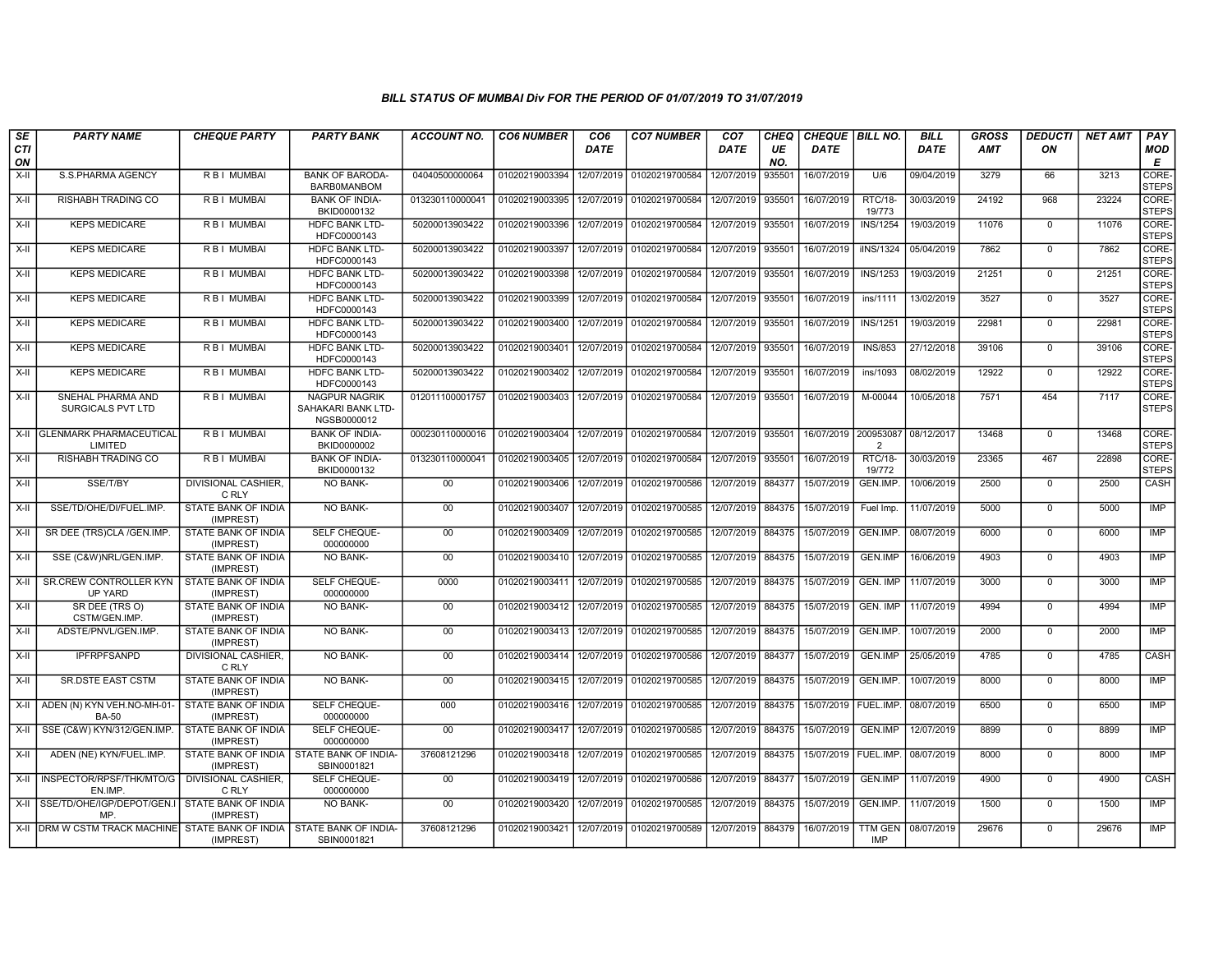| SE               | <b>PARTY NAME</b>                                                      | <b>CHEQUE PARTY</b>                                     | <b>PARTY BANK</b>                                         | ACCOUNT NO.                                                                          | <b>CO6 NUMBER</b>                            | CO6         | <b>CO7 NUMBER</b>                            | CO <sub>7</sub>   | <b>CHEQ</b> | <b>CHEQUE   BILL NO.</b> |                              | BILL        | <b>GROSS</b> | <b>DEDUCTI</b> | NET AMT | <b>PAY</b>            |
|------------------|------------------------------------------------------------------------|---------------------------------------------------------|-----------------------------------------------------------|--------------------------------------------------------------------------------------|----------------------------------------------|-------------|----------------------------------------------|-------------------|-------------|--------------------------|------------------------------|-------------|--------------|----------------|---------|-----------------------|
| <b>CTI</b><br>ON |                                                                        |                                                         |                                                           |                                                                                      |                                              | <b>DATE</b> |                                              | <b>DATE</b>       | UE<br>NO.   | <b>DATE</b>              |                              | <b>DATE</b> | <b>AMT</b>   | ON             |         | <b>MOD</b><br>Е       |
| $X-H$            | S.S.PHARMA AGENCY                                                      | <b>RBI MUMBAI</b>                                       | <b>BANK OF BARODA-</b><br>BARB0MANBOM                     | 04040500000064                                                                       | 01020219003394 12/07/2019 01020219700584     |             |                                              | 12/07/2019        | 935501      | 16/07/2019               | U/6                          | 09/04/2019  | 3279         | 66             | 3213    | CORE-<br><b>STEPS</b> |
| X-II             | RISHABH TRADING CO                                                     | R B I MUMBAI                                            | <b>BANK OF INDIA-</b><br>BKID0000132                      | 013230110000041                                                                      | 01020219003395                               | 12/07/2019  | 01020219700584                               | 12/07/2019        | 935501      | 16/07/2019               | <b>RTC/18-</b><br>19/773     | 30/03/2019  | 24192        | 968            | 23224   | CORE-<br><b>STEPS</b> |
| X-II             | <b>KEPS MEDICARE</b>                                                   | R B I MUMBAI                                            | <b>HDFC BANK LTD-</b><br>HDFC0000143                      | 50200013903422                                                                       | 01020219003396                               | 12/07/2019  | 01020219700584                               | 12/07/2019        | 935501      | 16/07/2019               | <b>INS/1254</b>              | 19/03/2019  | 11076        | $\mathbf 0$    | 11076   | CORE-<br><b>STEPS</b> |
| $X-II$           | <b>KEPS MEDICARE</b>                                                   | <b>RBI MUMBAI</b>                                       | <b>HDFC BANK LTD-</b><br>HDFC0000143                      | 50200013903422                                                                       | 01020219003397                               | 12/07/2019  | 01020219700584                               | 12/07/2019 935501 |             | 16/07/2019               | ilNS/1324                    | 05/04/2019  | 7862         | $\Omega$       | 7862    | CORE-<br><b>STEPS</b> |
| $X-H$            | <b>KEPS MEDICARE</b>                                                   | <b>RBI MUMBAI</b>                                       | <b>HDFC BANK LTD-</b><br>HDFC0000143                      | 50200013903422                                                                       | 01020219003398                               |             | 12/07/2019 01020219700584                    | 12/07/2019 935501 |             | 16/07/2019               | <b>INS/1253</b>              | 19/03/2019  | 21251        | $\Omega$       | 21251   | CORE-<br><b>STEPS</b> |
| $X-H$            | <b>KEPS MEDICARE</b>                                                   | <b>RBI MUMBAI</b>                                       | <b>HDFC BANK LTD-</b><br>HDFC0000143                      | 50200013903422                                                                       | 01020219003399 12/07/2019                    |             | 01020219700584                               | 12/07/2019        | 935501      | 16/07/2019               | ins/1111                     | 13/02/2019  | 3527         | $\overline{0}$ | 3527    | CORE-<br><b>STEPS</b> |
| X-II             | <b>KEPS MEDICARE</b>                                                   | R B I MUMBAI                                            | <b>HDFC BANK LTD</b><br>HDFC0000143                       | 50200013903422                                                                       | 01020219003400                               |             | 12/07/2019 01020219700584                    | 12/07/2019        | 935501      | 16/07/2019               | <b>INS/1251</b>              | 19/03/2019  | 22981        | $\mathbf 0$    | 22981   | CORE-<br><b>STEPS</b> |
| X-II             | <b>KEPS MEDICARE</b>                                                   | <b>RBI MUMBAI</b>                                       | <b>HDFC BANK LTD-</b><br>HDFC0000143                      | 50200013903422                                                                       | 01020219003401                               | 12/07/2019  | 01020219700584                               | 12/07/2019        | 935501      | 16/07/2019               | <b>INS/853</b>               | 27/12/2018  | 39106        | $\mathbf 0$    | 39106   | CORE-<br><b>STEPS</b> |
| $X-H$            | <b>KEPS MEDICARE</b>                                                   | <b>RBI MUMBAI</b>                                       | <b>HDFC BANK LTD-</b><br>HDFC0000143                      | 50200013903422                                                                       | 01020219003402                               | 12/07/2019  | 01020219700584                               | 12/07/2019        | 935501      | 16/07/2019               | ins/1093                     | 08/02/2019  | 12922        | $\mathbf 0$    | 12922   | CORE-<br><b>STEPS</b> |
| $X-H$            | SNEHAL PHARMA AND<br>SURGICALS PVT LTD                                 | <b>RBI MUMBAI</b>                                       | <b>NAGPUR NAGRIK</b><br>SAHAKARI BANK LTD-<br>NGSB0000012 | 012011100001757                                                                      | 01020219003403                               |             | 12/07/2019 01020219700584                    | 12/07/2019 935501 |             | 16/07/2019               | M-00044                      | 10/05/2018  | 7571         | 454            | 7117    | CORE-<br><b>STEPS</b> |
|                  | X-II I GLENMARK PHARMACEUTICAL<br>LIMITED                              | <b>RBI MUMBAI</b>                                       | <b>BANK OF INDIA-</b><br>BKID0000002                      | 000230110000016   01020219003404   12/07/2019   01020219700584   12/07/2019   935501 |                                              |             |                                              |                   |             | 16/07/2019 200953087     | $\overline{2}$               | 08/12/2017  | 13468        | $\mathbf 0$    | 13468   | CORE-<br><b>STEPS</b> |
| $X-H$            | <b>RISHABH TRADING CO</b>                                              | <b>RBI MUMBAL</b>                                       | <b>BANK OF INDIA-</b><br>BKID0000132                      | 013230110000041                                                                      | 01020219003405 12/07/2019                    |             | 01020219700584                               | 12/07/2019 935501 |             | 16/07/2019               | RTC/18-<br>19/772            | 30/03/2019  | 23365        | 467            | 22898   | CORE-<br><b>STEPS</b> |
| X-II             | SSE/T/BY                                                               | DIVISIONAL CASHIER.<br>C RLY                            | <b>NO BANK-</b>                                           | $00\,$                                                                               | 01020219003406                               |             | 12/07/2019 01020219700586                    | 12/07/2019        | 884377      | 15/07/2019               | GEN.IMP.                     | 10/06/2019  | 2500         | $\mathbf 0$    | 2500    | CASH                  |
| $X-I$            | SSE/TD/OHE/DI/FUEL.IMP.                                                | STATE BANK OF INDIA<br>(IMPREST)                        | NO BANK-                                                  | 00 <sup>1</sup>                                                                      | 01020219003407                               | 12/07/2019  | 01020219700585                               | 12/07/2019 884375 |             | 15/07/2019               | Fuel Imp.                    | 11/07/2019  | 5000         | $\mathbf 0$    | 5000    | IMP                   |
| $X-H$            | SR DEE (TRS)CLA /GEN.IMP                                               | <b>STATE BANK OF INDIA</b><br>(IMPREST)                 | <b>SELF CHEQUE-</b><br>000000000                          | 00                                                                                   | 01020219003409                               |             | 12/07/2019 01020219700585                    | 12/07/2019 884375 |             | 15/07/2019               | GEN.IMP.                     | 08/07/2019  | 6000         | $\overline{0}$ | 6000    | <b>IMP</b>            |
| X-II             | SSE (C&W)NRL/GEN.IMP.                                                  | STATE BANK OF INDIA<br>(IMPREST)                        | NO BANK-                                                  | 00                                                                                   | 01020219003410 12/07/2019                    |             | 01020219700585                               | 12/07/2019        | 884375      | 15/07/2019               | <b>GEN.IMP</b>               | 16/06/2019  | 4903         | $\mathbf 0$    | 4903    | IMP                   |
| $X-II$           | <b>SR.CREW CONTROLLER KYN</b><br>UP YARD                               | STATE BANK OF INDIA<br>(IMPREST)                        | SELF CHEQUE-<br>000000000                                 | 0000                                                                                 | 01020219003411                               |             | 12/07/2019 01020219700585                    | 12/07/2019        | 884375      | 15/07/2019               | GEN. IMP                     | 11/07/2019  | 3000         | $\mathbf 0$    | 3000    | <b>IMP</b>            |
| X-II             | SR DEE (TRS O)<br>CSTM/GEN.IMP                                         | STATE BANK OF INDIA<br>(IMPREST)                        | <b>NO BANK-</b>                                           | $00\,$                                                                               | 01020219003412                               | 12/07/2019  | 01020219700585                               | 12/07/2019        | 884375      | 15/07/2019               | GEN. IMP                     | 11/07/2019  | 4994         | $\mathbf 0$    | 4994    | <b>IMP</b>            |
| $X-II$           | ADSTE/PNVL/GEN.IMP.                                                    | STATE BANK OF INDIA<br>(IMPREST)                        | <b>NO BANK-</b>                                           | 00                                                                                   | 01020219003413 12/07/2019                    |             | 01020219700585                               | 12/07/2019 884375 |             | 15/07/2019               | GEN.IMP.                     | 10/07/2019  | 2000         | $\Omega$       | 2000    | <b>IMP</b>            |
| $X-H$            | <b>IPFRPFSANPD</b>                                                     | <b>DIVISIONAL CASHIER,</b><br>C RLY                     | NO BANK-                                                  | 00                                                                                   | 01020219003414   12/07/2019   01020219700586 |             |                                              | 12/07/2019 884377 |             | 15/07/2019               | GEN.IMP                      | 25/05/2019  | 4785         | $\mathbf 0$    | 4785    | <b>CASH</b>           |
| $X-H$            | <b>SR.DSTE EAST CSTM</b>                                               | <b>STATE BANK OF INDIA</b><br>(IMPREST)                 | NO BANK-                                                  | 00                                                                                   |                                              |             | 01020219003415   12/07/2019   01020219700585 | 12/07/2019 884375 |             | 15/07/2019               | GEN.IMP.                     | 10/07/2019  | 8000         | $\overline{0}$ | 8000    | IMP                   |
| X-II             | ADEN (N) KYN VEH.NO-MH-01-<br>BA-50                                    | STATE BANK OF INDIA<br>(IMPREST)                        | SELF CHEQUE-<br>000000000                                 | 000                                                                                  | 01020219003416 12/07/2019                    |             | 01020219700585                               | 12/07/2019 884375 |             | 15/07/2019   FUEL.IMP.   |                              | 08/07/2019  | 6500         | $\mathbf 0$    | 6500    | <b>IMP</b>            |
| X-II             | SSE (C&W) KYN/312/GEN.IMP.                                             | STATE BANK OF INDIA<br>(IMPREST)                        | SELF CHEQUE-<br>000000000                                 | 00                                                                                   | 01020219003417                               | 12/07/2019  | 01020219700585                               | 12/07/2019        | 884375      | 15/07/2019               | <b>GEN.IMP</b>               | 12/07/2019  | 8899         | $\mathbf 0$    | 8899    | <b>IMP</b>            |
| X-II             | ADEN (NE) KYN/FUEL.IMP.                                                | STATE BANK OF INDIA I STATE BANK OF INDIA-<br>(IMPREST) | SBIN0001821                                               | 37608121296                                                                          | 01020219003418 12/07/2019                    |             | 01020219700585                               | 12/07/2019        | 884375      | 15/07/2019   FUEL.IMP.   |                              | 08/07/2019  | 8000         | $\Omega$       | 8000    | IMP                   |
| X-II             | INSPECTOR/RPSF/THK/MTO/G<br>EN.IMP.                                    | <b>DIVISIONAL CASHIER.</b><br>C RLY                     | SELF CHEQUE-<br>000000000                                 | 00                                                                                   | 01020219003419 12/07/2019 01020219700586     |             |                                              | 12/07/2019 884377 |             | 15/07/2019               | GEN.IMP                      | 11/07/2019  | 4900         | $\mathbf 0$    | 4900    | CASH                  |
|                  | X-II SSE/TD/OHE/IGP/DEPOT/GEN.<br>MP                                   | STATE BANK OF INDIA<br>(IMPREST)                        | NO BANK-                                                  | $00\,$                                                                               | 01020219003420                               |             | 12/07/2019 01020219700585                    | 12/07/2019 884375 |             | 15/07/2019               | GEN.IMP.                     | 11/07/2019  | 1500         | $\mathbf 0$    | 1500    | IMP                   |
|                  | X-II DRM W CSTM TRACK MACHINE STATE BANK OF INDIA STATE BANK OF INDIA- | (IMPREST)                                               | SBIN0001821                                               | 37608121296                                                                          |                                              |             | 01020219003421 12/07/2019 01020219700589     | 12/07/2019 884379 |             | 16/07/2019               | <b>TTM GEN</b><br><b>IMP</b> | 08/07/2019  | 29676        | $\overline{0}$ | 29676   | <b>IMP</b>            |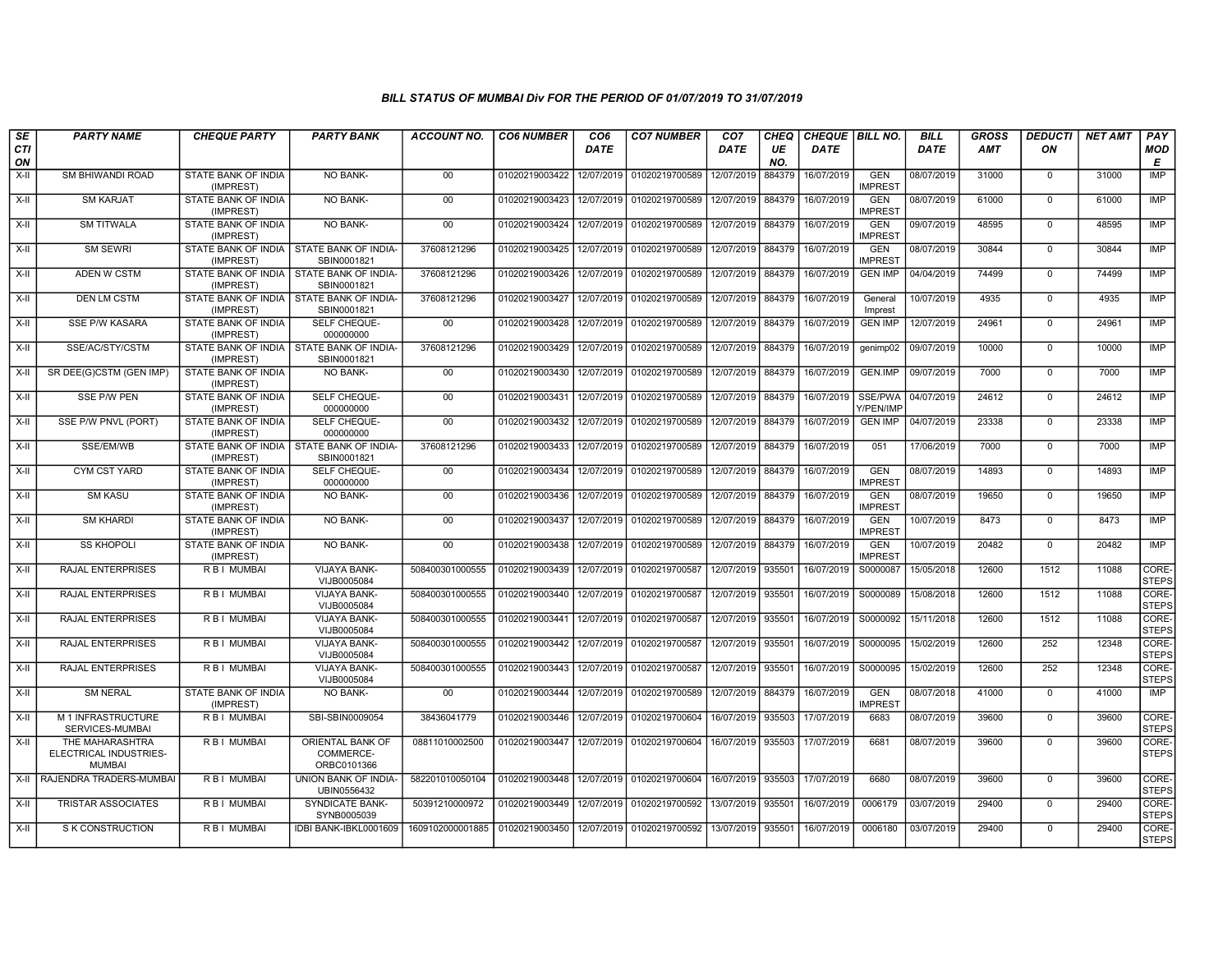| SE        | <b>PARTY NAME</b>                                          | <b>CHEQUE PARTY</b>                     | <b>PARTY BANK</b>                                         | ACCOUNT NO.                     | <b>CO6 NUMBER</b> | CO <sub>6</sub> | <b>CO7 NUMBER</b>                | CO <sub>7</sub>   | <b>CHEQ</b> | CHEQUE BILL NO. |                              | <b>BILL</b> | <b>GROSS</b> | <b>DEDUCTI</b> | <b>NET AMT</b> | <b>PAY</b>            |
|-----------|------------------------------------------------------------|-----------------------------------------|-----------------------------------------------------------|---------------------------------|-------------------|-----------------|----------------------------------|-------------------|-------------|-----------------|------------------------------|-------------|--------------|----------------|----------------|-----------------------|
| CTI<br>ON |                                                            |                                         |                                                           |                                 |                   | DATE            |                                  | DATE              | UE<br>NO.   | DATE            |                              | <b>DATE</b> | <b>AMT</b>   | ΟN             |                | <b>MOD</b><br>E       |
| X-II      | SM BHIWANDI ROAD                                           | STATE BANK OF INDIA<br>(IMPREST)        | NO BANK-                                                  | 00                              | 01020219003422    | 12/07/2019      | 01020219700589                   | 12/07/2019        | 884379      | 16/07/2019      | <b>GEN</b><br><b>IMPREST</b> | 08/07/2019  | 31000        | $\mathbf 0$    | 31000          | IMP                   |
| $X-H$     | <b>SM KARJAT</b>                                           | <b>STATE BANK OF INDIA</b><br>(IMPREST) | <b>NO BANK-</b>                                           | 00                              | 01020219003423    | 12/07/2019      | 01020219700589                   | 12/07/2019 884379 |             | 16/07/2019      | <b>GEN</b><br><b>IMPREST</b> | 08/07/2019  | 61000        | $\mathbf 0$    | 61000          | IMP                   |
| $X-II$    | <b>SM TITWALA</b>                                          | STATE BANK OF INDIA<br>(IMPREST)        | <b>NO BANK-</b>                                           | 00                              | 01020219003424    | 12/07/2019      | 01020219700589                   | 12/07/2019 884379 |             | 16/07/2019      | <b>GEN</b><br><b>IMPREST</b> | 09/07/2019  | 48595        | $\Omega$       | 48595          | <b>IMP</b>            |
| $X-H$     | <b>SM SEWRI</b>                                            | (IMPREST)                               | STATE BANK OF INDIA   STATE BANK OF INDIA-<br>SBIN0001821 | 37608121296                     | 01020219003425    | 12/07/2019      | 01020219700589                   | 12/07/2019 884379 |             | 16/07/2019      | <b>GEN</b><br><b>IMPREST</b> | 08/07/2019  | 30844        | $\overline{0}$ | 30844          | <b>IMP</b>            |
| $X-H$     | <b>ADEN W CSTM</b>                                         | STATE BANK OF INDIA<br>(IMPREST)        | STATE BANK OF INDIA-<br>SBIN0001821                       | 37608121296                     | 01020219003426    | 12/07/2019      | 01020219700589                   | 12/07/2019 884379 |             | 16/07/2019      | <b>GEN IMP</b>               | 04/04/2019  | 74499        | $\mathbf 0$    | 74499          | <b>IMP</b>            |
| X-II      | <b>DEN LM CSTM</b>                                         | STATE BANK OF INDIA<br>(IMPREST)        | STATE BANK OF INDIA-<br>SBIN0001821                       | 37608121296                     | 01020219003427    | 12/07/2019      | 01020219700589                   | 12/07/2019        | 884379      | 16/07/2019      | General<br>Imprest           | 10/07/2019  | 4935         | $\mathbf 0$    | 4935           | IMP                   |
| X-II      | <b>SSE P/W KASARA</b>                                      | STATE BANK OF INDIA<br>(IMPREST)        | SELF CHEQUE-<br>000000000                                 | $00\,$                          | 01020219003428    | 12/07/2019      | 01020219700589                   | 12/07/2019 884379 |             | 16/07/2019      | <b>GEN IMP</b>               | 12/07/2019  | 24961        | $\Omega$       | 24961          | IMP                   |
| $X-II$    | SSE/AC/STY/CSTM                                            | (IMPREST)                               | STATE BANK OF INDIA STATE BANK OF INDIA-<br>SBIN0001821   | 37608121296                     | 01020219003429    | 12/07/2019      | 01020219700589                   | 12/07/2019 884379 |             | 16/07/2019      | genimp02                     | 09/07/2019  | 10000        | $\mathbf 0$    | 10000          | <b>IMP</b>            |
| $X-H$     | SR DEE(G)CSTM (GEN IMP)                                    | <b>STATE BANK OF INDIA</b><br>(IMPREST) | <b>NO BANK-</b>                                           | 00                              | 01020219003430    | 12/07/2019      | 01020219700589                   | 12/07/2019 884379 |             | 16/07/2019      | <b>GEN.IMP</b>               | 09/07/2019  | 7000         | $\mathbf 0$    | 7000           | <b>IMP</b>            |
| $X-H$     | <b>SSE P/W PEN</b>                                         | <b>STATE BANK OF INDIA</b><br>(IMPREST) | SELF CHEQUE-<br>000000000                                 | 00                              | 01020219003431    | 12/07/2019      | 01020219700589                   | 12/07/2019 884379 |             | 16/07/2019      | SSE/PWA<br>Y/PEN/IMP         | 04/07/2019  | 24612        | $\mathbf 0$    | 24612          | IMP                   |
| X-II      | SSE P/W PNVL (PORT)                                        | <b>STATE BANK OF INDIA</b><br>(IMPREST) | SELF CHEQUE-<br>000000000                                 | $00\,$                          | 01020219003432    | 12/07/2019      | 01020219700589                   | 12/07/2019        | 884379      | 16/07/2019      | <b>GEN IMP</b>               | 04/07/2019  | 23338        | $\mathbf 0$    | 23338          | <b>IMP</b>            |
| $X-II$    | SSE/EM/WB                                                  | STATE BANK OF INDIA<br>(IMPREST)        | STATE BANK OF INDIA-<br>SBIN0001821                       | 37608121296                     | 01020219003433    | 12/07/2019      | 01020219700589                   | 12/07/2019 884379 |             | 16/07/2019      | 051                          | 17/06/2019  | 7000         | $\mathbf 0$    | 7000           | <b>IMP</b>            |
| $X-H$     | <b>CYM CST YARD</b>                                        | <b>STATE BANK OF INDIA</b><br>(IMPREST) | SELF CHEQUE-<br>000000000                                 | $00\,$                          | 01020219003434    | 12/07/2019      | 01020219700589                   | 12/07/2019        | 884379      | 16/07/2019      | <b>GEN</b><br><b>IMPREST</b> | 08/07/2019  | 14893        | $\mathbf 0$    | 14893          | <b>IMP</b>            |
| $X-H$     | <b>SM KASU</b>                                             | <b>STATE BANK OF INDIA</b><br>(IMPREST) | <b>NO BANK-</b>                                           | 00                              | 01020219003436    | 12/07/2019      | 01020219700589                   | 12/07/2019 884379 |             | 16/07/2019      | <b>GEN</b><br><b>IMPREST</b> | 08/07/2019  | 19650        | $\Omega$       | 19650          | <b>IMP</b>            |
| X-II      | <b>SM KHARDI</b>                                           | STATE BANK OF INDIA<br>(IMPREST)        | <b>NO BANK-</b>                                           | $00\,$                          | 01020219003437    | 12/07/2019      | 01020219700589                   | 12/07/2019 884379 |             | 16/07/2019      | <b>GEN</b><br><b>IMPREST</b> | 10/07/2019  | 8473         | $\mathbf 0$    | 8473           | <b>IMP</b>            |
| X-II      | <b>SS KHOPOLI</b>                                          | STATE BANK OF INDIA<br>(IMPREST)        | NO BANK-                                                  | 00                              | 01020219003438    | 12/07/2019      | 01020219700589                   | 12/07/2019 884379 |             | 16/07/2019      | <b>GEN</b><br><b>IMPREST</b> | 10/07/2019  | 20482        | $\Omega$       | 20482          | <b>IMP</b>            |
| X-II      | <b>RAJAL ENTERPRISES</b>                                   | <b>RBI MUMBAI</b>                       | VIJAYA BANK-<br>VIJB0005084                               | 508400301000555                 | 01020219003439    | 12/07/2019      | 01020219700587                   | 12/07/2019 935501 |             | 16/07/2019      | S0000087                     | 15/05/2018  | 12600        | 1512           | 11088          | CORE-<br><b>STEPS</b> |
| $X-H$     | <b>RAJAL ENTERPRISES</b>                                   | R B I MUMBAI                            | <b>VIJAYA BANK-</b><br>VIJB0005084                        | 508400301000555                 | 01020219003440    | 12/07/2019      | 01020219700587                   | 12/07/2019 935501 |             | 16/07/2019      | S0000089                     | 15/08/2018  | 12600        | 1512           | 11088          | CORE-<br><b>STEPS</b> |
| $X-H$     | <b>RAJAL ENTERPRISES</b>                                   | R B I MUMBAI                            | VIJAYA BANK-<br>VIJB0005084                               | 508400301000555                 | 01020219003441    | 12/07/2019      | 01020219700587                   | 12/07/2019 935501 |             | 16/07/2019      | S0000092                     | 15/11/2018  | 12600        | 1512           | 11088          | CORE-<br><b>STEPS</b> |
| $X-II$    | <b>RAJAL ENTERPRISES</b>                                   | R B I MUMBAI                            | VIJAYA BANK-<br>VIJB0005084                               | 508400301000555                 | 01020219003442    | 12/07/2019      | 01020219700587                   | 12/07/2019        | 935501      | 16/07/2019      | S0000095                     | 15/02/2019  | 12600        | 252            | 12348          | CORE-<br><b>STEPS</b> |
| $X-H$     | <b>RAJAL ENTERPRISES</b>                                   | R B I MUMBAI                            | VIJAYA BANK-<br>VIJB0005084                               | 508400301000555                 | 01020219003443    | 12/07/2019      | 01020219700587                   | 12/07/2019 935501 |             | 16/07/2019      | S0000095                     | 15/02/2019  | 12600        | 252            | 12348          | CORE-<br><b>STEPS</b> |
| X-II      | <b>SM NERAL</b>                                            | STATE BANK OF INDIA<br>(IMPREST)        | <b>NO BANK-</b>                                           | $00\,$                          | 01020219003444    | 12/07/2019      | 01020219700589                   | 12/07/2019        | 884379      | 16/07/2019      | <b>GEN</b><br><b>IMPREST</b> | 08/07/2018  | 41000        | $\mathbf 0$    | 41000          | IMP                   |
| X-II      | M 1 INFRASTRUCTURE<br>SERVICES-MUMBAI                      | R B I MUMBAI                            | SBI-SBIN0009054                                           | 38436041779                     | 01020219003446    | 12/07/2019      | 01020219700604                   | 16/07/2019 935503 |             | 17/07/2019      | 6683                         | 08/07/2019  | 39600        | $\Omega$       | 39600          | CORE-<br><b>STEPS</b> |
| $X-II$    | THE MAHARASHTRA<br>ELECTRICAL INDUSTRIES-<br><b>MUMBAI</b> | R B I MUMBAI                            | ORIENTAL BANK OF<br>COMMERCE-<br>ORBC0101366              | 08811010002500                  | 01020219003447    | 12/07/2019      | 01020219700604                   | 16/07/2019 935503 |             | 17/07/2019      | 6681                         | 08/07/2019  | 39600        | $\Omega$       | 39600          | CORE-<br><b>STEPS</b> |
| $X-H$     | RAJENDRA TRADERS-MUMBAI                                    | R B I MUMBAI                            | <b>UNION BANK OF INDIA-</b><br>UBIN0556432                | 582201010050104                 | 01020219003448    | 12/07/2019      | 01020219700604 16/07/2019 935503 |                   |             | 17/07/2019      | 6680                         | 08/07/2019  | 39600        | $\mathbf 0$    | 39600          | CORE-<br><b>STEPS</b> |
| X-II      | <b>TRISTAR ASSOCIATES</b>                                  | R B I MUMBAI                            | <b>SYNDICATE BANK-</b><br>SYNB0005039                     | 50391210000972                  | 01020219003449    | 12/07/2019      | 01020219700592                   | 13/07/2019 935501 |             | 16/07/2019      | 0006179                      | 03/07/2019  | 29400        | $\Omega$       | 29400          | CORE-<br><b>STEPS</b> |
| $X-II$    | S K CONSTRUCTION                                           | R B I MUMBAI                            | IDBI BANK-IBKL0001609                                     | 1609102000001885 01020219003450 |                   |                 | 12/07/2019 01020219700592        | 13/07/2019 935501 |             | 16/07/2019      | 0006180                      | 03/07/2019  | 29400        | $\mathbf 0$    | 29400          | CORE-<br><b>STEPS</b> |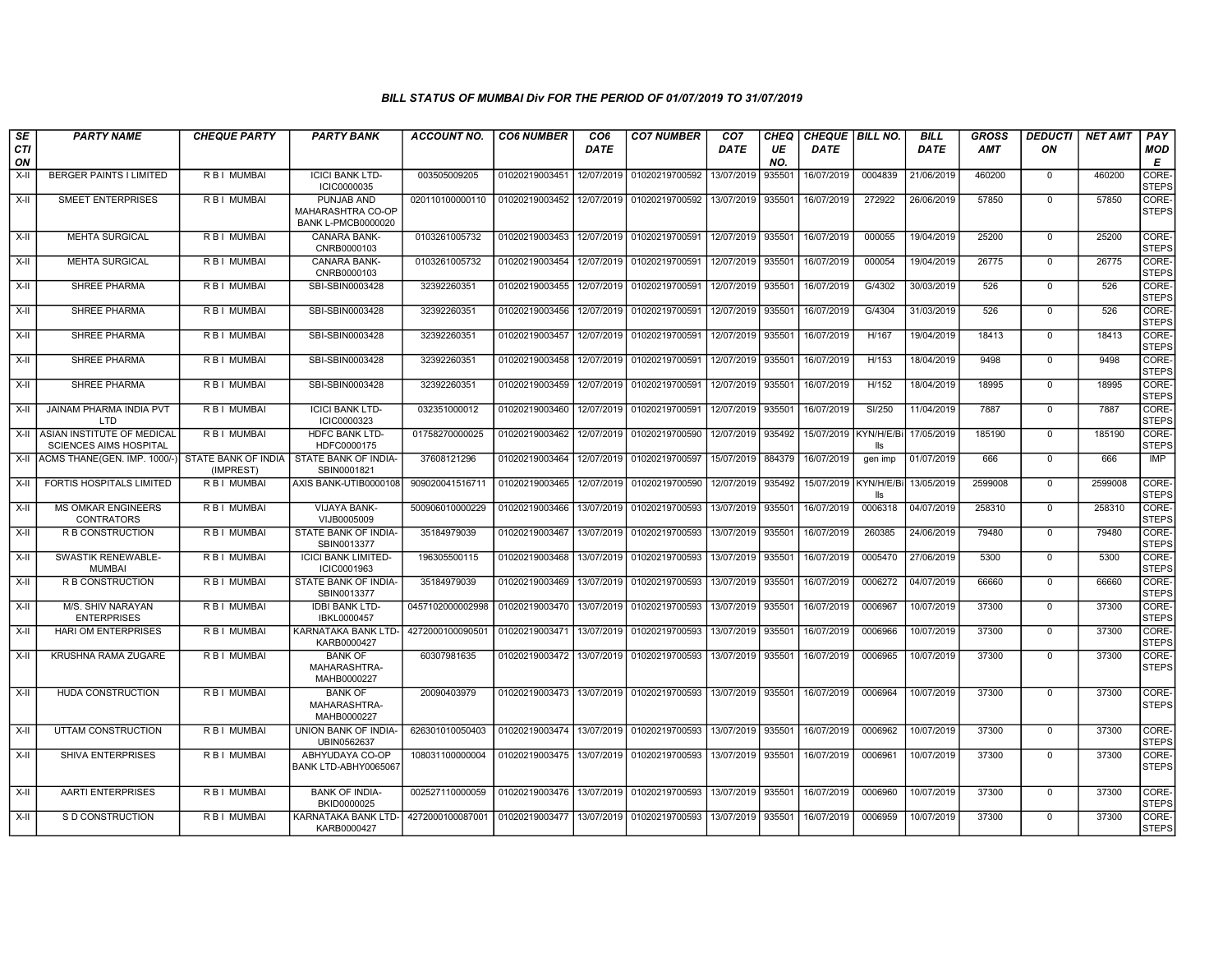| SE               | <b>PARTY NAME</b>                                           | <b>CHEQUE PARTY</b>              | <b>PARTY BANK</b>                                            | ACCOUNT NO.      | <b>CO6 NUMBER</b> | CO <sub>6</sub> | <b>CO7 NUMBER</b>         | CO <sub>7</sub> | CHEQ      | <b>CHEQUE   BILL NO.</b> |                   | <b>BILL</b> | GROSS      | <b>DEDUCTI</b> | <b>NET AMT</b> | <b>PAY</b>            |
|------------------|-------------------------------------------------------------|----------------------------------|--------------------------------------------------------------|------------------|-------------------|-----------------|---------------------------|-----------------|-----------|--------------------------|-------------------|-------------|------------|----------------|----------------|-----------------------|
| <b>CTI</b><br>ON |                                                             |                                  |                                                              |                  |                   | <b>DATE</b>     |                           | <b>DATE</b>     | UE<br>NO. | <b>DATE</b>              |                   | <b>DATE</b> | <b>AMT</b> | ON             |                | MOD<br>E              |
| $X-H$            | <b>BERGER PAINTS I LIMITED</b>                              | R B I MUMBAI                     | <b>ICICI BANK LTD-</b><br>ICIC0000035                        | 003505009205     | 01020219003451    | 12/07/2019      | 01020219700592            | 13/07/2019      | 935501    | 16/07/2019               | 0004839           | 21/06/2019  | 460200     | $\mathbf 0$    | 460200         | CORE-<br><b>STEPS</b> |
| X-II             | <b>SMEET ENTERPRISES</b>                                    | <b>RBI MUMBAI</b>                | PUNJAB AND<br>MAHARASHTRA CO-OP<br><b>BANK L-PMCB0000020</b> | 020110100000110  | 01020219003452    | 12/07/2019      | 01020219700592 13/07/2019 |                 | 935501    | 16/07/2019               | 272922            | 26/06/2019  | 57850      | $\mathbf 0$    | 57850          | CORE-<br><b>STEPS</b> |
| $X-H$            | <b>MEHTA SURGICAL</b>                                       | <b>RBI MUMBAI</b>                | <b>CANARA BANK-</b><br>CNRB0000103                           | 0103261005732    | 01020219003453    | 12/07/2019      | 01020219700591            | 12/07/2019      | 935501    | 16/07/2019               | 000055            | 19/04/2019  | 25200      | $\mathbf 0$    | 25200          | CORE-<br><b>STEPS</b> |
| X-II             | <b>MEHTA SURGICAL</b>                                       | R B I MUMBAI                     | CANARA BANK-<br>CNRB0000103                                  | 0103261005732    | 01020219003454    | 12/07/2019      | 01020219700591            | 12/07/2019      | 935501    | 16/07/2019               | 000054            | 19/04/2019  | 26775      | $\mathbf{0}$   | 26775          | CORE-<br><b>STEPS</b> |
| X-II             | SHREE PHARMA                                                | R B I MUMBAI                     | SBI-SBIN0003428                                              | 32392260351      | 01020219003455    | 12/07/2019      | 01020219700591            | 12/07/2019      | 935501    | 16/07/2019               | G/4302            | 30/03/2019  | 526        | $\mathbf 0$    | 526            | CORE-<br><b>STEPS</b> |
| X-II             | <b>SHREE PHARMA</b>                                         | <b>RBI MUMBAI</b>                | SBI-SBIN0003428                                              | 32392260351      | 01020219003456    | 12/07/2019      | 01020219700591            | 12/07/2019      | 935501    | 16/07/2019               | G/4304            | 31/03/2019  | 526        | $\mathbf 0$    | 526            | CORE-<br><b>STEPS</b> |
| X-II             | SHREE PHARMA                                                | R B I MUMBAI                     | SBI-SBIN0003428                                              | 32392260351      | 01020219003457    | 12/07/2019      | 01020219700591            | 12/07/2019      | 935501    | 16/07/2019               | H/167             | 19/04/2019  | 18413      | $\mathbf 0$    | 18413          | CORE-<br><b>STEPS</b> |
| $X-H$            | <b>SHREE PHARMA</b>                                         | <b>RBI MUMBAI</b>                | SBI-SBIN0003428                                              | 32392260351      | 01020219003458    | 12/07/2019      | 01020219700591            | 12/07/2019      | 935501    | 16/07/2019               | H/153             | 18/04/2019  | 9498       | $\mathbf 0$    | 9498           | CORE-<br><b>STEPS</b> |
| X-II             | SHREE PHARMA                                                | R B I MUMBAI                     | SBI-SBIN0003428                                              | 32392260351      | 01020219003459    | 12/07/2019      | 01020219700591            | 12/07/2019      | 935501    | 16/07/2019               | H/152             | 18/04/2019  | 18995      | $\mathbf 0$    | 18995          | CORE-<br><b>STEPS</b> |
| X-II             | JAINAM PHARMA INDIA PVT<br>LTD                              | R B I MUMBAI                     | <b>ICICI BANK LTD-</b><br>ICIC0000323                        | 032351000012     | 01020219003460    | 12/07/2019      | 01020219700591            | 12/07/2019      | 935501    | 16/07/2019               | SI/250            | 11/04/2019  | 7887       | $\mathbf{0}$   | 7887           | CORE-<br><b>STEPS</b> |
| X-II             | ASIAN INSTITUTE OF MEDICAL<br><b>SCIENCES AIMS HOSPITAL</b> | <b>RBI MUMBAI</b>                | <b>HDFC BANK LTD-</b><br>HDFC0000175                         | 01758270000025   | 01020219003462    | 12/07/2019      | 01020219700590            | 12/07/2019      | 935492    | 15/07/2019 KYN/H/E/Bi    | lls               | 17/05/2019  | 185190     | $\mathbf{0}$   | 185190         | CORE-<br><b>STEPS</b> |
| X-II             | ACMS THANE(GEN. IMP. 1000/-)                                | STATE BANK OF INDIA<br>(IMPREST) | STATE BANK OF INDIA-<br>SBIN0001821                          | 37608121296      | 01020219003464    | 12/07/2019      | 01020219700597            | 15/07/2019      | 884379    | 16/07/2019               | gen imp           | 01/07/2019  | 666        | $\mathbf 0$    | 666            | <b>IMP</b>            |
| $X-H$            | FORTIS HOSPITALS LIMITED                                    | R B I MUMBAI                     | AXIS BANK-UTIB0000108                                        | 909020041516711  | 01020219003465    | 12/07/2019      | 01020219700590            | 12/07/2019      | 935492    | 15/07/2019               | KYN/H/E/Bi<br>lls | 13/05/2019  | 2599008    | $\mathbf 0$    | 2599008        | CORE-<br><b>STEPS</b> |
| X-II             | <b>MS OMKAR ENGINEERS</b><br><b>CONTRATORS</b>              | R B I MUMBAI                     | VIJAYA BANK-<br>VIJB0005009                                  | 500906010000229  | 01020219003466    | 13/07/2019      | 01020219700593            | 13/07/2019      | 935501    | 16/07/2019               | 0006318           | 04/07/2019  | 258310     | $\mathbf 0$    | 258310         | CORE-<br><b>STEPS</b> |
| X-II             | R B CONSTRUCTION                                            | R B I MUMBAI                     | STATE BANK OF INDIA-<br>SBIN0013377                          | 35184979039      | 01020219003467    | 13/07/2019      | 01020219700593            | 13/07/2019      | 935501    | 16/07/2019               | 260385            | 24/06/2019  | 79480      | $\mathbf{0}$   | 79480          | CORE-<br><b>STEPS</b> |
| X-II             | <b>SWASTIK RENEWABLE-</b><br><b>MUMBAI</b>                  | <b>RBI MUMBAI</b>                | <b>ICICI BANK LIMITED-</b><br>ICIC0001963                    | 196305500115     | 01020219003468    | 13/07/2019      | 01020219700593            | 13/07/2019      | 935501    | 16/07/2019               | 0005470           | 27/06/2019  | 5300       | $\Omega$       | 5300           | CORE-<br><b>STEPS</b> |
| X-II             | R B CONSTRUCTION                                            | R B I MUMBAI                     | STATE BANK OF INDIA-<br>SBIN0013377                          | 35184979039      | 01020219003469    | 13/07/2019      | 01020219700593            | 13/07/2019      | 935501    | 16/07/2019               | 0006272           | 04/07/2019  | 66660      | $\mathbf 0$    | 66660          | CORE-<br><b>STEPS</b> |
| X-II             | M/S. SHIV NARAYAN<br><b>ENTERPRISES</b>                     | R B I MUMBAI                     | <b>IDBI BANK LTD-</b><br>IBKL0000457                         | 0457102000002998 | 01020219003470    | 13/07/2019      | 01020219700593            | 13/07/2019      | 935501    | 16/07/2019               | 0006967           | 10/07/2019  | 37300      | $\mathbf{0}$   | 37300          | CORE-<br><b>STEPS</b> |
| X-II             | <b>HARI OM ENTERPRISES</b>                                  | R B I MUMBAI                     | KARNATAKA BANK LTD-<br>KARB0000427                           | 4272000100090501 | 01020219003471    | 13/07/2019      | 01020219700593            | 13/07/2019      | 935501    | 16/07/2019               | 0006966           | 10/07/2019  | 37300      | $\Omega$       | 37300          | CORE-<br><b>STEPS</b> |
| X-II             | KRUSHNA RAMA ZUGARE                                         | R B I MUMBAI                     | <b>BANK OF</b><br>MAHARASHTRA-<br>MAHB0000227                | 60307981635      | 01020219003472    | 13/07/2019      | 01020219700593            | 13/07/2019      | 935501    | 16/07/2019               | 0006965           | 10/07/2019  | 37300      | $\mathbf{0}$   | 37300          | CORE-<br><b>STEPS</b> |
| X-II             | HUDA CONSTRUCTION                                           | R B I MUMBAI                     | <b>BANK OF</b><br>MAHARASHTRA-<br>MAHB0000227                | 20090403979      | 01020219003473    | 13/07/2019      | 01020219700593            | 13/07/2019      | 935501    | 16/07/2019               | 0006964           | 10/07/2019  | 37300      | $\mathbf 0$    | 37300          | CORE-<br><b>STEPS</b> |
| X-II             | UTTAM CONSTRUCTION                                          | R B I MUMBAI                     | UNION BANK OF INDIA-<br>UBIN0562637                          | 626301010050403  | 01020219003474    | 13/07/2019      | 01020219700593            | 13/07/2019      | 935501    | 16/07/2019               | 0006962           | 10/07/2019  | 37300      | $\mathbf 0$    | 37300          | CORE-<br><b>STEPS</b> |
| X-II             | SHIVA ENTERPRISES                                           | R B I MUMBAI                     | ABHYUDAYA CO-OP<br>BANK LTD-ABHY0065067                      | 108031100000004  | 01020219003475    | 13/07/2019      | 01020219700593            | 13/07/2019      | 935501    | 16/07/2019               | 0006961           | 10/07/2019  | 37300      | $\mathbf{0}$   | 37300          | CORE-<br><b>STEPS</b> |
| X-II             | <b>AARTI ENTERPRISES</b>                                    | <b>RBI MUMBAI</b>                | <b>BANK OF INDIA-</b><br>BKID0000025                         | 002527110000059  | 01020219003476    | 13/07/2019      | 01020219700593            | 13/07/2019      | 935501    | 16/07/2019               | 0006960           | 10/07/2019  | 37300      | $\Omega$       | 37300          | CORE-<br><b>STEPS</b> |
| X-II             | S D CONSTRUCTION                                            | R B I MUMBAI                     | KARNATAKA BANK LTD-<br>KARB0000427                           | 4272000100087001 | 01020219003477    | 13/07/2019      | 01020219700593            | 13/07/2019      | 935501    | 16/07/2019               | 0006959           | 10/07/2019  | 37300      | $\mathbf{0}$   | 37300          | CORE-<br><b>STEPS</b> |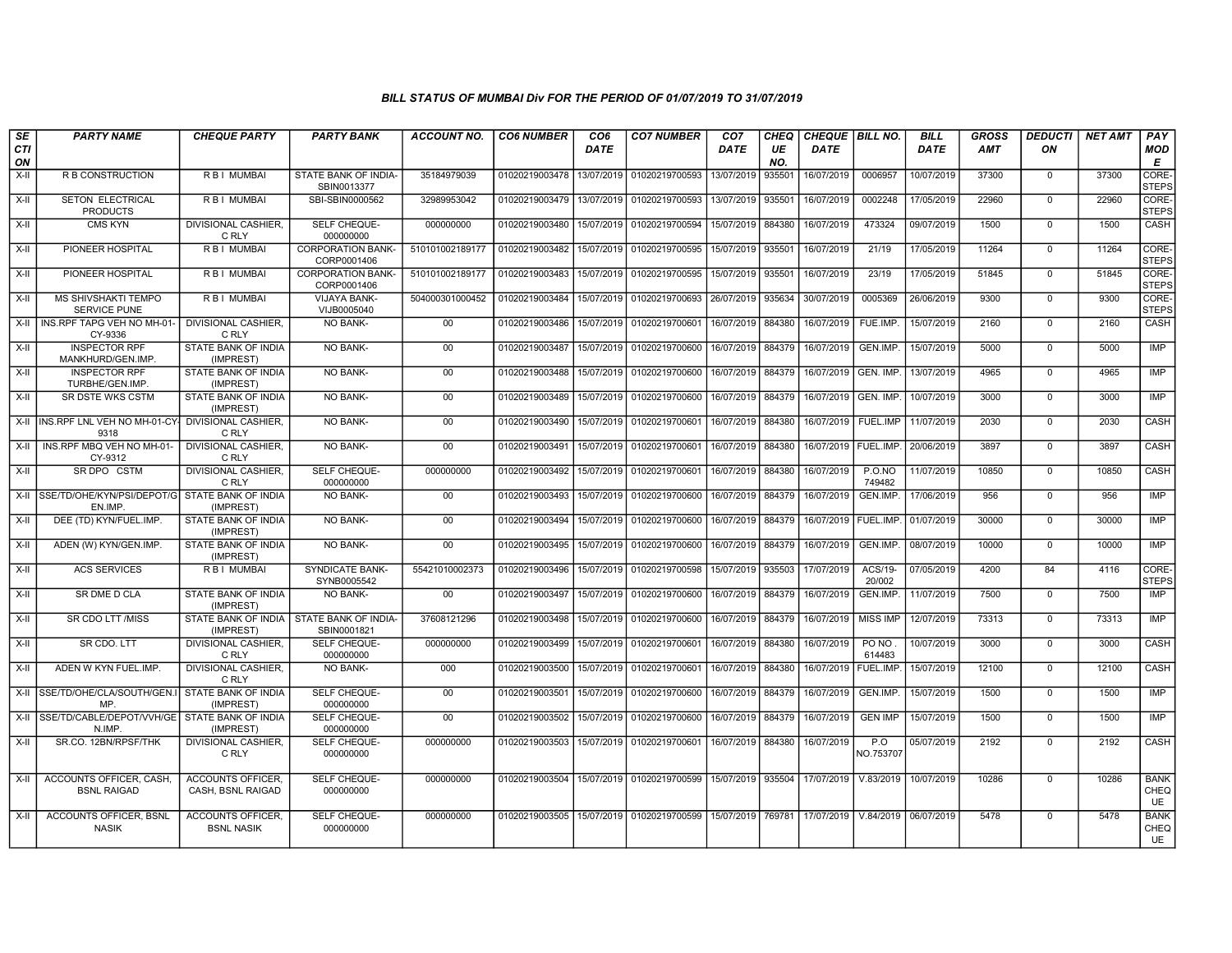| SE        | <b>PARTY NAME</b>                                         | <b>CHEQUE PARTY</b>                           | <b>PARTY BANK</b>                       | <b>ACCOUNT NO.</b> | <b>CO6 NUMBER</b>         | CO <sub>6</sub> | <b>CO7 NUMBER</b>                                                               | CO <sub>7</sub>   | CHEQ      | <b>CHEQUE   BILL NO.</b> |                   | <b>BILL</b> | <b>GROSS</b> | <i><b>DEDUCTI</b></i> | NET AMT | PAY                              |
|-----------|-----------------------------------------------------------|-----------------------------------------------|-----------------------------------------|--------------------|---------------------------|-----------------|---------------------------------------------------------------------------------|-------------------|-----------|--------------------------|-------------------|-------------|--------------|-----------------------|---------|----------------------------------|
| CTI<br>ON |                                                           |                                               |                                         |                    |                           | DATE            |                                                                                 | DATE              | UE<br>NO. | <b>DATE</b>              |                   | <b>DATE</b> | <b>AMT</b>   | ON                    |         | <b>MOD</b><br>E                  |
| $X-H$     | R B CONSTRUCTION                                          | R B I MUMBAI                                  | STATE BANK OF INDIA-<br>SBIN0013377     | 35184979039        | 01020219003478            | 13/07/2019      | 01020219700593                                                                  | 13/07/2019        | 935501    | 16/07/2019               | 0006957           | 10/07/2019  | 37300        | $\mathbf 0$           | 37300   | CORE-<br><b>STEPS</b>            |
| $X-H$     | <b>SETON ELECTRICAL</b><br><b>PRODUCTS</b>                | R B   MUMBAI                                  | SBI-SBIN0000562                         | 32989953042        | 01020219003479 13/07/2019 |                 | 01020219700593                                                                  | 13/07/2019        | 935501    | 16/07/2019               | 0002248           | 17/05/2019  | 22960        | $\mathbf 0$           | 22960   | CORE-<br><b>STEPS</b>            |
| X-II      | <b>CMS KYN</b>                                            | <b>DIVISIONAL CASHIER.</b><br>C RLY           | SELF CHEQUE-<br>000000000               | 000000000          | 01020219003480            | 15/07/2019      | 01020219700594                                                                  | 15/07/2019        | 884380    | 16/07/2019               | 473324            | 09/07/2019  | 1500         | $\Omega$              | 1500    | CASH                             |
| $X-H$     | PIONEER HOSPITAL                                          | R B I MUMBAI                                  | <b>CORPORATION BANK-</b><br>CORP0001406 | 510101002189177    | 01020219003482            | 15/07/2019      | 01020219700595                                                                  | 15/07/2019        | 935501    | 16/07/2019               | 21/19             | 17/05/2019  | 11264        | $\overline{0}$        | 11264   | <b>CORE</b><br><b>STEPS</b>      |
| $X-H$     | <b>PIONEER HOSPITAL</b>                                   | R B I MUMBAI                                  | <b>CORPORATION BANK-</b><br>CORP0001406 | 510101002189177    | 01020219003483            | 15/07/2019      | 01020219700595                                                                  | 15/07/2019        | 935501    | 16/07/2019               | 23/19             | 17/05/2019  | 51845        | $\overline{0}$        | 51845   | CORE-<br><b>STEPS</b>            |
| X-II      | <b>MS SHIVSHAKTI TEMPO</b><br>SERVICE PUNE                | R B I MUMBAI                                  | <b>VIJAYA BANK-</b><br>VIJB0005040      | 504000301000452    | 01020219003484            | 15/07/2019      | 01020219700693                                                                  | 26/07/2019        | 935634    | 30/07/2019               | 0005369           | 26/06/2019  | 9300         | $\mathbf 0$           | 9300    | CORE-<br><b>STEPS</b>            |
| $X-H$     | INS.RPF TAPG VEH NO MH-01-<br>CY-9336                     | DIVISIONAL CASHIER.<br>C RLY                  | NO BANK-                                | 00                 | 01020219003486            | 15/07/2019      | 01020219700601                                                                  | 16/07/2019        | 884380    | 16/07/2019               | FUE.IMP.          | 15/07/2019  | 2160         | $\mathbf 0$           | 2160    | CASH                             |
| $X-II$    | <b>INSPECTOR RPF</b><br>MANKHURD/GEN.IMP.                 | STATE BANK OF INDIA<br>(IMPREST)              | <b>NO BANK-</b>                         | 00                 | 01020219003487            | 15/07/2019      | 01020219700600                                                                  | 16/07/2019        | 884379    | 16/07/2019               | GEN.IMP           | 15/07/2019  | 5000         | $\overline{0}$        | 5000    | <b>IMP</b>                       |
| $X-H$     | <b>INSPECTOR RPF</b><br>TURBHE/GEN.IMP.                   | <b>STATE BANK OF INDIA</b><br>(IMPREST)       | NO BANK-                                | 00                 | 01020219003488            | 15/07/2019      | 01020219700600                                                                  | 16/07/2019        | 884379    | 16/07/2019 GEN. IMP.     |                   | 13/07/2019  | 4965         | $\overline{0}$        | 4965    | IMP                              |
| $X-H$     | <b>SR DSTE WKS CSTM</b>                                   | <b>STATE BANK OF INDIA</b><br>(IMPREST)       | <b>NO BANK-</b>                         | 00                 | 01020219003489            | 15/07/2019      | 01020219700600                                                                  | 16/07/2019 884379 |           | 16/07/2019 GEN. IMP.     |                   | 10/07/2019  | 3000         | $\mathbf 0$           | 3000    | IMP                              |
| X-II      | INS.RPF LNL VEH NO MH-01-CY DIVISIONAL CASHIER,<br>9318   | C RLY                                         | NO BANK-                                | $00\,$             | 01020219003490            | 15/07/2019      | 01020219700601                                                                  | 16/07/2019        | 884380    | 16/07/2019               | FUEL.IMP          | 11/07/2019  | 2030         | $\mathbf 0$           | 2030    | CASH                             |
| X-II      | INS.RPF MBQ VEH NO MH-01-<br>CY-9312                      | DIVISIONAL CASHIER.<br>C RLY                  | <b>NO BANK-</b>                         | 00                 | 01020219003491            | 15/07/2019      | 01020219700601                                                                  | 16/07/2019        | 884380    | 16/07/2019   FUEL.IMP.   |                   | 20/06/2019  | 3897         | $\mathbf 0$           | 3897    | CASH                             |
| $X-H$     | SR DPO CSTM                                               | <b>DIVISIONAL CASHIER.</b><br>C RLY           | SELF CHEQUE-<br>000000000               | 000000000          | 01020219003492            | 15/07/2019      | 01020219700601                                                                  | 16/07/2019        | 884380    | 16/07/2019               | P.0.NO<br>749482  | 11/07/2019  | 10850        | $\Omega$              | 10850   | <b>CASH</b>                      |
| $X-H$     | SSE/TD/OHE/KYN/PSI/DEPOT/G STATE BANK OF INDIA<br>EN.IMP. | (IMPREST)                                     | <b>NO BANK-</b>                         | 00                 | 01020219003493            | 15/07/2019      | 01020219700600                                                                  | 16/07/2019 884379 |           | 16/07/2019               | GEN.IMP.          | 17/06/2019  | 956          | $\mathbf 0$           | 956     | <b>IMP</b>                       |
| X-II      | DEE (TD) KYN/FUEL.IMP.                                    | STATE BANK OF INDIA<br>(IMPREST)              | NO BANK-                                | $00\,$             | 01020219003494            | 15/07/2019      | 01020219700600                                                                  | 16/07/2019        | 884379    | 16/07/2019   FUEL.IMP    |                   | 01/07/2019  | 30000        | $\mathbf 0$           | 30000   | IMP                              |
| $X-II$    | ADEN (W) KYN/GEN.IMP.                                     | STATE BANK OF INDIA<br>(IMPREST)              | NO BANK-                                | 00                 | 01020219003495            | 15/07/2019      | 01020219700600                                                                  | 16/07/2019        | 884379    | 16/07/2019               | GEN.IMP.          | 08/07/2019  | 10000        | $\mathbf 0$           | 10000   | IMP                              |
| $X-H$     | <b>ACS SERVICES</b>                                       | <b>RBI MUMBAI</b>                             | <b>SYNDICATE BANK-</b><br>SYNB0005542   | 55421010002373     | 01020219003496            | 15/07/2019      | 01020219700598                                                                  | 15/07/2019        | 935503    | 17/07/2019               | ACS/19-<br>20/002 | 07/05/2019  | 4200         | 84                    | 4116    | CORE-<br><b>STEPS</b>            |
| $X-H$     | SR DME D CLA                                              | STATE BANK OF INDIA<br>(IMPREST)              | NO BANK-                                | 00                 | 01020219003497            | 15/07/2019      | 01020219700600                                                                  | 16/07/2019 884379 |           | 16/07/2019               | GEN.IMP.          | 11/07/2019  | 7500         | $\mathbf 0$           | 7500    | <b>IMP</b>                       |
| $X-H$     | SR CDO LTT /MISS                                          | STATE BANK OF INDIA<br>(IMPREST)              | STATE BANK OF INDIA-<br>SBIN0001821     | 37608121296        | 01020219003498            | 15/07/2019      | 01020219700600                                                                  | 16/07/2019        | 884379    | 16/07/2019               | <b>MISS IMP</b>   | 12/07/2019  | 73313        | $\mathsf 0$           | 73313   | IMP                              |
| $X-II$    | SR CDO. LTT                                               | <b>DIVISIONAL CASHIER.</b><br>C RLY           | SELF CHEQUE-<br>000000000               | 000000000          | 01020219003499            | 15/07/2019      | 01020219700601                                                                  | 16/07/2019        | 884380    | 16/07/2019               | PO NO<br>614483   | 10/07/2019  | 3000         | $\overline{0}$        | 3000    | CASH                             |
| $X-H$     | ADEN W KYN FUEL.IMP.                                      | DIVISIONAL CASHIER.<br>C RLY                  | <b>NO BANK-</b>                         | 000                | 01020219003500            | 15/07/2019      | 01020219700601                                                                  | 16/07/2019 884380 |           | 16/07/2019               | <b>FUEL.IMP</b>   | 15/07/2019  | 12100        | $\mathbf 0$           | 12100   | CASH                             |
|           | X-II SSE/TD/OHE/CLA/SOUTH/GEN.I<br>MP.                    | STATE BANK OF INDIA<br>(IMPREST)              | SELF CHEQUE-<br>000000000               | 00                 | 01020219003501            | 15/07/2019      | 01020219700600                                                                  | 16/07/2019 884379 |           | 16/07/2019               | GEN.IMP           | 15/07/2019  | 1500         | $\Omega$              | 1500    | IMP                              |
| $X-H$     | SSE/TD/CABLE/DEPOT/VVH/GE STATE BANK OF INDIA<br>N.IMP.   | (IMPREST)                                     | SELF CHEQUE-<br>000000000               | $00\,$             | 01020219003502            | 15/07/2019      | 01020219700600                                                                  | 16/07/2019        | 884379    | 16/07/2019               | <b>GEN IMP</b>    | 15/07/2019  | 1500         | $\mathbf 0$           | 1500    | <b>IMP</b>                       |
| X-II      | SR.CO. 12BN/RPSF/THK                                      | DIVISIONAL CASHIER,<br>C RLY                  | SELF CHEQUE-<br>000000000               | 000000000          | 01020219003503            | 15/07/2019      | 01020219700601                                                                  | 16/07/2019        | 884380    | 16/07/2019               | P.O<br>NO.753707  | 05/07/2019  | 2192         | $\mathbf 0$           | 2192    | CASH                             |
| X-II      | ACCOUNTS OFFICER, CASH.<br><b>BSNL RAIGAD</b>             | <b>ACCOUNTS OFFICER.</b><br>CASH, BSNL RAIGAD | SELF CHEQUE-<br>000000000               | 000000000          |                           |                 | 01020219003504 15/07/2019 01020219700599 15/07/2019 935504 17/07/2019 V.83/2019 |                   |           |                          |                   | 10/07/2019  | 10286        | $\Omega$              | 10286   | <b>BANK</b><br>CHEQ<br>UE        |
| $X-H$     | <b>ACCOUNTS OFFICER. BSNL</b><br><b>NASIK</b>             | ACCOUNTS OFFICER,<br><b>BSNL NASIK</b>        | SELF CHEQUE-<br>000000000               | 000000000          | 01020219003505 15/07/2019 |                 | 01020219700599 15/07/2019 769781 17/07/2019 V.84/2019 06/07/2019                |                   |           |                          |                   |             | 5478         | $\mathbf 0$           | 5478    | <b>BANK</b><br>CHEQ<br><b>UE</b> |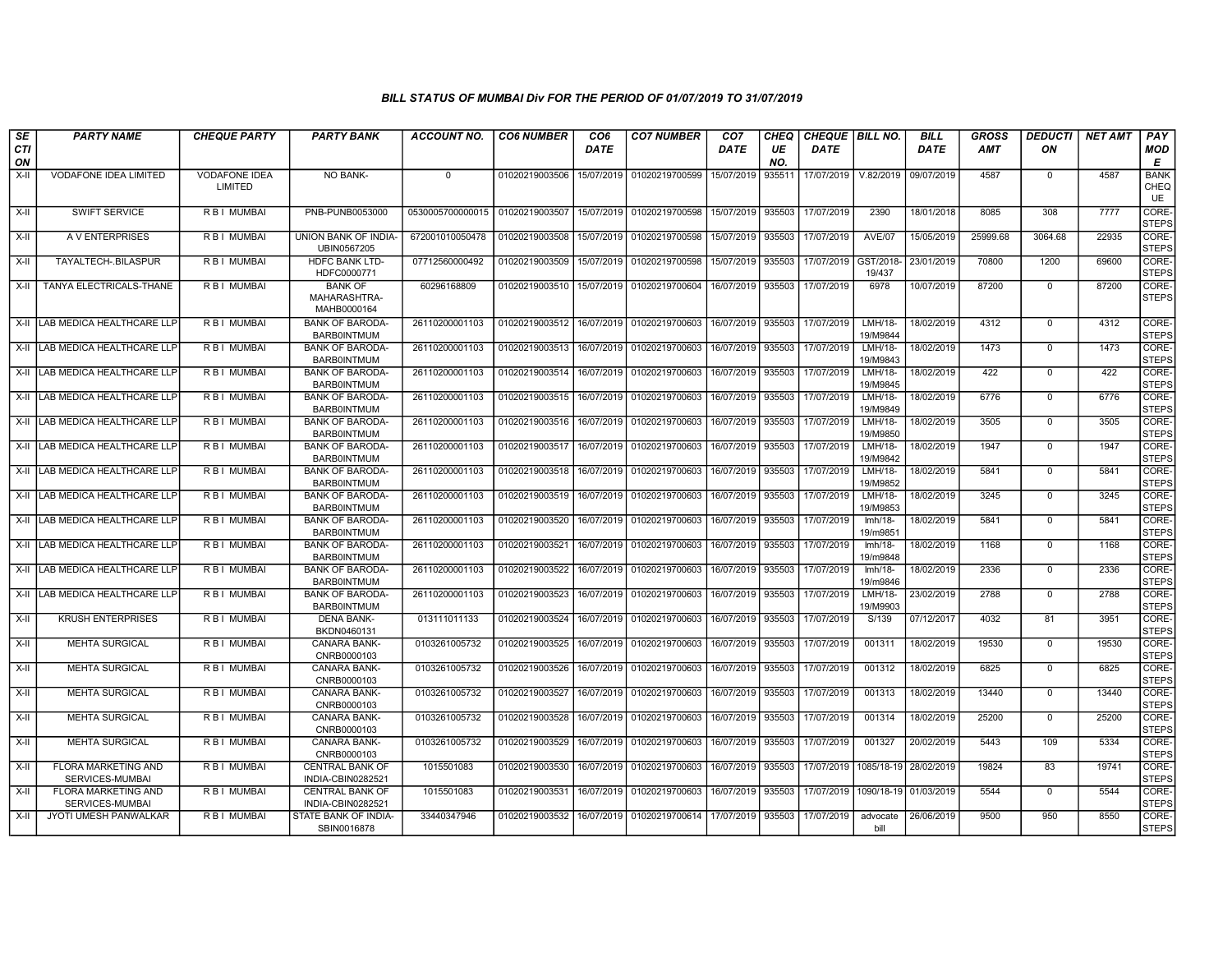| SE               | <b>PARTY NAME</b>                             | <b>CHEQUE PARTY</b>             | <b>PARTY BANK</b>                             | ACCOUNT NO.                     | <b>CO6 NUMBER</b>         | CO6         | <b>CO7 NUMBER</b>                    | CO7               | CHEQ      | CHEQUE   BILL NO. |                       | BILL                  | GROSS      | <i><b>DEDUCTI</b></i> | NET AMT | <b>PAY</b>                |
|------------------|-----------------------------------------------|---------------------------------|-----------------------------------------------|---------------------------------|---------------------------|-------------|--------------------------------------|-------------------|-----------|-------------------|-----------------------|-----------------------|------------|-----------------------|---------|---------------------------|
| <b>CTI</b><br>ON |                                               |                                 |                                               |                                 |                           | <b>DATE</b> |                                      | <b>DATE</b>       | UE<br>NO. | <b>DATE</b>       |                       | <b>DATE</b>           | <b>AMT</b> | ΟN                    |         | <b>MOD</b><br>E           |
| $X-H$            | VODAFONE IDEA LIMITED                         | <b>VODAFONE IDEA</b><br>LIMITED | <b>NO BANK-</b>                               | $\Omega$                        | 01020219003506            | 15/07/2019  | 01020219700599                       | 15/07/2019        | 93551     | 17/07/2019        | V.82/2019             | 09/07/2019            | 4587       | $\mathbf 0$           | 4587    | <b>BANK</b><br>CHEQ<br>UE |
| $X-H$            | <b>SWIFT SERVICE</b>                          | <b>RBI MUMBAI</b>               | PNB-PUNB0053000                               | 0530005700000015 01020219003507 |                           |             | 15/07/2019 01020219700598            | 15/07/2019 935503 |           | 17/07/2019        | 2390                  | 18/01/2018            | 8085       | 308                   | 7777    | CORE-<br><b>STEPS</b>     |
| $X-H$            | A V ENTERPRISES                               | R B I MUMBAI                    | UNION BANK OF INDIA-<br>UBIN0567205           | 672001010050478                 | 01020219003508            | 15/07/2019  | 01020219700598                       | 15/07/2019        | 935503    | 17/07/2019        | <b>AVE/07</b>         | 15/05/2019            | 25999.68   | 3064.68               | 22935   | CORE-<br><b>STEPS</b>     |
| X-II             | TAYALTECH-.BILASPUR                           | R B I MUMBAI                    | <b>HDFC BANK LTD-</b><br>HDFC0000771          | 07712560000492                  | 01020219003509            |             | 15/07/2019 01020219700598            | 15/07/2019 935503 |           | 17/07/2019        | GST/2018-<br>19/437   | 23/01/2019            | 70800      | 1200                  | 69600   | CORE-<br><b>STEPS</b>     |
| X-II             | TANYA ELECTRICALS-THANE                       | R B I MUMBAI                    | <b>BANK OF</b><br>MAHARASHTRA-<br>MAHB0000164 | 60296168809                     | 01020219003510 15/07/2019 |             | 01020219700604                       | 16/07/2019        | 935503    | 17/07/2019        | 6978                  | 10/07/2019            | 87200      | $\mathbf 0$           | 87200   | CORE-<br><b>STEPS</b>     |
|                  | X-II LAB MEDICA HEALTHCARE LLP                | R B I MUMBAI                    | <b>BANK OF BARODA-</b><br><b>BARB0INTMUM</b>  | 26110200001103                  | 01020219003512            | 16/07/2019  | 01020219700603                       | 16/07/2019        | 935503    | 17/07/2019        | LMH/18-<br>19/M9844   | 18/02/2019            | 4312       | $\mathbf 0$           | 4312    | CORE-<br>STEPS            |
|                  | X-II LAB MEDICA HEALTHCARE LLP                | R B I MUMBAI                    | <b>BANK OF BARODA</b><br><b>BARB0INTMUM</b>   | 26110200001103                  | 01020219003513            | 16/07/2019  | 01020219700603                       | 16/07/2019        | 935503    | 17/07/2019        | LMH/18-<br>19/M9843   | 18/02/2019            | 1473       | $\mathbf 0$           | 1473    | CORE-<br><b>STEPS</b>     |
|                  | X-II LAB MEDICA HEALTHCARE LLP                | R B I MUMBAI                    | <b>BANK OF BARODA-</b><br><b>BARB0INTMUM</b>  | 26110200001103                  | 01020219003514            | 16/07/2019  | 01020219700603                       | 16/07/2019        | 935503    | 17/07/2019        | LMH/18-<br>19/M9845   | 18/02/2019            | 422        | $\mathbf 0$           | 422     | CORE-<br><b>STEPS</b>     |
|                  | X-II LAB MEDICA HEALTHCARE LLP                | R B I MUMBAI                    | <b>BANK OF BARODA-</b><br><b>BARB0INTMUM</b>  | 26110200001103                  | 01020219003515            | 16/07/2019  | 01020219700603                       | 16/07/2019        | 935503    | 17/07/2019        | LMH/18-<br>19/M9849   | 18/02/2019            | 6776       | $\mathbf 0$           | 6776    | CORE-<br><b>STEPS</b>     |
|                  | X-II LAB MEDICA HEALTHCARE LLP                | R B I MUMBAI                    | <b>BANK OF BARODA-</b><br><b>BARB0INTMUM</b>  | 26110200001103                  | 01020219003516            | 16/07/2019  | 01020219700603                       | 16/07/2019        | 935503    | 17/07/2019        | LMH/18-<br>19/M9850   | 18/02/2019            | 3505       | $\mathbf{0}$          | 3505    | CORE-<br><b>STEPS</b>     |
|                  | X-II LAB MEDICA HEALTHCARE LLP                | R B I MUMBAI                    | <b>BANK OF BARODA</b><br><b>BARB0INTMUM</b>   | 26110200001103                  | 01020219003517            | 16/07/2019  | 01020219700603                       | 16/07/2019        | 935503    | 17/07/2019        | LMH/18-<br>19/M9842   | 18/02/2019            | 1947       | $\mathbf 0$           | 1947    | CORE-<br><b>STEPS</b>     |
|                  | X-II LAB MEDICA HEALTHCARE LLP                | <b>RBI MUMBAI</b>               | <b>BANK OF BARODA</b><br><b>BARB0INTMUM</b>   | 26110200001103                  | 01020219003518            | 16/07/2019  | 01020219700603                       | 16/07/2019        | 935503    | 17/07/2019        | LMH/18-<br>19/M9852   | 18/02/2019            | 5841       | $\Omega$              | 5841    | CORE-<br><b>STEPS</b>     |
|                  | X-II LAB MEDICA HEALTHCARE LLP                | <b>RBI MUMBAI</b>               | <b>BANK OF BARODA-</b><br><b>BARB0INTMUM</b>  | 26110200001103                  | 01020219003519            | 16/07/2019  | 01020219700603                       | 16/07/2019        | 935503    | 17/07/2019        | LMH/18-<br>19/M9853   | 18/02/2019            | 3245       | $\mathbf 0$           | 3245    | CORE-<br><b>STEPS</b>     |
|                  | X-II LAB MEDICA HEALTHCARE LLP                | R B I MUMBAI                    | <b>BANK OF BARODA-</b><br><b>BARB0INTMUM</b>  | 26110200001103                  | 01020219003520            | 16/07/2019  | 01020219700603                       | 16/07/2019        | 935503    | 17/07/2019        | Imh/18-<br>19/m9851   | 18/02/2019            | 5841       | $\mathbf 0$           | 5841    | CORE-<br><b>STEPS</b>     |
|                  | X-II LAB MEDICA HEALTHCARE LLP                | R B I MUMBAI                    | <b>BANK OF BARODA-</b><br><b>BARB0INTMUM</b>  | 26110200001103                  | 01020219003521            |             | 16/07/2019 01020219700603            | 16/07/2019 935503 |           | 17/07/2019        | $Imh/18-$<br>19/m9848 | 18/02/2019            | 1168       | $\Omega$              | 1168    | CORE-<br><b>STEPS</b>     |
|                  | X-II LAB MEDICA HEALTHCARE LLP                | R B I MUMBAI                    | <b>BANK OF BARODA-</b><br><b>BARB0INTMUM</b>  | 26110200001103                  | 01020219003522            | 16/07/2019  | 01020219700603                       | 16/07/2019        | 935503    | 17/07/2019        | Imh/18-<br>19/m9846   | 18/02/2019            | 2336       | $\mathbf 0$           | 2336    | CORE-<br><b>STEPS</b>     |
|                  | X-II LAB MEDICA HEALTHCARE LLP                | <b>RBI MUMBAI</b>               | <b>BANK OF BARODA</b><br><b>BARB0INTMUM</b>   | 26110200001103                  | 01020219003523            | 16/07/2019  | 01020219700603                       | 16/07/2019        | 935503    | 17/07/2019        | LMH/18-<br>19/M9903   | 23/02/2019            | 2788       | $\Omega$              | 2788    | CORE-<br><b>STEPS</b>     |
| X-II             | <b>KRUSH ENTERPRISES</b>                      | R B I MUMBAI                    | <b>DENA BANK-</b><br>BKDN0460131              | 013111011133                    | 01020219003524            | 16/07/2019  | 01020219700603                       | 16/07/2019        | 935503    | 17/07/2019        | S/139                 | 07/12/2017            | 4032       | 81                    | 3951    | CORE-<br><b>STEPS</b>     |
| $X-H$            | <b>MEHTA SURGICAL</b>                         | <b>RBI MUMBAI</b>               | <b>CANARA BANK-</b><br>CNRB0000103            | 0103261005732                   | 01020219003525            | 16/07/2019  | 01020219700603                       | 16/07/2019        | 935503    | 17/07/2019        | 001311                | 18/02/2019            | 19530      | $\overline{0}$        | 19530   | CORE-<br><b>STEPS</b>     |
| X-II             | <b>MEHTA SURGICAL</b>                         | R B I MUMBAI                    | CANARA BANK-<br>CNRB0000103                   | 0103261005732                   | 01020219003526            |             | 16/07/2019 01020219700603            | 16/07/2019        | 935503    | 17/07/2019        | 001312                | 18/02/2019            | 6825       | $\mathbf 0$           | 6825    | CORE-<br><b>STEPS</b>     |
| $X-H$            | <b>MEHTA SURGICAL</b>                         | R B I MUMBAI                    | CANARA BANK-<br>CNRB0000103                   | 0103261005732                   | 01020219003527            | 16/07/2019  | 01020219700603                       | 16/07/2019        | 935503    | 17/07/2019        | 001313                | 18/02/2019            | 13440      | $\overline{0}$        | 13440   | CORE-<br><b>STEPS</b>     |
| X-II             | <b>MEHTA SURGICAL</b>                         | R B I MUMBAI                    | <b>CANARA BANK-</b><br>CNRB0000103            | 0103261005732                   | 01020219003528            |             | 16/07/2019 01020219700603            | 16/07/2019        | 935503    | 17/07/2019        | 001314                | 18/02/2019            | 25200      | $\mathbf 0$           | 25200   | CORE-<br><b>STEPS</b>     |
| $X-H$            | <b>MEHTA SURGICAL</b>                         | <b>RBI MUMBAI</b>               | <b>CANARA BANK-</b><br>CNRB0000103            | 0103261005732                   | 01020219003529            | 16/07/2019  | 01020219700603                       | 16/07/2019        | 935503    | 17/07/2019        | 001327                | 20/02/2019            | 5443       | 109                   | 5334    | CORE-<br>STEPS            |
| $X-I$            | <b>FLORA MARKETING AND</b><br>SERVICES-MUMBAI | R B I MUMBAI                    | <b>CENTRAL BANK OF</b><br>INDIA-CBIN0282521   | 1015501083                      | 01020219003530            | 16/07/2019  | 01020219700603                       | 16/07/2019        | 935503    | 17/07/2019        |                       | 1085/18-19 28/02/2019 | 19824      | 83                    | 19741   | CORE-<br><b>STEPS</b>     |
| $X-II$           | FLORA MARKETING AND<br>SERVICES-MUMBAI        | R B I MUMBAI                    | <b>CENTRAL BANK OF</b><br>INDIA-CBIN0282521   | 1015501083                      | 01020219003531            |             | 16/07/2019 01020219700603            | 16/07/2019 935503 |           | 17/07/2019        | 1090/18-19 01/03/2019 |                       | 5544       | $\Omega$              | 5544    | CORE-<br><b>STEPS</b>     |
| X-II             | JYOTI UMESH PANWALKAR                         | R B I MUMBAI                    | STATE BANK OF INDIA-<br>SBIN0016878           | 33440347946                     | 01020219003532            |             | 16/07/2019 01020219700614 17/07/2019 |                   | 935503    | 17/07/2019        | advocate<br>bill      | 26/06/2019            | 9500       | 950                   | 8550    | CORE-<br><b>STEPS</b>     |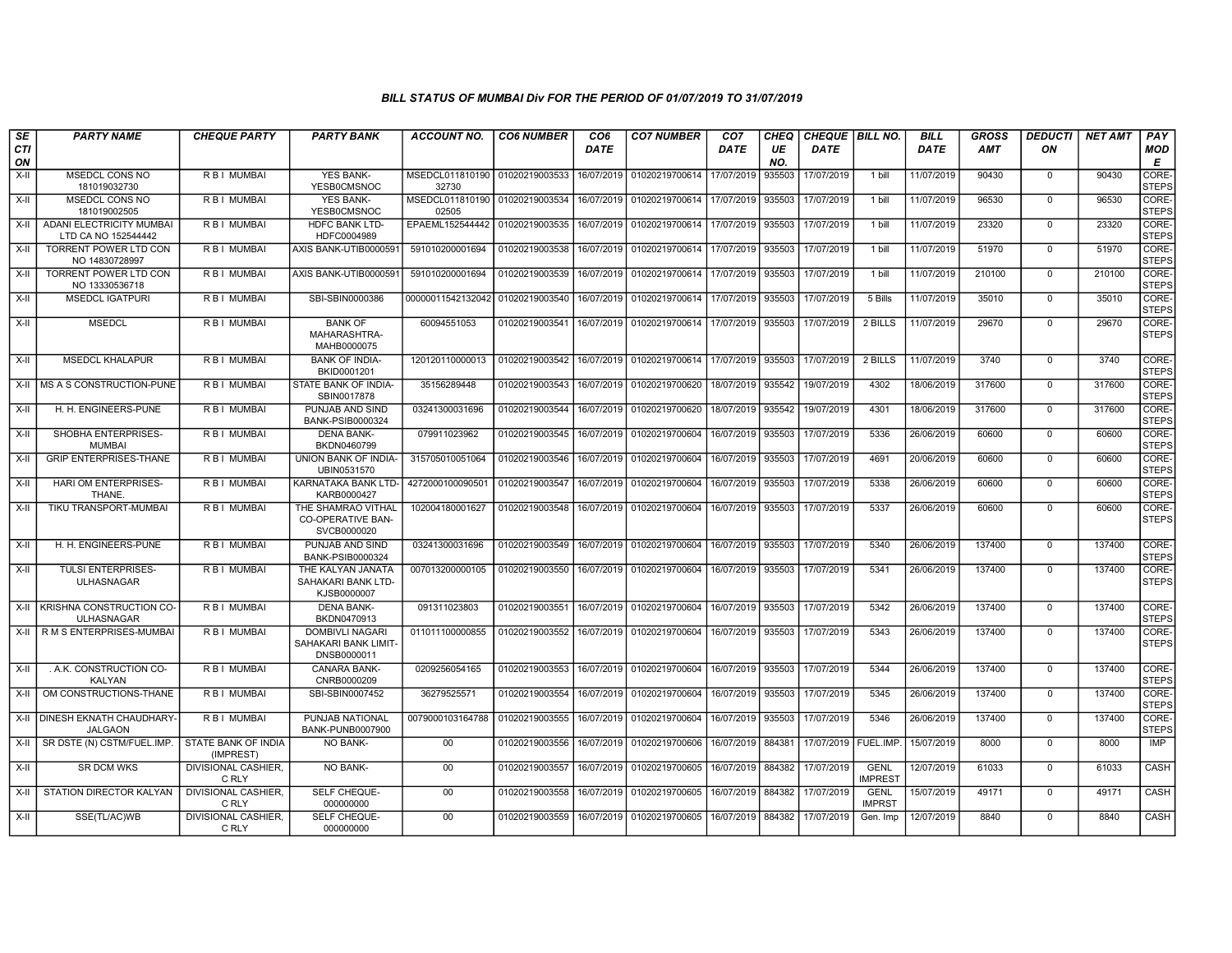| SE        | <b>PARTY NAME</b>                               | <b>CHEQUE PARTY</b>                 | <b>PARTY BANK</b>                                             | ACCOUNT NO.                             | <b>CO6 NUMBER</b> | CO6         | <b>CO7 NUMBER</b>                            | CO7         | CHEQ      | CHEQUE   BILL NO. |                               | BILL        | GROSS      | <i><b>DEDUCTI</b></i> | NET AMT | <b>PAY</b>            |
|-----------|-------------------------------------------------|-------------------------------------|---------------------------------------------------------------|-----------------------------------------|-------------------|-------------|----------------------------------------------|-------------|-----------|-------------------|-------------------------------|-------------|------------|-----------------------|---------|-----------------------|
| CTI<br>ON |                                                 |                                     |                                                               |                                         |                   | <b>DATE</b> |                                              | <b>DATE</b> | UE<br>NO. | <b>DATE</b>       |                               | <b>DATE</b> | <b>AMT</b> | ON                    |         | MOD<br>E              |
| $X-H$     | <b>MSEDCL CONS NO</b><br>181019032730           | R B I MUMBAI                        | <b>YES BANK-</b><br><b>YESB0CMSNOC</b>                        | MSEDCL011810190<br>32730                | 01020219003533    | 16/07/2019  | 01020219700614                               | 17/07/2019  | 935503    | 17/07/2019        | 1 bill                        | 11/07/2019  | 90430      | $\mathbf 0$           | 90430   | CORE-<br><b>STEPS</b> |
| $X-H$     | <b>MSEDCL CONS NO</b><br>181019002505           | R B I MUMBAI                        | <b>YES BANK-</b><br>YESB0CMSNOC                               | MSEDCL011810190 01020219003534<br>02505 |                   | 16/07/2019  | 01020219700614                               | 17/07/2019  | 935503    | 17/07/2019        | 1 bill                        | 11/07/2019  | 96530      | $\mathbf 0$           | 96530   | CORE-<br><b>STEPS</b> |
| X-II      | ADANI ELECTRICITY MUMBAI<br>LTD CA NO 152544442 | R B I MUMBAI                        | HDFC BANK LTD-<br>HDFC0004989                                 | EPAEML152544442                         | 01020219003535    | 16/07/2019  | 01020219700614                               | 17/07/2019  | 935503    | 17/07/2019        | 1 bill                        | 11/07/2019  | 23320      | $\mathbf 0$           | 23320   | CORE-<br><b>STEPS</b> |
| $X-II$    | TORRENT POWER LTD CON<br>NO 14830728997         | R B I MUMBAI                        | AXIS BANK-UTIB0000591                                         | 591010200001694                         | 01020219003538    | 16/07/2019  | 01020219700614                               | 17/07/2019  | 935503    | 17/07/2019        | 1 bill                        | 11/07/2019  | 51970      | $\mathbf 0$           | 51970   | CORE-<br><b>STEPS</b> |
| X-II      | <b>TORRENT POWER LTD CON</b><br>NO 13330536718  | R B I MUMBAI                        | AXIS BANK-UTIB0000591                                         | 591010200001694                         | 01020219003539    | 16/07/2019  | 01020219700614                               | 17/07/2019  | 935503    | 17/07/2019        | 1 bill                        | 11/07/2019  | 210100     | $^{\circ}$            | 210100  | CORE-<br><b>STEPS</b> |
| $X-H$     | <b>MSEDCL IGATPURI</b>                          | R B I MUMBAI                        | SBI-SBIN0000386                                               | 00000011542132042 01020219003540        |                   | 16/07/2019  | 01020219700614                               | 17/07/2019  | 935503    | 17/07/2019        | 5 Bills                       | 11/07/2019  | 35010      | $\mathbf 0$           | 35010   | CORE-<br><b>STEPS</b> |
| X-II      | <b>MSEDCL</b>                                   | R B I MUMBAI                        | <b>BANK OF</b><br>MAHARASHTRA-<br>MAHB0000075                 | 60094551053                             | 01020219003541    | 16/07/2019  | 01020219700614                               | 17/07/2019  | 935503    | 17/07/2019        | 2 BILLS                       | 11/07/2019  | 29670      | $\mathbf{0}$          | 29670   | CORE-<br><b>STEPS</b> |
| $X-H$     | <b>MSEDCL KHALAPUR</b>                          | R B I MUMBAI                        | <b>BANK OF INDIA-</b><br>BKID0001201                          | 120120110000013                         | 01020219003542    | 16/07/2019  | 01020219700614                               | 17/07/2019  | 935503    | 17/07/2019        | 2 BILLS                       | 11/07/2019  | 3740       | $\Omega$              | 3740    | CORE-<br><b>STEPS</b> |
| X-II      | MS A S CONSTRUCTION-PUNE                        | <b>RBI MUMBAI</b>                   | STATE BANK OF INDIA-<br>SBIN0017878                           | 35156289448                             | 01020219003543    | 16/07/2019  | 01020219700620                               | 18/07/2019  | 935542    | 19/07/2019        | 4302                          | 18/06/2019  | 317600     | $\Omega$              | 317600  | CORE-<br><b>STEPS</b> |
| X-II      | H. H. ENGINEERS-PUNE                            | R B I MUMBAI                        | PUNJAB AND SIND<br><b>BANK-PSIB0000324</b>                    | 03241300031696                          | 01020219003544    | 16/07/2019  | 01020219700620                               | 18/07/2019  | 935542    | 19/07/2019        | 4301                          | 18/06/2019  | 317600     | $\mathbf{0}$          | 317600  | CORE-<br><b>STEPS</b> |
| $X-H$     | SHOBHA ENTERPRISES-<br><b>MUMBAI</b>            | R B I MUMBAI                        | <b>DENA BANK-</b><br>BKDN0460799                              | 079911023962                            | 01020219003545    | 16/07/2019  | 01020219700604                               | 16/07/2019  | 935503    | 17/07/2019        | 5336                          | 26/06/2019  | 60600      | $\Omega$              | 60600   | CORE-<br><b>STEPS</b> |
| X-II      | <b>GRIP ENTERPRISES-THANE</b>                   | R B I MUMBAI                        | UNION BANK OF INDIA-<br>UBIN0531570                           | 315705010051064                         | 01020219003546    | 16/07/2019  | 01020219700604                               | 16/07/2019  | 935503    | 17/07/2019        | 4691                          | 20/06/2019  | 60600      | $\mathbf 0$           | 60600   | CORE-<br><b>STEPS</b> |
| $X-H$     | HARI OM ENTERPRISES-<br>THANE.                  | R B I MUMBAI                        | KARNATAKA BANK LTD-<br>KARB0000427                            | 427200010009050                         | 01020219003547    | 16/07/2019  | 01020219700604                               | 16/07/2019  | 935503    | 17/07/2019        | 5338                          | 26/06/2019  | 60600      | $\mathbf 0$           | 60600   | CORE-<br><b>STEPS</b> |
| X-II      | TIKU TRANSPORT-MUMBAI                           | R B I MUMBAI                        | THE SHAMRAO VITHAL<br><b>CO-OPERATIVE BAN-</b><br>SVCB0000020 | 102004180001627                         | 01020219003548    | 16/07/2019  | 01020219700604                               | 16/07/2019  | 935503    | 17/07/2019        | 5337                          | 26/06/2019  | 60600      | $\Omega$              | 60600   | CORE-<br><b>STEPS</b> |
| X-II      | H. H. ENGINEERS-PUNE                            | R B I MUMBAI                        | PUNJAB AND SIND<br><b>BANK-PSIB0000324</b>                    | 03241300031696                          |                   |             | 01020219003549   16/07/2019   01020219700604 | 16/07/2019  | 935503    | 17/07/2019        | 5340                          | 26/06/2019  | 137400     | $\mathbf{0}$          | 137400  | CORE-<br><b>STEPS</b> |
| $X-H$     | TULSI ENTERPRISES-<br>ULHASNAGAR                | R B I MUMBAI                        | THE KALYAN JANATA<br>SAHAKARI BANK LTD-<br>KJSB0000007        | 007013200000105                         | 01020219003550    | 16/07/2019  | 01020219700604                               | 16/07/2019  | 935503    | 17/07/2019        | 5341                          | 26/06/2019  | 137400     | $\mathbf 0$           | 137400  | CORE-<br><b>STEPS</b> |
| $X-H$     | KRISHNA CONSTRUCTION CO-<br><b>ULHASNAGAR</b>   | R B I MUMBAI                        | <b>DENA BANK-</b><br>BKDN0470913                              | 091311023803                            | 01020219003551    | 16/07/2019  | 01020219700604                               | 16/07/2019  | 935503    | 17/07/2019        | 5342                          | 26/06/2019  | 137400     | $\Omega$              | 137400  | CORE-<br><b>STEPS</b> |
| X-II      | R M S ENTERPRISES-MUMBAI                        | R B I MUMBAI                        | <b>DOMBIVLI NAGARI</b><br>SAHAKARI BANK LIMIT-<br>DNSB0000011 | 011011100000855                         | 01020219003552    | 16/07/2019  | 01020219700604                               | 16/07/2019  | 935503    | 17/07/2019        | 5343                          | 26/06/2019  | 137400     | $\mathbf{0}$          | 137400  | CORE-<br><b>STEPS</b> |
| X-II      | . A.K. CONSTRUCTION CO-<br><b>KALYAN</b>        | R B I MUMBAI                        | <b>CANARA BANK-</b><br>CNRB0000209                            | 0209256054165                           | 01020219003553    | 16/07/2019  | 01020219700604                               | 16/07/2019  | 935503    | 17/07/2019        | 5344                          | 26/06/2019  | 137400     | $\mathbf{0}$          | 137400  | CORE-<br><b>STEPS</b> |
| $X-II$    | OM CONSTRUCTIONS-THANE                          | <b>RBI MUMBAI</b>                   | SBI-SBIN0007452                                               | 36279525571                             | 01020219003554    | 16/07/2019  | 01020219700604                               | 16/07/2019  | 935503    | 17/07/2019        | 5345                          | 26/06/2019  | 137400     | $^{\circ}$            | 137400  | CORE-<br><b>STEPS</b> |
| X-II      | DINESH EKNATH CHAUDHARY-<br><b>JALGAON</b>      | R B I MUMBAI                        | PUNJAB NATIONAL<br>BANK-PUNB0007900                           | 0079000103164788 01020219003555         |                   | 16/07/2019  | 01020219700604                               | 16/07/2019  | 935503    | 17/07/2019        | 5346                          | 26/06/2019  | 137400     | $\mathbf{0}$          | 137400  | CORE-<br><b>STEPS</b> |
| X-II      | SR DSTE (N) CSTM/FUEL.IMP.                      | STATE BANK OF INDIA<br>(IMPREST)    | NO BANK-                                                      | 00                                      | 01020219003556    | 16/07/2019  | 01020219700606                               | 16/07/2019  | 884381    | 17/07/2019        | FUEL.IMP.                     | 15/07/2019  | 8000       | $\mathbf 0$           | 8000    | <b>IMP</b>            |
| $X-H$     | <b>SR DCM WKS</b>                               | <b>DIVISIONAL CASHIER,</b><br>C RLY | <b>NO BANK-</b>                                               | 00                                      | 01020219003557    | 16/07/2019  | 01020219700605                               | 16/07/2019  | 884382    | 17/07/2019        | <b>GENL</b><br><b>IMPREST</b> | 12/07/2019  | 61033      | $\mathbf{0}$          | 61033   | CASH                  |
| X-II      | STATION DIRECTOR KALYAN                         | DIVISIONAL CASHIER,<br>C RLY        | SELF CHEQUE-<br>000000000                                     | $00\,$                                  | 01020219003558    | 16/07/2019  | 01020219700605                               | 16/07/2019  | 884382    | 17/07/2019        | <b>GENL</b><br><b>IMPRST</b>  | 15/07/2019  | 49171      | 0                     | 49171   | CASH                  |
| X-II      | SSE(TL/AC)WB                                    | <b>DIVISIONAL CASHIER.</b><br>C RLY | SELF CHEQUE-<br>000000000                                     | 00 <sup>°</sup>                         | 01020219003559    | 16/07/2019  | 01020219700605                               | 16/07/2019  | 884382    | 17/07/2019        | Gen. Imp                      | 12/07/2019  | 8840       | $\mathbf{0}$          | 8840    | CASH                  |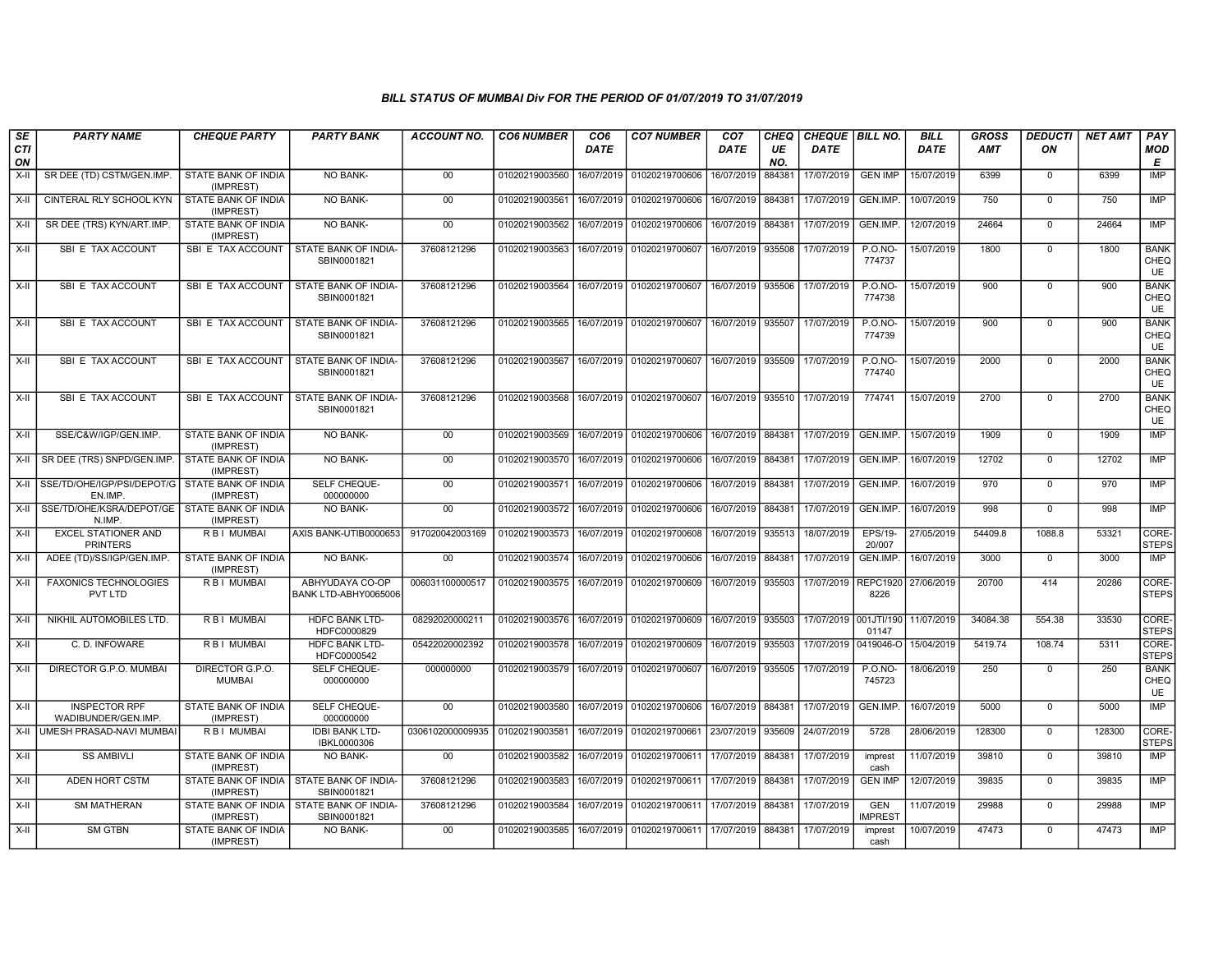| SE        | <b>PARTY NAME</b>                             | <b>CHEQUE PARTY</b>                                     | <b>PARTY BANK</b>                                         | ACCOUNT NO.      | <b>CO6 NUMBER</b> | CO6         | <b>CO7 NUMBER</b>                                 | CO <sub>7</sub>   | CHEQ      | <b>CHEQUE BILL NO.</b>       |                              | BILL        | <b>GROSS</b> | <b>DEDUCTI</b> | <b>NET AMT</b> | <b>PAY</b>                       |
|-----------|-----------------------------------------------|---------------------------------------------------------|-----------------------------------------------------------|------------------|-------------------|-------------|---------------------------------------------------|-------------------|-----------|------------------------------|------------------------------|-------------|--------------|----------------|----------------|----------------------------------|
| CTI<br>ON |                                               |                                                         |                                                           |                  |                   | <b>DATE</b> |                                                   | <b>DATE</b>       | UE<br>NO. | <b>DATE</b>                  |                              | <b>DATE</b> | <b>AMT</b>   | ON             |                | <b>MOD</b><br>E                  |
| $X-H$     | SR DEE (TD) CSTM/GEN.IMP.                     | STATE BANK OF INDIA<br>(IMPREST)                        | <b>NO BANK-</b>                                           | $00\,$           | 01020219003560    | 16/07/2019  | 01020219700606                                    | 16/07/2019        | 884381    | 17/07/2019                   | <b>GEN IMP</b>               | 15/07/2019  | 6399         | $\mathbf 0$    | 6399           | IMP                              |
| $X-I$     | CINTERAL RLY SCHOOL KYN                       | STATE BANK OF INDIA<br>(IMPREST)                        | <b>NO BANK-</b>                                           | 00               | 01020219003561    | 16/07/2019  | 01020219700606                                    | 16/07/2019        | 884381    | 17/07/2019                   | GEN.IMP.                     | 10/07/2019  | 750          | $\mathbf 0$    | 750            | <b>IMP</b>                       |
| $X-H$     | SR DEE (TRS) KYN/ART.IMP                      | STATE BANK OF INDIA<br>(IMPREST)                        | <b>NO BANK-</b>                                           | 00               | 01020219003562    | 16/07/2019  | 01020219700606                                    | 16/07/2019 884381 |           | 17/07/2019                   | GEN.IMP.                     | 12/07/2019  | 24664        | $\mathbf 0$    | 24664          | <b>IMP</b>                       |
| X-II      | SBI E TAX ACCOUNT                             | SBI E TAX ACCOUNT                                       | STATE BANK OF INDIA<br>SBIN0001821                        | 37608121296      | 01020219003563    | 16/07/2019  | 01020219700607                                    | 16/07/2019 935508 |           | 17/07/2019                   | <b>P.O.NO-</b><br>774737     | 15/07/2019  | 1800         | $\mathbf 0$    | 1800           | <b>BANK</b><br>CHEQ<br>UE        |
| $X-H$     | SBI E TAX ACCOUNT                             | SBI E TAX ACCOUNT                                       | STATE BANK OF INDIA-<br>SBIN0001821                       | 37608121296      | 01020219003564    | 16/07/2019  | 01020219700607                                    | 16/07/2019 935506 |           | 17/07/2019                   | <b>P.O.NO-</b><br>774738     | 15/07/2019  | 900          | $\Omega$       | 900            | <b>BANK</b><br>CHEQ<br><b>UE</b> |
| X-II      | SBI E TAX ACCOUNT                             | SBI E TAX ACCOUNT                                       | STATE BANK OF INDIA-<br>SBIN0001821                       | 37608121296      | 01020219003565    | 16/07/2019  | 01020219700607                                    | 16/07/2019 935507 |           | 17/07/2019                   | <b>P.O.NO-</b><br>774739     | 15/07/2019  | 900          | $\Omega$       | 900            | <b>BANK</b><br>CHEQ<br>UE        |
| X-II      | SBI E TAX ACCOUNT                             | SBI E TAX ACCOUNT                                       | STATE BANK OF INDIA-<br>SBIN0001821                       | 37608121296      | 01020219003567    | 16/07/2019  | 01020219700607                                    | 16/07/2019 935509 |           | 17/07/2019                   | <b>P.O.NO-</b><br>774740     | 15/07/2019  | 2000         | $\Omega$       | 2000           | <b>BANK</b><br>CHEQ<br><b>UE</b> |
| X-II      | SBI E TAX ACCOUNT                             | SBI E TAX ACCOUNT                                       | STATE BANK OF INDIA-<br>SBIN0001821                       | 37608121296      | 01020219003568    |             | 16/07/2019 01020219700607                         |                   |           | 16/07/2019 935510 17/07/2019 | 774741                       | 15/07/2019  | 2700         | $\mathbf 0$    | 2700           | <b>BANK</b><br>CHEQ<br>UE        |
| X-II      | SSE/C&W/IGP/GEN.IMP.                          | STATE BANK OF INDIA<br>(IMPREST)                        | NO BANK-                                                  | 00               | 01020219003569    |             | 16/07/2019   01020219700606   16/07/2019   884381 |                   |           | 17/07/2019                   | GEN.IMP.                     | 15/07/2019  | 1909         | $\mathbf 0$    | 1909           | <b>IMP</b>                       |
| X-II      | SR DEE (TRS) SNPD/GEN.IMP                     | STATE BANK OF INDIA<br>(IMPREST)                        | NO BANK-                                                  | 00               | 01020219003570    | 16/07/2019  | 01020219700606                                    | 16/07/2019        | 884381    | 17/07/2019                   | GEN.IMP.                     | 16/07/2019  | 12702        | $\mathbf 0$    | 12702          | IMP                              |
| X-II      | SSE/TD/OHE/IGP/PSI/DEPOT/G<br>EN.IMP.         | STATE BANK OF INDIA<br>(IMPREST)                        | SELF CHEQUE-<br>000000000                                 | 00               | 01020219003571    | 16/07/2019  | 01020219700606                                    | 16/07/2019 884381 |           | 17/07/2019                   | GEN.IMP.                     | 16/07/2019  | 970          | $\mathbf 0$    | 970            | <b>IMP</b>                       |
| X-II      | SSE/TD/OHE/KSRA/DEPOT/GE<br>N.IMP             | STATE BANK OF INDIA<br>(IMPREST)                        | <b>NO BANK-</b>                                           | 00               | 01020219003572    | 16/07/2019  | 01020219700606                                    | 16/07/2019        | 884381    | 17/07/2019                   | GEN.IMP.                     | 16/07/2019  | 998          | $\mathbf 0$    | 998            | <b>IMP</b>                       |
| $X-II$    | <b>EXCEL STATIONER AND</b><br><b>PRINTERS</b> | <b>RBI MUMBAI</b>                                       | AXIS BANK-UTIB0000653                                     | 917020042003169  | 01020219003573    | 16/07/2019  | 01020219700608                                    | 16/07/2019 935513 |           | 18/07/2019                   | <b>EPS/19-</b><br>20/007     | 27/05/2019  | 54409.8      | 1088.8         | 53321          | CORE-<br><b>STEPS</b>            |
| X-II      | ADEE (TD)/SS/IGP/GEN.IMP.                     | STATE BANK OF INDIA<br>(IMPREST)                        | NO BANK-                                                  | $00\,$           | 01020219003574    | 16/07/2019  | 01020219700606                                    | 16/07/2019        | 884381    | 17/07/2019                   | GEN.IMP.                     | 16/07/2019  | 3000         | $\mathbf 0$    | 3000           | IMP                              |
| X-II      | <b>FAXONICS TECHNOLOGIES</b><br>PVT LTD       | R B I MUMBAI                                            | ABHYUDAYA CO-OP<br>BANK LTD-ABHY0065006                   | 006031100000517  | 01020219003575    | 16/07/2019  | 01020219700609                                    | 16/07/2019 935503 |           | 17/07/2019                   | REPC1920<br>8226             | 27/06/2019  | 20700        | 414            | 20286          | CORE-<br><b>STEPS</b>            |
| X-II      | NIKHIL AUTOMOBILES LTD.                       | R B I MUMBAI                                            | <b>HDFC BANK LTD-</b><br>HDFC0000829                      | 08292020000211   | 01020219003576    | 16/07/2019  | 01020219700609                                    | 16/07/2019        | 935503    | 17/07/2019 001JTI/190        | 01147                        | 11/07/2019  | 34084.38     | 554.38         | 33530          | CORE-<br><b>STEPS</b>            |
| X-II      | C. D. INFOWARE                                | R B I MUMBAI                                            | <b>HDFC BANK LTD-</b><br>HDFC0000542                      | 05422020002392   | 01020219003578    | 16/07/2019  | 01020219700609                                    | 16/07/2019        | 935503    | 17/07/2019                   | 0419046-O                    | 15/04/2019  | 5419.74      | 108.74         | 5311           | CORE-<br><b>STEPS</b>            |
| $X-I$     | DIRECTOR G.P.O. MUMBAI                        | DIRECTOR G.P.O.<br><b>MUMBAI</b>                        | SELF CHEQUE-<br>000000000                                 | 000000000        | 01020219003579    | 16/07/2019  | 01020219700607                                    | 16/07/2019        | 935505    | 17/07/2019                   | <b>P.O.NO-</b><br>745723     | 18/06/2019  | 250          | $\mathbf 0$    | 250            | <b>BANK</b><br>CHEQ<br><b>UE</b> |
| X-II      | <b>INSPECTOR RPF</b><br>WADIBUNDER/GEN.IMP.   | STATE BANK OF INDIA<br>(IMPREST)                        | SELF CHEQUE-<br>000000000                                 | $00\,$           | 01020219003580    | 16/07/2019  | 01020219700606                                    | 16/07/2019 884381 |           | 17/07/2019                   | GEN.IMP.                     | 16/07/2019  | 5000         | $\mathbf 0$    | 5000           | IMP                              |
| X-II      | UMESH PRASAD-NAVI MUMBAI                      | R B I MUMBAI                                            | <b>IDBI BANK LTD-</b><br>IBKL0000306                      | 0306102000009935 | 01020219003581    | 16/07/2019  | 01020219700661 23/07/2019                         |                   | 935609    | 24/07/2019                   | 5728                         | 28/06/2019  | 128300       | $\overline{0}$ | 128300         | CORE-<br><b>STEPS</b>            |
| X-II      | <b>SS AMBIVLI</b>                             | STATE BANK OF INDIA<br>(IMPREST)                        | NO BANK-                                                  | $00\,$           | 01020219003582    | 16/07/2019  | 01020219700611                                    | 17/07/2019        | 884381    | 17/07/2019                   | imprest<br>cash              | 11/07/2019  | 39810        | $\mathbf 0$    | 39810          | <b>IMP</b>                       |
| X-II      | <b>ADEN HORT CSTM</b>                         | STATE BANK OF INDIA I STATE BANK OF INDIA-<br>(IMPREST) | SBIN0001821                                               | 37608121296      | 01020219003583    | 16/07/2019  | 01020219700611 17/07/2019                         |                   | 884381    | 17/07/2019                   | <b>GEN IMP</b>               | 12/07/2019  | 39835        | $\mathbf 0$    | 39835          | IMP                              |
| X-II      | <b>SM MATHERAN</b>                            | (IMPREST)                                               | STATE BANK OF INDIA I STATE BANK OF INDIA-<br>SBIN0001821 | 37608121296      | 01020219003584    | 16/07/2019  | 01020219700611 17/07/2019                         |                   | 884381    | 17/07/2019                   | <b>GEN</b><br><b>IMPREST</b> | 11/07/2019  | 29988        | $\mathbf 0$    | 29988          | <b>IMP</b>                       |
| $X-II$    | <b>SM GTBN</b>                                | STATE BANK OF INDIA<br>(IMPREST)                        | NO BANK-                                                  | 00               | 01020219003585    | 16/07/2019  | 01020219700611 17/07/2019                         |                   | 884381    | 17/07/2019                   | imprest<br>cash              | 10/07/2019  | 47473        | $\mathbf 0$    | 47473          | IMP                              |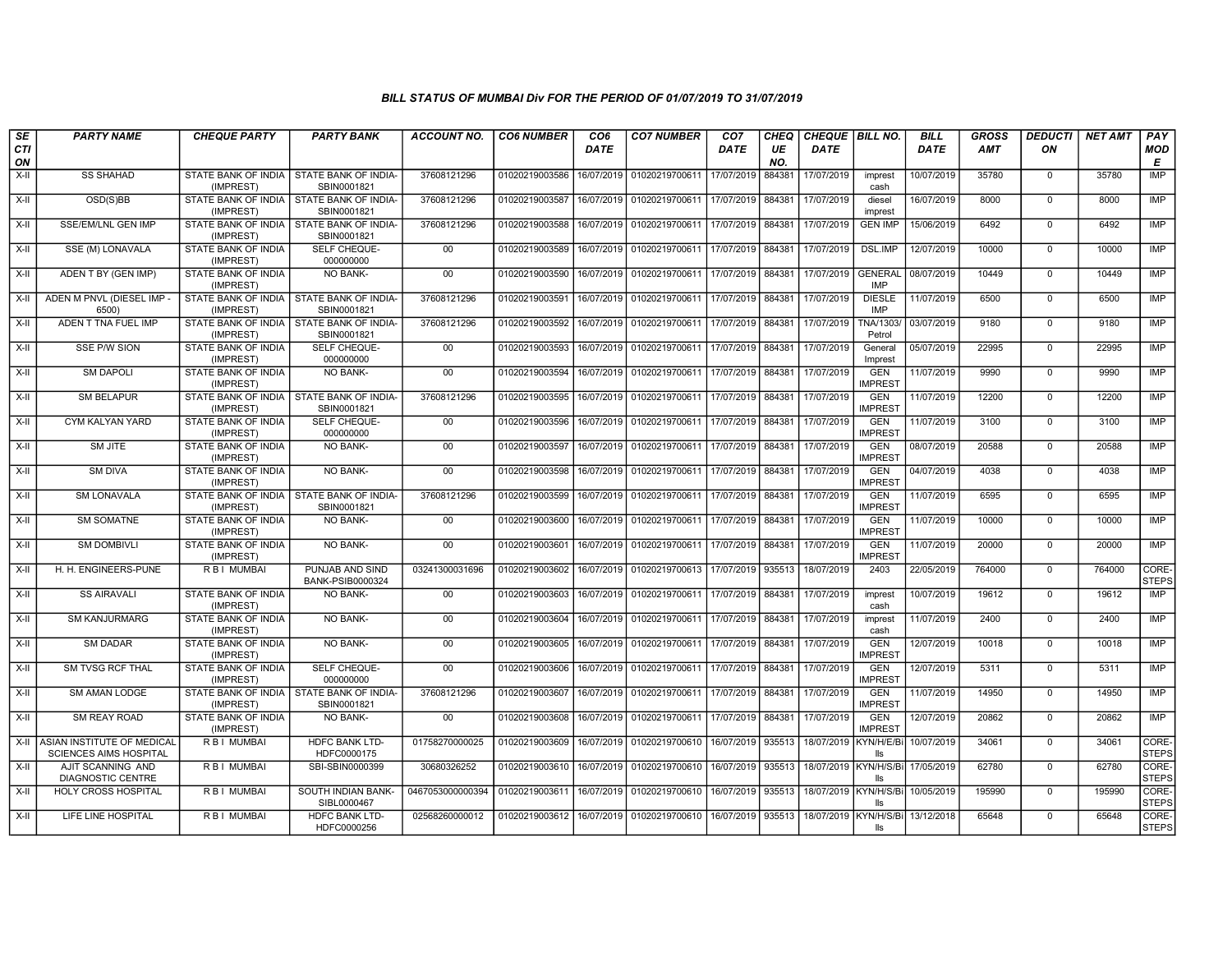| SE               | <b>PARTY NAME</b>                                                | <b>CHEQUE PARTY</b>                                     | <b>PARTY BANK</b>                                         | ACCOUNT NO.      | <b>CO6 NUMBER</b> | CO <sub>6</sub> | <b>CO7 NUMBER</b>                                                                            | CO <sub>7</sub>   | CHEQ      | CHEQUE   BILL NO.     |                              | <b>BILL</b> | <b>GROSS</b> | <i><b>DEDUCTI</b></i> | NET AMT | <b>PAY</b>            |
|------------------|------------------------------------------------------------------|---------------------------------------------------------|-----------------------------------------------------------|------------------|-------------------|-----------------|----------------------------------------------------------------------------------------------|-------------------|-----------|-----------------------|------------------------------|-------------|--------------|-----------------------|---------|-----------------------|
| <b>CTI</b><br>ON |                                                                  |                                                         |                                                           |                  |                   | <b>DATE</b>     |                                                                                              | DATE              | UE<br>NO. | <b>DATE</b>           |                              | <b>DATE</b> | <b>AMT</b>   | ON                    |         | <b>MOD</b><br>E       |
| $X-H$            | <b>SS SHAHAD</b>                                                 | STATE BANK OF INDIA   STATE BANK OF INDIA-<br>(IMPREST) | SBIN0001821                                               | 37608121296      | 01020219003586    | 16/07/2019      | 01020219700611                                                                               | 17/07/2019        | 884381    | 17/07/2019            | imprest<br>cash              | 10/07/2019  | 35780        | $\mathbf 0$           | 35780   | <b>IMP</b>            |
| X-II             | OSD(S)BB                                                         | (IMPREST)                                               | STATE BANK OF INDIA   STATE BANK OF INDIA-<br>SBIN0001821 | 37608121296      | 01020219003587    | 16/07/2019      | 01020219700611 17/07/2019 884381                                                             |                   |           | 17/07/2019            | diesel<br>imprest            | 16/07/2019  | 8000         | $\mathbf 0$           | 8000    | <b>IMP</b>            |
| $X-II$           | SSE/EM/LNL GEN IMP                                               | (IMPREST)                                               | STATE BANK OF INDIA STATE BANK OF INDIA-<br>SBIN0001821   | 37608121296      | 01020219003588    | 16/07/2019      | 01020219700611                                                                               | 17/07/2019 884381 |           | 17/07/2019            | <b>GEN IMP</b>               | 15/06/2019  | 6492         | $\Omega$              | 6492    | IMP                   |
| X-II             | SSE (M) LONAVALA                                                 | STATE BANK OF INDIA<br>(IMPREST)                        | SELF CHEQUE-<br>000000000                                 | 00               | 01020219003589    | 16/07/2019      | 01020219700611 17/07/2019                                                                    |                   | 884381    | 17/07/2019            | DSL.IMP                      | 12/07/2019  | 10000        | $\mathbf 0$           | 10000   | <b>IMP</b>            |
| $X-H$            | ADEN T BY (GEN IMP)                                              | <b>STATE BANK OF INDIA</b><br>(IMPREST)                 | <b>NO BANK-</b>                                           | 00               | 01020219003590    | 16/07/2019      | 01020219700611 17/07/2019 884381                                                             |                   |           | 17/07/2019            | <b>GENERAL</b><br><b>IMP</b> | 08/07/2019  | 10449        | $\mathbf 0$           | 10449   | <b>IMP</b>            |
| X-II             | ADEN M PNVL (DIESEL IMP<br>6500)                                 | STATE BANK OF INDIA I STATE BANK OF INDIA-<br>(IMPREST) | SBIN0001821                                               | 37608121296      | 01020219003591    | 16/07/2019      | 01020219700611 17/07/2019 884381                                                             |                   |           | 17/07/2019            | <b>DIESLE</b><br>IMP         | 11/07/2019  | 6500         | $^{\circ}$            | 6500    | IMP                   |
| X-II             | ADEN T TNA FUEL IMP                                              | STATE BANK OF INDIA I STATE BANK OF INDIA-<br>(IMPREST) | SBIN0001821                                               | 37608121296      | 01020219003592    | 16/07/2019      | 01020219700611 17/07/2019                                                                    |                   | 884381    | 17/07/2019            | TNA/1303<br>Petrol           | 03/07/2019  | 9180         | $\mathbf 0$           | 9180    | IMP                   |
| $X-H$            | SSE P/W SION                                                     | STATE BANK OF INDIA<br>(IMPREST)                        | SELF CHEQUE-<br>000000000                                 | 00               | 01020219003593    | 16/07/2019      | 01020219700611                                                                               | 17/07/2019 884381 |           | 17/07/2019            | General<br>Imprest           | 05/07/2019  | 22995        | $\mathbf 0$           | 22995   | <b>IMP</b>            |
| $X-H$            | <b>SM DAPOLI</b>                                                 | STATE BANK OF INDIA<br>(IMPREST)                        | <b>NO BANK-</b>                                           | 00               | 01020219003594    | 16/07/2019      | 01020219700611 17/07/2019 884381                                                             |                   |           | 17/07/2019            | <b>GEN</b><br><b>IMPREST</b> | 11/07/2019  | 9990         | $\mathbf 0$           | 9990    | <b>IMP</b>            |
| $X-H$            | <b>SM BELAPUR</b>                                                | (IMPREST)                                               | STATE BANK OF INDIA   STATE BANK OF INDIA-<br>SBIN0001821 | 37608121296      | 01020219003595    | 16/07/2019      | 01020219700611 17/07/2019 884381                                                             |                   |           | 17/07/2019            | <b>GEN</b><br><b>IMPREST</b> | 11/07/2019  | 12200        | $\mathbf 0$           | 12200   | <b>IMP</b>            |
| X-II             | CYM KALYAN YARD                                                  | STATE BANK OF INDIA<br>(IMPREST)                        | <b>SELF CHEQUE-</b><br>000000000                          | $00\,$           | 01020219003596    | 16/07/2019      | 01020219700611 17/07/2019                                                                    |                   | 884381    | 17/07/2019            | <b>GEN</b><br><b>IMPREST</b> | 11/07/2019  | 3100         | $\Omega$              | 3100    | IMP                   |
| $X-H$            | <b>SM JITE</b>                                                   | STATE BANK OF INDIA<br>(IMPREST)                        | <b>NO BANK-</b>                                           | 00               | 01020219003597    | 16/07/2019      | 01020219700611 17/07/2019 884381                                                             |                   |           | 17/07/2019            | <b>GEN</b><br><b>IMPREST</b> | 08/07/2019  | 20588        | $\mathbf 0$           | 20588   | <b>IMP</b>            |
| X-II             | <b>SM DIVA</b>                                                   | STATE BANK OF INDIA<br>(IMPREST)                        | <b>NO BANK-</b>                                           | 00               | 01020219003598    | 16/07/2019      | 01020219700611 17/07/2019 884381                                                             |                   |           | 17/07/2019            | <b>GEN</b><br><b>IMPREST</b> | 04/07/2019  | 4038         | $\Omega$              | 4038    | <b>IMP</b>            |
| X-II             | <b>SM LONAVALA</b>                                               | STATE BANK OF INDIA   STATE BANK OF INDIA-<br>(IMPREST) | SBIN0001821                                               | 37608121296      | 01020219003599    | 16/07/2019      | 01020219700611 17/07/2019 884381                                                             |                   |           | 17/07/2019            | <b>GEN</b><br><b>IMPREST</b> | 11/07/2019  | 6595         | $\mathbf 0$           | 6595    | <b>IMP</b>            |
| $X-I$            | <b>SM SOMATNE</b>                                                | STATE BANK OF INDIA<br>(IMPREST)                        | <b>NO BANK-</b>                                           | 00               | 01020219003600    | 16/07/2019      | 01020219700611                                                                               | 17/07/2019 884381 |           | 17/07/2019            | <b>GEN</b><br><b>IMPREST</b> | 11/07/2019  | 10000        | $\Omega$              | 10000   | IMP                   |
| X-II             | <b>SM DOMBIVLI</b>                                               | STATE BANK OF INDIA<br>(IMPREST)                        | NO BANK-                                                  | 00               | 01020219003601    | 16/07/2019      | 01020219700611 17/07/2019                                                                    |                   | 884381    | 17/07/2019            | <b>GEN</b><br><b>IMPREST</b> | 11/07/2019  | 20000        | $\mathbf 0$           | 20000   | <b>IMP</b>            |
| $X-H$            | H. H. ENGINEERS-PUNE                                             | <b>RBI MUMBAI</b>                                       | PUNJAB AND SIND<br>BANK-PSIB0000324                       | 03241300031696   | 01020219003602    | 16/07/2019      | 01020219700613 17/07/2019                                                                    |                   | 935513    | 18/07/2019            | 2403                         | 22/05/2019  | 764000       | $\Omega$              | 764000  | CORE-<br><b>STEPS</b> |
| X-II             | <b>SS AIRAVALI</b>                                               | STATE BANK OF INDIA<br>(IMPREST)                        | NO BANK-                                                  | 00               | 01020219003603    | 16/07/2019      | 01020219700611 17/07/2019 884381                                                             |                   |           | 17/07/2019            | imprest<br>cash              | 10/07/2019  | 19612        | $\mathbf 0$           | 19612   | IMP                   |
| X-II             | <b>SM KANJURMARG</b>                                             | STATE BANK OF INDIA<br>(IMPREST)                        | <b>NO BANK-</b>                                           | $00\,$           | 01020219003604    | 16/07/2019      | 01020219700611                                                                               | 17/07/2019 884381 |           | 17/07/2019            | imprest<br>cash              | 11/07/2019  | 2400         | $\Omega$              | 2400    | IMP                   |
| X-II             | <b>SM DADAR</b>                                                  | STATE BANK OF INDIA<br>(IMPREST)                        | NO BANK-                                                  | 00 <sup>°</sup>  | 01020219003605    | 16/07/2019      | 01020219700611 17/07/2019 884381                                                             |                   |           | 17/07/2019            | <b>GEN</b><br><b>IMPREST</b> | 12/07/2019  | 10018        | $\mathbf 0$           | 10018   | IMP                   |
| $X-II$           | <b>SM TVSG RCF THAL</b>                                          | <b>STATE BANK OF INDIA</b><br>(IMPREST)                 | SELF CHEQUE-<br>000000000                                 | 00               | 01020219003606    | 16/07/2019      | 01020219700611 17/07/2019                                                                    |                   | 884381    | 17/07/2019            | <b>GEN</b><br><b>IMPREST</b> | 12/07/2019  | 5311         | $\mathbf 0$           | 5311    | <b>IMP</b>            |
| X-II             | <b>SM AMAN LODGE</b>                                             | STATE BANK OF INDIA I STATE BANK OF INDIA-<br>(IMPREST) | SBIN0001821                                               | 37608121296      | 01020219003607    | 16/07/2019      | 01020219700611 17/07/2019 884381                                                             |                   |           | 17/07/2019            | <b>GEN</b><br><b>IMPREST</b> | 11/07/2019  | 14950        | $\mathbf 0$           | 14950   | <b>IMP</b>            |
| X-II             | SM REAY ROAD                                                     | STATE BANK OF INDIA<br>(IMPREST)                        | NO BANK-                                                  | 00               | 01020219003608    | 16/07/2019      | 01020219700611                                                                               | 17/07/2019        | 884381    | 17/07/2019            | <b>GEN</b><br><b>IMPREST</b> | 12/07/2019  | 20862        | $\mathbf 0$           | 20862   | <b>IMP</b>            |
|                  | X-II ASIAN INSTITUTE OF MEDICAL<br><b>SCIENCES AIMS HOSPITAL</b> | <b>RBI MUMBAI</b>                                       | <b>HDFC BANK LTD-</b><br>HDFC0000175                      | 01758270000025   | 01020219003609    | 16/07/2019      | 01020219700610                                                                               | 16/07/2019        | 935513    | 18/07/2019 KYN/H/E/Bi | lls                          | 10/07/2019  | 34061        | $\mathbf 0$           | 34061   | CORE-<br><b>STEPS</b> |
| $X-H$            | AJIT SCANNING AND<br><b>DIAGNOSTIC CENTRE</b>                    | <b>RBI MUMBAI</b>                                       | SBI-SBIN0000399                                           | 30680326252      | 01020219003610    | 16/07/2019      | 01020219700610                                                                               | 16/07/2019 935513 |           | 18/07/2019 KYN/H/S/Bi | $\mathsf{lls}$               | 17/05/2019  | 62780        | $\Omega$              | 62780   | CORE-<br><b>STEPS</b> |
| X-II             | <b>HOLY CROSS HOSPITAL</b>                                       | R B I MUMBAI                                            | SOUTH INDIAN BANK-<br>SIBL0000467                         | 0467053000000394 | 01020219003611    | 16/07/2019      | 01020219700610 16/07/2019 935513                                                             |                   |           | 18/07/2019 KYN/H/S/Bi | lls                          | 10/05/2019  | 195990       | $\mathbf 0$           | 195990  | CORE-<br><b>STEPS</b> |
| X-II             | LIFE LINE HOSPITAL                                               | R B I MUMBAI                                            | <b>HDFC BANK LTD-</b><br>HDFC0000256                      | 02568260000012   |                   |                 | 01020219003612   16/07/2019   01020219700610   16/07/2019   935513   18/07/2019   KYN/H/S/Bi |                   |           |                       |                              | 13/12/2018  | 65648        | $\Omega$              | 65648   | CORE-<br><b>STEPS</b> |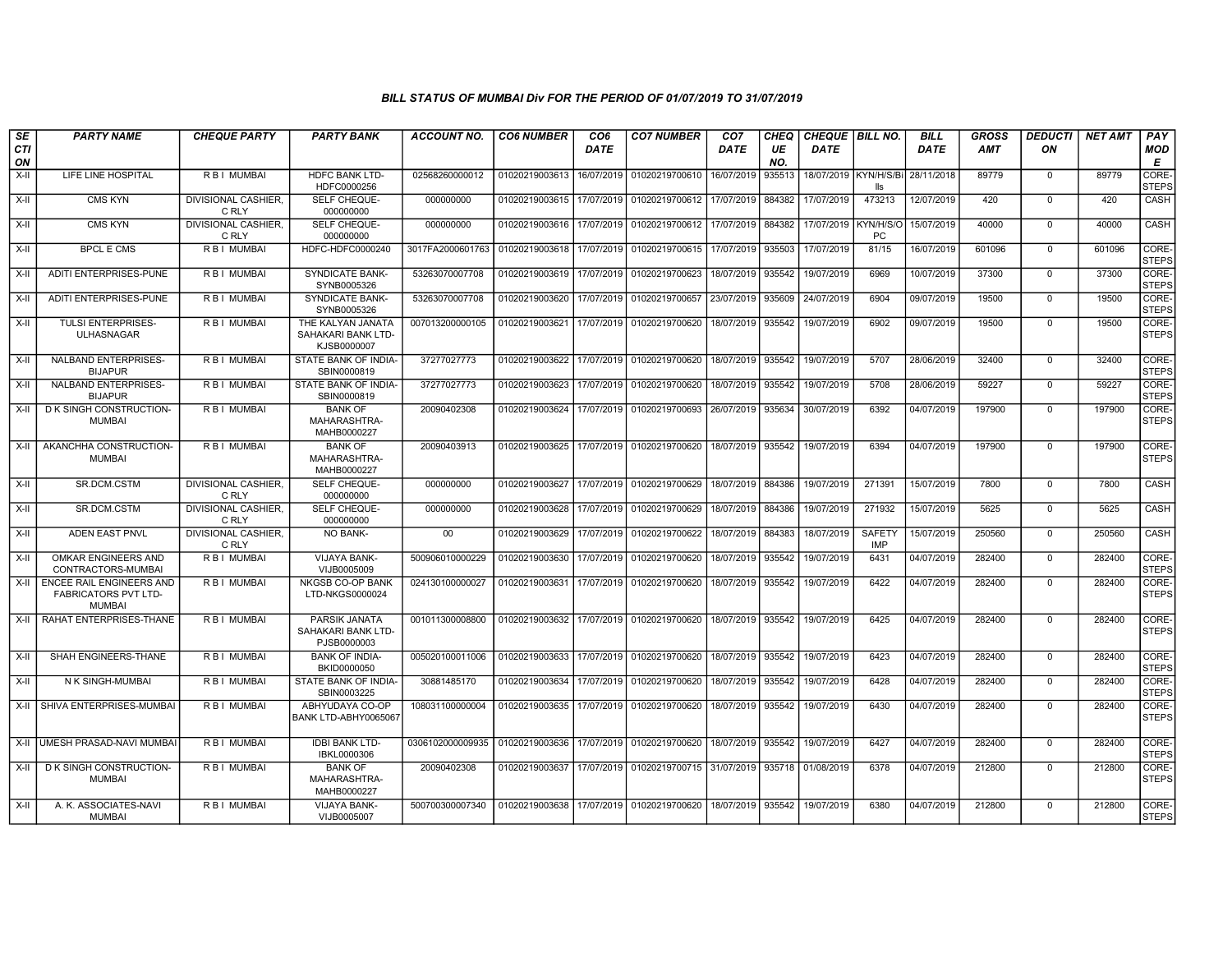| <b>SE</b>        | <b>PARTY NAME</b>                                                               | <b>CHEQUE PARTY</b>                 | <b>PARTY BANK</b>                                      | <b>ACCOUNT NO.</b> | <b>CO6 NUMBER</b>                        | CO <sub>6</sub> | <b>CO7 NUMBER</b>         | CO <sub>7</sub> | CHEQ      | CHEQUE BILL NO.       |                             | <b>BILL</b> | <b>GROSS</b> | <b>DEDUCTI</b> | <b>NET AMT</b> | PAY                   |
|------------------|---------------------------------------------------------------------------------|-------------------------------------|--------------------------------------------------------|--------------------|------------------------------------------|-----------------|---------------------------|-----------------|-----------|-----------------------|-----------------------------|-------------|--------------|----------------|----------------|-----------------------|
| <b>CTI</b><br>ON |                                                                                 |                                     |                                                        |                    |                                          | <b>DATE</b>     |                           | DATE            | UE<br>NO. | <b>DATE</b>           |                             | <b>DATE</b> | <b>AMT</b>   | ON             |                | MOD<br>E              |
| $X-H$            | LIFE LINE HOSPITAL                                                              | R B I MUMBAI                        | <b>HDFC BANK LTD-</b><br>HDFC0000256                   | 02568260000012     | 01020219003613                           | 16/07/2019      | 01020219700610            | 16/07/2019      | 935513    | 18/07/2019 KYN/H/S/Bi | lle                         | 28/11/2018  | 89779        | $\mathbf{0}$   | 89779          | CORE-<br><b>STEPS</b> |
| $X-H$            | <b>CMS KYN</b>                                                                  | <b>DIVISIONAL CASHIER.</b><br>C RLY | SELF CHEQUE-<br>000000000                              | 000000000          | 01020219003615                           | 17/07/2019      | 01020219700612            | 17/07/2019      | 884382    | 17/07/2019            | 473213                      | 12/07/2019  | 420          | $\mathbf 0$    | 420            | CASH                  |
| X-II             | <b>CMS KYN</b>                                                                  | <b>DIVISIONAL CASHIER,</b><br>C RLY | SELF CHEQUE-<br>000000000                              | 000000000          | 01020219003616                           | 17/07/2019      | 01020219700612            | 17/07/2019      | 884382    | 17/07/2019            | KYN/H/S/C<br><b>PC</b>      | 15/07/2019  | 40000        | $\Omega$       | 40000          | CASH                  |
| $X-II$           | <b>BPCL E CMS</b>                                                               | R B I MUMBAI                        | HDFC-HDFC0000240                                       | 3017FA2000601763   | 01020219003618 17/07/2019                |                 | 01020219700615            | 17/07/2019      | 935503    | 17/07/2019            | 81/15                       | 16/07/2019  | 601096       | $\mathbf 0$    | 601096         | CORE-<br><b>STEPS</b> |
| X-II             | ADITI ENTERPRISES-PUNE                                                          | <b>RBI MUMBAI</b>                   | <b>SYNDICATE BANK-</b><br>SYNB0005326                  | 53263070007708     | 01020219003619                           | 17/07/2019      | 01020219700623            | 18/07/2019      | 935542    | 19/07/2019            | 6969                        | 10/07/2019  | 37300        | $\Omega$       | 37300          | CORE-<br><b>STEPS</b> |
| $X-H$            | ADITI ENTERPRISES-PUNE                                                          | <b>RBI MUMBAI</b>                   | <b>SYNDICATE BANK-</b><br>SYNB0005326                  | 53263070007708     | 01020219003620                           | 17/07/2019      | 01020219700657            | 23/07/2019      | 935609    | 24/07/2019            | 6904                        | 09/07/2019  | 19500        | $\Omega$       | 19500          | CORE-<br><b>STEPS</b> |
| X-II             | <b>TULSI ENTERPRISES-</b><br><b>ULHASNAGAR</b>                                  | R B I MUMBAI                        | THE KALYAN JANATA<br>SAHAKARI BANK LTD-<br>KJSB0000007 | 007013200000105    | 01020219003621                           | 17/07/2019      | 01020219700620            | 18/07/2019      | 935542    | 19/07/2019            | 6902                        | 09/07/2019  | 19500        | $\mathbf 0$    | 19500          | CORE-<br><b>STEPS</b> |
| $X-H$            | <b>NALBAND ENTERPRISES-</b><br><b>BIJAPUR</b>                                   | R B I MUMBAI                        | STATE BANK OF INDIA-<br>SBIN0000819                    | 37277027773        | 01020219003622                           | 17/07/2019      | 01020219700620            | 18/07/2019      | 935542    | 19/07/2019            | 5707                        | 28/06/2019  | 32400        | $\mathbf 0$    | 32400          | CORE-<br><b>STEPS</b> |
| $X-II$           | NALBAND ENTERPRISES-<br><b>BIJAPUR</b>                                          | R B I MUMBAI                        | STATE BANK OF INDIA-<br>SBIN0000819                    | 37277027773        | 01020219003623                           | 17/07/2019      | 01020219700620            | 18/07/2019      | 935542    | 19/07/2019            | 5708                        | 28/06/2019  | 59227        | $\mathbf 0$    | 59227          | CORE-<br><b>STEPS</b> |
| $X-H$            | D K SINGH CONSTRUCTION-<br><b>MUMBAI</b>                                        | R B I MUMBAI                        | <b>BANK OF</b><br>MAHARASHTRA-<br>MAHB0000227          | 20090402308        | 01020219003624                           | 17/07/2019      | 01020219700693            | 26/07/2019      | 935634    | 30/07/2019            | 6392                        | 04/07/2019  | 197900       | $\Omega$       | 197900         | CORE-<br><b>STEPS</b> |
| $X-H$            | AKANCHHA CONSTRUCTION-<br><b>MUMBAI</b>                                         | R B I MUMBAI                        | <b>BANK OF</b><br>MAHARASHTRA-<br>MAHB0000227          | 20090403913        | 01020219003625                           |                 | 17/07/2019 01020219700620 | 18/07/2019      | 935542    | 19/07/2019            | 6394                        | 04/07/2019  | 197900       | $\Omega$       | 197900         | CORE-<br><b>STEPS</b> |
| $X-H$            | SR.DCM.CSTM                                                                     | <b>DIVISIONAL CASHIER.</b><br>C RLY | SELF CHEQUE-<br>000000000                              | 000000000          | 01020219003627                           |                 | 17/07/2019 01020219700629 | 18/07/2019      | 884386    | 19/07/2019            | 271391                      | 15/07/2019  | 7800         | $\mathbf{0}$   | 7800           | <b>CASH</b>           |
| X-II             | SR.DCM.CSTM                                                                     | DIVISIONAL CASHIER.<br>C RLY        | SELF CHEQUE-<br>000000000                              | 000000000          | 01020219003628                           | 17/07/2019      | 01020219700629            | 18/07/2019      | 884386    | 19/07/2019            | 271932                      | 15/07/2019  | 5625         | $\mathbf 0$    | 5625           | CASH                  |
| X-II             | ADEN EAST PNVL                                                                  | DIVISIONAL CASHIER,<br>C RLY        | NO BANK-                                               | 00                 | 01020219003629                           | 17/07/2019      | 01020219700622            | 18/07/2019      | 884383    | 18/07/2019            | <b>SAFETY</b><br><b>IMP</b> | 15/07/2019  | 250560       | $\mathbf{0}$   | 250560         | CASH                  |
| $X-II$           | OMKAR ENGINEERS AND<br>CONTRACTORS-MUMBAI                                       | <b>RBI MUMBAI</b>                   | <b>VIJAYA BANK-</b><br>VIJB0005009                     | 500906010000229    | 01020219003630                           | 17/07/2019      | 01020219700620            | 18/07/2019      | 935542    | 19/07/2019            | 6431                        | 04/07/2019  | 282400       | $\Omega$       | 282400         | CORE-<br><b>STEPS</b> |
| X-II             | <b>ENCEE RAIL ENGINEERS AND</b><br><b>FABRICATORS PVT LTD-</b><br><b>MUMBAI</b> | R B I MUMBAI                        | <b>NKGSB CO-OP BANK</b><br>LTD-NKGS0000024             | 024130100000027    | 01020219003631                           | 17/07/2019      | 01020219700620            | 18/07/2019      | 935542    | 19/07/2019            | 6422                        | 04/07/2019  | 282400       | $\mathbf 0$    | 282400         | CORE-<br><b>STEPS</b> |
| X-II             | RAHAT ENTERPRISES-THANE                                                         | R B I MUMBAI                        | PARSIK JANATA<br>SAHAKARI BANK LTD-<br>PJSB0000003     | 001011300008800    | 01020219003632                           |                 | 17/07/2019 01020219700620 | 18/07/2019      | 935542    | 19/07/2019            | 6425                        | 04/07/2019  | 282400       | $\mathbf 0$    | 282400         | CORE-<br><b>STEPS</b> |
| X-II             | SHAH ENGINEERS-THANE                                                            | R B I MUMBAI                        | <b>BANK OF INDIA-</b><br>BKID0000050                   | 005020100011006    | 01020219003633                           | 17/07/2019      | 01020219700620            | 18/07/2019      | 935542    | 19/07/2019            | 6423                        | 04/07/2019  | 282400       | $\mathbf 0$    | 282400         | CORE-<br><b>STEPS</b> |
| X-II             | N K SINGH-MUMBAI                                                                | R B I MUMBAI                        | STATE BANK OF INDIA-<br>SBIN0003225                    | 30881485170        | 01020219003634                           | 17/07/2019      | 01020219700620            | 18/07/2019      | 935542    | 19/07/2019            | 6428                        | 04/07/2019  | 282400       | $\mathbf 0$    | 282400         | CORE-<br><b>STEPS</b> |
| $X-H$            | SHIVA ENTERPRISES-MUMBAI                                                        | <b>RBI MUMBAI</b>                   | ABHYUDAYA CO-OP<br>BANK LTD-ABHY0065067                | 108031100000004    | 01020219003635                           | 17/07/2019      | 01020219700620            | 18/07/2019      | 935542    | 19/07/2019            | 6430                        | 04/07/2019  | 282400       | $\mathbf 0$    | 282400         | CORE-<br><b>STEPS</b> |
| $X-H$            | UMESH PRASAD-NAVI MUMBAI                                                        | R B I MUMBAI                        | <b>IDBI BANK LTD-</b><br>IBKL0000306                   | 0306102000009935   | 01020219003636                           | 17/07/2019      | 01020219700620            | 18/07/2019      | 935542    | 19/07/2019            | 6427                        | 04/07/2019  | 282400       | $\mathbf 0$    | 282400         | CORE-<br><b>STEPS</b> |
| X-II             | D K SINGH CONSTRUCTION-<br><b>MUMBAI</b>                                        | R B I MUMBAI                        | <b>BANK OF</b><br>MAHARASHTRA-<br>MAHB0000227          | 20090402308        | 01020219003637                           |                 | 17/07/2019 01020219700715 | 31/07/2019      | 935718    | 01/08/2019            | 6378                        | 04/07/2019  | 212800       | $\mathbf{0}$   | 212800         | CORE-<br><b>STEPS</b> |
| X-II             | A. K. ASSOCIATES-NAVI<br><b>MUMBAI</b>                                          | R B I MUMBAI                        | VIJAYA BANK-<br>VIJB0005007                            | 500700300007340    | 01020219003638 17/07/2019 01020219700620 |                 |                           | 18/07/2019      | 935542    | 19/07/2019            | 6380                        | 04/07/2019  | 212800       | $\mathbf{0}$   | 212800         | CORE-<br><b>STEPS</b> |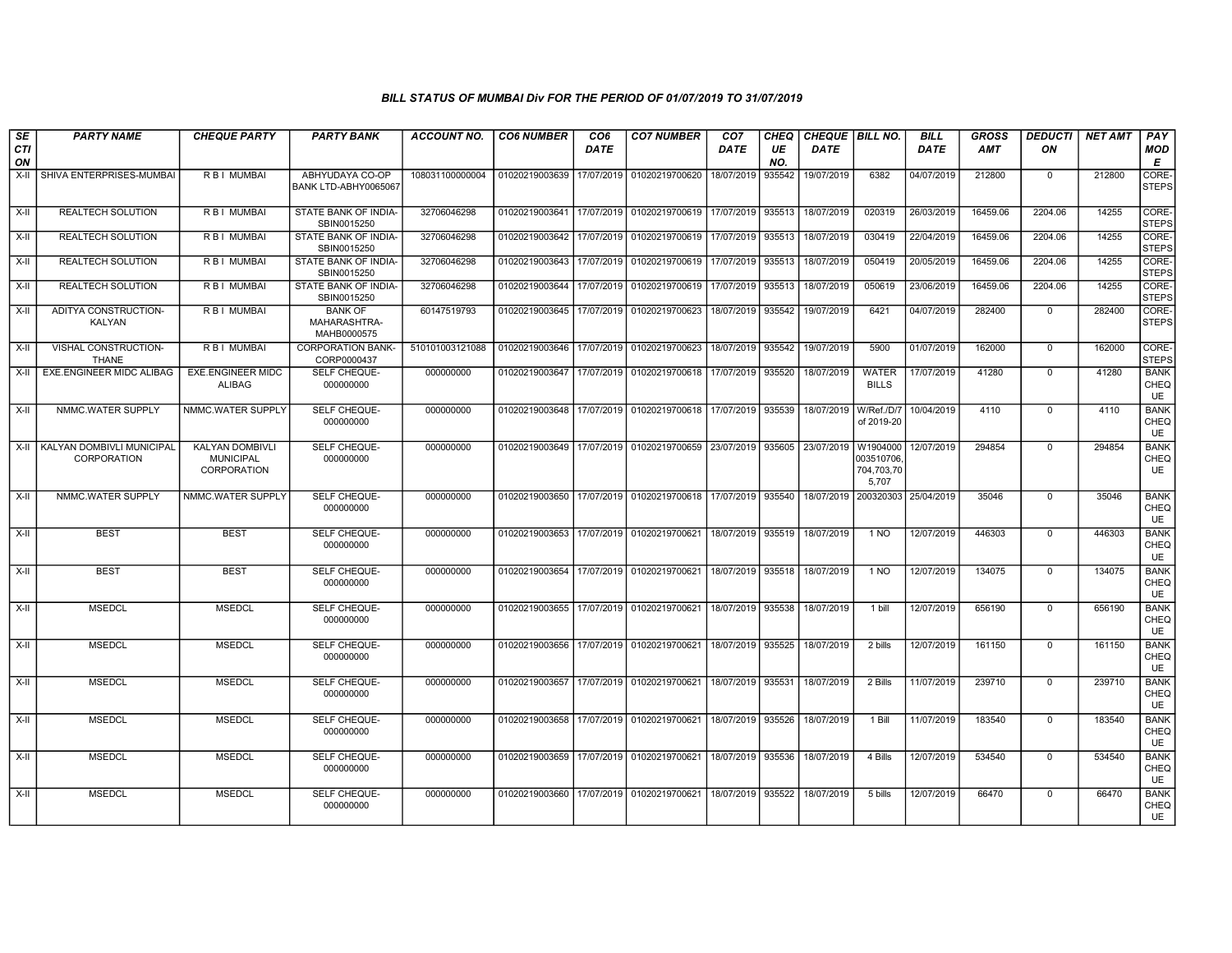| SE<br><b>CTI</b> | <b>PARTY NAME</b>                             | <b>CHEQUE PARTY</b>                                      | <b>PARTY BANK</b>                             | <b>ACCOUNT NO.</b> | <b>CO6 NUMBER</b> | CO <sub>6</sub><br>DATE | <b>CO7 NUMBER</b>                                 | CO <sub>7</sub><br><b>DATE</b> | CHEQ<br>UE    | <b>CHEQUE   BILL NO.</b><br><b>DATE</b> |                                              | <b>BILL</b><br><b>DATE</b> | <b>GROSS</b><br><b>AMT</b> | <b>DEDUCTI</b><br>ON | <b>NET AMT</b> | <b>PAY</b><br>MOD                |
|------------------|-----------------------------------------------|----------------------------------------------------------|-----------------------------------------------|--------------------|-------------------|-------------------------|---------------------------------------------------|--------------------------------|---------------|-----------------------------------------|----------------------------------------------|----------------------------|----------------------------|----------------------|----------------|----------------------------------|
| ON<br>X-II       | SHIVA ENTERPRISES-MUMBAI                      | <b>RBI MUMBAI</b>                                        | ABHYUDAYA CO-OP<br>BANK LTD-ABHY0065067       | 108031100000004    | 01020219003639    | 17/07/2019              | 01020219700620                                    | 18/07/2019                     | NO.<br>935542 | 19/07/2019                              | 6382                                         | 04/07/2019                 | 212800                     | 0                    | 212800         | Е<br>CORE-<br><b>STEPS</b>       |
| X-II             | <b>REALTECH SOLUTION</b>                      | <b>RBI MUMBAI</b>                                        | STATE BANK OF INDIA-<br>SBIN0015250           | 32706046298        | 01020219003641    | 17/07/2019              | 01020219700619                                    | 17/07/2019                     | 935513        | 18/07/2019                              | 020319                                       | 26/03/2019                 | 16459.06                   | 2204.06              | 14255          | CORE-<br><b>STEPS</b>            |
| X-II             | <b>REALTECH SOLUTION</b>                      | R B I MUMBAI                                             | STATE BANK OF INDIA-<br>SBIN0015250           | 32706046298        | 01020219003642    | 17/07/2019              | 01020219700619                                    | 17/07/2019                     | 935513        | 18/07/2019                              | 030419                                       | 22/04/2019                 | 16459.06                   | 2204.06              | 14255          | CORE-<br><b>STEPS</b>            |
| X-II             | <b>REALTECH SOLUTION</b>                      | R B I MUMBAI                                             | STATE BANK OF INDIA-<br>SBIN0015250           | 32706046298        | 01020219003643    | 17/07/2019              | 01020219700619                                    | 17/07/2019                     | 935513        | 18/07/2019                              | 050419                                       | 20/05/2019                 | 16459.06                   | 2204.06              | 14255          | CORE-<br><b>STEPS</b>            |
| X-II             | <b>REALTECH SOLUTION</b>                      | R B I MUMBAI                                             | STATE BANK OF INDIA-<br>SBIN0015250           | 32706046298        | 01020219003644    | 17/07/2019              | 01020219700619                                    | 17/07/2019                     | 935513        | 18/07/2019                              | 050619                                       | 23/06/2019                 | 16459.06                   | 2204.06              | 14255          | CORE-<br><b>STEPS</b>            |
| X-II             | ADITYA CONSTRUCTION-<br>KALYAN                | R B I MUMBAI                                             | <b>BANK OF</b><br>MAHARASHTRA-<br>MAHB0000575 | 60147519793        | 01020219003645    | 17/07/2019              | 01020219700623                                    | 18/07/2019                     | 935542        | 19/07/2019                              | 6421                                         | 04/07/2019                 | 282400                     | $\mathbf{0}$         | 282400         | CORE-<br><b>STEPS</b>            |
| X-II             | VISHAL CONSTRUCTION-<br><b>THANE</b>          | R B I MUMBAI                                             | <b>CORPORATION BANK-</b><br>CORP0000437       | 510101003121088    | 01020219003646    | 17/07/2019              | 01020219700623                                    | 18/07/2019                     | 935542        | 19/07/2019                              | 5900                                         | 01/07/2019                 | 162000                     | $\mathbf{0}$         | 162000         | CORE-<br><b>STEPS</b>            |
| X-II             | <b>EXE.ENGINEER MIDC ALIBAG</b>               | <b>EXE.ENGINEER MIDC</b><br>ALIBAG                       | SELF CHEQUE-<br>000000000                     | 000000000          | 01020219003647    | 17/07/2019              | 01020219700618                                    | 17/07/2019                     | 935520        | 18/07/2019                              | <b>WATER</b><br><b>BILLS</b>                 | 17/07/2019                 | 41280                      | 0                    | 41280          | <b>BANK</b><br>CHEQ<br><b>UE</b> |
| X-II             | NMMC.WATER SUPPLY                             | NMMC.WATER SUPPLY                                        | SELF CHEQUE-<br>000000000                     | 000000000          | 01020219003648    |                         | 17/07/2019   01020219700618   17/07/2019   935539 |                                |               | 18/07/2019   W/Ref./D/7                 | of 2019-20                                   | 10/04/2019                 | 4110                       | $\mathbf 0$          | 4110           | <b>BANK</b><br>CHEQ<br>UE        |
|                  | X-II KALYAN DOMBIVLI MUNICIPAL<br>CORPORATION | <b>KALYAN DOMBIVL</b><br><b>MUNICIPAL</b><br>CORPORATION | SELF CHEQUE-<br>000000000                     | 000000000          | 01020219003649    | 17/07/2019              | 01020219700659                                    | 23/07/2019                     | 935605        | 23/07/2019                              | W1904000<br>003510706<br>704,703,70<br>5,707 | 12/07/2019                 | 294854                     | $\Omega$             | 294854         | <b>BANK</b><br>CHEQ<br>UE        |
| X-II             | NMMC.WATER SUPPLY                             | NMMC.WATER SUPPLY                                        | SELF CHEQUE-<br>000000000                     | 000000000          | 01020219003650    | 17/07/2019              | 01020219700618 17/07/2019 935540                  |                                |               |                                         | 18/07/2019 200320303                         | 25/04/2019                 | 35046                      | $\mathbf{0}$         | 35046          | <b>BANK</b><br>CHEQ<br>UE        |
| X-II             | <b>BEST</b>                                   | <b>BEST</b>                                              | SELF CHEQUE-<br>000000000                     | 000000000          | 01020219003653    | 17/07/2019              | 01020219700621                                    | 18/07/2019                     | 935519        | 18/07/2019                              | 1 NO                                         | 12/07/2019                 | 446303                     | $\mathbf{0}$         | 446303         | <b>BANK</b><br>CHEQ<br>UE        |
| X-II             | <b>BEST</b>                                   | <b>BEST</b>                                              | <b>SELF CHEQUE-</b><br>000000000              | 000000000          | 01020219003654    | 17/07/2019              | 01020219700621 18/07/2019                         |                                | 935518        | 18/07/2019                              | 1 NO                                         | 12/07/2019                 | 134075                     | $\mathbf{0}$         | 134075         | <b>BANK</b><br>CHEQ<br>UE        |
| $X-H$            | <b>MSEDCL</b>                                 | <b>MSEDCL</b>                                            | SELF CHEQUE-<br>000000000                     | 000000000          | 01020219003655    | 17/07/2019              | 01020219700621                                    | 18/07/2019                     | 935538        | 18/07/2019                              | 1 bill                                       | 12/07/2019                 | 656190                     | $\Omega$             | 656190         | <b>BANK</b><br>CHEQ<br>UE        |
| X-II             | <b>MSEDCL</b>                                 | <b>MSEDCL</b>                                            | SELF CHEQUE-<br>000000000                     | 000000000          | 01020219003656    | 17/07/2019              | 01020219700621                                    | 18/07/2019                     | 935525        | 18/07/2019                              | 2 bills                                      | 12/07/2019                 | 161150                     | $\Omega$             | 161150         | <b>BANK</b><br>CHEQ<br>UE        |
| $X-H$            | <b>MSEDCL</b>                                 | <b>MSEDCL</b>                                            | SELF CHEQUE-<br>000000000                     | 000000000          | 01020219003657    | 17/07/2019              | 01020219700621                                    | 18/07/2019                     | 935531        | 18/07/2019                              | 2 Bills                                      | 11/07/2019                 | 239710                     | $\mathbf 0$          | 239710         | <b>BANK</b><br>CHEQ<br>UE        |
| $X-H$            | <b>MSEDCL</b>                                 | <b>MSEDCL</b>                                            | SELF CHEQUE-<br>000000000                     | 000000000          | 01020219003658    | 17/07/2019              | 01020219700621                                    | 18/07/2019                     | 935526        | 18/07/2019                              | 1 Bill                                       | 11/07/2019                 | 183540                     | $\Omega$             | 183540         | <b>BANK</b><br>CHEQ<br>UE        |
| X-II             | <b>MSEDCL</b>                                 | <b>MSEDCL</b>                                            | SELF CHEQUE-<br>000000000                     | 000000000          | 01020219003659    | 17/07/2019              | 01020219700621                                    | 18/07/2019                     | 935536        | 18/07/2019                              | 4 Bills                                      | 12/07/2019                 | 534540                     | $\mathbf 0$          | 534540         | <b>BANK</b><br>CHEQ<br>UE        |
| X-II             | <b>MSEDCL</b>                                 | <b>MSEDCL</b>                                            | SELF CHEQUE-<br>000000000                     | 000000000          | 01020219003660    | 17/07/2019              | 01020219700621                                    | 18/07/2019                     | 935522        | 18/07/2019                              | 5 bills                                      | 12/07/2019                 | 66470                      | 0                    | 66470          | <b>BANK</b><br>CHEQ<br>UE        |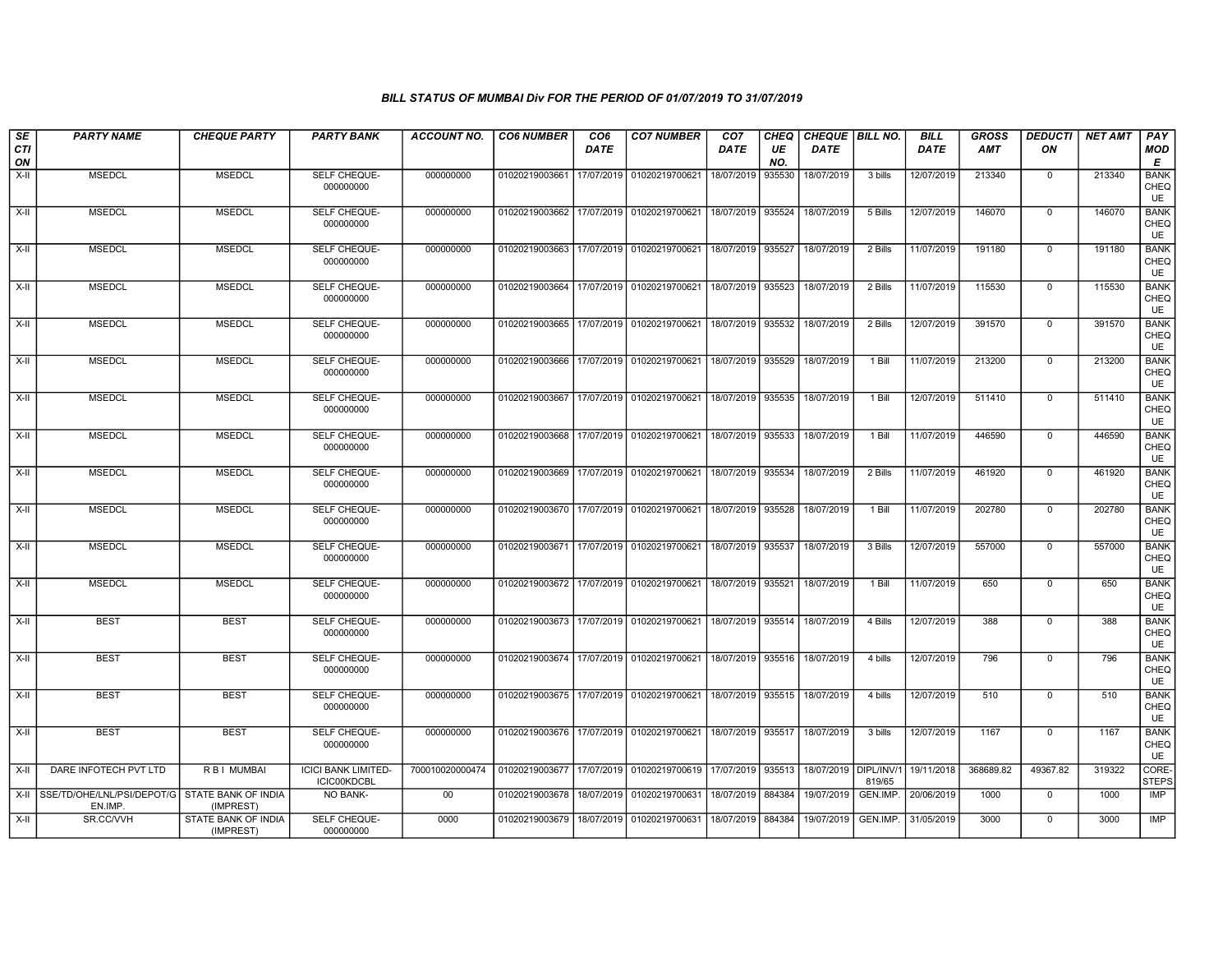| SE<br>CTI<br>ON | <b>PARTY NAME</b>                                         | <b>CHEQUE PARTY</b>              | <b>PARTY BANK</b>                                | ACCOUNT NO.     | <b>CO6 NUMBER</b>                            | CO <sub>6</sub><br><b>DATE</b> | <b>CO7 NUMBER</b>                                          | CO <sub>7</sub><br><b>DATE</b> | <b>CHEQ</b><br>UE<br>NO. | CHEQUE   BILL NO.<br><b>DATE</b> |          | <b>BILL</b><br><b>DATE</b> | <b>GROSS</b><br><b>AMT</b> | <b>DEDUCTI   NET AMT</b><br>ON |        | <b>PAY</b><br><b>MOD</b><br>E    |
|-----------------|-----------------------------------------------------------|----------------------------------|--------------------------------------------------|-----------------|----------------------------------------------|--------------------------------|------------------------------------------------------------|--------------------------------|--------------------------|----------------------------------|----------|----------------------------|----------------------------|--------------------------------|--------|----------------------------------|
| $X-H$           | <b>MSEDCL</b>                                             | <b>MSEDCL</b>                    | SELF CHEQUE-<br>000000000                        | 000000000       | 01020219003661                               |                                | 17/07/2019 01020219700621                                  | 18/07/2019                     | 935530                   | 18/07/2019                       | 3 bills  | 12/07/2019                 | 213340                     | $\mathbf 0$                    | 213340 | <b>BANK</b><br>CHEQ<br>UE        |
| X-II            | <b>MSEDCL</b>                                             | <b>MSEDCL</b>                    | SELF CHEQUE-<br>000000000                        | 000000000       | 01020219003662 17/07/2019 01020219700621     |                                |                                                            | 18/07/2019 935524              |                          | 18/07/2019                       | 5 Bills  | 12/07/2019                 | 146070                     | $\mathbf 0$                    | 146070 | <b>BANK</b><br>CHEQ<br>UE        |
| X-II            | <b>MSEDCL</b>                                             | <b>MSEDCL</b>                    | SELF CHEQUE-<br>000000000                        | 000000000       | 01020219003663                               |                                | 17/07/2019 01020219700621                                  | 18/07/2019 935527              |                          | 18/07/2019                       | 2 Bills  | 11/07/2019                 | 191180                     | $\mathbf{0}$                   | 191180 | <b>BANK</b><br>CHEQ<br><b>UE</b> |
| $X-H$           | <b>MSEDCL</b>                                             | <b>MSEDCL</b>                    | SELF CHEQUE-<br>000000000                        | 000000000       | 01020219003664                               |                                | 17/07/2019 01020219700621                                  | 18/07/2019 935523              |                          | 18/07/2019                       | 2 Bills  | 11/07/2019                 | 115530                     | $\overline{0}$                 | 115530 | <b>BANK</b><br>CHEQ<br>UE        |
| $X-H$           | <b>MSEDCL</b>                                             | <b>MSEDCL</b>                    | SELF CHEQUE-<br>000000000                        | 000000000       | 01020219003665 17/07/2019 01020219700621     |                                |                                                            | 18/07/2019 935532              |                          | 18/07/2019                       | 2 Bills  | 12/07/2019                 | 391570                     | $\overline{0}$                 | 391570 | <b>BANK</b><br>CHEQ<br>UE        |
| $X-II$          | <b>MSEDCL</b>                                             | <b>MSEDCL</b>                    | SELF CHEQUE-<br>000000000                        | 000000000       | 01020219003666                               |                                | 17/07/2019 01020219700621                                  | 18/07/2019 935529              |                          | 18/07/2019                       | 1 Bill   | 11/07/2019                 | 213200                     | $\mathbf 0$                    | 213200 | <b>BANK</b><br>CHEQ<br><b>UE</b> |
| $X-H$           | <b>MSEDCL</b>                                             | <b>MSEDCL</b>                    | SELF CHEQUE-<br>000000000                        | 000000000       | 01020219003667                               |                                | 17/07/2019 01020219700621                                  | 18/07/2019 935535              |                          | 18/07/2019                       | $1$ Bill | 12/07/2019                 | 511410                     | $\overline{0}$                 | 511410 | <b>BANK</b><br>CHEQ<br><b>UE</b> |
| $X-H$           | <b>MSEDCL</b>                                             | <b>MSEDCL</b>                    | SELF CHEQUE-<br>000000000                        | 000000000       |                                              |                                | 01020219003668 17/07/2019 01020219700621                   | 18/07/2019 935533              |                          | 18/07/2019                       | 1 Bill   | 11/07/2019                 | 446590                     | $\overline{0}$                 | 446590 | <b>BANK</b><br>CHEQ<br><b>UE</b> |
| X-II            | <b>MSEDCL</b>                                             | <b>MSEDCL</b>                    | SELF CHEQUE-<br>000000000                        | 000000000       | 01020219003669 17/07/2019 01020219700621     |                                |                                                            | 18/07/2019 935534              |                          | 18/07/2019                       | 2 Bills  | 11/07/2019                 | 461920                     | $\mathbf 0$                    | 461920 | <b>BANK</b><br>CHEQ<br><b>UE</b> |
| X-II            | <b>MSEDCL</b>                                             | <b>MSEDCL</b>                    | SELF CHEQUE-<br>000000000                        | 000000000       | 01020219003670 17/07/2019 01020219700621     |                                |                                                            | 18/07/2019 935528              |                          | 18/07/2019                       | 1 Bill   | 11/07/2019                 | 202780                     | $\mathbf 0$                    | 202780 | <b>BANK</b><br>CHEQ<br>UE        |
| X-II            | <b>MSEDCL</b>                                             | <b>MSEDCL</b>                    | SELF CHEQUE-<br>000000000                        | 000000000       |                                              |                                | 01020219003671 17/07/2019 01020219700621                   | 18/07/2019 935537              |                          | 18/07/2019                       | 3 Bills  | 12/07/2019                 | 557000                     | $\mathbf 0$                    | 557000 | <b>BANK</b><br>CHEQ<br>UE        |
| X-II            | <b>MSEDCL</b>                                             | <b>MSEDCL</b>                    | SELF CHEQUE-<br>000000000                        | 000000000       | 01020219003672 17/07/2019 01020219700621     |                                |                                                            | 18/07/2019 935521              |                          | 18/07/2019                       | 1 Bill   | 11/07/2019                 | 650                        | $\mathbf 0$                    | 650    | <b>BANK</b><br>CHEQ<br>UE        |
| X-II            | <b>BEST</b>                                               | <b>BEST</b>                      | SELF CHEQUE-<br>000000000                        | 000000000       | 01020219003673 17/07/2019 01020219700621     |                                |                                                            | 18/07/2019 935514              |                          | 18/07/2019                       | 4 Bills  | 12/07/2019                 | 388                        | $\mathbf 0$                    | 388    | <b>BANK</b><br>CHEQ<br>UE        |
| X-II            | <b>BEST</b>                                               | <b>BEST</b>                      | SELF CHEQUE-<br>000000000                        | 000000000       |                                              |                                | 01020219003674 17/07/2019 01020219700621                   |                                |                          | 18/07/2019 935516 18/07/2019     | 4 bills  | 12/07/2019                 | 796                        | $\mathbf 0$                    | 796    | <b>BANK</b><br>CHEQ<br>UE        |
| $X-II$          | <b>BEST</b>                                               | <b>BEST</b>                      | SELF CHEQUE-<br>000000000                        | 000000000       |                                              |                                | 01020219003675 17/07/2019 01020219700621                   | 18/07/2019 935515              |                          | 18/07/2019                       | 4 bills  | 12/07/2019                 | 510                        | $\mathbf{0}$                   | 510    | <b>BANK</b><br>CHEQ<br>UE        |
| X-II            | <b>BEST</b>                                               | <b>BEST</b>                      | SELF CHEQUE-<br>000000000                        | 000000000       |                                              |                                | 01020219003676 17/07/2019 01020219700621                   | 18/07/2019 935517              |                          | 18/07/2019                       | 3 bills  | 12/07/2019                 | 1167                       | $\overline{0}$                 | 1167   | <b>BANK</b><br><b>CHEQ</b><br>UE |
| X-II            | DARE INFOTECH PVT LTD                                     | R B I MUMBAI                     | <b>ICICI BANK LIMITED-</b><br><b>ICIC00KDCBL</b> | 700010020000474 |                                              |                                | 01020219003677 17/07/2019 01020219700619 17/07/2019 935513 |                                |                          | 18/07/2019 DIPL/INV/1            | 819/65   | 19/11/2018                 | 368689.82                  | 49367.82                       | 319322 | CORE-<br>STEPS                   |
| X-II            | SSE/TD/OHE/LNL/PSI/DEPOT/G STATE BANK OF INDIA<br>EN.IMP. | (IMPREST)                        | NO BANK-                                         | 00              | 01020219003678   18/07/2019   01020219700631 |                                |                                                            | 18/07/2019 884384              |                          | 19/07/2019                       | GEN.IMP. | 20/06/2019                 | 1000                       | $\mathbf{0}$                   | 1000   | IMP                              |
| X-II            | SR.CC/VVH                                                 | STATE BANK OF INDIA<br>(IMPREST) | SELF CHEQUE-<br>000000000                        | 0000            |                                              |                                | 01020219003679   18/07/2019   01020219700631               | 18/07/2019 884384              |                          | 19/07/2019                       | GEN.IMP. | 31/05/2019                 | 3000                       | $\mathbf 0$                    | 3000   | IMP                              |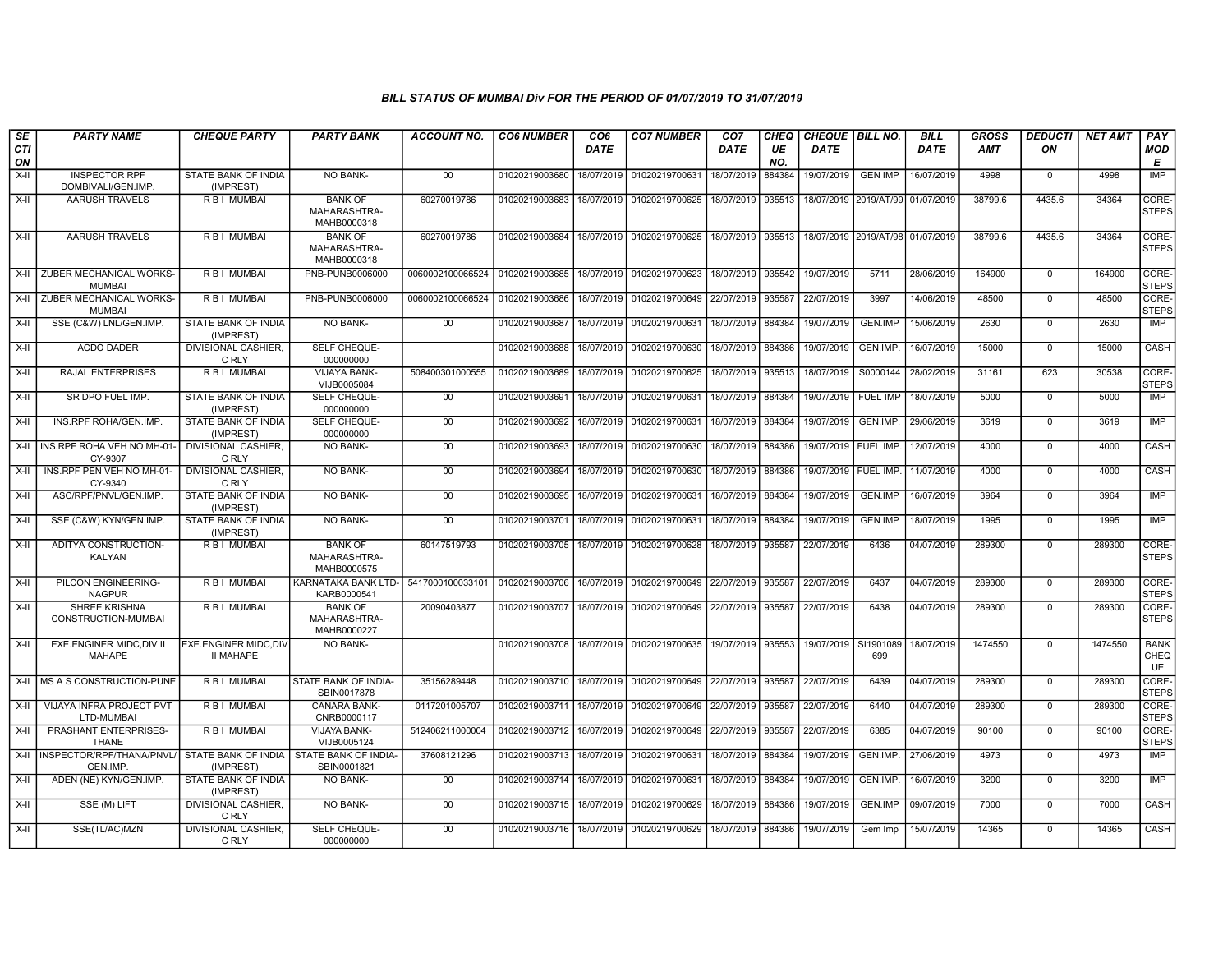| SE        | <b>PARTY NAME</b>                                                                    | <b>CHEQUE PARTY</b>                       | <b>PARTY BANK</b>                             | <b>ACCOUNT NO.</b> | <b>CO6 NUMBER</b>         | CO <sub>6</sub> | <b>CO7 NUMBER</b>                            | CO <sub>7</sub> | CHEQ      | <b>CHEQUE BILL NO.</b> |                                  | <b>BILL</b> | GROSS   | <b>DEDUCTI</b> | <b>NET AMT</b> | <b>PAY</b>                       |
|-----------|--------------------------------------------------------------------------------------|-------------------------------------------|-----------------------------------------------|--------------------|---------------------------|-----------------|----------------------------------------------|-----------------|-----------|------------------------|----------------------------------|-------------|---------|----------------|----------------|----------------------------------|
| CTI<br>ON |                                                                                      |                                           |                                               |                    |                           | <b>DATE</b>     |                                              | DATE            | UE<br>NO. | DATE                   |                                  | DATE        | AMT     | ON             |                | <b>MOD</b><br>Е                  |
| $X-II$    | <b>INSPECTOR RPF</b><br>DOMBIVALI/GEN.IMP.                                           | STATE BANK OF INDIA<br>(IMPREST)          | NO BANK-                                      | 00                 | 01020219003680            | 18/07/2019      | 01020219700631                               | 18/07/2019      | 884384    | 19/07/2019             | <b>GEN IMP</b>                   | 16/07/2019  | 4998    | $^{\circ}$     | 4998           | <b>IMP</b>                       |
| X-II      | <b>AARUSH TRAVELS</b>                                                                | <b>RBI MUMBAI</b>                         | <b>BANK OF</b><br>MAHARASHTRA-<br>MAHB0000318 | 60270019786        | 01020219003683            | 18/07/2019      | 01020219700625                               | 18/07/2019      | 935513    |                        | 18/07/2019 2019/AT/99 01/07/2019 |             | 38799.6 | 4435.6         | 34364          | CORE-<br><b>STEPS</b>            |
| X-II      | <b>AARUSH TRAVELS</b>                                                                | R B I MUMBAI                              | <b>BANK OF</b><br>MAHARASHTRA-<br>MAHB0000318 | 60270019786        | 01020219003684            |                 | 18/07/2019 01020219700625                    | 18/07/2019      | 935513    | 18/07/2019 2019/AT/98  |                                  | 01/07/2019  | 38799.6 | 4435.6         | 34364          | CORE-<br><b>STEPS</b>            |
| X-II      | ZUBER MECHANICAL WORKS-<br><b>MUMBAI</b>                                             | R B I MUMBAI                              | PNB-PUNB0006000                               | 0060002100066524   | 01020219003685            | 18/07/2019      | 01020219700623                               | 18/07/2019      | 935542    | 19/07/2019             | 5711                             | 28/06/2019  | 164900  | $\mathbf 0$    | 164900         | CORE-<br><b>STEPS</b>            |
| X-II      | ZUBER MECHANICAL WORKS-<br><b>MUMBAI</b>                                             | <b>RBI MUMBAI</b>                         | PNB-PUNB0006000                               | 0060002100066524   | 01020219003686            | 18/07/2019      | 01020219700649                               | 22/07/2019      | 935587    | 22/07/2019             | 3997                             | 14/06/2019  | 48500   | $\Omega$       | 48500          | CORE-<br><b>STEPS</b>            |
| X-II      | SSE (C&W) LNL/GEN.IMP.                                                               | <b>STATE BANK OF INDIA</b><br>(IMPREST)   | NO BANK-                                      | 00                 | 01020219003687            | 18/07/2019      | 01020219700631                               | 18/07/2019      | 884384    | 19/07/2019             | <b>GEN.IMP</b>                   | 15/06/2019  | 2630    | $\mathbf 0$    | 2630           | <b>IMP</b>                       |
| X-II      | <b>ACDO DADER</b>                                                                    | DIVISIONAL CASHIER,<br>C RLY              | SELF CHEQUE-<br>000000000                     |                    | 01020219003688            | 18/07/2019      | 01020219700630                               | 18/07/2019      | 884386    | 19/07/2019             | GEN.IMP.                         | 16/07/2019  | 15000   | $\mathbf 0$    | 15000          | CASH                             |
| $X-II$    | RAJAL ENTERPRISES                                                                    | R B I MUMBAI                              | VIJAYA BANK-<br>VIJB0005084                   | 508400301000555    | 01020219003689            | 18/07/2019      | 01020219700625                               | 18/07/2019      | 935513    | 18/07/2019             | S0000144                         | 28/02/2019  | 31161   | 623            | 30538          | CORE-<br><b>STEPS</b>            |
| $X-H$     | SR DPO FUEL IMP.                                                                     | STATE BANK OF INDIA<br>(IMPREST)          | <b>SELF CHEQUE-</b><br>000000000              | 00                 | 01020219003691            | 18/07/2019      | 01020219700631                               | 18/07/2019      | 884384    | 19/07/2019             | <b>FUEL IMP</b>                  | 18/07/2019  | 5000    | $\Omega$       | 5000           | <b>IMP</b>                       |
| $X-H$     | INS.RPF ROHA/GEN.IMP.                                                                | <b>STATE BANK OF INDIA</b><br>(IMPREST)   | <b>SELF CHEQUE-</b><br>000000000              | 00                 | 01020219003692 18/07/2019 |                 | 01020219700631                               | 18/07/2019      | 884384    | 19/07/2019             | GEN.IMP.                         | 29/06/2019  | 3619    | $\mathbf 0$    | 3619           | IMP                              |
| X-II      | INS.RPF ROHA VEH NO MH-01<br>CY-9307                                                 | DIVISIONAL CASHIER,<br>C RLY              | NO BANK-                                      | 00                 | 01020219003693            | 18/07/2019      | 01020219700630                               | 18/07/2019      | 884386    | 19/07/2019   FUEL IMP. |                                  | 12/07/2019  | 4000    | $\Omega$       | 4000           | CASH                             |
| X-II      | INS.RPF PEN VEH NO MH-01-<br>CY-9340                                                 | DIVISIONAL CASHIER.<br>C RLY              | <b>NO BANK-</b>                               | 00 <sup>1</sup>    | 01020219003694            | 18/07/2019      | 01020219700630                               | 18/07/2019      | 884386    | 19/07/2019   FUEL IMP. |                                  | 11/07/2019  | 4000    | $\mathbf 0$    | 4000           | CASH                             |
| $X-H$     | ASC/RPF/PNVL/GEN.IMP.                                                                | STATE BANK OF INDIA<br>(IMPREST)          | <b>NO BANK-</b>                               | 00                 | 01020219003695            | 18/07/2019      | 01020219700631                               | 18/07/2019      | 884384    | 19/07/2019             | <b>GEN.IMP</b>                   | 16/07/2019  | 3964    | $\mathbf 0$    | 3964           | <b>IMP</b>                       |
| X-II      | SSE (C&W) KYN/GEN.IMP.                                                               | STATE BANK OF INDIA<br>(IMPREST)          | <b>NO BANK-</b>                               | 00                 | 01020219003701            | 18/07/2019      | 01020219700631                               | 18/07/2019      | 884384    | 19/07/2019             | <b>GEN IMP</b>                   | 18/07/2019  | 1995    | $\mathbf 0$    | 1995           | <b>IMP</b>                       |
| X-II      | ADITYA CONSTRUCTION-<br>KALYAN                                                       | R B I MUMBAI                              | <b>BANK OF</b><br>MAHARASHTRA-<br>MAHB0000575 | 60147519793        |                           |                 | 01020219003705   18/07/2019   01020219700628 | 18/07/2019      | 935587    | 22/07/2019             | 6436                             | 04/07/2019  | 289300  | $\Omega$       | 289300         | CORE-<br><b>STEPS</b>            |
| X-II      | PILCON ENGINEERING-<br><b>NAGPUR</b>                                                 | R B I MUMBAI                              | KARNATAKA BANK LTD-<br>KARB0000541            | 5417000100033101   | 01020219003706            | 18/07/2019      | 01020219700649                               | 22/07/2019      | 935587    | 22/07/2019             | 6437                             | 04/07/2019  | 289300  | $\mathbf 0$    | 289300         | CORE-<br><b>STEPS</b>            |
| X-II      | <b>SHREE KRISHNA</b><br>CONSTRUCTION-MUMBAI                                          | <b>RBI MUMBAI</b>                         | <b>BANK OF</b><br>MAHARASHTRA-<br>MAHB0000227 | 20090403877        | 01020219003707            | 18/07/2019      | 01020219700649                               | 22/07/2019      | 935587    | 22/07/2019             | 6438                             | 04/07/2019  | 289300  | $\mathbf{0}$   | 289300         | CORE-<br><b>STEPS</b>            |
| X-II      | EXE.ENGINER MIDC, DIV II<br><b>MAHAPE</b>                                            | EXE.ENGINER MIDC, DIV<br><b>II MAHAPE</b> | <b>NO BANK-</b>                               |                    | 01020219003708            | 18/07/2019      | 01020219700635                               | 19/07/2019      | 935553    | 19/07/2019             | SI1901089<br>699                 | 18/07/2019  | 1474550 | $\Omega$       | 1474550        | <b>BANK</b><br>CHEQ<br><b>UE</b> |
|           | X-II IMS A S CONSTRUCTION-PUNE                                                       | R B   MUMBAI                              | <b>STATE BANK OF INDIA-</b><br>SBIN0017878    | 35156289448        | 01020219003710            | 18/07/2019      | 01020219700649                               | 22/07/2019      | 935587    | 22/07/2019             | 6439                             | 04/07/2019  | 289300  | $\mathbf 0$    | 289300         | CORE-<br><b>STEPS</b>            |
| $X-II$    | VIJAYA INFRA PROJECT PVT<br>LTD-MUMBAI                                               | R B I MUMBAI                              | <b>CANARA BANK-</b><br>CNRB0000117            | 0117201005707      | 01020219003711 18/07/2019 |                 | 01020219700649                               | 22/07/2019      | 935587    | 22/07/2019             | 6440                             | 04/07/2019  | 289300  | $\Omega$       | 289300         | CORE-<br><b>STEPS</b>            |
| X-II      | PRASHANT ENTERPRISES-<br><b>THANE</b>                                                | <b>RBI MUMBAI</b>                         | <b>VIJAYA BANK-</b><br>VIJB0005124            | 512406211000004    | 01020219003712 18/07/2019 |                 | 01020219700649                               | 22/07/2019      | 935587    | 22/07/2019             | 6385                             | 04/07/2019  | 90100   | $\mathbf 0$    | 90100          | CORE-<br><b>STEPS</b>            |
| X-II      | INSPECTOR/RPF/THANA/PNVL/ STATE BANK OF INDIA STATE BANK OF INDIA-<br><b>GEN.IMP</b> | (IMPREST)                                 | SBIN0001821                                   | 37608121296        | 01020219003713            | 18/07/2019      | 01020219700631                               | 18/07/2019      | 884384    | 19/07/2019             | GEN.IMP.                         | 27/06/2019  | 4973    | $\mathbf 0$    | 4973           | <b>IMP</b>                       |
| X-II      | ADEN (NE) KYN/GEN.IMP.                                                               | STATE BANK OF INDIA<br>(IMPREST)          | <b>NO BANK-</b>                               | 00                 | 01020219003714            | 18/07/2019      | 01020219700631                               | 18/07/2019      | 884384    | 19/07/2019             | GEN.IMP.                         | 16/07/2019  | 3200    | $\mathbf 0$    | 3200           | IMP                              |
| X-II      | SSE (M) LIFT                                                                         | DIVISIONAL CASHIER.<br>C RLY              | <b>NO BANK-</b>                               | 00                 | 01020219003715            | 18/07/2019      | 01020219700629                               | 18/07/2019      | 884386    | 19/07/2019             | <b>GEN.IMP</b>                   | 09/07/2019  | 7000    | $\Omega$       | 7000           | CASH                             |
| $X-H$     | SSE(TL/AC)MZN                                                                        | <b>DIVISIONAL CASHIER,</b><br>C RLY       | SELF CHEQUE-<br>000000000                     | 00                 |                           |                 | 01020219003716 18/07/2019 01020219700629     | 18/07/2019      | 884386    | 19/07/2019             | Gem Imp                          | 15/07/2019  | 14365   | $\mathbf 0$    | 14365          | <b>CASH</b>                      |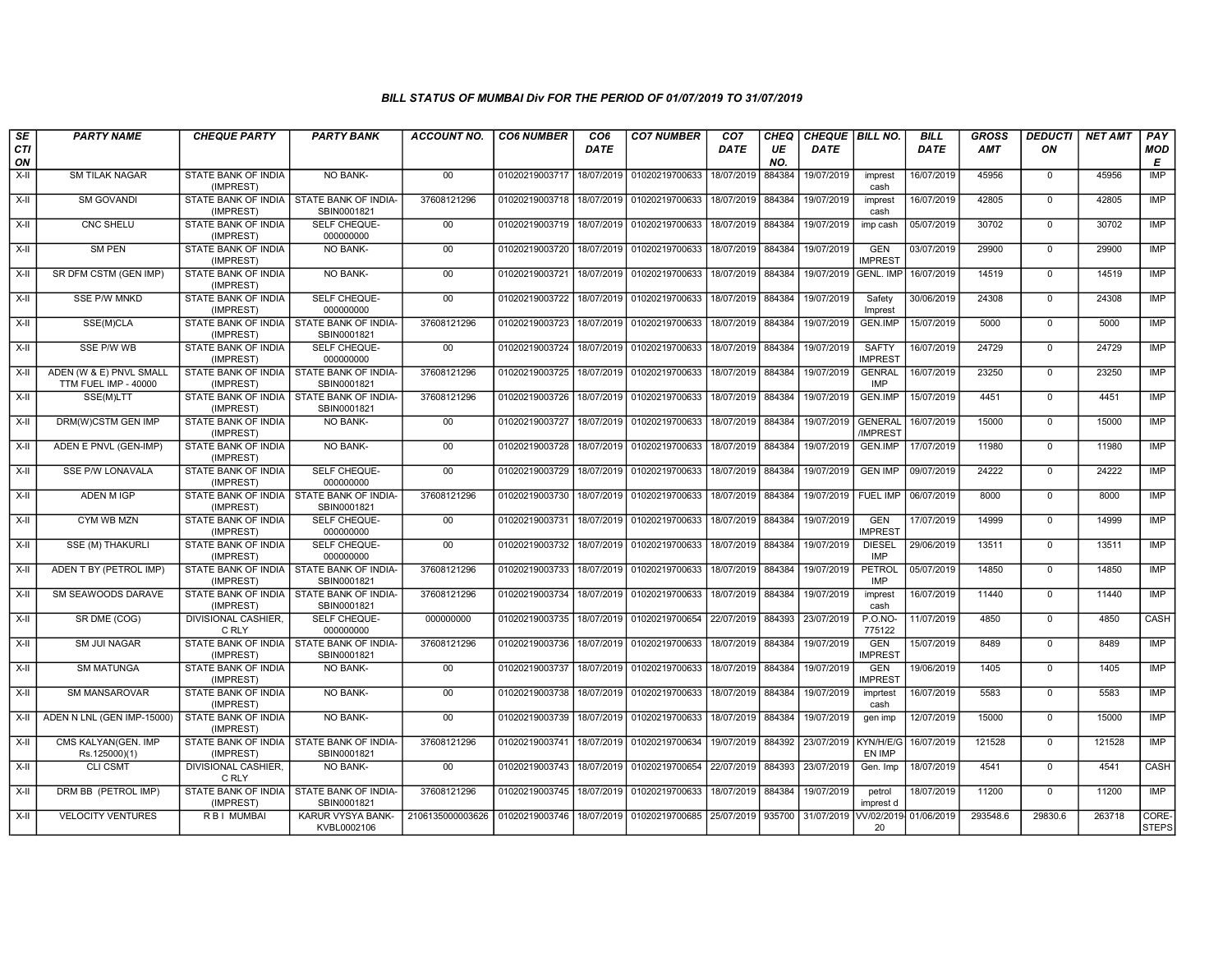| SE               | <b>PARTY NAME</b>                               | <b>CHEQUE PARTY</b>                                     | <b>PARTY BANK</b>                | ACCOUNT NO.                                                                 | <b>CO6 NUMBER</b>         | CO <sub>6</sub> | <b>CO7 NUMBER</b>                            | CO <sub>7</sub>   | <b>CHEQ</b> | CHEQUE   BILL NO. |                                | <b>BILL</b> | GROSS      | <b>DEDUCTI</b> | NET AMT | PAY                   |
|------------------|-------------------------------------------------|---------------------------------------------------------|----------------------------------|-----------------------------------------------------------------------------|---------------------------|-----------------|----------------------------------------------|-------------------|-------------|-------------------|--------------------------------|-------------|------------|----------------|---------|-----------------------|
| <b>CTI</b><br>ON |                                                 |                                                         |                                  |                                                                             |                           | DATE            |                                              | DATE              | UE<br>NO.   | <b>DATE</b>       |                                | <b>DATE</b> | <b>AMT</b> | ON             |         | <b>MOD</b><br>E       |
| $X-H$            | <b>SM TILAK NAGAR</b>                           | STATE BANK OF INDIA<br>(IMPREST)                        | NO BANK-                         | 00                                                                          | 01020219003717 18/07/2019 |                 | 01020219700633                               | 18/07/2019        | 884384      | 19/07/2019        | imprest<br>cash                | 16/07/2019  | 45956      | $\mathbf 0$    | 45956   | IMP                   |
| X-II             | <b>SM GOVANDI</b>                               | STATE BANK OF INDIA   STATE BANK OF INDIA-<br>(IMPREST) | SBIN0001821                      | 37608121296                                                                 | 01020219003718 18/07/2019 |                 | 01020219700633                               | 18/07/2019        | 884384      | 19/07/2019        | imprest<br>cash                | 16/07/2019  | 42805      | $\mathbf 0$    | 42805   | IMP                   |
| $X-II$           | <b>CNC SHELU</b>                                | STATE BANK OF INDIA<br>(IMPREST)                        | SELF CHEQUE-<br>000000000        | 00                                                                          |                           |                 | 01020219003719 18/07/2019 01020219700633     | 18/07/2019        | 884384      | 19/07/2019        | imp cash                       | 05/07/2019  | 30702      | $\Omega$       | 30702   | IMP                   |
| X-II             | <b>SM PEN</b>                                   | STATE BANK OF INDIA<br>(IMPREST)                        | <b>NO BANK-</b>                  | 00                                                                          | 01020219003720            |                 | 18/07/2019 01020219700633                    | 18/07/2019        | 884384      | 19/07/2019        | <b>GEN</b><br><b>IMPREST</b>   | 03/07/2019  | 29900      | $\mathbf 0$    | 29900   | <b>IMP</b>            |
| $X-H$            | SR DFM CSTM (GEN IMP)                           | <b>STATE BANK OF INDIA</b><br>(IMPREST)                 | <b>NO BANK-</b>                  | 00                                                                          | 01020219003721            | 18/07/2019      | 01020219700633                               | 18/07/2019        | 884384      | 19/07/2019        | <b>GENL. IMP</b>               | 16/07/2019  | 14519      | $\overline{0}$ | 14519   | IMP                   |
| X-II             | <b>SSE P/W MNKD</b>                             | <b>STATE BANK OF INDIA</b><br>(IMPREST)                 | SELF CHEQUE-<br>000000000        | 00                                                                          |                           |                 | 01020219003722 18/07/2019 01020219700633     | 18/07/2019 884384 |             | 19/07/2019        | Safety<br>Imprest              | 30/06/2019  | 24308      | $\mathbf 0$    | 24308   | IMP                   |
| X-II             | SSE(M)CLA                                       | STATE BANK OF INDIA I STATE BANK OF INDIA<br>(IMPREST)  | SBIN0001821                      | 37608121296                                                                 | 01020219003723            | 18/07/2019      | 01020219700633                               | 18/07/2019        | 884384      | 19/07/2019        | <b>GEN.IMP</b>                 | 15/07/2019  | 5000       | $\Omega$       | 5000    | IMP                   |
| $X-H$            | SSE P/W WB                                      | STATE BANK OF INDIA<br>(IMPREST)                        | SELF CHEQUE-<br>000000000        | 00                                                                          | 01020219003724            |                 | 18/07/2019 01020219700633                    | 18/07/2019        | 884384      | 19/07/2019        | <b>SAFTY</b><br><b>IMPREST</b> | 16/07/2019  | 24729      | $\mathbf 0$    | 24729   | <b>IMP</b>            |
| $X-H$            | ADEN (W & E) PNVL SMALL<br>TTM FUEL IMP - 40000 | STATE BANK OF INDIA I STATE BANK OF INDIA-<br>(IMPREST) | SBIN0001821                      | 37608121296                                                                 |                           |                 | 01020219003725 18/07/2019 01020219700633     | 18/07/2019 884384 |             | 19/07/2019        | <b>GENRAL</b><br><b>IMP</b>    | 16/07/2019  | 23250      | $\overline{0}$ | 23250   | <b>IMP</b>            |
| $X-H$            | SSE(M)LTT                                       | STATE BANK OF INDIA   STATE BANK OF INDIA-<br>(IMPREST) | SBIN0001821                      | 37608121296                                                                 | 01020219003726            | 18/07/2019      | 01020219700633                               | 18/07/2019 884384 |             | 19/07/2019        | GEN.IMP                        | 15/07/2019  | 4451       | $\mathbf 0$    | 4451    | <b>IMP</b>            |
| X-II             | DRM(W)CSTM GEN IMP                              | <b>STATE BANK OF INDIA</b><br>(IMPREST)                 | NO BANK-                         | 00                                                                          | 01020219003727            |                 | 18/07/2019 01020219700633                    | 18/07/2019 884384 |             | 19/07/2019        | <b>GENERAL</b><br>/IMPREST     | 16/07/2019  | 15000      | $\Omega$       | 15000   | IMP                   |
| $X-II$           | ADEN E PNVL (GEN-IMP)                           | STATE BANK OF INDIA<br>(IMPREST)                        | NO BANK-                         | 00                                                                          | 01020219003728 18/07/2019 |                 | 01020219700633                               | 18/07/2019        | 884384      | 19/07/2019        | <b>GEN.IMP</b>                 | 17/07/2019  | 11980      | $\mathbf 0$    | 11980   | <b>IMP</b>            |
| X-II             | <b>SSE P/W LONAVALA</b>                         | <b>STATE BANK OF INDIA</b><br>(IMPREST)                 | <b>SELF CHEQUE-</b><br>000000000 | 00                                                                          |                           |                 | 01020219003729 18/07/2019 01020219700633     | 18/07/2019 884384 |             | 19/07/2019        | <b>GEN IMP</b>                 | 09/07/2019  | 24222      | $\Omega$       | 24222   | <b>IMP</b>            |
| X-II             | ADEN M IGP                                      | STATE BANK OF INDIA   STATE BANK OF INDIA-<br>(IMPREST) | SBIN0001821                      | 37608121296                                                                 | 01020219003730            |                 | 18/07/2019 01020219700633                    | 18/07/2019 884384 |             | 19/07/2019        | <b>FUEL IMP</b>                | 06/07/2019  | 8000       | $\mathbf 0$    | 8000    | IMP                   |
| $X-H$            | CYM WB MZN                                      | STATE BANK OF INDIA<br>(IMPREST)                        | <b>SELF CHEQUE-</b><br>000000000 | $00\,$                                                                      | 01020219003731            | 18/07/2019      | 01020219700633                               | 18/07/2019        | 884384      | 19/07/2019        | <b>GEN</b><br><b>IMPREST</b>   | 17/07/2019  | 14999      | $\Omega$       | 14999   | <b>IMP</b>            |
| X-II             | <b>SSE (M) THAKURLI</b>                         | STATE BANK OF INDIA<br>(IMPREST)                        | SELF CHEQUE-<br>000000000        | 00                                                                          | 01020219003732            |                 | 18/07/2019 01020219700633                    | 18/07/2019 884384 |             | 19/07/2019        | <b>DIESEL</b><br><b>IMP</b>    | 29/06/2019  | 13511      | $\mathbf 0$    | 13511   | <b>IMP</b>            |
| $X-H$            | ADEN T BY (PETROL IMP)                          | STATE BANK OF INDIA I STATE BANK OF INDIA-<br>(IMPREST) | SBIN0001821                      | 37608121296                                                                 | 01020219003733            |                 | 18/07/2019 01020219700633                    | 18/07/2019        | 884384      | 19/07/2019        | PETROL<br><b>IMP</b>           | 05/07/2019  | 14850      | $\overline{0}$ | 14850   | IMP                   |
| X-II             | <b>SM SEAWOODS DARAVE</b>                       | STATE BANK OF INDIA   STATE BANK OF INDIA-<br>(IMPREST) | SBIN0001821                      | 37608121296                                                                 |                           |                 | 01020219003734 18/07/2019 01020219700633     | 18/07/2019 884384 |             | 19/07/2019        | imprest<br>cash                | 16/07/2019  | 11440      | $\mathbf 0$    | 11440   | IMP                   |
| X-II             | SR DME (COG)                                    | <b>DIVISIONAL CASHIER.</b><br>C RLY                     | <b>SELF CHEQUE-</b><br>000000000 | 000000000                                                                   | 01020219003735            |                 | 18/07/2019 01020219700654                    | 22/07/2019 884393 |             | 23/07/2019        | P.O.NO-<br>775122              | 11/07/2019  | 4850       | $\Omega$       | 4850    | CASH                  |
| X-II             | <b>SM JUI NAGAR</b>                             | STATE BANK OF INDIA   STATE BANK OF INDIA-<br>(IMPREST) | SBIN0001821                      | 37608121296                                                                 | 01020219003736            | 18/07/2019      | 01020219700633                               | 18/07/2019        | 884384      | 19/07/2019        | <b>GEN</b><br><b>IMPREST</b>   | 15/07/2019  | 8489       | $\mathbf 0$    | 8489    | <b>IMP</b>            |
| $X-II$           | <b>SM MATUNGA</b>                               | STATE BANK OF INDIA<br>(IMPREST)                        | <b>NO BANK-</b>                  | 00                                                                          | 01020219003737            |                 | 18/07/2019 01020219700633                    | 18/07/2019        | 884384      | 19/07/2019        | <b>GEN</b><br><b>IMPREST</b>   | 19/06/2019  | 1405       | $\overline{0}$ | 1405    | <b>IMP</b>            |
| X-II             | <b>SM MANSAROVAR</b>                            | STATE BANK OF INDIA<br>(IMPREST)                        | <b>NO BANK-</b>                  | 00                                                                          |                           |                 | 01020219003738   18/07/2019   01020219700633 | 18/07/2019 884384 |             | 19/07/2019        | imprtest<br>cash               | 16/07/2019  | 5583       | $\mathbf 0$    | 5583    | IMP                   |
| X-II             | ADEN N LNL (GEN IMP-15000)                      | STATE BANK OF INDIA<br>(IMPREST)                        | NO BANK-                         | $00\,$                                                                      | 01020219003739            | 18/07/2019      | 01020219700633                               | 18/07/2019        | 884384      | 19/07/2019        | gen imp                        | 12/07/2019  | 15000      | $\mathbf 0$    | 15000   | <b>IMP</b>            |
| X-II             | CMS KALYAN(GEN. IMP<br>Rs.125000)(1)            | STATE BANK OF INDIA   STATE BANK OF INDIA-<br>(IMPREST) | SBIN0001821                      | 37608121296                                                                 | 01020219003741            |                 | 18/07/2019 01020219700634                    | 19/07/2019 884392 |             | 23/07/2019        | KYN/H/E/G<br>EN IMP            | 16/07/2019  | 121528     | $\mathbf 0$    | 121528  | <b>IMP</b>            |
| $X-II$           | <b>CLI CSMT</b>                                 | DIVISIONAL CASHIER,<br>C RLY                            | <b>NO BANK-</b>                  | 00                                                                          | 01020219003743            | 18/07/2019      | 01020219700654                               | 22/07/2019        | 884393      | 23/07/2019        | Gen. Imp                       | 18/07/2019  | 4541       | $\overline{0}$ | 4541    | <b>CASH</b>           |
| X-II             | DRM BB (PETROL IMP)                             | STATE BANK OF INDIA   STATE BANK OF INDIA-<br>(IMPREST) | SBIN0001821                      | 37608121296                                                                 |                           |                 | 01020219003745   18/07/2019   01020219700633 | 18/07/2019 884384 |             | 19/07/2019        | petrol<br>imprest d            | 18/07/2019  | 11200      | $\mathbf 0$    | 11200   | <b>IMP</b>            |
| X-II             | <b>VELOCITY VENTURES</b>                        | <b>RBI MUMBAI</b>                                       | KARUR VYSYA BANK-<br>KVBL0002106 | 2106135000003626 01020219003746 18/07/2019 01020219700685 25/07/2019 935700 |                           |                 |                                              |                   |             | 31/07/2019        | VV/02/2019-<br>20              | 01/06/2019  | 293548.6   | 29830.6        | 263718  | CORE-<br><b>STEPS</b> |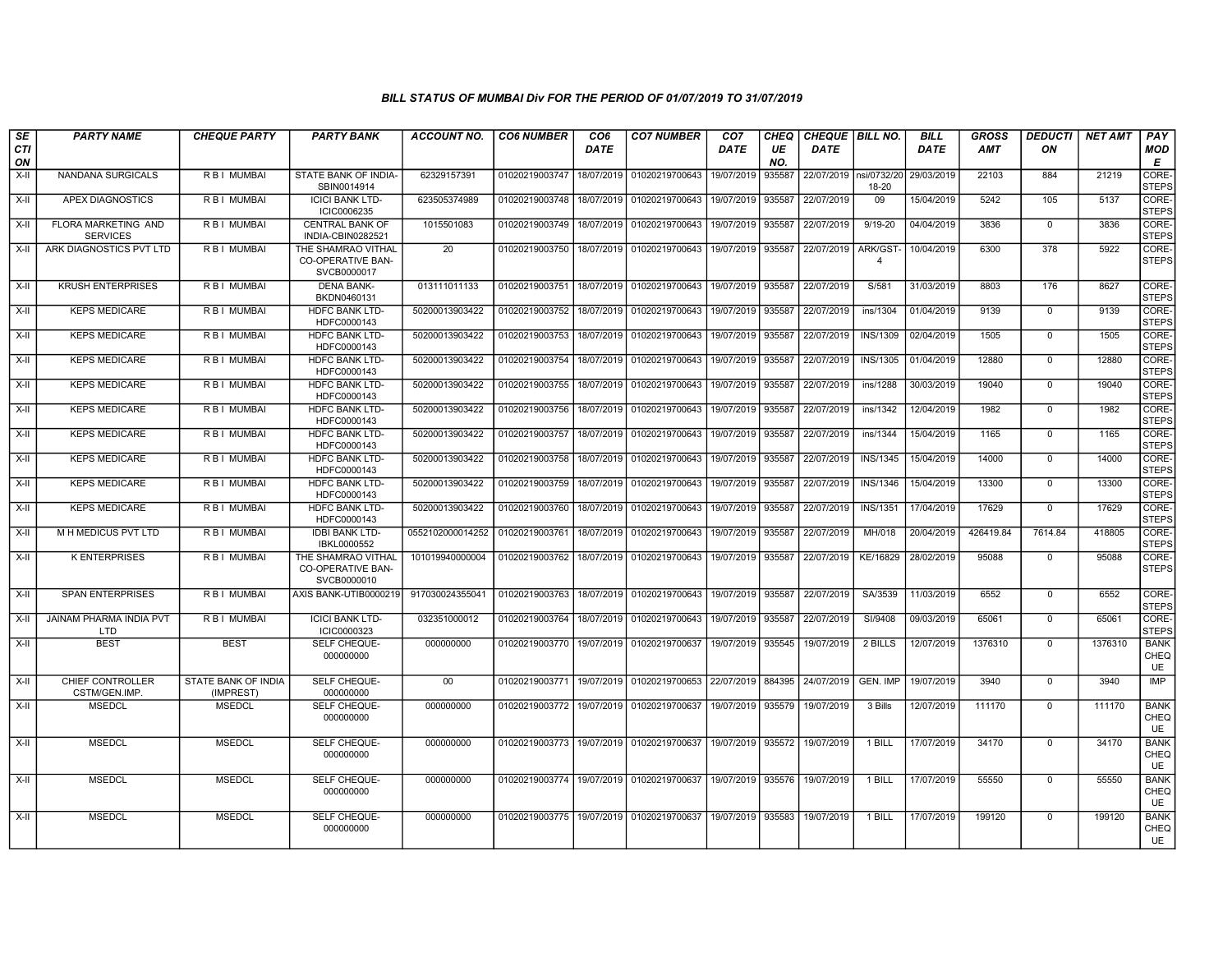| SE        | <b>PARTY NAME</b>                        | <b>CHEQUE PARTY</b>              | <b>PARTY BANK</b>                                             | ACCOUNT NO.      | <b>CO6 NUMBER</b> | CO <sub>6</sub> | <b>CO7 NUMBER</b>                        | CO <sub>7</sub>   | CHEQ      | <b>CHEQUE   BILL NO.</b> |                            | <b>BILL</b> | GROSS      | <b>DEDUCTI</b> | <b>NET AMT</b> | <b>PAY</b>                       |
|-----------|------------------------------------------|----------------------------------|---------------------------------------------------------------|------------------|-------------------|-----------------|------------------------------------------|-------------------|-----------|--------------------------|----------------------------|-------------|------------|----------------|----------------|----------------------------------|
| CTI<br>ON |                                          |                                  |                                                               |                  |                   | DATE            |                                          | DATE              | UE<br>NO. | DATE                     |                            | DATE        | <b>AMT</b> | ON             |                | <b>MOD</b><br>E                  |
| X-II      | NANDANA SURGICALS                        | R B I MUMBAI                     | STATE BANK OF INDIA-<br>SBIN0014914                           | 62329157391      | 01020219003747    | 18/07/2019      | 01020219700643                           | 19/07/2019        | 935587    | 22/07/2019   nsi/0732/20 | 18-20                      | 29/03/2019  | 22103      | 884            | 21219          | CORE-<br><b>STEPS</b>            |
| $X-H$     | <b>APEX DIAGNOSTICS</b>                  | R B I MUMBAI                     | <b>ICICI BANK LTD-</b><br>ICIC0006235                         | 623505374989     | 01020219003748    | 18/07/2019      | 01020219700643                           | 19/07/2019        | 935587    | 22/07/2019               | 09                         | 15/04/2019  | 5242       | 105            | 5137           | CORE-<br><b>STEPS</b>            |
| $X-H$     | FLORA MARKETING AND<br><b>SERVICES</b>   | R B I MUMBAI                     | CENTRAL BANK OF<br>INDIA-CBIN0282521                          | 1015501083       | 01020219003749    | 18/07/2019      | 01020219700643                           | 19/07/2019        | 935587    | 22/07/2019               | $9/19 - 20$                | 04/04/2019  | 3836       | $\Omega$       | 3836           | CORE-<br><b>STEPS</b>            |
| $X-H$     | ARK DIAGNOSTICS PVT LTD                  | R B I MUMBAI                     | THE SHAMRAO VITHAL<br><b>CO-OPERATIVE BAN-</b><br>SVCB0000017 | 20               | 01020219003750    | 18/07/2019      | 01020219700643                           | 19/07/2019        | 935587    | 22/07/2019               | ARK/GST-<br>$\overline{a}$ | 10/04/2019  | 6300       | 378            | 5922           | CORE-<br><b>STEPS</b>            |
| $X-H$     | <b>KRUSH ENTERPRISES</b>                 | R B I MUMBAI                     | <b>DENA BANK-</b><br>BKDN0460131                              | 013111011133     | 01020219003751    | 18/07/2019      | 01020219700643                           | 19/07/2019        | 935587    | 22/07/2019               | S/581                      | 31/03/2019  | 8803       | 176            | 8627           | CORE-<br><b>STEPS</b>            |
| $X-II$    | <b>KEPS MEDICARE</b>                     | R B I MUMBAI                     | <b>HDFC BANK LTD-</b><br>HDFC0000143                          | 50200013903422   | 01020219003752    | 18/07/2019      | 01020219700643                           | 19/07/2019        | 935587    | 22/07/2019               | ins/1304                   | 01/04/2019  | 9139       | $\mathbf 0$    | 9139           | CORE-<br><b>STEPS</b>            |
| $X-H$     | <b>KEPS MEDICARE</b>                     | <b>RBI MUMBAI</b>                | <b>HDFC BANK LTD-</b><br>HDFC0000143                          | 50200013903422   | 01020219003753    | 18/07/2019      | 01020219700643                           | 19/07/2019        | 935587    | 22/07/2019               | <b>INS/1309</b>            | 02/04/2019  | 1505       | $\mathbf 0$    | 1505           | CORE-<br><b>STEPS</b>            |
| X-II      | <b>KEPS MEDICARE</b>                     | R B I MUMBAI                     | <b>HDFC BANK LTD-</b><br>HDFC0000143                          | 50200013903422   | 01020219003754    | 18/07/2019      | 01020219700643                           | 19/07/2019        | 935587    | 22/07/2019               | <b>INS/1305</b>            | 01/04/2019  | 12880      | $\mathbf{0}$   | 12880          | CORE-<br><b>STEPS</b>            |
| X-II      | <b>KEPS MEDICARE</b>                     | R B I MUMBAI                     | <b>HDFC BANK LTD-</b><br>HDFC0000143                          | 50200013903422   | 01020219003755    | 18/07/2019      | 01020219700643                           | 19/07/2019        | 935587    | 22/07/2019               | ins/1288                   | 30/03/2019  | 19040      | $\mathbf{0}$   | 19040          | CORE-<br><b>STEPS</b>            |
| $X-H$     | <b>KEPS MEDICARE</b>                     | R B I MUMBAI                     | <b>HDFC BANK LTD-</b><br>HDFC0000143                          | 50200013903422   | 01020219003756    | 18/07/2019      | 01020219700643                           | 19/07/2019        | 935587    | 22/07/2019               | ins/1342                   | 12/04/2019  | 1982       | $\Omega$       | 1982           | CORE-<br><b>STEPS</b>            |
| X-II      | <b>KEPS MEDICARE</b>                     | R B I MUMBAI                     | <b>HDFC BANK LTD-</b><br>HDFC0000143                          | 50200013903422   | 01020219003757    | 18/07/2019      | 01020219700643                           | 19/07/2019        | 935587    | 22/07/2019               | ins/1344                   | 15/04/2019  | 1165       | $\mathbf 0$    | 1165           | CORE-<br><b>STEPS</b>            |
| $X-H$     | <b>KEPS MEDICARE</b>                     | <b>RBI MUMBAI</b>                | <b>HDFC BANK LTD-</b><br>HDFC0000143                          | 50200013903422   | 01020219003758    | 18/07/2019      | 01020219700643                           | 19/07/2019        | 935587    | 22/07/2019               | <b>INS/1345</b>            | 15/04/2019  | 14000      | $\overline{0}$ | 14000          | CORE-<br><b>STEPS</b>            |
| X-II      | <b>KEPS MEDICARE</b>                     | R B I MUMBAI                     | <b>HDFC BANK LTD-</b><br>HDFC0000143                          | 50200013903422   | 01020219003759    | 18/07/2019      | 01020219700643                           | 19/07/2019        | 935587    | 22/07/2019               | <b>INS/1346</b>            | 15/04/2019  | 13300      | $\mathbf 0$    | 13300          | CORE-<br><b>STEPS</b>            |
| X-II      | <b>KEPS MEDICARE</b>                     | R B I MUMBAI                     | <b>HDFC BANK LTD-</b><br>HDFC0000143                          | 50200013903422   | 01020219003760    | 18/07/2019      | 01020219700643                           | 19/07/2019        | 935587    | 22/07/2019               | <b>INS/1351</b>            | 17/04/2019  | 17629      | $\Omega$       | 17629          | CORE-<br><b>STEPS</b>            |
| X-II      | M H MEDICUS PVT LTD                      | R B I MUMBAI                     | <b>IDBI BANK LTD-</b><br>IBKL0000552                          | 0552102000014252 | 01020219003761    | 18/07/2019      | 01020219700643                           | 19/07/2019        | 935587    | 22/07/2019               | MH/018                     | 20/04/2019  | 426419.84  | 7614.84        | 418805         | CORE-<br><b>STEPS</b>            |
| $X-H$     | <b>K ENTERPRISES</b>                     | <b>RBI MUMBAI</b>                | THE SHAMRAO VITHAL<br><b>CO-OPERATIVE BAN-</b><br>SVCB0000010 | 101019940000004  | 01020219003762    | 18/07/2019      | 01020219700643                           | 19/07/2019        | 935587    | 22/07/2019               | KE/16829                   | 28/02/2019  | 95088      | $\Omega$       | 95088          | CORE-<br><b>STEPS</b>            |
| $X-I$     | <b>SPAN ENTERPRISES</b>                  | R B I MUMBAI                     | AXIS BANK-UTIB0000219                                         | 917030024355041  | 01020219003763    | 18/07/2019      | 01020219700643                           | 19/07/2019        | 935587    | 22/07/2019               | SA/3539                    | 11/03/2019  | 6552       | $\Omega$       | 6552           | CORE-<br><b>STEPS</b>            |
| X-II      | JAINAM PHARMA INDIA PVT<br>LTD.          | <b>RBI MUMBAI</b>                | <b>ICICI BANK LTD-</b><br>ICIC0000323                         | 032351000012     | 01020219003764    | 18/07/2019      | 01020219700643                           | 19/07/2019        | 935587    | 22/07/2019               | SI/9408                    | 09/03/2019  | 65061      | $\mathbf 0$    | 65061          | CORE-<br><b>STEPS</b>            |
| $X-H$     | <b>BEST</b>                              | <b>BEST</b>                      | SELF CHEQUE-<br>000000000                                     | 000000000        | 01020219003770    | 19/07/2019      | 01020219700637                           | 19/07/2019        | 935545    | 19/07/2019               | 2 BILLS                    | 12/07/2019  | 1376310    | $\mathbf 0$    | 1376310        | <b>BANK</b><br>CHEQ<br><b>UE</b> |
| $X-H$     | <b>CHIEF CONTROLLER</b><br>CSTM/GEN.IMP. | STATE BANK OF INDIA<br>(IMPREST) | SELF CHEQUE-<br>000000000                                     | 00               | 01020219003771    | 19/07/2019      | 01020219700653 22/07/2019                |                   | 884395    | 24/07/2019               | <b>GEN. IMP</b>            | 19/07/2019  | 3940       | $\mathbf 0$    | 3940           | IMP                              |
| $X-H$     | <b>MSEDCL</b>                            | <b>MSEDCL</b>                    | SELF CHEQUE-<br>000000000                                     | 000000000        | 01020219003772    | 19/07/2019      | 01020219700637                           | 19/07/2019        | 935579    | 19/07/2019               | 3 Bills                    | 12/07/2019  | 111170     | $\mathbf 0$    | 111170         | <b>BANK</b><br>CHEQ<br><b>UE</b> |
| $X-II$    | <b>MSEDCL</b>                            | <b>MSEDCL</b>                    | SELF CHEQUE-<br>000000000                                     | 000000000        |                   |                 | 01020219003773 19/07/2019 01020219700637 | 19/07/2019        | 935572    | 19/07/2019               | 1 BILL                     | 17/07/2019  | 34170      | $\mathbf{0}$   | 34170          | <b>BANK</b><br>CHEQ<br><b>UE</b> |
| $X-H$     | <b>MSEDCL</b>                            | <b>MSEDCL</b>                    | SELF CHEQUE-<br>000000000                                     | 000000000        |                   |                 | 01020219003774 19/07/2019 01020219700637 | 19/07/2019 935576 |           | 19/07/2019               | 1 BILL                     | 17/07/2019  | 55550      | $\Omega$       | 55550          | <b>BANK</b><br>CHEQ<br><b>UE</b> |
| X-II      | <b>MSEDCL</b>                            | <b>MSEDCL</b>                    | SELF CHEQUE-<br>000000000                                     | 000000000        |                   |                 | 01020219003775 19/07/2019 01020219700637 | 19/07/2019        | 935583    | 19/07/2019               | 1 BILL                     | 17/07/2019  | 199120     | $\mathbf 0$    | 199120         | <b>BANK</b><br>CHEQ<br><b>UE</b> |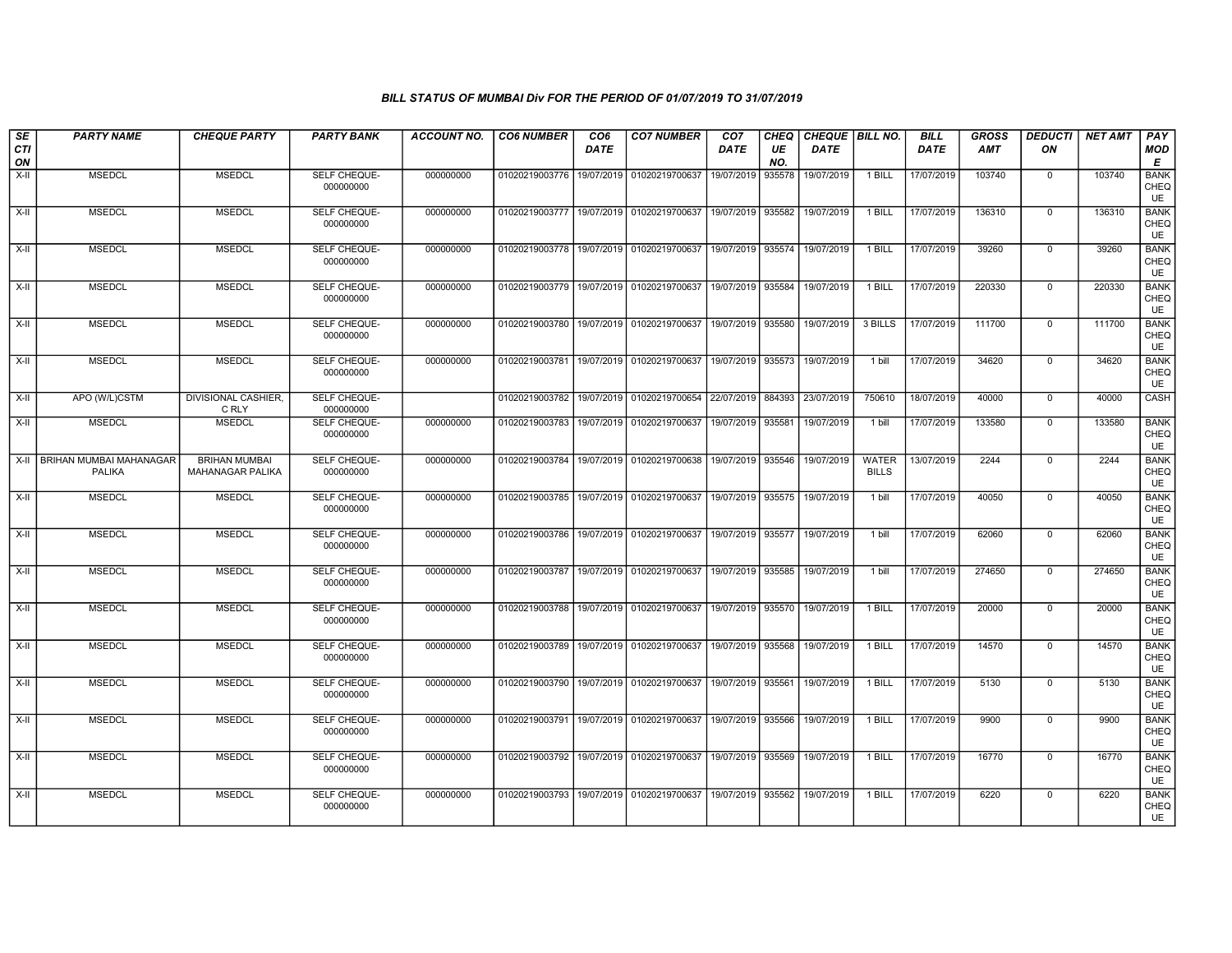| <b>SE</b>        | <b>PARTY NAME</b>                 | <b>CHEQUE PARTY</b>                      | <b>PARTY BANK</b>                | <b>ACCOUNT NO.</b> | <b>CO6 NUMBER</b>         | CO <sub>6</sub> | <b>CO7 NUMBER</b>                        | CO <sub>7</sub>   | CHEQ      | CHEQUE BILL NO. |                              | <b>BILL</b> | <b>GROSS</b> | <b>DEDUCTI</b> | <b>NET AMT</b> | PAY                              |
|------------------|-----------------------------------|------------------------------------------|----------------------------------|--------------------|---------------------------|-----------------|------------------------------------------|-------------------|-----------|-----------------|------------------------------|-------------|--------------|----------------|----------------|----------------------------------|
| <b>CTI</b><br>ON |                                   |                                          |                                  |                    |                           | DATE            |                                          | DATE              | UE<br>NO. | DATE            |                              | DATE        | <b>AMT</b>   | ON             |                | <b>MOD</b><br>E                  |
| $X-H$            | <b>MSEDCL</b>                     | <b>MSEDCL</b>                            | SELF CHEQUE-<br>000000000        | 000000000          | 01020219003776            | 19/07/2019      | 01020219700637                           | 19/07/2019        | 935578    | 19/07/2019      | 1 BILL                       | 17/07/2019  | 103740       | $\mathbf 0$    | 103740         | <b>BANK</b><br>CHEQ<br><b>UE</b> |
| X-II             | <b>MSEDCL</b>                     | <b>MSEDCL</b>                            | SELF CHEQUE-<br>000000000        | 000000000          | 01020219003777            | 19/07/2019      | 01020219700637                           | 19/07/2019        | 935582    | 19/07/2019      | 1 BILL                       | 17/07/2019  | 136310       | $\mathbf 0$    | 136310         | <b>BANK</b><br>CHEQ<br><b>UE</b> |
| X-II             | <b>MSEDCL</b>                     | <b>MSEDCL</b>                            | SELF CHEQUE-<br>000000000        | 000000000          | 01020219003778            | 19/07/2019      | 01020219700637                           | 19/07/2019        | 935574    | 19/07/2019      | 1 BILL                       | 17/07/2019  | 39260        | $\mathbf 0$    | 39260          | <b>BANK</b><br>CHEQ<br>UE        |
| $X-H$            | <b>MSEDCL</b>                     | <b>MSEDCL</b>                            | <b>SELF CHEQUE-</b><br>000000000 | 000000000          | 01020219003779            |                 | 19/07/2019 01020219700637                | 19/07/2019        | 935584    | 19/07/2019      | 1 BILL                       | 17/07/2019  | 220330       | $\mathbf 0$    | 220330         | <b>BANK</b><br>CHEQ<br>UE        |
| $X-II$           | <b>MSEDCL</b>                     | <b>MSEDCL</b>                            | SELF CHEQUE-<br>000000000        | 000000000          | 01020219003780            | 19/07/2019      | 01020219700637                           | 19/07/2019        | 935580    | 19/07/2019      | 3 BILLS                      | 17/07/2019  | 111700       | $\mathbf 0$    | 111700         | <b>BANK</b><br>CHEQ<br>UE        |
| X-II             | <b>MSEDCL</b>                     | <b>MSEDCL</b>                            | SELF CHEQUE-<br>000000000        | 000000000          | 01020219003781            | 19/07/2019      | 01020219700637                           | 19/07/2019        | 935573    | 19/07/2019      | 1 bill                       | 17/07/2019  | 34620        | $\mathbf 0$    | 34620          | <b>BANK</b><br>CHEQ<br><b>UE</b> |
| $X-H$            | APO (W/L)CSTM                     | DIVISIONAL CASHIER,<br>C RLY             | SELF CHEQUE-<br>000000000        |                    | 01020219003782            | 19/07/2019      | 01020219700654                           | 22/07/2019        | 884393    | 23/07/2019      | 750610                       | 18/07/2019  | 40000        | $\mathbf 0$    | 40000          | <b>CASH</b>                      |
| X-II             | <b>MSEDCL</b>                     | <b>MSEDCL</b>                            | SELF CHEQUE-<br>000000000        | 000000000          | 01020219003783            | 19/07/2019      | 01020219700637                           | 19/07/2019        | 935581    | 19/07/2019      | 1 bill                       | 17/07/2019  | 133580       | 0              | 133580         | <b>BANK</b><br>CHEQ<br>UE        |
| $X-H$            | BRIHAN MUMBAI MAHANAGAR<br>PALIKA | <b>BRIHAN MUMBAI</b><br>MAHANAGAR PALIKA | SELF CHEQUE-<br>000000000        | 000000000          | 01020219003784            |                 | 19/07/2019 01020219700638                | 19/07/2019 935546 |           | 19/07/2019      | <b>WATER</b><br><b>BILLS</b> | 13/07/2019  | 2244         | $\mathbf 0$    | 2244           | <b>BANK</b><br>CHEQ<br><b>UE</b> |
| $X-II$           | <b>MSEDCL</b>                     | <b>MSEDCL</b>                            | SELF CHEQUE-<br>000000000        | 000000000          |                           |                 | 01020219003785 19/07/2019 01020219700637 | 19/07/2019 935575 |           | 19/07/2019      | 1 bill                       | 17/07/2019  | 40050        | $\overline{0}$ | 40050          | <b>BANK</b><br>CHEQ<br>UE        |
| X-II             | <b>MSEDCL</b>                     | <b>MSEDCL</b>                            | SELF CHEQUE-<br>000000000        | 000000000          | 01020219003786            | 19/07/2019      | 01020219700637                           | 19/07/2019        | 935577    | 19/07/2019      | 1 bill                       | 17/07/2019  | 62060        | $\mathbf 0$    | 62060          | <b>BANK</b><br>CHEQ<br><b>UE</b> |
| $X-H$            | <b>MSEDCL</b>                     | <b>MSEDCL</b>                            | SELF CHEQUE-<br>000000000        | 000000000          | 01020219003787            |                 | 19/07/2019 01020219700637                | 19/07/2019 935585 |           | 19/07/2019      | 1 bill                       | 17/07/2019  | 274650       | $\mathbf 0$    | 274650         | <b>BANK</b><br>CHEQ<br><b>UE</b> |
| $X-II$           | <b>MSEDCL</b>                     | <b>MSEDCL</b>                            | SELF CHEQUE-<br>000000000        | 000000000          | 01020219003788            | 19/07/2019      | 01020219700637                           | 19/07/2019        | 935570    | 19/07/2019      | 1 BILL                       | 17/07/2019  | 20000        | $\mathbf 0$    | 20000          | <b>BANK</b><br>CHEQ<br>UE        |
| X-II             | <b>MSEDCL</b>                     | <b>MSEDCL</b>                            | SELF CHEQUE-<br>000000000        | 000000000          | 01020219003789            | 19/07/2019      | 01020219700637                           | 19/07/2019        | 935568    | 19/07/2019      | 1 BILL                       | 17/07/2019  | 14570        | $\mathbf 0$    | 14570          | <b>BANK</b><br>CHEQ<br>UE        |
| $X-H$            | <b>MSEDCL</b>                     | <b>MSEDCL</b>                            | SELF CHEQUE-<br>000000000        | 000000000          | 01020219003790            |                 | 19/07/2019 01020219700637                | 19/07/2019        | 935561    | 19/07/2019      | $1$ BILL                     | 17/07/2019  | 5130         | $\mathbf 0$    | 5130           | <b>BANK</b><br>CHEQ<br>UE        |
| $X-II$           | <b>MSEDCL</b>                     | <b>MSEDCL</b>                            | SELF CHEQUE-<br>000000000        | 000000000          | 01020219003791            | 19/07/2019      | 01020219700637                           | 19/07/2019        | 935566    | 19/07/2019      | 1 BILL                       | 17/07/2019  | 9900         | 0              | 9900           | <b>BANK</b><br>CHEQ<br>UE        |
| X-II             | <b>MSEDCL</b>                     | <b>MSEDCL</b>                            | SELF CHEQUE-<br>000000000        | 000000000          | 01020219003792 19/07/2019 |                 | 01020219700637                           | 19/07/2019        | 935569    | 19/07/2019      | 1 BILL                       | 17/07/2019  | 16770        | $\mathbf 0$    | 16770          | <b>BANK</b><br>CHEQ<br>UE        |
| $X-H$            | <b>MSEDCL</b>                     | <b>MSEDCL</b>                            | SELF CHEQUE-<br>000000000        | 000000000          | 01020219003793            | 19/07/2019      | 01020219700637                           | 19/07/2019        | 935562    | 19/07/2019      | 1 BILL                       | 17/07/2019  | 6220         | 0              | 6220           | <b>BANK</b><br>CHEQ<br>UE        |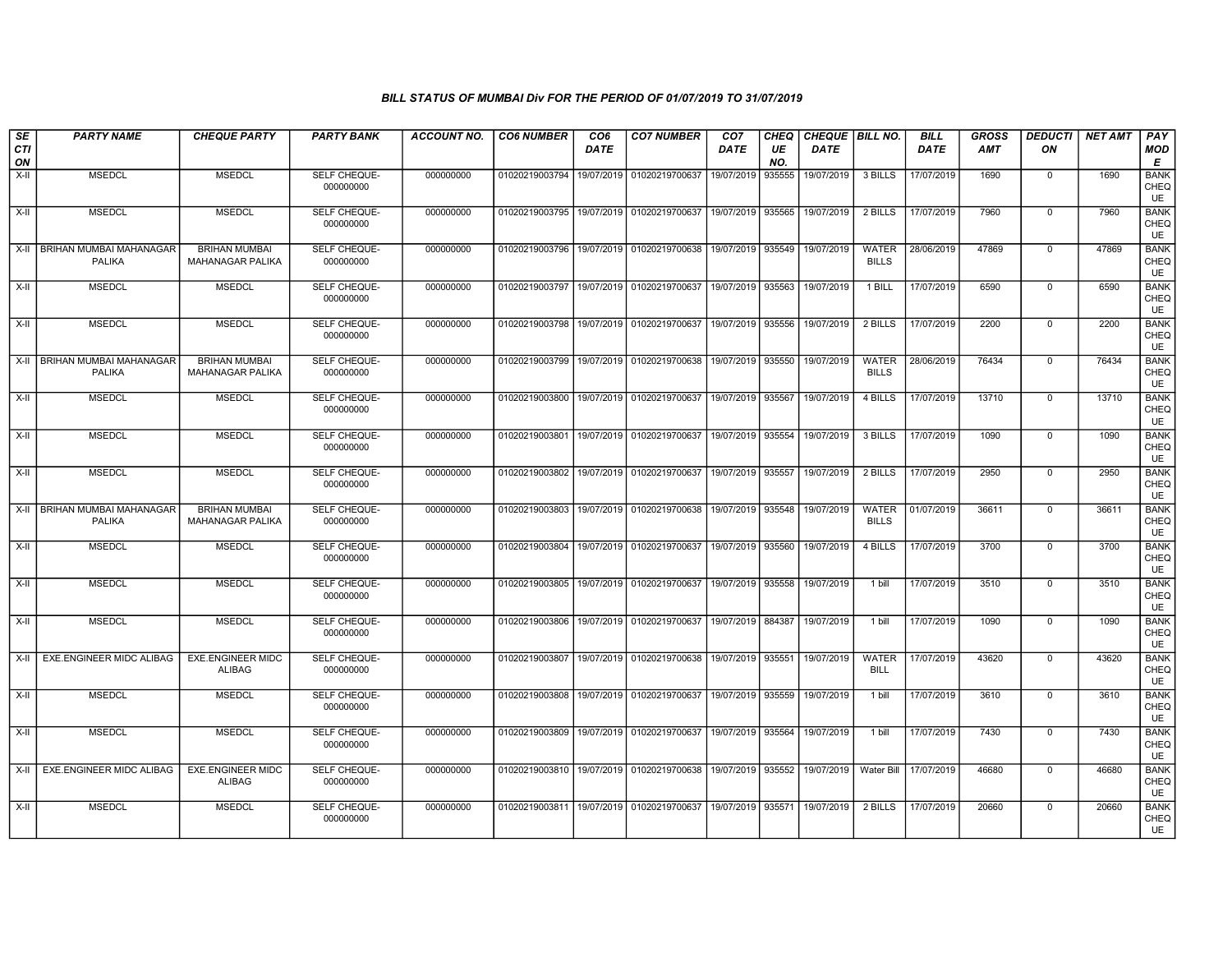| SE<br><b>CTI</b> | <b>PARTY NAME</b>                               | <b>CHEQUE PARTY</b>                             | <b>PARTY BANK</b>                | <b>ACCOUNT NO.</b> | <b>CO6 NUMBER</b>                        | CO <sub>6</sub><br><b>DATE</b> | <b>CO7 NUMBER</b>                        | CO <sub>7</sub><br><b>DATE</b> | CHEQ<br>UE | <b>CHEQUE   BILL NO.</b><br><b>DATE</b> |                              | <b>BILL</b><br><b>DATE</b> | <b>GROSS</b><br>AMT | <b>DEDUCTI</b><br>ON | NET AMT | <b>PAY</b><br><b>MOD</b>         |
|------------------|-------------------------------------------------|-------------------------------------------------|----------------------------------|--------------------|------------------------------------------|--------------------------------|------------------------------------------|--------------------------------|------------|-----------------------------------------|------------------------------|----------------------------|---------------------|----------------------|---------|----------------------------------|
| ON               |                                                 |                                                 |                                  |                    |                                          |                                |                                          |                                | NO.        |                                         |                              |                            |                     |                      |         | Е                                |
| X-II             | <b>MSEDCL</b>                                   | <b>MSEDCL</b>                                   | <b>SELF CHEQUE-</b><br>000000000 | 000000000          | 01020219003794 19/07/2019 01020219700637 |                                |                                          | 19/07/2019                     | 935555     | 19/07/2019                              | 3 BILLS                      | 17/07/2019                 | 1690                | $^{\circ}$           | 1690    | <b>BANK</b><br>CHEQ<br><b>UE</b> |
| X-II             | <b>MSEDCL</b>                                   | <b>MSEDCL</b>                                   | SELF CHEQUE-<br>000000000        | 000000000          | 01020219003795                           |                                | 19/07/2019 01020219700637                | 19/07/2019                     | 935565     | 19/07/2019                              | 2 BILLS                      | 17/07/2019                 | 7960                | $\mathbf 0$          | 7960    | <b>BANK</b><br>CHEQ<br><b>UE</b> |
|                  | X-II   BRIHAN MUMBAI MAHANAGAR<br><b>PALIKA</b> | <b>BRIHAN MUMBAI</b><br><b>MAHANAGAR PALIKA</b> | SELF CHEQUE-<br>000000000        | 000000000          | 01020219003796                           |                                | 19/07/2019 01020219700638                | 19/07/2019                     | 935549     | 19/07/2019                              | <b>WATER</b><br><b>BILLS</b> | 28/06/2019                 | 47869               | $\mathbf 0$          | 47869   | <b>BANK</b><br>CHEQ<br>UE        |
| $X-H$            | <b>MSEDCL</b>                                   | <b>MSEDCL</b>                                   | SELF CHEQUE-<br>000000000        | 000000000          | 01020219003797                           |                                | 19/07/2019 01020219700637                | 19/07/2019                     | 935563     | 19/07/2019                              | 1 BILL                       | 17/07/2019                 | 6590                | $\overline{0}$       | 6590    | <b>BANK</b><br>CHEQ<br>UE        |
| X-II             | <b>MSEDCL</b>                                   | <b>MSEDCL</b>                                   | SELF CHEQUE-<br>000000000        | 000000000          | 01020219003798                           | 19/07/2019                     | 01020219700637                           | 19/07/2019                     | 935556     | 19/07/2019                              | 2 BILLS                      | 17/07/2019                 | 2200                | $\mathbf 0$          | 2200    | <b>BANK</b><br>CHEQ<br>UE        |
|                  | X-II BRIHAN MUMBAI MAHANAGAR<br><b>PALIKA</b>   | <b>BRIHAN MUMBAI</b><br>MAHANAGAR PALIKA        | SELF CHEQUE-<br>000000000        | 000000000          | 01020219003799                           | 19/07/2019                     | 01020219700638                           | 19/07/2019                     | 935550     | 19/07/2019                              | WATER<br><b>BILLS</b>        | 28/06/2019                 | 76434               | $\mathbf 0$          | 76434   | <b>BANK</b><br>CHEQ<br><b>UE</b> |
| X-II             | <b>MSEDCL</b>                                   | <b>MSEDCL</b>                                   | SELF CHEQUE-<br>000000000        | 000000000          | 01020219003800                           |                                | 19/07/2019 01020219700637                | 19/07/2019                     | 935567     | 19/07/2019                              | 4 BILLS                      | 17/07/2019                 | 13710               | $\mathbf 0$          | 13710   | <b>BANK</b><br>CHEQ<br>UE        |
| $X-H$            | <b>MSEDCL</b>                                   | <b>MSEDCL</b>                                   | SELF CHEQUE-<br>000000000        | 000000000          | 01020219003801                           |                                | 19/07/2019 01020219700637                | 19/07/2019 935554              |            | 19/07/2019                              | 3 BILLS                      | 17/07/2019                 | 1090                | 0                    | 1090    | <b>BANK</b><br>CHEQ<br><b>UE</b> |
| X-II             | <b>MSEDCL</b>                                   | <b>MSEDCL</b>                                   | SELF CHEQUE-<br>000000000        | 000000000          | 01020219003802                           |                                | 19/07/2019 01020219700637                | 19/07/2019                     | 935557     | 19/07/2019                              | 2 BILLS                      | 17/07/2019                 | 2950                | 0                    | 2950    | <b>BANK</b><br>CHEQ<br><b>UE</b> |
|                  | X-II   BRIHAN MUMBAI MAHANAGAR<br><b>PALIKA</b> | <b>BRIHAN MUMBAI</b><br>MAHANAGAR PALIKA        | SELF CHEQUE-<br>000000000        | 000000000          | 01020219003803                           |                                | 19/07/2019 01020219700638                | 19/07/2019 935548              |            | 19/07/2019                              | WATER<br><b>BILLS</b>        | 01/07/2019                 | 36611               | $\mathbf 0$          | 36611   | <b>BANK</b><br>CHEQ<br>UE        |
| X-II             | <b>MSEDCL</b>                                   | <b>MSEDCL</b>                                   | SELF CHEQUE-<br>000000000        | 000000000          |                                          |                                | 01020219003804 19/07/2019 01020219700637 | 19/07/2019                     | 935560     | 19/07/2019                              | 4 BILLS                      | 17/07/2019                 | 3700                | 0                    | 3700    | <b>BANK</b><br>CHEQ<br>UE        |
| X-II             | <b>MSEDCL</b>                                   | <b>MSEDCL</b>                                   | SELF CHEQUE-<br>000000000        | 000000000          |                                          |                                | 01020219003805 19/07/2019 01020219700637 | 19/07/2019                     | 935558     | 19/07/2019                              | 1 bill                       | 17/07/2019                 | 3510                | $\mathbf 0$          | 3510    | <b>BANK</b><br>CHEQ<br><b>UE</b> |
| X-II             | <b>MSEDCL</b>                                   | <b>MSEDCL</b>                                   | SELF CHEQUE-<br>000000000        | 000000000          |                                          |                                | 01020219003806 19/07/2019 01020219700637 | 19/07/2019 884387              |            | 19/07/2019                              | 1 bill                       | 17/07/2019                 | 1090                | 0                    | 1090    | <b>BANK</b><br>CHEQ<br><b>UE</b> |
| $X-H$            | EXE.ENGINEER MIDC ALIBAG                        | <b>EXE.ENGINEER MIDC</b><br>ALIBAG              | SELF CHEQUE-<br>000000000        | 000000000          | 01020219003807                           |                                | 19/07/2019 01020219700638                | 19/07/2019                     | 935551     | 19/07/2019                              | <b>WATER</b><br><b>BILL</b>  | 17/07/2019                 | 43620               | 0                    | 43620   | <b>BANK</b><br>CHEQ<br><b>UE</b> |
| X-II             | <b>MSEDCL</b>                                   | <b>MSEDCL</b>                                   | SELF CHEQUE-<br>000000000        | 000000000          | 01020219003808                           |                                | 19/07/2019 01020219700637                | 19/07/2019                     | 935559     | 19/07/2019                              | 1 bill                       | 17/07/2019                 | 3610                | $\mathbf 0$          | 3610    | <b>BANK</b><br>CHEQ<br>UE        |
| X-II             | <b>MSEDCL</b>                                   | <b>MSEDCL</b>                                   | SELF CHEQUE-<br>000000000        | 000000000          |                                          |                                | 01020219003809 19/07/2019 01020219700637 | 19/07/2019 935564              |            | 19/07/2019                              | 1 bill                       | 17/07/2019                 | 7430                | $\mathbf 0$          | 7430    | <b>BANK</b><br>CHEQ<br><b>UE</b> |
|                  | X-II EXE.ENGINEER MIDC ALIBAG                   | <b>EXE.ENGINEER MIDC</b><br><b>ALIBAG</b>       | <b>SELF CHEQUE-</b><br>000000000 | 000000000          |                                          |                                | 01020219003810 19/07/2019 01020219700638 | 19/07/2019                     | 935552     | 19/07/2019                              | <b>Water Bill</b>            | 17/07/2019                 | 46680               | $\mathbf 0$          | 46680   | <b>BANK</b><br>CHEQ<br><b>UE</b> |
| X-II             | <b>MSEDCL</b>                                   | <b>MSEDCL</b>                                   | SELF CHEQUE-<br>000000000        | 000000000          | 01020219003811                           |                                | 19/07/2019 01020219700637                | 19/07/2019                     | 935571     | 19/07/2019                              | 2 BILLS                      | 17/07/2019                 | 20660               | 0                    | 20660   | <b>BANK</b><br>CHEQ<br>UE        |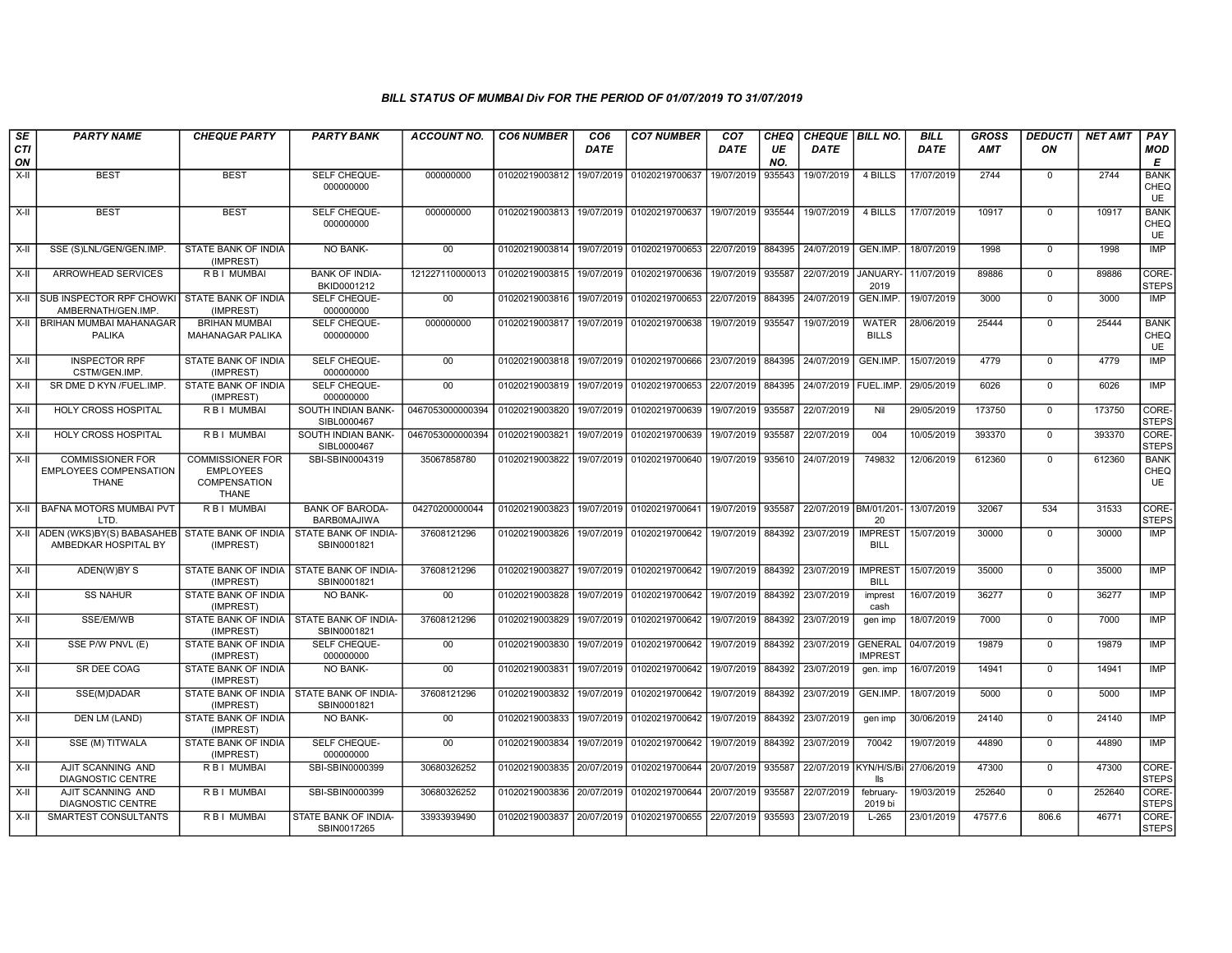| SE        | <b>PARTY NAME</b>                                                        | <b>CHEQUE PARTY</b>                                                         | <b>PARTY BANK</b>                                         | ACCOUNT NO.      | <b>CO6 NUMBER</b>         | CO <sub>6</sub> | <b>CO7 NUMBER</b> | CO <sub>7</sub> | CHEQ      | <b>CHEQUE   BILL NO.</b> |                                  | <b>BILL</b> | GROSS      | <i><b>DEDUCTI</b></i> | NET AMT | <b>PAY</b>                  |
|-----------|--------------------------------------------------------------------------|-----------------------------------------------------------------------------|-----------------------------------------------------------|------------------|---------------------------|-----------------|-------------------|-----------------|-----------|--------------------------|----------------------------------|-------------|------------|-----------------------|---------|-----------------------------|
| CTI<br>ON |                                                                          |                                                                             |                                                           |                  |                           | DATE            |                   | DATE            | UE<br>NO. | <b>DATE</b>              |                                  | <b>DATE</b> | <b>AMT</b> | ON                    |         | <b>MOD</b><br>E             |
| X-II      | <b>BEST</b>                                                              | <b>BEST</b>                                                                 | SELF CHEQUE-<br>000000000                                 | 000000000        | 01020219003812            | 19/07/2019      | 01020219700637    | 19/07/2019      | 935543    | 19/07/2019               | 4 BILLS                          | 17/07/2019  | 2744       | $^{\circ}$            | 2744    | <b>BANK</b><br>CHEQ<br>UE   |
| X-II      | <b>BEST</b>                                                              | <b>BEST</b>                                                                 | SELF CHEQUE-<br>000000000                                 | 000000000        | 01020219003813            | 19/07/2019      | 01020219700637    | 19/07/2019      | 935544    | 19/07/2019               | 4 BILLS                          | 17/07/2019  | 10917      | $\mathbf 0$           | 10917   | <b>BANK</b><br>CHEQ<br>UE   |
| $X-II$    | SSE (S)LNL/GEN/GEN.IMP.                                                  | STATE BANK OF INDIA<br>(IMPREST)                                            | <b>NO BANK-</b>                                           | $00\,$           | 01020219003814            | 19/07/2019      | 01020219700653    | 22/07/2019      | 884395    | 24/07/2019               | GEN.IMP.                         | 18/07/2019  | 1998       | $\mathbf 0$           | 1998    | IMP                         |
| X-II      | ARROWHEAD SERVICES                                                       | R B I MUMBAI                                                                | <b>BANK OF INDIA-</b><br>BKID0001212                      | 121227110000013  | 01020219003815            | 19/07/2019      | 01020219700636    | 19/07/2019      | 935587    | 22/07/2019               | <b>JANUARY</b><br>2019           | 11/07/2019  | 89886      | $\overline{0}$        | 89886   | CORE-<br><b>STEPS</b>       |
| X-II      | SUB INSPECTOR RPF CHOWKI<br>AMBERNATH/GEN.IMP.                           | STATE BANK OF INDIA<br>(IMPREST)                                            | <b>SELF CHEQUE-</b><br>000000000                          | 00               | 01020219003816            | 19/07/2019      | 01020219700653    | 22/07/2019      | 884395    | 24/07/2019               | GEN.IMP.                         | 19/07/2019  | 3000       | $\mathbf 0$           | 3000    | IMP                         |
|           | X-II   BRIHAN MUMBAI MAHANAGAR<br><b>PALIKA</b>                          | <b>BRIHAN MUMBAI</b><br>MAHANAGAR PALIKA                                    | SELF CHEQUE-<br>000000000                                 | 000000000        | 01020219003817            | 19/07/2019      | 01020219700638    | 19/07/2019      | 935547    | 19/07/2019               | <b>WATER</b><br><b>BILLS</b>     | 28/06/2019  | 25444      | $\mathbf 0$           | 25444   | <b>BANK</b><br>CHEQ<br>UE   |
| X-II      | <b>INSPECTOR RPF</b><br>CSTM/GEN.IMP.                                    | STATE BANK OF INDIA<br>(IMPREST)                                            | SELF CHEQUE-<br>000000000                                 | $00\,$           | 01020219003818            | 19/07/2019      | 01020219700666    | 23/07/2019      | 884395    | 24/07/2019               | GEN.IMP.                         | 15/07/2019  | 4779       | $^{\circ}$            | 4779    | IMP                         |
| X-II      | SR DME D KYN /FUEL.IMP.                                                  | STATE BANK OF INDIA<br>(IMPREST)                                            | <b>SELF CHEQUE-</b><br>000000000                          | 00               | 01020219003819            | 19/07/2019      | 01020219700653    | 22/07/2019      | 884395    | 24/07/2019   FUEL.IMP    |                                  | 29/05/2019  | 6026       | $\Omega$              | 6026    | IMP                         |
| $X-H$     | <b>HOLY CROSS HOSPITAL</b>                                               | <b>RBI MUMBAI</b>                                                           | SOUTH INDIAN BANK-<br>SIBL0000467                         | 0467053000000394 | 01020219003820            | 19/07/2019      | 01020219700639    | 19/07/2019      | 935587    | 22/07/2019               | Nil                              | 29/05/2019  | 173750     | $\mathbf 0$           | 173750  | CORE-<br><b>STEPS</b>       |
| X-II      | HOLY CROSS HOSPITAL                                                      | R B I MUMBAI                                                                | SOUTH INDIAN BANK-<br>SIBL0000467                         | 0467053000000394 | 01020219003821            | 19/07/2019      | 01020219700639    | 19/07/2019      | 935587    | 22/07/2019               | 004                              | 10/05/2019  | 393370     | $\mathbf 0$           | 393370  | CORE-<br><b>STEPS</b>       |
| X-II      | <b>COMMISSIONER FOR</b><br><b>EMPLOYEES COMPENSATION</b><br><b>THANE</b> | <b>COMMISSIONER FOR</b><br><b>EMPLOYEES</b><br>COMPENSATION<br><b>THANE</b> | SBI-SBIN0004319                                           | 35067858780      | 01020219003822            | 19/07/2019      | 01020219700640    | 19/07/2019      | 935610    | 24/07/2019               | 749832                           | 12/06/2019  | 612360     | $\mathbf 0$           | 612360  | <b>BANK</b><br>CHEQ<br>UE   |
| X-II      | BAFNA MOTORS MUMBAI PVT<br>LTD                                           | R B I MUMBAI                                                                | <b>BANK OF BARODA-</b><br>BARBOMAJIWA                     | 04270200000044   | 01020219003823            | 19/07/2019      | 01020219700641    | 19/07/2019      | 935587    | 22/07/2019 BM/01/201-    | 20                               | 13/07/2019  | 32067      | 534                   | 31533   | CORE-<br>STEPS              |
|           | X-II ADEN (WKS)BY(S) BABASAHEB<br>AMBEDKAR HOSPITAL BY                   | STATE BANK OF INDIA<br>(IMPREST)                                            | STATE BANK OF INDIA-<br>SBIN0001821                       | 37608121296      | 01020219003826            | 19/07/2019      | 01020219700642    | 19/07/2019      | 884392    | 23/07/2019               | <b>IMPREST</b><br>BILL           | 15/07/2019  | 30000      | $\overline{0}$        | 30000   | IMP                         |
| X-II      | ADEN(W)BY S                                                              | (IMPREST)                                                                   | STATE BANK OF INDIA I STATE BANK OF INDIA-<br>SBIN0001821 | 37608121296      | 01020219003827            | 19/07/2019      | 01020219700642    | 19/07/2019      | 884392    | 23/07/2019               | <b>IMPREST</b><br><b>BILL</b>    | 15/07/2019  | 35000      | $\mathbf 0$           | 35000   | IMP                         |
| X-II      | <b>SS NAHUR</b>                                                          | STATE BANK OF INDIA<br>(IMPREST)                                            | <b>NO BANK-</b>                                           | 00               | 01020219003828            | 19/07/2019      | 01020219700642    | 19/07/2019      | 884392    | 23/07/2019               | imprest<br>cash                  | 16/07/2019  | 36277      | $\mathbf 0$           | 36277   | <b>IMP</b>                  |
| X-II      | SSE/EM/WB                                                                | (IMPREST)                                                                   | STATE BANK OF INDIA   STATE BANK OF INDIA-<br>SBIN0001821 | 37608121296      | 01020219003829            | 19/07/2019      | 01020219700642    | 19/07/2019      | 884392    | 23/07/2019               | gen imp                          | 18/07/2019  | 7000       | $\mathbf 0$           | 7000    | IMP                         |
| $X-H$     | SSE P/W PNVL (E)                                                         | <b>STATE BANK OF INDIA</b><br>(IMPREST)                                     | <b>SELF CHEQUE-</b><br>000000000                          | 00               | 01020219003830            | 19/07/2019      | 01020219700642    | 19/07/2019      | 884392    | 23/07/2019               | <b>GENERAL</b><br><b>IMPREST</b> | 04/07/2019  | 19879      | $\mathbf 0$           | 19879   | <b>IMP</b>                  |
| X-II      | SR DEE COAG                                                              | STATE BANK OF INDIA<br>(IMPREST)                                            | <b>NO BANK-</b>                                           | $00\,$           | 01020219003831            | 19/07/2019      | 01020219700642    | 19/07/2019      | 884392    | 23/07/2019               | gen. imp                         | 16/07/2019  | 14941      | $\mathbf 0$           | 14941   | IMP                         |
| X-II      | SSE(M)DADAR                                                              | (IMPREST)                                                                   | STATE BANK OF INDIA   STATE BANK OF INDIA-<br>SBIN0001821 | 37608121296      | 01020219003832            | 19/07/2019      | 01020219700642    | 19/07/2019      | 884392    | 23/07/2019               | GEN.IMP.                         | 18/07/2019  | 5000       | $\overline{0}$        | 5000    | IMP                         |
| X-II      | <b>DEN LM (LAND)</b>                                                     | STATE BANK OF INDIA<br>(IMPREST)                                            | <b>NO BANK-</b>                                           | 00               | 01020219003833            | 19/07/2019      | 01020219700642    | 19/07/2019      | 884392    | 23/07/2019               | gen imp                          | 30/06/2019  | 24140      | $\mathbf 0$           | 24140   | IMP                         |
| X-II      | SSE (M) TITWALA                                                          | STATE BANK OF INDIA<br>(IMPREST)                                            | SELF CHEQUE-<br>000000000                                 | 00               | 01020219003834            | 19/07/2019      | 01020219700642    | 19/07/2019      | 884392    | 23/07/2019               | 70042                            | 19/07/2019  | 44890      | $\mathbf 0$           | 44890   | IMP                         |
| X-II      | AJIT SCANNING AND<br><b>DIAGNOSTIC CENTRE</b>                            | <b>RBI MUMBAI</b>                                                           | SBI-SBIN0000399                                           | 30680326252      | 01020219003835            | 20/07/2019      | 01020219700644    | 20/07/2019      | 935587    | 22/07/2019 KYN/H/S/Bi    | lls                              | 27/06/2019  | 47300      | $\mathbf 0$           | 47300   | <b>CORE</b><br><b>STEPS</b> |
| $X-H$     | AJIT SCANNING AND<br><b>DIAGNOSTIC CENTRE</b>                            | R B I MUMBAI                                                                | SBI-SBIN0000399                                           | 30680326252      | 01020219003836 20/07/2019 |                 | 01020219700644    | 20/07/2019      | 935587    | 22/07/2019               | february-<br>2019 bi             | 19/03/2019  | 252640     | $\mathbf 0$           | 252640  | CORE-<br><b>STEPS</b>       |
| X-II      | SMARTEST CONSULTANTS                                                     | R B I MUMBAI                                                                | STATE BANK OF INDIA-<br>SBIN0017265                       | 33933939490      | 01020219003837            | 20/07/2019      | 01020219700655    | 22/07/2019      | 935593    | 23/07/2019               | $L-265$                          | 23/01/2019  | 47577.6    | 806.6                 | 46771   | CORE-<br><b>STEPS</b>       |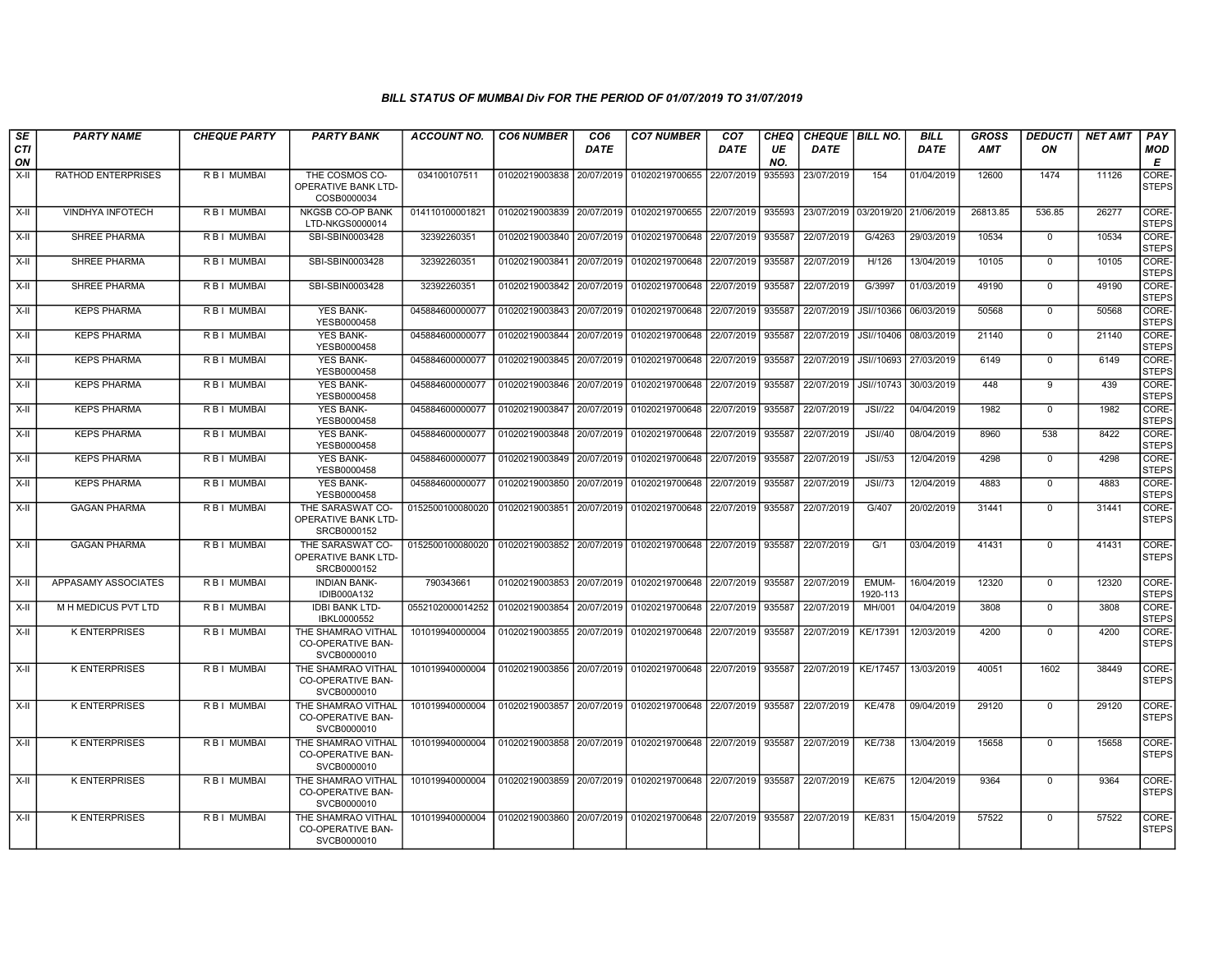| SE        | <b>PARTY NAME</b>         | <b>CHEQUE PARTY</b> | <b>PARTY BANK</b>                                             | ACCOUNT NO.      | <b>CO6 NUMBER</b> | CO6         | <b>CO7 NUMBER</b>                                              | CO <sub>7</sub>   | <b>CHEQ</b> | CHEQUE   BILL NO.     |                       | <b>BILL</b> | <b>GROSS</b> | <b>DEDUCTI</b> | NET AMT | <b>PAY</b>            |
|-----------|---------------------------|---------------------|---------------------------------------------------------------|------------------|-------------------|-------------|----------------------------------------------------------------|-------------------|-------------|-----------------------|-----------------------|-------------|--------------|----------------|---------|-----------------------|
| CTI<br>ON |                           |                     |                                                               |                  |                   | <b>DATE</b> |                                                                | DATE              | UE<br>NO.   | <b>DATE</b>           |                       | <b>DATE</b> | <b>AMT</b>   | ON             |         | <b>MOD</b><br>E       |
| $X-II$    | <b>RATHOD ENTERPRISES</b> | R B I MUMBAI        | THE COSMOS CO-<br>OPERATIVE BANK LTD-<br>COSB0000034          | 034100107511     | 01020219003838    |             | 20/07/2019 01020219700655                                      | 22/07/2019        | 935593      | 23/07/2019            | 154                   | 01/04/2019  | 12600        | 1474           | 11126   | CORE-<br><b>STEPS</b> |
| X-II      | <b>VINDHYA INFOTECH</b>   | R B I MUMBAI        | <b>NKGSB CO-OP BANK</b><br>LTD-NKGS0000014                    | 014110100001821  | 01020219003839    |             | 20/07/2019 01020219700655                                      | 22/07/2019 935593 |             | 23/07/2019 03/2019/20 |                       | 21/06/2019  | 26813.85     | 536.85         | 26277   | CORE-<br><b>STEPS</b> |
| X-II      | <b>SHREE PHARMA</b>       | R B I MUMBAI        | SBI-SBIN0003428                                               | 32392260351      | 01020219003840    | 20/07/2019  | 01020219700648                                                 | 22/07/2019        | 935587      | 22/07/2019            | G/4263                | 29/03/2019  | 10534        | $\mathbf 0$    | 10534   | CORE-<br><b>STEPS</b> |
| X-II      | SHREE PHARMA              | R B I MUMBAI        | SBI-SBIN0003428                                               | 32392260351      | 01020219003841    | 20/07/2019  | 01020219700648                                                 | 22/07/2019        | 935587      | 22/07/2019            | H/126                 | 13/04/2019  | 10105        | $\mathbf 0$    | 10105   | CORE-<br><b>STEPS</b> |
| $X-II$    | <b>SHREE PHARMA</b>       | R B I MUMBAI        | SBI-SBIN0003428                                               | 32392260351      | 01020219003842    | 20/07/2019  | 01020219700648                                                 | 22/07/2019        | 935587      | 22/07/2019            | G/3997                | 01/03/2019  | 49190        | $\Omega$       | 49190   | CORE-<br><b>STEPS</b> |
| X-II      | <b>KEPS PHARMA</b>        | R B I MUMBAI        | <b>YES BANK-</b><br>YESB0000458                               | 045884600000077  | 01020219003843    |             | 20/07/2019 01020219700648                                      | 22/07/2019 935587 |             | 22/07/2019            | JSI//10366            | 06/03/2019  | 50568        | $\mathbf 0$    | 50568   | CORE-<br><b>STEPS</b> |
| X-II      | <b>KEPS PHARMA</b>        | <b>RBI MUMBAI</b>   | <b>YES BANK-</b><br>YESB0000458                               | 045884600000077  | 01020219003844    |             | 20/07/2019 01020219700648                                      | 22/07/2019 935587 |             |                       | 22/07/2019 JSI//10406 | 08/03/2019  | 21140        | $\overline{0}$ | 21140   | CORE-<br><b>STEPS</b> |
| X-II      | <b>KEPS PHARMA</b>        | R B I MUMBAI        | <b>YES BANK-</b><br>YESB0000458                               | 045884600000077  |                   |             | 01020219003845 20/07/2019 01020219700648                       | 22/07/2019 935587 |             | 22/07/2019            | JSI//10693 27/03/2019 |             | 6149         | $\mathbf 0$    | 6149    | CORE-<br><b>STEPS</b> |
| X-II      | <b>KEPS PHARMA</b>        | R B I MUMBAI        | <b>YES BANK-</b><br>YESB0000458                               | 045884600000077  | 01020219003846    |             | 20/07/2019 01020219700648 22/07/2019                           |                   | 935587      | 22/07/2019            | JSI//10743            | 30/03/2019  | 448          | 9              | 439     | CORE-<br><b>STEPS</b> |
| X-II      | <b>KEPS PHARMA</b>        | R B I MUMBAI        | <b>YES BANK-</b><br>YESB0000458                               | 045884600000077  | 01020219003847    |             | 20/07/2019 01020219700648                                      | 22/07/2019        | 935587      | 22/07/2019            | <b>JSI//22</b>        | 04/04/2019  | 1982         | $\Omega$       | 1982    | CORE-<br><b>STEPS</b> |
| X-II      | <b>KEPS PHARMA</b>        | R B I MUMBAI        | <b>YES BANK-</b><br>YESB0000458                               | 045884600000077  | 01020219003848    |             | 20/07/2019 01020219700648                                      | 22/07/2019        | 935587      | 22/07/2019            | <b>JSI//40</b>        | 08/04/2019  | 8960         | 538            | 8422    | CORE-<br><b>STEPS</b> |
| $X-H$     | <b>KEPS PHARMA</b>        | <b>RBI MUMBAI</b>   | <b>YES BANK-</b><br>YESB0000458                               | 045884600000077  | 01020219003849    |             | 20/07/2019 01020219700648                                      | 22/07/2019 935587 |             | 22/07/2019            | JSI//53               | 12/04/2019  | 4298         | $\mathbf 0$    | 4298    | CORE-<br><b>STEPS</b> |
| $X-II$    | <b>KEPS PHARMA</b>        | R B I MUMBAI        | <b>YES BANK-</b><br>YESB0000458                               | 045884600000077  | 01020219003850    |             | 20/07/2019 01020219700648                                      | 22/07/2019        | 935587      | 22/07/2019            | <b>JSI//73</b>        | 12/04/2019  | 4883         | $^{\circ}$     | 4883    | CORE-<br><b>STEPS</b> |
| X-II      | <b>GAGAN PHARMA</b>       | R B I MUMBAI        | THE SARASWAT CO-<br>OPERATIVE BANK LTD-<br>SRCB0000152        | 0152500100080020 | 01020219003851    |             | 20/07/2019 01020219700648                                      | 22/07/2019 935587 |             | 22/07/2019            | G/407                 | 20/02/2019  | 31441        | $\mathbf 0$    | 31441   | CORE-<br><b>STEPS</b> |
| X-II      | <b>GAGAN PHARMA</b>       | R B I MUMBAI        | THE SARASWAT CO-<br>OPERATIVE BANK LTD-<br>SRCB0000152        | 0152500100080020 |                   |             | 01020219003852 20/07/2019   01020219700648 22/07/2019   935587 |                   |             | 22/07/2019            | G/1                   | 03/04/2019  | 41431        | $\mathbf 0$    | 41431   | CORE-<br><b>STEPS</b> |
| $X-H$     | APPASAMY ASSOCIATES       | <b>RBI MUMBAI</b>   | <b>INDIAN BANK-</b><br><b>IDIB000A132</b>                     | 790343661        | 01020219003853    |             | 20/07/2019 01020219700648 22/07/2019 935587                    |                   |             | 22/07/2019            | EMUM-<br>1920-113     | 16/04/2019  | 12320        | $\mathbf 0$    | 12320   | CORE-<br><b>STEPS</b> |
| X-II      | M H MEDICUS PVT LTD       | R B I MUMBAI        | <b>IDBI BANK LTD-</b><br>IBKL0000552                          | 0552102000014252 | 01020219003854    |             | 20/07/2019 01020219700648                                      | 22/07/2019        | 935587      | 22/07/2019            | MH/001                | 04/04/2019  | 3808         | $^{\circ}$     | 3808    | CORE-<br><b>STEPS</b> |
| X-II      | <b>K ENTERPRISES</b>      | R B I MUMBAI        | THE SHAMRAO VITHAL<br>CO-OPERATIVE BAN-<br>SVCB0000010        | 101019940000004  | 01020219003855    | 20/07/2019  | 01020219700648                                                 | 22/07/2019        | 935587      | 22/07/2019            | KE/17391              | 12/03/2019  | 4200         | $\mathbf 0$    | 4200    | CORE-<br><b>STEPS</b> |
| X-II      | <b>K ENTERPRISES</b>      | R B I MUMBAI        | THE SHAMRAO VITHAL<br>CO-OPERATIVE BAN-<br>SVCB0000010        | 101019940000004  | 01020219003856    |             | 20/07/2019   01020219700648   22/07/2019   935587              |                   |             | 22/07/2019            | KE/17457              | 13/03/2019  | 40051        | 1602           | 38449   | CORE-<br><b>STEPS</b> |
| X-II      | <b>K ENTERPRISES</b>      | R B I MUMBAI        | THE SHAMRAO VITHAL<br>CO-OPERATIVE BAN-<br>SVCB0000010        | 101019940000004  | 01020219003857    |             | 20/07/2019 01020219700648                                      | 22/07/2019 935587 |             | 22/07/2019            | <b>KE/478</b>         | 09/04/2019  | 29120        | 0              | 29120   | CORE-<br><b>STEPS</b> |
| X-II      | <b>K ENTERPRISES</b>      | R B I MUMBAI        | THE SHAMRAO VITHAL<br><b>CO-OPERATIVE BAN-</b><br>SVCB0000010 | 101019940000004  |                   |             | 01020219003858 20/07/2019 01020219700648 22/07/2019 935587     |                   |             | 22/07/2019            | <b>KE/738</b>         | 13/04/2019  | 15658        | $\mathbf 0$    | 15658   | CORE-<br><b>STEPS</b> |
| $X-H$     | <b>K ENTERPRISES</b>      | R B I MUMBAI        | THE SHAMRAO VITHAL<br><b>CO-OPERATIVE BAN-</b><br>SVCB0000010 | 101019940000004  | 01020219003859    |             | 20/07/2019 01020219700648                                      | 22/07/2019 935587 |             | 22/07/2019            | <b>KE/675</b>         | 12/04/2019  | 9364         | $\mathbf 0$    | 9364    | CORE-<br><b>STEPS</b> |
| X-II      | <b>K ENTERPRISES</b>      | R B I MUMBAI        | THE SHAMRAO VITHAL<br>CO-OPERATIVE BAN-<br>SVCB0000010        | 101019940000004  | 01020219003860    |             | 20/07/2019 01020219700648 22/07/2019 935587                    |                   |             | 22/07/2019            | <b>KE/831</b>         | 15/04/2019  | 57522        | $\mathbf 0$    | 57522   | CORE-<br><b>STEPS</b> |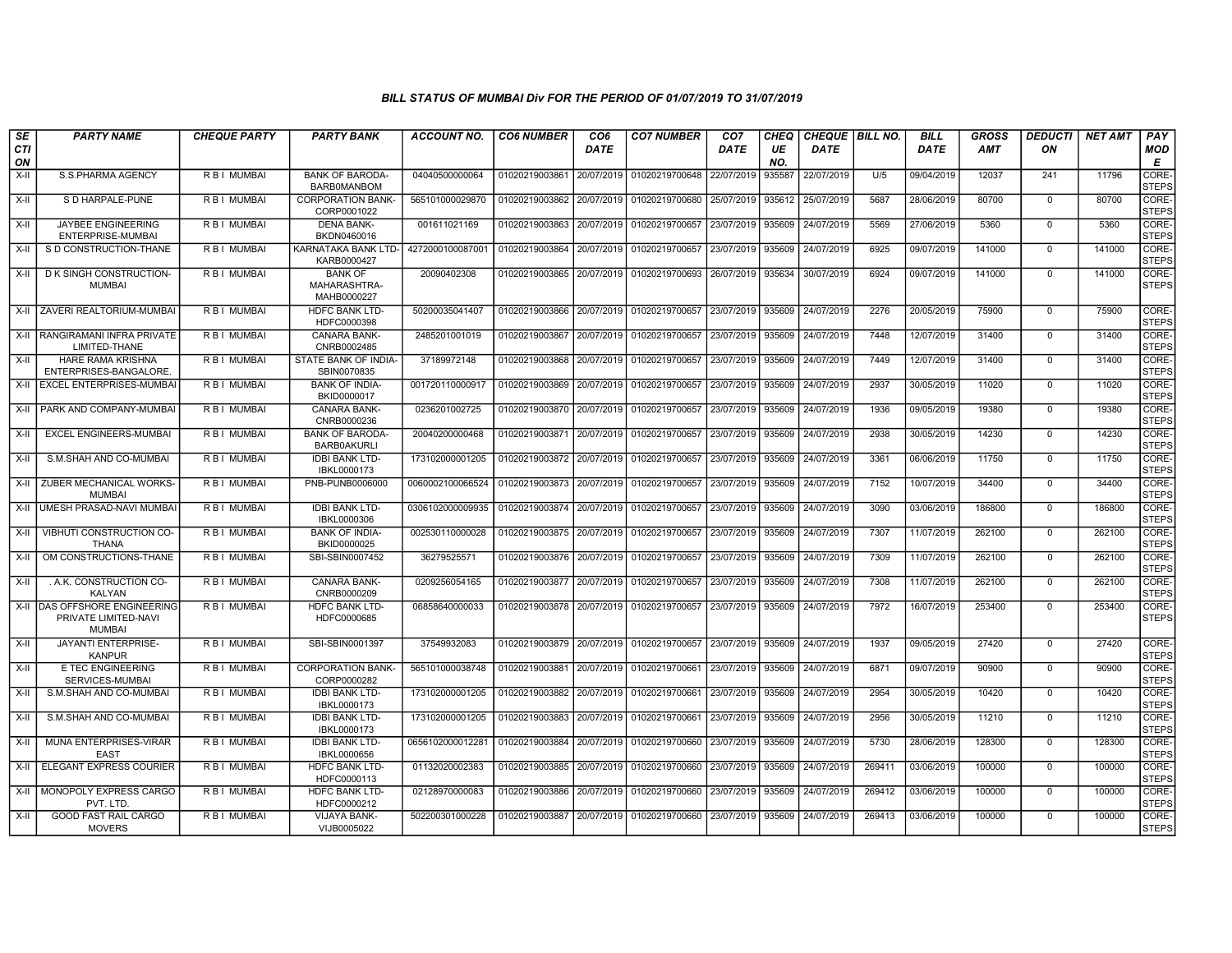| SE        | <b>PARTY NAME</b>                                                        | <b>CHEQUE PARTY</b> | <b>PARTY BANK</b>                             | <b>ACCOUNT NO.</b> | <b>CO6 NUMBER</b> | CO <sub>6</sub> | <b>CO7 NUMBER</b>         | CO <sub>7</sub> | CHEQ      | <b>CHEQUE   BILL NO.</b> |        | <b>BILL</b> | <b>GROSS</b> | <i><b>DEDUCTI</b></i> | <b>NET AMT</b> | <b>PAY</b>            |
|-----------|--------------------------------------------------------------------------|---------------------|-----------------------------------------------|--------------------|-------------------|-----------------|---------------------------|-----------------|-----------|--------------------------|--------|-------------|--------------|-----------------------|----------------|-----------------------|
| CTI<br>ON |                                                                          |                     |                                               |                    |                   | <b>DATE</b>     |                           | <b>DATE</b>     | UE<br>NO. | <b>DATE</b>              |        | <b>DATE</b> | AMT          | ON                    |                | <b>MOD</b><br>Е       |
| $X-H$     | S.S.PHARMA AGENCY                                                        | R B I MUMBAI        | <b>BANK OF BARODA-</b><br><b>BARBOMANBOM</b>  | 04040500000064     | 01020219003861    | 20/07/2019      | 01020219700648            | 22/07/2019      | 935587    | 22/07/2019               | U/5    | 09/04/2019  | 12037        | 241                   | 11796          | CORE-<br><b>STEPS</b> |
| $X-H$     | S D HARPALE-PUNE                                                         | R B I MUMBAI        | <b>CORPORATION BANK-</b><br>CORP0001022       | 565101000029870    | 01020219003862    | 20/07/2019      | 01020219700680            | 25/07/2019      | 935612    | 25/07/2019               | 5687   | 28/06/2019  | 80700        | $\Omega$              | 80700          | CORE-<br>STEPS        |
| X-II      | <b>JAYBEE ENGINEERING</b><br>ENTERPRISE-MUMBAI                           | R B I MUMBAI        | <b>DENA BANK-</b><br>BKDN0460016              | 001611021169       | 01020219003863    | 20/07/2019      | 01020219700657            | 23/07/2019      | 935609    | 24/07/2019               | 5569   | 27/06/2019  | 5360         | $\mathbf 0$           | 5360           | CORE-<br><b>STEPS</b> |
| X-II      | S D CONSTRUCTION-THANE                                                   | R B I MUMBAI        | KARNATAKA BANK LTD-<br>KARB0000427            | 4272000100087001   | 01020219003864    | 20/07/2019      | 01020219700657            | 23/07/2019      | 935609    | 24/07/2019               | 6925   | 09/07/2019  | 141000       | $\Omega$              | 141000         | CORE-<br><b>STEPS</b> |
| $X-H$     | D K SINGH CONSTRUCTION-<br><b>MUMBAI</b>                                 | R B I MUMBAI        | <b>BANK OF</b><br>MAHARASHTRA-<br>MAHB0000227 | 20090402308        | 01020219003865    | 20/07/2019      | 01020219700693            | 26/07/2019      | 935634    | 30/07/2019               | 6924   | 09/07/2019  | 141000       | $\mathbf 0$           | 141000         | CORE-<br><b>STEPS</b> |
| $X-H$     | ZAVERI REALTORIUM-MUMBAI                                                 | R B I MUMBAI        | <b>HDFC BANK LTD-</b><br>HDFC0000398          | 50200035041407     | 01020219003866    | 20/07/2019      | 01020219700657            | 23/07/2019      | 935609    | 24/07/2019               | 2276   | 20/05/2019  | 75900        | $\Omega$              | 75900          | CORE-<br><b>STEPS</b> |
| $X-II$    | <b>RANGIRAMANI INFRA PRIVATE</b><br>LIMITED-THANE                        | RBI MUMBAI          | <b>CANARA BANK-</b><br>CNRB0002485            | 2485201001019      | 01020219003867    | 20/07/2019      | 01020219700657            | 23/07/2019      | 935609    | 24/07/2019               | 7448   | 12/07/2019  | 31400        | $\mathbf 0$           | 31400          | CORE-<br><b>STEPS</b> |
| $X-H$     | <b>HARE RAMA KRISHNA</b><br>ENTERPRISES-BANGALORE                        | R B I MUMBAI        | STATE BANK OF INDIA-<br>SBIN0070835           | 37189972148        | 01020219003868    | 20/07/2019      | 01020219700657 23/07/2019 |                 | 935609    | 24/07/2019               | 7449   | 12/07/2019  | 31400        | $\mathbf 0$           | 31400          | CORE-<br><b>STEPS</b> |
| X-II      | <b>EXCEL ENTERPRISES-MUMBAI</b>                                          | R B I MUMBAI        | <b>BANK OF INDIA-</b><br>BKID0000017          | 001720110000917    | 01020219003869    | 20/07/2019      | 01020219700657            | 23/07/2019      | 935609    | 24/07/2019               | 2937   | 30/05/2019  | 11020        | $\mathbf 0$           | 11020          | CORE-<br><b>STEPS</b> |
| $X-H$     | PARK AND COMPANY-MUMBAI                                                  | R B I MUMBAI        | CANARA BANK-<br>CNRB0000236                   | 0236201002725      | 01020219003870    | 20/07/2019      | 01020219700657            | 23/07/2019      | 935609    | 24/07/2019               | 1936   | 09/05/2019  | 19380        | $\Omega$              | 19380          | CORE-<br><b>STEPS</b> |
| X-II      | EXCEL ENGINEERS-MUMBAI                                                   | R B I MUMBAI        | <b>BANK OF BARODA</b><br><b>BARB0AKURLI</b>   | 20040200000468     | 01020219003871    | 20/07/2019      | 01020219700657            | 23/07/2019      | 935609    | 24/07/2019               | 2938   | 30/05/2019  | 14230        | $\mathbf 0$           | 14230          | CORE-<br><b>STEPS</b> |
| $X-H$     | S.M.SHAH AND CO-MUMBAI                                                   | R B I MUMBAI        | <b>IDBI BANK LTD-</b><br>IBKL0000173          | 173102000001205    | 01020219003872    | 20/07/2019      | 01020219700657            | 23/07/2019      | 935609    | 24/07/2019               | 3361   | 06/06/2019  | 11750        | $\mathbf 0$           | 11750          | CORE-<br><b>STEPS</b> |
| X-II      | ZUBER MECHANICAL WORKS-<br><b>MUMBAI</b>                                 | R B I MUMBAI        | PNB-PUNB0006000                               | 0060002100066524   | 01020219003873    | 20/07/2019      | 01020219700657            | 23/07/2019      | 935609    | 24/07/2019               | 7152   | 10/07/2019  | 34400        | $\Omega$              | 34400          | CORE-<br><b>STEPS</b> |
| X-II      | UMESH PRASAD-NAVI MUMBAI                                                 | R B I MUMBAI        | <b>IDBI BANK LTD-</b><br>IBKL0000306          | 0306102000009935   | 01020219003874    | 20/07/2019      | 01020219700657            | 23/07/2019      | 935609    | 24/07/2019               | 3090   | 03/06/2019  | 186800       | $\mathbf 0$           | 186800         | CORE-<br><b>STEPS</b> |
| $X-H$     | VIBHUTI CONSTRUCTION CO-<br><b>THANA</b>                                 | R B I MUMBAI        | <b>BANK OF INDIA-</b><br>BKID0000025          | 002530110000028    | 01020219003875    | 20/07/2019      | 01020219700657            | 23/07/2019      | 935609    | 24/07/2019               | 7307   | 11/07/2019  | 262100       | $\Omega$              | 262100         | CORE-<br><b>STEPS</b> |
| X-II      | OM CONSTRUCTIONS-THANE                                                   | R B I MUMBAI        | SBI-SBIN0007452                               | 36279525571        | 01020219003876    | 20/07/2019      | 01020219700657            | 23/07/2019      | 935609    | 24/07/2019               | 7309   | 11/07/2019  | 262100       | $\Omega$              | 262100         | CORE-<br><b>STEPS</b> |
| $X-H$     | . A.K. CONSTRUCTION CO-<br>KALYAN                                        | R B I MUMBAI        | <b>CANARA BANK-</b><br>CNRB0000209            | 0209256054165      | 01020219003877    | 20/07/2019      | 01020219700657            | 23/07/2019      | 935609    | 24/07/2019               | 7308   | 11/07/2019  | 262100       | $\Omega$              | 262100         | CORE-<br><b>STEPS</b> |
| $X-H$     | <b>DAS OFFSHORE ENGINEERING</b><br>PRIVATE LIMITED-NAVI<br><b>MUMBAI</b> | R B I MUMBAI        | <b>HDFC BANK LTD-</b><br>HDFC0000685          | 06858640000033     | 01020219003878    | 20/07/2019      | 01020219700657            | 23/07/2019      | 935609    | 24/07/2019               | 7972   | 16/07/2019  | 253400       | $\mathbf 0$           | 253400         | CORE-<br><b>STEPS</b> |
| $X-H$     | <b>JAYANTI ENTERPRISE-</b><br><b>KANPUR</b>                              | R B I MUMBAI        | SBI-SBIN0001397                               | 37549932083        | 01020219003879    | 20/07/2019      | 01020219700657 23/07/2019 |                 | 935609    | 24/07/2019               | 1937   | 09/05/2019  | 27420        | $\mathbf 0$           | 27420          | CORE-<br><b>STEPS</b> |
| X-II      | E TEC ENGINEERING<br>SERVICES-MUMBAI                                     | R B I MUMBAI        | <b>CORPORATION BANK-</b><br>CORP0000282       | 565101000038748    | 01020219003881    | 20/07/2019      | 01020219700661            | 23/07/2019      | 935609    | 24/07/2019               | 6871   | 09/07/2019  | 90900        | $\mathbf 0$           | 90900          | CORE-<br>STEPS        |
| $X-II$    | S.M.SHAH AND CO-MUMBAI                                                   | R B I MUMBAI        | <b>IDBI BANK LTD-</b><br>IBKL0000173          | 173102000001205    | 01020219003882    | 20/07/2019      | 01020219700661            | 23/07/2019      | 935609    | 24/07/2019               | 2954   | 30/05/2019  | 10420        | $\mathbf 0$           | 10420          | CORE-<br><b>STEPS</b> |
| X-II      | S.M.SHAH AND CO-MUMBAI                                                   | R B I MUMBAI        | <b>IDBI BANK LTD-</b><br>IBKL0000173          | 173102000001205    | 01020219003883    | 20/07/2019      | 01020219700661            | 23/07/2019      | 935609    | 24/07/2019               | 2956   | 30/05/2019  | 11210        | $\mathbf 0$           | 11210          | CORE-<br><b>STEPS</b> |
| X-II      | MUNA ENTERPRISES-VIRAR<br><b>EAST</b>                                    | R B I MUMBAI        | <b>IDBI BANK LTD-</b><br>IBKL0000656          | 0656102000012281   | 01020219003884    | 20/07/2019      | 01020219700660            | 23/07/2019      | 935609    | 24/07/2019               | 5730   | 28/06/2019  | 128300       | $\mathbf 0$           | 128300         | CORE-<br><b>STEPS</b> |
| X-II      | ELEGANT EXPRESS COURIER                                                  | R B I MUMBAI        | <b>HDFC BANK LTD-</b><br>HDFC0000113          | 01132020002383     | 01020219003885    | 20/07/2019      | 01020219700660            | 23/07/2019      | 935609    | 24/07/2019               | 269411 | 03/06/2019  | 100000       | $\mathbf 0$           | 100000         | CORE-<br><b>STEPS</b> |
| $X-H$     | MONOPOLY EXPRESS CARGO<br>PVT. LTD.                                      | R B I MUMBAI        | <b>HDFC BANK LTD-</b><br>HDFC0000212          | 02128970000083     | 01020219003886    | 20/07/2019      | 01020219700660 23/07/2019 |                 | 935609    | 24/07/2019               | 269412 | 03/06/2019  | 100000       | $\mathbf 0$           | 100000         | CORE-<br>STEPS        |
| X-II      | <b>GOOD FAST RAIL CARGO</b><br><b>MOVERS</b>                             | R B I MUMBAI        | <b>VIJAYA BANK-</b><br>VIJB0005022            | 502200301000228    | 01020219003887    | 20/07/2019      | 01020219700660            | 23/07/2019      | 935609    | 24/07/2019               | 269413 | 03/06/2019  | 100000       | $\mathbf 0$           | 100000         | CORE-<br>STEPS        |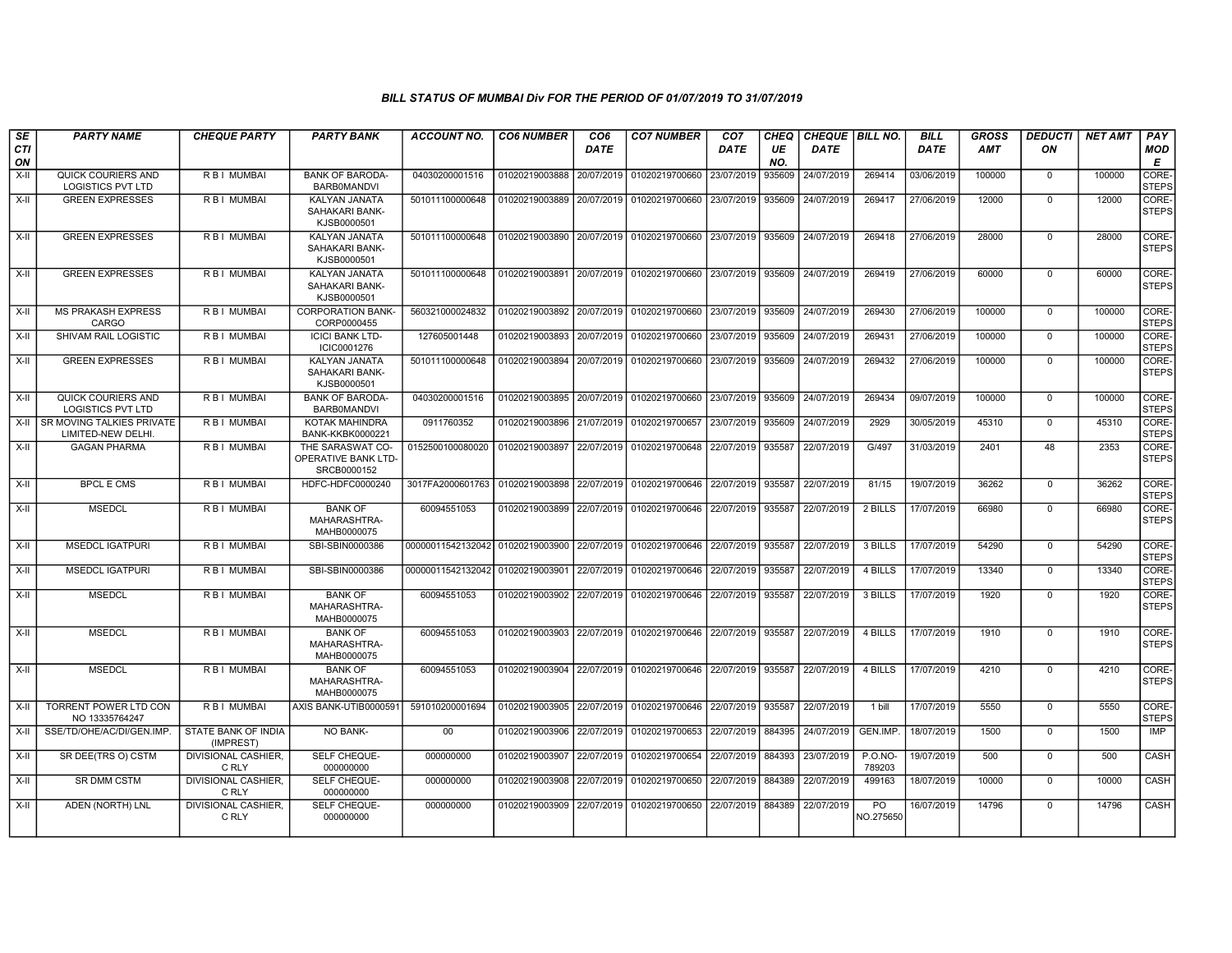| SE               | <b>PARTY NAME</b>                               | <b>CHEQUE PARTY</b>                 | <b>PARTY BANK</b>                                      | ACCOUNT NO.                                 | <b>CO6 NUMBER</b>         | CO <sub>6</sub> | <b>CO7 NUMBER</b>         | CO <sub>7</sub> | CHEQ      | <b>CHEQUE   BILL NO.</b> |                   | <b>BILL</b> | GROSS      | <b>DEDUCTI</b> | <b>NET AMT</b> | <b>PAY</b>            |
|------------------|-------------------------------------------------|-------------------------------------|--------------------------------------------------------|---------------------------------------------|---------------------------|-----------------|---------------------------|-----------------|-----------|--------------------------|-------------------|-------------|------------|----------------|----------------|-----------------------|
| <b>CTI</b><br>ON |                                                 |                                     |                                                        |                                             |                           | DATE            |                           | DATE            | UE<br>NO. | <b>DATE</b>              |                   | <b>DATE</b> | <b>AMT</b> | ON             |                | MOD<br>E              |
| $X-H$            | QUICK COURIERS AND<br><b>LOGISTICS PVT LTD</b>  | R B I MUMBAI                        | <b>BANK OF BARODA-</b><br><b>BARBOMANDVI</b>           | 04030200001516                              | 01020219003888            | 20/07/2019      | 01020219700660            | 23/07/2019      | 935609    | 24/07/2019               | 269414            | 03/06/2019  | 100000     | $\mathbf 0$    | 100000         | CORE-<br><b>STEPS</b> |
| $X-H$            | <b>GREEN EXPRESSES</b>                          | <b>RBI MUMBAI</b>                   | KALYAN JANATA<br>SAHAKARI BANK-<br>KJSB0000501         | 501011100000648                             | 01020219003889 20/07/2019 |                 | 01020219700660            | 23/07/2019      | 935609    | 24/07/2019               | 269417            | 27/06/2019  | 12000      | $\Omega$       | 12000          | CORE-<br><b>STEPS</b> |
| $X-H$            | <b>GREEN EXPRESSES</b>                          | <b>RBI MUMBAI</b>                   | <b>KALYAN JANATA</b><br>SAHAKARI BANK-<br>KJSB0000501  | 501011100000648                             | 01020219003890            | 20/07/2019      | 01020219700660            | 23/07/2019      | 935609    | 24/07/2019               | 269418            | 27/06/2019  | 28000      | $\Omega$       | 28000          | CORE-<br><b>STEPS</b> |
| $X-II$           | <b>GREEN EXPRESSES</b>                          | R B I MUMBAI                        | <b>KALYAN JANATA</b><br>SAHAKARI BANK-<br>KJSB0000501  | 501011100000648                             | 01020219003891            | 20/07/2019      | 01020219700660            | 23/07/2019      | 935609    | 24/07/2019               | 269419            | 27/06/2019  | 60000      | $\overline{0}$ | 60000          | CORE-<br><b>STEPS</b> |
| X-II             | <b>MS PRAKASH EXPRESS</b><br>CARGO              | R B I MUMBAI                        | <b>CORPORATION BANK-</b><br>CORP0000455                | 560321000024832                             | 01020219003892            | 20/07/2019      | 01020219700660            | 23/07/2019      | 935609    | 24/07/2019               | 269430            | 27/06/2019  | 100000     | $\mathbf 0$    | 100000         | CORE-<br><b>STEPS</b> |
| X-II             | SHIVAM RAIL LOGISTIC                            | R B I MUMBAI                        | <b>ICICI BANK LTD-</b><br>ICIC0001276                  | 127605001448                                | 01020219003893            | 20/07/2019      | 01020219700660            | 23/07/2019      | 935609    | 24/07/2019               | 269431            | 27/06/2019  | 100000     | $\mathbf 0$    | 100000         | CORE-<br><b>STEPS</b> |
| $X-H$            | <b>GREEN EXPRESSES</b>                          | <b>RBI MUMBAI</b>                   | KALYAN JANATA<br>SAHAKARI BANK-<br>KJSB0000501         | 501011100000648                             | 01020219003894            | 20/07/2019      | 01020219700660            | 23/07/2019      | 935609    | 24/07/2019               | 269432            | 27/06/2019  | 100000     | $\mathbf 0$    | 100000         | CORE-<br><b>STEPS</b> |
| $X-H$            | QUICK COURIERS AND<br><b>LOGISTICS PVT LTD</b>  | R B I MUMBAI                        | <b>BANK OF BARODA-</b><br><b>BARBOMANDVI</b>           | 04030200001516                              | 01020219003895            | 20/07/2019      | 01020219700660            | 23/07/2019      | 935609    | 24/07/2019               | 269434            | 09/07/2019  | 100000     | $\mathbf 0$    | 100000         | CORE-<br><b>STEPS</b> |
| $X-H$            | SR MOVING TALKIES PRIVATE<br>LIMITED-NEW DELHI. | R B I MUMBAI                        | <b>KOTAK MAHINDRA</b><br>BANK-KKBK0000221              | 0911760352                                  | 01020219003896            | 21/07/2019      | 01020219700657            | 23/07/2019      | 935609    | 24/07/2019               | 2929              | 30/05/2019  | 45310      | $\Omega$       | 45310          | CORE-<br><b>STEPS</b> |
| $X-H$            | <b>GAGAN PHARMA</b>                             | <b>RBI MUMBAI</b>                   | THE SARASWAT CO-<br>OPERATIVE BANK LTD-<br>SRCB0000152 | 0152500100080020                            | 01020219003897 22/07/2019 |                 | 01020219700648 22/07/2019 |                 | 935587    | 22/07/2019               | G/497             | 31/03/2019  | 2401       | 48             | 2353           | CORE-<br><b>STEPS</b> |
| $X-II$           | <b>BPCL E CMS</b>                               | R B I MUMBAI                        | HDFC-HDFC0000240                                       | 3017FA2000601763                            | 01020219003898            | 22/07/2019      | 01020219700646            | 22/07/2019      | 935587    | 22/07/2019               | 81/15             | 19/07/2019  | 36262      | $\overline{0}$ | 36262          | CORE-<br><b>STEPS</b> |
| X-II             | <b>MSEDCL</b>                                   | R B I MUMBAI                        | <b>BANK OF</b><br>MAHARASHTRA-<br>MAHB0000075          | 60094551053                                 | 01020219003899            | 22/07/2019      | 01020219700646            | 22/07/2019      | 935587    | 22/07/2019               | 2 BILLS           | 17/07/2019  | 66980      | $\mathbf{0}$   | 66980          | CORE-<br><b>STEPS</b> |
| $X-II$           | <b>MSEDCL IGATPURI</b>                          | R B I MUMBAI                        | SBI-SBIN0000386                                        | 00000011542132042 01020219003900 22/07/2019 |                           |                 | 01020219700646            | 22/07/2019      | 935587    | 22/07/2019               | 3 BILLS           | 17/07/2019  | 54290      | $\mathbf 0$    | 54290          | CORE-<br><b>STEPS</b> |
| $X-II$           | <b>MSEDCL IGATPURI</b>                          | R B I MUMBAI                        | SBI-SBIN0000386                                        | 00000011542132042                           | 01020219003901            | 22/07/2019      | 01020219700646            | 22/07/2019      | 935587    | 22/07/2019               | 4 BILLS           | 17/07/2019  | 13340      | $\mathbf{0}$   | 13340          | CORE-<br><b>STEPS</b> |
| $X-H$            | <b>MSEDCL</b>                                   | <b>RBI MUMBAI</b>                   | <b>BANK OF</b><br>MAHARASHTRA-<br>MAHB0000075          | 60094551053                                 | 01020219003902            | 22/07/2019      | 01020219700646            | 22/07/2019      | 935587    | 22/07/2019               | 3 BILLS           | 17/07/2019  | 1920       | $\Omega$       | 1920           | CORE-<br><b>STEPS</b> |
| $X-H$            | <b>MSEDCL</b>                                   | <b>RBI MUMBAI</b>                   | <b>BANK OF</b><br>MAHARASHTRA-<br>MAHB0000075          | 60094551053                                 | 01020219003903            |                 | 22/07/2019 01020219700646 | 22/07/2019      | 935587    | 22/07/2019               | 4 BILLS           | 17/07/2019  | 1910       | $\Omega$       | 1910           | CORE-<br><b>STEPS</b> |
| X-II             | <b>MSEDCL</b>                                   | R B I MUMBAI                        | <b>BANK OF</b><br>MAHARASHTRA-<br>MAHB0000075          | 60094551053                                 | 01020219003904            | 22/07/2019      | 01020219700646            | 22/07/2019      | 935587    | 22/07/2019               | 4 BILLS           | 17/07/2019  | 4210       | $\mathbf 0$    | 4210           | CORE-<br><b>STEPS</b> |
| $X-H$            | <b>TORRENT POWER LTD CON</b><br>NO 13335764247  | R B I MUMBAI                        | AXIS BANK-UTIB0000591                                  | 591010200001694                             | 01020219003905 22/07/2019 |                 | 01020219700646 22/07/2019 |                 | 935587    | 22/07/2019               | 1 bill            | 17/07/2019  | 5550       | $\Omega$       | 5550           | CORE-<br><b>STEPS</b> |
| X-II             | SSE/TD/OHE/AC/DI/GEN.IMP                        | STATE BANK OF INDIA<br>(IMPREST)    | NO BANK-                                               | $00\,$                                      | 01020219003906            | 22/07/2019      | 01020219700653            | 22/07/2019      | 884395    | 24/07/2019               | GEN.IMP.          | 18/07/2019  | 1500       | $\mathbf 0$    | 1500           | <b>IMP</b>            |
| X-II             | SR DEE(TRS O) CSTM                              | DIVISIONAL CASHIER,<br>C RLY        | SELF CHEQUE-<br>000000000                              | 000000000                                   | 01020219003907            | 22/07/2019      | 01020219700654            | 22/07/2019      | 884393    | 23/07/2019               | P.O.NO-<br>789203 | 19/07/2019  | 500        | $\Omega$       | 500            | CASH                  |
| X-II             | <b>SR DMM CSTM</b>                              | DIVISIONAL CASHIER,<br>C RLY        | SELF CHEQUE-<br>000000000                              | 000000000                                   | 01020219003908            | 22/07/2019      | 01020219700650            | 22/07/2019      | 884389    | 22/07/2019               | 499163            | 18/07/2019  | 10000      | $\mathbf 0$    | 10000          | <b>CASH</b>           |
| $X-H$            | ADEN (NORTH) LNL                                | <b>DIVISIONAL CASHIER.</b><br>C RLY | SELF CHEQUE-<br>000000000                              | 000000000                                   | 01020219003909            | 22/07/2019      | 01020219700650            | 22/07/2019      | 884389    | 22/07/2019               | PO<br>NO.275650   | 16/07/2019  | 14796      | $\mathbf 0$    | 14796          | <b>CASH</b>           |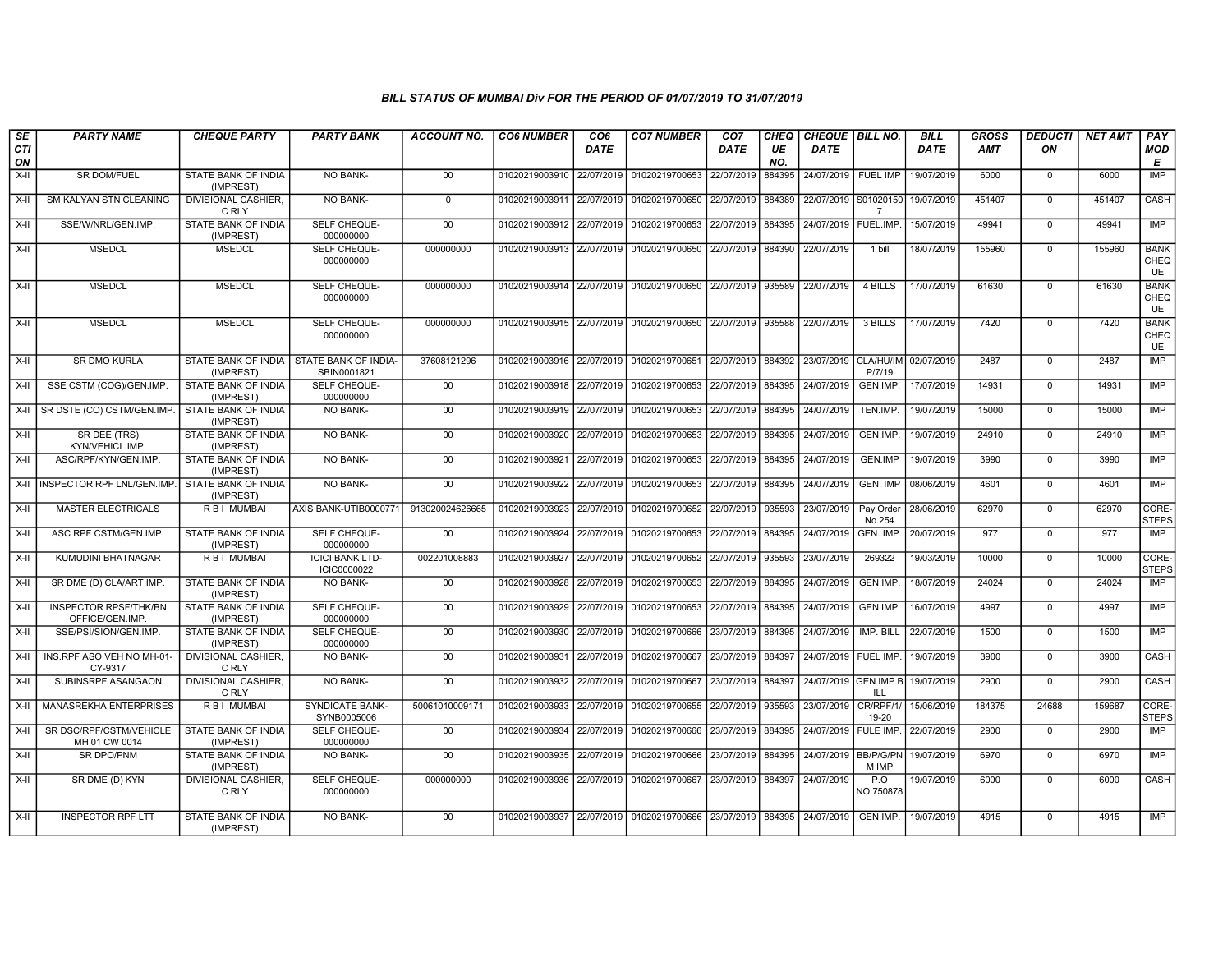| SE               | <b>PARTY NAME</b>                              | <b>CHEQUE PARTY</b>                     | <b>PARTY BANK</b>                     | ACCOUNT NO.     | <b>CO6 NUMBER</b>         | CO <sub>6</sub> | <b>CO7 NUMBER</b>                                          | CO <sub>7</sub>     | CHEQ      | CHEQUE   BILL NO.               |                     | <b>BILL</b> | <b>GROSS</b> | <b>DEDUCTI</b> | NET AMT | PAY                       |
|------------------|------------------------------------------------|-----------------------------------------|---------------------------------------|-----------------|---------------------------|-----------------|------------------------------------------------------------|---------------------|-----------|---------------------------------|---------------------|-------------|--------------|----------------|---------|---------------------------|
| <b>CTI</b><br>ON |                                                |                                         |                                       |                 |                           | <b>DATE</b>     |                                                            | DATE                | UE<br>NO. | <b>DATE</b>                     |                     | <b>DATE</b> | <b>AMT</b>   | ON             |         | <b>MOD</b><br>E           |
| $X-H$            | <b>SR DOM/FUEL</b>                             | <b>STATE BANK OF INDIA</b><br>(IMPREST) | NO BANK-                              | 00              | 01020219003910 22/07/2019 |                 | 01020219700653                                             | 22/07/2019          | 884395    | 24/07/2019   FUEL IMP           |                     | 19/07/2019  | 6000         | $\overline{0}$ | 6000    | IMP                       |
| $X-H$            | <b>SM KALYAN STN CLEANING</b>                  | <b>DIVISIONAL CASHIER.</b><br>C RLY     | <b>NO BANK-</b>                       | $\mathbf{0}$    | 01020219003911 22/07/2019 |                 | 01020219700650 22/07/2019 884389                           |                     |           | 22/07/2019 S01020150            | $\overline{7}$      | 19/07/2019  | 451407       | $\Omega$       | 451407  | CASH                      |
| X-II             | SSE/W/NRL/GEN.IMP.                             | STATE BANK OF INDIA<br>(IMPREST)        | SELF CHEQUE-<br>000000000             | $00\,$          | 01020219003912 22/07/2019 |                 | 01020219700653 22/07/2019 884395                           |                     |           | 24/07/2019                      | FUEL.IMP.           | 15/07/2019  | 49941        | $\mathbf 0$    | 49941   | IMP                       |
| X-II             | <b>MSEDCL</b>                                  | <b>MSEDCL</b>                           | SELF CHEQUE-<br>000000000             | 000000000       | 01020219003913 22/07/2019 |                 | 01020219700650                                             | 22/07/2019 884390   |           | 22/07/2019                      | 1 bill              | 18/07/2019  | 155960       | $\mathbf 0$    | 155960  | <b>BANK</b><br>CHEQ<br>UE |
| X-II             | <b>MSEDCL</b>                                  | <b>MSEDCL</b>                           | SELF CHEQUE-<br>000000000             | 000000000       |                           |                 | 01020219003914 22/07/2019 01020219700650 22/07/2019 935589 |                     |           | 22/07/2019                      | 4 BILLS             | 17/07/2019  | 61630        | $\mathbf 0$    | 61630   | <b>BANK</b><br>CHEQ<br>UE |
| $X-H$            | <b>MSEDCL</b>                                  | <b>MSEDCL</b>                           | SELF CHEQUE-<br>000000000             | 000000000       | 01020219003915 22/07/2019 |                 | 01020219700650 22/07/2019 935588                           |                     |           | 22/07/2019                      | 3 BILLS             | 17/07/2019  | 7420         | $\mathbf 0$    | 7420    | <b>BANK</b><br>CHEQ<br>UE |
| $X-II$           | SR DMO KURLA                                   | STATE BANK OF INDIA<br>(IMPREST)        | STATE BANK OF INDIA-<br>SBIN0001821   | 37608121296     | 01020219003916 22/07/2019 |                 | 01020219700651 22/07/2019 884392                           |                     |           | 23/07/2019 CLA/HU/IM 02/07/2019 | P/7/19              |             | 2487         | $\mathbf 0$    | 2487    | <b>IMP</b>                |
| $X-H$            | SSE CSTM (COG)/GEN.IMP.                        | <b>STATE BANK OF INDIA</b><br>(IMPREST) | <b>SELF CHEQUE-</b><br>000000000      | 00              | 01020219003918 22/07/2019 |                 | 01020219700653 22/07/2019 884395                           |                     |           | 24/07/2019                      | GEN.IMP.            | 17/07/2019  | 14931        | $\overline{0}$ | 14931   | IMP                       |
| X-II             | SR DSTE (CO) CSTM/GEN.IMP.                     | STATE BANK OF INDIA<br>(IMPREST)        | <b>NO BANK-</b>                       | 00              | 01020219003919 22/07/2019 |                 | 01020219700653                                             | 22/07/2019 884395   |           | 24/07/2019                      | TEN.IMP.            | 19/07/2019  | 15000        | $\mathbf 0$    | 15000   | <b>IMP</b>                |
| $X-II$           | SR DEE (TRS)<br>KYN/VEHICL.IMP.                | STATE BANK OF INDIA<br>(IMPREST)        | NO BANK-                              | 00              | 01020219003920            | 22/07/2019      | 01020219700653                                             | 22/07/2019 884395   |           | 24/07/2019                      | GEN.IMP.            | 19/07/2019  | 24910        | $\Omega$       | 24910   | IMP                       |
| $X-II$           | ASC/RPF/KYN/GEN.IMP.                           | STATE BANK OF INDIA<br>(IMPREST)        | <b>NO BANK-</b>                       | 00              | 01020219003921            | 22/07/2019      | 01020219700653                                             | 22/07/2019 884395   |           | 24/07/2019                      | <b>GEN.IMP</b>      | 19/07/2019  | 3990         | $\mathbf 0$    | 3990    | <b>IMP</b>                |
| $X-H$            | INSPECTOR RPF LNL/GEN.IMP.                     | <b>STATE BANK OF INDIA</b><br>(IMPREST) | <b>NO BANK-</b>                       | 00              | 01020219003922 22/07/2019 |                 | 01020219700653 22/07/2019 884395                           |                     |           | 24/07/2019                      | <b>GEN. IMP</b>     | 08/06/2019  | 4601         | $\overline{0}$ | 4601    | <b>IMP</b>                |
| $X-H$            | <b>MASTER ELECTRICALS</b>                      | <b>RBI MUMBAI</b>                       | AXIS BANK-UTIB0000771                 | 913020024626665 | 01020219003923 22/07/2019 |                 | 01020219700652 22/07/2019 935593                           |                     |           | 23/07/2019                      | Pay Order<br>No.254 | 28/06/2019  | 62970        | $\mathbf 0$    | 62970   | CORE-<br><b>STEPS</b>     |
| X-II             | ASC RPF CSTM/GEN.IMP.                          | STATE BANK OF INDIA<br>(IMPREST)        | SELF CHEQUE-<br>000000000             | $00\,$          | 01020219003924            | 22/07/2019      | 01020219700653                                             | 22/07/2019 884395   |           | 24/07/2019                      | <b>GEN. IMP</b>     | 20/07/2019  | 977          | $\mathbf 0$    | 977     | <b>IMP</b>                |
| $X-II$           | KUMUDINI BHATNAGAR                             | R B I MUMBAI                            | <b>ICICI BANK LTD-</b><br>ICIC0000022 | 002201008883    | 01020219003927            | 22/07/2019      | 01020219700652                                             | 22/07/2019          | 935593    | 23/07/2019                      | 269322              | 19/03/2019  | 10000        | $\overline{0}$ | 10000   | CORE-<br><b>STEPS</b>     |
| X-II             | SR DME (D) CLA/ART IMP.                        | STATE BANK OF INDIA<br>(IMPREST)        | <b>NO BANK-</b>                       | 00              | 01020219003928            | 22/07/2019      | 01020219700653 22/07/2019 884395                           |                     |           | 24/07/2019                      | GEN.IMP.            | 18/07/2019  | 24024        | $\mathbf 0$    | 24024   | IMP                       |
| $X-H$            | <b>INSPECTOR RPSF/THK/BN</b><br>OFFICE/GEN.IMP | <b>STATE BANK OF INDIA</b><br>(IMPREST) | <b>SELF CHEQUE-</b><br>000000000      | 00              | 01020219003929            | 22/07/2019      | 01020219700653                                             | 22/07/2019          | 884395    | 24/07/2019                      | GEN.IMP.            | 16/07/2019  | 4997         | $\overline{0}$ | 4997    | IMP                       |
| X-II             | SSE/PSI/SION/GEN.IMP.                          | STATE BANK OF INDIA<br>(IMPREST)        | SELF CHEQUE-<br>000000000             | $00\,$          | 01020219003930            | 22/07/2019      | 01020219700666                                             | 23/07/2019   884395 |           | 24/07/2019                      | IMP. BILL           | 22/07/2019  | 1500         | $\mathbf 0$    | 1500    | IMP                       |
| $X-II$           | INS.RPF ASO VEH NO MH-01<br>CY-9317            | DIVISIONAL CASHIER,<br>C RLY            | NO BANK-                              | 00              | 01020219003931            | 22/07/2019      | 01020219700667                                             | 23/07/2019 884397   |           | 24/07/2019   FUEL IMP.          |                     | 19/07/2019  | 3900         | $\overline{0}$ | 3900    | CASH                      |
| $X-H$            | SUBINSRPF ASANGAON                             | <b>DIVISIONAL CASHIER,</b><br>C RLY     | <b>NO BANK-</b>                       | 00              | 01020219003932            | 22/07/2019      | 01020219700667                                             | 23/07/2019 884397   |           | 24/07/2019 GEN.IMP.B            | ILL                 | 19/07/2019  | 2900         | $\mathbf 0$    | 2900    | <b>CASH</b>               |
| $X-H$            | <b>MANASREKHA ENTERPRISES</b>                  | <b>RBI MUMBAI</b>                       | <b>SYNDICATE BANK-</b><br>SYNB0005006 | 50061010009171  | 01020219003933 22/07/2019 |                 | 01020219700655 22/07/2019 935593                           |                     |           | 23/07/2019                      | CR/RPF/1/<br>19-20  | 15/06/2019  | 184375       | 24688          | 159687  | CORE-<br><b>STEPS</b>     |
| X-II             | SR DSC/RPF/CSTM/VEHICLE<br>MH 01 CW 0014       | STATE BANK OF INDIA<br>(IMPREST)        | SELF CHEQUE-<br>000000000             | $00\,$          | 01020219003934            | 22/07/2019      | 01020219700666                                             | 23/07/2019          | 884395    | 24/07/2019                      | FULE IMP.           | 22/07/2019  | 2900         | $\mathbf 0$    | 2900    | <b>IMP</b>                |
| X-II             | SR DPO/PNM                                     | <b>STATE BANK OF INDIA</b><br>(IMPREST) | <b>NO BANK-</b>                       | $00\,$          | 01020219003935            | 22/07/2019      | 01020219700666                                             | 23/07/2019   884395 |           | 24/07/2019 BB/P/G/PN            | M IMP               | 19/07/2019  | 6970<br>6000 | $\mathbf 0$    | 6970    | IMP                       |
| $X-II$           | SR DME (D) KYN                                 | <b>DIVISIONAL CASHIER.</b><br>C RLY     | SELF CHEQUE-<br>000000000             | 000000000       | 01020219003936            | 22/07/2019      | 01020219700667                                             | 23/07/2019 884397   |           | 24/07/2019                      | P.O<br>NO.750878    | 19/07/2019  |              | $\Omega$       | 6000    | CASH                      |
| $X-II$           | <b>INSPECTOR RPF LTT</b>                       | STATE BANK OF INDIA<br>(IMPREST)        | <b>NO BANK-</b>                       | 00              |                           |                 | 01020219003937 22/07/2019 01020219700666 23/07/2019 884395 |                     |           | 24/07/2019                      | GEN.IMP.            | 19/07/2019  | 4915         | $\Omega$       | 4915    | <b>IMP</b>                |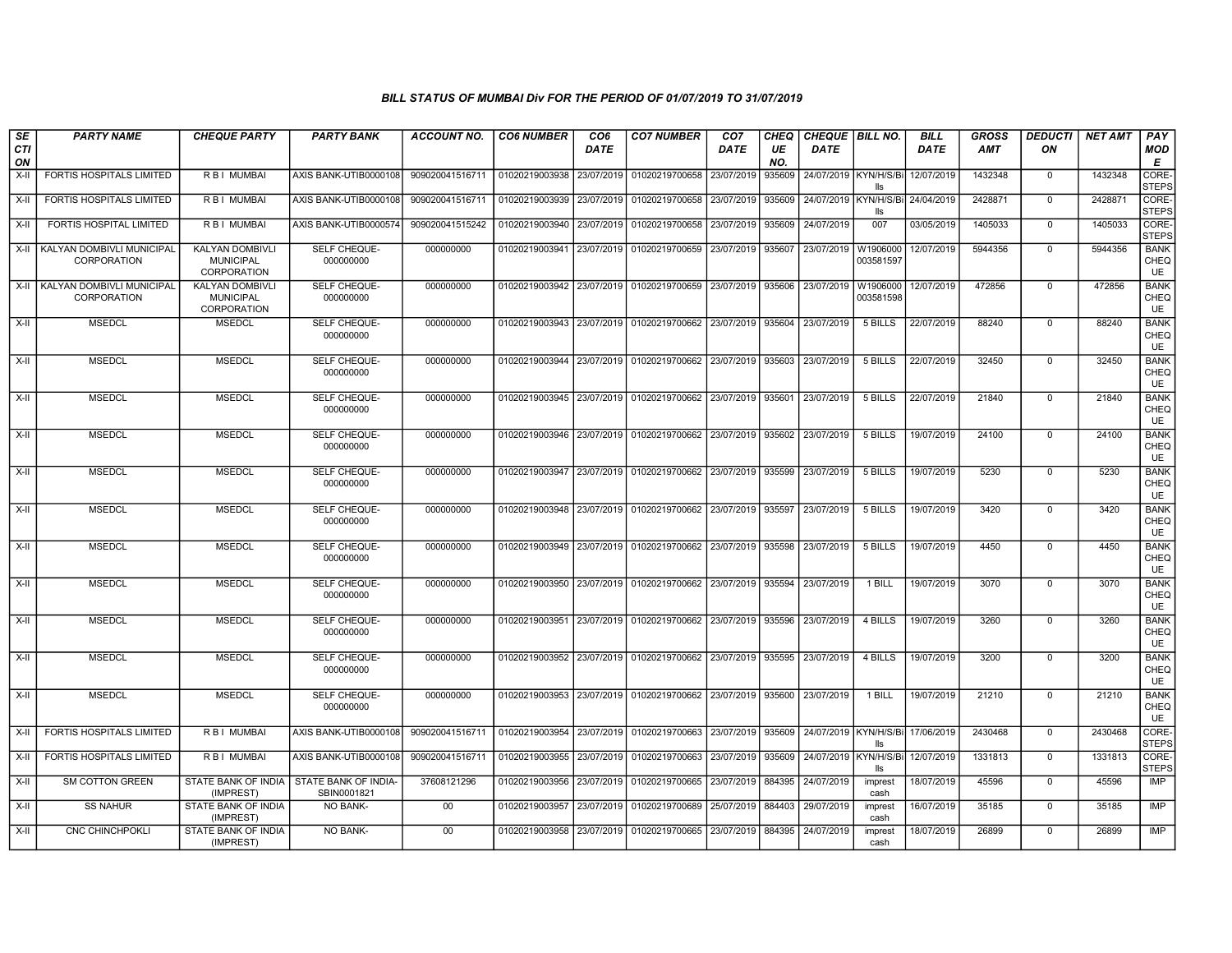| SE        | <b>PARTY NAME</b>                               | <b>CHEQUE PARTY</b>                                              | <b>PARTY BANK</b>                          | ACCOUNT NO.     | <b>CO6 NUMBER</b>         | CO <sub>6</sub> | <b>CO7 NUMBER</b>                                          | CO <sub>7</sub> | CHEQ      | <b>CHEQUE   BILL NO.</b>         |                                           | <b>BILL</b> | GROSS   | <b>DEDUCTI</b> | <b>NET AMT</b> | <b>PAY</b>                       |
|-----------|-------------------------------------------------|------------------------------------------------------------------|--------------------------------------------|-----------------|---------------------------|-----------------|------------------------------------------------------------|-----------------|-----------|----------------------------------|-------------------------------------------|-------------|---------|----------------|----------------|----------------------------------|
| CTI<br>ON |                                                 |                                                                  |                                            |                 |                           | DATE            |                                                            | DATE            | UE<br>NO. | DATE                             |                                           | DATE        | AMT     | ON             |                | <b>MOD</b><br>Е                  |
| $X-II$    | FORTIS HOSPITALS LIMITED                        | R B I MUMBAI                                                     | AXIS BANK-UTIB0000108                      | 909020041516711 | 01020219003938            | 23/07/2019      | 01020219700658                                             | 23/07/2019      | 935609    | 24/07/2019 KYN/H/S/Bi            | lls                                       | 12/07/2019  | 1432348 | $\mathbf 0$    | 1432348        | <b>CORE</b><br><b>STEPS</b>      |
| $X-H$     | <b>FORTIS HOSPITALS LIMITED</b>                 | <b>RBI MUMBAI</b>                                                | AXIS BANK-UTIB0000108                      | 909020041516711 | 01020219003939            | 23/07/2019      | 01020219700658                                             | 23/07/2019      | 935609    |                                  | 24/07/2019   KYN/H/S/Bi 24/04/2019<br>lls |             | 2428871 | $\mathbf 0$    | 2428871        | CORE-<br><b>STEPS</b>            |
| $X-H$     | FORTIS HOSPITAL LIMITED                         | R B I MUMBAI                                                     | AXIS BANK-UTIB0000574                      | 909020041515242 | 01020219003940            | 23/07/2019      | 01020219700658                                             | 23/07/2019      | 935609    | 24/07/2019                       | 007                                       | 03/05/2019  | 1405033 | $\mathbf 0$    | 1405033        | CORE-<br><b>STEPS</b>            |
| $X-II$    | KALYAN DOMBIVLI MUNICIPAL<br><b>CORPORATION</b> | KALYAN DOMBIVLI<br><b>MUNICIPAL</b><br>CORPORATION               | SELF CHEQUE-<br>000000000                  | 000000000       | 01020219003941            | 23/07/2019      | 01020219700659                                             | 23/07/2019      | 935607    | 23/07/2019                       | W1906000<br>003581597                     | 12/07/2019  | 5944356 | 0              | 5944356        | <b>BANK</b><br>CHEQ<br>UE        |
| X-II      | KALYAN DOMBIVLI MUNICIPAL<br><b>CORPORATION</b> | <b>KALYAN DOMBIVLI</b><br><b>MUNICIPAL</b><br><b>CORPORATION</b> | SELF CHEQUE-<br>000000000                  | 000000000       | 01020219003942            | 23/07/2019      | 01020219700659                                             | 23/07/2019      | 935606    | 23/07/2019                       | W1906000<br>003581598                     | 12/07/2019  | 472856  | $\mathbf 0$    | 472856         | <b>BANK</b><br>CHEQ<br><b>UE</b> |
| $X-H$     | <b>MSEDCL</b>                                   | <b>MSEDCL</b>                                                    | SELF CHEQUE-<br>000000000                  | 000000000       |                           |                 | 01020219003943 23/07/2019 01020219700662                   | 23/07/2019      | 935604    | 23/07/2019                       | 5 BILLS                                   | 22/07/2019  | 88240   | $\mathbf{0}$   | 88240          | <b>BANK</b><br>CHEQ<br><b>UE</b> |
| $X-II$    | <b>MSEDCL</b>                                   | <b>MSEDCL</b>                                                    | SELF CHEQUE-<br>000000000                  | 000000000       |                           |                 | 01020219003944 23/07/2019 01020219700662 23/07/2019 935603 |                 |           | 23/07/2019                       | 5 BILLS                                   | 22/07/2019  | 32450   | $\mathbf 0$    | 32450          | <b>BANK</b><br>CHEQ<br><b>UE</b> |
| X-II      | <b>MSEDCL</b>                                   | <b>MSEDCL</b>                                                    | SELF CHEQUE-<br>000000000                  | 000000000       |                           |                 | 01020219003945 23/07/2019 01020219700662                   | 23/07/2019      | 935601    | 23/07/2019                       | 5 BILLS                                   | 22/07/2019  | 21840   | $\mathbf{0}$   | 21840          | <b>BANK</b><br>CHEQ<br><b>UE</b> |
| X-II      | <b>MSEDCL</b>                                   | <b>MSEDCL</b>                                                    | SELF CHEQUE-<br>000000000                  | 000000000       |                           |                 | 01020219003946 23/07/2019 01020219700662 23/07/2019 935602 |                 |           | 23/07/2019                       | 5 BILLS                                   | 19/07/2019  | 24100   | $\mathbf{0}$   | 24100          | <b>BANK</b><br>CHEQ<br><b>UE</b> |
| $X-II$    | <b>MSEDCL</b>                                   | <b>MSEDCL</b>                                                    | SELF CHEQUE-<br>000000000                  | 000000000       | 01020219003947            | 23/07/2019      | 01020219700662                                             | 23/07/2019      | 935599    | 23/07/2019                       | 5 BILLS                                   | 19/07/2019  | 5230    | $\mathbf 0$    | 5230           | <b>BANK</b><br>CHEQ<br>UE        |
| $X-II$    | <b>MSEDCL</b>                                   | <b>MSEDCL</b>                                                    | SELF CHEQUE-<br>000000000                  | 000000000       | 01020219003948            | 23/07/2019      | 01020219700662                                             | 23/07/2019      | 935597    | 23/07/2019                       | 5 BILLS                                   | 19/07/2019  | 3420    | $\Omega$       | 3420           | <b>BANK</b><br>CHEQ<br>UE        |
| $X-H$     | <b>MSEDCL</b>                                   | <b>MSEDCL</b>                                                    | SELF CHEQUE-<br>000000000                  | 000000000       |                           |                 | 01020219003949 23/07/2019 01020219700662                   | 23/07/2019      | 935598    | 23/07/2019                       | 5 BILLS                                   | 19/07/2019  | 4450    | $\mathbf 0$    | 4450           | <b>BANK</b><br>CHEQ<br>UE        |
| X-II      | <b>MSEDCL</b>                                   | <b>MSEDCL</b>                                                    | SELF CHEQUE-<br>000000000                  | 000000000       | 01020219003950            |                 | 23/07/2019 01020219700662                                  | 23/07/2019      | 935594    | 23/07/2019                       | 1 BILL                                    | 19/07/2019  | 3070    | $\mathsf{O}$   | 3070           | <b>BANK</b><br>CHEQ<br>UE        |
| X-II      | <b>MSEDCL</b>                                   | <b>MSEDCL</b>                                                    | SELF CHEQUE-<br>000000000                  | 000000000       | 01020219003951            |                 | 23/07/2019 01020219700662                                  | 23/07/2019      | 935596    | 23/07/2019                       | 4 BILLS                                   | 19/07/2019  | 3260    | $\mathbf{0}$   | 3260           | <b>BANK</b><br>CHEQ<br>UE        |
| X-II      | <b>MSEDCL</b>                                   | <b>MSEDCL</b>                                                    | SELF CHEQUE-<br>000000000                  | 000000000       | 01020219003952            |                 | 23/07/2019 01020219700662                                  | 23/07/2019      | 935595    | 23/07/2019                       | 4 BILLS                                   | 19/07/2019  | 3200    | $\mathbf 0$    | 3200           | <b>BANK</b><br>CHEQ<br><b>UE</b> |
| $X-H$     | <b>MSEDCL</b>                                   | <b>MSEDCL</b>                                                    | SELF CHEQUE-<br>000000000                  | 000000000       | 01020219003953            |                 | 23/07/2019 01020219700662                                  | 23/07/2019      | 935600    | 23/07/2019                       | 1 BILL                                    | 19/07/2019  | 21210   | $\overline{0}$ | 21210          | <b>BANK</b><br>CHEQ<br>UE        |
| X-II      | FORTIS HOSPITALS LIMITED                        | R B I MUMBAI                                                     | AXIS BANK-UTIB0000108                      | 909020041516711 | 01020219003954            | 23/07/2019      | 01020219700663                                             | 23/07/2019      | 935609    | 24/07/2019 KYN/H/S/Bi 17/06/2019 | lle                                       |             | 2430468 | $\mathbf 0$    | 2430468        | CORE-<br><b>STEPS</b>            |
| X-II      | FORTIS HOSPITALS LIMITED                        | R B I MUMBAI                                                     | AXIS BANK-UTIB0000108                      | 909020041516711 | 01020219003955            | 23/07/2019      | 01020219700663                                             | 23/07/2019      | 935609    | 24/07/2019 KYN/H/S/Bi            | lls                                       | 12/07/2019  | 1331813 | $\mathbf 0$    | 1331813        | CORE-<br><b>STEPS</b>            |
| $X-H$     | <b>SM COTTON GREEN</b>                          | STATE BANK OF INDIA<br>(IMPREST)                                 | <b>STATE BANK OF INDIA-</b><br>SBIN0001821 | 37608121296     | 01020219003956            | 23/07/2019      | 01020219700665                                             | 23/07/2019      | 884395    | 24/07/2019                       | imprest<br>cash                           | 18/07/2019  | 45596   | $\mathbf 0$    | 45596          | <b>IMP</b>                       |
| X-II      | <b>SS NAHUR</b>                                 | STATE BANK OF INDIA<br>(IMPREST)                                 | <b>NO BANK-</b>                            | $00\,$          | 01020219003957            | 23/07/2019      | 01020219700689                                             | 25/07/2019      | 884403    | 29/07/2019                       | imprest<br>cash                           | 16/07/2019  | 35185   | $\mathbf{0}$   | 35185          | IMP                              |
| X-II      | <b>CNC CHINCHPOKLI</b>                          | STATE BANK OF INDIA<br>(IMPREST)                                 | <b>NO BANK-</b>                            | $00\,$          | 01020219003958 23/07/2019 |                 | 01020219700665                                             | 23/07/2019      | 884395    | 24/07/2019                       | imprest<br>cash                           | 18/07/2019  | 26899   | $\Omega$       | 26899          | IMP                              |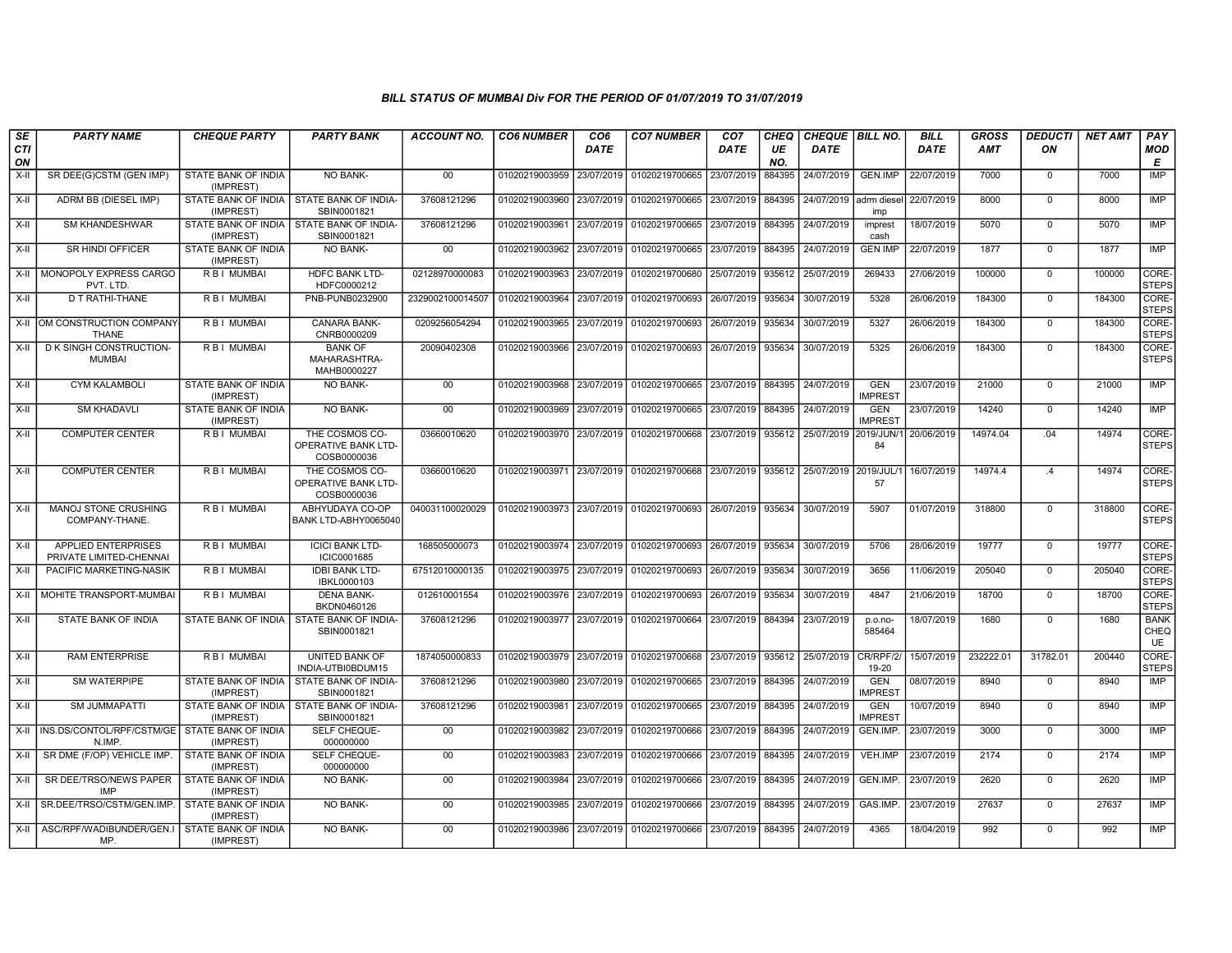| SE        | <b>PARTY NAME</b>                                                | <b>CHEQUE PARTY</b>                     | <b>PARTY BANK</b>                                           | <b>ACCOUNT NO.</b> | <b>CO6 NUMBER</b>         | CO <sub>6</sub> | <b>CO7 NUMBER</b>                                      | CO <sub>7</sub> | <b>CHEQ</b> | CHEQUE   BILL NO.          |                              | <b>BILL</b> | <b>GROSS</b> | <b>DEDUCTI</b> | <b>NET AMT</b> | <b>PAY</b>                       |
|-----------|------------------------------------------------------------------|-----------------------------------------|-------------------------------------------------------------|--------------------|---------------------------|-----------------|--------------------------------------------------------|-----------------|-------------|----------------------------|------------------------------|-------------|--------------|----------------|----------------|----------------------------------|
| CTI<br>ON |                                                                  |                                         |                                                             |                    |                           | <b>DATE</b>     |                                                        | <b>DATE</b>     | UE<br>NO.   | <b>DATE</b>                |                              | <b>DATE</b> | <b>AMT</b>   | ON             |                | <b>MOD</b><br>Е                  |
| $X-I$     | SR DEE(G)CSTM (GEN IMP)                                          | STATE BANK OF INDIA<br>(IMPREST)        | NO BANK-                                                    | 00                 | 01020219003959            | 23/07/2019      | 01020219700665                                         | 23/07/2019      | 884395      | 24/07/2019                 | <b>GEN.IMP</b>               | 22/07/2019  | 7000         | $\mathbf 0$    | 7000           | IMP                              |
| X-II      | ADRM BB (DIESEL IMP)                                             | (IMPREST)                               | STATE BANK OF INDIA I STATE BANK OF INDIA-<br>SBIN0001821   | 37608121296        | 01020219003960            | 23/07/2019      | 01020219700665 23/07/2019                              |                 | 884395      | l 24/07/2019 I adrm diesel | imp                          | 22/07/2019  | 8000         | $\mathbf 0$    | 8000           | IMP                              |
| X-II      | <b>SM KHANDESHWAR</b>                                            | (IMPREST)                               | STATE BANK OF INDIA   STATE BANK OF INDIA-<br>SBIN0001821   | 37608121296        | 01020219003961            | 23/07/2019      | 01020219700665 23/07/2019                              |                 | 884395      | 24/07/2019                 | imprest<br>cash              | 18/07/2019  | 5070         | $\mathbf 0$    | 5070           | <b>IMP</b>                       |
| X-II      | <b>SR HINDI OFFICER</b>                                          | STATE BANK OF INDIA<br>(IMPREST)        | NO BANK-                                                    | $00\,$             | 01020219003962            | 23/07/2019      | 01020219700665 23/07/2019                              |                 | 884395      | 24/07/2019                 | <b>GEN IMP</b>               | 22/07/2019  | 1877         | $\mathbf 0$    | 1877           | IMP                              |
| $X-H$     | MONOPOLY EXPRESS CARGO<br>PVT. LTD                               | <b>RBI MUMBAI</b>                       | <b>HDFC BANK LTD-</b><br>HDFC0000212                        | 02128970000083     | 01020219003963            | 23/07/2019      | 01020219700680                                         | 25/07/2019      | 935612      | 25/07/2019                 | 269433                       | 27/06/2019  | 100000       | $\mathbf 0$    | 100000         | CORE-<br><b>STEPS</b>            |
| X-II      | <b>D T RATHI-THANE</b>                                           | R B I MUMBAI                            | PNB-PUNB0232900                                             | 2329002100014507   | 01020219003964            | 23/07/2019      | 01020219700693                                         | 26/07/2019      | 935634      | 30/07/2019                 | 5328                         | 26/06/2019  | 184300       | $^{\circ}$     | 184300         | CORE-<br><b>STEPS</b>            |
|           | X-II OM CONSTRUCTION COMPANY<br><b>THANE</b>                     | R B I MUMBAI                            | <b>CANARA BANK-</b><br>CNRB0000209                          | 0209256054294      | 01020219003965            | 23/07/2019      | 01020219700693                                         | 26/07/2019      | 935634      | 30/07/2019                 | 5327                         | 26/06/2019  | 184300       | $\mathbf 0$    | 184300         | CORE-<br><b>STEPS</b>            |
| $X-II$    | D K SINGH CONSTRUCTION-<br><b>MUMBAI</b>                         | R B I MUMBAI                            | <b>BANK OF</b><br>MAHARASHTRA-<br>MAHB0000227               | 20090402308        | 01020219003966            | 23/07/2019      | 01020219700693                                         | 26/07/2019      | 935634      | 30/07/2019                 | 5325                         | 26/06/2019  | 184300       | $\mathbf 0$    | 184300         | CORE-<br><b>STEPS</b>            |
| X-II      | <b>CYM KALAMBOLI</b>                                             | STATE BANK OF INDIA<br>(IMPREST)        | <b>NO BANK-</b>                                             | 00                 | 01020219003968            | 23/07/2019      | 01020219700665 23/07/2019 884395                       |                 |             | 24/07/2019                 | <b>GEN</b><br><b>IMPREST</b> | 23/07/2019  | 21000        | $\mathbf 0$    | 21000          | <b>IMP</b>                       |
| X-II      | <b>SM KHADAVLI</b>                                               | STATE BANK OF INDIA<br>(IMPREST)        | <b>NO BANK-</b>                                             | 00                 | 01020219003969            | 23/07/2019      | 01020219700665                                         | 23/07/2019      | 884395      | 24/07/2019                 | <b>GEN</b><br><b>IMPREST</b> | 23/07/2019  | 14240        | $\mathbf 0$    | 14240          | IMP                              |
| X-II      | <b>COMPUTER CENTER</b>                                           | R B I MUMBAI                            | THE COSMOS CO-<br><b>OPERATIVE BANK LTD-</b><br>COSB0000036 | 03660010620        | 01020219003970            | 23/07/2019      | 01020219700668                                         | 23/07/2019      | 935612      | 25/07/2019 2019/JUN/1      | 84                           | 20/06/2019  | 14974.04     | .04            | 14974          | CORE-<br><b>STEPS</b>            |
| X-II      | <b>COMPUTER CENTER</b>                                           | R B I MUMBAI                            | THE COSMOS CO-<br>OPERATIVE BANK LTD-<br>COSB0000036        | 03660010620        | 01020219003971 23/07/2019 |                 | 01020219700668 23/07/2019 935612 25/07/2019 2019/JUL/1 |                 |             |                            | 57                           | 16/07/2019  | 14974.4      | $\mathcal{A}$  | 14974          | CORE-<br><b>STEPS</b>            |
| $X-H$     | <b>MANOJ STONE CRUSHING</b><br>COMPANY-THANE.                    | R B I MUMBAI                            | ABHYUDAYA CO-OP<br>BANK LTD-ABHY0065040                     | 040031100020029    | 01020219003973 23/07/2019 |                 | 01020219700693 26/07/2019 935634                       |                 |             | 30/07/2019                 | 5907                         | 01/07/2019  | 318800       | $\Omega$       | 318800         | CORE-<br><b>STEPS</b>            |
| $X-H$     | <b>APPLIED ENTERPRISES</b><br>PRIVATE LIMITED-CHENNAI            | R B I MUMBAI                            | <b>ICICI BANK LTD-</b><br>ICIC0001685                       | 168505000073       | 01020219003974            | 23/07/2019      | 01020219700693                                         | 26/07/2019      | 935634      | 30/07/2019                 | 5706                         | 28/06/2019  | 19777        | $\mathbf 0$    | 19777          | CORE-<br><b>STEPS</b>            |
| $X-H$     | PACIFIC MARKETING-NASIK                                          | <b>RBI MUMBAI</b>                       | <b>IDBI BANK LTD-</b><br>IBKL0000103                        | 67512010000135     | 01020219003975 23/07/2019 |                 | 01020219700693 26/07/2019                              |                 | 935634      | 30/07/2019                 | 3656                         | 11/06/2019  | 205040       | $\mathbf 0$    | 205040         | CORE-<br><b>STEPS</b>            |
| X-II      | MOHITE TRANSPORT-MUMBAI                                          | R B I MUMBAI                            | <b>DENA BANK-</b><br>BKDN0460126                            | 012610001554       | 01020219003976            | 23/07/2019      | 01020219700693                                         | 26/07/2019      | 935634      | 30/07/2019                 | 4847                         | 21/06/2019  | 18700        | $\mathbf 0$    | 18700          | CORE-<br><b>STEPS</b>            |
| X-II      | STATE BANK OF INDIA                                              | STATE BANK OF INDIA                     | STATE BANK OF INDIA-<br>SBIN0001821                         | 37608121296        | 01020219003977            | 23/07/2019      | 01020219700664                                         | 23/07/2019      | 884394      | 23/07/2019                 | $p.o.no-$<br>585464          | 18/07/2019  | 1680         | $\Omega$       | 1680           | <b>BANK</b><br>CHEQ<br><b>UE</b> |
| $X-H$     | <b>RAM ENTERPRISE</b>                                            | <b>RBI MUMBAI</b>                       | <b>UNITED BANK OF</b><br>INDIA-UTBI0BDUM15                  | 1874050000833      | 01020219003979            | 23/07/2019      | 01020219700668                                         | 23/07/2019      | 935612      | 25/07/2019                 | CR/RPF/2/<br>19-20           | 15/07/2019  | 232222.01    | 31782.01       | 200440         | CORE-<br><b>STEPS</b>            |
| X-II      | <b>SM WATERPIPE</b>                                              | <b>STATE BANK OF INDIA</b><br>(IMPREST) | STATE BANK OF INDIA-<br>SBIN0001821                         | 37608121296        | 01020219003980            | 23/07/2019      | 01020219700665 23/07/2019                              |                 | 884395      | 24/07/2019                 | <b>GEN</b><br><b>IMPREST</b> | 08/07/2019  | 8940         | $\mathbf 0$    | 8940           | <b>IMP</b>                       |
| X-II      | <b>SM JUMMAPATTI</b>                                             | (IMPREST)                               | STATE BANK OF INDIA STATE BANK OF INDIA-<br>SBIN0001821     | 37608121296        | 01020219003981            | 23/07/2019      | 01020219700665 23/07/2019                              |                 | 884395      | 24/07/2019                 | <b>GEN</b><br><b>IMPREST</b> | 10/07/2019  | 8940         | $\Omega$       | 8940           | <b>IMP</b>                       |
|           | X-II   INS.DS/CONTOL/RPF/CSTM/GE   STATE BANK OF INDIA<br>N.IMP. | (IMPREST)                               | SELF CHEQUE-<br>000000000                                   | 00                 | 01020219003982            | 23/07/2019      | 01020219700666 23/07/2019                              |                 | 884395      | 24/07/2019                 | GEN.IMP.                     | 23/07/2019  | 3000         | $\overline{0}$ | 3000           | <b>IMP</b>                       |
| X-II      | SR DME (F/OP) VEHICLE IMP                                        | STATE BANK OF INDIA<br>(IMPREST)        | SELF CHEQUE-<br>000000000                                   | 00                 | 01020219003983            | 23/07/2019      | 01020219700666 23/07/2019                              |                 | 884395      | 24/07/2019                 | VEH.IMP                      | 23/07/2019  | 2174         | $\mathbf 0$    | 2174           | IMP                              |
| X-II      | SR DEE/TRSO/NEWS PAPER<br>IMP                                    | STATE BANK OF INDIA<br>(IMPREST)        | <b>NO BANK-</b>                                             | 00                 | 01020219003984            | 23/07/2019      | 01020219700666                                         | 23/07/2019      | 884395      | 24/07/2019                 | GEN.IMP.                     | 23/07/2019  | 2620         | $\mathbf 0$    | 2620           | <b>IMP</b>                       |
| X-II      | SR.DEE/TRSO/CSTM/GEN.IMP                                         | STATE BANK OF INDIA<br>(IMPREST)        | NO BANK-                                                    | 00                 | 01020219003985            | 23/07/2019      | 01020219700666                                         | 23/07/2019      | 884395      | 24/07/2019                 | GAS.IMP.                     | 23/07/2019  | 27637        | $\mathbf 0$    | 27637          | <b>IMP</b>                       |
| X-II      | ASC/RPF/WADIBUNDER/GEN.<br>MP.                                   | STATE BANK OF INDIA<br>(IMPREST)        | NO BANK-                                                    | 00                 | 01020219003986            | 23/07/2019      | 01020219700666 23/07/2019                              |                 | 884395      | 24/07/2019                 | 4365                         | 18/04/2019  | 992          | $\mathbf 0$    | 992            | <b>IMP</b>                       |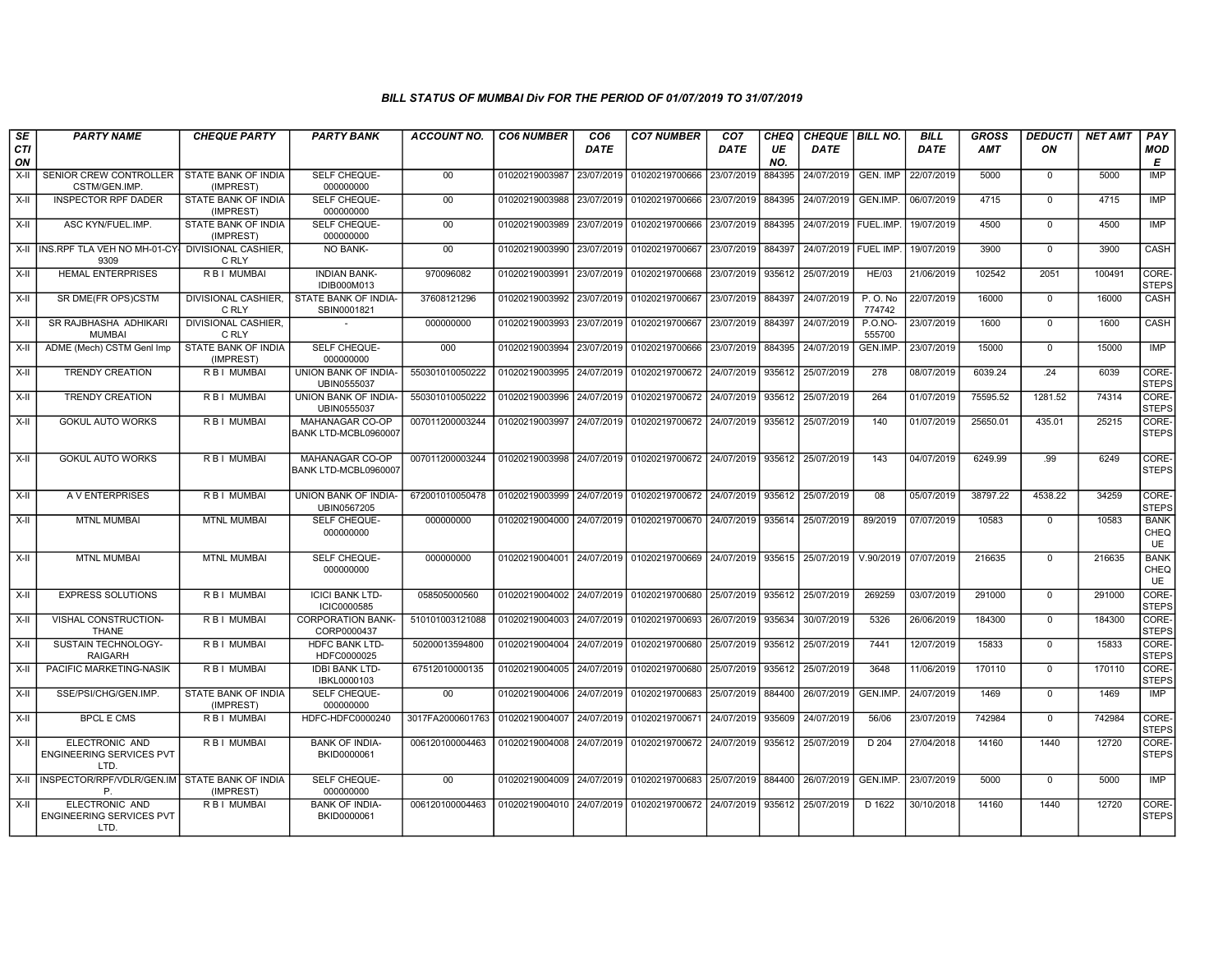| SE        | <b>PARTY NAME</b>                                         | <b>CHEQUE PARTY</b>                 | <b>PARTY BANK</b>                          | <b>ACCOUNT NO.</b>              | <b>CO6 NUMBER</b> | CO <sub>6</sub> | <b>CO7 NUMBER</b>                           | CO <sub>7</sub> | CHEQ      | <b>CHEQUE   BILL NO.</b> |                    | <b>BILL</b> | <b>GROSS</b> | <b>DEDUCTI</b> | <b>NET AMT</b> | PAY                              |
|-----------|-----------------------------------------------------------|-------------------------------------|--------------------------------------------|---------------------------------|-------------------|-----------------|---------------------------------------------|-----------------|-----------|--------------------------|--------------------|-------------|--------------|----------------|----------------|----------------------------------|
| CTI<br>ON |                                                           |                                     |                                            |                                 |                   | <b>DATE</b>     |                                             | <b>DATE</b>     | UE<br>NO. | <b>DATE</b>              |                    | <b>DATE</b> | <b>AMT</b>   | ON             |                | <b>MOD</b><br>E                  |
| X-II      | SENIOR CREW CONTROLLER<br>CSTM/GEN.IMP.                   | STATE BANK OF INDIA<br>(IMPREST)    | <b>SELF CHEQUE-</b><br>000000000           | 00                              | 01020219003987    | 23/07/2019      | 01020219700666                              | 23/07/2019      | 884395    | 24/07/2019               | GEN. IMP           | 22/07/2019  | 5000         | $\mathbf 0$    | 5000           | IMP                              |
| X-II      | <b>INSPECTOR RPF DADER</b>                                | STATE BANK OF INDIA<br>(IMPREST)    | <b>SELF CHEQUE-</b><br>000000000           | 00                              | 01020219003988    | 23/07/2019      | 01020219700666 23/07/2019                   |                 | 884395    | 24/07/2019               | GEN.IMP.           | 06/07/2019  | 4715         | $\Omega$       | 4715           | IMP                              |
| X-II      | ASC KYN/FUEL.IMP.                                         | STATE BANK OF INDIA<br>(IMPREST)    | SELF CHEQUE-<br>000000000                  | $00\,$                          | 01020219003989    | 23/07/2019      | 01020219700666                              | 23/07/2019      | 884395    | 24/07/2019               | FUEL.IMP.          | 19/07/2019  | 4500         | $\mathbf 0$    | 4500           | <b>IMP</b>                       |
|           | X-II INS.RPF TLA VEH NO MH-01-CY<br>9309                  | DIVISIONAL CASHIER,<br>C RLY        | NO BANK-                                   | 00                              | 01020219003990    | 23/07/2019      | 01020219700667                              | 23/07/2019      | 884397    | 24/07/2019               | <b>FUEL IMP</b>    | 19/07/2019  | 3900         | $\overline{0}$ | 3900           | CASH                             |
| $X-H$     | <b>HEMAL ENTERPRISES</b>                                  | <b>RBI MUMBAI</b>                   | <b>INDIAN BANK-</b><br>IDIB000M013         | 970096082                       | 01020219003991    | 23/07/2019      | 01020219700668                              | 23/07/2019      | 935612    | 25/07/2019               | <b>HE/03</b>       | 21/06/2019  | 102542       | 2051           | 100491         | CORE-<br><b>STEPS</b>            |
| X-II      | SR DME(FR OPS)CSTM                                        | <b>DIVISIONAL CASHIER.</b><br>C RLY | STATE BANK OF INDIA-<br>SBIN0001821        | 37608121296                     | 01020219003992    | 23/07/2019      | 01020219700667 23/07/2019 884397            |                 |           | 24/07/2019               | P. O. No<br>774742 | 22/07/2019  | 16000        | $\mathbf 0$    | 16000          | CASH                             |
| X-II      | SR RAJBHASHA ADHIKARI<br><b>MUMBAI</b>                    | DIVISIONAL CASHIER,<br>C RLY        |                                            | 000000000                       | 01020219003993    | 23/07/2019      | 01020219700667                              | 23/07/2019      | 884397    | 24/07/2019               | P.O.NO-<br>555700  | 23/07/2019  | 1600         | $\mathbf 0$    | 1600           | CASH                             |
| X-II      | ADME (Mech) CSTM Genl Imp                                 | STATE BANK OF INDIA<br>(IMPREST)    | SELF CHEQUE-<br>000000000                  | 000                             | 01020219003994    | 23/07/2019      | 01020219700666                              | 23/07/2019      | 884395    | 24/07/2019               | GEN.IMP.           | 23/07/2019  | 15000        | $\mathbf 0$    | 15000          | IMP                              |
| X-II      | <b>TRENDY CREATION</b>                                    | R B I MUMBAI                        | UNION BANK OF INDIA-<br>UBIN0555037        | 550301010050222                 | 01020219003995    | 24/07/2019      | 01020219700672 24/07/2019                   |                 | 935612    | 25/07/2019               | 278                | 08/07/2019  | 6039.24      | .24            | 6039           | CORE-<br><b>STEPS</b>            |
| $X-H$     | <b>TRENDY CREATION</b>                                    | <b>RBI MUMBAI</b>                   | <b>UNION BANK OF INDIA-</b><br>UBIN0555037 | 550301010050222                 | 01020219003996    | 24/07/2019      | 01020219700672 24/07/2019                   |                 | 935612    | 25/07/2019               | 264                | 01/07/2019  | 75595.52     | 1281.52        | 74314          | CORE-<br><b>STEPS</b>            |
| X-II      | <b>GOKUL AUTO WORKS</b>                                   | R B I MUMBAI                        | MAHANAGAR CO-OP<br>BANK LTD-MCBL0960007    | 007011200003244                 | 01020219003997    | 24/07/2019      | 01020219700672 24/07/2019                   |                 | 935612    | 25/07/2019               | 140                | 01/07/2019  | 25650.01     | 435.01         | 25215          | CORE-<br><b>STEPS</b>            |
| X-II      | <b>GOKUL AUTO WORKS</b>                                   | R B I MUMBAI                        | MAHANAGAR CO-OP<br>BANK LTD-MCBL0960007    | 007011200003244                 | 01020219003998    | 24/07/2019      | 01020219700672 24/07/2019 935612 25/07/2019 |                 |           |                          | 143                | 04/07/2019  | 6249.99      | .99            | 6249           | CORE-<br><b>STEPS</b>            |
| $X-H$     | A V ENTERPRISES                                           | R B I MUMBAI                        | UNION BANK OF INDIA-<br>UBIN0567205        | 672001010050478                 | 01020219003999    | 24/07/2019      | 01020219700672 24/07/2019                   |                 | 935612    | 25/07/2019               | 08                 | 05/07/2019  | 38797.22     | 4538.22        | 34259          | CORE-<br><b>STEPS</b>            |
| $X-H$     | <b>MTNL MUMBAI</b>                                        | <b>MTNL MUMBAI</b>                  | SELF CHEQUE-<br>000000000                  | 000000000                       | 01020219004000    | 24/07/2019      | 01020219700670 24/07/2019 935614            |                 |           | 25/07/2019               | 89/2019            | 07/07/2019  | 10583        | $\overline{0}$ | 10583          | <b>BANK</b><br>CHEQ<br><b>UE</b> |
| $X-H$     | <b>MTNL MUMBAI</b>                                        | <b>MTNL MUMBAI</b>                  | SELF CHEQUE-<br>000000000                  | 000000000                       | 01020219004001    | 24/07/2019      | 01020219700669 24/07/2019 935615            |                 |           | 25/07/2019               | V.90/2019          | 07/07/2019  | 216635       | $\overline{0}$ | 216635         | <b>BANK</b><br>CHEQ<br><b>UE</b> |
| X-II      | <b>EXPRESS SOLUTIONS</b>                                  | R B I MUMBAI                        | <b>ICICI BANK LTD-</b><br>ICIC0000585      | 058505000560                    | 01020219004002    | 24/07/2019      | 01020219700680                              | 25/07/2019      | 935612    | 25/07/2019               | 269259             | 03/07/2019  | 291000       | $\Omega$       | 291000         | CORE-<br><b>STEPS</b>            |
| $X-H$     | VISHAL CONSTRUCTION-<br><b>THANE</b>                      | R B I MUMBAI                        | <b>CORPORATION BANK-</b><br>CORP0000437    | 510101003121088                 | 01020219004003    | 24/07/2019      | 01020219700693                              | 26/07/2019      | 935634    | 30/07/2019               | 5326               | 26/06/2019  | 184300       | $\mathbf 0$    | 184300         | CORE-<br><b>STEPS</b>            |
| $X-H$     | SUSTAIN TECHNOLOGY-<br><b>RAIGARH</b>                     | R B I MUMBAI                        | <b>HDFC BANK LTD-</b><br>HDFC0000025       | 50200013594800                  | 01020219004004    | 24/07/2019      | 01020219700680 25/07/2019                   |                 | 935612    | 25/07/2019               | 7441               | 12/07/2019  | 15833        | $\overline{0}$ | 15833          | CORE-<br><b>STEPS</b>            |
| $X-II$    | PACIFIC MARKETING-NASIK                                   | <b>RBI MUMBAI</b>                   | <b>IDBI BANK LTD-</b><br>IBKL0000103       | 67512010000135                  | 01020219004005    | 24/07/2019      | 01020219700680                              | 25/07/2019      | 935612    | 25/07/2019               | 3648               | 11/06/2019  | 170110       | $\mathbf 0$    | 170110         | CORE-<br><b>STEPS</b>            |
| X-II      | SSE/PSI/CHG/GEN.IMP.                                      | STATE BANK OF INDIA<br>(IMPREST)    | SELF CHEQUE-<br>000000000                  | 00                              | 01020219004006    | 24/07/2019      | 01020219700683                              | 25/07/2019      | 884400    | 26/07/2019               | GEN.IMP.           | 24/07/2019  | 1469         | $\mathbf 0$    | 1469           | IMP                              |
| X-II      | <b>BPCL E CMS</b>                                         | R B I MUMBAI                        | HDFC-HDFC0000240                           | 3017FA2000601763 01020219004007 |                   | 24/07/2019      | 01020219700671 24/07/2019                   |                 | 935609    | 24/07/2019               | 56/06              | 23/07/2019  | 742984       | $\mathbf 0$    | 742984         | CORE-<br><b>STEPS</b>            |
| X-II      | ELECTRONIC AND<br><b>ENGINEERING SERVICES PVT</b><br>LTD. | R B I MUMBAI                        | <b>BANK OF INDIA-</b><br>BKID0000061       | 006120100004463                 | 01020219004008    | 24/07/2019      | 01020219700672 24/07/2019                   |                 | 935612    | 25/07/2019               | D 204              | 27/04/2018  | 14160        | 1440           | 12720          | CORE-<br><b>STEPS</b>            |
| X-II      | INSPECTOR/RPF/VDLR/GEN.IM<br>P                            | STATE BANK OF INDIA<br>(IMPREST)    | SELF CHEQUE-<br>000000000                  | $00\,$                          | 01020219004009    | 24/07/2019      | 01020219700683                              | 25/07/2019      | 884400    | 26/07/2019               | GEN.IMP.           | 23/07/2019  | 5000         | $\mathbf 0$    | 5000           | <b>IMP</b>                       |
| X-II      | ELECTRONIC AND<br><b>ENGINEERING SERVICES PVT</b><br>LTD. | R B I MUMBAI                        | <b>BANK OF INDIA-</b><br>BKID0000061       | 006120100004463                 | 01020219004010    | 24/07/2019      | 01020219700672 24/07/2019                   |                 | 935612    | 25/07/2019               | D 1622             | 30/10/2018  | 14160        | 1440           | 12720          | CORE-<br><b>STEPS</b>            |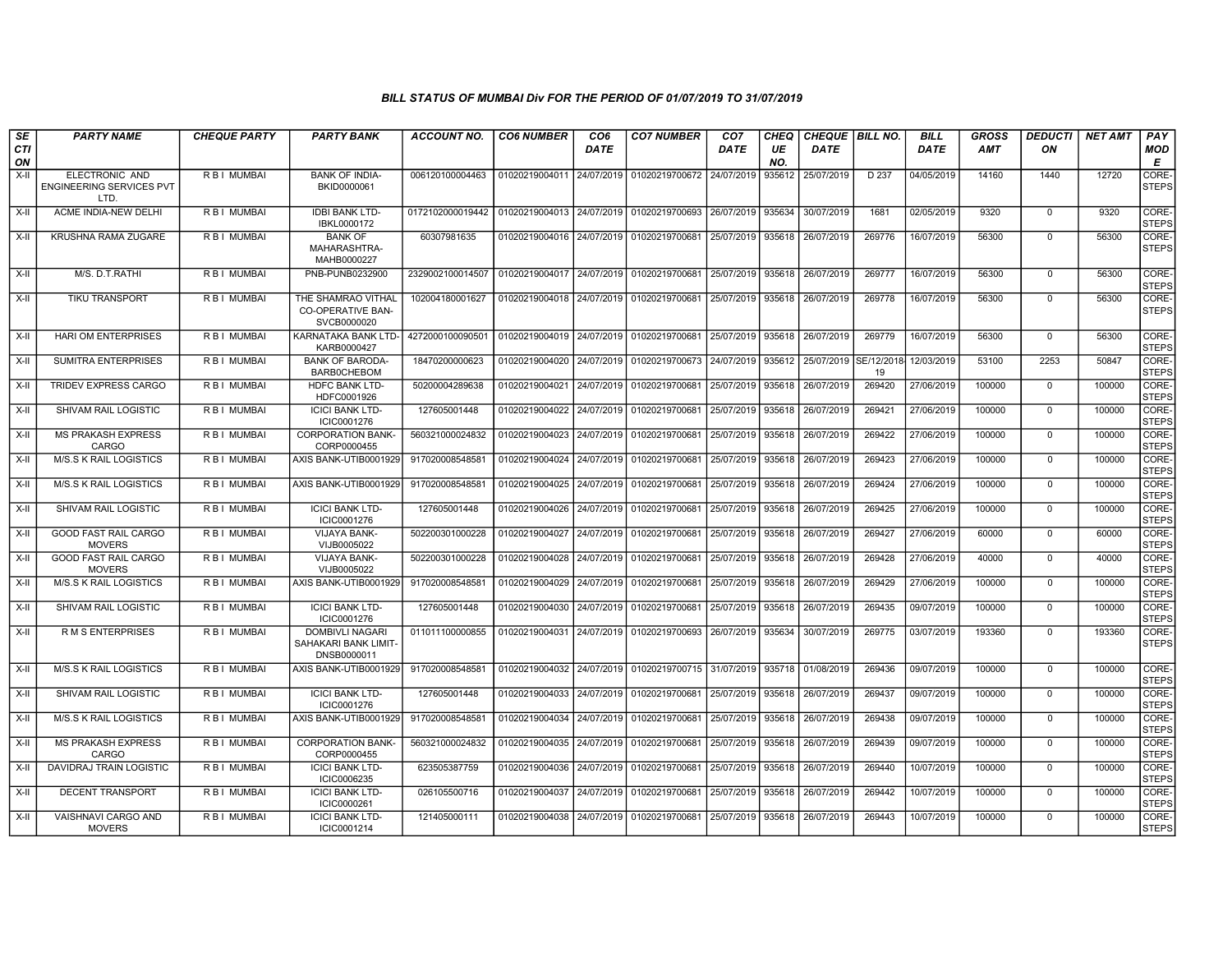| SE               | <b>PARTY NAME</b>                                  | <b>CHEQUE PARTY</b> | <b>PARTY BANK</b>                                             | ACCOUNT NO.      | <b>CO6 NUMBER</b>         | CO6         | <b>CO7 NUMBER</b>         | CO <sub>7</sub> | CHEQ      | <b>CHEQUE   BILL NO.</b> |        | BILL        | GROSS      | <b>DEDUCTI</b> | <b>NET AMT</b> | <b>PAY</b>            |
|------------------|----------------------------------------------------|---------------------|---------------------------------------------------------------|------------------|---------------------------|-------------|---------------------------|-----------------|-----------|--------------------------|--------|-------------|------------|----------------|----------------|-----------------------|
| <b>CTI</b><br>ON |                                                    |                     |                                                               |                  |                           | <b>DATE</b> |                           | <b>DATE</b>     | UE<br>NO. | <b>DATE</b>              |        | <b>DATE</b> | <b>AMT</b> | ON             |                | MOD<br>E              |
| $X-H$            | ELECTRONIC AND<br>ENGINEERING SERVICES PVT<br>LTD. | R B I MUMBAI        | <b>BANK OF INDIA-</b><br>BKID0000061                          | 006120100004463  | 01020219004011            | 24/07/2019  | 01020219700672            | 24/07/2019      | 935612    | 25/07/2019               | D 237  | 04/05/2019  | 14160      | 1440           | 12720          | CORE-<br><b>STEPS</b> |
| X-II             | ACME INDIA-NEW DELHI                               | R B I MUMBAI        | <b>IDBI BANK LTD-</b><br>IBKL0000172                          | 0172102000019442 | 01020219004013            | 24/07/2019  | 01020219700693            | 26/07/2019      | 935634    | 30/07/2019               | 1681   | 02/05/2019  | 9320       | $\mathbf{0}$   | 9320           | CORE-<br><b>STEPS</b> |
| $X-H$            | <b>KRUSHNA RAMA ZUGARE</b>                         | <b>RBI MUMBAI</b>   | <b>BANK OF</b><br>MAHARASHTRA-<br>MAHB0000227                 | 60307981635      | 01020219004016            | 24/07/2019  | 01020219700681            | 25/07/2019      | 935618    | 26/07/2019               | 269776 | 16/07/2019  | 56300      | $\Omega$       | 56300          | CORE-<br><b>STEPS</b> |
| $X-II$           | M/S. D.T.RATHI                                     | R B I MUMBAI        | PNB-PUNB0232900                                               | 2329002100014507 | 01020219004017            | 24/07/2019  | 01020219700681            | 25/07/2019      | 935618    | 26/07/2019               | 269777 | 16/07/2019  | 56300      | $\mathbf 0$    | 56300          | CORE-<br><b>STEPS</b> |
| $X-II$           | <b>TIKU TRANSPORT</b>                              | R B I MUMBAI        | THE SHAMRAO VITHAL<br><b>CO-OPERATIVE BAN-</b><br>SVCB0000020 | 102004180001627  | 01020219004018 24/07/2019 |             | 01020219700681            | 25/07/2019      | 935618    | 26/07/2019               | 269778 | 16/07/2019  | 56300      | $\Omega$       | 56300          | CORE-<br><b>STEPS</b> |
| X-II             | HARI OM ENTERPRISES                                | R B I MUMBAI        | KARNATAKA BANK LTD-<br>KARB0000427                            | 4272000100090501 | 01020219004019 24/07/2019 |             | 01020219700681            | 25/07/2019      | 935618    | 26/07/2019               | 269779 | 16/07/2019  | 56300      | $\mathbf{0}$   | 56300          | CORE-<br><b>STEPS</b> |
| $X-II$           | <b>SUMITRA ENTERPRISES</b>                         | <b>RBI MUMBAI</b>   | <b>BANK OF BARODA-</b><br><b>BARB0CHEBOM</b>                  | 18470200000623   | 01020219004020            | 24/07/2019  | 01020219700673 24/07/2019 |                 | 935612    | 25/07/2019 SE/12/2018    | 19     | 12/03/2019  | 53100      | 2253           | 50847          | CORE-<br><b>STEPS</b> |
| X-II             | TRIDEV EXPRESS CARGO                               | R B I MUMBAI        | <b>HDFC BANK LTD-</b><br>HDFC0001926                          | 50200004289638   | 01020219004021            | 24/07/2019  | 01020219700681            | 25/07/2019      | 935618    | 26/07/2019               | 269420 | 27/06/2019  | 100000     | $\mathbf 0$    | 100000         | CORE-<br><b>STEPS</b> |
| X-II             | SHIVAM RAIL LOGISTIC                               | R B I MUMBAI        | <b>ICICI BANK LTD-</b><br>ICIC0001276                         | 127605001448     | 01020219004022            | 24/07/2019  | 01020219700681            | 25/07/2019      | 935618    | 26/07/2019               | 269421 | 27/06/2019  | 100000     | $\mathbf{0}$   | 100000         | CORE-<br><b>STEPS</b> |
| X-II             | <b>MS PRAKASH EXPRESS</b><br>CARGO                 | R B I MUMBAI        | <b>CORPORATION BANK-</b><br>CORP0000455                       | 560321000024832  | 01020219004023            | 24/07/2019  | 01020219700681            | 25/07/2019      | 935618    | 26/07/2019               | 269422 | 27/06/2019  | 100000     | $\mathbf 0$    | 100000         | CORE-<br><b>STEPS</b> |
| X-II             | M/S.S K RAIL LOGISTICS                             | R B I MUMBAI        | AXIS BANK-UTIB0001929                                         | 917020008548581  | 01020219004024            | 24/07/2019  | 01020219700681            | 25/07/2019      | 935618    | 26/07/2019               | 269423 | 27/06/2019  | 100000     | $^{\circ}$     | 100000         | CORE-<br><b>STEPS</b> |
| $X-H$            | M/S.S K RAIL LOGISTICS                             | R B I MUMBAI        | AXIS BANK-UTIB0001929                                         | 917020008548581  | 01020219004025            | 24/07/2019  | 01020219700681            | 25/07/2019      | 935618    | 26/07/2019               | 269424 | 27/06/2019  | 100000     | $\mathbf 0$    | 100000         | CORE-<br><b>STEPS</b> |
| X-II             | <b>SHIVAM RAIL LOGISTIC</b>                        | R B I MUMBAI        | <b>ICICI BANK LTD-</b><br>ICIC0001276                         | 127605001448     | 01020219004026            | 24/07/2019  | 01020219700681            | 25/07/2019      | 935618    | 26/07/2019               | 269425 | 27/06/2019  | 100000     | $\Omega$       | 100000         | CORE-<br><b>STEPS</b> |
| X-II             | <b>GOOD FAST RAIL CARGO</b><br><b>MOVERS</b>       | <b>RBI MUMBAI</b>   | <b>VIJAYA BANK-</b><br>VIJB0005022                            | 502200301000228  | 01020219004027            | 24/07/2019  | 01020219700681            | 25/07/2019      | 935618    | 26/07/2019               | 269427 | 27/06/2019  | 60000      | $\mathbf{0}$   | 60000          | CORE-<br><b>STEPS</b> |
| $X-II$           | <b>GOOD FAST RAIL CARGO</b><br><b>MOVERS</b>       | R B I MUMBAI        | <b>VIJAYA BANK-</b><br>VIJB0005022                            | 502200301000228  | 01020219004028            | 24/07/2019  | 01020219700681            | 25/07/2019      | 935618    | 26/07/2019               | 269428 | 27/06/2019  | 40000      | $\Omega$       | 40000          | CORE-<br><b>STEPS</b> |
| X-II             | M/S.S K RAIL LOGISTICS                             | R B I MUMBAI        | AXIS BANK-UTIB0001929                                         | 917020008548581  | 01020219004029            | 24/07/2019  | 01020219700681            | 25/07/2019      | 935618    | 26/07/2019               | 269429 | 27/06/2019  | 100000     | $^{\circ}$     | 100000         | CORE-<br><b>STEPS</b> |
| X-II             | <b>SHIVAM RAIL LOGISTIC</b>                        | R B I MUMBAI        | <b>ICICI BANK LTD-</b><br>ICIC0001276                         | 127605001448     | 01020219004030            | 24/07/2019  | 01020219700681            | 25/07/2019      | 935618    | 26/07/2019               | 269435 | 09/07/2019  | 100000     | $\mathbf{0}$   | 100000         | CORE-<br><b>STEPS</b> |
| X-II             | <b>RMS ENTERPRISES</b>                             | R B I MUMBAI        | <b>DOMBIVLI NAGARI</b><br>SAHAKARI BANK LIMIT-<br>DNSB0000011 | 011011100000855  | 01020219004031            | 24/07/2019  | 01020219700693            | 26/07/2019      | 935634    | 30/07/2019               | 269775 | 03/07/2019  | 193360     | $\mathbf{0}$   | 193360         | CORE-<br><b>STEPS</b> |
| X-II             | M/S.S K RAIL LOGISTICS                             | R B I MUMBAI        | AXIS BANK-UTIB0001929                                         | 917020008548581  | 01020219004032 24/07/2019 |             | 01020219700715 31/07/2019 |                 | 935718    | 01/08/2019               | 269436 | 09/07/2019  | 100000     | $\Omega$       | 100000         | CORE-<br><b>STEPS</b> |
| X-II             | SHIVAM RAIL LOGISTIC                               | R B I MUMBAI        | <b>ICICI BANK LTD-</b><br>ICIC0001276                         | 127605001448     | 01020219004033            | 24/07/2019  | 01020219700681            | 25/07/2019      | 935618    | 26/07/2019               | 269437 | 09/07/2019  | 100000     | $\mathbf{0}$   | 100000         | CORE-<br><b>STEPS</b> |
| X-II             | <b>M/S.S K RAIL LOGISTICS</b>                      | R B I MUMBAI        | AXIS BANK-UTIB0001929                                         | 91702000854858   | 01020219004034            | 24/07/2019  | 01020219700681            | 25/07/2019      | 935618    | 26/07/2019               | 269438 | 09/07/2019  | 100000     | $\mathbf 0$    | 100000         | CORE-<br><b>STEPS</b> |
| X-II             | <b>MS PRAKASH EXPRESS</b><br>CARGO                 | R B I MUMBAI        | <b>CORPORATION BANK-</b><br>CORP0000455                       | 560321000024832  | 01020219004035            | 24/07/2019  | 01020219700681            | 25/07/2019      | 935618    | 26/07/2019               | 269439 | 09/07/2019  | 100000     | $\Omega$       | 100000         | CORE-<br><b>STEPS</b> |
| $X-H$            | DAVIDRAJ TRAIN LOGISTIC                            | R B I MUMBAI        | <b>ICICI BANK LTD-</b><br>ICIC0006235                         | 623505387759     | 01020219004036            | 24/07/2019  | 01020219700681            | 25/07/2019      | 935618    | 26/07/2019               | 269440 | 10/07/2019  | 100000     | $\mathbf{0}$   | 100000         | CORE-<br><b>STEPS</b> |
| X-II             | <b>DECENT TRANSPORT</b>                            | R B I MUMBAI        | <b>ICICI BANK LTD-</b><br>ICIC0000261                         | 026105500716     | 01020219004037            | 24/07/2019  | 01020219700681            | 25/07/2019      | 935618    | 26/07/2019               | 269442 | 10/07/2019  | 100000     | $\Omega$       | 100000         | CORE-<br><b>STEPS</b> |
| X-II             | VAISHNAVI CARGO AND<br><b>MOVERS</b>               | R B I MUMBAI        | <b>ICICI BANK LTD-</b><br>ICIC0001214                         | 121405000111     | 01020219004038            | 24/07/2019  | 01020219700681            | 25/07/2019      | 935618    | 26/07/2019               | 269443 | 10/07/2019  | 100000     | $\mathbf{0}$   | 100000         | CORE-<br><b>STEPS</b> |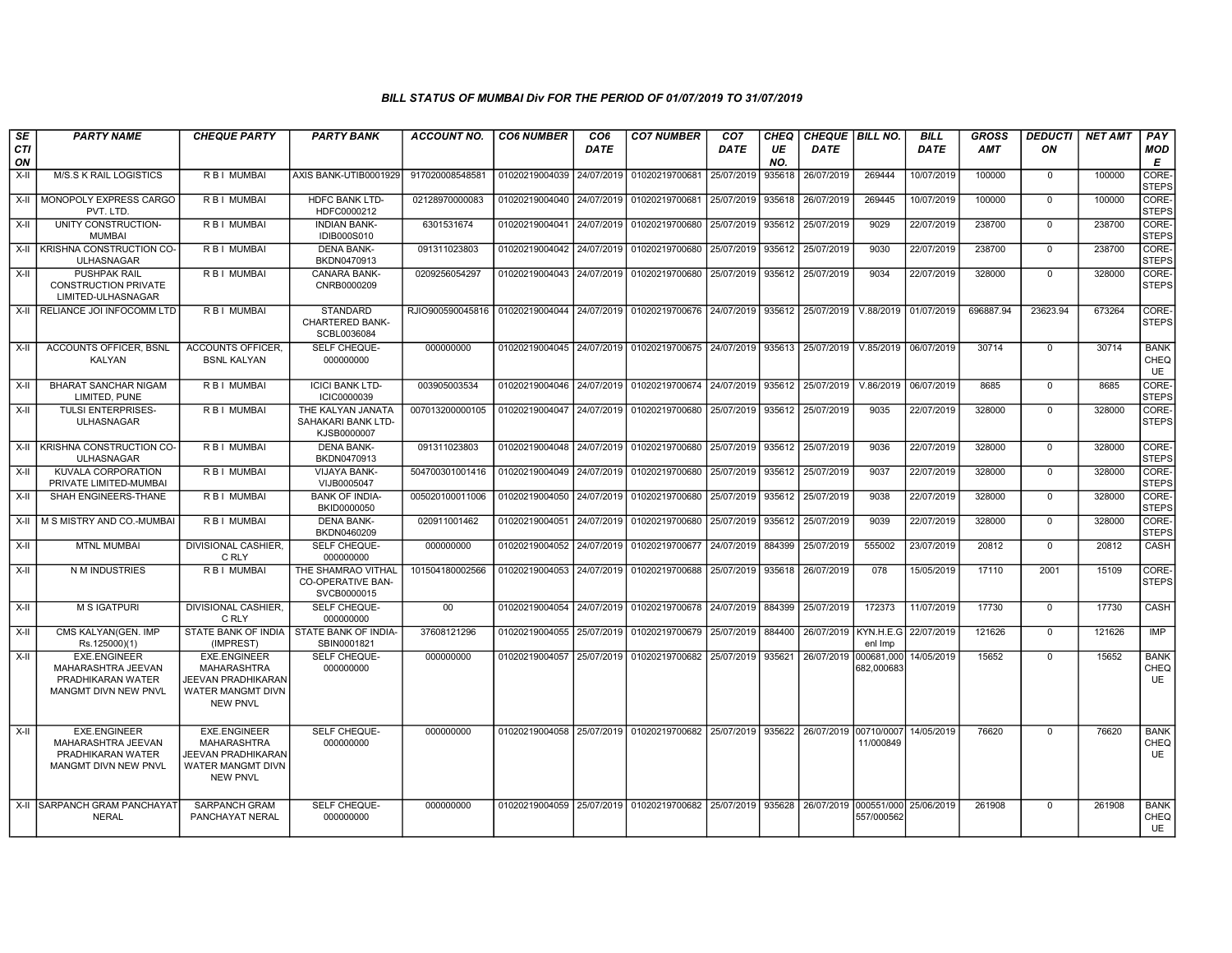| SE        | <b>PARTY NAME</b>                                                                             | <b>CHEQUE PARTY</b>                                                                                     | <b>PARTY BANK</b>                                             | <b>ACCOUNT NO.</b>                                                          | <b>CO6 NUMBER</b>         | CO <sub>6</sub> | <b>CO7 NUMBER</b>                                                                           | CO <sub>7</sub> | CHEQ      | <b>CHEQUE   BILL NO.</b> |                          | <b>BILL</b> | <b>GROSS</b> | <b>DEDUCTI</b> | <b>NET AMT</b> | PAY                              |
|-----------|-----------------------------------------------------------------------------------------------|---------------------------------------------------------------------------------------------------------|---------------------------------------------------------------|-----------------------------------------------------------------------------|---------------------------|-----------------|---------------------------------------------------------------------------------------------|-----------------|-----------|--------------------------|--------------------------|-------------|--------------|----------------|----------------|----------------------------------|
| CTI<br>ON |                                                                                               |                                                                                                         |                                                               |                                                                             |                           | <b>DATE</b>     |                                                                                             | <b>DATE</b>     | UE<br>NO. | <b>DATE</b>              |                          | <b>DATE</b> | AMT          | ON             |                | MOD<br>E                         |
| X-II      | M/S.S K RAIL LOGISTICS                                                                        | R B I MUMBAI                                                                                            | AXIS BANK-UTIB0001929                                         | 917020008548581                                                             | 01020219004039 24/07/2019 |                 | 01020219700681                                                                              | 25/07/2019      | 935618    | 26/07/2019               | 269444                   | 10/07/2019  | 100000       | $\mathbf{0}$   | 100000         | CORE-<br><b>STEPS</b>            |
| X-II      | MONOPOLY EXPRESS CARGO<br>PVT. LTD                                                            | R B   MUMBAI                                                                                            | <b>HDFC BANK LTD-</b><br>HDFC0000212                          | 02128970000083                                                              | 01020219004040 24/07/2019 |                 | 01020219700681                                                                              | 25/07/2019      | 935618    | 26/07/2019               | 269445                   | 10/07/2019  | 100000       | $\Omega$       | 100000         | CORE-<br><b>STEPS</b>            |
| X-II      | UNITY CONSTRUCTION-<br><b>MUMBAI</b>                                                          | R B I MUMBAI                                                                                            | <b>INDIAN BANK-</b><br><b>IDIB000S010</b>                     | 6301531674                                                                  | 01020219004041 24/07/2019 |                 | 01020219700680                                                                              | 25/07/2019      | 935612    | 25/07/2019               | 9029                     | 22/07/2019  | 238700       | $\mathbf{0}$   | 238700         | CORE-<br><b>STEPS</b>            |
| $X-II$    | KRISHNA CONSTRUCTION CO-<br>ULHASNAGAR                                                        | R B I MUMBAI                                                                                            | <b>DENA BANK-</b><br>BKDN0470913                              | 091311023803                                                                | 01020219004042 24/07/2019 |                 | 01020219700680                                                                              | 25/07/2019      | 935612    | 25/07/2019               | 9030                     | 22/07/2019  | 238700       | $\Omega$       | 238700         | CORE-<br><b>STEPS</b>            |
| $X-H$     | <b>PUSHPAK RAIL</b><br><b>CONSTRUCTION PRIVATE</b><br>LIMITED-ULHASNAGAR                      | <b>RBI MUMBAI</b>                                                                                       | <b>CANARA BANK-</b><br>CNRB0000209                            | 0209256054297                                                               | 01020219004043 24/07/2019 |                 | 01020219700680                                                                              | 25/07/2019      | 935612    | 25/07/2019               | 9034                     | 22/07/2019  | 328000       | $\mathbf 0$    | 328000         | CORE-<br><b>STEPS</b>            |
| $X-H$     | RELIANCE JOI INFOCOMM LTD                                                                     | R B I MUMBAI                                                                                            | <b>STANDARD</b><br><b>CHARTERED BANK-</b><br>SCBL0036084      | RJIO900590045816 01020219004044 24/07/2019 01020219700676 24/07/2019 935612 |                           |                 |                                                                                             |                 |           | 25/07/2019               | V.88/2019                | 01/07/2019  | 696887.94    | 23623.94       | 673264         | CORE-<br><b>STEPS</b>            |
| $X-II$    | ACCOUNTS OFFICER, BSNL<br><b>KALYAN</b>                                                       | <b>ACCOUNTS OFFICER.</b><br><b>BSNL KALYAN</b>                                                          | SELF CHEQUE-<br>000000000                                     | 000000000                                                                   |                           |                 | 01020219004045 24/07/2019 01020219700675 24/07/2019                                         |                 | 935613    | 25/07/2019               | V.85/2019                | 06/07/2019  | 30714        | $\mathbf{0}$   | 30714          | <b>BANK</b><br>CHEQ<br><b>UE</b> |
| $X-II$    | <b>BHARAT SANCHAR NIGAM</b><br>LIMITED, PUNE                                                  | <b>RBI MUMBAI</b>                                                                                       | <b>ICICI BANK LTD-</b><br>ICIC0000039                         | 003905003534                                                                |                           |                 | 01020219004046 24/07/2019 01020219700674                                                    | 24/07/2019      | 935612    | 25/07/2019               | V.86/2019                | 06/07/2019  | 8685         | $\mathbf 0$    | 8685           | CORE-<br><b>STEPS</b>            |
| $X-H$     | TULSI ENTERPRISES-<br><b>ULHASNAGAR</b>                                                       | R B I MUMBAI                                                                                            | THE KALYAN JANATA<br>SAHAKARI BANK LTD-<br>KJSB0000007        | 007013200000105                                                             |                           |                 | 01020219004047 24/07/2019 01020219700680                                                    | 25/07/2019      | 935612    | 25/07/2019               | 9035                     | 22/07/2019  | 328000       | $\Omega$       | 328000         | CORE-<br><b>STEPS</b>            |
| X-II      | <b>KRISHNA CONSTRUCTION CO-</b><br><b>ULHASNAGAR</b>                                          | <b>RBI MUMBAI</b>                                                                                       | <b>DENA BANK-</b><br>BKDN0470913                              | 091311023803                                                                |                           |                 | 01020219004048 24/07/2019 01020219700680                                                    | 25/07/2019      | 935612    | 25/07/2019               | 9036                     | 22/07/2019  | 328000       | $\mathbf 0$    | 328000         | CORE-<br><b>STEPS</b>            |
| X-II      | KUVALA CORPORATION<br>PRIVATE LIMITED-MUMBAI                                                  | R B I MUMBAI                                                                                            | <b>VIJAYA BANK-</b><br>VIJB0005047                            | 504700301001416                                                             | 01020219004049 24/07/2019 |                 | 01020219700680                                                                              | 25/07/2019      | 935612    | 25/07/2019               | 9037                     | 22/07/2019  | 328000       | $\mathbf{0}$   | 328000         | CORE-<br><b>STEPS</b>            |
| $X-I$     | SHAH ENGINEERS-THANE                                                                          | R B I MUMBAI                                                                                            | <b>BANK OF INDIA-</b><br>BKID0000050                          | 005020100011006                                                             | 01020219004050            | 24/07/2019      | 01020219700680                                                                              | 25/07/2019      | 935612    | 25/07/2019               | 9038                     | 22/07/2019  | 328000       | $\Omega$       | 328000         | CORE-<br><b>STEPS</b>            |
|           | X-II   M S MISTRY AND CO.-MUMBAI                                                              | <b>RBI MUMBAI</b>                                                                                       | <b>DENA BANK-</b><br>BKDN0460209                              | 020911001462                                                                | 01020219004051            | 24/07/2019      | 01020219700680                                                                              | 25/07/2019      | 935612    | 25/07/2019               | 9039                     | 22/07/2019  | 328000       | $\mathbf 0$    | 328000         | CORE-<br><b>STEPS</b>            |
| X-II      | <b>MTNL MUMBAI</b>                                                                            | DIVISIONAL CASHIER,<br>C RLY                                                                            | SELF CHEQUE-<br>000000000                                     | 000000000                                                                   |                           |                 | 01020219004052 24/07/2019 01020219700677                                                    | 24/07/2019      | 884399    | 25/07/2019               | 555002                   | 23/07/2019  | 20812        | $\mathbf 0$    | 20812          | <b>CASH</b>                      |
| X-II      | N M INDUSTRIES                                                                                | R B I MUMBAI                                                                                            | THE SHAMRAO VITHAL<br><b>CO-OPERATIVE BAN-</b><br>SVCB0000015 | 101504180002566                                                             | 01020219004053            | 24/07/2019      | 01020219700688                                                                              | 25/07/2019      | 935618    | 26/07/2019               | 078                      | 15/05/2019  | 17110        | 2001           | 15109          | CORE-<br>STEPS                   |
| X-II      | <b>M S IGATPURI</b>                                                                           | <b>DIVISIONAL CASHIER.</b><br>C RLY                                                                     | SELF CHEQUE-<br>000000000                                     | 00                                                                          | 01020219004054            | 24/07/2019      | 01020219700678                                                                              | 24/07/2019      | 884399    | 25/07/2019               | 172373                   | 11/07/2019  | 17730        | $\mathbf 0$    | 17730          | <b>CASH</b>                      |
| $X-H$     | CMS KALYAN(GEN. IMP<br>Rs.125000)(1)                                                          | (IMPREST)                                                                                               | STATE BANK OF INDIA   STATE BANK OF INDIA-<br>SBIN0001821     | 37608121296                                                                 | 01020219004055            | 25/07/2019      | 01020219700679                                                                              | 25/07/2019      | 884400    | 26/07/2019 KYN.H.E.G     | enl Imp                  | 22/07/2019  | 121626       | $\mathbf 0$    | 121626         | <b>IMP</b>                       |
| X-II      | <b>EXE.ENGINEER</b><br>MAHARASHTRA JEEVAN<br>PRADHIKARAN WATER<br><b>MANGMT DIVN NEW PNVL</b> | <b>EXE.ENGINEER</b><br>MAHARASHTRA<br>JEEVAN PRADHIKARAN<br>WATER MANGMT DIVN<br><b>NEW PNVL</b>        | SELF CHEQUE-<br>000000000                                     | 000000000                                                                   | 01020219004057            | 25/07/2019      | 01020219700682                                                                              | 25/07/2019      | 935621    | 26/07/2019               | 000681,000<br>682,000683 | 14/05/2019  | 15652        | $\mathbf 0$    | 15652          | <b>BANK</b><br>CHEQ<br><b>UE</b> |
| X-II      | <b>EXE.ENGINEER</b><br>MAHARASHTRA JEEVAN<br>PRADHIKARAN WATER<br>MANGMT DIVN NEW PNVL        | <b>EXE.ENGINEER</b><br><b>MAHARASHTRA</b><br>JEEVAN PRADHIKARAN<br>WATER MANGMT DIVN<br><b>NEW PNVL</b> | SELF CHEQUE-<br>000000000                                     | 000000000                                                                   |                           |                 | 01020219004058 25/07/2019 01020219700682 25/07/2019                                         |                 | 935622    | 26/07/2019 00710/0007    | 11/000849                | 14/05/2019  | 76620        | $\mathbf{0}$   | 76620          | <b>BANK</b><br>CHEQ<br>UE        |
|           | X-II SARPANCH GRAM PANCHAYAT<br><b>NERAL</b>                                                  | <b>SARPANCH GRAM</b><br>PANCHAYAT NERAL                                                                 | SELF CHEQUE-<br>000000000                                     | 000000000                                                                   |                           |                 | 01020219004059 25/07/2019 01020219700682 25/07/2019 935628 26/07/2019 000551/000 25/06/2019 |                 |           |                          | 557/000562               |             | 261908       | $\mathbf{0}$   | 261908         | <b>BANK</b><br><b>CHEQ</b><br>UE |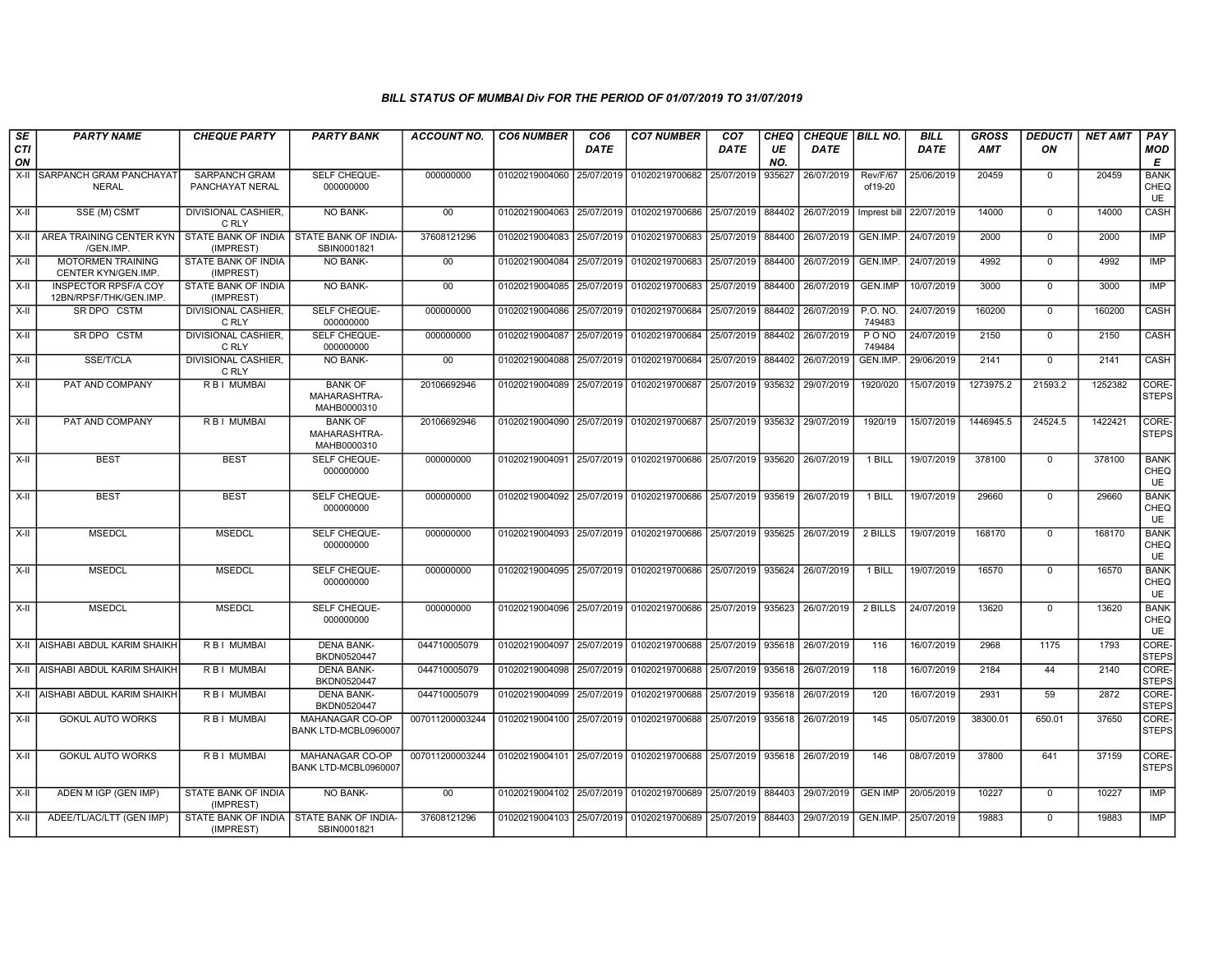| SE        | <b>PARTY NAME</b>                                    | <b>CHEQUE PARTY</b>                     | <b>PARTY BANK</b>                             | <b>ACCOUNT NO.</b> | <b>CO6 NUMBER</b>         | CO <sub>6</sub> | <b>CO7 NUMBER</b>                                                     | CO <sub>7</sub>     | CHEQ      | CHEQUE   BILL NO. |                       | <b>BILL</b> | GROSS      | <b>DEDUCTI</b> | NET AMT | <b>PAY</b>                       |
|-----------|------------------------------------------------------|-----------------------------------------|-----------------------------------------------|--------------------|---------------------------|-----------------|-----------------------------------------------------------------------|---------------------|-----------|-------------------|-----------------------|-------------|------------|----------------|---------|----------------------------------|
| CTI<br>ON |                                                      |                                         |                                               |                    |                           | <b>DATE</b>     |                                                                       | DATE                | UE<br>NO. | <b>DATE</b>       |                       | <b>DATE</b> | <b>AMT</b> | ON             |         | <b>MOD</b><br>E                  |
| X-II      | SARPANCH GRAM PANCHAYAT<br><b>NERAL</b>              | <b>SARPANCH GRAM</b><br>PANCHAYAT NERAL | SELF CHEQUE-<br>000000000                     | 000000000          | 01020219004060            |                 | 25/07/2019 01020219700682                                             | 25/07/2019          | 935627    | 26/07/2019        | Rev/F/67<br>of19-20   | 25/06/2019  | 20459      | $\mathbf 0$    | 20459   | <b>BANK</b><br>CHEQ<br><b>UE</b> |
| X-II      | SSE (M) CSMT                                         | DIVISIONAL CASHIER,<br>C RLY            | NO BANK-                                      | $00\,$             |                           |                 | 01020219004063 25/07/2019 01020219700686 25/07/2019 884402            |                     |           | 26/07/2019        | Imprest bil           | 22/07/2019  | 14000      | $\mathbf{0}$   | 14000   | <b>CASH</b>                      |
| $X-H$     | AREA TRAINING CENTER KYN<br>/GEN.IMP                 | STATE BANK OF INDIA<br>(IMPREST)        | <b>STATE BANK OF INDIA-</b><br>SBIN0001821    | 37608121296        | 01020219004083            | 25/07/2019      | 01020219700683                                                        | 25/07/2019 884400   |           | 26/07/2019        | GEN.IMP.              | 24/07/2019  | 2000       | $\overline{0}$ | 2000    | <b>IMP</b>                       |
| X-II      | <b>MOTORMEN TRAINING</b><br>CENTER KYN/GEN.IMP.      | STATE BANK OF INDIA<br>(IMPREST)        | <b>NO BANK-</b>                               | 00 <sup>°</sup>    |                           |                 | 01020219004084 25/07/2019 01020219700683 25/07/2019 884400            |                     |           | 26/07/2019        | GEN.IMP.              | 24/07/2019  | 4992       | $\mathbf 0$    | 4992    | IMP                              |
| X-II      | <b>INSPECTOR RPSF/A COY</b><br>12BN/RPSF/THK/GEN.IMP | STATE BANK OF INDIA<br>(IMPREST)        | NO BANK-                                      | $00\,$             | 01020219004085 25/07/2019 |                 | 01020219700683                                                        | 25/07/2019          | 884400    | 26/07/2019        | <b>GEN.IMP</b>        | 10/07/2019  | 3000       | $\mathbf 0$    | 3000    | IMP                              |
| X-II      | SR DPO CSTM                                          | DIVISIONAL CASHIER.<br>C RLY            | SELF CHEQUE-<br>000000000                     | 000000000          |                           |                 | 01020219004086 25/07/2019 01020219700684                              | 25/07/2019   884402 |           | 26/07/2019        | P.O. NO.<br>749483    | 24/07/2019  | 160200     | $\Omega$       | 160200  | CASH                             |
| X-II      | SR DPO CSTM                                          | <b>DIVISIONAL CASHIER</b><br>C RLY      | SELF CHEQUE-<br>000000000                     | 000000000          | 01020219004087 25/07/2019 |                 | 01020219700684                                                        | 25/07/2019 884402   |           | 26/07/2019        | <b>PONO</b><br>749484 | 24/07/2019  | 2150       | $\mathbf{0}$   | 2150    | <b>CASH</b>                      |
| X-II      | SSE/T/CLA                                            | <b>DIVISIONAL CASHIER,</b><br>C RLY     | NO BANK-                                      | $00\,$             | 01020219004088 25/07/2019 |                 | 01020219700684 25/07/2019 884402                                      |                     |           | 26/07/2019        | GEN.IMP               | 29/06/2019  | 2141       | $\mathbf{0}$   | 2141    | <b>CASH</b>                      |
| X-II      | PAT AND COMPANY                                      | R B I MUMBAI                            | <b>BANK OF</b><br>MAHARASHTRA-<br>MAHB0000310 | 20106692946        |                           |                 | 01020219004089 25/07/2019 01020219700687                              | 25/07/2019   935632 |           | 29/07/2019        | 1920/020              | 15/07/2019  | 1273975.2  | 21593.2        | 1252382 | CORE-<br><b>STEPS</b>            |
| $X-H$     | PAT AND COMPANY                                      | <b>RBI MUMBAL</b>                       | <b>BANK OF</b><br>MAHARASHTRA-<br>MAHB0000310 | 20106692946        |                           |                 | 01020219004090 25/07/2019 01020219700687 25/07/2019 935632            |                     |           | 29/07/2019        | 1920/19               | 15/07/2019  | 1446945.5  | 24524.5        | 1422421 | CORE-<br><b>STEPS</b>            |
| $X-II$    | <b>BEST</b>                                          | <b>BEST</b>                             | SELF CHEQUE-<br>000000000                     | 000000000          |                           |                 | 01020219004091 25/07/2019 01020219700686                              | 25/07/2019 935620   |           | 26/07/2019        | 1 BILL                | 19/07/2019  | 378100     | $\mathbf{0}$   | 378100  | <b>BANK</b><br>CHEQ<br>UE        |
| X-II      | <b>BEST</b>                                          | <b>BEST</b>                             | SELF CHEQUE-<br>000000000                     | 000000000          |                           |                 | 01020219004092 25/07/2019 01020219700686 25/07/2019 935619 26/07/2019 |                     |           |                   | 1 BILL                | 19/07/2019  | 29660      | $\Omega$       | 29660   | <b>BANK</b><br>CHEQ<br><b>UE</b> |
| X-II      | <b>MSEDCL</b>                                        | <b>MSEDCL</b>                           | <b>SELF CHEQUE-</b><br>000000000              | 000000000          |                           |                 | 01020219004093 25/07/2019 01020219700686                              | 25/07/2019 935625   |           | 26/07/2019        | 2 BILLS               | 19/07/2019  | 168170     | $\Omega$       | 168170  | <b>BANK</b><br>CHEQ<br>UE        |
| $X-II$    | <b>MSEDCL</b>                                        | <b>MSEDCL</b>                           | SELF CHEQUE-<br>000000000                     | 000000000          |                           |                 | 01020219004095 25/07/2019 01020219700686 25/07/2019 935624            |                     |           | 26/07/2019        | 1 BILL                | 19/07/2019  | 16570      | $\overline{0}$ | 16570   | <b>BANK</b><br>CHEQ<br>UE        |
| X-II      | <b>MSEDCL</b>                                        | <b>MSEDCL</b>                           | SELF CHEQUE-<br>000000000                     | 000000000          |                           |                 | 01020219004096 25/07/2019 01020219700686 25/07/2019 935623            |                     |           | 26/07/2019        | 2 BILLS               | 24/07/2019  | 13620      | $\Omega$       | 13620   | <b>BANK</b><br>CHEQ<br><b>UE</b> |
|           | X-II AISHABI ABDUL KARIM SHAIKH                      | <b>RBI MUMBAI</b>                       | <b>DENA BANK-</b><br>BKDN0520447              | 044710005079       |                           |                 | 01020219004097 25/07/2019 01020219700688 25/07/2019 935618            |                     |           | 26/07/2019        | 116                   | 16/07/2019  | 2968       | 1175           | 1793    | CORE-<br><b>STEPS</b>            |
| X-II      | <b>AISHABI ABDUL KARIM SHAIKH</b>                    | R B I MUMBAI                            | <b>DENA BANK-</b><br>BKDN0520447              | 044710005079       |                           |                 | 01020219004098 25/07/2019 01020219700688                              | 25/07/2019          | 935618    | 26/07/2019        | 118                   | 16/07/2019  | 2184       | 44             | 2140    | CORE-<br><b>STEPS</b>            |
| X-II      | <b>AISHABI ABDUL KARIM SHAIKH</b>                    | R B I MUMBAI                            | <b>DENA BANK-</b><br>BKDN0520447              | 044710005079       | 01020219004099 25/07/2019 |                 | 01020219700688                                                        | 25/07/2019          | 935618    | 26/07/2019        | 120                   | 16/07/2019  | 2931       | 59             | 2872    | CORE-<br><b>STEPS</b>            |
| X-II      | <b>GOKUL AUTO WORKS</b>                              | <b>RBI MUMBAI</b>                       | MAHANAGAR CO-OP<br>BANK LTD-MCBL0960007       | 007011200003244    |                           |                 | 01020219004100 25/07/2019 01020219700688 25/07/2019 935618 26/07/2019 |                     |           |                   | 145                   | 05/07/2019  | 38300.01   | 650.01         | 37650   | CORE-<br><b>STEPS</b>            |
| X-II      | <b>GOKUL AUTO WORKS</b>                              | R B I MUMBAI                            | MAHANAGAR CO-OP<br>BANK LTD-MCBL0960007       | 007011200003244    |                           |                 | 01020219004101 25/07/2019 01020219700688 25/07/2019 935618 26/07/2019 |                     |           |                   | 146                   | 08/07/2019  | 37800      | 641            | 37159   | CORE-<br><b>STEPS</b>            |
| X-II      | ADEN M IGP (GEN IMP)                                 | <b>STATE BANK OF INDIA</b><br>(IMPREST) | <b>NO BANK-</b>                               | 00                 |                           |                 | 01020219004102 25/07/2019 01020219700689 25/07/2019 884403            |                     |           | 29/07/2019        | <b>GEN IMP</b>        | 20/05/2019  | 10227      | $\Omega$       | 10227   | IMP                              |
| X-II      | ADEE/TL/AC/LTT (GEN IMP)                             | STATE BANK OF INDIA<br>(IMPREST)        | STATE BANK OF INDIA-<br>SBIN0001821           | 37608121296        |                           |                 | 01020219004103   25/07/2019   01020219700689   25/07/2019   884403    |                     |           | 29/07/2019        | GEN.IMP.              | 25/07/2019  | 19883      | $\mathbf{0}$   | 19883   | <b>IMP</b>                       |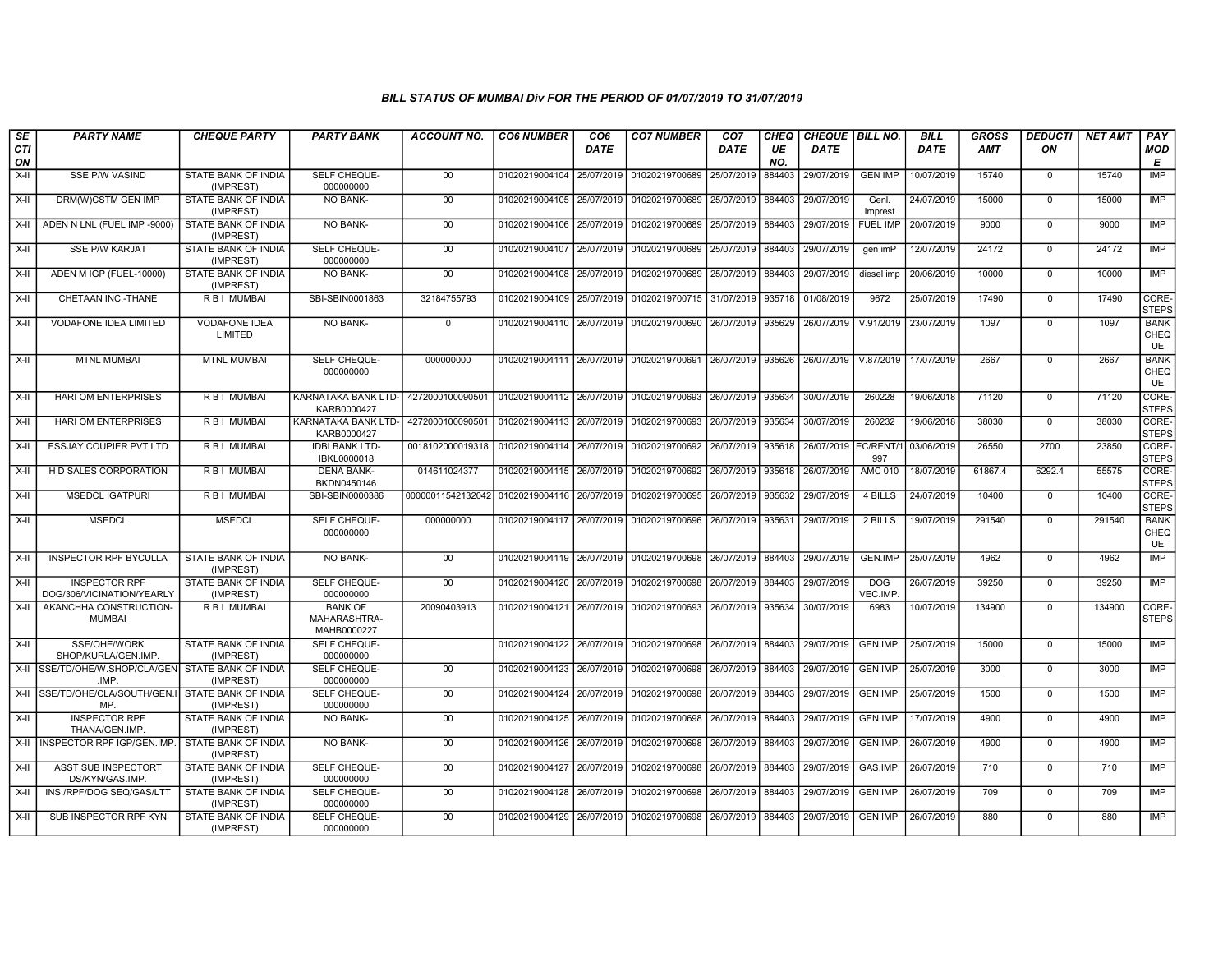| SE<br><b>CTI</b> | <b>PARTY NAME</b>                                 | <b>CHEQUE PARTY</b>                     | <b>PARTY BANK</b>                             | ACCOUNT NO.                                                | <b>CO6 NUMBER</b>                        | CO <sub>6</sub><br><b>DATE</b> | <b>CO7 NUMBER</b>                                                               | CO <sub>7</sub><br>DATE | <b>CHEQ</b><br>UE | CHEQUE   BILL NO.<br><b>DATE</b> |                       | <b>BILL</b><br><b>DATE</b> | <b>GROSS</b><br><b>AMT</b> | <b>DEDUCTI</b><br>ON | <b>NET AMT</b> | <b>PAY</b><br><b>MOD</b>  |
|------------------|---------------------------------------------------|-----------------------------------------|-----------------------------------------------|------------------------------------------------------------|------------------------------------------|--------------------------------|---------------------------------------------------------------------------------|-------------------------|-------------------|----------------------------------|-----------------------|----------------------------|----------------------------|----------------------|----------------|---------------------------|
| ON               |                                                   |                                         |                                               |                                                            |                                          |                                |                                                                                 |                         | NO.               |                                  |                       |                            |                            |                      |                | Е                         |
| $X-H$            | <b>SSE P/W VASIND</b>                             | <b>STATE BANK OF INDIA</b><br>(IMPREST) | SELF CHEQUE-<br>000000000                     | 00                                                         |                                          |                                | 01020219004104 25/07/2019 01020219700689                                        | 25/07/2019              | 884403            | 29/07/2019                       | <b>GEN IMP</b>        | 10/07/2019                 | 15740                      | $\mathbf 0$          | 15740          | IMP                       |
| $X-H$            | DRM(W)CSTM GEN IMP                                | <b>STATE BANK OF INDIA</b><br>(IMPREST) | <b>NO BANK-</b>                               | 00                                                         | 01020219004105 25/07/2019                |                                | 01020219700689                                                                  | 25/07/2019              | 884403            | 29/07/2019                       | Genl.<br>Imprest      | 24/07/2019                 | 15000                      | $\Omega$             | 15000          | IMP                       |
| X-II             | ADEN N LNL (FUEL IMP -9000)                       | STATE BANK OF INDIA<br>(IMPREST)        | NO BANK-                                      | $00\,$                                                     | 01020219004106 25/07/2019                |                                | 01020219700689                                                                  | 25/07/2019              | 884403            | 29/07/2019                       | <b>FUEL IMP</b>       | 20/07/2019                 | 9000                       | $\mathbf 0$          | 9000           | IMP                       |
| X-II             | <b>SSE P/W KARJAT</b>                             | <b>STATE BANK OF INDIA</b><br>(IMPREST) | SELF CHEQUE-<br>000000000                     | 00                                                         |                                          |                                | 01020219004107 25/07/2019 01020219700689                                        | 25/07/2019              | 884403            | 29/07/2019                       | gen imP               | 12/07/2019                 | 24172                      | $\Omega$             | 24172          | <b>IMP</b>                |
| X-II             | ADEN M IGP (FUEL-10000)                           | STATE BANK OF INDIA<br>(IMPREST)        | NO BANK-                                      | 00                                                         | 01020219004108 25/07/2019                |                                | 01020219700689                                                                  | 25/07/2019              | 884403            | 29/07/2019                       | diesel imp            | 20/06/2019                 | 10000                      | $\Omega$             | 10000          | IMP                       |
| $X-H$            | CHETAAN INC.-THANE                                | <b>RBI MUMBAI</b>                       | SBI-SBIN0001863                               | 32184755793                                                |                                          |                                | 01020219004109 25/07/2019 01020219700715                                        | 31/07/2019 935718       |                   | 01/08/2019                       | 9672                  | 25/07/2019                 | 17490                      | $\Omega$             | 17490          | CORE-<br><b>STEPS</b>     |
| X-II             | <b>VODAFONE IDEA LIMITED</b>                      | <b>VODAFONE IDEA</b><br>LIMITED         | NO BANK-                                      | $\mathbf 0$                                                |                                          |                                | 01020219004110 26/07/2019 01020219700690                                        | 26/07/2019 935629       |                   | 26/07/2019                       | V.91/2019             | 23/07/2019                 | 1097                       | $\Omega$             | 1097           | <b>BANK</b><br>CHEQ<br>UE |
| $X-H$            | <b>MTNL MUMBAI</b>                                | <b>MTNL MUMBAI</b>                      | <b>SELF CHEQUE-</b><br>000000000              | 000000000                                                  |                                          |                                | 01020219004111 26/07/2019 01020219700691 26/07/2019 935626 26/07/2019 V.87/2019 |                         |                   |                                  |                       | 17/07/2019                 | 2667                       | $\Omega$             | 2667           | <b>BANK</b><br>CHEQ<br>UE |
| $X-H$            | <b>HARI OM ENTERPRISES</b>                        | R B I MUMBAI                            | KARNATAKA BANK LTD-<br>KARB0000427            | 4272000100090501                                           | 01020219004112 26/07/2019 01020219700693 |                                |                                                                                 | 26/07/2019 935634       |                   | 30/07/2019                       | 260228                | 19/06/2018                 | 71120                      | $\mathbf 0$          | 71120          | CORE-<br><b>STEPS</b>     |
| X-II             | <b>HARI OM ENTERPRISES</b>                        | R B I MUMBAI                            | <b>KARNATAKA BANK LTD-</b><br>KARB0000427     | 4272000100090501 01020219004113 26/07/2019 01020219700693  |                                          |                                |                                                                                 | 26/07/2019              | 935634            | 30/07/2019                       | 260232                | 19/06/2018                 | 38030                      | $\Omega$             | 38030          | CORE-<br><b>STEPS</b>     |
| X-II             | ESSJAY COUPIER PVT LTD                            | R B I MUMBAI                            | <b>IDBI BANK LTD-</b><br>IBKL0000018          | 0018102000019318                                           | 01020219004114 26/07/2019 01020219700692 |                                |                                                                                 | 26/07/2019              | 935618            | 26/07/2019 EC/RENT/1             | 997                   | 03/06/2019                 | 26550                      | 2700                 | 23850          | CORE-<br><b>STEPS</b>     |
| $X-II$           | H D SALES CORPORATION                             | R B I MUMBAI                            | <b>DENA BANK-</b><br>BKDN0450146              | 014611024377                                               |                                          |                                | 01020219004115 26/07/2019 01020219700692                                        | 26/07/2019              | 935618            | 26/07/2019                       | <b>AMC 010</b>        | 18/07/2019                 | 61867.4                    | 6292.4               | 55575          | CORE-<br><b>STEPS</b>     |
| X-II             | <b>MSEDCL IGATPURI</b>                            | R B I MUMBAI                            | SBI-SBIN0000386                               | 00000011542132042 01020219004116 26/07/2019 01020219700695 |                                          |                                |                                                                                 | 26/07/2019              | 935632            | 29/07/2019                       | 4 BILLS               | 24/07/2019                 | 10400                      | $\mathbf 0$          | 10400          | CORE-<br><b>STEPS</b>     |
| $X-H$            | <b>MSEDCL</b>                                     | <b>MSEDCL</b>                           | <b>SELF CHEQUE-</b><br>000000000              | 000000000                                                  |                                          |                                | 01020219004117 26/07/2019 01020219700696                                        | 26/07/2019 935631       |                   | 29/07/2019                       | 2 BILLS               | 19/07/2019                 | 291540                     | $\Omega$             | 291540         | <b>BANK</b><br>CHEQ<br>UE |
| $X-II$           | <b>INSPECTOR RPF BYCULLA</b>                      | STATE BANK OF INDIA<br>(IMPREST)        | <b>NO BANK-</b>                               | 00                                                         |                                          |                                | 01020219004119 26/07/2019 01020219700698                                        | 26/07/2019              | 884403            | 29/07/2019                       | GEN.IMP               | 25/07/2019                 | 4962                       | $\Omega$             | 4962           | <b>IMP</b>                |
| $X-H$            | <b>INSPECTOR RPF</b><br>DOG/306/VICINATION/YEARLY | <b>STATE BANK OF INDIA</b><br>(IMPREST) | SELF CHEQUE-<br>000000000                     | 00                                                         |                                          |                                | 01020219004120 26/07/2019 01020219700698                                        | 26/07/2019 884403       |                   | 29/07/2019                       | <b>DOG</b><br>VEC.IMP | 26/07/2019                 | 39250                      | $\mathbf 0$          | 39250          | <b>IMP</b>                |
| $X-H$            | AKANCHHA CONSTRUCTION-<br><b>MUMBAI</b>           | <b>RBI MUMBAI</b>                       | <b>BANK OF</b><br>MAHARASHTRA-<br>MAHB0000227 | 20090403913                                                |                                          |                                | 01020219004121 26/07/2019 01020219700693                                        | 26/07/2019              | 935634            | 30/07/2019                       | 6983                  | 10/07/2019                 | 134900                     | $\Omega$             | 134900         | CORE-<br><b>STEPS</b>     |
| $X-H$            | SSE/OHE/WORK<br>SHOP/KURLA/GEN.IMP.               | <b>STATE BANK OF INDIA</b><br>(IMPREST) | SELF CHEQUE-<br>000000000                     |                                                            |                                          |                                | 01020219004122 26/07/2019 01020219700698 26/07/2019 884403                      |                         |                   | 29/07/2019                       | GEN.IMP.              | 25/07/2019                 | 15000                      | $\Omega$             | 15000          | IMP                       |
|                  | X-II SSE/TD/OHE/W.SHOP/CLA/GEN<br>.IMP.           | STATE BANK OF INDIA<br>(IMPREST)        | SELF CHEQUE-<br>000000000                     | 00                                                         |                                          |                                | 01020219004123 26/07/2019 01020219700698                                        | 26/07/2019              | 884403            | 29/07/2019                       | GEN.IMP.              | 25/07/2019                 | 3000                       | $\mathbf 0$          | 3000           | IMP                       |
|                  | X-II SSE/TD/OHE/CLA/SOUTH/GEN.I<br>MP.            | STATE BANK OF INDIA<br>(IMPREST)        | SELF CHEQUE-<br>000000000                     | 00                                                         |                                          |                                | 01020219004124 26/07/2019 01020219700698                                        | 26/07/2019              | 884403            | 29/07/2019                       | GEN.IMP.              | 25/07/2019                 | 1500                       | $\Omega$             | 1500           | <b>IMP</b>                |
| X-II             | <b>INSPECTOR RPF</b><br>THANA/GEN.IMP.            | STATE BANK OF INDIA<br>(IMPREST)        | NO BANK-                                      | $00\,$                                                     | 01020219004125 26/07/2019                |                                | 01020219700698                                                                  | 26/07/2019              | 884403            | 29/07/2019                       | <b>GEN.IMP</b>        | 17/07/2019                 | 4900                       | $\Omega$             | 4900           | IMP                       |
|                  | X-II INSPECTOR RPF IGP/GEN.IMP.                   | <b>STATE BANK OF INDIA</b><br>(IMPREST) | NO BANK-                                      | 00                                                         |                                          |                                | 01020219004126 26/07/2019 01020219700698                                        | 26/07/2019              | 884403            | 29/07/2019                       | GEN.IMP               | 26/07/2019                 | 4900                       | $\Omega$             | 4900           | IMP                       |
| $X-H$            | <b>ASST SUB INSPECTORT</b><br>DS/KYN/GAS.IMP      | STATE BANK OF INDIA<br>(IMPREST)        | <b>SELF CHEQUE-</b><br>000000000              | 00                                                         |                                          |                                | 01020219004127 26/07/2019 01020219700698 26/07/2019 884403                      |                         |                   | 29/07/2019                       | GAS.IMP.              | 26/07/2019                 | 710                        | $\mathbf 0$          | 710            | <b>IMP</b>                |
| X-II             | INS./RPF/DOG SEQ/GAS/LTT                          | STATE BANK OF INDIA<br>(IMPREST)        | SELF CHEQUE-<br>000000000                     | 00                                                         |                                          |                                | 01020219004128 26/07/2019 01020219700698                                        | 26/07/2019              | 884403            | 29/07/2019                       | GEN.IMP.              | 26/07/2019                 | 709                        | $\mathbf 0$          | 709            | IMP                       |
| X-II             | SUB INSPECTOR RPF KYN                             | STATE BANK OF INDIA<br>(IMPREST)        | SELF CHEQUE-<br>000000000                     | 00                                                         |                                          |                                | 01020219004129 26/07/2019 01020219700698                                        | 26/07/2019              | 884403            | 29/07/2019                       | GEN.IMP.              | 26/07/2019                 | 880                        | $\Omega$             | 880            | <b>IMP</b>                |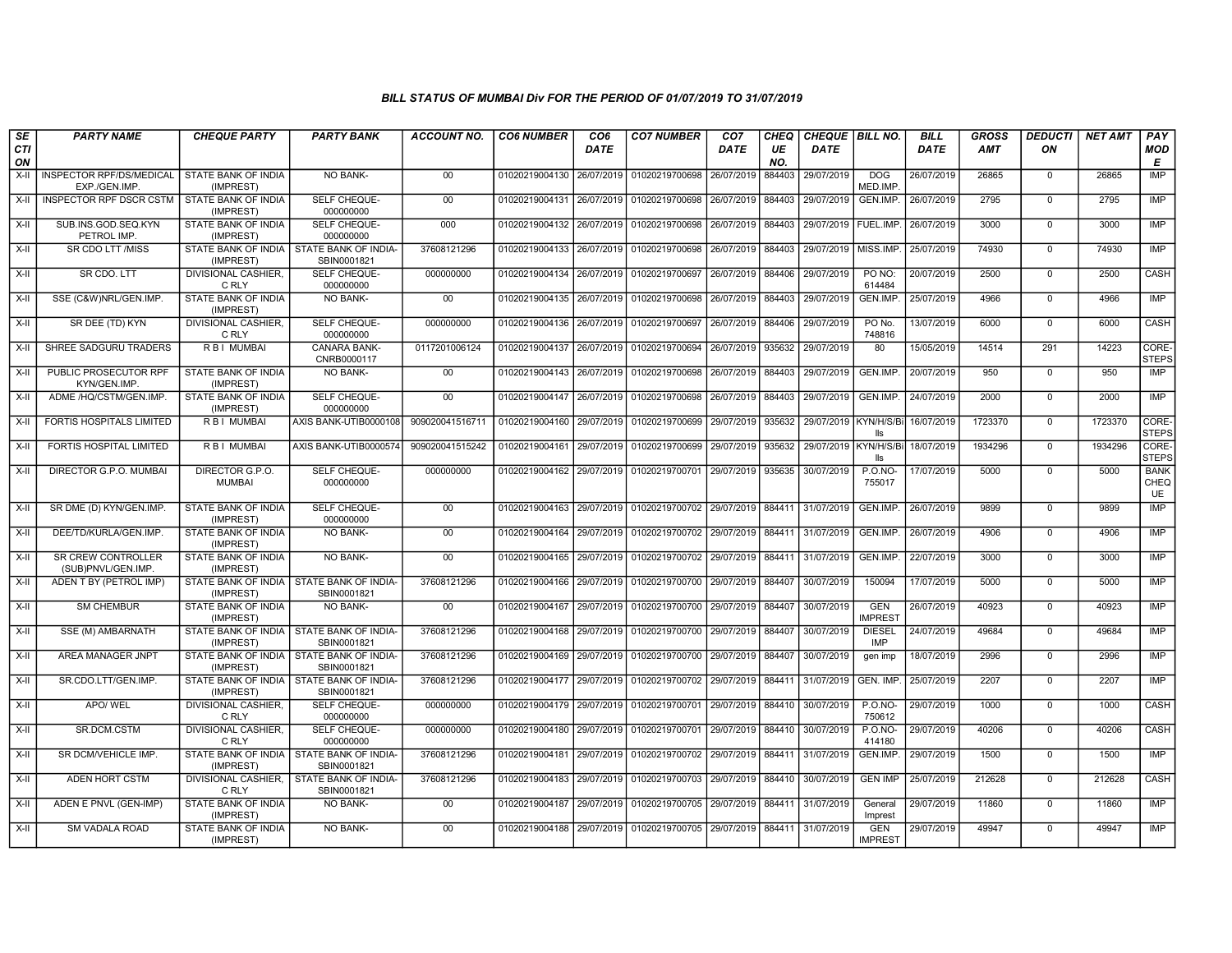| SE        | <b>PARTY NAME</b>                               | <b>CHEQUE PARTY</b>                     | <b>PARTY BANK</b>                                         | <b>ACCOUNT NO.</b> | <b>CO6 NUMBER</b>         | CO <sub>6</sub> | <b>CO7 NUMBER</b>                                                     | CO <sub>7</sub>   | CHEQ      | CHEQUE   BILL NO.      |                              | <b>BILL</b> | <b>GROSS</b> | <b>DEDUCTI</b> | <b>NET AMT</b> | PAY                       |
|-----------|-------------------------------------------------|-----------------------------------------|-----------------------------------------------------------|--------------------|---------------------------|-----------------|-----------------------------------------------------------------------|-------------------|-----------|------------------------|------------------------------|-------------|--------------|----------------|----------------|---------------------------|
| CTI<br>ON |                                                 |                                         |                                                           |                    |                           | DATE            |                                                                       | <b>DATE</b>       | UE<br>NO. | <b>DATE</b>            |                              | <b>DATE</b> | <b>AMT</b>   | ON             |                | <b>MOD</b><br>E           |
| X-II      | <b>INSPECTOR RPF/DS/MEDICAL</b><br>EXP./GEN.IMP | STATE BANK OF INDIA<br>(IMPREST)        | NO BANK-                                                  | 00                 | 01020219004130 26/07/2019 |                 | 01020219700698                                                        | 26/07/2019        | 884403    | 29/07/2019             | <b>DOG</b><br>MED.IMP.       | 26/07/2019  | 26865        | $\mathbf 0$    | 26865          | IMP                       |
| X-II      | <b>INSPECTOR RPF DSCR CSTM</b>                  | <b>STATE BANK OF INDIA</b><br>(IMPREST) | <b>SELF CHEQUE-</b><br>000000000                          | 00                 | 01020219004131 26/07/2019 |                 | 01020219700698 26/07/2019                                             |                   | 884403    | 29/07/2019             | GEN.IMP.                     | 26/07/2019  | 2795         | $\mathbf 0$    | 2795           | IMP                       |
| $X-H$     | SUB.INS.GOD.SEQ.KYN<br>PETROL IMP               | STATE BANK OF INDIA<br>(IMPREST)        | SELF CHEQUE-<br>000000000                                 | 000                | 01020219004132 26/07/2019 |                 | 01020219700698 26/07/2019                                             |                   | 884403    | 29/07/2019   FUEL.IMP. |                              | 26/07/2019  | 3000         | $\mathbf 0$    | 3000           | <b>IMP</b>                |
| X-II      | <b>SR CDO LTT /MISS</b>                         | (IMPREST)                               | STATE BANK OF INDIA   STATE BANK OF INDIA-<br>SBIN0001821 | 37608121296        | 01020219004133            | 26/07/2019      | 01020219700698 26/07/2019                                             |                   | 884403    | 29/07/2019             | MISS.IMP.                    | 25/07/2019  | 74930        | $\mathbf 0$    | 74930          | <b>IMP</b>                |
| X-II      | SR CDO. LTT                                     | <b>DIVISIONAL CASHIER.</b><br>C RLY     | <b>SELF CHEQUE-</b><br>000000000                          | 000000000          | 01020219004134            | 26/07/2019      | 01020219700697 26/07/2019 884406                                      |                   |           | 29/07/2019             | PO NO:<br>614484             | 20/07/2019  | 2500         | $\mathbf 0$    | 2500           | CASH                      |
| X-II      | SSE (C&W)NRL/GEN.IMP.                           | STATE BANK OF INDIA<br>(IMPREST)        | NO BANK-                                                  | 00                 | 01020219004135            | 26/07/2019      | 01020219700698                                                        | 26/07/2019        | 884403    | 29/07/2019             | GEN.IMP.                     | 25/07/2019  | 4966         | $\mathbf 0$    | 4966           | <b>IMP</b>                |
| X-II      | SR DEE (TD) KYN                                 | DIVISIONAL CASHIER,<br>C RLY            | SELF CHEQUE-<br>000000000                                 | 000000000          | 01020219004136            | 26/07/2019      | 01020219700697 26/07/2019                                             |                   | 884406    | 29/07/2019             | PO No.<br>748816             | 13/07/2019  | 6000         | $\mathbf 0$    | 6000           | CASH                      |
| $X-I$     | SHREE SADGURU TRADERS                           | R B I MUMBAI                            | CANARA BANK-<br>CNRB0000117                               | 0117201006124      | 01020219004137            | 26/07/2019      | 01020219700694                                                        | 26/07/2019        | 935632    | 29/07/2019             | 80                           | 15/05/2019  | 14514        | 291            | 14223          | CORE-<br><b>STEPS</b>     |
| $X-II$    | PUBLIC PROSECUTOR RPF<br>KYN/GEN.IMP.           | STATE BANK OF INDIA<br>(IMPREST)        | NO BANK-                                                  | 00                 | 01020219004143 26/07/2019 |                 | 01020219700698                                                        | 26/07/2019 884403 |           | 29/07/2019             | GEN.IMP.                     | 20/07/2019  | 950          | $\mathbf 0$    | 950            | IMP                       |
| $X-II$    | ADME /HQ/CSTM/GEN.IMP.                          | STATE BANK OF INDIA<br>(IMPREST)        | <b>SELF CHEQUE-</b><br>000000000                          | 00                 | 01020219004147 26/07/2019 |                 | 01020219700698                                                        | 26/07/2019 884403 |           | 29/07/2019             | GEN.IMP.                     | 24/07/2019  | 2000         | $\mathbf 0$    | 2000           | IMP                       |
| X-II      | FORTIS HOSPITALS LIMITED                        | R B I MUMBAI                            | AXIS BANK-UTIB0000108                                     | 909020041516711    | 01020219004160            | 29/07/2019      | 01020219700699                                                        | 29/07/2019        | 935632    | 29/07/2019 KYN/H/S/B   | lls                          | 16/07/2019  | 1723370      | $\mathbf 0$    | 1723370        | CORE-<br><b>STEPS</b>     |
| $X-I$     | <b>FORTIS HOSPITAL LIMITED</b>                  | <b>RBI MUMBAI</b>                       | AXIS BANK-UTIB0000574                                     | 909020041515242    | 01020219004161            | 29/07/2019      | 01020219700699 29/07/2019 935632                                      |                   |           | 29/07/2019 KYN/H/S/Bi  | lls                          | 18/07/2019  | 1934296      | $\mathbf 0$    | 1934296        | CORE-<br><b>STEPS</b>     |
| X-II      | DIRECTOR G.P.O. MUMBAI                          | DIRECTOR G.P.O.<br><b>MUMBAI</b>        | SELF CHEQUE-<br>000000000                                 | 000000000          | 01020219004162 29/07/2019 |                 | 01020219700701 29/07/2019                                             |                   | 935635    | 30/07/2019             | P.O.NO-<br>755017            | 17/07/2019  | 5000         | $\mathbf 0$    | 5000           | <b>BANK</b><br>CHEQ<br>UE |
| $X-H$     | SR DME (D) KYN/GEN.IMP.                         | STATE BANK OF INDIA<br>(IMPREST)        | SELF CHEQUE-<br>000000000                                 | 00                 | 01020219004163 29/07/2019 |                 | 01020219700702 29/07/2019 884411 31/07/2019                           |                   |           |                        | GEN.IMP.                     | 26/07/2019  | 9899         | $\mathbf 0$    | 9899           | <b>IMP</b>                |
| $X-H$     | DEE/TD/KURLA/GEN.IMP.                           | STATE BANK OF INDIA<br>(IMPREST)        | <b>NO BANK-</b>                                           | 00                 | 01020219004164 29/07/2019 |                 | 01020219700702 29/07/2019 884411 31/07/2019                           |                   |           |                        | GEN.IMP.                     | 26/07/2019  | 4906         | $\Omega$       | 4906           | <b>IMP</b>                |
| X-II      | <b>SR CREW CONTROLLER</b><br>(SUB)PNVL/GEN.IMP. | STATE BANK OF INDIA<br>(IMPREST)        | NO BANK-                                                  | $\overline{00}$    | 01020219004165 29/07/2019 |                 | 01020219700702 29/07/2019                                             |                   | 884411    | 31/07/2019             | GEN.IMP.                     | 22/07/2019  | 3000         | $\overline{0}$ | 3000           | <b>IMP</b>                |
| X-II      | ADEN T BY (PETROL IMP)                          | STATE BANK OF INDIA<br>(IMPREST)        | STATE BANK OF INDIA-<br>SBIN0001821                       | 37608121296        | 01020219004166            | 29/07/2019      | 01020219700700 29/07/2019                                             |                   | 884407    | 30/07/2019             | 150094                       | 17/07/2019  | 5000         | $\mathbf 0$    | 5000           | <b>IMP</b>                |
| X-II      | <b>SM CHEMBUR</b>                               | STATE BANK OF INDIA<br>(IMPREST)        | <b>NO BANK-</b>                                           | 00                 | 01020219004167            | 29/07/2019      | 01020219700700 29/07/2019 884407                                      |                   |           | 30/07/2019             | <b>GEN</b><br><b>IMPREST</b> | 26/07/2019  | 40923        | $\mathbf 0$    | 40923          | IMP                       |
| $X-H$     | SSE (M) AMBARNATH                               | (IMPREST)                               | STATE BANK OF INDIA   STATE BANK OF INDIA-<br>SBIN0001821 | 37608121296        | 01020219004168            | 29/07/2019      | 01020219700700 29/07/2019                                             |                   | 884407    | 30/07/2019             | <b>DIESEL</b><br><b>IMP</b>  | 24/07/2019  | 49684        | $\Omega$       | 49684          | <b>IMP</b>                |
| $X-H$     | AREA MANAGER JNPT                               | (IMPREST)                               | STATE BANK OF INDIA   STATE BANK OF INDIA-<br>SBIN0001821 | 37608121296        | 01020219004169            | 29/07/2019      | 01020219700700 29/07/2019 884407                                      |                   |           | 30/07/2019             | gen imp                      | 18/07/2019  | 2996         | $\overline{0}$ | 2996           | IMP                       |
| $X-H$     | SR.CDO.LTT/GEN.IMP.                             | (IMPREST)                               | STATE BANK OF INDIA   STATE BANK OF INDIA-<br>SBIN0001821 | 37608121296        | 01020219004177 29/07/2019 |                 | 01020219700702 29/07/2019 884411 31/07/2019                           |                   |           |                        | GEN. IMP.                    | 25/07/2019  | 2207         | $\mathbf 0$    | 2207           | IMP                       |
| X-II      | APO/WEL                                         | DIVISIONAL CASHIER.<br>C RLY            | SELF CHEQUE-<br>000000000                                 | 000000000          | 01020219004179 29/07/2019 |                 | 01020219700701 29/07/2019 884410                                      |                   |           | 30/07/2019             | <b>P.O.NO-</b><br>750612     | 29/07/2019  | 1000         | $\Omega$       | 1000           | CASH                      |
| X-II      | SR.DCM.CSTM                                     | DIVISIONAL CASHIER,<br>C RLY            | SELF CHEQUE-<br>000000000                                 | 000000000          | 01020219004180            | 29/07/2019      | 01020219700701 29/07/2019                                             |                   | 884410    | 30/07/2019             | <b>P.O.NO-</b><br>414180     | 29/07/2019  | 40206        | $\overline{0}$ | 40206          | CASH                      |
| X-II      | SR DCM/VEHICLE IMP.                             | (IMPREST)                               | STATE BANK OF INDIA   STATE BANK OF INDIA-<br>SBIN0001821 | 37608121296        | 01020219004181 29/07/2019 |                 | 01020219700702 29/07/2019                                             |                   |           | 884411 31/07/2019      | GEN.IMP.                     | 29/07/2019  | 1500         | $\overline{0}$ | 1500           | IMP                       |
| X-II      | <b>ADEN HORT CSTM</b>                           | C RLY                                   | DIVISIONAL CASHIER. STATE BANK OF INDIA-<br>SBIN0001821   | 37608121296        | 01020219004183 29/07/2019 |                 | 01020219700703 29/07/2019 884410                                      |                   |           | 30/07/2019             | <b>GEN IMP</b>               | 25/07/2019  | 212628       | $\mathbf 0$    | 212628         | CASH                      |
| $X-H$     | ADEN E PNVL (GEN-IMP)                           | STATE BANK OF INDIA<br>(IMPREST)        | <b>NO BANK-</b>                                           | 00                 | 01020219004187            | 29/07/2019      | 01020219700705 29/07/2019                                             |                   |           | 884411 31/07/2019      | General<br>Imprest           | 29/07/2019  | 11860        | $\Omega$       | 11860          | <b>IMP</b>                |
| $X-II$    | <b>SM VADALA ROAD</b>                           | STATE BANK OF INDIA<br>(IMPREST)        | NO BANK-                                                  | 00                 |                           |                 | 01020219004188 29/07/2019 01020219700705 29/07/2019 884411 31/07/2019 |                   |           |                        | <b>GEN</b><br><b>IMPREST</b> | 29/07/2019  | 49947        | $\mathbf 0$    | 49947          | <b>IMP</b>                |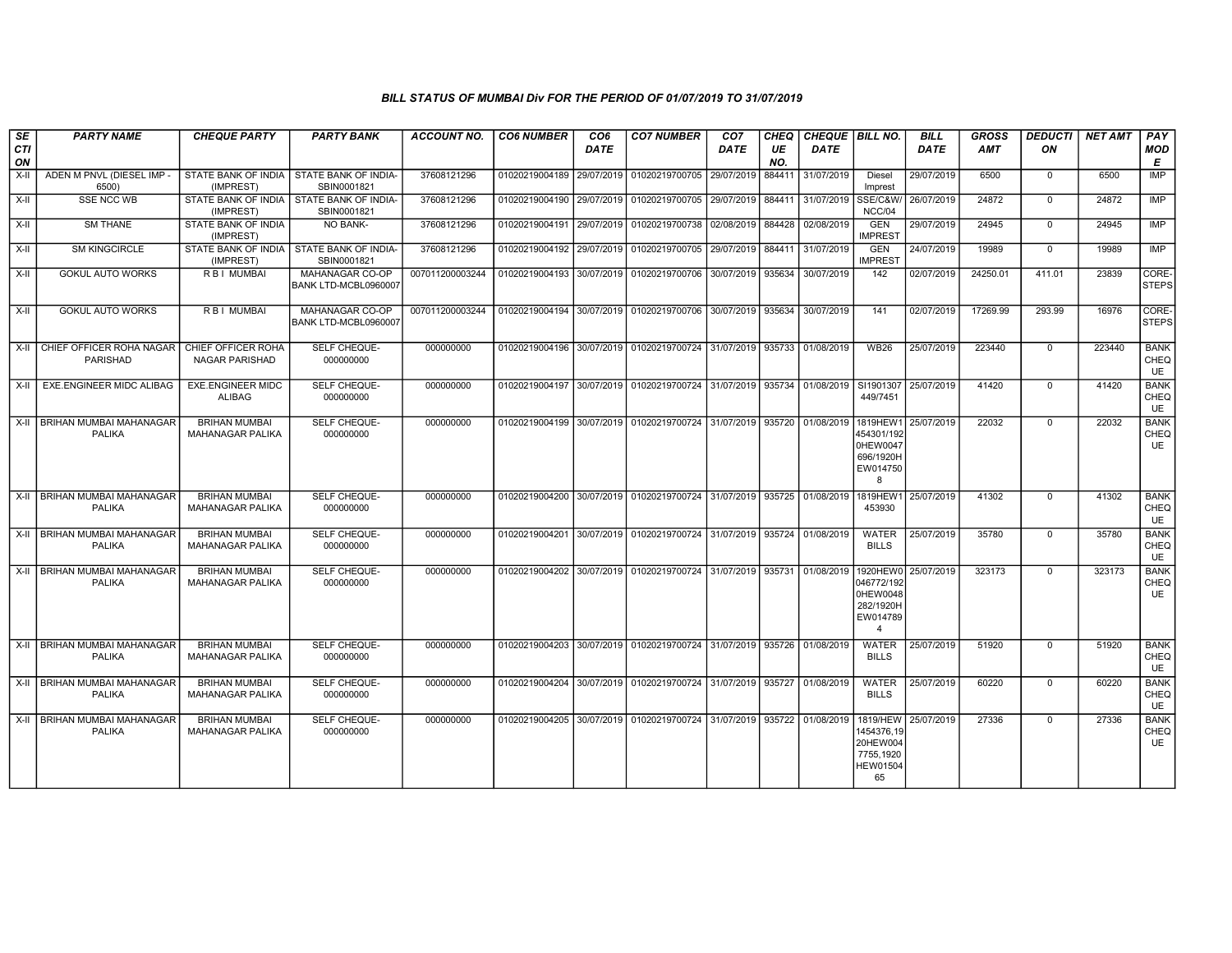| $\overline{\mathsf{SE}}$<br><b>CTI</b> | <b>PARTY NAME</b>                               | <b>CHEQUE PARTY</b>                             | <b>PARTY BANK</b>                                         | <b>ACCOUNT NO.</b> | <b>CO6 NUMBER</b>         | CO <sub>6</sub><br><b>DATE</b> | <b>CO7 NUMBER</b>                                                     | CO <sub>7</sub><br><b>DATE</b> | CHEQ<br>UE    | CHEQUE   BILL NO.<br><b>DATE</b> |                                                                               | <b>BILL</b><br><b>DATE</b> | <b>GROSS</b><br><b>AMT</b> | <b>DEDUCTI</b><br>ON | <b>NET AMT</b> | PAY<br>MOD                       |
|----------------------------------------|-------------------------------------------------|-------------------------------------------------|-----------------------------------------------------------|--------------------|---------------------------|--------------------------------|-----------------------------------------------------------------------|--------------------------------|---------------|----------------------------------|-------------------------------------------------------------------------------|----------------------------|----------------------------|----------------------|----------------|----------------------------------|
| ON<br>X-II                             | ADEN M PNVL (DIESEL IMP -                       |                                                 | STATE BANK OF INDIA   STATE BANK OF INDIA-                | 37608121296        | 01020219004189            | 29/07/2019                     | 01020219700705 29/07/2019                                             |                                | NO.<br>884411 | 31/07/2019                       | <b>Diesel</b>                                                                 | 29/07/2019                 | 6500                       | $\mathbf 0$          | 6500           | E<br><b>IMP</b>                  |
|                                        | 6500)                                           | (IMPREST)                                       | SBIN0001821                                               |                    |                           |                                |                                                                       |                                |               |                                  | Imprest                                                                       |                            |                            |                      |                |                                  |
| X-II                                   | <b>SSE NCC WB</b>                               | (IMPREST)                                       | STATE BANK OF INDIA I STATE BANK OF INDIA-<br>SBIN0001821 | 37608121296        |                           |                                | 01020219004190 29/07/2019 01020219700705 29/07/2019                   |                                | 884411        | 31/07/2019                       | <b>SSE/C&amp;W/</b><br>NCC/04                                                 | 26/07/2019                 | 24872                      | $\Omega$             | 24872          | IMP                              |
| X-II                                   | <b>SM THANE</b>                                 | STATE BANK OF INDIA<br>(IMPREST)                | <b>NO BANK-</b>                                           | 37608121296        | 01020219004191            | 29/07/2019                     | 01020219700738 02/08/2019                                             |                                | 884428        | 02/08/2019                       | <b>GEN</b><br><b>IMPREST</b>                                                  | 29/07/2019                 | 24945                      | $\mathbf{0}$         | 24945          | <b>IMP</b>                       |
| X-II                                   | <b>SM KINGCIRCLE</b>                            | (IMPREST)                                       | STATE BANK OF INDIA   STATE BANK OF INDIA-<br>SBIN0001821 | 37608121296        | 01020219004192            | 29/07/2019                     | 01020219700705                                                        | 29/07/2019                     | 884411        | 31/07/2019                       | GEN<br><b>IMPREST</b>                                                         | 24/07/2019                 | 19989                      | $\mathbf{0}$         | 19989          | <b>IMP</b>                       |
| X-II                                   | <b>GOKUL AUTO WORKS</b>                         | <b>RBI MUMBAI</b>                               | MAHANAGAR CO-OP<br>BANK LTD-MCBL0960007                   | 007011200003244    | 01020219004193 30/07/2019 |                                | 01020219700706 30/07/2019                                             |                                | 935634        | 30/07/2019                       | 142                                                                           | 02/07/2019                 | 24250.01                   | 411.01               | 23839          | CORE-<br><b>STEPS</b>            |
| X-II                                   | <b>GOKUL AUTO WORKS</b>                         | R B I MUMBAI                                    | MAHANAGAR CO-OP<br>BANK LTD-MCBL0960007                   | 007011200003244    |                           |                                | 01020219004194 30/07/2019 01020219700706 30/07/2019 935634            |                                |               | 30/07/2019                       | 141                                                                           | 02/07/2019                 | 17269.99                   | 293.99               | 16976          | CORE-<br><b>STEPS</b>            |
| X-II                                   | CHIEF OFFICER ROHA NAGAR<br>PARISHAD            | CHIEF OFFICER ROHA<br>NAGAR PARISHAD            | SELF CHEQUE-<br>000000000                                 | 000000000          | 01020219004196 30/07/2019 |                                | 01020219700724 31/07/2019                                             |                                | 935733        | 01/08/2019                       | <b>WB26</b>                                                                   | 25/07/2019                 | 223440                     | $\mathbf 0$          | 223440         | <b>BANK</b><br>CHEQ<br>UE        |
|                                        | X-II   EXE.ENGINEER MIDC ALIBAG                 | <b>EXE.ENGINEER MIDC</b><br><b>ALIBAG</b>       | SELF CHEQUE-<br>000000000                                 | 000000000          |                           |                                | 01020219004197 30/07/2019 01020219700724 31/07/2019 935734 01/08/2019 |                                |               |                                  | SI1901307<br>449/7451                                                         | 25/07/2019                 | 41420                      | $^{\circ}$           | 41420          | <b>BANK</b><br>CHEQ<br><b>UE</b> |
|                                        | X-II   BRIHAN MUMBAI MAHANAGAR<br>PALIKA        | <b>BRIHAN MUMBAI</b><br>MAHANAGAR PALIKA        | SELF CHEQUE-<br>000000000                                 | 000000000          |                           |                                | 01020219004199 30/07/2019 01020219700724 31/07/2019 935720            |                                |               | 01/08/2019                       | 1819HEW1<br>454301/192<br>0HEW0047<br>696/1920H<br>EW014750<br>8              | 25/07/2019                 | 22032                      | $\Omega$             | 22032          | <b>BANK</b><br>CHEQ<br><b>UE</b> |
|                                        | X-II BRIHAN MUMBAI MAHANAGAR<br><b>PALIKA</b>   | <b>BRIHAN MUMBAI</b><br>MAHANAGAR PALIKA        | SELF CHEQUE-<br>000000000                                 | 000000000          |                           |                                | 01020219004200 30/07/2019 01020219700724 31/07/2019 935725 01/08/2019 |                                |               |                                  | 1819HEW1<br>453930                                                            | 25/07/2019                 | 41302                      | $\mathbf{0}$         | 41302          | <b>BANK</b><br>CHEQ<br>UE        |
|                                        | X-II   BRIHAN MUMBAI MAHANAGAR<br><b>PALIKA</b> | <b>BRIHAN MUMBAI</b><br>MAHANAGAR PALIKA        | SELF CHEQUE-<br>000000000                                 | 000000000          | 01020219004201            |                                | 30/07/2019 01020219700724 31/07/2019 935724                           |                                |               | 01/08/2019                       | WATER<br><b>BILLS</b>                                                         | 25/07/2019                 | 35780                      | $\Omega$             | 35780          | <b>BANK</b><br>CHEQ<br><b>UE</b> |
|                                        | X-II BRIHAN MUMBAI MAHANAGAR<br><b>PALIKA</b>   | <b>BRIHAN MUMBAI</b><br>MAHANAGAR PALIKA        | SELF CHEQUE-<br>000000000                                 | 000000000          | 01020219004202            | 30/07/2019                     | 01020219700724 31/07/2019 935731                                      |                                |               | 01/08/2019                       | 1920HEW0<br>046772/192<br>0HEW0048<br>282/1920H<br>EW014789<br>$\overline{4}$ | 25/07/2019                 | 323173                     | $\Omega$             | 323173         | <b>BANK</b><br>CHEQ<br><b>UE</b> |
|                                        | X-II BRIHAN MUMBAI MAHANAGAR<br><b>PALIKA</b>   | <b>BRIHAN MUMBAI</b><br>MAHANAGAR PALIKA        | <b>SELF CHEQUE-</b><br>000000000                          | 000000000          |                           |                                | 01020219004203 30/07/2019 01020219700724 31/07/2019 935726            |                                |               | 01/08/2019                       | <b>WATER</b><br><b>BILLS</b>                                                  | 25/07/2019                 | 51920                      | $\mathbf{0}$         | 51920          | <b>BANK</b><br>CHEQ<br>UE        |
|                                        | X-II BRIHAN MUMBAI MAHANAGAR<br><b>PALIKA</b>   | <b>BRIHAN MUMBAI</b><br>MAHANAGAR PALIKA        | <b>SELF CHEQUE-</b><br>000000000                          | 000000000          |                           |                                | 01020219004204 30/07/2019 01020219700724 31/07/2019                   |                                | 935727        | 01/08/2019                       | <b>WATER</b><br><b>BILLS</b>                                                  | 25/07/2019                 | 60220                      | $\Omega$             | 60220          | <b>BANK</b><br>CHEQ<br>UE        |
|                                        | X-II   BRIHAN MUMBAI MAHANAGAR<br><b>PALIKA</b> | <b>BRIHAN MUMBAI</b><br><b>MAHANAGAR PALIKA</b> | SELF CHEQUE-<br>000000000                                 | 000000000          | 01020219004205            | 30/07/2019                     | 01020219700724 31/07/2019                                             |                                | 935722        | 01/08/2019                       | 1819/HEW<br>1454376,19<br>20HEW004<br>7755,1920<br><b>HEW01504</b><br>65      | 25/07/2019                 | 27336                      | $\Omega$             | 27336          | <b>BANK</b><br>CHEQ<br>UE        |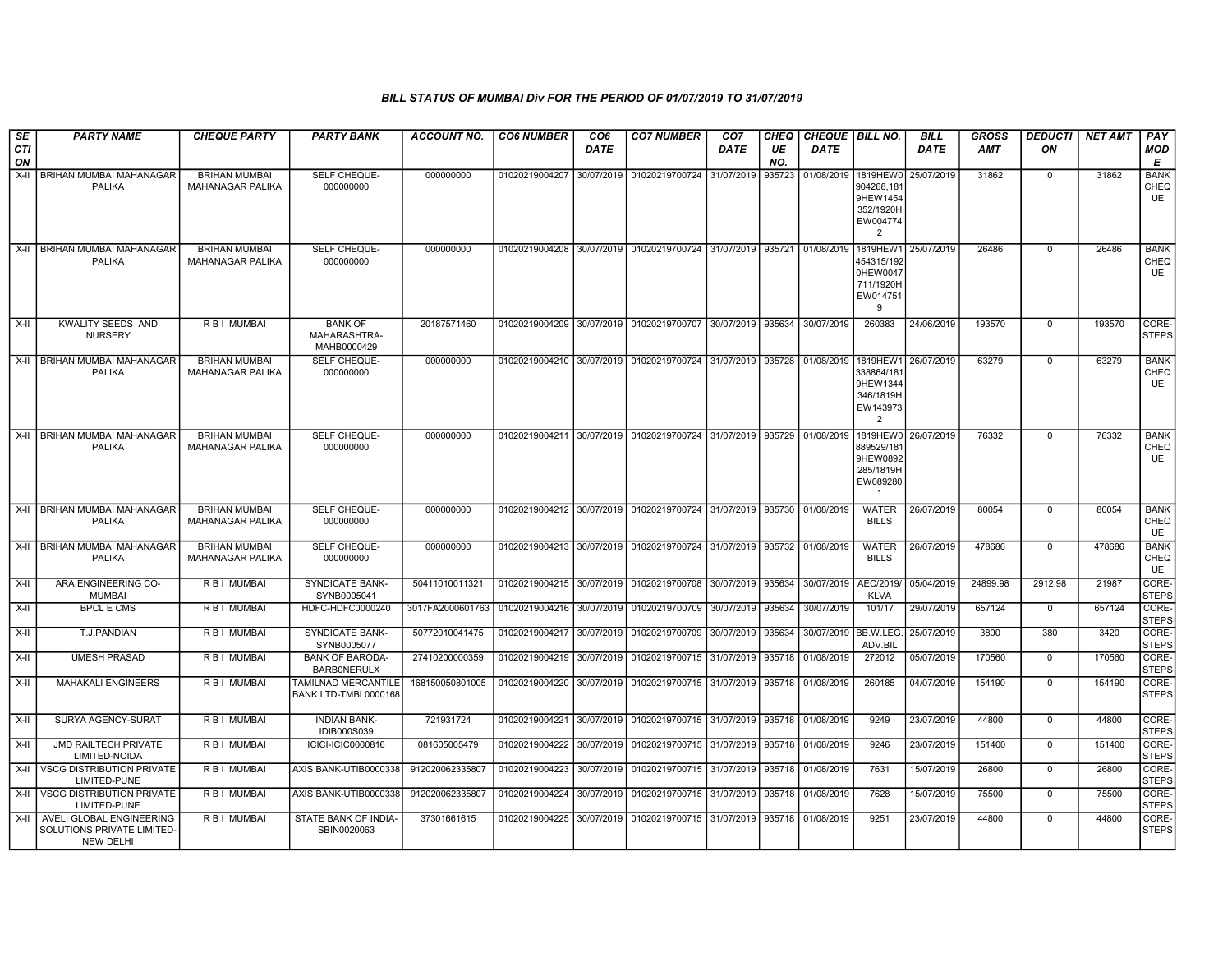| SE        | <b>PARTY NAME</b>                                                               | <b>CHEQUE PARTY</b>                             | <b>PARTY BANK</b>                             | <b>ACCOUNT NO.</b>                                        | <b>CO6 NUMBER</b>                        | CO <sub>6</sub> | <b>CO7 NUMBER</b>                                                     | CO <sub>7</sub> | CHEQ      | <b>CHEQUE   BILL NO.</b> |                                                                            | <b>BILL</b> | <b>GROSS</b> | <b>DEDUCTI</b> | NET AMT | <b>PAY</b>                |
|-----------|---------------------------------------------------------------------------------|-------------------------------------------------|-----------------------------------------------|-----------------------------------------------------------|------------------------------------------|-----------------|-----------------------------------------------------------------------|-----------------|-----------|--------------------------|----------------------------------------------------------------------------|-------------|--------------|----------------|---------|---------------------------|
| CTI<br>ON |                                                                                 |                                                 |                                               |                                                           |                                          | <b>DATE</b>     |                                                                       | DATE            | UE<br>NO. | <b>DATE</b>              |                                                                            | <b>DATE</b> | <b>AMT</b>   | ON             |         | <b>MOD</b><br>Е           |
| $X-II$    | <b>BRIHAN MUMBAI MAHANAGAR</b><br>PALIKA                                        | <b>BRIHAN MUMBAI</b><br>MAHANAGAR PALIKA        | SELF CHEQUE-<br>000000000                     | 000000000                                                 |                                          |                 | 01020219004207 30/07/2019 01020219700724                              | 31/07/2019      | 935723    | 01/08/2019               | 1819HEW0<br>904268,18<br>9HEW1454<br>352/1920H<br>EW004774<br>2            | 25/07/2019  | 31862        | $\mathbf 0$    | 31862   | <b>BANK</b><br>CHEQ<br>UE |
|           | X-II   BRIHAN MUMBAI MAHANAGAR<br>PALIKA                                        | <b>BRIHAN MUMBAI</b><br><b>MAHANAGAR PALIKA</b> | SELF CHEQUE-<br>000000000                     | 000000000                                                 | 01020219004208                           |                 | 30/07/2019 01020219700724 31/07/2019                                  |                 | 935721    | 01/08/2019               | 1819HEW1<br>454315/192<br>0HEW0047<br>711/1920H<br>EW014751<br>9           | 25/07/2019  | 26486        | $\Omega$       | 26486   | <b>BANK</b><br>CHEQ<br>UE |
| X-II      | <b>KWALITY SEEDS AND</b><br><b>NURSERY</b>                                      | R B I MUMBAI                                    | <b>BANK OF</b><br>MAHARASHTRA-<br>MAHB0000429 | 20187571460                                               | 01020219004209                           |                 | 30/07/2019 01020219700707 30/07/2019                                  |                 | 935634    | 30/07/2019               | 260383                                                                     | 24/06/2019  | 193570       | $\Omega$       | 193570  | CORE-<br><b>STEPS</b>     |
|           | X-II BRIHAN MUMBAI MAHANAGAR<br>PALIKA                                          | <b>BRIHAN MUMBAI</b><br>MAHANAGAR PALIKA        | SELF CHEQUE-<br>000000000                     | 000000000                                                 |                                          |                 | 01020219004210 30/07/2019 01020219700724 31/07/2019 935728 01/08/2019 |                 |           |                          | 1819HEW1<br>338864/18<br>9HEW1344<br>346/1819H<br>EW143973<br>2            | 26/07/2019  | 63279        | $\Omega$       | 63279   | <b>BANK</b><br>CHEQ<br>UE |
|           | X-II BRIHAN MUMBAI MAHANAGAR<br>PALIKA                                          | <b>BRIHAN MUMBAI</b><br>MAHANAGAR PALIKA        | SELF CHEQUE-<br>000000000                     | 000000000                                                 |                                          |                 | 01020219004211 30/07/2019 01020219700724 31/07/2019 935729 01/08/2019 |                 |           |                          | 1819HEW0<br>889529/18<br>9HEW0892<br>285/1819H<br>EW089280<br>$\mathbf{1}$ | 26/07/2019  | 76332        | $\mathbf{0}$   | 76332   | <b>BANK</b><br>CHEQ<br>UE |
|           | X-II BRIHAN MUMBAI MAHANAGAR<br><b>PALIKA</b>                                   | <b>BRIHAN MUMBAI</b><br>MAHANAGAR PALIKA        | <b>SELF CHEQUE-</b><br>000000000              | 000000000                                                 |                                          |                 | 01020219004212 30/07/2019 01020219700724 31/07/2019                   |                 | 935730    | 01/08/2019               | <b>WATER</b><br><b>BILLS</b>                                               | 26/07/2019  | 80054        | $\Omega$       | 80054   | <b>BANK</b><br>CHEQ<br>UE |
|           | X-II BRIHAN MUMBAI MAHANAGAR<br><b>PALIKA</b>                                   | <b>BRIHAN MUMBAI</b><br><b>MAHANAGAR PALIKA</b> | SELF CHEQUE-<br>000000000                     | 000000000                                                 |                                          |                 | 01020219004213 30/07/2019 01020219700724 31/07/2019 935732 01/08/2019 |                 |           |                          | <b>WATER</b><br><b>BILLS</b>                                               | 26/07/2019  | 478686       | $\Omega$       | 478686  | <b>BANK</b><br>CHEQ<br>UE |
| $X-II$    | ARA ENGINEERING CO-<br><b>MUMBAI</b>                                            | R B I MUMBAI                                    | <b>SYNDICATE BANK-</b><br>SYNB0005041         | 50411010011321                                            |                                          |                 | 01020219004215 30/07/2019 01020219700708                              | 30/07/2019      | 935634    | 30/07/2019               | AEC/2019/<br><b>KLVA</b>                                                   | 05/04/2019  | 24899.98     | 2912.98        | 21987   | CORE-<br><b>STEPS</b>     |
| X-II      | <b>BPCL E CMS</b>                                                               | R B I MUMBAI                                    | HDFC-HDFC0000240                              | 3017FA2000601763 01020219004216 30/07/2019 01020219700709 |                                          |                 |                                                                       | 30/07/2019      | 935634    | 30/07/2019               | 101/17                                                                     | 29/07/2019  | 657124       | $\mathbf 0$    | 657124  | CORE-<br><b>STEPS</b>     |
| X-II      | T.J.PANDIAN                                                                     | R B I MUMBAI                                    | SYNDICATE BANK-<br>SYNB0005077                | 50772010041475                                            | 01020219004217 30/07/2019 01020219700709 |                 |                                                                       | 30/07/2019      | 935634    | 30/07/2019 BB.W.LEG.     | ADV.BIL                                                                    | 25/07/2019  | 3800         | 380            | 3420    | CORE-<br><b>STEPS</b>     |
| X-II      | <b>UMESH PRASAD</b>                                                             | R B I MUMBAI                                    | <b>BANK OF BARODA-</b><br><b>BARBONERULX</b>  | 27410200000359                                            |                                          |                 | 01020219004219 30/07/2019 01020219700715                              | 31/07/2019      | 935718    | 01/08/2019               | 272012                                                                     | 05/07/2019  | 170560       | $^{\circ}$     | 170560  | CORE-<br><b>STEPS</b>     |
| X-II      | <b>MAHAKALI ENGINEERS</b>                                                       | R B I MUMBAI                                    | TAMILNAD MERCANTILE<br>BANK LTD-TMBL0000168   | 168150050801005                                           |                                          |                 | 01020219004220 30/07/2019 01020219700715 31/07/2019                   |                 | 935718    | 01/08/2019               | 260185                                                                     | 04/07/2019  | 154190       | $\mathbf 0$    | 154190  | CORE-<br><b>STEPS</b>     |
| $X-H$     | SURYA AGENCY-SURAT                                                              | R B I MUMBAI                                    | <b>INDIAN BANK-</b><br><b>IDIB000S039</b>     | 721931724                                                 | 01020219004221                           |                 | 30/07/2019 01020219700715 31/07/2019                                  |                 | 935718    | 01/08/2019               | 9249                                                                       | 23/07/2019  | 44800        | $\mathbf 0$    | 44800   | CORE-<br><b>STEPS</b>     |
| X-II      | <b>JMD RAILTECH PRIVATE</b><br>LIMITED-NOIDA                                    | R B I MUMBAI                                    | ICICI-ICIC0000816                             | 081605005479                                              |                                          |                 | 01020219004222 30/07/2019 01020219700715                              | 31/07/2019      | 935718    | 01/08/2019               | 9246                                                                       | 23/07/2019  | 151400       | $^{\circ}$     | 151400  | CORE-<br><b>STEPS</b>     |
|           | X-II VSCG DISTRIBUTION PRIVATE<br>LIMITED-PUNE                                  | R B I MUMBAI                                    | AXIS BANK-UTIB0000338                         | 912020062335807                                           | 01020219004223 30/07/2019                |                 | 01020219700715 31/07/2019                                             |                 | 935718    | 01/08/2019               | 7631                                                                       | 15/07/2019  | 26800        | $\mathbf 0$    | 26800   | CORE-<br><b>STEPS</b>     |
| X-II      | <b>VSCG DISTRIBUTION PRIVATE</b><br>LIMITED-PUNE                                | R B I MUMBAI                                    | AXIS BANK-UTIB0000338                         | 912020062335807                                           |                                          |                 | 01020219004224 30/07/2019 01020219700715 31/07/2019                   |                 | 935718    | 01/08/2019               | 7628                                                                       | 15/07/2019  | 75500        | $\mathbf 0$    | 75500   | CORE-<br><b>STEPS</b>     |
|           | X-II AVELI GLOBAL ENGINEERING<br>SOLUTIONS PRIVATE LIMITED-<br><b>NEW DELHI</b> | R B I MUMBAI                                    | STATE BANK OF INDIA-<br>SBIN0020063           | 37301661615                                               |                                          |                 | 01020219004225 30/07/2019 01020219700715 31/07/2019                   |                 | 935718    | 01/08/2019               | 9251                                                                       | 23/07/2019  | 44800        | $\mathbf{0}$   | 44800   | CORE-<br><b>STEPS</b>     |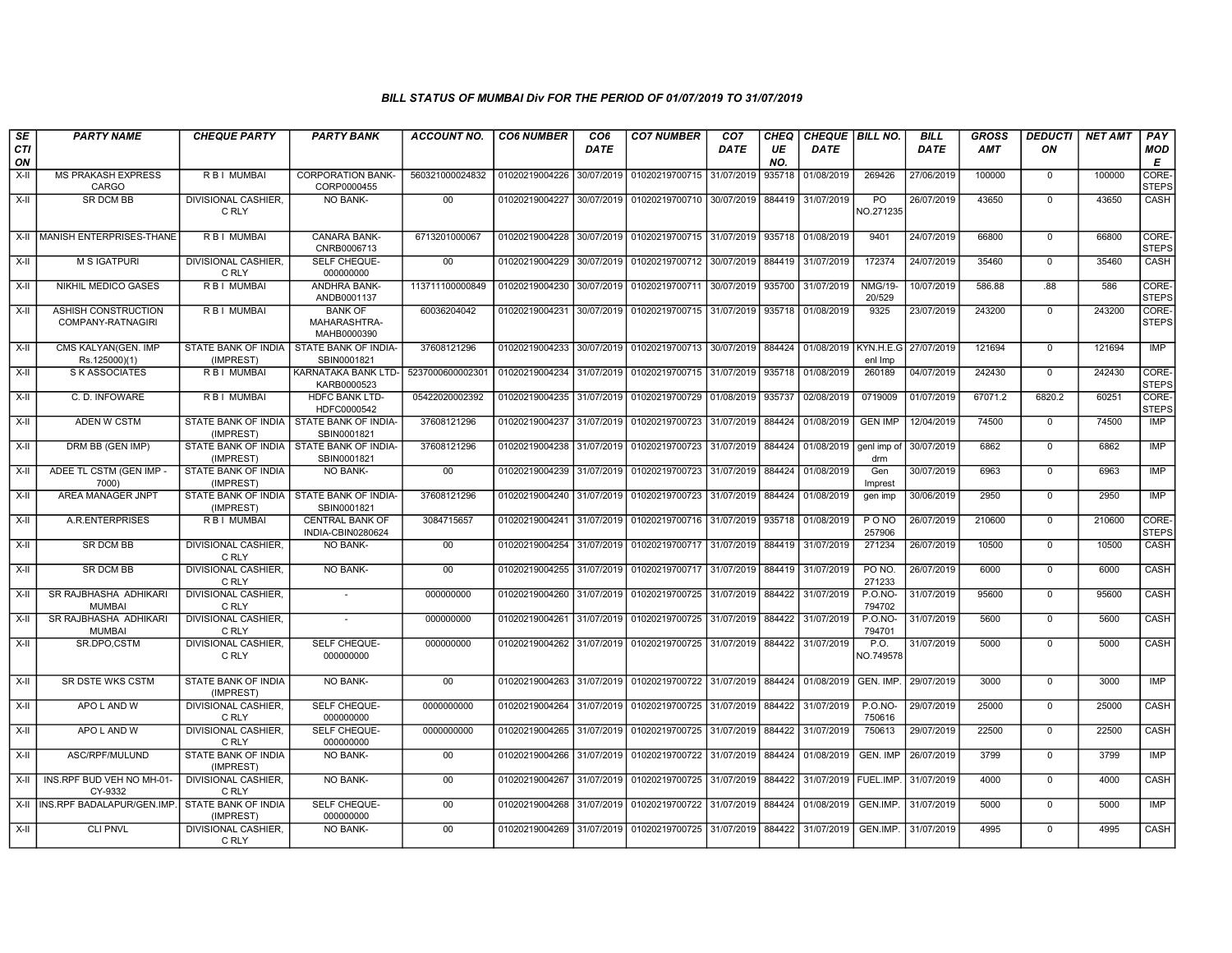| SE        | <b>PARTY NAME</b>                        | <b>CHEQUE PARTY</b>                 | <b>PARTY BANK</b>                                         | ACCOUNT NO.     | <b>CO6 NUMBER</b>         | CO <sub>6</sub> | <b>CO7 NUMBER</b>                           | CO <sub>7</sub> | CHEQ      | CHEQUE BILL NO.      |                             | <b>BILL</b> | <b>GROSS</b> | <b>DEDUCTI</b> | NET AMT | PAY                   |
|-----------|------------------------------------------|-------------------------------------|-----------------------------------------------------------|-----------------|---------------------------|-----------------|---------------------------------------------|-----------------|-----------|----------------------|-----------------------------|-------------|--------------|----------------|---------|-----------------------|
| CTI<br>ON |                                          |                                     |                                                           |                 |                           | DATE            |                                             | DATE            | UE<br>NO. | <b>DATE</b>          |                             | <b>DATE</b> | <b>AMT</b>   | ON             |         | <b>MOD</b><br>E       |
| X-II      | <b>MS PRAKASH EXPRESS</b><br>CARGO       | R B I MUMBAI                        | <b>CORPORATION BANK-</b><br>CORP0000455                   | 560321000024832 | 01020219004226            | 30/07/2019      | 01020219700715 31/07/2019                   |                 | 935718    | 01/08/2019           | 269426                      | 27/06/2019  | 100000       | $\mathbf 0$    | 100000  | CORE-<br><b>STEPS</b> |
| X-II      | <b>SR DCM BB</b>                         | DIVISIONAL CASHIER,<br>C RLY        | NO BANK-                                                  | 00              | 01020219004227            | 30/07/2019      | 01020219700710 30/07/2019 884419 31/07/2019 |                 |           |                      | P <sub>O</sub><br>NO.271235 | 26/07/2019  | 43650        | $\mathbf 0$    | 43650   | CASH                  |
|           | X-II MANISH ENTERPRISES-THANE            | <b>RBI MUMBAI</b>                   | <b>CANARA BANK-</b><br>CNRB0006713                        | 6713201000067   | 01020219004228            | 30/07/2019      | 01020219700715 31/07/2019 335718 01/08/2019 |                 |           |                      | 9401                        | 24/07/2019  | 66800        | $\Omega$       | 66800   | CORE-<br><b>STEPS</b> |
| X-II      | <b>M S IGATPURI</b>                      | <b>DIVISIONAL CASHIER.</b><br>C RLY | SELF CHEQUE-<br>000000000                                 | 00              | 01020219004229            | 30/07/2019      | 01020219700712 30/07/2019                   |                 | 884419    | 31/07/2019           | 172374                      | 24/07/2019  | 35460        | $\Omega$       | 35460   | <b>CASH</b>           |
| $X-H$     | NIKHIL MEDICO GASES                      | R B I MUMBAI                        | <b>ANDHRA BANK-</b><br>ANDB0001137                        | 113711100000849 | 01020219004230            | 30/07/2019      | 01020219700711 30/07/2019 935700            |                 |           | 31/07/2019           | <b>NMG/19-</b><br>20/529    | 10/07/2019  | 586.88       | .88            | 586     | CORE-<br><b>STEPS</b> |
| X-II      | ASHISH CONSTRUCTION<br>COMPANY-RATNAGIRI | <b>RBI MUMBAI</b>                   | <b>BANK OF</b><br>MAHARASHTRA-<br>MAHB0000390             | 60036204042     | 01020219004231            | 30/07/2019      | 01020219700715 31/07/2019 935718            |                 |           | 01/08/2019           | 9325                        | 23/07/2019  | 243200       | $\mathbf 0$    | 243200  | CORE-<br><b>STEPS</b> |
| $X-II$    | CMS KALYAN(GEN. IMP<br>Rs.125000)(1)     | STATE BANK OF INDIA<br>(IMPREST)    | STATE BANK OF INDIA-<br>SBIN0001821                       | 37608121296     | 01020219004233            | 30/07/2019      | 01020219700713 30/07/2019                   |                 | 884424    | 01/08/2019           | KYN.H.E.G<br>enl Imp        | 27/07/2019  | 121694       | $\mathbf 0$    | 121694  | <b>IMP</b>            |
| X-II      | <b>S K ASSOCIATES</b>                    | R B I MUMBAI                        | KARNATAKA BANK LTD-<br>KARB0000523                        | 523700060000230 | 01020219004234            | 31/07/2019      | 01020219700715 31/07/2019                   |                 | 935718    | 01/08/2019           | 260189                      | 04/07/2019  | 242430       | $\overline{0}$ | 242430  | CORE-<br><b>STEPS</b> |
| $X-H$     | C. D. INFOWARE                           | R B I MUMBAI                        | <b>HDFC BANK LTD-</b><br>HDFC0000542                      | 05422020002392  | 01020219004235 31/07/2019 |                 | 01020219700729 01/08/2019 935737            |                 |           | 02/08/2019           | 0719009                     | 01/07/2019  | 67071.2      | 6820.2         | 60251   | CORE-<br><b>STEPS</b> |
| X-II      | ADEN W CSTM                              | (IMPREST)                           | STATE BANK OF INDIA   STATE BANK OF INDIA-<br>SBIN0001821 | 37608121296     | 01020219004237 31/07/2019 |                 | 01020219700723 31/07/2019                   |                 | 884424    | 01/08/2019           | <b>GEN IMP</b>              | 12/04/2019  | 74500        | $\mathbf 0$    | 74500   | IMP                   |
| X-II      | DRM BB (GEN IMP)                         | STATE BANK OF INDIA<br>(IMPREST)    | STATE BANK OF INDIA-<br>SBIN0001821                       | 37608121296     | 01020219004238            | 31/07/2019      | 01020219700723 31/07/2019                   |                 | 884424    | 01/08/2019           | genl imp of<br>drm          | 30/07/2019  | 6862         | $\mathbf 0$    | 6862    | <b>IMP</b>            |
| $X-H$     | ADEE TL CSTM (GEN IMP -<br>7000)         | STATE BANK OF INDIA<br>(IMPREST)    | <b>NO BANK-</b>                                           | 00              | 01020219004239            | 31/07/2019      | 01020219700723 31/07/2019                   |                 | 884424    | 01/08/2019           | Gen<br>Imprest              | 30/07/2019  | 6963         | $\mathbf 0$    | 6963    | <b>IMP</b>            |
| X-II      | AREA MANAGER JNPT                        | (IMPREST)                           | STATE BANK OF INDIA   STATE BANK OF INDIA-<br>SBIN0001821 | 37608121296     | 01020219004240 31/07/2019 |                 | 01020219700723 31/07/2019 884424            |                 |           | 01/08/2019           | gen imp                     | 30/06/2019  | 2950         | $\mathbf 0$    | 2950    | <b>IMP</b>            |
| $X-H$     | A.R.ENTERPRISES                          | <b>RBI MUMBAI</b>                   | <b>CENTRAL BANK OF</b><br>INDIA-CBIN0280624               | 3084715657      | 01020219004241 31/07/2019 |                 | 01020219700716 31/07/2019                   |                 | 935718    | 01/08/2019           | <b>PONO</b><br>257906       | 26/07/2019  | 210600       | $\overline{0}$ | 210600  | CORE-<br><b>STEPS</b> |
| X-II      | SR DCM BB                                | DIVISIONAL CASHIER,<br>C RLY        | NO BANK-                                                  | 00              | 01020219004254            | 31/07/2019      | 01020219700717 31/07/2019                   |                 |           | 884419 31/07/2019    | 271234                      | 26/07/2019  | 10500        | $\mathbf 0$    | 10500   | CASH                  |
| X-II      | SR DCM BB                                | DIVISIONAL CASHIER.<br>C RLY        | NO BANK-                                                  | 00              | 01020219004255 31/07/2019 |                 | 01020219700717 31/07/2019 884419            |                 |           | 31/07/2019           | PO NO.<br>271233            | 26/07/2019  | 6000         | $\mathbf 0$    | 6000    | CASH                  |
| $X-H$     | SR RAJBHASHA ADHIKARI<br><b>MUMBAI</b>   | <b>DIVISIONAL CASHIER.</b><br>C RLY |                                                           | 000000000       | 01020219004260 31/07/2019 |                 | 01020219700725 31/07/2019 884422 31/07/2019 |                 |           |                      | <b>P.O.NO-</b><br>794702    | 31/07/2019  | 95600        | $\Omega$       | 95600   | CASH                  |
| $X-II$    | SR RAJBHASHA ADHIKARI<br><b>MUMBAI</b>   | <b>DIVISIONAL CASHIER,</b><br>C RLY |                                                           | 000000000       | 01020219004261            | 31/07/2019      | 01020219700725 31/07/2019                   |                 | 884422    | 31/07/2019           | <b>P.O.NO-</b><br>794701    | 31/07/2019  | 5600         | $\mathbf 0$    | 5600    | CASH                  |
| X-II      | SR.DPO,CSTM                              | <b>DIVISIONAL CASHIER,</b><br>C RLY | SELF CHEQUE-<br>000000000                                 | 000000000       | 01020219004262 31/07/2019 |                 | 01020219700725 31/07/2019 884422            |                 |           | 31/07/2019           | P.O.<br><b>VO.749578</b>    | 31/07/2019  | 5000         | $\overline{0}$ | 5000    | CASH                  |
| $X-H$     | <b>SR DSTE WKS CSTM</b>                  | STATE BANK OF INDIA<br>(IMPREST)    | <b>NO BANK-</b>                                           | 00              | 01020219004263 31/07/2019 |                 | 01020219700722 31/07/2019 884424 01/08/2019 |                 |           |                      | GEN. IMP.                   | 29/07/2019  | 3000         | $\mathbf 0$    | 3000    | IMP                   |
| X-II      | APO L AND W                              | <b>DIVISIONAL CASHIER,</b><br>C RLY | SELF CHEQUE-<br>000000000                                 | 0000000000      | 01020219004264 31/07/2019 |                 | 01020219700725 31/07/2019 884422            |                 |           | 31/07/2019           | <b>P.O.NO-</b><br>750616    | 29/07/2019  | 25000        | $\Omega$       | 25000   | CASH                  |
| X-II      | APO L AND W                              | <b>DIVISIONAL CASHIER.</b><br>C RLY | SELF CHEQUE-<br>000000000                                 | 0000000000      | 01020219004265 31/07/2019 |                 | 01020219700725 31/07/2019                   |                 | 884422    | 31/07/2019           | 750613                      | 29/07/2019  | 22500        | $\mathbf 0$    | 22500   | CASH                  |
| X-II      | ASC/RPF/MULUND                           | STATE BANK OF INDIA<br>(IMPREST)    | <b>NO BANK-</b>                                           | 00              | 01020219004266            | 31/07/2019      | 01020219700722 31/07/2019                   |                 | 884424    | 01/08/2019           | GEN. IMP                    | 26/07/2019  | 3799         | $\mathbf 0$    | 3799    | IMP                   |
| X-II      | INS.RPF BUD VEH NO MH-01<br>CY-9332      | DIVISIONAL CASHIER.<br>C RLY        | NO BANK-                                                  | 00              | 01020219004267 31/07/2019 |                 | 01020219700725 31/07/2019 884422            |                 |           | 31/07/2019 FUEL.IMP. |                             | 31/07/2019  | 4000         | $\mathbf 0$    | 4000    | CASH                  |
| X-II      | INS.RPF BADALAPUR/GEN.IMP                | STATE BANK OF INDIA<br>(IMPREST)    | SELF CHEQUE-<br>000000000                                 | 00              | 01020219004268            | 31/07/2019      | 01020219700722 31/07/2019                   |                 |           | 884424 01/08/2019    | GEN.IMP.                    | 31/07/2019  | 5000         | $\Omega$       | 5000    | <b>IMP</b>            |
| X-II      | <b>CLI PNVL</b>                          | <b>DIVISIONAL CASHIER,</b><br>C RLY | NO BANK-                                                  | 00              | 01020219004269 31/07/2019 |                 | 01020219700725 31/07/2019 884422 31/07/2019 |                 |           |                      | GEN.IMP.                    | 31/07/2019  | 4995         | $\mathbf 0$    | 4995    | CASH                  |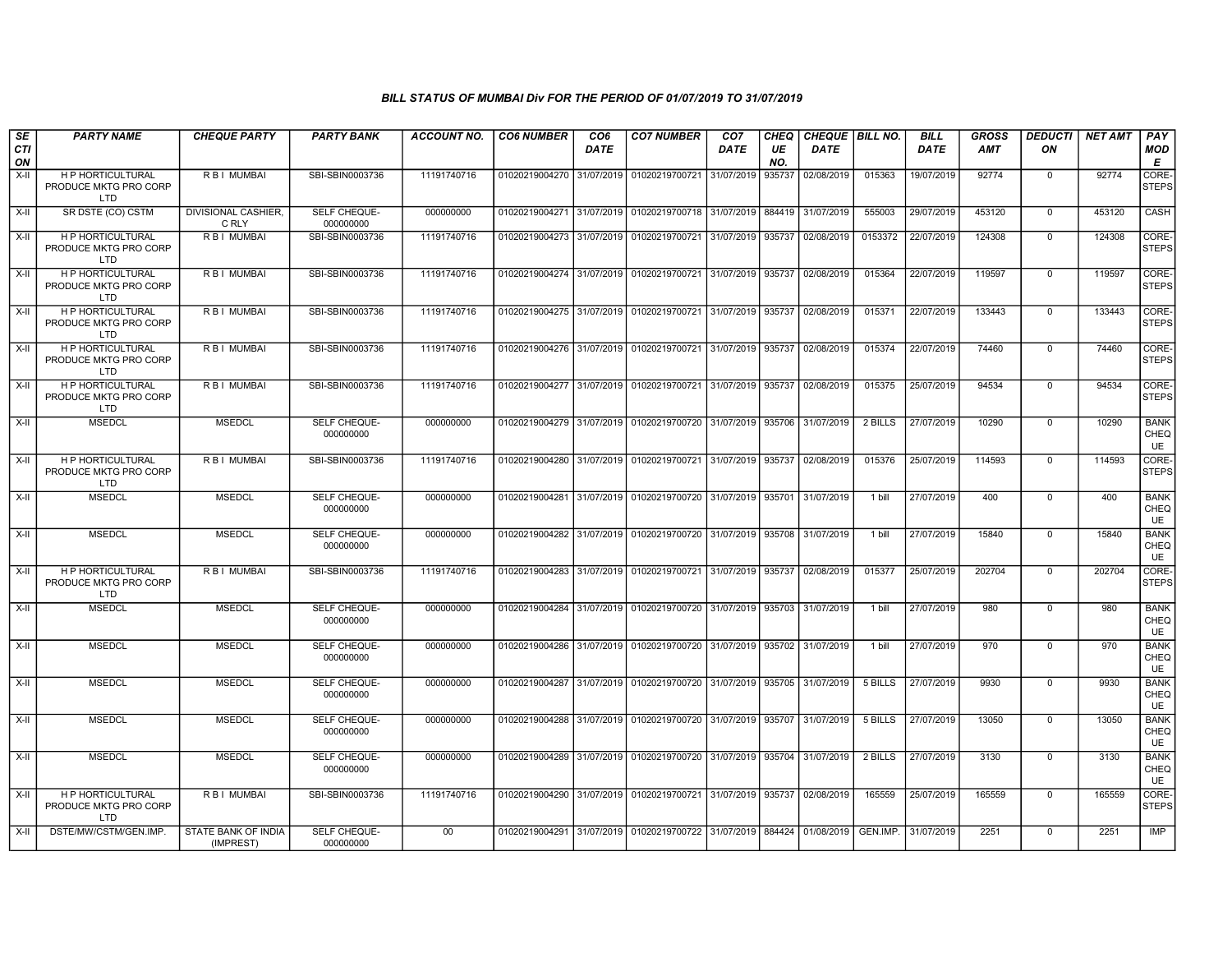| SE        | <b>PARTY NAME</b>                                               | <b>CHEQUE PARTY</b>                 | <b>PARTY BANK</b>         | ACCOUNT NO. | <b>CO6 NUMBER</b> | CO <sub>6</sub> | <b>CO7 NUMBER</b>                                          | CO <sub>7</sub> | <b>CHEQ</b> | <b>CHEQUE   BILL NO.</b> |          | <b>BILL</b> | <b>GROSS</b> | <b>DEDUCTI</b> | <b>NET AMT</b> | <b>PAY</b>                       |
|-----------|-----------------------------------------------------------------|-------------------------------------|---------------------------|-------------|-------------------|-----------------|------------------------------------------------------------|-----------------|-------------|--------------------------|----------|-------------|--------------|----------------|----------------|----------------------------------|
| CTI<br>ON |                                                                 |                                     |                           |             |                   | <b>DATE</b>     |                                                            | DATE            | UE<br>NO.   | DATE                     |          | <b>DATE</b> | <b>AMT</b>   | ON             |                | MOD<br>E                         |
| $X-II$    | H P HORTICULTURAL<br>PRODUCE MKTG PRO CORP<br>LTD.              | R B I MUMBAI                        | SBI-SBIN0003736           | 11191740716 |                   |                 | 01020219004270 31/07/2019 01020219700721                   | 31/07/2019      | 935737      | 02/08/2019               | 015363   | 19/07/2019  | 92774        | $\mathbf 0$    | 92774          | CORE-<br><b>STEPS</b>            |
| X-II      | SR DSTE (CO) CSTM                                               | <b>DIVISIONAL CASHIER.</b><br>C RLY | SELF CHEQUE-<br>000000000 | 000000000   |                   |                 | 01020219004271 31/07/2019 01020219700718 31/07/2019        |                 | 884419      | 31/07/2019               | 555003   | 29/07/2019  | 453120       | $^{\circ}$     | 453120         | CASH                             |
| X-II      | <b>H P HORTICULTURAL</b><br>PRODUCE MKTG PRO CORP<br>LTD        | <b>RBI MUMBAI</b>                   | SBI-SBIN0003736           | 11191740716 |                   |                 | 01020219004273 31/07/2019 01020219700721                   | 31/07/2019      | 935737      | 02/08/2019               | 0153372  | 22/07/2019  | 124308       | $\Omega$       | 124308         | CORE-<br><b>STEPS</b>            |
| X-II      | <b>H P HORTICULTURAL</b><br>PRODUCE MKTG PRO CORP<br>LTD        | R B I MUMBAI                        | SBI-SBIN0003736           | 11191740716 |                   |                 | 01020219004274 31/07/2019 01020219700721 31/07/2019        |                 | 935737      | 02/08/2019               | 015364   | 22/07/2019  | 119597       | $\mathbf 0$    | 119597         | CORE-<br><b>STEPS</b>            |
| X-II      | <b>H P HORTICULTURAL</b><br>PRODUCE MKTG PRO CORP<br><b>LTD</b> | R B I MUMBAI                        | SBI-SBIN0003736           | 11191740716 |                   |                 | 01020219004275 31/07/2019 01020219700721                   | 31/07/2019      | 935737      | 02/08/2019               | 015371   | 22/07/2019  | 133443       | $\Omega$       | 133443         | CORE-<br><b>STEPS</b>            |
| X-II      | <b>HP HORTICULTURAL</b><br>PRODUCE MKTG PRO CORP<br>LTD.        | <b>RBI MUMBAI</b>                   | SBI-SBIN0003736           | 11191740716 |                   |                 | 01020219004276 31/07/2019 01020219700721                   | 31/07/2019      | 935737      | 02/08/2019               | 015374   | 22/07/2019  | 74460        | $\mathbf 0$    | 74460          | CORE-<br><b>STEPS</b>            |
| X-II      | <b>H P HORTICULTURAL</b><br>PRODUCE MKTG PRO CORP<br>LTD        | R B I MUMBAI                        | SBI-SBIN0003736           | 11191740716 |                   |                 | 01020219004277 31/07/2019 01020219700721                   | 31/07/2019      | 935737      | 02/08/2019               | 015375   | 25/07/2019  | 94534        | $\mathbf 0$    | 94534          | CORE-<br><b>STEPS</b>            |
| X-II      | <b>MSEDCL</b>                                                   | <b>MSEDCL</b>                       | SELF CHEQUE-<br>000000000 | 000000000   |                   |                 | 01020219004279 31/07/2019 01020219700720 31/07/2019        |                 | 935706      | 31/07/2019               | 2 BILLS  | 27/07/2019  | 10290        | $\Omega$       | 10290          | <b>BANK</b><br>CHEQ<br><b>UE</b> |
| X-II      | H P HORTICULTURAL<br>PRODUCE MKTG PRO CORP<br><b>LTD</b>        | R B I MUMBAI                        | SBI-SBIN0003736           | 11191740716 |                   |                 | 01020219004280 31/07/2019 01020219700721 31/07/2019        |                 | 935737      | 02/08/2019               | 015376   | 25/07/2019  | 114593       | $\mathbf 0$    | 114593         | CORE-<br><b>STEPS</b>            |
| X-II      | <b>MSEDCL</b>                                                   | <b>MSEDCL</b>                       | SELF CHEQUE-<br>000000000 | 000000000   |                   |                 | 01020219004281 31/07/2019 01020219700720 31/07/2019        |                 | 935701      | 31/07/2019               | 1 bill   | 27/07/2019  | 400          | $\mathbf{0}$   | 400            | <b>BANK</b><br>CHEQ<br><b>UE</b> |
| X-II      | <b>MSEDCL</b>                                                   | <b>MSEDCL</b>                       | SELF CHEQUE-<br>000000000 | 000000000   |                   |                 | 01020219004282 31/07/2019 01020219700720 31/07/2019        |                 | 935708      | 31/07/2019               | 1 bill   | 27/07/2019  | 15840        | $\mathbf 0$    | 15840          | <b>BANK</b><br>CHEQ<br><b>UE</b> |
| X-II      | <b>H P HORTICULTURAL</b><br>PRODUCE MKTG PRO CORP<br><b>LTD</b> | R B I MUMBAI                        | SBI-SBIN0003736           | 11191740716 |                   |                 | 01020219004283 31/07/2019 01020219700721 31/07/2019 935737 |                 |             | 02/08/2019               | 015377   | 25/07/2019  | 202704       | $^{\circ}$     | 202704         | CORE-<br><b>STEPS</b>            |
| X-II      | <b>MSEDCL</b>                                                   | <b>MSEDCL</b>                       | SELF CHEQUE-<br>000000000 | 000000000   | 01020219004284    |                 | 31/07/2019 01020219700720                                  | 31/07/2019      | 935703      | 31/07/2019               | 1 bill   | 27/07/2019  | 980          | $\mathbf{0}$   | 980            | <b>BANK</b><br>CHEQ<br>UE.       |
| X-II      | <b>MSEDCL</b>                                                   | <b>MSEDCL</b>                       | SELF CHEQUE-<br>000000000 | 000000000   |                   |                 | 01020219004286 31/07/2019 01020219700720 31/07/2019        |                 | 935702      | 31/07/2019               | 1 bill   | 27/07/2019  | 970          | $\mathbf 0$    | 970            | <b>BANK</b><br>CHEQ<br><b>UE</b> |
| $X-H$     | <b>MSEDCL</b>                                                   | <b>MSEDCL</b>                       | SELF CHEQUE-<br>000000000 | 000000000   |                   |                 | 01020219004287 31/07/2019 01020219700720 31/07/2019        |                 | 935705      | 31/07/2019               | 5 BILLS  | 27/07/2019  | 9930         | $\overline{0}$ | 9930           | <b>BANK</b><br>CHEQ<br><b>UE</b> |
| $X-II$    | <b>MSEDCL</b>                                                   | <b>MSEDCL</b>                       | SELF CHEQUE-<br>000000000 | 000000000   | 01020219004288    |                 | 31/07/2019 01020219700720 31/07/2019                       |                 | 935707      | 31/07/2019               | 5 BILLS  | 27/07/2019  | 13050        | $\overline{0}$ | 13050          | <b>BANK</b><br>CHEQ<br>UE.       |
| X-II      | <b>MSEDCL</b>                                                   | <b>MSEDCL</b>                       | SELF CHEQUE-<br>000000000 | 000000000   |                   |                 | 01020219004289 31/07/2019 01020219700720 31/07/2019        |                 | 935704      | 31/07/2019               | 2 BILLS  | 27/07/2019  | 3130         | $\mathbf{0}$   | 3130           | <b>BANK</b><br>CHEQ<br>UE.       |
| X-II      | H P HORTICULTURAL<br>PRODUCE MKTG PRO CORP<br>LTD               | R B I MUMBAI                        | SBI-SBIN0003736           | 11191740716 |                   |                 | 01020219004290 31/07/2019 01020219700721 31/07/2019        |                 | 935737      | 02/08/2019               | 165559   | 25/07/2019  | 165559       | $\mathbf 0$    | 165559         | CORE-<br><b>STEPS</b>            |
| X-II      | DSTE/MW/CSTM/GEN.IMP.                                           | STATE BANK OF INDIA<br>(IMPREST)    | SELF CHEQUE-<br>000000000 | 00          |                   |                 | 01020219004291 31/07/2019 01020219700722 31/07/2019        |                 | 884424      | 01/08/2019               | GEN.IMP. | 31/07/2019  | 2251         | $\mathbf{0}$   | 2251           | IMP                              |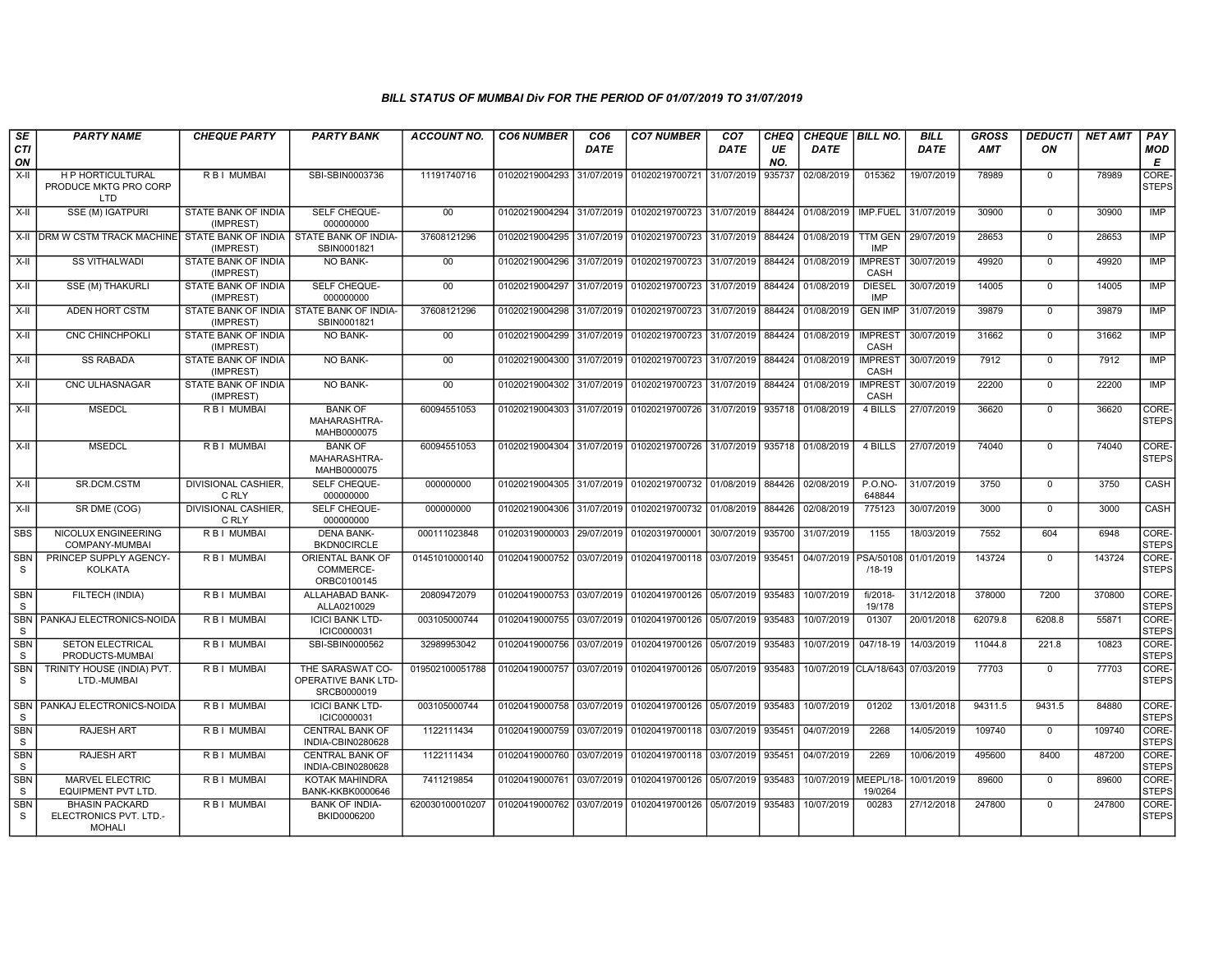| SE                         | <b>PARTY NAME</b>                                                | <b>CHEQUE PARTY</b>                     | <b>PARTY BANK</b>                                      | ACCOUNT NO.     | <b>CO6 NUMBER</b>         | CO <sub>6</sub> | <b>CO7 NUMBER</b>                                   | CO <sub>7</sub> | CHEQ      | <b>CHEQUE   BILL NO.</b> |                                  | <b>BILL</b> | GROSS      | <b>DEDUCTI</b> | <b>NET AMT</b> | <b>PAY</b>            |
|----------------------------|------------------------------------------------------------------|-----------------------------------------|--------------------------------------------------------|-----------------|---------------------------|-----------------|-----------------------------------------------------|-----------------|-----------|--------------------------|----------------------------------|-------------|------------|----------------|----------------|-----------------------|
| <b>CTI</b><br>ON           |                                                                  |                                         |                                                        |                 |                           | <b>DATE</b>     |                                                     | DATE            | UE<br>NO. | <b>DATE</b>              |                                  | <b>DATE</b> | <b>AMT</b> | ON             |                | MOD<br>E              |
| $X-H$                      | <b>HP HORTICULTURAL</b><br>PRODUCE MKTG PRO CORP<br><b>LTD</b>   | R B I MUMBAI                            | SBI-SBIN0003736                                        | 11191740716     | 01020219004293            | 31/07/2019      | 01020219700721                                      | 31/07/2019      | 935737    | 02/08/2019               | 015362                           | 19/07/2019  | 78989      | $\mathbf 0$    | 78989          | CORE-<br><b>STEPS</b> |
| $X-II$                     | SSE (M) IGATPURI                                                 | STATE BANK OF INDIA<br>(IMPREST)        | SELF CHEQUE-<br>000000000                              | 00              | 01020219004294            | 31/07/2019      | 01020219700723                                      | 31/07/2019      | 884424    | 01/08/2019               | IMP.FUEL                         | 31/07/2019  | 30900      | $\mathbf 0$    | 30900          | <b>IMP</b>            |
|                            | X-II DRM W CSTM TRACK MACHINE STATE BANK OF INDIA                | (IMPREST)                               | <b>STATE BANK OF INDIA-</b><br>SBIN0001821             | 37608121296     | 01020219004295            | 31/07/2019      | 01020219700723                                      | 31/07/2019      | 884424    | 01/08/2019               | <b>TTM GEN</b><br><b>IMP</b>     | 29/07/2019  | 28653      | $\mathbf 0$    | 28653          | <b>IMP</b>            |
| $X-H$                      | <b>SS VITHALWADI</b>                                             | <b>STATE BANK OF INDIA</b><br>(IMPREST) | NO BANK-                                               | 00              | 01020219004296            | 31/07/2019      | 01020219700723                                      | 31/07/2019      | 884424    | 01/08/2019               | <b>IMPREST</b><br>CASH           | 30/07/2019  | 49920      | $\mathbf 0$    | 49920          | <b>IMP</b>            |
| X-II                       | <b>SSE (M) THAKURL</b>                                           | STATE BANK OF INDIA<br>(IMPREST)        | SELF CHEQUE-<br>000000000                              | $00\,$          | 01020219004297            | 31/07/2019      | 01020219700723                                      | 31/07/2019      | 884424    | 01/08/2019               | <b>DIESEL</b><br><b>IMP</b>      | 30/07/2019  | 14005      | $\mathbf 0$    | 14005          | <b>IMP</b>            |
| X-II                       | ADEN HORT CSTM                                                   | STATE BANK OF INDIA<br>(IMPREST)        | STATE BANK OF INDIA-<br>SBIN0001821                    | 37608121296     | 01020219004298            | 31/07/2019      | 01020219700723                                      | 31/07/2019      | 884424    | 01/08/2019               | <b>GEN IMP</b>                   | 31/07/2019  | 39879      | $^{\circ}$     | 39879          | <b>IMP</b>            |
| $X-H$                      | <b>CNC CHINCHPOKLI</b>                                           | <b>STATE BANK OF INDIA</b><br>(IMPREST) | <b>NO BANK-</b>                                        | $00\,$          | 01020219004299            | 31/07/2019      | 01020219700723                                      | 31/07/2019      | 884424    | 01/08/2019               | <b>IMPREST</b><br>CASH           | 30/07/2019  | 31662      | $\mathbf 0$    | 31662          | <b>IMP</b>            |
| $X-H$                      | <b>SS RABADA</b>                                                 | STATE BANK OF INDIA<br>(IMPREST)        | <b>NO BANK-</b>                                        | 00              | 01020219004300 31/07/2019 |                 | 01020219700723                                      | 31/07/2019      | 884424    | 01/08/2019               | <b>IMPREST</b><br><b>CASH</b>    | 30/07/2019  | 7912       | $\mathbf{0}$   | 7912           | <b>IMP</b>            |
| X-II                       | CNC ULHASNAGAR                                                   | STATE BANK OF INDIA<br>(IMPREST)        | <b>NO BANK-</b>                                        | 00              | 01020219004302            | 31/07/2019      | 01020219700723                                      | 31/07/2019      | 884424    | 01/08/2019               | <b>IMPREST</b><br>CASH           | 30/07/2019  | 22200      | $\mathbf 0$    | 22200          | <b>IMP</b>            |
| $X-II$                     | <b>MSEDCL</b>                                                    | R B I MUMBAI                            | <b>BANK OF</b><br>MAHARASHTRA-<br>MAHB0000075          | 60094551053     | 01020219004303 31/07/2019 |                 | 01020219700726                                      | 31/07/2019      | 935718    | 01/08/2019               | 4 BILLS                          | 27/07/2019  | 36620      | $\mathbf{0}$   | 36620          | CORE-<br><b>STEPS</b> |
| X-II                       | <b>MSEDCL</b>                                                    | R B I MUMBAI                            | <b>BANK OF</b><br>MAHARASHTRA-<br>MAHB0000075          | 60094551053     |                           |                 | 01020219004304 31/07/2019 01020219700726 31/07/2019 |                 | 935718    | 01/08/2019               | 4 BILLS                          | 27/07/2019  | 74040      | $\mathbf{0}$   | 74040          | CORE-<br><b>STEPS</b> |
| $X-H$                      | SR.DCM.CSTM                                                      | <b>DIVISIONAL CASHIER,</b><br>C RLY     | SELF CHEQUE-<br>000000000                              | 000000000       | 01020219004305 31/07/2019 |                 | 01020219700732 01/08/2019                           |                 | 884426    | 02/08/2019               | <b>P.O.NO-</b><br>648844         | 31/07/2019  | 3750       | $\mathbf 0$    | 3750           | <b>CASH</b>           |
| $X-H$                      | SR DME (COG)                                                     | <b>DIVISIONAL CASHIER.</b><br>C RLY     | <b>SELF CHEQUE-</b><br>000000000                       | 000000000       | 01020219004306            | 31/07/2019      | 01020219700732                                      | 01/08/2019      | 884426    | 02/08/2019               | 775123                           | 30/07/2019  | 3000       | $\mathbf 0$    | 3000           | <b>CASH</b>           |
| <b>SBS</b>                 | NICOLUX ENGINEERING<br>COMPANY-MUMBAI                            | R B I MUMBAI                            | <b>DENA BANK-</b><br><b>BKDN0CIRCLE</b>                | 000111023848    | 01020319000003            | 29/07/2019      | 01020319700001                                      | 30/07/2019      | 935700    | 31/07/2019               | 1155                             | 18/03/2019  | 7552       | 604            | 6948           | CORE-<br><b>STEPS</b> |
| <b>SBN</b><br>S            | PRINCEP SUPPLY AGENCY-<br><b>KOLKATA</b>                         | <b>RBI MUMBAI</b>                       | ORIENTAL BANK OF<br>COMMERCE-<br>ORBC0100145           | 01451010000140  | 01020419000752            | 03/07/2019      | 01020419700118                                      | 03/07/2019      | 935451    | 04/07/2019               | PSA/50108<br>$/18 - 19$          | 01/01/2019  | 143724     | $\mathbf 0$    | 143724         | CORE-<br><b>STEPS</b> |
| SBN<br><sub>S</sub>        | FILTECH (INDIA)                                                  | R B I MUMBAI                            | ALLAHABAD BANK-<br>ALLA0210029                         | 20809472079     | 01020419000753            | 03/07/2019      | 01020419700126                                      | 05/07/2019      | 935483    | 10/07/2019               | fi/2018-<br>19/178               | 31/12/2018  | 378000     | 7200           | 370800         | CORE-<br><b>STEPS</b> |
| <b>SBN</b><br><sub>S</sub> | PANKAJ ELECTRONICS-NOIDA                                         | R B I MUMBAI                            | <b>ICICI BANK LTD-</b><br>ICIC0000031                  | 003105000744    | 01020419000755            | 03/07/2019      | 01020419700126                                      | 05/07/2019      | 935483    | 10/07/2019               | 01307                            | 20/01/2018  | 62079.8    | 6208.8         | 55871          | CORE-<br><b>STEPS</b> |
| <b>SBN</b><br>S.           | <b>SETON ELECTRICAL</b><br>PRODUCTS-MUMBAI                       | R B I MUMBAI                            | SBI-SBIN0000562                                        | 32989953042     | 01020419000756            | 03/07/2019      | 01020419700126 05/07/2019                           |                 | 935483    | 10/07/2019               | 047/18-19                        | 14/03/2019  | 11044.8    | 221.8          | 10823          | CORE-<br><b>STEPS</b> |
| <b>SBN</b><br>S.           | TRINITY HOUSE (INDIA) PVT.<br>LTD.-MUMBAI                        | R B I MUMBAI                            | THE SARASWAT CO-<br>OPERATIVE BANK LTD-<br>SRCB0000019 | 019502100051788 | 01020419000757            | 03/07/2019      | 01020419700126                                      | 05/07/2019      | 935483    |                          | 10/07/2019 CLA/18/643 07/03/2019 |             | 77703      | $\mathbf{0}$   | 77703          | CORE-<br><b>STEPS</b> |
| <b>SBN</b><br><sub>S</sub> | PANKAJ ELECTRONICS-NOIDA                                         | R B I MUMBAI                            | <b>ICICI BANK LTD-</b><br>ICIC0000031                  | 003105000744    | 01020419000758            | 03/07/2019      | 01020419700126                                      | 05/07/2019      | 935483    | 10/07/2019               | 01202                            | 13/01/2018  | 94311.5    | 9431.5         | 84880          | CORE-<br><b>STEPS</b> |
| <b>SBN</b><br><sub>S</sub> | <b>RAJESH ART</b>                                                | <b>RBI MUMBAL</b>                       | <b>CENTRAL BANK OF</b><br>INDIA-CBIN0280628            | 1122111434      | 01020419000759 03/07/2019 |                 | 01020419700118 03/07/2019                           |                 | 935451    | 04/07/2019               | 2268                             | 14/05/2019  | 109740     | $\mathbf 0$    | 109740         | CORE-<br><b>STEPS</b> |
| <b>SBN</b><br><sub>S</sub> | <b>RAJESH ART</b>                                                | R B I MUMBAI                            | <b>CENTRAL BANK OF</b><br>INDIA-CBIN0280628            | 1122111434      | 01020419000760 03/07/2019 |                 | 01020419700118 03/07/2019                           |                 | 935451    | 04/07/2019               | 2269                             | 10/06/2019  | 495600     | 8400           | 487200         | CORE-<br><b>STEPS</b> |
| SBN<br>S                   | <b>MARVEL ELECTRIC</b><br><b>EQUIPMENT PVT LTD.</b>              | R B I MUMBAI                            | KOTAK MAHINDRA<br><b>BANK-KKBK0000646</b>              | 7411219854      | 01020419000761            | 03/07/2019      | 01020419700126                                      | 05/07/2019      | 935483    | 10/07/2019               | MEEPL/18<br>19/0264              | 10/01/2019  | 89600      | $\mathbf 0$    | 89600          | CORE-<br><b>STEPS</b> |
| <b>SBN</b><br><sub>S</sub> | <b>BHASIN PACKARD</b><br>ELECTRONICS PVT. LTD.-<br><b>MOHALI</b> | RBI MUMBAI                              | <b>BANK OF INDIA-</b><br>BKID0006200                   | 620030100010207 | 01020419000762            | 03/07/2019      | 01020419700126                                      | 05/07/2019      | 935483    | 10/07/2019               | 00283                            | 27/12/2018  | 247800     | $\mathbf{0}$   | 247800         | CORE-<br><b>STEPS</b> |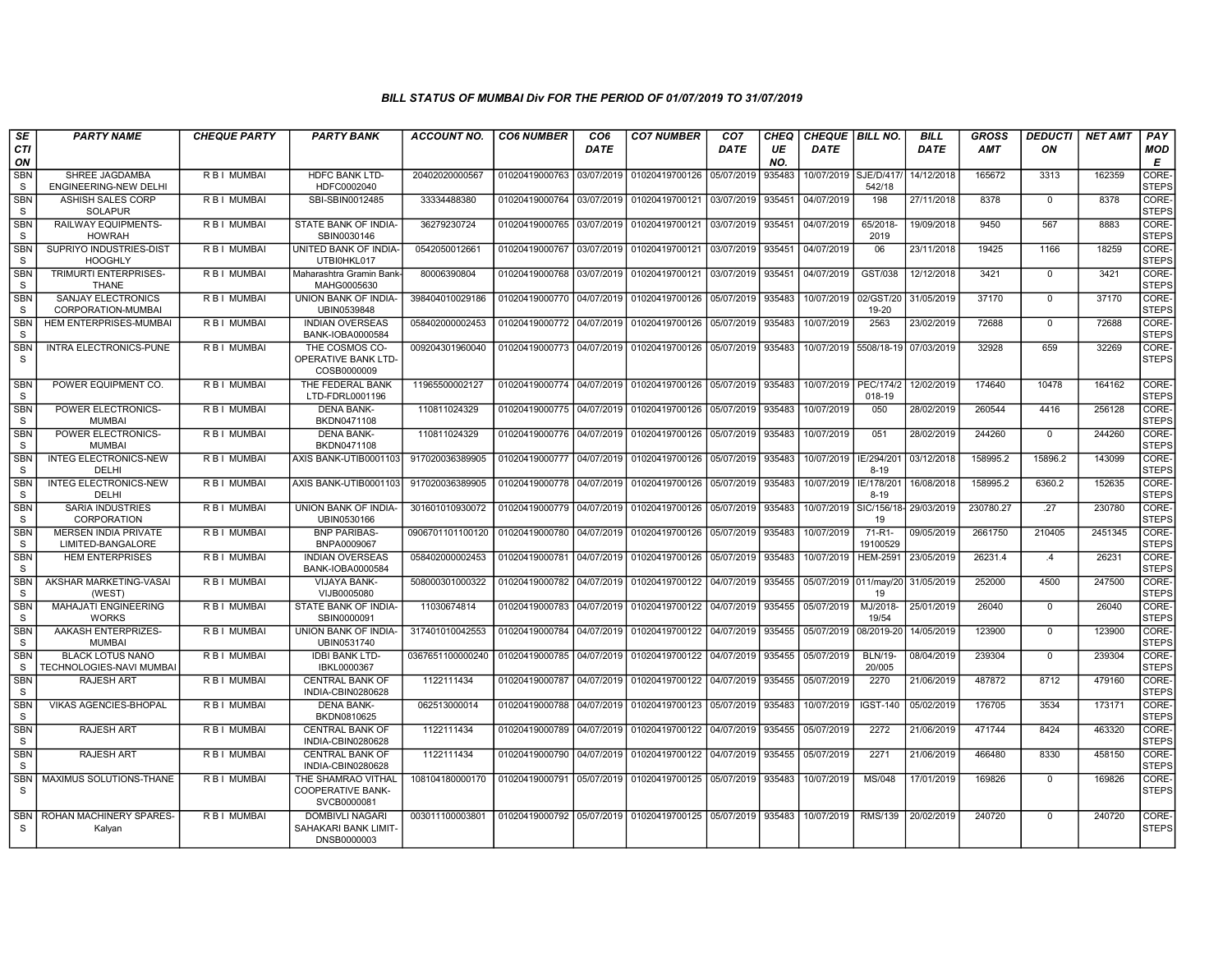| SE                         | <b>PARTY NAME</b>                                   | <b>CHEQUE PARTY</b> | <b>PARTY BANK</b>                                             | ACCOUNT NO.      | <b>CO6 NUMBER</b>         | CO <sub>6</sub> | <b>CO7 NUMBER</b>                                                  | CO <sub>7</sub> | CHEQ      | CHEQUE   BILL NO. |                            | <b>BILL</b> | <b>GROSS</b> | <b>DEDUCTI</b> | <b>NET AMT</b> | <b>PAY</b>            |
|----------------------------|-----------------------------------------------------|---------------------|---------------------------------------------------------------|------------------|---------------------------|-----------------|--------------------------------------------------------------------|-----------------|-----------|-------------------|----------------------------|-------------|--------------|----------------|----------------|-----------------------|
| CTI<br>ON                  |                                                     |                     |                                                               |                  |                           | <b>DATE</b>     |                                                                    | DATE            | UE<br>NO. | <b>DATE</b>       |                            | <b>DATE</b> | <b>AMT</b>   | ON             |                | MOD<br>E              |
| <b>SBN</b><br>S            | SHREE JAGDAMBA<br><b>ENGINEERING-NEW DELHI</b>      | <b>RBI MUMBAI</b>   | <b>HDFC BANK LTD-</b><br>HDFC0002040                          | 20402020000567   | 01020419000763            | 03/07/2019      | 01020419700126                                                     | 05/07/2019      | 935483    | 10/07/2019        | <b>SJE/D/417</b><br>542/18 | 14/12/2018  | 165672       | 3313           | 162359         | CORE-<br><b>STEPS</b> |
| <b>SBN</b><br><sub>S</sub> | <b>ASHISH SALES CORP</b><br><b>SOLAPUR</b>          | <b>RBI MUMBAI</b>   | SBI-SBIN0012485                                               | 33334488380      | 01020419000764            | 03/07/2019      | 01020419700121                                                     | 03/07/2019      | 935451    | 04/07/2019        | 198                        | 27/11/2018  | 8378         | $\mathbf{0}$   | 8378           | CORE-<br><b>STEPS</b> |
| <b>SBN</b><br>-S           | RAILWAY EQUIPMENTS-<br><b>HOWRAH</b>                | R B I MUMBAI        | STATE BANK OF INDIA-<br>SBIN0030146                           | 36279230724      | 01020419000765 03/07/2019 |                 | 01020419700121                                                     | 03/07/2019      | 935451    | 04/07/2019        | 65/2018-<br>2019           | 19/09/2018  | 9450         | 567            | 8883           | CORE-<br><b>STEPS</b> |
| <b>SBN</b><br><sub>S</sub> | SUPRIYO INDUSTRIES-DIST<br><b>HOOGHLY</b>           | R B I MUMBAI        | UNITED BANK OF INDIA-<br>UTBI0HKL017                          | 0542050012661    | 01020419000767            | 03/07/2019      | 01020419700121                                                     | 03/07/2019      | 935451    | 04/07/2019        | 06                         | 23/11/2018  | 19425        | 1166           | 18259          | CORE-<br><b>STEPS</b> |
| <b>SBN</b><br>S            | <b>TRIMURTI ENTERPRISES-</b><br><b>THANE</b>        | R B I MUMBAI        | Maharashtra Gramin Bank-<br>MAHG0005630                       | 80006390804      | 01020419000768            | 03/07/2019      | 01020419700121                                                     | 03/07/2019      | 935451    | 04/07/2019        | GST/038                    | 12/12/2018  | 3421         | $\mathbf{0}$   | 3421           | CORE-<br><b>STEPS</b> |
| <b>SBN</b><br>S            | <b>SANJAY ELECTRONICS</b><br>CORPORATION-MUMBAI     | R B I MUMBAI        | <b>UNION BANK OF INDIA-</b><br>UBIN0539848                    | 398404010029186  | 01020419000770            | 04/07/2019      | 01020419700126                                                     | 05/07/2019      | 935483    | 10/07/2019        | 02/GST/20<br>19-20         | 31/05/2019  | 37170        | $\Omega$       | 37170          | CORE-<br><b>STEPS</b> |
| SBN<br><sub>S</sub>        | <b>HEM ENTERPRISES-MUMBAI</b>                       | R B I MUMBAI        | <b>INDIAN OVERSEAS</b><br>BANK-IOBA0000584                    | 058402000002453  | 01020419000772 04/07/2019 |                 | 01020419700126                                                     | 05/07/2019      | 935483    | 10/07/2019        | 2563                       | 23/02/2019  | 72688        | $\Omega$       | 72688          | CORE-<br><b>STEPS</b> |
| <b>SBN</b><br><sub>S</sub> | INTRA ELECTRONICS-PUNE                              | <b>RBI MUMBAI</b>   | THE COSMOS CO-<br>OPERATIVE BANK LTD-<br>COSB0000009          | 009204301960040  | 01020419000773 04/07/2019 |                 | 01020419700126                                                     | 05/07/2019      | 935483    | 10/07/2019        | 5508/18-19                 | 07/03/2019  | 32928        | 659            | 32269          | CORE-<br><b>STEPS</b> |
| <b>SBN</b><br>S            | POWER EQUIPMENT CO.                                 | R B I MUMBAI        | THE FEDERAL BANK<br>LTD-FDRL0001196                           | 11965500002127   | 01020419000774 04/07/2019 |                 | 01020419700126                                                     | 05/07/2019      | 935483    | 10/07/2019        | PEC/174/2<br>018-19        | 12/02/2019  | 174640       | 10478          | 164162         | CORE-<br><b>STEPS</b> |
| <b>SBN</b><br>S            | POWER ELECTRONICS-<br><b>MUMBAI</b>                 | R B I MUMBAI        | <b>DENA BANK-</b><br>BKDN0471108                              | 110811024329     | 01020419000775 04/07/2019 |                 | 01020419700126                                                     | 05/07/2019      | 935483    | 10/07/2019        | 050                        | 28/02/2019  | 260544       | 4416           | 256128         | CORE-<br><b>STEPS</b> |
| <b>SBN</b><br>S            | POWER ELECTRONICS-<br><b>MUMBAI</b>                 | R B I MUMBAI        | <b>DENA BANK-</b><br>BKDN0471108                              | 110811024329     | 01020419000776            | 04/07/2019      | 01020419700126                                                     | 05/07/2019      | 935483    | 10/07/2019        | 051                        | 28/02/2019  | 244260       | $\mathbf{0}$   | 244260         | CORE-<br><b>STEPS</b> |
| <b>SBN</b><br><sub>S</sub> | <b>INTEG ELECTRONICS-NEW</b><br>DELHI               | R B I MUMBAI        | AXIS BANK-UTIB0001103                                         | 917020036389905  | 01020419000777 04/07/2019 |                 | 01020419700126                                                     | 05/07/2019      | 935483    | 10/07/2019        | IE/294/201<br>$8 - 19$     | 03/12/2018  | 158995.2     | 15896.2        | 143099         | CORE-<br><b>STEPS</b> |
| SBN<br>S.                  | INTEG ELECTRONICS-NEW<br>DELHI                      | R B I MUMBAI        | AXIS BANK-UTIB0001103                                         | 917020036389905  | 01020419000778 04/07/2019 |                 | 01020419700126                                                     | 05/07/2019      | 935483    | 10/07/2019        | IE/178/201<br>$8 - 19$     | 16/08/2018  | 158995.2     | 6360.2         | 152635         | CORE-<br><b>STEPS</b> |
| <b>SBN</b><br>S            | <b>SARIA INDUSTRIES</b><br>CORPORATION              | R B I MUMBAI        | UNION BANK OF INDIA-<br>UBIN0530166                           | 301601010930072  | 01020419000779            | 04/07/2019      | 01020419700126                                                     | 05/07/2019      | 935483    | 10/07/2019        | SIC/156/18-<br>19          | 29/03/2019  | 230780.27    | .27            | 230780         | CORE-<br><b>STEPS</b> |
| <b>SBN</b><br>S            | <b>MERSEN INDIA PRIVATE</b><br>LIMITED-BANGALORE    | R B I MUMBAI        | <b>BNP PARIBAS-</b><br>BNPA0009067                            | 0906701101100120 | 01020419000780            | 04/07/2019      | 01020419700126                                                     | 05/07/2019      | 935483    | 10/07/2019        | $71 - R1 -$<br>19100529    | 09/05/2019  | 2661750      | 210405         | 2451345        | CORE-<br><b>STEPS</b> |
| <b>SBN</b><br><sub>S</sub> | <b>HEM ENTERPRISES</b>                              | R B I MUMBAI        | <b>INDIAN OVERSEAS</b><br>BANK-IOBA0000584                    | 058402000002453  | 01020419000781            | 04/07/2019      | 01020419700126                                                     | 05/07/2019      | 935483    | 10/07/2019        | <b>HEM-2591</b>            | 23/05/2019  | 26231.4      | .4             | 26231          | CORE-<br><b>STEPS</b> |
| SBN<br><sub>S</sub>        | AKSHAR MARKETING-VASAI<br>(WEST)                    | R B I MUMBAI        | VIJAYA BANK-<br>VIJB0005080                                   | 508000301000322  | 01020419000782            | 04/07/2019      | 01020419700122                                                     | 04/07/2019      | 935455    | 05/07/2019        | 011/may/20<br>19           | 31/05/2019  | 252000       | 4500           | 247500         | CORE-<br><b>STEPS</b> |
| <b>SBN</b><br><sub>S</sub> | MAHAJATI ENGINEERING<br><b>WORKS</b>                | R B I MUMBAI        | STATE BANK OF INDIA-<br>SBIN0000091                           | 11030674814      | 01020419000783            | 04/07/2019      | 01020419700122                                                     | 04/07/2019      | 935455    | 05/07/2019        | MJ/2018-<br>19/54          | 25/01/2019  | 26040        | $\mathbf{0}$   | 26040          | CORE-<br><b>STEPS</b> |
| <b>SBN</b><br>S            | AAKASH ENTERPRIZES-<br><b>MUMBAI</b>                | R B I MUMBAI        | UNION BANK OF INDIA-<br>UBIN0531740                           | 317401010042553  | 01020419000784            | 04/07/2019      | 01020419700122                                                     | 04/07/2019      | 935455    | 05/07/2019        | 08/2019-20                 | 14/05/2019  | 123900       | $\mathbf{0}$   | 123900         | CORE-<br><b>STEPS</b> |
| <b>SBN</b><br><sub>S</sub> | <b>BLACK LOTUS NANO</b><br>TECHNOLOGIES-NAVI MUMBAI | R B I MUMBAI        | <b>IDBI BANK LTD-</b><br>IBKL0000367                          | 0367651100000240 | 01020419000785            | 04/07/2019      | 01020419700122                                                     | 04/07/2019      | 935455    | 05/07/2019        | <b>BLN/19-</b><br>20/005   | 08/04/2019  | 239304       | $\Omega$       | 239304         | CORE-<br><b>STEPS</b> |
| <b>SBN</b><br><sub>S</sub> | <b>RAJESH ART</b>                                   | R B I MUMBAI        | <b>CENTRAL BANK OF</b><br>INDIA-CBIN0280628                   | 1122111434       | 01020419000787            | 04/07/2019      | 01020419700122                                                     | 04/07/2019      | 935455    | 05/07/2019        | 2270                       | 21/06/2019  | 487872       | 8712           | 479160         | CORE-<br><b>STEPS</b> |
| <b>SBN</b><br><sub>S</sub> | <b>VIKAS AGENCIES-BHOPAL</b>                        | R B I MUMBAI        | <b>DENA BANK-</b><br>BKDN0810625                              | 062513000014     | 01020419000788            | 04/07/2019      | 01020419700123                                                     | 05/07/2019      | 935483    | 10/07/2019        | <b>IGST-140</b>            | 05/02/2019  | 176705       | 3534           | 173171         | CORE-<br><b>STEPS</b> |
| <b>SBN</b><br>S.           | <b>RAJESH ART</b>                                   | R B I MUMBAI        | <b>CENTRAL BANK OF</b><br>INDIA-CBIN0280628                   | 1122111434       | 01020419000789            | 04/07/2019      | 01020419700122                                                     | 04/07/2019      | 935455    | 05/07/2019        | 2272                       | 21/06/2019  | 471744       | 8424           | 463320         | CORE-<br><b>STEPS</b> |
| <b>SBN</b><br><sub>S</sub> | <b>RAJESH ART</b>                                   | <b>RBI MUMBAI</b>   | <b>CENTRAL BANK OF</b><br>INDIA-CBIN0280628                   | 1122111434       | 01020419000790            | 04/07/2019      | 01020419700122                                                     | 04/07/2019      | 935455    | 05/07/2019        | 2271                       | 21/06/2019  | 466480       | 8330           | 458150         | CORE-<br><b>STEPS</b> |
| <b>SBN</b><br>S.           | MAXIMUS SOLUTIONS-THANE                             | R B I MUMBAI        | THE SHAMRAO VITHAL<br>COOPERATIVE BANK-<br>SVCB0000081        | 108104180000170  | 01020419000791            | 05/07/2019      | 01020419700125 05/07/2019                                          |                 | 935483    | 10/07/2019        | <b>MS/048</b>              | 17/01/2019  | 169826       | $\overline{0}$ | 169826         | CORE-<br><b>STEPS</b> |
| S.                         | SBN   ROHAN MACHINERY SPARES-<br>Kalyan             | R B I MUMBAI        | <b>DOMBIVLI NAGARI</b><br>SAHAKARI BANK LIMIT-<br>DNSB0000003 | 003011100003801  |                           |                 | 01020419000792   05/07/2019   01020419700125   05/07/2019   935483 |                 |           | 10/07/2019        | <b>RMS/139</b>             | 20/02/2019  | 240720       | $\Omega$       | 240720         | CORE-<br><b>STEPS</b> |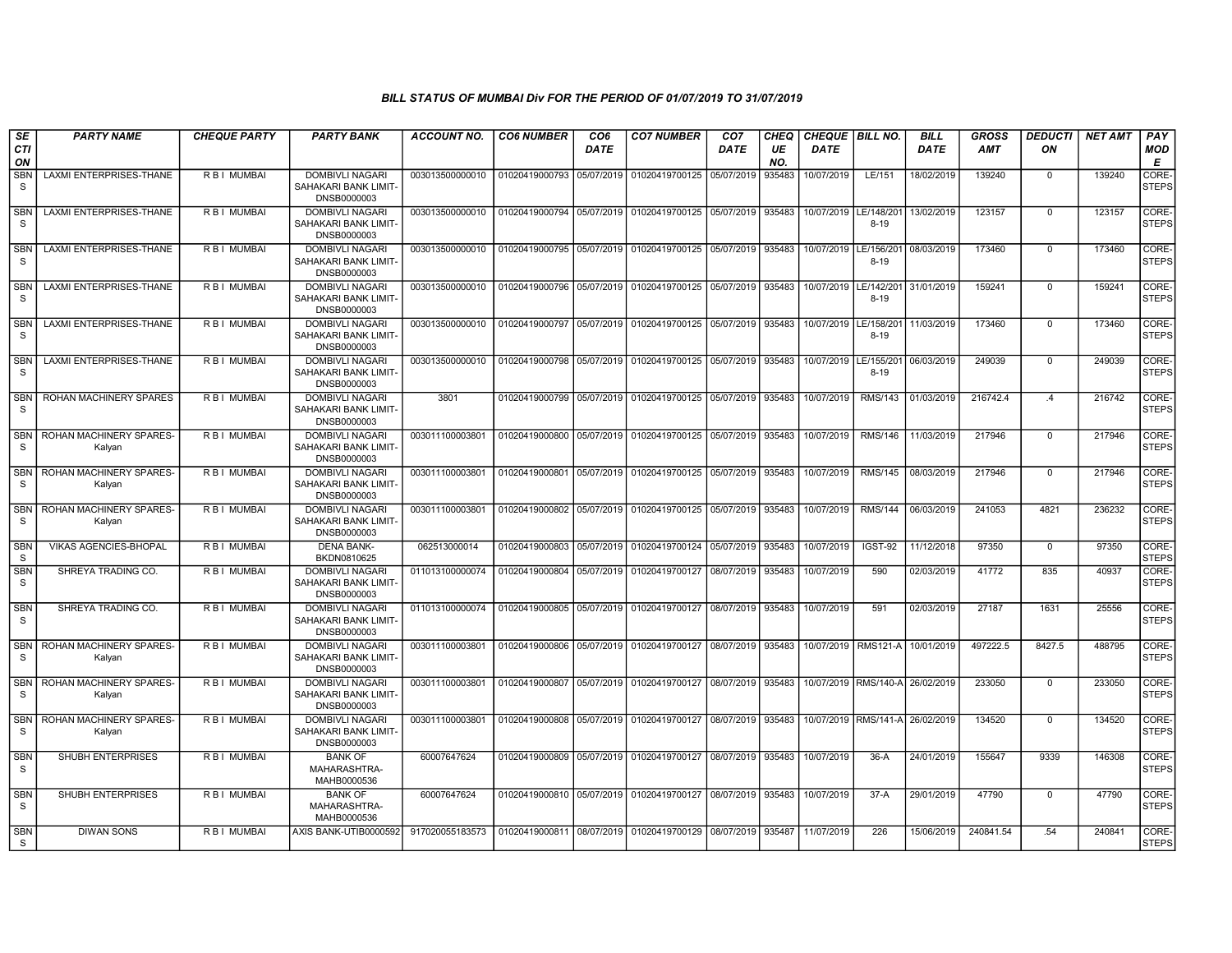| SE                         | <b>PARTY NAME</b>                 | <b>CHEQUE PARTY</b> | <b>PARTY BANK</b>                                             | ACCOUNT NO.     | <b>CO6 NUMBER</b>         | CO6         | <b>CO7 NUMBER</b>                                   | CO7         | <b>CHEQ</b> | <b>CHEQUE   BILL NO.</b> |                                 | <b>BILL</b> | <b>GROSS</b> | <b>DEDUCTI</b> | NET AMT | <b>PAY</b>                  |
|----------------------------|-----------------------------------|---------------------|---------------------------------------------------------------|-----------------|---------------------------|-------------|-----------------------------------------------------|-------------|-------------|--------------------------|---------------------------------|-------------|--------------|----------------|---------|-----------------------------|
| CTI<br>ON                  |                                   |                     |                                                               |                 |                           | <b>DATE</b> |                                                     | <b>DATE</b> | UE<br>NO.   | <b>DATE</b>              |                                 | <b>DATE</b> | <b>AMT</b>   | ON             |         | MOD<br>Е                    |
| <b>SBN</b><br>S            | <b>LAXMI ENTERPRISES-THANE</b>    | R B I MUMBAI        | <b>DOMBIVLI NAGARI</b><br>SAHAKARI BANK LIMIT-<br>DNSB0000003 | 003013500000010 | 01020419000793 05/07/2019 |             | 01020419700125                                      | 05/07/2019  | 935483      | 10/07/2019               | LE/151                          | 18/02/2019  | 139240       | $\mathbf{0}$   | 139240  | CORE-<br><b>STEPS</b>       |
| <b>SBN</b><br>S            | <b>LAXMI ENTERPRISES-THANE</b>    | R B I MUMBAI        | <b>DOMBIVLI NAGARI</b><br>SAHAKARI BANK LIMIT-<br>DNSB0000003 | 003013500000010 | 01020419000794 05/07/2019 |             | 01020419700125                                      | 05/07/2019  | 935483      | 10/07/2019               | E/148/201<br>$8 - 19$           | 13/02/2019  | 123157       | $\mathbf 0$    | 123157  | CORE-<br><b>STEPS</b>       |
| SBN<br>-S                  | <b>LAXMI ENTERPRISES-THANE</b>    | R B I MUMBAI        | <b>DOMBIVLI NAGARI</b><br>SAHAKARI BANK LIMIT-<br>DNSB0000003 | 003013500000010 | 01020419000795 05/07/2019 |             | 01020419700125                                      | 05/07/2019  | 935483      | 10/07/2019               | E/156/201<br>$8 - 19$           | 08/03/2019  | 173460       | $\mathbf 0$    | 173460  | CORE-<br><b>STEPS</b>       |
| <b>SBN</b><br>S.           | <b>LAXMI ENTERPRISES-THANE</b>    | R B I MUMBAI        | <b>DOMBIVLI NAGARI</b><br>SAHAKARI BANK LIMIT-<br>DNSB0000003 | 003013500000010 | 01020419000796            | 05/07/2019  | 01020419700125                                      | 05/07/2019  | 935483      | 10/07/2019               | LE/142/201<br>$8 - 19$          | 31/01/2019  | 159241       | $\mathbf{0}$   | 159241  | CORE-<br><b>STEPS</b>       |
| <b>SBN</b><br>S.           | <b>LAXMI ENTERPRISES-THANE</b>    | <b>RBI MUMBAI</b>   | <b>DOMBIVLI NAGARI</b><br>SAHAKARI BANK LIMIT-<br>DNSB0000003 | 003013500000010 | 01020419000797 05/07/2019 |             | 01020419700125                                      | 05/07/2019  | 935483      | 10/07/2019               | LE/158/201<br>$8 - 19$          | 11/03/2019  | 173460       | $\mathbf{0}$   | 173460  | CORE-<br><b>STEPS</b>       |
| SBN<br>-S                  | LAXMI ENTERPRISES-THANE           | R B I MUMBAI        | <b>DOMBIVLI NAGARI</b><br>SAHAKARI BANK LIMIT-<br>DNSB0000003 | 003013500000010 |                           |             | 01020419000798 05/07/2019 01020419700125 05/07/2019 |             | 935483      | 10/07/2019               | LE/155/201<br>$8 - 19$          | 06/03/2019  | 249039       | $\mathbf 0$    | 249039  | <b>CORE</b><br><b>STEPS</b> |
| <b>SBN</b><br>S.           | <b>ROHAN MACHINERY SPARES</b>     | R B I MUMBAI        | <b>DOMBIVLI NAGARI</b><br>SAHAKARI BANK LIMIT-<br>DNSB0000003 | 3801            |                           |             | 01020419000799 05/07/2019 01020419700125 05/07/2019 |             | 935483      | 10/07/2019               | RMS/143                         | 01/03/2019  | 216742.4     | .4             | 216742  | CORE-<br><b>STEPS</b>       |
| <b>SBN</b><br>-S           | ROHAN MACHINERY SPARES-<br>Kalyan | R B I MUMBAI        | <b>DOMBIVLI NAGARI</b><br>SAHAKARI BANK LIMIT-<br>DNSB0000003 | 003011100003801 |                           |             | 01020419000800 05/07/2019 01020419700125 05/07/2019 |             | 935483      | 10/07/2019               | <b>RMS/146</b>                  | 11/03/2019  | 217946       | $\Omega$       | 217946  | CORE-<br><b>STEPS</b>       |
| <b>SBN</b><br>S.           | ROHAN MACHINERY SPARES-<br>Kalyan | R B I MUMBAI        | <b>DOMBIVLI NAGARI</b><br>SAHAKARI BANK LIMIT-<br>DNSB0000003 | 003011100003801 | 01020419000801            |             | 05/07/2019 01020419700125                           | 05/07/2019  | 935483      | 10/07/2019               | <b>RMS/145</b>                  | 08/03/2019  | 217946       | $\Omega$       | 217946  | CORE-<br><b>STEPS</b>       |
| <b>SBN</b><br><sub>S</sub> | ROHAN MACHINERY SPARES-<br>Kalyan | R B I MUMBAI        | <b>DOMBIVLI NAGARI</b><br>SAHAKARI BANK LIMIT-<br>DNSB0000003 | 003011100003801 | 01020419000802 05/07/2019 |             | 01020419700125 05/07/2019                           |             | 935483      | 10/07/2019               | <b>RMS/144</b>                  | 06/03/2019  | 241053       | 4821           | 236232  | CORE-<br><b>STEPS</b>       |
| <b>SBN</b><br><sub>S</sub> | VIKAS AGENCIES-BHOPAL             | R B I MUMBAI        | <b>DENA BANK-</b><br>BKDN0810625                              | 062513000014    | 01020419000803            | 05/07/2019  | 01020419700124                                      | 05/07/2019  | 935483      | 10/07/2019               | IGST-92                         | 11/12/2018  | 97350        | $\mathbf{0}$   | 97350   | CORE-<br><b>STEPS</b>       |
| <b>SBN</b><br><sub>S</sub> | SHREYA TRADING CO.                | R B I MUMBAI        | <b>DOMBIVLI NAGARI</b><br>SAHAKARI BANK LIMIT-<br>DNSB0000003 | 011013100000074 |                           |             | 01020419000804 05/07/2019 01020419700127            | 08/07/2019  | 935483      | 10/07/2019               | 590                             | 02/03/2019  | 41772        | 835            | 40937   | CORE-<br><b>STEPS</b>       |
| <b>SBN</b><br>-S           | SHREYA TRADING CO.                | R B I MUMBAI        | <b>DOMBIVLI NAGARI</b><br>SAHAKARI BANK LIMIT-<br>DNSB0000003 | 011013100000074 |                           |             | 01020419000805 05/07/2019 01020419700127 08/07/2019 |             | 935483      | 10/07/2019               | 591                             | 02/03/2019  | 27187        | 1631           | 25556   | CORE-<br><b>STEPS</b>       |
| <b>SBN</b><br>S            | ROHAN MACHINERY SPARES-<br>Kalyan | R B I MUMBAI        | <b>DOMBIVLI NAGARI</b><br>SAHAKARI BANK LIMIT-<br>DNSB0000003 | 003011100003801 |                           |             | 01020419000806 05/07/2019 01020419700127            | 08/07/2019  | 935483      |                          | 10/07/2019 RMS121-A             | 10/01/2019  | 497222.5     | 8427.5         | 488795  | CORE-<br><b>STEPS</b>       |
| <b>SBN</b><br>S.           | ROHAN MACHINERY SPARES-<br>Kalyan | R B I MUMBAI        | <b>DOMBIVLI NAGARI</b><br>SAHAKARI BANK LIMIT-<br>DNSB0000003 | 003011100003801 | 01020419000807 05/07/2019 |             | 01020419700127 08/07/2019                           |             | 935483      |                          | 10/07/2019 RMS/140-A 26/02/2019 |             | 233050       | $\Omega$       | 233050  | CORE-<br><b>STEPS</b>       |
| <b>SBN</b><br><sub>S</sub> | ROHAN MACHINERY SPARES-<br>Kalyan | R B I MUMBAI        | DOMBIVLI NAGARI<br>SAHAKARI BANK LIMIT-<br>DNSB0000003        | 003011100003801 | 01020419000808            | 05/07/2019  | 01020419700127 08/07/2019                           |             | 935483      |                          | 10/07/2019 RMS/141-A 26/02/2019 |             | 134520       | $\overline{0}$ | 134520  | CORE-<br><b>STEPS</b>       |
| <b>SBN</b><br>S            | SHUBH ENTERPRISES                 | R B I MUMBAI        | <b>BANK OF</b><br>MAHARASHTRA-<br>MAHB0000536                 | 60007647624     | 01020419000809            |             | 05/07/2019 01020419700127 08/07/2019                |             | 935483      | 10/07/2019               | $36-A$                          | 24/01/2019  | 155647       | 9339           | 146308  | CORE-<br><b>STEPS</b>       |
| <b>SBN</b><br><b>S</b>     | SHUBH ENTERPRISES                 | R B I MUMBAI        | <b>BANK OF</b><br>MAHARASHTRA-<br>MAHB0000536                 | 60007647624     |                           |             | 01020419000810 05/07/2019 01020419700127            | 08/07/2019  | 935483      | 10/07/2019               | $37-A$                          | 29/01/2019  | 47790        | $\mathbf{0}$   | 47790   | CORE-<br><b>STEPS</b>       |
| <b>SBN</b><br>-S           | <b>DIWAN SONS</b>                 | R B I MUMBAI        | AXIS BANK-UTIB0000592                                         | 917020055183573 |                           |             | 01020419000811 08/07/2019 01020419700129            | 08/07/2019  | 935487      | 11/07/2019               | 226                             | 15/06/2019  | 240841.54    | .54            | 240841  | CORE-<br>STEPS              |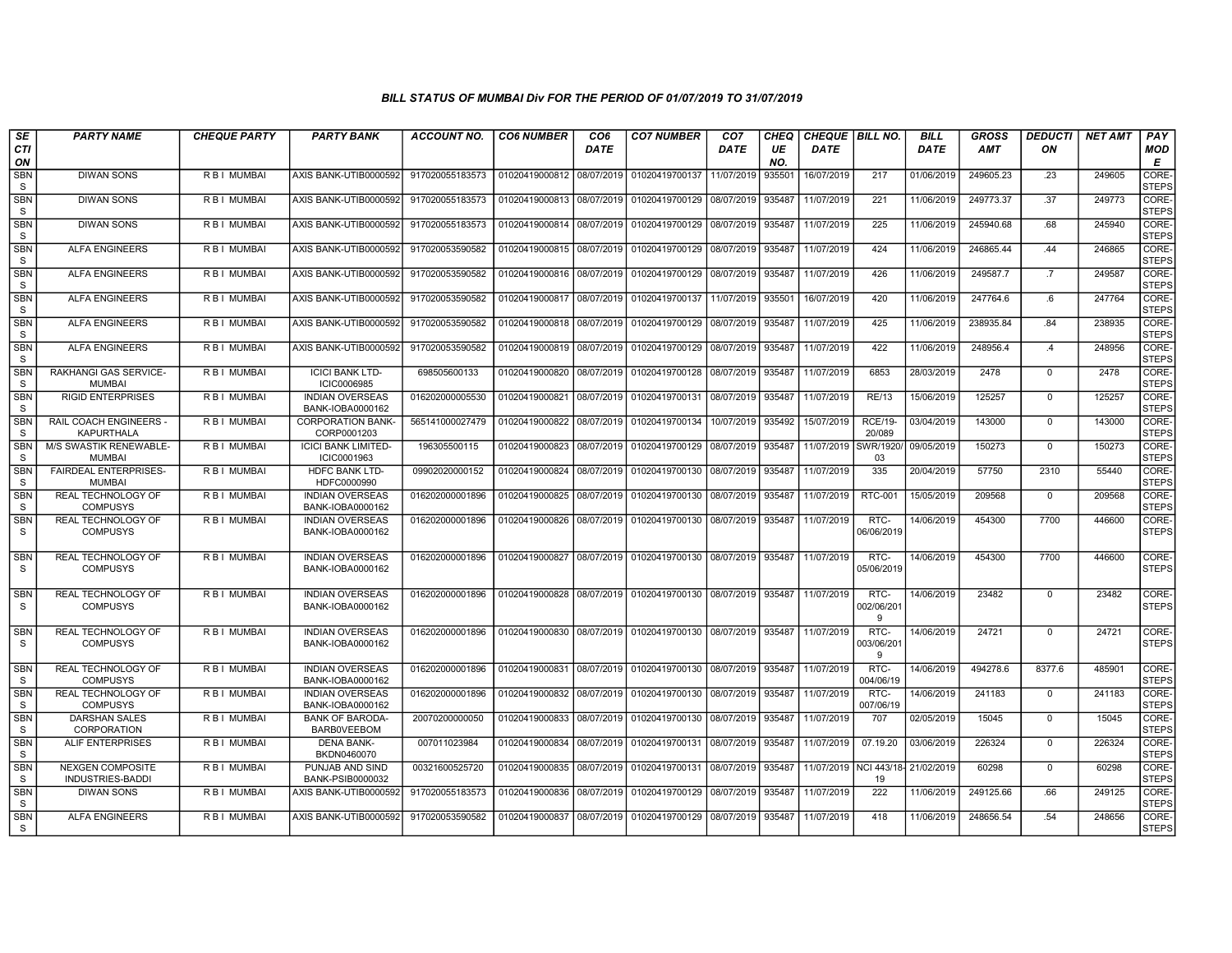| SE                         | <b>PARTY NAME</b>                                  | <b>CHEQUE PARTY</b> | <b>PARTY BANK</b>                            | ACCOUNT NO.     | <b>CO6 NUMBER</b>         | CO <sub>6</sub> | <b>CO7 NUMBER</b>                           | CO <sub>7</sub> | CHEQ      | CHEQUE   BILL NO.     |                          | <b>BILL</b> | <b>GROSS</b> | <i><b>DEDUCTI</b></i> | <b>NET AMT</b> | <b>PAY</b>                  |
|----------------------------|----------------------------------------------------|---------------------|----------------------------------------------|-----------------|---------------------------|-----------------|---------------------------------------------|-----------------|-----------|-----------------------|--------------------------|-------------|--------------|-----------------------|----------------|-----------------------------|
| <b>CTI</b><br>ON           |                                                    |                     |                                              |                 |                           | <b>DATE</b>     |                                             | <b>DATE</b>     | UE<br>NO. | <b>DATE</b>           |                          | <b>DATE</b> | <b>AMT</b>   | ON                    |                | <b>MOD</b><br>Е             |
| <b>SBN</b><br>S            | <b>DIWAN SONS</b>                                  | R B I MUMBAI        | AXIS BANK-UTIB0000592                        | 917020055183573 | 01020419000812            | 08/07/2019      | 01020419700137                              | 11/07/2019      | 935501    | 16/07/2019            | 217                      | 01/06/2019  | 249605.23    | .23                   | 249605         | CORE<br><b>STEPS</b>        |
| SBN<br>S                   | <b>DIWAN SONS</b>                                  | <b>RBI MUMBAI</b>   | AXIS BANK-UTIB0000592                        | 917020055183573 | 01020419000813            | 08/07/2019      | 01020419700129                              | 08/07/2019      | 935487    | 11/07/2019            | 221                      | 11/06/2019  | 249773.37    | .37                   | 249773         | CORE-<br><b>STEPS</b>       |
| SBN<br>S                   | <b>DIWAN SONS</b>                                  | R B I MUMBAI        | AXIS BANK-UTIB0000592                        | 917020055183573 | 01020419000814 08/07/2019 |                 | 01020419700129 08/07/2019                   |                 | 935487    | 11/07/2019            | 225                      | 11/06/2019  | 245940.68    | .68                   | 245940         | CORE-<br><b>STEPS</b>       |
| <b>SBN</b><br>S            | <b>ALFA ENGINEERS</b>                              | <b>RBI MUMBAI</b>   | AXIS BANK-UTIB0000592                        | 917020053590582 | 01020419000815            | 08/07/2019      | 01020419700129                              | 08/07/2019      | 935487    | 11/07/2019            | 424                      | 11/06/2019  | 246865.44    | .44                   | 246865         | CORE-<br><b>STEPS</b>       |
| <b>SBN</b><br>$\mathbf S$  | <b>ALFA ENGINEERS</b>                              | R B I MUMBAI        | AXIS BANK-UTIB0000592                        | 917020053590582 | 01020419000816            | 08/07/2019      | 01020419700129                              | 08/07/2019      | 935487    | 11/07/2019            | 426                      | 11/06/201   | 249587.7     | .7                    | 249587         | CORE-<br><b>STEPS</b>       |
| <b>SBN</b><br>S            | <b>ALFA ENGINEERS</b>                              | R B I MUMBAI        | AXIS BANK-UTIB0000592                        | 917020053590582 | 01020419000817            | 08/07/2019      | 01020419700137                              | 11/07/2019      | 935501    | 16/07/2019            | 420                      | 11/06/2019  | 247764.6     | .6                    | 247764         | CORE-<br><b>STEPS</b>       |
| <b>SBN</b><br>S            | <b>ALFA ENGINEERS</b>                              | R B I MUMBAI        | AXIS BANK-UTIB0000592                        | 917020053590582 | 01020419000818            | 08/07/2019      | 01020419700129                              | 08/07/2019      | 935487    | 11/07/2019            | 425                      | 11/06/2019  | 238935.84    | .84                   | 238935         | CORE-<br><b>STEPS</b>       |
| <b>SBN</b><br>S            | <b>ALFA ENGINEERS</b>                              | R B I MUMBAI        | AXIS BANK-UTIB0000592                        | 917020053590582 | 01020419000819            | 08/07/2019      | 01020419700129                              | 08/07/2019      | 935487    | 11/07/2019            | 422                      | 11/06/2019  | 248956.4     | .4                    | 248956         | CORE-<br><b>STEPS</b>       |
| <b>SBN</b><br>S            | <b>RAKHANGI GAS SERVICE-</b><br><b>MUMBAI</b>      | R B I MUMBAI        | <b>ICICI BANK LTD-</b><br>ICIC0006985        | 698505600133    | 01020419000820            | 08/07/2019      | 01020419700128                              | 08/07/2019      | 935487    | 11/07/2019            | 6853                     | 28/03/2019  | 2478         | $\mathbf{0}$          | 2478           | <b>CORE</b><br><b>STEPS</b> |
| <b>SBN</b><br>S            | <b>RIGID ENTERPRISES</b>                           | R B I MUMBAI        | <b>INDIAN OVERSEAS</b><br>BANK-IOBA0000162   | 016202000005530 | 01020419000821            | 08/07/2019      | 01020419700131                              | 08/07/2019      | 935487    | 11/07/2019            | <b>RE/13</b>             | 15/06/2019  | 125257       | $\mathbf 0$           | 125257         | <b>CORE</b><br><b>STEPS</b> |
| <b>SBN</b><br>S            | <b>RAIL COACH ENGINEERS -</b><br><b>KAPURTHALA</b> | <b>RBI MUMBAI</b>   | <b>CORPORATION BANK-</b><br>CORP0001203      | 565141000027479 | 01020419000822            | 08/07/2019      | 01020419700134                              | 10/07/2019      | 935492    | 15/07/2019            | <b>RCE/19-</b><br>20/089 | 03/04/2019  | 143000       | $\mathbf{0}$          | 143000         | <b>CORE</b><br><b>STEPS</b> |
| <b>SBN</b><br><b>S</b>     | M/S SWASTIK RENEWABLE-<br><b>MUMBAI</b>            | R B I MUMBAI        | <b>ICICI BANK LIMITED-</b><br>ICIC0001963    | 196305500115    | 01020419000823            | 08/07/2019      | 01020419700129                              | 08/07/2019      | 935487    | 11/07/2019            | SWR/1920<br>03           | 09/05/2019  | 150273       | $\mathbf 0$           | 150273         | CORE-<br><b>STEPS</b>       |
| <b>SBN</b><br>S            | <b>FAIRDEAL ENTERPRISES-</b><br><b>MUMBAI</b>      | R B I MUMBAI        | <b>HDFC BANK LTD-</b><br>HDFC0000990         | 09902020000152  | 01020419000824            | 08/07/2019      | 01020419700130 08/07/2019                   |                 | 935487    | 11/07/2019            | 335                      | 20/04/2019  | 57750        | 2310                  | 55440          | CORE-<br>STEPS              |
| <b>SBN</b><br>S            | <b>REAL TECHNOLOGY OF</b><br><b>COMPUSYS</b>       | R B I MUMBAI        | <b>INDIAN OVERSEAS</b><br>BANK-IOBA0000162   | 016202000001896 | 01020419000825            | 08/07/2019      | 01020419700130                              | 08/07/2019      | 935487    | 11/07/2019            | <b>RTC-001</b>           | 15/05/2019  | 209568       | $\mathbf{0}$          | 209568         | <b>CORE</b><br><b>STEPS</b> |
| <b>SBN</b><br>S            | REAL TECHNOLOGY OF<br><b>COMPUSYS</b>              | R B I MUMBAI        | <b>INDIAN OVERSEAS</b><br>BANK-IOBA0000162   | 016202000001896 | 01020419000826            | 08/07/2019      | 01020419700130 08/07/2019 935487            |                 |           | 11/07/2019            | RTC-<br>06/06/2019       | 14/06/2019  | 454300       | 7700                  | 446600         | CORE-<br>STEPS              |
| <b>SBN</b><br>S            | REAL TECHNOLOGY OF<br><b>COMPUSYS</b>              | <b>RBI MUMBAI</b>   | <b>INDIAN OVERSEAS</b><br>BANK-IOBA0000162   | 016202000001896 | 01020419000827            |                 | 08/07/2019 01020419700130 08/07/2019 935487 |                 |           | 11/07/2019            | RTC-<br>05/06/2019       | 14/06/2019  | 454300       | 7700                  | 446600         | CORE-<br><b>STEPS</b>       |
| <b>SBN</b><br>S            | <b>REAL TECHNOLOGY OF</b><br><b>COMPUSYS</b>       | <b>RBI MUMBAI</b>   | <b>INDIAN OVERSEAS</b><br>BANK-IOBA0000162   | 016202000001896 | 01020419000828            | 08/07/2019      | 01020419700130 08/07/2019 935487            |                 |           | 11/07/2019            | RTC-<br>002/06/201<br>9  | 14/06/2019  | 23482        | $\Omega$              | 23482          | CORE-<br><b>STEPS</b>       |
| SBN<br>S                   | <b>REAL TECHNOLOGY OF</b><br><b>COMPUSYS</b>       | <b>RBI MUMBAI</b>   | <b>INDIAN OVERSEAS</b><br>BANK-IOBA0000162   | 016202000001896 | 01020419000830            | 08/07/2019      | 01020419700130 08/07/2019                   |                 | 935487    | 11/07/2019            | RTC-<br>003/06/201<br>9  | 14/06/2019  | 24721        | $\Omega$              | 24721          | CORE-<br>STEPS              |
| <b>SBN</b><br><sub>S</sub> | <b>REAL TECHNOLOGY OF</b><br><b>COMPUSYS</b>       | <b>RBI MUMBAI</b>   | <b>INDIAN OVERSEAS</b><br>BANK-IOBA0000162   | 016202000001896 | 01020419000831 08/07/2019 |                 | 01020419700130 08/07/2019                   |                 | 935487    | 11/07/2019            | RTC-<br>004/06/19        | 14/06/2019  | 494278.6     | 8377.6                | 485901         | CORE-<br><b>STEPS</b>       |
| SBN<br>S                   | <b>REAL TECHNOLOGY OF</b><br><b>COMPUSYS</b>       | R B I MUMBAI        | <b>INDIAN OVERSEAS</b><br>BANK-IOBA0000162   | 016202000001896 | 01020419000832            | 08/07/2019      | 01020419700130                              | 08/07/2019      | 935487    | 11/07/2019            | RTC-<br>007/06/19        | 14/06/2019  | 241183       | $\mathbf{0}$          | 241183         | CORE-<br><b>STEPS</b>       |
| <b>SBN</b><br>s            | <b>DARSHAN SALES</b><br><b>CORPORATION</b>         | R B I MUMBAI        | <b>BANK OF BARODA-</b><br><b>BARBOVEEBOM</b> | 20070200000050  | 01020419000833            | 08/07/2019      | 01020419700130                              | 08/07/2019      | 935487    | 11/07/2019            | 707                      | 02/05/2019  | 15045        | $\mathbf{0}$          | 15045          | <b>CORE</b><br><b>STEPS</b> |
| <b>SBN</b><br>S            | <b>ALIF ENTERPRISES</b>                            | <b>RBI MUMBAI</b>   | <b>DENA BANK-</b><br>BKDN0460070             | 007011023984    | 01020419000834            | 08/07/2019      | 01020419700131                              | 08/07/2019      | 935487    | 11/07/2019            | 07.19.20                 | 03/06/2019  | 226324       | $\Omega$              | 226324         | CORE-<br><b>STEPS</b>       |
| <b>SBN</b><br>S            | <b>NEXGEN COMPOSITE</b><br><b>INDUSTRIES-BADDI</b> | R B I MUMBAI        | PUNJAB AND SIND<br>BANK-PSIB0000032          | 00321600525720  | 01020419000835            | 08/07/2019      | 01020419700131                              | 08/07/2019      | 935487    | 11/07/2019 NCI 443/18 | 19                       | 21/02/2019  | 60298        | $\mathbf{0}$          | 60298          | CORE-<br><b>STEPS</b>       |
| <b>SBN</b><br>S            | <b>DIWAN SONS</b>                                  | R B I MUMBAI        | AXIS BANK-UTIB0000592                        | 917020055183573 | 01020419000836            | 08/07/2019      | 01020419700129 08/07/2019 935487            |                 |           | 11/07/2019            | 222                      | 11/06/2019  | 249125.66    | .66                   | 249125         | CORE-<br><b>STEPS</b>       |
| <b>SBN</b><br>S            | <b>ALFA ENGINEERS</b>                              | R B I MUMBAI        | AXIS BANK-UTIB0000592                        | 917020053590582 | 01020419000837            | 08/07/2019      | 01020419700129 08/07/2019                   |                 | 935487    | 11/07/2019            | 418                      | 11/06/2019  | 248656.54    | .54                   | 248656         | CORE-<br><b>STEPS</b>       |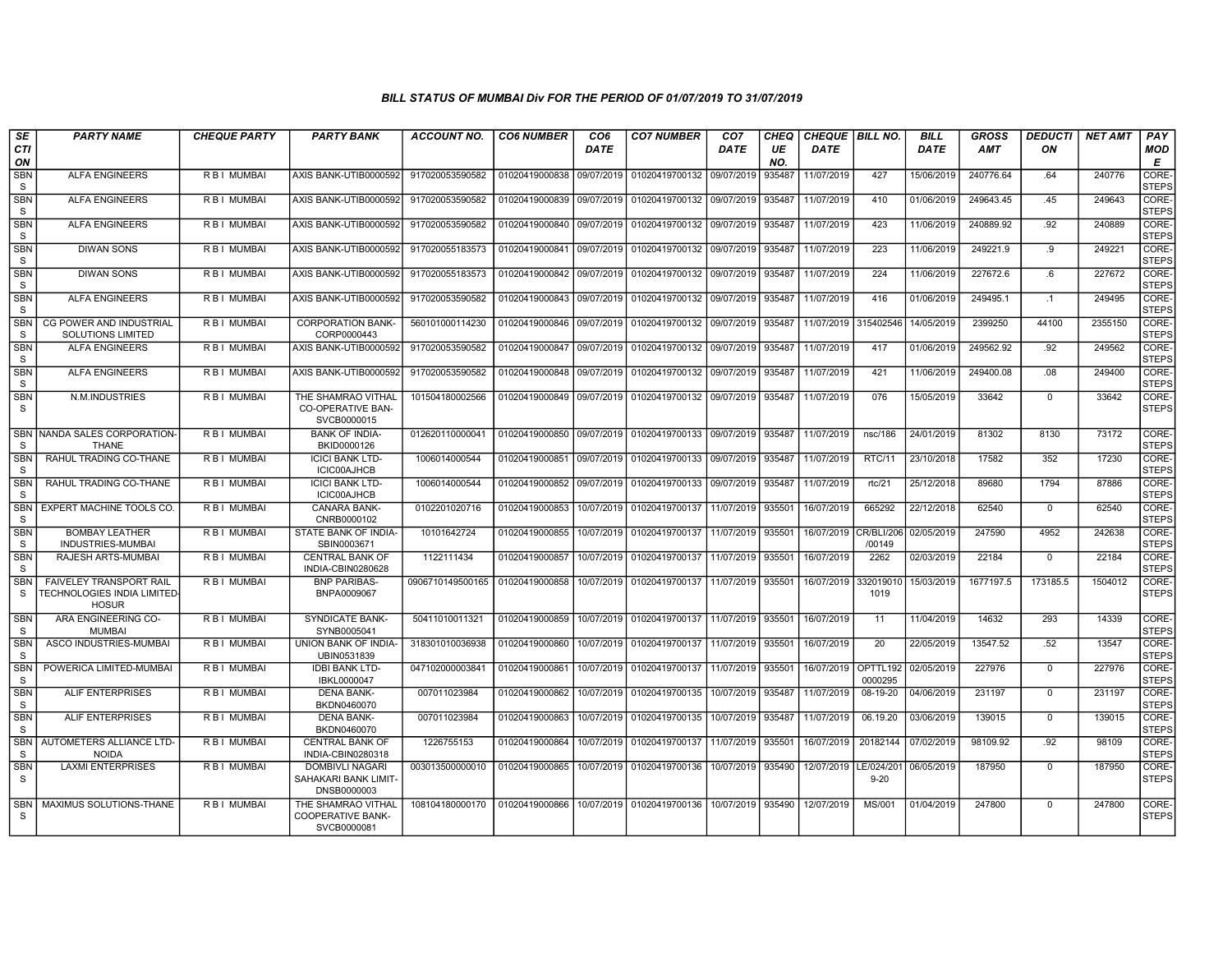| SE                         | <b>PARTY NAME</b>                                                      | <b>CHEQUE PARTY</b> | <b>PARTY BANK</b>                                             | ACCOUNT NO.      | <b>CO6 NUMBER</b> | CO <sub>6</sub> | <b>CO7 NUMBER</b>                           | CO <sub>7</sub> | CHEQ      | <b>CHEQUE   BILL NO.</b> |                      | <b>BILL</b> | GROSS      | DEDUCTI      | <b>NET AMT</b> | <b>PAY</b>            |
|----------------------------|------------------------------------------------------------------------|---------------------|---------------------------------------------------------------|------------------|-------------------|-----------------|---------------------------------------------|-----------------|-----------|--------------------------|----------------------|-------------|------------|--------------|----------------|-----------------------|
| <b>CTI</b><br>ON           |                                                                        |                     |                                                               |                  |                   | <b>DATE</b>     |                                             | <b>DATE</b>     | UE<br>NO. | <b>DATE</b>              |                      | <b>DATE</b> | <b>AMT</b> | ON           |                | MOD<br>Е              |
| <b>SBN</b><br>S            | <b>ALFA ENGINEERS</b>                                                  | <b>RBI MUMBAI</b>   | AXIS BANK-UTIB0000592                                         | 917020053590582  | 01020419000838    | 09/07/2019      | 01020419700132                              | 09/07/2019      | 935487    | 11/07/2019               | 427                  | 15/06/2019  | 240776.64  | .64          | 240776         | CORE-<br><b>STEPS</b> |
| <b>SBN</b><br>S            | <b>ALFA ENGINEERS</b>                                                  | R B I MUMBAI        | AXIS BANK-UTIB0000592                                         | 917020053590582  | 01020419000839    | 09/07/2019      | 01020419700132 09/07/2019                   |                 | 935487    | 11/07/2019               | 410                  | 01/06/2019  | 249643.45  | .45          | 249643         | CORE-<br><b>STEPS</b> |
| <b>SBN</b><br>S            | <b>ALFA ENGINEERS</b>                                                  | <b>RBI MUMBAI</b>   | AXIS BANK-UTIB0000592                                         | 917020053590582  | 01020419000840    | 09/07/2019      | 01020419700132                              | 09/07/2019      | 935487    | 11/07/2019               | 423                  | 11/06/2019  | 240889.92  | .92          | 240889         | CORE-<br><b>STEPS</b> |
| <b>SBN</b><br>S            | <b>DIWAN SONS</b>                                                      | R B I MUMBAI        | AXIS BANK-UTIB0000592                                         | 917020055183573  | 01020419000841    | 09/07/2019      | 01020419700132                              | 09/07/2019      | 935487    | 11/07/2019               | 223                  | 11/06/2019  | 249221.9   | .9           | 249221         | CORE-<br><b>STEPS</b> |
| <b>SBN</b><br>S            | <b>DIWAN SONS</b>                                                      | <b>RBI MUMBAI</b>   | AXIS BANK-UTIB0000592                                         | 917020055183573  | 01020419000842    | 09/07/2019      | 01020419700132                              | 09/07/2019      | 935487    | 11/07/2019               | 224                  | 11/06/2019  | 227672.6   | .6           | 227672         | CORE-<br><b>STEPS</b> |
| <b>SBN</b><br>S            | <b>ALFA ENGINEERS</b>                                                  | R B I MUMBAI        | AXIS BANK-UTIB0000592                                         | 917020053590582  | 01020419000843    | 09/07/2019      | 01020419700132 09/07/2019                   |                 | 935487    | 11/07/2019               | 416                  | 01/06/2019  | 249495.1   | $\cdot$ 1    | 249495         | CORE-<br><b>STEPS</b> |
| SBN<br>S                   | CG POWER AND INDUSTRIAL<br><b>SOLUTIONS LIMITED</b>                    | R B I MUMBAI        | <b>CORPORATION BANK-</b><br>CORP0000443                       | 560101000114230  | 01020419000846    | 09/07/2019      | 01020419700132                              | 09/07/2019      | 935487    | 11/07/2019               | 315402546            | 14/05/2019  | 2399250    | 44100        | 2355150        | CORE-<br><b>STEPS</b> |
| <b>SBN</b><br>S            | <b>ALFA ENGINEERS</b>                                                  | <b>RBI MUMBAI</b>   | AXIS BANK-UTIB0000592                                         | 917020053590582  | 01020419000847    | 09/07/2019      | 01020419700132                              | 09/07/2019      | 935487    | 11/07/2019               | 417                  | 01/06/2019  | 249562.92  | .92          | 249562         | CORE-<br><b>STEPS</b> |
| <b>SBN</b><br>S            | <b>ALFA ENGINEERS</b>                                                  | <b>RBI MUMBAI</b>   | AXIS BANK-UTIB0000592                                         | 917020053590582  | 01020419000848    | 09/07/2019      | 01020419700132                              | 09/07/2019      | 935487    | 11/07/2019               | 421                  | 11/06/2019  | 249400.08  | .08          | 249400         | CORE-<br><b>STEPS</b> |
| <b>SBN</b><br>S            | N.M.INDUSTRIES                                                         | R B I MUMBAI        | THE SHAMRAO VITHAL<br><b>CO-OPERATIVE BAN-</b><br>SVCB0000015 | 101504180002566  | 01020419000849    | 09/07/2019      | 01020419700132 09/07/2019                   |                 | 935487    | 11/07/2019               | 076                  | 15/05/2019  | 33642      | $\mathbf{0}$ | 33642          | CORE-<br><b>STEPS</b> |
| <b>SBN</b><br>S            | NANDA SALES CORPORATION-<br><b>THANE</b>                               | <b>RBI MUMBAI</b>   | <b>BANK OF INDIA-</b><br>BKID0000126                          | 01262011000004   | 01020419000850    | 09/07/2019      | 01020419700133                              | 09/07/2019      | 935487    | 11/07/2019               | nsc/186              | 24/01/2019  | 81302      | 8130         | 73172          | CORE-<br><b>STEPS</b> |
| <b>SBN</b><br><sub>S</sub> | RAHUL TRADING CO-THANE                                                 | <b>RBI MUMBAI</b>   | <b>ICICI BANK LTD-</b><br>ICIC00AJHCB                         | 1006014000544    | 01020419000851    | 09/07/2019      | 01020419700133                              | 09/07/2019      | 935487    | 11/07/2019               | <b>RTC/11</b>        | 23/10/2018  | 17582      | 352          | 17230          | CORE-<br><b>STEPS</b> |
| SBN<br><b>S</b>            | RAHUL TRADING CO-THANE                                                 | R B I MUMBAI        | <b>ICICI BANK LTD-</b><br><b>ICIC00AJHCB</b>                  | 1006014000544    | 01020419000852    | 09/07/2019      | 01020419700133                              | 09/07/2019      | 935487    | 11/07/2019               | rtc/21               | 25/12/2018  | 89680      | 1794         | 87886          | CORE-<br><b>STEPS</b> |
| <b>SBN</b><br>S            | EXPERT MACHINE TOOLS CO.                                               | R B I MUMBAI        | <b>CANARA BANK-</b><br>CNRB0000102                            | 0102201020716    | 01020419000853    | 10/07/2019      | 01020419700137                              | 11/07/2019      | 935501    | 16/07/2019               | 665292               | 22/12/2018  | 62540      | $\mathbf{0}$ | 62540          | CORE-<br><b>STEPS</b> |
| <b>SBN</b><br>S            | <b>BOMBAY LEATHER</b><br>INDUSTRIES-MUMBAI                             | <b>RBI MUMBAI</b>   | STATE BANK OF INDIA-<br>SBIN0003671                           | 10101642724      | 01020419000855    | 10/07/2019      | 01020419700137                              | 11/07/2019      | 935501    | 16/07/2019               | CR/BLI/206<br>/00149 | 02/05/2019  | 247590     | 4952         | 242638         | CORE-<br><b>STEPS</b> |
| <b>SBN</b><br>S            | RAJESH ARTS-MUMBAI                                                     | R B I MUMBAI        | <b>CENTRAL BANK OF</b><br>INDIA-CBIN0280628                   | 1122111434       | 01020419000857    | 10/07/2019      | 01020419700137                              | 11/07/2019      | 935501    | 16/07/2019               | 2262                 | 02/03/2019  | 22184      | $\mathbf 0$  | 22184          | CORE-<br><b>STEPS</b> |
| <b>SBN</b><br>-S           | FAIVELEY TRANSPORT RAIL<br>TECHNOLOGIES INDIA LIMITED-<br><b>HOSUR</b> | R B I MUMBAI        | <b>BNP PARIBAS-</b><br>BNPA0009067                            | 0906710149500165 | 01020419000858    | 10/07/2019      | 01020419700137                              | 11/07/2019      | 935501    | 16/07/2019               | 332019010<br>1019    | 15/03/2019  | 1677197.5  | 173185.5     | 1504012        | CORE-<br><b>STEPS</b> |
| <b>SBN</b><br>S            | ARA ENGINEERING CO-<br><b>MUMBAI</b>                                   | <b>RBI MUMBAI</b>   | <b>SYNDICATE BANK-</b><br>SYNB0005041                         | 50411010011321   | 01020419000859    | 10/07/2019      | 01020419700137                              | 11/07/2019      | 935501    | 16/07/2019               | 11                   | 11/04/2019  | 14632      | 293          | 14339          | CORE-<br><b>STEPS</b> |
| <b>SBN</b><br>S            | ASCO INDUSTRIES-MUMBAI                                                 | R B I MUMBAI        | UNION BANK OF INDIA-<br>UBIN0531839                           | 318301010036938  | 01020419000860    | 10/07/2019      | 01020419700137                              | 11/07/2019      | 935501    | 16/07/2019               | 20                   | 22/05/2019  | 13547.52   | .52          | 13547          | CORE-<br><b>STEPS</b> |
| <b>SBN</b><br>S            | POWERICA LIMITED-MUMBAI                                                | R B I MUMBAI        | <b>IDBI BANK LTD-</b><br>IBKL0000047                          | 047102000003841  | 01020419000861    | 10/07/2019      | 01020419700137                              | 11/07/2019      | 935501    | 16/07/2019               | OPTTL192<br>0000295  | 02/05/2019  | 227976     | $\mathbf 0$  | 227976         | CORE-<br><b>STEPS</b> |
| <b>SBN</b><br>S            | <b>ALIF ENTERPRISES</b>                                                | R B I MUMBAI        | DENA BANK-<br>BKDN0460070                                     | 007011023984     | 01020419000862    | 10/07/2019      | 01020419700135                              | 10/07/2019      | 935487    | 11/07/2019               | 08-19-20             | 04/06/2019  | 231197     | $\mathbf 0$  | 231197         | CORE-<br><b>STEPS</b> |
| <b>SBN</b><br>S            | <b>ALIF ENTERPRISES</b>                                                | R B I MUMBAI        | <b>DENA BANK-</b><br>BKDN0460070                              | 007011023984     | 01020419000863    | 10/07/2019      | 01020419700135                              | 10/07/2019      | 935487    | 11/07/2019               | 06.19.20             | 03/06/2019  | 139015     | $\mathbf 0$  | 139015         | CORE-<br><b>STEPS</b> |
| <b>SBN</b><br><sub>S</sub> | AUTOMETERS ALLIANCE LTD-<br><b>NOIDA</b>                               | RBI MUMBAI          | <b>CENTRAL BANK OF</b><br>INDIA-CBIN0280318                   | 1226755153       | 01020419000864    | 10/07/2019      | 01020419700137                              | 11/07/2019      | 935501    | 16/07/2019               | 20182144             | 07/02/2019  | 98109.92   | .92          | 98109          | CORE-<br><b>STEPS</b> |
| SBN<br>S                   | <b>LAXMI ENTERPRISES</b>                                               | R B I MUMBAI        | <b>DOMBIVLI NAGARI</b><br>SAHAKARI BANK LIMIT-<br>DNSB0000003 | 003013500000010  | 01020419000865    | 10/07/2019      | 01020419700136                              | 10/07/2019      | 935490    | 12/07/2019   LE/024/201  | $9 - 20$             | 06/05/2019  | 187950     | $\mathbf{0}$ | 187950         | CORE-<br><b>STEPS</b> |
| <b>SBN</b><br>- S          | MAXIMUS SOLUTIONS-THANE                                                | R B I MUMBAI        | THE SHAMRAO VITHAL<br><b>COOPERATIVE BANK-</b><br>SVCB0000081 | 108104180000170  | 01020419000866    |                 | 10/07/2019 01020419700136 10/07/2019 935490 |                 |           | 12/07/2019               | MS/001               | 01/04/2019  | 247800     | $\mathbf{0}$ | 247800         | CORE-<br><b>STEPS</b> |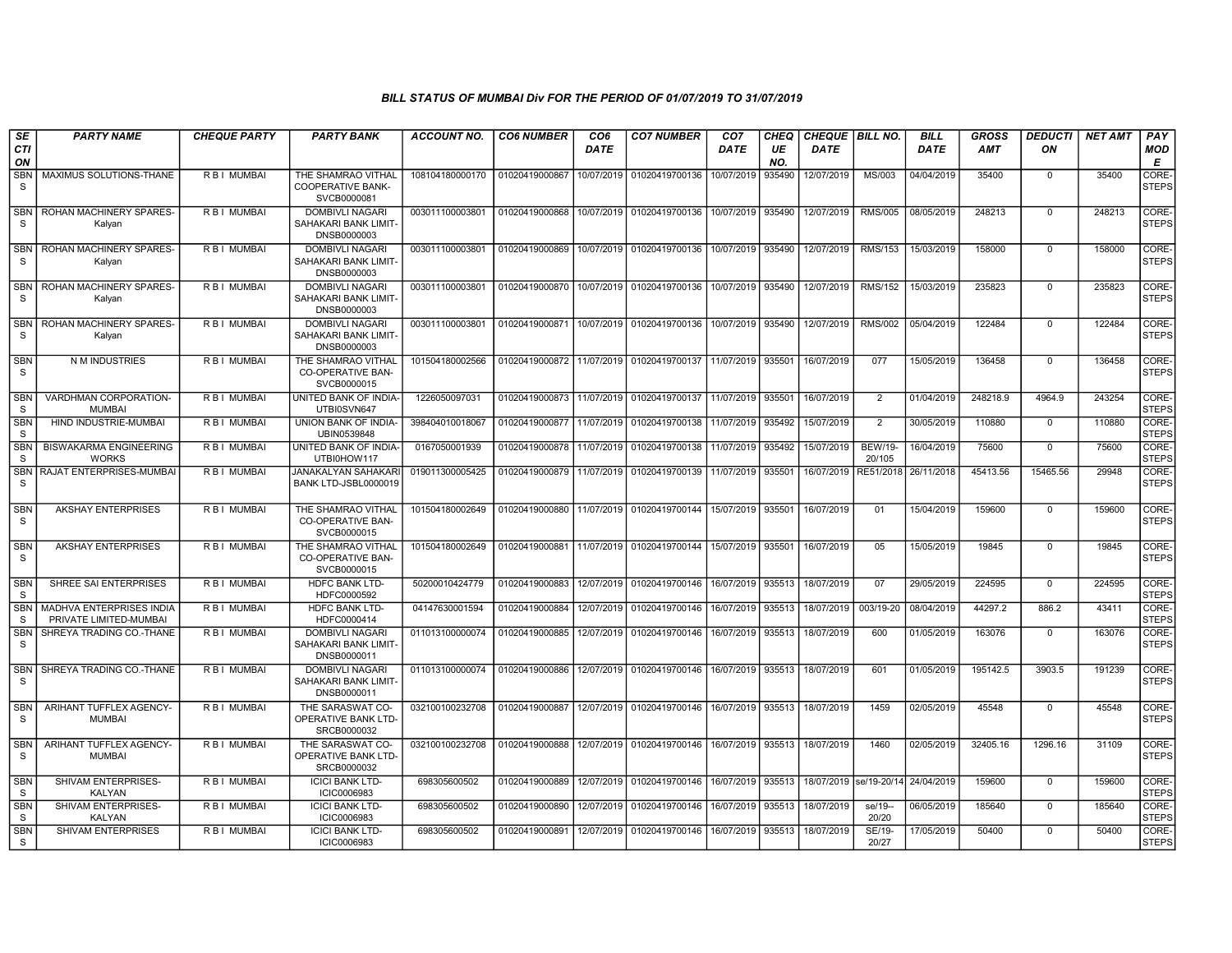| SE                         | <b>PARTY NAME</b>                                  | <b>CHEQUE PARTY</b> | <b>PARTY BANK</b>                                             | <b>ACCOUNT NO.</b> | <b>CO6 NUMBER</b>         | CO6         | <b>CO7 NUMBER</b>         | CO7               | CHEQ      | <b>CHEQUE BILL NO.</b> |                          | <b>BILL</b> | <b>GROSS</b> | <i><b>DEDUCTI</b></i> | NET AMT | <b>PAY</b>            |
|----------------------------|----------------------------------------------------|---------------------|---------------------------------------------------------------|--------------------|---------------------------|-------------|---------------------------|-------------------|-----------|------------------------|--------------------------|-------------|--------------|-----------------------|---------|-----------------------|
| CTI<br>ON                  |                                                    |                     |                                                               |                    |                           | <b>DATE</b> |                           | DATE              | UE<br>NO. | DATE                   |                          | <b>DATE</b> | <b>AMT</b>   | ON                    |         | MOD<br>Е              |
| <b>SBN</b><br>S            | MAXIMUS SOLUTIONS-THANE                            | R B I MUMBAI        | THE SHAMRAO VITHAL<br><b>COOPERATIVE BANK-</b><br>SVCB0000081 | 108104180000170    | 01020419000867            | 10/07/2019  | 01020419700136            | 10/07/2019        | 935490    | 12/07/2019             | MS/003                   | 04/04/2019  | 35400        | $\Omega$              | 35400   | CORE-<br><b>STEPS</b> |
| <b>SBN</b><br>S            | ROHAN MACHINERY SPARES<br>Kalyan                   | R B I MUMBAI        | <b>DOMBIVLI NAGARI</b><br>SAHAKARI BANK LIMIT-<br>DNSB0000003 | 003011100003801    | 01020419000868            | 10/07/2019  | 01020419700136            | 10/07/2019        | 935490    | 12/07/2019             | <b>RMS/005</b>           | 08/05/2019  | 248213       | $\Omega$              | 248213  | CORE-<br><b>STEPS</b> |
| <b>SBN</b><br>S.           | ROHAN MACHINERY SPARES-<br>Kalyan                  | R B I MUMBAI        | <b>DOMBIVLI NAGARI</b><br>SAHAKARI BANK LIMIT-<br>DNSB0000003 | 003011100003801    | 01020419000869            | 10/07/2019  | 01020419700136            | 10/07/2019        | 935490    | 12/07/2019             | <b>RMS/153</b>           | 15/03/2019  | 158000       | $\Omega$              | 158000  | CORE-<br><b>STEPS</b> |
| <b>SBN</b><br>S            | ROHAN MACHINERY SPARES<br>Kalyan                   | R B I MUMBAI        | <b>DOMBIVLI NAGARI</b><br>SAHAKARI BANK LIMIT-<br>DNSB0000003 | 003011100003801    | 01020419000870            |             | 10/07/2019 01020419700136 | 10/07/2019        | 935490    | 12/07/2019             | <b>RMS/152</b>           | 15/03/2019  | 235823       | $\Omega$              | 235823  | CORE-<br><b>STEPS</b> |
| <b>SBN</b><br>S            | ROHAN MACHINERY SPARES-<br>Kalyan                  | R B I MUMBAI        | <b>DOMBIVLI NAGARI</b><br>SAHAKARI BANK LIMIT-<br>DNSB0000003 | 003011100003801    | 01020419000871            |             | 10/07/2019 01020419700136 | 10/07/2019        | 935490    | 12/07/2019             | <b>RMS/002</b>           | 05/04/2019  | 122484       | $\Omega$              | 122484  | CORE-<br><b>STEPS</b> |
| <b>SBN</b><br><sub>S</sub> | N M INDUSTRIES                                     | R B I MUMBAI        | THE SHAMRAO VITHAL<br><b>CO-OPERATIVE BAN-</b><br>SVCB0000015 | 101504180002566    | 01020419000872            |             | 11/07/2019 01020419700137 | 11/07/2019        | 935501    | 16/07/2019             | 077                      | 15/05/2019  | 136458       | $\Omega$              | 136458  | CORE-<br><b>STEPS</b> |
| <b>SBN</b><br>S            | VARDHMAN CORPORATION-<br><b>MUMBAI</b>             | R B I MUMBAI        | UNITED BANK OF INDIA-<br>UTBI0SVN647                          | 1226050097031      | 01020419000873 11/07/2019 |             | 01020419700137            | 11/07/2019        | 935501    | 16/07/2019             | 2                        | 01/04/2019  | 248218.9     | 4964.9                | 243254  | CORE-<br><b>STEPS</b> |
| SBN<br><sub>S</sub>        | HIND INDUSTRIE-MUMBAI                              | R B I MUMBAI        | UNION BANK OF INDIA-<br>UBIN0539848                           | 398404010018067    | 01020419000877            | 11/07/2019  | 01020419700138            | 11/07/2019        | 935492    | 15/07/2019             | $\overline{2}$           | 30/05/2019  | 110880       | $\mathbf 0$           | 110880  | CORE-<br><b>STEPS</b> |
| <b>SBN</b><br><sub>S</sub> | <b>BISWAKARMA ENGINEERING</b><br><b>WORKS</b>      | R B I MUMBAI        | UNITED BANK OF INDIA-<br>UTBI0HOW117                          | 0167050001939      | 01020419000878            | 11/07/2019  | 01020419700138            | 11/07/2019        | 935492    | 15/07/2019             | <b>BEW/19-</b><br>20/105 | 16/04/2019  | 75600        | $\Omega$              | 75600   | CORE-<br><b>STEPS</b> |
| <b>SBN</b><br><sub>S</sub> | RAJAT ENTERPRISES-MUMBAI                           | R B I MUMBAI        | <b>JANAKALYAN SAHAKARI</b><br>BANK LTD-JSBL0000019            | 019011300005425    | 01020419000879            | 11/07/2019  | 01020419700139            | 11/07/2019        | 935501    | 16/07/2019             | RE51/2018                | 26/11/2018  | 45413.56     | 15465.56              | 29948   | CORE-<br><b>STEPS</b> |
| SBN<br>S                   | <b>AKSHAY ENTERPRISES</b>                          | R B I MUMBAI        | THE SHAMRAO VITHAL<br>CO-OPERATIVE BAN-<br>SVCB0000015        | 101504180002649    | 01020419000880            | 11/07/2019  | 01020419700144            | 15/07/2019        | 935501    | 16/07/2019             | 01                       | 15/04/2019  | 159600       | $\Omega$              | 159600  | CORE-<br><b>STEPS</b> |
| <b>SBN</b><br>S            | <b>AKSHAY ENTERPRISES</b>                          | R B I MUMBAI        | THE SHAMRAO VITHAL<br><b>CO-OPERATIVE BAN-</b><br>SVCB0000015 | 101504180002649    | 01020419000881            |             | 11/07/2019 01020419700144 | 15/07/2019        | 935501    | 16/07/2019             | 0 <sub>5</sub>           | 15/05/2019  | 19845        | $\Omega$              | 19845   | CORE-<br><b>STEPS</b> |
| <b>SBN</b><br>S            | SHREE SAI ENTERPRISES                              | R B I MUMBAI        | <b>HDFC BANK LTD-</b><br>HDFC0000592                          | 50200010424779     | 01020419000883            | 12/07/2019  | 01020419700146            | 16/07/2019        | 935513    | 18/07/2019             | 07                       | 29/05/2019  | 224595       | $\mathbf{0}$          | 224595  | CORE-<br><b>STEPS</b> |
| <b>SBN</b><br>-S           | MADHVA ENTERPRISES INDIA<br>PRIVATE LIMITED-MUMBAI | R B I MUMBAI        | HDFC BANK LTD-<br>HDFC0000414                                 | 04147630001594     | 01020419000884            | 12/07/2019  | 01020419700146            | 16/07/2019        | 935513    | 18/07/2019             | 003/19-20                | 08/04/2019  | 44297.2      | 886.2                 | 43411   | CORE-<br><b>STEPS</b> |
| <b>SBN</b><br>S            | SHREYA TRADING CO.-THANE                           | R B I MUMBAI        | <b>DOMBIVLI NAGARI</b><br>SAHAKARI BANK LIMIT-<br>DNSB0000011 | 011013100000074    | 01020419000885            | 12/07/2019  | 01020419700146            | 16/07/2019        | 935513    | 18/07/2019             | 600                      | 01/05/2019  | 163076       | $\mathbf{0}$          | 163076  | CORE-<br><b>STEPS</b> |
| <b>SBN</b><br>S            | SHREYA TRADING CO.-THANE                           | R B I MUMBAI        | <b>DOMBIVLI NAGARI</b><br>SAHAKARI BANK LIMIT-<br>DNSB0000011 | 011013100000074    | 01020419000886            |             | 12/07/2019 01020419700146 | 16/07/2019        | 935513    | 18/07/2019             | 601                      | 01/05/2019  | 195142.5     | 3903.5                | 191239  | CORE-<br><b>STEPS</b> |
| <b>SBN</b><br>S            | ARIHANT TUFFLEX AGENCY-<br><b>MUMBAI</b>           | R B I MUMBAI        | THE SARASWAT CO-<br>OPERATIVE BANK LTD-<br>SRCB0000032        | 032100100232708    | 01020419000887            |             | 12/07/2019 01020419700146 | 16/07/2019 935513 |           | 18/07/2019             | 1459                     | 02/05/2019  | 45548        | 0                     | 45548   | CORE-<br><b>STEPS</b> |
| SBN<br>S                   | ARIHANT TUFFLEX AGENCY-<br><b>MUMBAI</b>           | R B I MUMBAI        | THE SARASWAT CO-<br>OPERATIVE BANK LTD-<br>SRCB0000032        | 032100100232708    | 01020419000888            |             | 12/07/2019 01020419700146 | 16/07/2019        | 935513    | 18/07/2019             | 1460                     | 02/05/2019  | 32405.16     | 1296.16               | 31109   | CORE-<br><b>STEPS</b> |
| <b>SBN</b><br>S            | SHIVAM ENTERPRISES-<br>KALYAN                      | <b>RBI MUMBAI</b>   | <b>ICICI BANK LTD-</b><br><b>ICIC0006983</b>                  | 698305600502       | 01020419000889            |             | 12/07/2019 01020419700146 | 16/07/2019        | 935513    |                        | 18/07/2019 se/19-20/14   | 24/04/2019  | 159600       | $\mathbf{0}$          | 159600  | CORE-<br><b>STEPS</b> |
| <b>SBN</b><br>S            | SHIVAM ENTERPRISES-<br>KALYAN                      | R B I MUMBAI        | <b>ICICI BANK LTD-</b><br>ICIC0006983                         | 698305600502       | 01020419000890            | 12/07/2019  | 01020419700146            | 16/07/2019        | 935513    | 18/07/2019             | se/19--<br>20/20         | 06/05/2019  | 185640       | $\Omega$              | 185640  | CORE-<br><b>STEPS</b> |
| <b>SBN</b><br>S            | SHIVAM ENTERPRISES                                 | R B I MUMBAI        | <b>ICICI BANK LTD-</b><br><b>ICIC0006983</b>                  | 698305600502       | 01020419000891            |             | 12/07/2019 01020419700146 | 16/07/2019        | 935513    | 18/07/2019             | SE/19-<br>20/27          | 17/05/2019  | 50400        | $\Omega$              | 50400   | CORE-<br><b>STEPS</b> |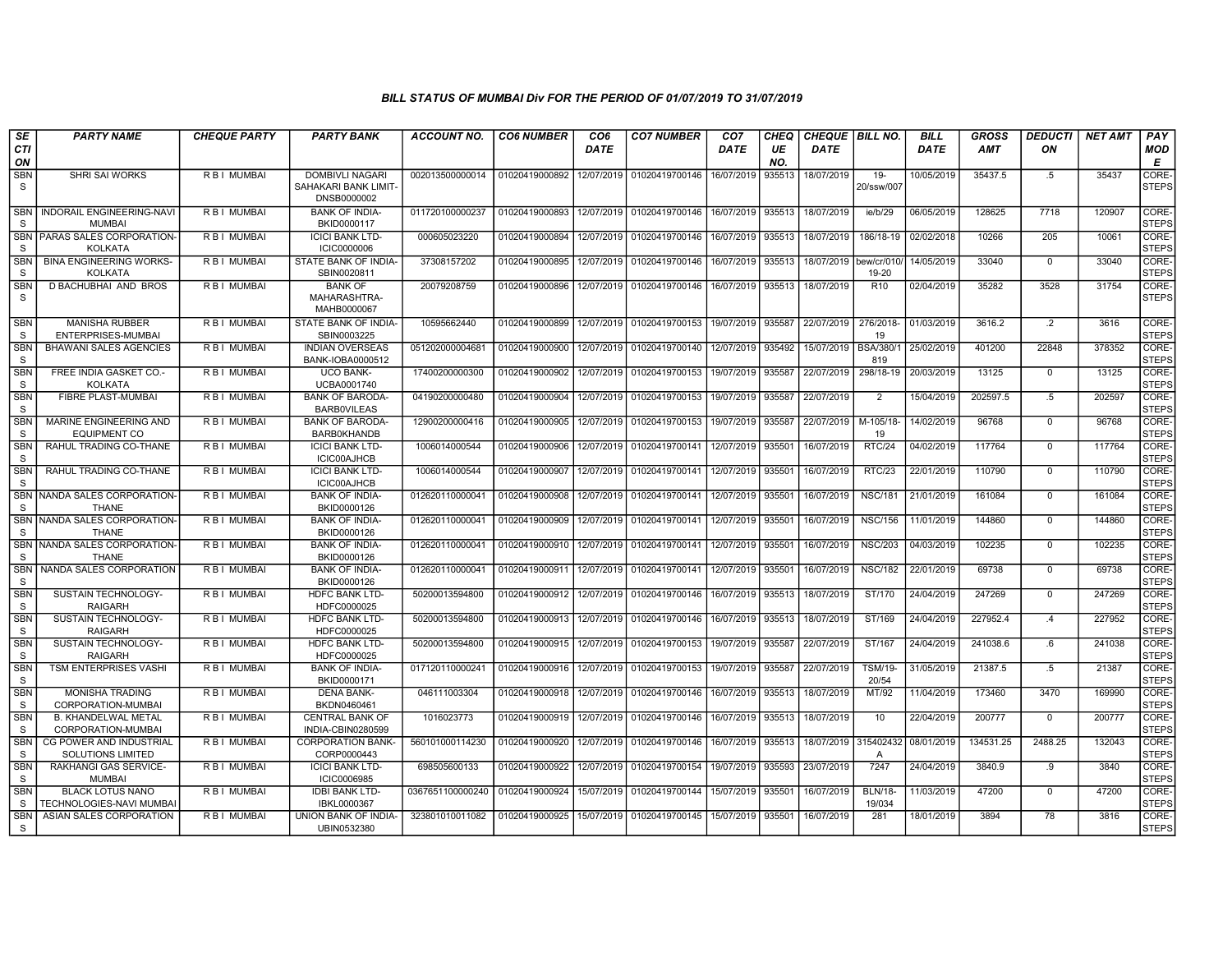| SE                         | <b>PARTY NAME</b>                                   | <b>CHEQUE PARTY</b> | <b>PARTY BANK</b>                                      | ACCOUNT NO.      | <b>CO6 NUMBER</b> | CO6         | <b>CO7 NUMBER</b>         | CO7         | CHEQ      | <b>CHEQUE   BILL NO.</b> |                          | <b>BILL</b> | <b>GROSS</b> | <i><b>DEDUCTI</b></i> | NET AMT | <b>PAY</b>            |
|----------------------------|-----------------------------------------------------|---------------------|--------------------------------------------------------|------------------|-------------------|-------------|---------------------------|-------------|-----------|--------------------------|--------------------------|-------------|--------------|-----------------------|---------|-----------------------|
| CTI<br>ON                  |                                                     |                     |                                                        |                  |                   | <b>DATE</b> |                           | <b>DATE</b> | UE<br>NO. | <b>DATE</b>              |                          | <b>DATE</b> | <b>AMT</b>   | ON                    |         | MOD<br>E              |
| <b>SBN</b><br>S            | SHRI SAI WORKS                                      | R B I MUMBAI        | DOMBIVLI NAGARI<br>SAHAKARI BANK LIMIT-<br>DNSB0000002 | 002013500000014  | 01020419000892    | 12/07/2019  | 01020419700146            | 16/07/2019  | 935513    | 18/07/2019               | $19 -$<br>20/ssw/007     | 10/05/2019  | 35437.5      | $.5\,$                | 35437   | CORE-<br><b>STEPS</b> |
| <b>SBN</b><br>S            | <b>INDORAIL ENGINEERING-NAVI</b><br><b>MUMBAI</b>   | R B I MUMBAI        | <b>BANK OF INDIA-</b><br>BKID0000117                   | 011720100000237  | 01020419000893    |             | 12/07/2019 01020419700146 | 16/07/2019  | 935513    | 18/07/2019               | ie/b/29                  | 06/05/2019  | 128625       | 7718                  | 120907  | CORE-<br><b>STEPS</b> |
| <b>SBN</b><br>S            | PARAS SALES CORPORATION-<br><b>KOLKATA</b>          | R B I MUMBAI        | <b>ICICI BANK LTD-</b><br><b>ICIC0000006</b>           | 000605023220     | 01020419000894    |             | 12/07/2019 01020419700146 | 16/07/2019  | 935513    | 18/07/2019               | 186/18-19                | 02/02/2018  | 10266        | 205                   | 10061   | CORE-<br><b>STEPS</b> |
| <b>SBN</b><br>S            | <b>BINA ENGINEERING WORKS-</b><br><b>KOLKATA</b>    | R B I MUMBAI        | STATE BANK OF INDIA-<br>SBIN0020811                    | 37308157202      | 01020419000895    |             | 12/07/2019 01020419700146 | 16/07/2019  | 935513    | 18/07/2019               | bew/cr/010/<br>19-20     | 14/05/2019  | 33040        | $\Omega$              | 33040   | CORE-<br><b>STEPS</b> |
| <b>SBN</b><br><b>S</b>     | D BACHUBHAI AND BROS                                | R B I MUMBAI        | <b>BANK OF</b><br>MAHARASHTRA-<br>MAHB0000067          | 20079208759      | 01020419000896    | 12/07/2019  | 01020419700146            | 16/07/2019  | 935513    | 18/07/2019               | R <sub>10</sub>          | 02/04/2019  | 35282        | 3528                  | 31754   | CORE-<br><b>STEPS</b> |
| SBN<br>S                   | <b>MANISHA RUBBER</b><br>ENTERPRISES-MUMBAI         | R B I MUMBAI        | STATE BANK OF INDIA-<br>SBIN0003225                    | 10595662440      | 01020419000899    |             | 12/07/2019 01020419700153 | 19/07/2019  | 935587    | 22/07/2019               | 276/2018-<br>19          | 01/03/2019  | 3616.2       | $\cdot$               | 3616    | CORE-<br><b>STEPS</b> |
| <b>SBN</b><br>-S           | <b>BHAWANI SALES AGENCIES</b>                       | R B I MUMBAI        | <b>INDIAN OVERSEAS</b><br>BANK-IOBA0000512             | 051202000004681  | 01020419000900    |             | 12/07/2019 01020419700140 | 12/07/2019  | 935492    | 15/07/2019               | <b>BSA/380/</b><br>819   | 25/02/2019  | 401200       | 22848                 | 378352  | CORE-<br><b>STEPS</b> |
| SBN<br>S                   | FREE INDIA GASKET CO.-<br><b>KOLKATA</b>            | R B I MUMBAI        | <b>UCO BANK-</b><br>UCBA0001740                        | 17400200000300   | 01020419000902    |             | 12/07/2019 01020419700153 | 19/07/2019  | 935587    | 22/07/2019               | 298/18-19                | 20/03/2019  | 13125        | $\mathbf 0$           | 13125   | CORE-<br><b>STEPS</b> |
| <b>SBN</b><br>S            | FIBRE PLAST-MUMBAI                                  | R B I MUMBAI        | <b>BANK OF BARODA</b><br><b>BARBOVILEAS</b>            | 04190200000480   | 01020419000904    |             | 12/07/2019 01020419700153 | 19/07/2019  | 935587    | 22/07/2019               | $\overline{2}$           | 15/04/2019  | 202597.5     | .5                    | 202597  | CORE-<br><b>STEPS</b> |
| <b>SBN</b><br>-S           | MARINE ENGINEERING AND<br><b>EQUIPMENT CO</b>       | R B I MUMBAI        | <b>BANK OF BARODA-</b><br><b>BARB0KHANDB</b>           | 12900200000416   | 01020419000905    |             | 12/07/2019 01020419700153 | 19/07/2019  | 935587    | 22/07/2019               | M-105/18-<br>19          | 14/02/2019  | 96768        | $\mathbf{0}$          | 96768   | CORE-<br><b>STEPS</b> |
| <b>SBN</b><br>S            | RAHUL TRADING CO-THANE                              | R B I MUMBAI        | <b>ICICI BANK LTD-</b><br>ICIC00AJHCB                  | 1006014000544    | 01020419000906    | 12/07/2019  | 01020419700141            | 12/07/2019  | 935501    | 16/07/2019               | <b>RTC/24</b>            | 04/02/2019  | 117764       | $\Omega$              | 117764  | CORE-<br><b>STEPS</b> |
| <b>SBN</b><br>-S           | RAHUL TRADING CO-THANE                              | R B I MUMBAI        | <b>ICICI BANK LTD-</b><br>ICIC00AJHCB                  | 1006014000544    | 01020419000907    |             | 12/07/2019 01020419700141 | 12/07/2019  | 935501    | 16/07/2019               | <b>RTC/23</b>            | 22/01/2019  | 110790       | $\mathbf{0}$          | 110790  | CORE-<br><b>STEPS</b> |
| <b>SBN</b><br>S            | NANDA SALES CORPORATION-<br><b>THANE</b>            | R B I MUMBAI        | <b>BANK OF INDIA-</b><br>BKID0000126                   | 012620110000041  | 01020419000908    |             | 12/07/2019 01020419700141 | 12/07/2019  | 935501    | 16/07/2019               | <b>NSC/181</b>           | 21/01/2019  | 161084       | $\Omega$              | 161084  | CORE-<br><b>STEPS</b> |
| <b>SBN</b><br>S            | NANDA SALES CORPORATION-<br><b>THANE</b>            | R B I MUMBAI        | <b>BANK OF INDIA-</b><br>BKID0000126                   | 012620110000041  | 01020419000909    |             | 12/07/2019 01020419700141 | 12/07/2019  | 935501    | 16/07/2019               | <b>NSC/156</b>           | 11/01/2019  | 144860       | $\mathbf{0}$          | 144860  | CORE-<br><b>STEPS</b> |
| <b>SBN</b><br>S            | NANDA SALES CORPORATION-<br><b>THANE</b>            | R B I MUMBAI        | <b>BANK OF INDIA-</b><br>BKID0000126                   | 012620110000041  | 01020419000910    |             | 12/07/2019 01020419700141 | 12/07/2019  | 935501    | 16/07/2019               | <b>NSC/203</b>           | 04/03/2019  | 102235       | $\Omega$              | 102235  | CORE-<br><b>STEPS</b> |
| <b>SBN</b><br><b>S</b>     | NANDA SALES CORPORATION                             | R B I MUMBAI        | <b>BANK OF INDIA-</b><br>BKID0000126                   | 012620110000041  | 01020419000911    | 12/07/2019  | 01020419700141            | 12/07/2019  | 935501    | 16/07/2019               | <b>NSC/182</b>           | 22/01/2019  | 69738        | $\mathbf 0$           | 69738   | CORE-<br><b>STEPS</b> |
| <b>SBN</b><br><sub>S</sub> | SUSTAIN TECHNOLOGY-<br><b>RAIGARH</b>               | R B I MUMBAI        | HDFC BANK LTD<br>HDFC0000025                           | 50200013594800   | 01020419000912    |             | 12/07/2019 01020419700146 | 16/07/2019  | 935513    | 18/07/2019               | ST/170                   | 24/04/2019  | 247269       | $\Omega$              | 247269  | CORE-<br><b>STEPS</b> |
| <b>SBN</b><br>S            | SUSTAIN TECHNOLOGY-<br><b>RAIGARH</b>               | R B I MUMBAI        | HDFC BANK LTD-<br>HDFC0000025                          | 50200013594800   | 01020419000913    |             | 12/07/2019 01020419700146 | 16/07/2019  | 935513    | 18/07/2019               | ST/169                   | 24/04/2019  | 227952.4     | $\mathcal{A}$         | 227952  | CORE-<br><b>STEPS</b> |
| <b>SBN</b><br>S            | <b>SUSTAIN TECHNOLOGY-</b><br><b>RAIGARH</b>        | R B I MUMBAI        | <b>HDFC BANK LTD-</b><br>HDFC0000025                   | 50200013594800   | 01020419000915    |             | 12/07/2019 01020419700153 | 19/07/2019  | 935587    | 22/07/2019               | ST/167                   | 24/04/2019  | 241038.6     | .6                    | 241038  | CORE-<br><b>STEPS</b> |
| <b>SBN</b><br>S            | <b>TSM ENTERPRISES VASHI</b>                        | R B I MUMBAI        | <b>BANK OF INDIA-</b><br>BKID0000171                   | 017120110000241  | 01020419000916    |             | 12/07/2019 01020419700153 | 19/07/2019  | 935587    | 22/07/2019               | <b>TSM/19-</b><br>20/54  | 31/05/2019  | 21387.5      | .5                    | 21387   | CORE-<br><b>STEPS</b> |
| <b>SBN</b><br>s            | <b>MONISHA TRADING</b><br>CORPORATION-MUMBAI        | R B I MUMBAI        | <b>DENA BANK-</b><br>BKDN0460461                       | 046111003304     | 01020419000918    |             | 12/07/2019 01020419700146 | 16/07/2019  | 935513    | 18/07/2019               | MT/92                    | 11/04/2019  | 173460       | 3470                  | 169990  | CORE-<br><b>STEPS</b> |
| <b>SBN</b><br>S            | <b>B. KHANDELWAL METAL</b><br>CORPORATION-MUMBAI    | R B I MUMBAI        | <b>CENTRAL BANK OF</b><br>INDIA-CBIN0280599            | 1016023773       | 01020419000919    |             | 12/07/2019 01020419700146 | 16/07/2019  | 935513    | 18/07/2019               | 10                       | 22/04/2019  | 200777       | $\mathbf{0}$          | 200777  | CORE-<br><b>STEPS</b> |
| <b>SBN</b><br><sub>S</sub> | CG POWER AND INDUSTRIAL<br><b>SOLUTIONS LIMITED</b> | R B I MUMBAI        | <b>CORPORATION BANK-</b><br>CORP0000443                | 560101000114230  | 01020419000920    |             | 12/07/2019 01020419700146 | 16/07/2019  | 935513    | 18/07/2019               | 315402432<br>A           | 08/01/2019  | 134531.25    | 2488.25               | 132043  | CORE-<br><b>STEPS</b> |
| <b>SBN</b><br><sub>S</sub> | <b>RAKHANGI GAS SERVICE-</b><br><b>MUMBAI</b>       | R B I MUMBAI        | <b>ICICI BANK LTD-</b><br>ICIC0006985                  | 698505600133     | 01020419000922    | 12/07/2019  | 01020419700154            | 19/07/2019  | 935593    | 23/07/2019               | 7247                     | 24/04/2019  | 3840.9       | .9                    | 3840    | CORE-<br><b>STEPS</b> |
| <b>SBN</b><br><sub>S</sub> | <b>BLACK LOTUS NANO</b><br>TECHNOLOGIES-NAVI MUMBAI | R B I MUMBAI        | <b>IDBI BANK LTD-</b><br>IBKL0000367                   | 0367651100000240 | 01020419000924    |             | 15/07/2019 01020419700144 | 15/07/2019  | 935501    | 16/07/2019               | <b>BLN/18-</b><br>19/034 | 11/03/2019  | 47200        | $\mathbf{0}$          | 47200   | CORE-<br><b>STEPS</b> |
| <b>SBN</b><br>-S           | ASIAN SALES CORPORATION                             | R B I MUMBAI        | UNION BANK OF INDIA-<br>UBIN0532380                    | 323801010011082  | 01020419000925    |             | 15/07/2019 01020419700145 | 15/07/2019  | 935501    | 16/07/2019               | 281                      | 18/01/2019  | 3894         | 78                    | 3816    | CORE-<br><b>STEPS</b> |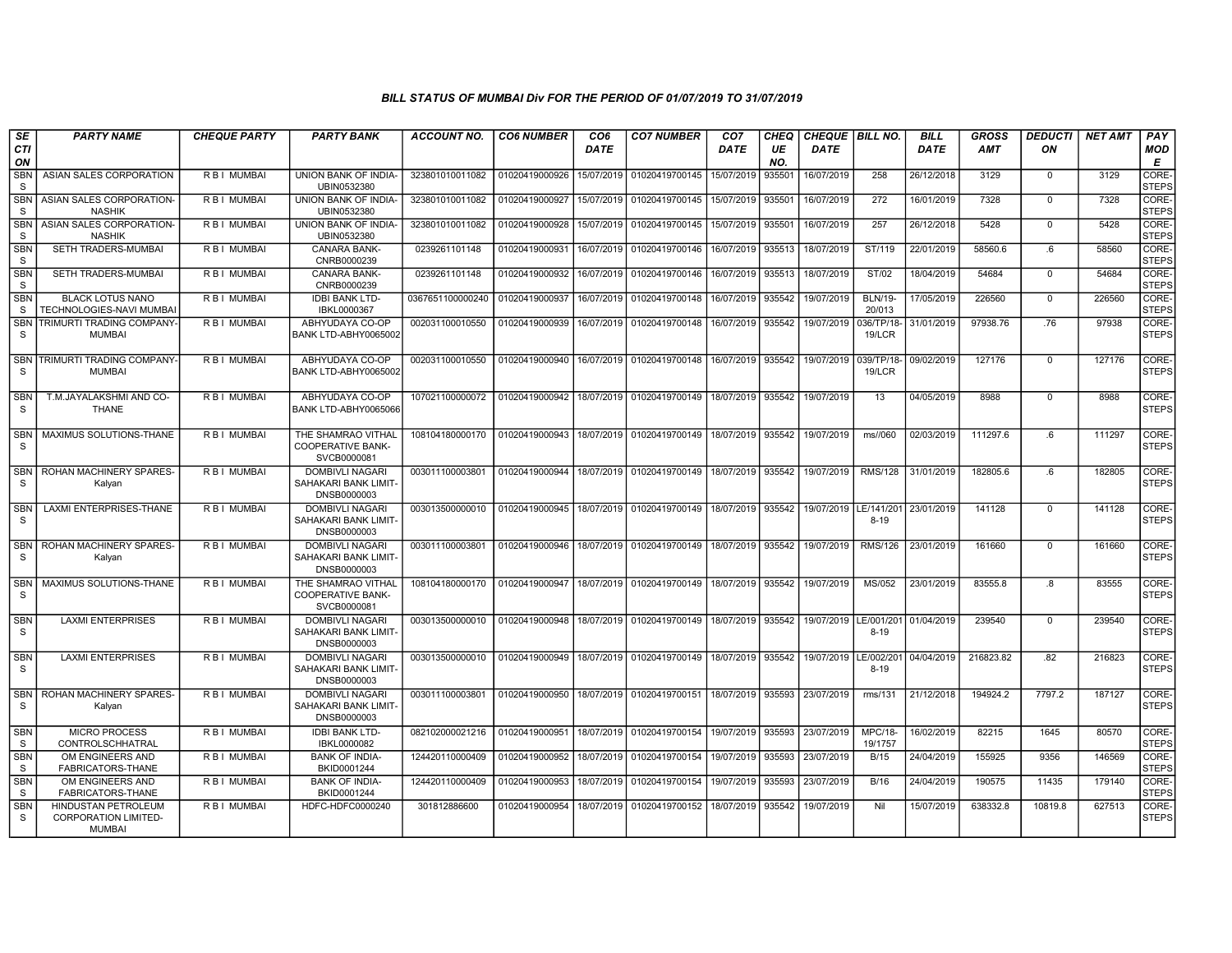| SE                         | <b>PARTY NAME</b>                                                          | <b>CHEQUE PARTY</b> | <b>PARTY BANK</b>                                             | <b>ACCOUNT NO.</b> | <b>CO6 NUMBER</b> | CO6         | <b>CO7 NUMBER</b>         | CO <sub>7</sub>   | CHEQ      | CHEQUE   BILL NO.       |                           | <b>BILL</b> | <b>GROSS</b> | <b>DEDUCTI</b> | <b>NET AMT</b> | <b>PAY</b>            |
|----------------------------|----------------------------------------------------------------------------|---------------------|---------------------------------------------------------------|--------------------|-------------------|-------------|---------------------------|-------------------|-----------|-------------------------|---------------------------|-------------|--------------|----------------|----------------|-----------------------|
| <b>CTI</b><br>ON           |                                                                            |                     |                                                               |                    |                   | <b>DATE</b> |                           | <b>DATE</b>       | UE<br>NO. | <b>DATE</b>             |                           | <b>DATE</b> | <b>AMT</b>   | ON             |                | MOD<br>Е              |
| <b>SBN</b><br>S            | ASIAN SALES CORPORATION                                                    | R B I MUMBAI        | UNION BANK OF INDIA-<br>UBIN0532380                           | 323801010011082    | 01020419000926    | 15/07/2019  | 01020419700145            | 15/07/2019        | 935501    | 16/07/2019              | 258                       | 26/12/2018  | 3129         | $\mathbf{0}$   | 3129           | CORE-<br><b>STEPS</b> |
| <b>SBN</b><br><sub>S</sub> | ASIAN SALES CORPORATION-<br><b>NASHIK</b>                                  | RBI MUMBAI          | <b>UNION BANK OF INDIA-</b><br>UBIN0532380                    | 323801010011082    | 01020419000927    | 15/07/2019  | 01020419700145            | 15/07/2019        | 935501    | 16/07/2019              | 272                       | 16/01/2019  | 7328         | $\mathbf 0$    | 7328           | CORE-<br><b>STEPS</b> |
| <b>SBN</b><br>S            | ASIAN SALES CORPORATION-<br><b>NASHIK</b>                                  | R B I MUMBAI        | UNION BANK OF INDIA-<br>UBIN0532380                           | 323801010011082    | 01020419000928    | 15/07/2019  | 01020419700145            | 15/07/2019        | 935501    | 16/07/2019              | 257                       | 26/12/2018  | 5428         | $\Omega$       | 5428           | CORE-<br><b>STEPS</b> |
| <b>SBN</b><br>S            | SETH TRADERS-MUMBAI                                                        | R B I MUMBAI        | <b>CANARA BANK-</b><br>CNRB0000239                            | 0239261101148      | 01020419000931    | 16/07/2019  | 01020419700146            | 16/07/2019        | 935513    | 18/07/2019              | ST/119                    | 22/01/2019  | 58560.6      | .6             | 58560          | CORE-<br><b>STEPS</b> |
| <b>SBN</b><br><sub>S</sub> | SETH TRADERS-MUMBAI                                                        | R B I MUMBAI        | <b>CANARA BANK-</b><br>CNRB0000239                            | 0239261101148      | 01020419000932    | 16/07/2019  | 01020419700146            | 16/07/2019        | 935513    | 18/07/2019              | ST/02                     | 18/04/2019  | 54684        | $\mathbf{0}$   | 54684          | CORE-<br><b>STEPS</b> |
| <b>SBN</b><br>S            | <b>BLACK LOTUS NANO</b><br>TECHNOLOGIES-NAVI MUMBAI                        | R B I MUMBAI        | <b>IDBI BANK LTD-</b><br>IBKL0000367                          | 0367651100000240   | 01020419000937    | 16/07/2019  | 01020419700148            | 16/07/2019        | 935542    | 19/07/2019              | <b>BLN/19-</b><br>20/013  | 17/05/2019  | 226560       | $\mathbf 0$    | 226560         | CORE-<br><b>STEPS</b> |
| <b>SBN</b><br><sub>S</sub> | TRIMURTI TRADING COMPANY-<br><b>MUMBAI</b>                                 | R B I MUMBAI        | ABHYUDAYA CO-OP<br>BANK LTD-ABHY0065002                       | 002031100010550    | 01020419000939    | 16/07/2019  | 01020419700148            | 16/07/2019        | 935542    | 19/07/2019              | 036/TP/18<br>19/LCR       | 31/01/2019  | 97938.76     | .76            | 97938          | CORE-<br><b>STEPS</b> |
| <b>SBN</b><br>S            | TRIMURTI TRADING COMPANY<br><b>MUMBAI</b>                                  | R B I MUMBAI        | ABHYUDAYA CO-OP<br>BANK LTD-ABHY0065002                       | 002031100010550    | 01020419000940    |             | 16/07/2019 01020419700148 | 16/07/2019        | 935542    | 19/07/2019              | 039/TP/18-<br>19/LCR      | 09/02/2019  | 127176       | $\Omega$       | 127176         | CORE-<br><b>STEPS</b> |
| <b>SBN</b><br>S            | T.M.JAYALAKSHMI AND CO-<br><b>THANE</b>                                    | R B I MUMBAI        | ABHYUDAYA CO-OP<br>BANK LTD-ABHY0065066                       | 107021100000072    | 01020419000942    |             | 18/07/2019 01020419700149 | 18/07/2019        | 935542    | 19/07/2019              | 13                        | 04/05/2019  | 8988         | $\Omega$       | 8988           | CORE-<br><b>STEPS</b> |
| <b>SBN</b><br><sub>S</sub> | MAXIMUS SOLUTIONS-THANE                                                    | R B I MUMBAI        | THE SHAMRAO VITHAL<br><b>COOPERATIVE BANK-</b><br>SVCB0000081 | 108104180000170    | 01020419000943    |             | 18/07/2019 01020419700149 | 18/07/2019        | 935542    | 19/07/2019              | ms//060                   | 02/03/2019  | 111297.6     | .6             | 111297         | CORE-<br><b>STEPS</b> |
| SBN<br>S                   | ROHAN MACHINERY SPARES-<br>Kalyan                                          | R B I MUMBAI        | <b>DOMBIVLI NAGARI</b><br>SAHAKARI BANK LIMIT-<br>DNSB0000003 | 003011100003801    | 01020419000944    |             | 18/07/2019 01020419700149 | 18/07/2019        | 935542    | 19/07/2019              | <b>RMS/128</b>            | 31/01/2019  | 182805.6     | .6             | 182805         | CORE-<br><b>STEPS</b> |
| <b>SBN</b><br><sub>S</sub> | LAXMI ENTERPRISES-THANE                                                    | R B I MUMBAI        | <b>DOMBIVLI NAGARI</b><br>SAHAKARI BANK LIMIT-<br>DNSB0000003 | 003013500000010    | 01020419000945    |             | 18/07/2019 01020419700149 | 18/07/2019        | 935542    | 19/07/2019   LE/141/201 | $8 - 19$                  | 23/01/2019  | 141128       | $\mathbf{0}$   | 141128         | CORE-<br><b>STEPS</b> |
| <b>SBN</b><br><sub>S</sub> | ROHAN MACHINERY SPARES-<br>Kalyan                                          | R B I MUMBAI        | <b>DOMBIVLI NAGARI</b><br>SAHAKARI BANK LIMIT-<br>DNSB0000003 | 003011100003801    | 01020419000946    |             | 18/07/2019 01020419700149 | 18/07/2019 935542 |           | 19/07/2019              | <b>RMS/126</b>            | 23/01/2019  | 161660       | $\Omega$       | 161660         | CORE-<br><b>STEPS</b> |
| <b>SBN</b><br><sub>S</sub> | MAXIMUS SOLUTIONS-THANE                                                    | R B I MUMBAI        | THE SHAMRAO VITHAL<br><b>COOPERATIVE BANK-</b><br>SVCB0000081 | 108104180000170    | 01020419000947    |             | 18/07/2019 01020419700149 | 18/07/2019        | 935542    | 19/07/2019              | MS/052                    | 23/01/2019  | 83555.8      | 8.             | 83555          | CORE-<br><b>STEPS</b> |
| <b>SBN</b><br><sub>S</sub> | <b>LAXMI ENTERPRISES</b>                                                   | R B I MUMBAI        | <b>DOMBIVLI NAGARI</b><br>SAHAKARI BANK LIMIT-<br>DNSB0000003 | 003013500000010    | 01020419000948    |             | 18/07/2019 01020419700149 | 18/07/2019        | 935542    | 19/07/2019   LE/001/201 | $8 - 19$                  | 01/04/2019  | 239540       | $\Omega$       | 239540         | CORE-<br><b>STEPS</b> |
| <b>SBN</b><br>S            | <b>LAXMI ENTERPRISES</b>                                                   | R B I MUMBAI        | <b>DOMBIVLI NAGARI</b><br>SAHAKARI BANK LIMIT-<br>DNSB0000003 | 003013500000010    | 01020419000949    |             | 18/07/2019 01020419700149 | 18/07/2019 935542 |           | 19/07/2019              | LE/002/201<br>$8 - 19$    | 04/04/2019  | 216823.82    | .82            | 216823         | CORE-<br><b>STEPS</b> |
| <b>SBN</b><br>S            | <b>ROHAN MACHINERY SPARES-</b><br>Kalyan                                   | <b>RBI MUMBAL</b>   | <b>DOMBIVLI NAGARI</b><br>SAHAKARI BANK LIMIT-<br>DNSB0000003 | 003011100003801    | 01020419000950    | 18/07/2019  | 01020419700151            | 18/07/2019        | 935593    | 23/07/2019              | rms/131                   | 21/12/2018  | 194924.2     | 7797.2         | 187127         | CORE-<br><b>STEPS</b> |
| <b>SBN</b><br>-S           | <b>MICRO PROCESS</b><br>CONTROLSCHHATRAL                                   | R B I MUMBAI        | <b>IDBI BANK LTD-</b><br>IBKL0000082                          | 082102000021216    | 01020419000951    | 18/07/2019  | 01020419700154            | 19/07/2019        | 935593    | 23/07/2019              | <b>MPC/18-</b><br>19/1757 | 16/02/2019  | 82215        | 1645           | 80570          | CORE-<br><b>STEPS</b> |
| <b>SBN</b><br>S            | OM ENGINEERS AND<br><b>FABRICATORS-THANE</b>                               | R B I MUMBAI        | <b>BANK OF INDIA-</b><br>BKID0001244                          | 124420110000409    | 01020419000952    |             | 18/07/2019 01020419700154 | 19/07/2019        | 935593    | 23/07/2019              | B/15                      | 24/04/2019  | 155925       | 9356           | 146569         | CORE-<br><b>STEPS</b> |
| <b>SBN</b><br>-S           | OM ENGINEERS AND<br>FABRICATORS-THANE                                      | R B I MUMBAI        | <b>BANK OF INDIA-</b><br>BKID0001244                          | 124420110000409    | 01020419000953    | 18/07/2019  | 01020419700154            | 19/07/2019        | 935593    | 23/07/2019              | B/16                      | 24/04/2019  | 190575       | 11435          | 179140         | CORE-<br><b>STEPS</b> |
| <b>SBN</b><br>S            | <b>HINDUSTAN PETROLEUM</b><br><b>CORPORATION LIMITED-</b><br><b>MUMBAI</b> | R B I MUMBAI        | HDFC-HDFC0000240                                              | 301812886600       | 01020419000954    | 18/07/2019  | 01020419700152            | 18/07/2019        | 935542    | 19/07/2019              | Nil                       | 15/07/2019  | 638332.8     | 10819.8        | 627513         | CORE-<br><b>STEPS</b> |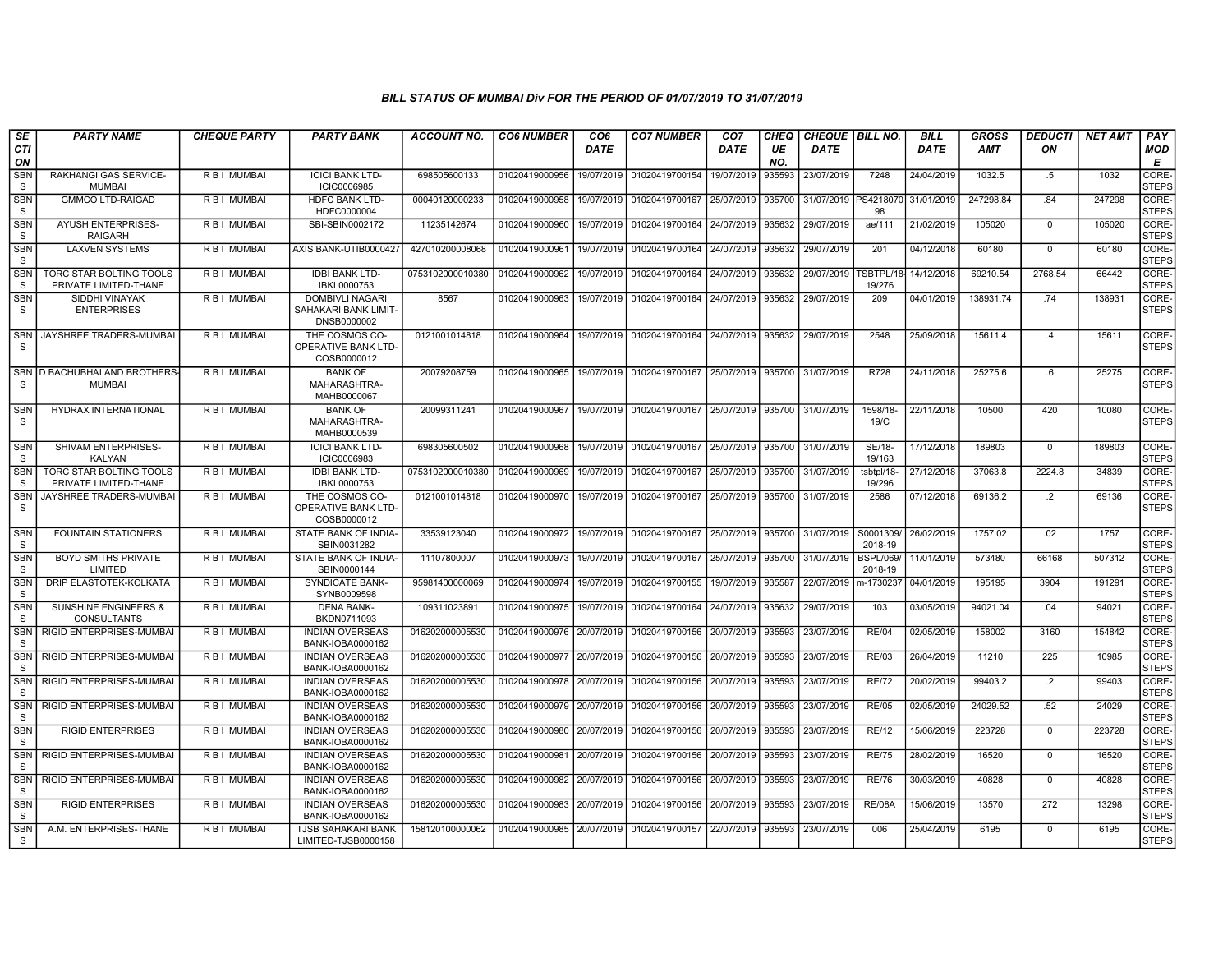| SE                         | <b>PARTY NAME</b>                                       | <b>CHEQUE PARTY</b> | <b>PARTY BANK</b>                                             | <b>ACCOUNT NO.</b> | <b>CO6 NUMBER</b>         | CO6         | <b>CO7 NUMBER</b>         | CO7         | CHEQ      | <b>CHEQUE BILL NO.</b> |                             | <b>BILL</b> | <b>GROSS</b> | <b>DEDUCTI</b> | NET AMT | <b>PAY</b>            |
|----------------------------|---------------------------------------------------------|---------------------|---------------------------------------------------------------|--------------------|---------------------------|-------------|---------------------------|-------------|-----------|------------------------|-----------------------------|-------------|--------------|----------------|---------|-----------------------|
| <b>CTI</b><br>ON           |                                                         |                     |                                                               |                    |                           | <b>DATE</b> |                           | <b>DATE</b> | UE<br>NO. | <b>DATE</b>            |                             | DATE        | <b>AMT</b>   | ON             |         | MOD<br>E              |
| <b>SBN</b><br>S            | RAKHANGI GAS SERVICE-<br><b>MUMBAI</b>                  | R B I MUMBAI        | <b>ICICI BANK LTD-</b><br><b>ICIC0006985</b>                  | 698505600133       | 01020419000956            | 19/07/2019  | 01020419700154            | 19/07/2019  | 935593    | 23/07/2019             | 7248                        | 24/04/2019  | 1032.5       | $.5\,$         | 1032    | CORE-<br><b>STEPS</b> |
| <b>SBN</b><br>S            | <b>GMMCO LTD-RAIGAD</b>                                 | R B I MUMBAI        | <b>HDFC BANK LTD-</b><br>HDFC0000004                          | 00040120000233     | 01020419000958            | 19/07/2019  | 01020419700167            | 25/07/2019  | 935700    | 31/07/2019             | PS421807<br>98              | 31/01/2019  | 247298.84    | .84            | 247298  | CORE-<br><b>STEPS</b> |
| <b>SBN</b><br>S            | <b>AYUSH ENTERPRISES-</b><br>RAIGARH                    | R B I MUMBAI        | SBI-SBIN0002172                                               | 11235142674        | 01020419000960            | 19/07/2019  | 01020419700164            | 24/07/2019  | 935632    | 29/07/2019             | ae/111                      | 21/02/2019  | 105020       | $\Omega$       | 105020  | CORE-<br><b>STEPS</b> |
| <b>SBN</b><br>S            | <b>LAXVEN SYSTEMS</b>                                   | R B I MUMBAI        | AXIS BANK-UTIB0000427                                         | 427010200008068    | 01020419000961            | 19/07/2019  | 01020419700164            | 24/07/2019  | 935632    | 29/07/2019             | 201                         | 04/12/2018  | 60180        | $\mathbf{0}$   | 60180   | CORE-<br><b>STEPS</b> |
| <b>SBN</b><br><b>S</b>     | TORC STAR BOLTING TOOLS<br>PRIVATE LIMITED-THANE        | R B I MUMBAI        | <b>IDBI BANK LTD-</b><br>IBKL0000753                          | 0753102000010380   | 01020419000962            | 19/07/2019  | 01020419700164            | 24/07/2019  | 935632    | 29/07/2019             | <b>SBTPL/18</b><br>19/276   | 14/12/2018  | 69210.54     | 2768.54        | 66442   | CORE-<br><b>STEPS</b> |
| <b>SBN</b><br>S            | SIDDHI VINAYAK<br><b>ENTERPRISES</b>                    | R B I MUMBAI        | <b>DOMBIVLI NAGARI</b><br>SAHAKARI BANK LIMIT-<br>DNSB0000002 | 8567               | 01020419000963            | 19/07/2019  | 01020419700164            | 24/07/2019  | 935632    | 29/07/2019             | 209                         | 04/01/2019  | 138931.74    | .74            | 138931  | CORE-<br><b>STEPS</b> |
| <b>SBN</b><br><sub>S</sub> | JAYSHREE TRADERS-MUMBAI                                 | R B I MUMBAI        | THE COSMOS CO-<br>OPERATIVE BANK LTD-<br>COSB0000012          | 0121001014818      | 01020419000964            | 19/07/2019  | 01020419700164            | 24/07/2019  | 935632    | 29/07/2019             | 2548                        | 25/09/2018  | 15611.4      | .4             | 15611   | CORE-<br><b>STEPS</b> |
| <b>SBN</b><br>S            | D BACHUBHAI AND BROTHERS-<br><b>MUMBAI</b>              | R B I MUMBAI        | <b>BANK OF</b><br>MAHARASHTRA-<br>MAHB0000067                 | 20079208759        | 01020419000965            | 19/07/2019  | 01020419700167            | 25/07/2019  | 935700    | 31/07/2019             | R728                        | 24/11/2018  | 25275.6      | 6.6            | 25275   | CORE-<br><b>STEPS</b> |
| <b>SBN</b><br>S            | HYDRAX INTERNATIONAL                                    | R B I MUMBAI        | <b>BANK OF</b><br>MAHARASHTRA-<br>MAHB0000539                 | 20099311241        | 01020419000967            |             | 19/07/2019 01020419700167 | 25/07/2019  | 935700    | 31/07/2019             | 1598/18-<br>19/C            | 22/11/2018  | 10500        | 420            | 10080   | CORE-<br><b>STEPS</b> |
| <b>SBN</b><br>- S          | SHIVAM ENTERPRISES-<br><b>KALYAN</b>                    | R B I MUMBAI        | <b>ICICI BANK LTD-</b><br>ICIC0006983                         | 698305600502       | 01020419000968            | 19/07/2019  | 01020419700167            | 25/07/2019  | 935700    | 31/07/2019             | SE/18-<br>19/163            | 17/12/2018  | 189803       | $\mathbf 0$    | 189803  | CORE-<br><b>STEPS</b> |
| <b>SBN</b><br>S            | <b>TORC STAR BOLTING TOOLS</b><br>PRIVATE LIMITED-THANE | R B I MUMBAI        | <b>IDBI BANK LTD-</b><br>IBKL0000753                          | 0753102000010380   | 01020419000969            | 19/07/2019  | 01020419700167            | 25/07/2019  | 935700    | 31/07/2019             | tsbtpl/18-<br>19/296        | 27/12/2018  | 37063.8      | 2224.8         | 34839   | CORE-<br><b>STEPS</b> |
| <b>SBN</b><br>S            | JAYSHREE TRADERS-MUMBAI                                 | R B I MUMBAI        | THE COSMOS CO-<br>OPERATIVE BANK LTD-<br>COSB0000012          | 0121001014818      | 01020419000970            | 19/07/2019  | 01020419700167            | 25/07/2019  | 935700    | 31/07/2019             | 2586                        | 07/12/2018  | 69136.2      | $\cdot$        | 69136   | CORE-<br><b>STEPS</b> |
| <b>SBN</b><br><sub>S</sub> | <b>FOUNTAIN STATIONERS</b>                              | <b>RBI MUMBAI</b>   | STATE BANK OF INDIA-<br>SBIN0031282                           | 33539123040        | 01020419000972            | 19/07/2019  | 01020419700167            | 25/07/2019  | 935700    | 31/07/2019             | S0001309/<br>2018-19        | 26/02/2019  | 1757.02      | .02            | 1757    | CORE-<br><b>STEPS</b> |
| <b>SBN</b><br>S            | <b>BOYD SMITHS PRIVATE</b><br>LIMITED                   | R B I MUMBAI        | STATE BANK OF INDIA-<br>SBIN0000144                           | 11107800007        | 01020419000973            | 19/07/2019  | 01020419700167            | 25/07/2019  | 935700    | 31/07/2019             | <b>BSPL/069/</b><br>2018-19 | 11/01/2019  | 573480       | 66168          | 507312  | CORE-<br><b>STEPS</b> |
| <b>SBN</b><br>S            | DRIP ELASTOTEK-KOLKATA                                  | <b>RBI MUMBAI</b>   | <b>SYNDICATE BANK-</b><br>SYNB0009598                         | 95981400000069     | 01020419000974            | 19/07/2019  | 01020419700155            | 19/07/2019  | 935587    | 22/07/2019             | m-1730237                   | 04/01/2019  | 195195       | 3904           | 191291  | CORE-<br><b>STEPS</b> |
| <b>SBN</b><br>S            | <b>SUNSHINE ENGINEERS &amp;</b><br><b>CONSULTANTS</b>   | R B I MUMBAI        | <b>DENA BANK-</b><br>BKDN0711093                              | 109311023891       | 01020419000975            | 19/07/2019  | 01020419700164            | 24/07/2019  | 935632    | 29/07/2019             | 103                         | 03/05/2019  | 94021.04     | .04            | 94021   | CORE-<br><b>STEPS</b> |
| <b>SBN</b><br>S            | RIGID ENTERPRISES-MUMBAI                                | <b>RBI MUMBAI</b>   | <b>INDIAN OVERSEAS</b><br>BANK-IOBA0000162                    | 016202000005530    | 01020419000976            | 20/07/2019  | 01020419700156            | 20/07/2019  | 935593    | 23/07/2019             | <b>RE/04</b>                | 02/05/2019  | 158002       | 3160           | 154842  | CORE-<br><b>STEPS</b> |
| SBN<br>S                   | RIGID ENTERPRISES-MUMBAI                                | R B I MUMBAI        | <b>INDIAN OVERSEAS</b><br>BANK-IOBA0000162                    | 016202000005530    | 01020419000977            | 20/07/2019  | 01020419700156            | 20/07/2019  | 935593    | 23/07/2019             | <b>RE/03</b>                | 26/04/2019  | 11210        | 225            | 10985   | CORE-<br><b>STEPS</b> |
| <b>SBN</b><br><sub>S</sub> | RIGID ENTERPRISES-MUMBAI                                | R B I MUMBAI        | <b>INDIAN OVERSEAS</b><br>BANK-IOBA0000162                    | 016202000005530    | 01020419000978            | 20/07/2019  | 01020419700156            | 20/07/2019  | 935593    | 23/07/2019             | <b>RE/72</b>                | 20/02/2019  | 99403.2      | $\overline{2}$ | 99403   | CORE-<br><b>STEPS</b> |
| <b>SBN</b><br>- S          | RIGID ENTERPRISES-MUMBAI                                | R B I MUMBAI        | <b>INDIAN OVERSEAS</b><br>BANK-IOBA0000162                    | 016202000005530    | 01020419000979            | 20/07/2019  | 01020419700156            | 20/07/2019  | 935593    | 23/07/2019             | <b>RE/05</b>                | 02/05/2019  | 24029.52     | .52            | 24029   | CORE-<br><b>STEPS</b> |
| <b>SBN</b><br>-S           | <b>RIGID ENTERPRISES</b>                                | <b>RBI MUMBAI</b>   | <b>INDIAN OVERSEAS</b><br>BANK-IOBA0000162                    | 016202000005530    | 01020419000980            | 20/07/2019  | 01020419700156            | 20/07/2019  | 935593    | 23/07/2019             | RE/12                       | 15/06/2019  | 223728       | $\mathbf 0$    | 223728  | CORE-<br><b>STEPS</b> |
| <b>SBN</b><br>S            | RIGID ENTERPRISES-MUMBAI                                | R B I MUMBAI        | <b>INDIAN OVERSEAS</b><br>BANK-IOBA0000162                    | 016202000005530    | 01020419000981            | 20/07/2019  | 01020419700156            | 20/07/2019  | 935593    | 23/07/2019             | <b>RE/75</b>                | 28/02/2019  | 16520        | $\mathbf{0}$   | 16520   | CORE-<br><b>STEPS</b> |
| <b>SBN</b><br>$\mathbf S$  | RIGID ENTERPRISES-MUMBAI                                | R B I MUMBAI        | <b>INDIAN OVERSEAS</b><br>BANK-IOBA0000162                    | 016202000005530    | 01020419000982            | 20/07/2019  | 01020419700156            | 20/07/2019  | 935593    | 23/07/2019             | <b>RE/76</b>                | 30/03/2019  | 40828        | $\Omega$       | 40828   | CORE-<br><b>STEPS</b> |
| <b>SBN</b><br>S            | <b>RIGID ENTERPRISES</b>                                | R B I MUMBAI        | <b>INDIAN OVERSEAS</b><br>BANK-IOBA0000162                    | 016202000005530    | 01020419000983            | 20/07/2019  | 01020419700156            | 20/07/2019  | 935593    | 23/07/2019             | <b>RE/08A</b>               | 15/06/2019  | 13570        | 272            | 13298   | CORE-<br><b>STEPS</b> |
| <b>SBN</b><br><sub>S</sub> | A.M. ENTERPRISES-THANE                                  | <b>RBI MUMBAI</b>   | TJSB SAHAKARI BANK<br>LIMITED-TJSB0000158                     | 158120100000062    | 01020419000985 20/07/2019 |             | 01020419700157            | 22/07/2019  | 935593    | 23/07/2019             | 006                         | 25/04/2019  | 6195         | $\mathbf 0$    | 6195    | CORE-<br><b>STEPS</b> |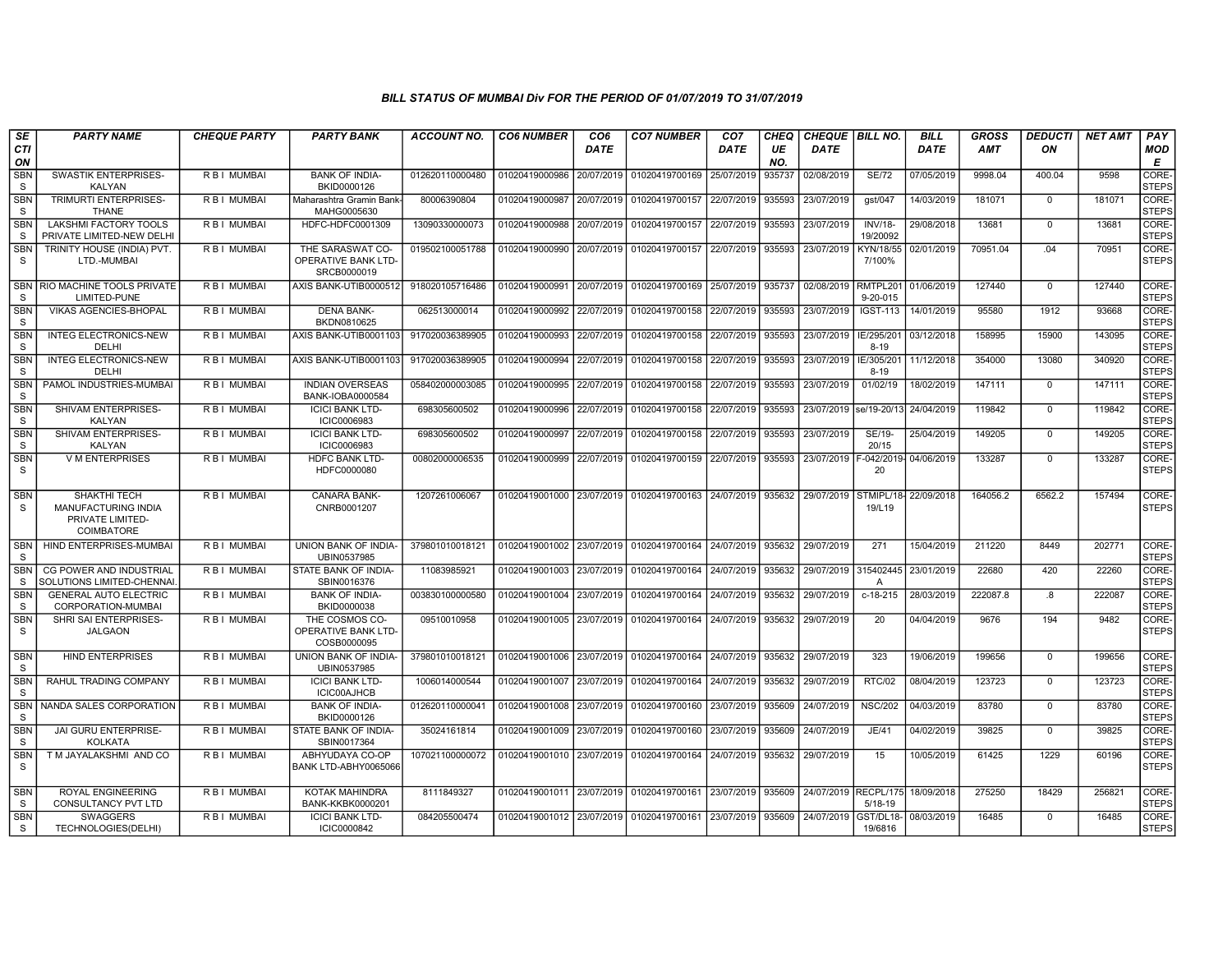| SE                         | <b>PARTY NAME</b>                                                                   | <b>CHEQUE PARTY</b> | <b>PARTY BANK</b>                                           | ACCOUNT NO.     | <b>CO6 NUMBER</b>                        | CO6         | <b>CO7 NUMBER</b>                                   | CO7         | CHEQ      | <b>CHEQUE   BILL NO.</b> |                                   | <b>BILL</b> | <b>GROSS</b> | <b>DEDUCTI</b> | NET AMT | PAY                   |
|----------------------------|-------------------------------------------------------------------------------------|---------------------|-------------------------------------------------------------|-----------------|------------------------------------------|-------------|-----------------------------------------------------|-------------|-----------|--------------------------|-----------------------------------|-------------|--------------|----------------|---------|-----------------------|
| CTI<br>ON                  |                                                                                     |                     |                                                             |                 |                                          | <b>DATE</b> |                                                     | <b>DATE</b> | UE<br>NO. | <b>DATE</b>              |                                   | <b>DATE</b> | <b>AMT</b>   | ON             |         | MOD<br>E              |
| <b>SBN</b><br>S.           | <b>SWASTIK ENTERPRISES-</b><br>KALYAN                                               | R B I MUMBAI        | <b>BANK OF INDIA-</b><br>BKID0000126                        | 012620110000480 | 01020419000986                           | 20/07/2019  | 01020419700169                                      | 25/07/2019  | 935737    | 02/08/2019               | <b>SE/72</b>                      | 07/05/2019  | 9998.04      | 400.04         | 9598    | CORE-<br><b>STEPS</b> |
| <b>SBN</b><br><sub>S</sub> | <b>TRIMURTI ENTERPRISES-</b><br><b>THANE</b>                                        | <b>RBI MUMBAI</b>   | Maharashtra Gramin Bank<br>MAHG0005630                      | 80006390804     | 01020419000987                           | 20/07/2019  | 01020419700157                                      | 22/07/2019  | 935593    | 23/07/2019               | gst/047                           | 14/03/2019  | 181071       | $\mathbf{0}$   | 181071  | CORE-<br><b>STEPS</b> |
| <b>SBN</b><br><sub>S</sub> | LAKSHMI FACTORY TOOLS<br>PRIVATE LIMITED-NEW DELHI                                  | R B I MUMBAI        | HDFC-HDFC0001309                                            | 13090330000073  | 01020419000988                           | 20/07/2019  | 01020419700157                                      | 22/07/2019  | 935593    | 23/07/2019               | <b>INV/18-</b><br>19/20092        | 29/08/2018  | 13681        | $^{\circ}$     | 13681   | CORE-<br><b>STEPS</b> |
| <b>SBN</b><br><sub>S</sub> | TRINITY HOUSE (INDIA) PVT.<br>LTD.-MUMBAI                                           | R B I MUMBAI        | THE SARASWAT CO-<br>OPERATIVE BANK LTD-<br>SRCB0000019      | 019502100051788 | 01020419000990                           | 20/07/2019  | 01020419700157                                      | 22/07/2019  | 935593    | 23/07/2019               | KYN/18/55<br>7/100%               | 02/01/2019  | 70951.04     | .04            | 70951   | CORE-<br><b>STEPS</b> |
| <b>SBN</b><br>S.           | RIO MACHINE TOOLS PRIVATE<br>LIMITED-PUNE                                           | R B I MUMBAI        | AXIS BANK-UTIB0000512                                       | 918020105716486 | 01020419000991                           | 20/07/2019  | 01020419700169                                      | 25/07/2019  | 935737    | 02/08/2019               | RMTPL201<br>$9 - 20 - 015$        | 01/06/2019  | 127440       | $\mathbf{0}$   | 127440  | CORE-<br><b>STEPS</b> |
| <b>SBN</b><br>S.           | <b>VIKAS AGENCIES-BHOPAL</b>                                                        | R B I MUMBAI        | <b>DENA BANK-</b><br>BKDN0810625                            | 062513000014    | 01020419000992                           | 22/07/2019  | 01020419700158                                      | 22/07/2019  | 935593    | 23/07/2019               | <b>IGST-113</b>                   | 14/01/2019  | 95580        | 1912           | 93668   | CORE-<br><b>STEPS</b> |
| <b>SBN</b><br>S            | <b>INTEG ELECTRONICS-NEW</b><br>DELHI                                               | R B I MUMBAI        | AXIS BANK-UTIB0001103                                       | 917020036389905 | 01020419000993                           | 22/07/2019  | 01020419700158                                      | 22/07/2019  | 935593    | 23/07/2019               | IE/295/201<br>$8 - 19$            | 03/12/2018  | 158995       | 15900          | 143095  | CORE-<br><b>STEPS</b> |
| <b>SBN</b><br><sub>S</sub> | <b>INTEG ELECTRONICS-NEW</b><br>DELHI                                               | R B I MUMBAI        | AXIS BANK-UTIB0001103                                       | 917020036389905 | 01020419000994                           | 22/07/2019  | 01020419700158                                      | 22/07/2019  | 935593    | 23/07/2019               | IE/305/201<br>$8 - 19$            | 11/12/2018  | 354000       | 13080          | 340920  | CORE-<br><b>STEPS</b> |
| SBN<br><sub>S</sub>        | PAMOL INDUSTRIES-MUMBAI                                                             | R B I MUMBAI        | <b>INDIAN OVERSEAS</b><br>BANK-IOBA0000584                  | 058402000003085 | 01020419000995                           | 22/07/2019  | 01020419700158                                      | 22/07/2019  | 935593    | 23/07/2019               | 01/02/19                          | 18/02/2019  | 147111       | $\Omega$       | 147111  | CORE-<br><b>STEPS</b> |
| <b>SBN</b><br>S            | SHIVAM ENTERPRISES-<br><b>KALYAN</b>                                                | R B I MUMBAI        | <b>ICICI BANK LTD-</b><br><b>ICIC0006983</b>                | 698305600502    | 01020419000996                           | 22/07/2019  | 01020419700158                                      | 22/07/2019  | 935593    | 23/07/2019               | se/19-20/13                       | 24/04/2019  | 119842       | $\mathbf{0}$   | 119842  | CORE-<br><b>STEPS</b> |
| <b>SBN</b><br>S            | SHIVAM ENTERPRISES-<br><b>KALYAN</b>                                                | R B I MUMBAI        | <b>ICICI BANK LTD-</b><br>ICIC0006983                       | 698305600502    | 01020419000997                           | 22/07/2019  | 01020419700158                                      | 22/07/2019  | 935593    | 23/07/2019               | SE/19-<br>20/15                   | 25/04/2019  | 149205       | $\Omega$       | 149205  | CORE-<br><b>STEPS</b> |
| <b>SBN</b><br>S            | <b>V M ENTERPRISES</b>                                                              | R B I MUMBAI        | HDFC BANK LTD-<br>HDFC0000080                               | 00802000006535  | 01020419000999                           | 22/07/2019  | 01020419700159                                      | 22/07/2019  | 935593    | 23/07/2019               | $-042/2019$<br>20                 | 04/06/2019  | 133287       | $\Omega$       | 133287  | CORE-<br><b>STEPS</b> |
| <b>SBN</b><br>S.           | SHAKTHI TECH<br><b>MANUFACTURING INDIA</b><br>PRIVATE LIMITED-<br><b>COIMBATORE</b> | R B I MUMBAI        | <b>CANARA BANK-</b><br>CNRB0001207                          | 1207261006067   |                                          |             | 01020419001000 23/07/2019 01020419700163 24/07/2019 |             | 935632    | 29/07/2019               | STMIPL/18-<br>19/L19              | 22/09/2018  | 164056.2     | 6562.2         | 157494  | CORE-<br><b>STEPS</b> |
| <b>SBN</b><br>S.           | HIND ENTERPRISES-MUMBAI                                                             | R B I MUMBAI        | UNION BANK OF INDIA-<br>UBIN0537985                         | 379801010018121 |                                          |             | 01020419001002 23/07/2019 01020419700164 24/07/2019 |             | 935632    | 29/07/2019               | 271                               | 15/04/2019  | 211220       | 8449           | 202771  | CORE-<br><b>STEPS</b> |
| <b>SBN</b><br><sub>S</sub> | CG POWER AND INDUSTRIAL<br>SOLUTIONS LIMITED-CHENNAI                                | R B I MUMBAI        | STATE BANK OF INDIA-<br>SBIN0016376                         | 11083985921     | 01020419001003                           | 23/07/2019  | 01020419700164                                      | 24/07/2019  | 935632    | 29/07/2019               | 315402445<br>A                    | 23/01/2019  | 22680        | 420            | 22260   | CORE-<br><b>STEPS</b> |
| <b>SBN</b><br><sub>S</sub> | <b>GENERAL AUTO ELECTRIC</b><br>CORPORATION-MUMBAI                                  | R B I MUMBAI        | <b>BANK OF INDIA-</b><br>BKID0000038                        | 003830100000580 | 01020419001004                           | 23/07/2019  | 01020419700164                                      | 24/07/2019  | 935632    | 29/07/2019               | $c-18-215$                        | 28/03/2019  | 222087.8     | .8             | 222087  | CORE-<br><b>STEPS</b> |
| <b>SBN</b><br><sub>S</sub> | SHRI SAI ENTERPRISES-<br><b>JALGAON</b>                                             | R B I MUMBAI        | THE COSMOS CO-<br><b>OPERATIVE BANK LTD-</b><br>COSB0000095 | 09510010958     | 01020419001005 23/07/2019                |             | 01020419700164                                      | 24/07/2019  | 935632    | 29/07/2019               | 20                                | 04/04/2019  | 9676         | 194            | 9482    | CORE-<br><b>STEPS</b> |
| <b>SBN</b><br>S.           | <b>HIND ENTERPRISES</b>                                                             | R B I MUMBAI        | <b>UNION BANK OF INDIA-</b><br>UBIN0537985                  | 379801010018121 |                                          |             | 01020419001006 23/07/2019 01020419700164            | 24/07/2019  | 935632    | 29/07/2019               | 323                               | 19/06/2019  | 199656       | $\Omega$       | 199656  | CORE-<br><b>STEPS</b> |
| <b>SBN</b><br><sub>S</sub> | RAHUL TRADING COMPANY                                                               | R B I MUMBAI        | <b>ICICI BANK LTD-</b><br><b>ICIC00AJHCB</b>                | 1006014000544   | 01020419001007                           | 23/07/2019  | 01020419700164                                      | 24/07/2019  | 935632    | 29/07/2019               | <b>RTC/02</b>                     | 08/04/2019  | 123723       | $\Omega$       | 123723  | CORE-<br><b>STEPS</b> |
| <b>SBN</b><br><sub>S</sub> | NANDA SALES CORPORATION                                                             | R B I MUMBAI        | <b>BANK OF INDIA-</b><br>BKID0000126                        | 012620110000041 | 01020419001008                           | 23/07/2019  | 01020419700160                                      | 23/07/2019  | 935609    | 24/07/2019               | <b>NSC/202</b>                    | 04/03/2019  | 83780        | $\mathbf 0$    | 83780   | CORE-<br><b>STEPS</b> |
| <b>SBN</b><br><sub>S</sub> | <b>JAI GURU ENTERPRISE-</b><br><b>KOLKATA</b>                                       | R B I MUMBAI        | STATE BANK OF INDIA-<br>SBIN0017364                         | 35024161814     | 01020419001009                           | 23/07/2019  | 01020419700160                                      | 23/07/2019  | 935609    | 24/07/2019               | JE/41                             | 04/02/2019  | 39825        | $\Omega$       | 39825   | CORE-<br><b>STEPS</b> |
| <b>SBN</b><br><sub>S</sub> | T M JAYALAKSHMI AND CO                                                              | R B I MUMBAI        | ABHYUDAYA CO-OP<br>BANK LTD-ABHY0065066                     | 107021100000072 |                                          |             | 01020419001010 23/07/2019 01020419700164            | 24/07/2019  | 935632    | 29/07/2019               | 15                                | 10/05/2019  | 61425        | 1229           | 60196   | CORE-<br><b>STEPS</b> |
| <b>SBN</b><br><sub>S</sub> | ROYAL ENGINEERING<br>CONSULTANCY PVT LTD                                            | R B I MUMBAI        | KOTAK MAHINDRA<br><b>BANK-KKBK0000201</b>                   | 8111849327      | 01020419001011 23/07/2019                |             | 01020419700161                                      | 23/07/2019  | 935609    |                          | 24/07/2019 RECPL/175<br>$5/18-19$ | 18/09/2018  | 275250       | 18429          | 256821  | CORE-<br><b>STEPS</b> |
| <b>SBN</b><br>S            | <b>SWAGGERS</b><br>TECHNOLOGIES(DELHI)                                              | R B I MUMBAI        | <b>ICICI BANK LTD-</b><br>ICIC0000842                       | 084205500474    | 01020419001012 23/07/2019 01020419700161 |             |                                                     | 23/07/2019  | 935609    | 24/07/2019               | GST/DL18-<br>19/6816              | 08/03/2019  | 16485        | $\mathbf{0}$   | 16485   | CORE-<br><b>STEPS</b> |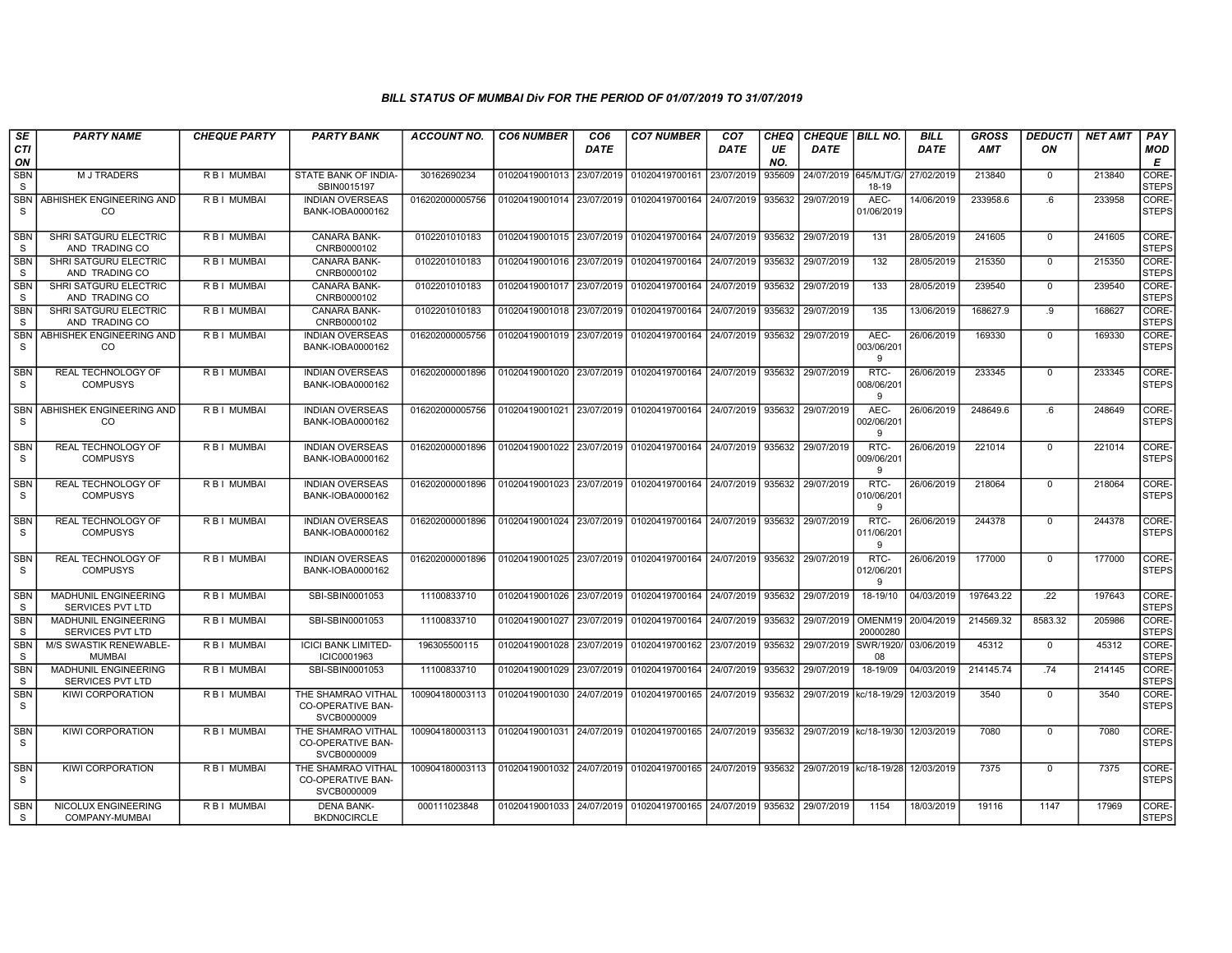| <b>SE</b>                  | <b>PARTY NAME</b>                                      | <b>CHEQUE PARTY</b> | <b>PARTY BANK</b>                                             | <b>ACCOUNT NO.</b> | <b>CO6 NUMBER</b>         | CO <sub>6</sub> | <b>CO7 NUMBER</b>                                   | CO <sub>7</sub> | <b>CHEQ</b> | CHEQUE BILL NO.        |                                | <b>BILL</b> | <b>GROSS</b> | <b>DEDUCTI</b> | <b>NET AMT</b> | <b>PAY</b>            |
|----------------------------|--------------------------------------------------------|---------------------|---------------------------------------------------------------|--------------------|---------------------------|-----------------|-----------------------------------------------------|-----------------|-------------|------------------------|--------------------------------|-------------|--------------|----------------|----------------|-----------------------|
| <b>CTI</b><br>ON           |                                                        |                     |                                                               |                    |                           | <b>DATE</b>     |                                                     | <b>DATE</b>     | UE<br>NO.   | <b>DATE</b>            |                                | <b>DATE</b> | <b>AMT</b>   | ON             |                | MOD<br>E              |
| <b>SBN</b><br>S.           | <b>M J TRADERS</b>                                     | R B I MUMBAI        | STATE BANK OF INDIA-<br>SBIN0015197                           | 30162690234        | 01020419001013 23/07/2019 |                 | 01020419700161                                      | 23/07/2019      | 935609      |                        | 24/07/2019 645/MJT/G/<br>18-19 | 27/02/2019  | 213840       | $\Omega$       | 213840         | CORE-<br><b>STEPS</b> |
| <b>SBN</b><br><sub>S</sub> | ABHISHEK ENGINEERING AND<br>CO                         | <b>RBI MUMBAI</b>   | <b>INDIAN OVERSEAS</b><br>BANK-IOBA0000162                    | 016202000005756    | 01020419001014 23/07/2019 |                 | 01020419700164                                      | 24/07/2019      | 935632      | 29/07/2019             | AEC-<br>01/06/2019             | 14/06/2019  | 233958.6     | 6.6            | 233958         | CORE-<br><b>STEPS</b> |
| <b>SBN</b><br>S            | SHRI SATGURU ELECTRIC<br>AND TRADING CO                | R B I MUMBAI        | CANARA BANK-<br>CNRB0000102                                   | 0102201010183      |                           |                 | 01020419001015 23/07/2019 01020419700164            | 24/07/2019      | 935632      | 29/07/2019             | 131                            | 28/05/2019  | 241605       | $\mathbf{0}$   | 241605         | CORE-<br><b>STEPS</b> |
| <b>SBN</b><br><sub>S</sub> | SHRI SATGURU ELECTRIC<br>AND TRADING CO                | R B I MUMBAI        | <b>CANARA BANK-</b><br>CNRB0000102                            | 0102201010183      |                           |                 | 01020419001016 23/07/2019 01020419700164            | 24/07/2019      | 935632      | 29/07/2019             | 132                            | 28/05/2019  | 215350       | $^{\circ}$     | 215350         | CORE-<br><b>STEPS</b> |
| <b>SBN</b><br><sub>S</sub> | SHRI SATGURU ELECTRIC<br>AND TRADING CO                | R B I MUMBAI        | <b>CANARA BANK-</b><br>CNRB0000102                            | 0102201010183      | 01020419001017 23/07/2019 |                 | 01020419700164                                      | 24/07/2019      | 935632      | 29/07/2019             | 133                            | 28/05/2019  | 239540       | $\overline{0}$ | 239540         | CORE-<br><b>STEPS</b> |
| <b>SBN</b><br>S            | SHRI SATGURU ELECTRIC<br>AND TRADING CO                | R B I MUMBAI        | CANARA BANK-<br>CNRB0000102                                   | 0102201010183      | 01020419001018 23/07/2019 |                 | 01020419700164                                      | 24/07/2019      | 935632      | 29/07/2019             | 135                            | 13/06/2019  | 168627.9     | .9             | 168627         | CORE-<br><b>STEPS</b> |
| <b>SBN</b><br>S            | ABHISHEK ENGINEERING AND<br>CO.                        | R B I MUMBAI        | <b>INDIAN OVERSEAS</b><br>BANK-IOBA0000162                    | 016202000005756    | 01020419001019            | 23/07/2019      | 01020419700164                                      | 24/07/2019      | 935632      | 29/07/2019             | AEC-<br>003/06/201<br><b>q</b> | 26/06/2019  | 169330       | $^{\circ}$     | 169330         | CORE-<br><b>STEPS</b> |
| <b>SBN</b><br><b>S</b>     | REAL TECHNOLOGY OF<br><b>COMPUSYS</b>                  | R B I MUMBAI        | <b>INDIAN OVERSEAS</b><br>BANK-IOBA0000162                    | 016202000001896    |                           |                 | 01020419001020 23/07/2019 01020419700164 24/07/2019 |                 | 935632      | 29/07/2019             | RTC-<br>008/06/201<br>9        | 26/06/2019  | 233345       | $\Omega$       | 233345         | CORE-<br><b>STEPS</b> |
| <b>SBN</b><br>S            | ABHISHEK ENGINEERING AND<br>CO                         | <b>RBI MUMBAI</b>   | <b>INDIAN OVERSEAS</b><br>BANK-IOBA0000162                    | 016202000005756    |                           |                 | 01020419001021 23/07/2019 01020419700164 24/07/2019 |                 | 935632      | 29/07/2019             | AEC-<br>002/06/201<br>9        | 26/06/2019  | 248649.6     | .6             | 248649         | CORE-<br><b>STEPS</b> |
| <b>SBN</b><br><sub>S</sub> | REAL TECHNOLOGY OF<br><b>COMPUSYS</b>                  | <b>RBI MUMBAI</b>   | <b>INDIAN OVERSEAS</b><br>BANK-IOBA0000162                    | 016202000001896    |                           |                 | 01020419001022 23/07/2019 01020419700164 24/07/2019 |                 | 935632      | 29/07/2019             | RTC-<br>009/06/201<br>9        | 26/06/2019  | 221014       | $\Omega$       | 221014         | CORE-<br><b>STEPS</b> |
| <b>SBN</b><br><sub>S</sub> | REAL TECHNOLOGY OF<br><b>COMPUSYS</b>                  | R B I MUMBAI        | <b>INDIAN OVERSEAS</b><br>BANK-IOBA0000162                    | 016202000001896    |                           |                 | 01020419001023 23/07/2019 01020419700164 24/07/2019 |                 | 935632      | 29/07/2019             | RTC-<br>010/06/201<br>9        | 26/06/2019  | 218064       | $\mathbf 0$    | 218064         | CORE-<br><b>STEPS</b> |
| SBN<br>S                   | REAL TECHNOLOGY OF<br><b>COMPUSYS</b>                  | R B I MUMBAI        | <b>INDIAN OVERSEAS</b><br>BANK-IOBA0000162                    | 016202000001896    |                           |                 | 01020419001024 23/07/2019 01020419700164            | 24/07/2019      | 935632      | 29/07/2019             | RTC-<br>011/06/20<br>9         | 26/06/2019  | 244378       | $\mathbf 0$    | 244378         | CORE-<br><b>STEPS</b> |
| <b>SBN</b><br>S            | REAL TECHNOLOGY OF<br><b>COMPUSYS</b>                  | R B I MUMBAI        | <b>INDIAN OVERSEAS</b><br>BANK-IOBA0000162                    | 016202000001896    |                           |                 | 01020419001025 23/07/2019 01020419700164            | 24/07/2019      | 935632      | 29/07/2019             | RTC-<br>012/06/201<br>9        | 26/06/2019  | 177000       | $\mathbf{0}$   | 177000         | CORE-<br><b>STEPS</b> |
| <b>SBN</b><br><sub>S</sub> | <b>MADHUNIL ENGINEERING</b><br><b>SERVICES PVT LTD</b> | R B I MUMBAI        | SBI-SBIN0001053                                               | 11100833710        |                           |                 | 01020419001026 23/07/2019 01020419700164            | 24/07/2019      | 935632      | 29/07/2019             | 18-19/10                       | 04/03/2019  | 197643.22    | .22            | 197643         | CORE-<br><b>STEPS</b> |
| <b>SBN</b><br><sub>S</sub> | <b>MADHUNIL ENGINEERING</b><br><b>SERVICES PVT LTD</b> | <b>RBI MUMBAI</b>   | SBI-SBIN0001053                                               | 11100833710        | 01020419001027 23/07/2019 |                 | 01020419700164                                      | 24/07/2019      | 935632      | 29/07/2019             | OMENM19<br>20000280            | 20/04/2019  | 214569.32    | 8583.32        | 205986         | CORE-<br><b>STEPS</b> |
| <b>SBN</b><br><sub>S</sub> | M/S SWASTIK RENEWABLE-<br><b>MUMBAI</b>                | <b>RBI MUMBAI</b>   | <b>ICICI BANK LIMITED-</b><br>ICIC0001963                     | 196305500115       | 01020419001028 23/07/2019 |                 | 01020419700162                                      | 23/07/2019      | 935632      | 29/07/2019 SWR/1920/   | 08                             | 03/06/2019  | 45312        | $\mathbf{0}$   | 45312          | CORE-<br><b>STEPS</b> |
| <b>SBN</b><br>S            | <b>MADHUNIL ENGINEERING</b><br>SERVICES PVT LTD        | R B I MUMBAI        | SBI-SBIN0001053                                               | 11100833710        | 01020419001029 23/07/2019 |                 | 01020419700164                                      | 24/07/2019      | 935632      | 29/07/2019             | 18-19/09                       | 04/03/2019  | 214145.74    | .74            | 214145         | CORE-<br><b>STEPS</b> |
| <b>SBN</b><br><sub>S</sub> | KIWI CORPORATION                                       | R B I MUMBAI        | THE SHAMRAO VITHAL<br><b>CO-OPERATIVE BAN-</b><br>SVCB0000009 | 100904180003113    | 01020419001030            | 24/07/2019      | 01020419700165                                      | 24/07/2019      | 935632      | 29/07/2019             | kc/18-19/29                    | 12/03/2019  | 3540         | $\Omega$       | 3540           | CORE-<br><b>STEPS</b> |
| <b>SBN</b><br>S.           | KIWI CORPORATION                                       | R B I MUMBAI        | THE SHAMRAO VITHAL<br>CO-OPERATIVE BAN-<br>SVCB0000009        | 100904180003113    |                           |                 | 01020419001031 24/07/2019 01020419700165 24/07/2019 |                 | 935632      | 29/07/2019 kc/18-19/30 |                                | 12/03/2019  | 7080         | $^{\circ}$     | 7080           | CORE-<br><b>STEPS</b> |
| <b>SBN</b><br>S            | KIWI CORPORATION                                       | R B I MUMBAI        | THE SHAMRAO VITHAL<br><b>CO-OPERATIVE BAN-</b><br>SVCB0000009 | 100904180003113    |                           |                 | 01020419001032 24/07/2019 01020419700165 24/07/2019 |                 | 935632      | 29/07/2019 kc/18-19/28 |                                | 12/03/2019  | 7375         | $\mathbf{0}$   | 7375           | CORE-<br><b>STEPS</b> |
| <b>SBN</b><br>-S           | NICOLUX ENGINEERING<br>COMPANY-MUMBAI                  | R B I MUMBAI        | <b>DENA BANK-</b><br><b>BKDN0CIRCLE</b>                       | 000111023848       |                           |                 | 01020419001033 24/07/2019 01020419700165 24/07/2019 |                 | 935632      | 29/07/2019             | 1154                           | 18/03/2019  | 19116        | 1147           | 17969          | CORE-<br><b>STEPS</b> |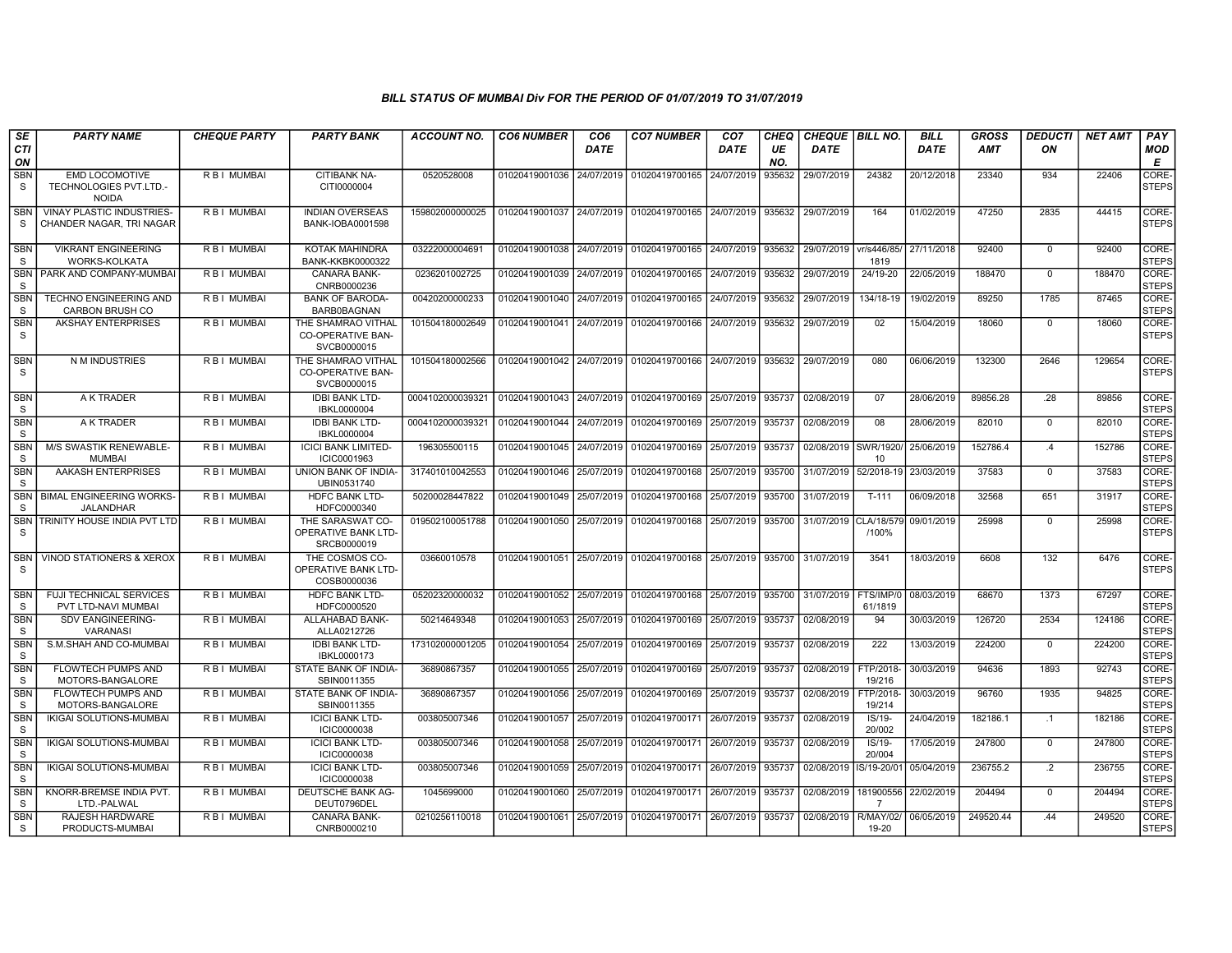| SE                         | <b>PARTY NAME</b>                                               | <b>CHEQUE PARTY</b> | <b>PARTY BANK</b>                                             | <b>ACCOUNT NO.</b> | <b>CO6 NUMBER</b>         | CO <sub>6</sub> | <b>CO7 NUMBER</b>                        | CO <sub>7</sub> | CHEQ      | CHEQUE   BILL NO.   |                             | <b>BILL</b> | <b>GROSS</b> | <b>DEDUCTI</b>  | <b>NET AMT</b>   | <b>PAY</b>                     |
|----------------------------|-----------------------------------------------------------------|---------------------|---------------------------------------------------------------|--------------------|---------------------------|-----------------|------------------------------------------|-----------------|-----------|---------------------|-----------------------------|-------------|--------------|-----------------|------------------|--------------------------------|
| <b>CTI</b><br>ON           |                                                                 |                     |                                                               |                    |                           | <b>DATE</b>     |                                          | <b>DATE</b>     | UE<br>NO. | <b>DATE</b>         |                             | <b>DATE</b> | <b>AMT</b>   | ON              |                  | MOD<br>Е                       |
| <b>SBN</b><br>S            | <b>EMD LOCOMOTIVE</b><br>TECHNOLOGIES PVT.LTD.-<br><b>NOIDA</b> | R B I MUMBAI        | CITIBANK NA-<br>CITI0000004                                   | 0520528008         | 01020419001036            | 24/07/2019      | 01020419700165                           | 24/07/2019      | 935632    | 29/07/2019          | 24382                       | 20/12/2018  | 23340        | 934             | 22406            | CORE-<br><b>STEPS</b>          |
| <b>SBN</b><br>S            | VINAY PLASTIC INDUSTRIES-<br>CHANDER NAGAR. TRI NAGAR           | R B I MUMBAI        | <b>INDIAN OVERSEAS</b><br>BANK-IOBA0001598                    | 159802000000025    | 01020419001037            | 24/07/2019      | 01020419700165                           | 24/07/2019      | 935632    | 29/07/2019          | 164                         | 01/02/2019  | 47250        | 2835            | 44415            | CORE-<br><b>STEPS</b>          |
| <b>SBN</b><br>S.           | <b>VIKRANT ENGINEERING</b><br><b>WORKS-KOLKATA</b>              | R B I MUMBAI        | KOTAK MAHINDRA<br><b>BANK-KKBK0000322</b>                     | 03222000004691     | 01020419001038            | 24/07/2019      | 01020419700165                           | 24/07/2019      | 935632    | 29/07/2019          | vr/s446/85<br>1819          | 27/11/2018  | 92400        | $\Omega$        | 92400            | CORE-<br><b>STEPS</b>          |
| <b>SBN</b><br>S            | PARK AND COMPANY-MUMBAI                                         | R B I MUMBAI        | CANARA BANK-<br>CNRB0000236                                   | 0236201002725      | 01020419001039            | 24/07/2019      | 01020419700165                           | 24/07/2019      | 935632    | 29/07/2019          | 24/19-20                    | 22/05/2019  | 188470       | $\Omega$        | 188470           | CORE-<br><b>STEPS</b>          |
| <b>SBN</b><br>S            | <b>TECHNO ENGINEERING AND</b><br><b>CARBON BRUSH CO</b>         | R B I MUMBAI        | <b>BANK OF BARODA-</b><br>BARB0BAGNAN                         | 00420200000233     | 01020419001040            | 24/07/2019      | 01020419700165                           | 24/07/2019      | 935632    | 29/07/2019          | 134/18-19                   | 19/02/2019  | 89250        | 1785            | 87465            | CORE-<br><b>STEPS</b>          |
| SBN<br><sub>S</sub>        | <b>AKSHAY ENTERPRISES</b>                                       | R B I MUMBAI        | THE SHAMRAO VITHAL<br><b>CO-OPERATIVE BAN-</b><br>SVCB0000015 | 101504180002649    | 01020419001041 24/07/2019 |                 | 01020419700166                           | 24/07/2019      | 935632    | 29/07/2019          | 02                          | 15/04/2019  | 18060        | $\mathbf{0}$    | 18060            | CORE-<br><b>STEPS</b>          |
| <b>SBN</b><br>S.           | N M INDUSTRIES                                                  | R B I MUMBAI        | THE SHAMRAO VITHAL<br><b>CO-OPERATIVE BAN-</b><br>SVCB0000015 | 101504180002566    | 01020419001042            | 24/07/2019      | 01020419700166                           | 24/07/2019      | 935632    | 29/07/2019          | 080                         | 06/06/2019  | 132300       | 2646            | 129654           | CORE-<br><b>STEPS</b>          |
| SBN<br>S.                  | A K TRADER                                                      | R B I MUMBAI        | <b>IDBI BANK LTD-</b><br>IBKL0000004                          | 0004102000039321   | 01020419001043            | 24/07/2019      | 01020419700169                           | 25/07/2019      | 935737    | 02/08/2019          | 07                          | 28/06/2019  | 89856.28     | .28             | 89856            | CORE-<br><b>STEPS</b>          |
| <b>SBN</b><br><sub>S</sub> | A K TRADER                                                      | R B I MUMBAI        | <b>IDBI BANK LTD-</b><br>IBKL0000004                          | 0004102000039321   | 01020419001044            | 24/07/2019      | 01020419700169                           | 25/07/2019      | 935737    | 02/08/2019          | 08                          | 28/06/2019  | 82010        | $\Omega$        | 82010            | CORE-<br><b>STEPS</b>          |
| <b>SBN</b><br>S            | M/S SWASTIK RENEWABLE-<br><b>MUMBAI</b>                         | R B I MUMBAI        | <b>ICICI BANK LIMITED-</b><br>ICIC0001963                     | 196305500115       | 01020419001045            | 24/07/2019      | 01020419700169                           | 25/07/2019      | 935737    | 02/08/2019 SWR/1920 | 10                          | 25/06/2019  | 152786.4     | .4              | 152786           | CORE-<br><b>STEPS</b>          |
| <b>SBN</b><br><sub>S</sub> | AAKASH ENTERPRISES                                              | R B I MUMBAI        | UNION BANK OF INDIA-<br>UBIN0531740                           | 317401010042553    | 01020419001046            |                 | 25/07/2019 01020419700168                | 25/07/2019      | 935700    | 31/07/2019          | 52/2018-19                  | 23/03/2019  | 37583        | $\mathbf{0}$    | 37583            | CORE-<br><b>STEPS</b>          |
| <b>SBN</b><br>-S           | <b>BIMAL ENGINEERING WORKS-</b><br><b>JALANDHAR</b>             | R B I MUMBAI        | <b>HDFC BANK LTD-</b><br>HDFC0000340                          | 50200028447822     | 01020419001049            | 25/07/2019      | 01020419700168                           | 25/07/2019      | 935700    | 31/07/2019          | $T-111$                     | 06/09/2018  | 32568        | 651             | 31917            | CORE-<br><b>STEPS</b>          |
| <b>SBN</b><br>S            | TRINITY HOUSE INDIA PVT LTD                                     | R B I MUMBAI        | THE SARASWAT CO-<br>OPERATIVE BANK LTD-<br>SRCB0000019        | 019502100051788    | 01020419001050            | 25/07/2019      | 01020419700168                           | 25/07/2019      | 935700    | 31/07/2019          | CLA/18/579<br>/100%         | 09/01/2019  | 25998        | $\mathbf 0$     | 25998            | CORE-<br><b>STEPS</b>          |
| SBN<br><sub>S</sub>        | VINOD STATIONERS & XEROX                                        | R B I MUMBAI        | THE COSMOS CO-<br>OPERATIVE BANK LTD-<br>COSB0000036          | 03660010578        |                           |                 | 01020419001051 25/07/2019 01020419700168 | 25/07/2019      | 935700    | 31/07/2019          | 3541                        | 18/03/2019  | 6608         | 132             | 6476             | CORE-<br><b>STEPS</b>          |
| <b>SBN</b><br><sub>S</sub> | <b>FUJI TECHNICAL SERVICES</b><br>PVT LTD-NAVI MUMBAI           | R B I MUMBAI        | <b>HDFC BANK LTD-</b><br>HDFC0000520                          | 05202320000032     | 01020419001052            |                 | 25/07/2019 01020419700168                | 25/07/2019      | 935700    | 31/07/2019          | FTS/IMP/0<br>61/1819        | 08/03/2019  | 68670        | 1373            | 67297            | CORE-<br><b>STEPS</b>          |
| <b>SBN</b><br>S            | <b>SDV EANGINEERING-</b><br><b>VARANASI</b>                     | R B I MUMBAI        | ALLAHABAD BANK-<br>ALLA0212726                                | 50214649348        | 01020419001053            | 25/07/2019      | 01020419700169                           | 25/07/2019      | 935737    | 02/08/2019          | 94                          | 30/03/2019  | 126720       | 2534            | 124186           | CORE-<br><b>STEPS</b>          |
| <b>SBN</b><br>S            | S.M.SHAH AND CO-MUMBAI                                          | R B I MUMBAI        | <b>IDBI BANK LTD-</b><br>IBKL0000173                          | 173102000001205    | 01020419001054            | 25/07/2019      | 01020419700169                           | 25/07/2019      | 935737    | 02/08/2019          | 222                         | 13/03/2019  | 224200       | $\Omega$        | 224200           | CORE-<br><b>STEPS</b>          |
| <b>SBN</b><br><sub>S</sub> | <b>FLOWTECH PUMPS AND</b><br>MOTORS-BANGALORE                   | R B I MUMBAI        | STATE BANK OF INDIA-<br>SBIN0011355                           | 36890867357        | 01020419001055            | 25/07/2019      | 01020419700169                           | 25/07/2019      | 935737    | 02/08/2019          | FTP/2018-<br>19/216         | 30/03/2019  | 94636        | 1893            | 92743            | CORE-<br><b>STEPS</b>          |
| <b>SBN</b><br>S            | <b>FLOWTECH PUMPS AND</b><br>MOTORS-BANGALORE                   | R B I MUMBAI        | STATE BANK OF INDIA-<br>SBIN0011355                           | 36890867357        | 01020419001056            | 25/07/2019      | 01020419700169                           | 25/07/2019      | 935737    | 02/08/2019          | FTP/2018-<br>19/214         | 30/03/2019  | 96760        | 1935            | 94825            | CORE-<br><b>STEPS</b>          |
| <b>SBN</b><br>S            | <b>IKIGAI SOLUTIONS-MUMBAI</b>                                  | R B I MUMBAI        | <b>ICICI BANK LTD-</b><br>ICIC0000038                         | 003805007346       | 01020419001057            |                 | 25/07/2019 01020419700171                | 26/07/2019      | 935737    | 02/08/2019          | $IS/19-$<br>20/002          | 24/04/2019  | 182186.1     | $\cdot$ 1       | 182186           | CORE-<br><b>STEPS</b>          |
| <b>SBN</b><br>S            | IKIGAI SOLUTIONS-MUMBAI                                         | R B I MUMBAI        | <b>ICICI BANK LTD-</b><br><b>ICIC0000038</b>                  | 003805007346       | 01020419001058            | 25/07/2019      | 01020419700171                           | 26/07/2019      | 935737    | 02/08/2019          | $IS/19-$<br>20/004          | 17/05/2019  | 247800       | $\mathbf 0$     | 247800           | CORE-<br><b>STEPS</b>          |
| <b>SBN</b><br><sub>S</sub> | <b>IKIGAI SOLUTIONS-MUMBAI</b>                                  | R B I MUMBAI        | <b>ICICI BANK LTD-</b><br><b>ICIC0000038</b>                  | 003805007346       | 01020419001059            | 25/07/2019      | 01020419700171                           | 26/07/2019      | 935737    | 02/08/2019          | S/19-20/01                  | 05/04/2019  | 236755.2     | $\overline{.2}$ | 236755<br>204494 | CORE-<br><b>STEPS</b><br>CORE- |
| <b>SBN</b><br><sub>S</sub> | KNORR-BREMSE INDIA PVT.<br>LTD.-PALWAL                          | R B I MUMBAI        | DEUTSCHE BANK AG-<br>DEUT0796DEL                              | 1045699000         | 01020419001060            | 25/07/2019      | 01020419700171                           | 26/07/2019      | 935737    | 02/08/2019          | 181900556<br>$\overline{7}$ | 22/02/2019  | 204494       | $\Omega$        |                  | <b>STEPS</b>                   |
| <b>SBN</b><br>S            | RAJESH HARDWARE<br>PRODUCTS-MUMBAI                              | R B I MUMBAI        | CANARA BANK-<br>CNRB0000210                                   | 0210256110018      | 01020419001061            | 25/07/2019      | 01020419700171                           | 26/07/2019      | 935737    | 02/08/2019          | R/MAY/02/<br>19-20          | 06/05/2019  | 249520.44    | .44             | 249520           | CORE-<br><b>STEPS</b>          |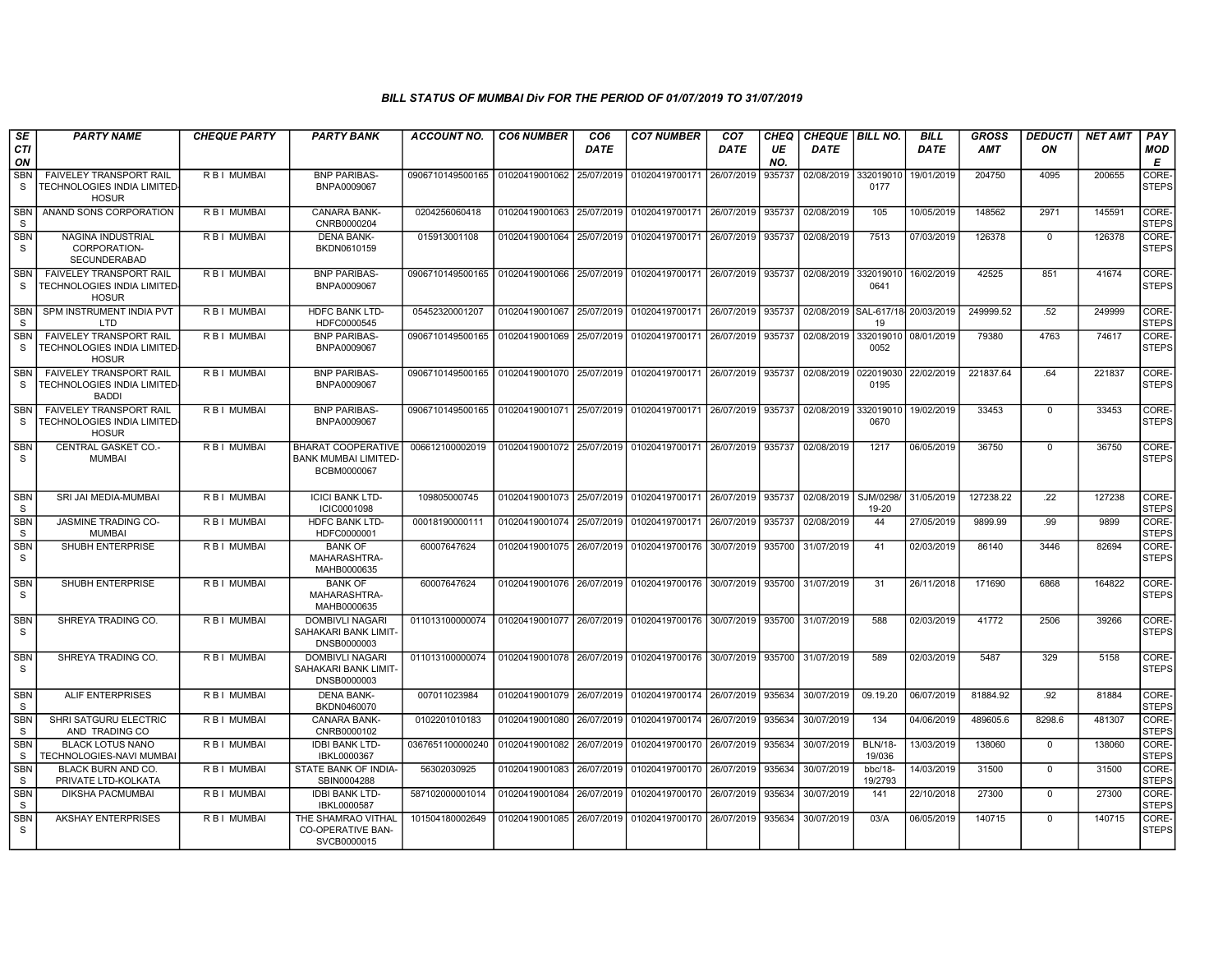| SE<br>CTI                  | <b>PARTY NAME</b>                                                             | <b>CHEQUE PARTY</b> | <b>PARTY BANK</b>                                                       | ACCOUNT NO.      | <b>CO6 NUMBER</b>         | CO <sub>6</sub><br><b>DATE</b> | <b>CO7 NUMBER</b>                                                  | CO <sub>7</sub><br>DATE | <b>CHEQ</b><br>UE | <b>CHEQUE BILL NO.</b><br>DATE |                                        | <b>BILL</b><br><b>DATE</b> | <b>GROSS</b><br>AMT | <b>DEDUCTI</b><br>ON | <b>NET AMT</b> | <b>PAY</b><br><b>MOD</b>   |
|----------------------------|-------------------------------------------------------------------------------|---------------------|-------------------------------------------------------------------------|------------------|---------------------------|--------------------------------|--------------------------------------------------------------------|-------------------------|-------------------|--------------------------------|----------------------------------------|----------------------------|---------------------|----------------------|----------------|----------------------------|
| ON<br><b>SBN</b><br>S      | <b>FAIVELEY TRANSPORT RAIL</b><br>TECHNOLOGIES INDIA LIMITED-<br><b>HOSUR</b> | R B I MUMBAI        | <b>BNP PARIBAS-</b><br>BNPA0009067                                      | 0906710149500165 | 01020419001062            | 25/07/2019                     | 01020419700171 26/07/2019                                          |                         | NO.<br>935737     | 02/08/2019                     | 332019010<br>0177                      | 19/01/2019                 | 204750              | 4095                 | 200655         | E<br>CORE-<br><b>STEPS</b> |
| <b>SBN</b><br>-S           | ANAND SONS CORPORATION                                                        | R B I MUMBAI        | <b>CANARA BANK-</b><br>CNRB0000204                                      | 0204256060418    |                           |                                | 01020419001063 25/07/2019 01020419700171 26/07/2019 935737         |                         |                   | 02/08/2019                     | 105                                    | 10/05/2019                 | 148562              | 2971                 | 145591         | CORE-<br><b>STEPS</b>      |
| <b>SBN</b><br>S.           | NAGINA INDUSTRIAL<br>CORPORATION-<br>SECUNDERABAD                             | R B I MUMBAI        | <b>DENA BANK-</b><br>BKDN0610159                                        | 015913001108     |                           |                                | 01020419001064 25/07/2019 01020419700171 26/07/2019 935737         |                         |                   | 02/08/2019                     | 7513                                   | 07/03/2019                 | 126378              | $\Omega$             | 126378         | CORE-<br><b>STEPS</b>      |
| <b>SBN</b><br>S            | <b>FAIVELEY TRANSPORT RAIL</b><br>TECHNOLOGIES INDIA LIMITED-<br><b>HOSUR</b> | R B I MUMBAI        | <b>BNP PARIBAS-</b><br>BNPA0009067                                      | 0906710149500165 |                           |                                | 01020419001066 25/07/2019 01020419700171 26/07/2019 935737         |                         |                   | 02/08/2019                     | 332019010<br>0641                      | 16/02/2019                 | 42525               | 851                  | 41674          | CORE-<br><b>STEPS</b>      |
| <b>SBN</b><br>- S          | SPM INSTRUMENT INDIA PVT<br>LTD                                               | R B I MUMBAI        | <b>HDFC BANK LTD-</b><br>HDFC0000545                                    | 05452320001207   | 01020419001067            |                                | 25/07/2019 01020419700171 26/07/2019 935737                        |                         |                   |                                | 02/08/2019 SAL-617/18 20/03/2019<br>19 |                            | 249999.52           | .52                  | 249999         | CORE-<br><b>STEPS</b>      |
| SBN<br>S                   | FAIVELEY TRANSPORT RAIL<br>TECHNOLOGIES INDIA LIMITED-<br><b>HOSUR</b>        | RBI MUMBAI          | <b>BNP PARIBAS-</b><br>BNPA0009067                                      | 0906710149500165 | 01020419001069 25/07/2019 |                                | 01020419700171 26/07/2019 935737                                   |                         |                   | 02/08/2019                     | 0052                                   | 332019010 08/01/2019       | 79380               | 4763                 | 74617          | CORE-<br><b>STEPS</b>      |
| <b>SBN</b><br>S            | <b>FAIVELEY TRANSPORT RAIL</b><br>TECHNOLOGIES INDIA LIMITED-<br><b>BADDI</b> | R B I MUMBAI        | <b>BNP PARIBAS-</b><br>BNPA0009067                                      | 0906710149500165 |                           |                                | 01020419001070 25/07/2019 01020419700171 26/07/2019 935737         |                         |                   | 02/08/2019                     | 022019030<br>0195                      | 22/02/2019                 | 221837.64           | .64                  | 221837         | CORE-<br><b>STEPS</b>      |
| <b>SBN</b><br>-S           | <b>FAIVELEY TRANSPORT RAIL</b><br>TECHNOLOGIES INDIA LIMITED<br><b>HOSUR</b>  | R B I MUMBAI        | <b>BNP PARIBAS-</b><br>BNPA0009067                                      | 0906710149500165 |                           |                                | 01020419001071   25/07/2019   01020419700171   26/07/2019   935737 |                         |                   | 02/08/2019                     | 332019010<br>0670                      | 19/02/2019                 | 33453               | $\mathbf 0$          | 33453          | CORE-<br><b>STEPS</b>      |
| <b>SBN</b><br>S            | CENTRAL GASKET CO.-<br><b>MUMBAI</b>                                          | R B I MUMBAI        | <b>BHARAT COOPERATIVE</b><br><b>BANK MUMBAI LIMITED-</b><br>BCBM0000067 | 006612100002019  |                           |                                | 01020419001072 25/07/2019 01020419700171 26/07/2019 935737         |                         |                   | 02/08/2019                     | 1217                                   | 06/05/2019                 | 36750               | $\Omega$             | 36750          | CORE-<br><b>STEPS</b>      |
| <b>SBN</b><br>S            | SRI JAI MEDIA-MUMBAI                                                          | R B I MUMBAI        | <b>ICICI BANK LTD-</b><br>ICIC0001098                                   | 109805000745     | 01020419001073 25/07/2019 |                                | 01020419700171 26/07/2019 935737                                   |                         |                   | 02/08/2019                     | SJM/0298/<br>19-20                     | 31/05/2019                 | 127238.22           | .22                  | 127238         | CORE-<br><b>STEPS</b>      |
| <b>SBN</b><br>s            | <b>JASMINE TRADING CO-</b><br><b>MUMBAI</b>                                   | R B I MUMBAI        | <b>HDFC BANK LTD-</b><br>HDFC0000001                                    | 00018190000111   | 01020419001074 25/07/2019 |                                | 01020419700171 26/07/2019 935737                                   |                         |                   | 02/08/2019                     | 44                                     | 27/05/2019                 | 9899.99             | .99                  | 9899           | CORE-<br><b>STEPS</b>      |
| <b>SBN</b><br>S            | SHUBH ENTERPRISE                                                              | R B I MUMBAI        | <b>BANK OF</b><br>MAHARASHTRA-<br>MAHB0000635                           | 60007647624      | 01020419001075 26/07/2019 |                                | 01020419700176                                                     | 30/07/2019 935700       |                   | 31/07/2019                     | 41                                     | 02/03/2019                 | 86140               | 3446                 | 82694          | CORE-<br><b>STEPS</b>      |
| SBN<br>S.                  | SHUBH ENTERPRISE                                                              | R B I MUMBAI        | <b>BANK OF</b><br>MAHARASHTRA-<br>MAHB0000635                           | 60007647624      |                           |                                | 01020419001076 26/07/2019 01020419700176 30/07/2019 935700         |                         |                   | 31/07/2019                     | 31                                     | 26/11/2018                 | 171690              | 6868                 | 164822         | CORE-<br><b>STEPS</b>      |
| <b>SBN</b><br>S            | SHREYA TRADING CO.                                                            | R B I MUMBAI        | <b>DOMBIVLI NAGARI</b><br>SAHAKARI BANK LIMIT-<br>DNSB0000003           | 011013100000074  |                           |                                | 01020419001077 26/07/2019 01020419700176                           | 30/07/2019 935700       |                   | 31/07/2019                     | 588                                    | 02/03/2019                 | 41772               | 2506                 | 39266          | CORE-<br><b>STEPS</b>      |
| <b>SBN</b><br>S.           | SHREYA TRADING CO.                                                            | R B I MUMBAI        | <b>DOMBIVLI NAGARI</b><br>SAHAKARI BANK LIMIT-<br>DNSB0000003           | 011013100000074  |                           |                                | 01020419001078 26/07/2019 01020419700176 30/07/2019 935700         |                         |                   | 31/07/2019                     | 589                                    | 02/03/2019                 | 5487                | 329                  | 5158           | CORE-<br><b>STEPS</b>      |
| <b>SBN</b><br>S            | <b>ALIF ENTERPRISES</b>                                                       | R B I MUMBAI        | <b>DENA BANK-</b><br>BKDN0460070                                        | 007011023984     |                           |                                | 01020419001079 26/07/2019 01020419700174 26/07/2019 935634         |                         |                   | 30/07/2019                     | 09.19.20                               | 06/07/2019                 | 81884.92            | .92                  | 81884          | CORE-<br><b>STEPS</b>      |
| <b>SBN</b><br><sub>S</sub> | SHRI SATGURU ELECTRIC<br>AND TRADING CO                                       | R B I MUMBAI        | <b>CANARA BANK-</b><br>CNRB0000102                                      | 0102201010183    | 01020419001080            | 26/07/2019                     | 01020419700174                                                     | 26/07/2019              | 935634            | 30/07/2019                     | 134                                    | 04/06/2019                 | 489605.6            | 8298.6               | 481307         | CORE-<br><b>STEPS</b>      |
| <b>SBN</b><br><sub>S</sub> | <b>BLACK LOTUS NANO</b><br>TECHNOLOGIES-NAVI MUMBAI                           | R B I MUMBAI        | <b>IDBI BANK LTD-</b><br>IBKL0000367                                    | 0367651100000240 | 01020419001082 26/07/2019 |                                | 01020419700170                                                     | 26/07/2019 935634       |                   | 30/07/2019                     | <b>BLN/18-</b><br>19/036               | 13/03/2019                 | 138060              | $\mathbf 0$          | 138060         | CORE-<br><b>STEPS</b>      |
| <b>SBN</b><br>S.           | BLACK BURN AND CO.<br>PRIVATE LTD-KOLKATA                                     | R B I MUMBAI        | STATE BANK OF INDIA-<br>SBIN0004288                                     | 56302030925      | 01020419001083            | 26/07/2019                     | 01020419700170                                                     | 26/07/2019 935634       |                   | 30/07/2019                     | bbc/18-<br>19/2793                     | 14/03/2019                 | 31500               | $\Omega$             | 31500          | CORE-<br><b>STEPS</b>      |
| SBN<br>-S                  | <b>DIKSHA PACMUMBAI</b>                                                       | R B I MUMBAI        | <b>IDBI BANK LTD-</b><br>IBKL0000587                                    | 587102000001014  | 01020419001084            |                                | 26/07/2019 01020419700170                                          | 26/07/2019 935634       |                   | 30/07/2019                     | 141                                    | 22/10/2018                 | 27300               | $\mathbf 0$          | 27300          | CORE-<br><b>STEPS</b>      |
| <b>SBN</b><br>S            | <b>AKSHAY ENTERPRISES</b>                                                     | R B I MUMBAI        | THE SHAMRAO VITHAL<br>CO-OPERATIVE BAN-<br>SVCB0000015                  | 101504180002649  | 01020419001085            | 26/07/2019                     | 01020419700170                                                     | 26/07/2019 935634       |                   | 30/07/2019                     | 03/A                                   | 06/05/2019                 | 140715              | $\mathbf 0$          | 140715         | CORE-<br><b>STEPS</b>      |